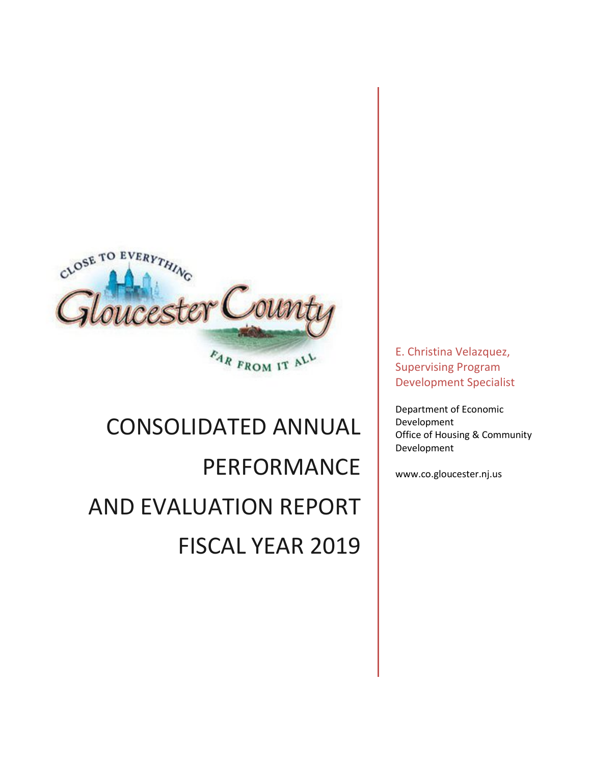

# CONSOLIDATED ANNUAL PERFORMANCE AND EVALUATION REPORT FISCAL YEAR 2019

E. Christina Velazquez, Supervising Program Development Specialist

Department of Economic Development Office of Housing & Community Development

www.co.gloucester.nj.us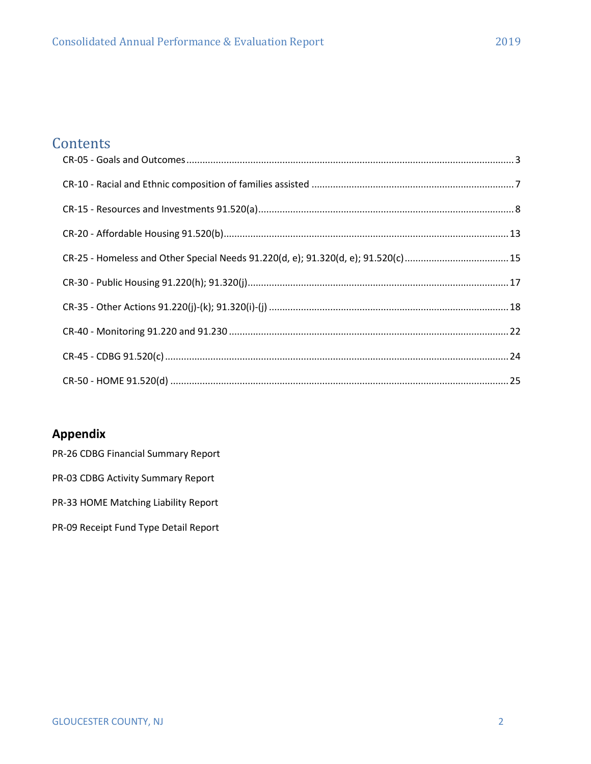# **Contents**

# **Appendix**

- PR-26 CDBG Financial Summary Report
- PR-03 CDBG Activity Summary Report
- PR-33 HOME Matching Liability Report
- PR-09 Receipt Fund Type Detail Report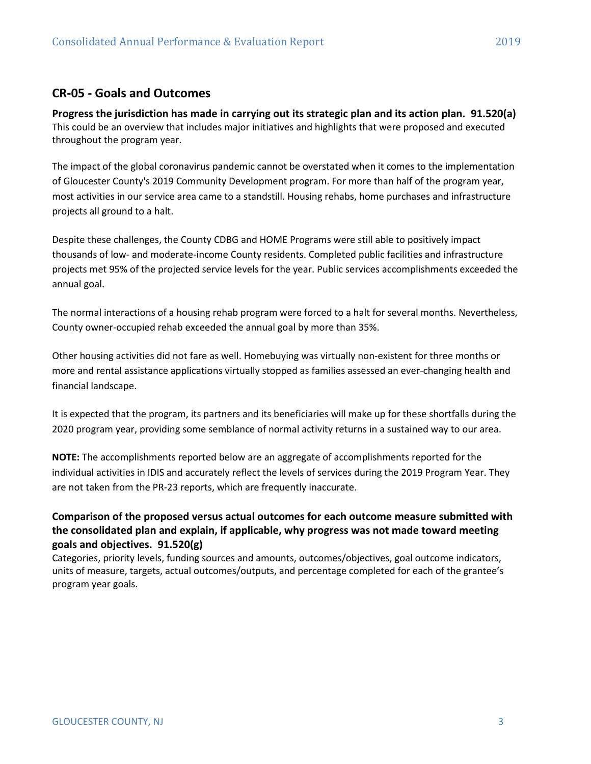## <span id="page-2-0"></span>**CR-05 - Goals and Outcomes**

**Progress the jurisdiction has made in carrying out its strategic plan and its action plan. 91.520(a)** This could be an overview that includes major initiatives and highlights that were proposed and executed throughout the program year.

The impact of the global coronavirus pandemic cannot be overstated when it comes to the implementation of Gloucester County's 2019 Community Development program. For more than half of the program year, most activities in our service area came to a standstill. Housing rehabs, home purchases and infrastructure projects all ground to a halt.

Despite these challenges, the County CDBG and HOME Programs were still able to positively impact thousands of low- and moderate-income County residents. Completed public facilities and infrastructure projects met 95% of the projected service levels for the year. Public services accomplishments exceeded the annual goal.

The normal interactions of a housing rehab program were forced to a halt for several months. Nevertheless, County owner-occupied rehab exceeded the annual goal by more than 35%.

Other housing activities did not fare as well. Homebuying was virtually non-existent for three months or more and rental assistance applications virtually stopped as families assessed an ever-changing health and financial landscape.

It is expected that the program, its partners and its beneficiaries will make up for these shortfalls during the 2020 program year, providing some semblance of normal activity returns in a sustained way to our area.

**NOTE:** The accomplishments reported below are an aggregate of accomplishments reported for the individual activities in IDIS and accurately reflect the levels of services during the 2019 Program Year. They are not taken from the PR-23 reports, which are frequently inaccurate.

## **Comparison of the proposed versus actual outcomes for each outcome measure submitted with the consolidated plan and explain, if applicable, why progress was not made toward meeting goals and objectives. 91.520(g)**

Categories, priority levels, funding sources and amounts, outcomes/objectives, goal outcome indicators, units of measure, targets, actual outcomes/outputs, and percentage completed for each of the grantee's program year goals.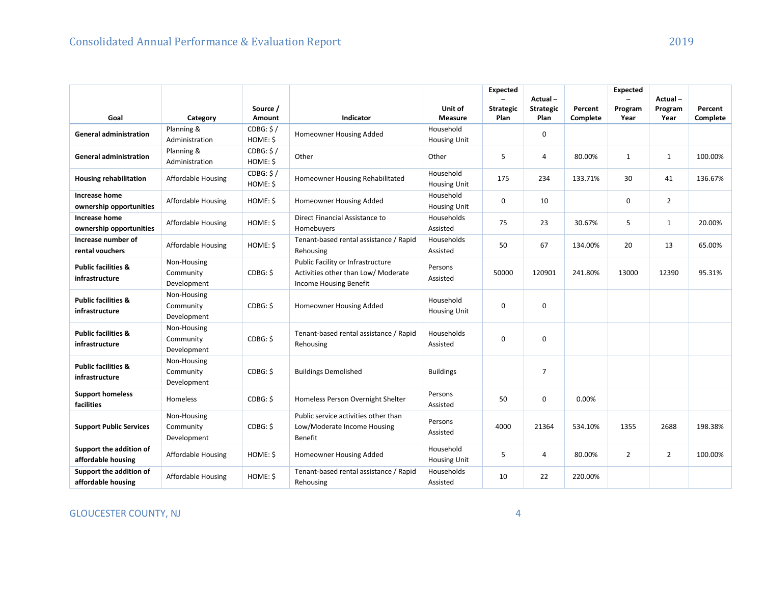|                                                  |                                         |                       |                                                                                                    |                                  | <b>Expected</b>  | Actual-          |          | <b>Expected</b> | Actual-        |          |
|--------------------------------------------------|-----------------------------------------|-----------------------|----------------------------------------------------------------------------------------------------|----------------------------------|------------------|------------------|----------|-----------------|----------------|----------|
|                                                  |                                         | Source /              |                                                                                                    | Unit of                          | <b>Strategic</b> | <b>Strategic</b> | Percent  | Program         | Program        | Percent  |
| Goal                                             | Category                                | Amount                | Indicator                                                                                          | <b>Measure</b>                   | Plan             | Plan             | Complete | Year            | Year           | Complete |
| <b>General administration</b>                    | Planning &                              | CDBG: \$/             | Homeowner Housing Added                                                                            | Household                        |                  | $\mathbf 0$      |          |                 |                |          |
|                                                  | Administration                          | HOME: \$              |                                                                                                    | <b>Housing Unit</b>              |                  |                  |          |                 |                |          |
| <b>General administration</b>                    | Planning &<br>Administration            | CDBG: \$/<br>HOME: \$ | Other                                                                                              | Other                            | 5                | 4                | 80.00%   | $\mathbf{1}$    | $\mathbf{1}$   | 100.00%  |
| <b>Housing rehabilitation</b>                    | Affordable Housing                      | CDBG: \$/<br>HOME: \$ | Homeowner Housing Rehabilitated                                                                    | Household<br><b>Housing Unit</b> | 175              | 234              | 133.71%  | 30              | 41             | 136.67%  |
| <b>Increase home</b><br>ownership opportunities  | <b>Affordable Housing</b>               | HOME: \$              | Homeowner Housing Added                                                                            | Household<br><b>Housing Unit</b> | 0                | 10               |          | 0               | $\overline{2}$ |          |
| Increase home<br>ownership opportunities         | <b>Affordable Housing</b>               | HOME: \$              | Direct Financial Assistance to<br>Homebuyers                                                       | Households<br>Assisted           | 75               | 23               | 30.67%   | 5               | $\mathbf{1}$   | 20.00%   |
| Increase number of<br>rental vouchers            | Affordable Housing                      | HOME: \$              | Tenant-based rental assistance / Rapid<br>Rehousing                                                | Households<br>Assisted           | 50               | 67               | 134.00%  | 20              | 13             | 65.00%   |
| <b>Public facilities &amp;</b><br>infrastructure | Non-Housing<br>Community<br>Development | CDBG: \$              | Public Facility or Infrastructure<br>Activities other than Low/ Moderate<br>Income Housing Benefit | Persons<br>Assisted              | 50000            | 120901           | 241.80%  | 13000           | 12390          | 95.31%   |
| <b>Public facilities &amp;</b><br>infrastructure | Non-Housing<br>Community<br>Development | CDBG: \$              | Homeowner Housing Added                                                                            | Household<br><b>Housing Unit</b> | 0                | $\mathbf 0$      |          |                 |                |          |
| <b>Public facilities &amp;</b><br>infrastructure | Non-Housing<br>Community<br>Development | CDBG: \$              | Tenant-based rental assistance / Rapid<br>Rehousing                                                | Households<br>Assisted           | 0                | $\mathbf 0$      |          |                 |                |          |
| <b>Public facilities &amp;</b><br>infrastructure | Non-Housing<br>Community<br>Development | CDBG: \$              | <b>Buildings Demolished</b>                                                                        | <b>Buildings</b>                 |                  | $\overline{7}$   |          |                 |                |          |
| <b>Support homeless</b><br><b>facilities</b>     | Homeless                                | CDBG: \$              | Homeless Person Overnight Shelter                                                                  | Persons<br>Assisted              | 50               | 0                | 0.00%    |                 |                |          |
| <b>Support Public Services</b>                   | Non-Housing<br>Community<br>Development | CDBG: \$              | Public service activities other than<br>Low/Moderate Income Housing<br>Benefit                     | Persons<br>Assisted              | 4000             | 21364            | 534.10%  | 1355            | 2688           | 198.38%  |
| Support the addition of<br>affordable housing    | Affordable Housing                      | HOME: \$              | Homeowner Housing Added                                                                            | Household<br><b>Housing Unit</b> | 5                | 4                | 80.00%   | $\overline{2}$  | $\overline{2}$ | 100.00%  |
| Support the addition of<br>affordable housing    | Affordable Housing                      | HOME: \$              | Tenant-based rental assistance / Rapid<br>Rehousing                                                | Households<br>Assisted           | 10               | 22               | 220.00%  |                 |                |          |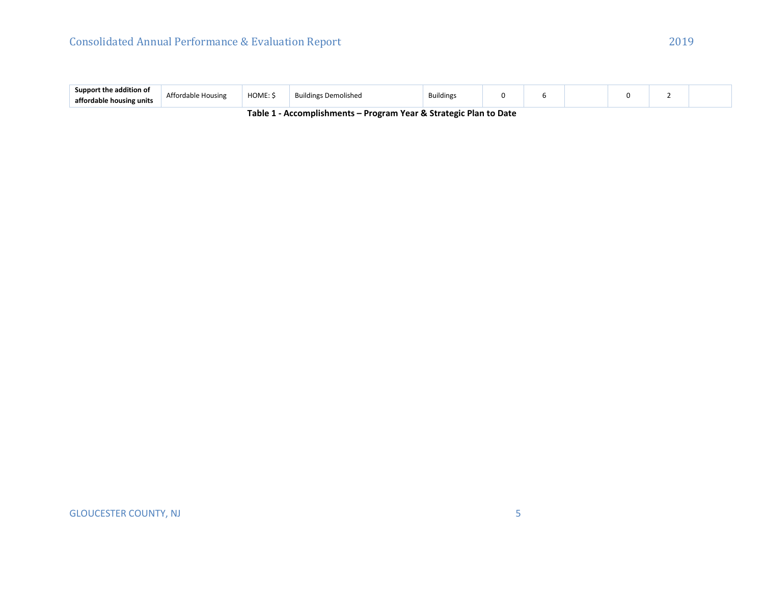| .<br>addition of<br>Sunnor<br>affordab<br>housing units | Affordable Housing | HOME: | .<br><b>Building</b><br>plished | Building: |  |  |  |
|---------------------------------------------------------|--------------------|-------|---------------------------------|-----------|--|--|--|
|                                                         |                    |       |                                 |           |  |  |  |

**Table 1 - Accomplishments – Program Year & Strategic Plan to Date**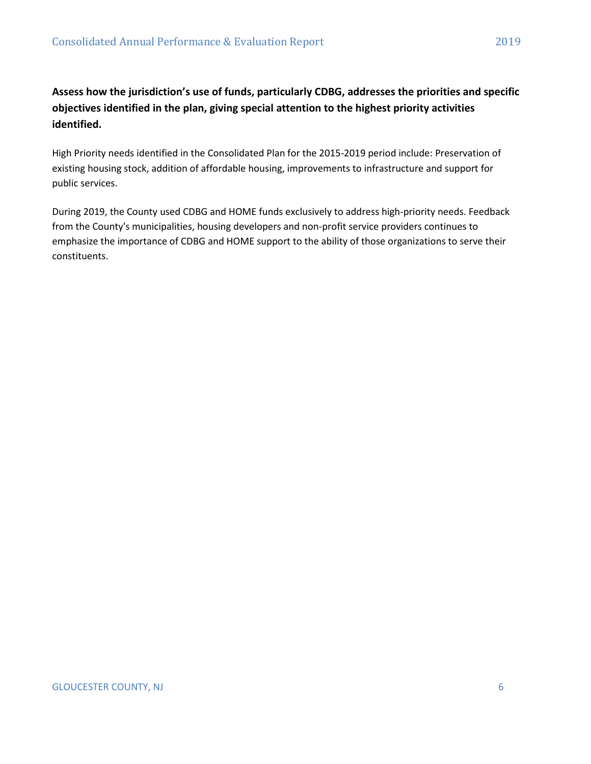# **Assess how the jurisdiction's use of funds, particularly CDBG, addresses the priorities and specific objectives identified in the plan, giving special attention to the highest priority activities identified.**

High Priority needs identified in the Consolidated Plan for the 2015-2019 period include: Preservation of existing housing stock, addition of affordable housing, improvements to infrastructure and support for public services.

During 2019, the County used CDBG and HOME funds exclusively to address high-priority needs. Feedback from the County's municipalities, housing developers and non-profit service providers continues to emphasize the importance of CDBG and HOME support to the ability of those organizations to serve their constituents.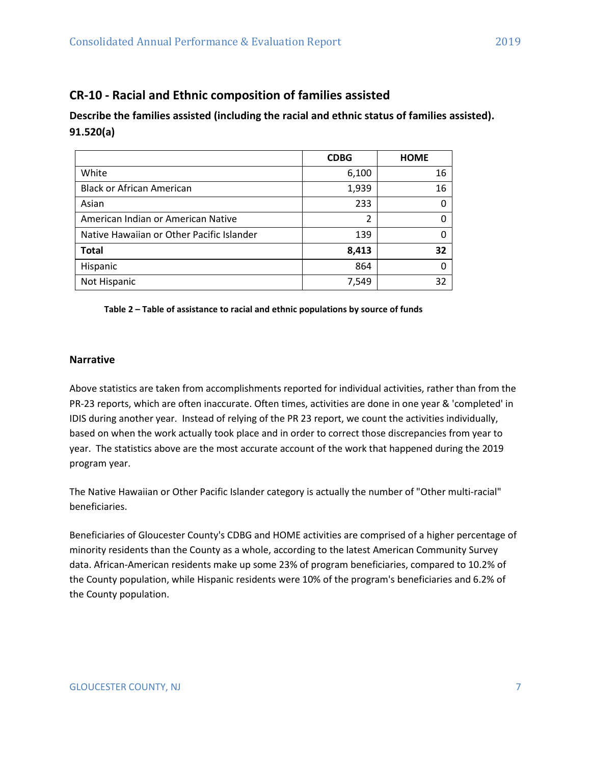# <span id="page-6-0"></span>**CR-10 - Racial and Ethnic composition of families assisted**

## **Describe the families assisted (including the racial and ethnic status of families assisted). 91.520(a)**

|                                           | <b>CDBG</b> | <b>HOME</b> |
|-------------------------------------------|-------------|-------------|
| White                                     | 6,100       | 16          |
| <b>Black or African American</b>          | 1,939       | 16          |
| Asian                                     | 233         |             |
| American Indian or American Native        | 2           |             |
| Native Hawaiian or Other Pacific Islander | 139         |             |
| <b>Total</b>                              | 8,413       | 32          |
| Hispanic                                  | 864         |             |
| Not Hispanic                              | 7,549       | 32          |

#### **Table 2 – Table of assistance to racial and ethnic populations by source of funds**

#### **Narrative**

Above statistics are taken from accomplishments reported for individual activities, rather than from the PR-23 reports, which are often inaccurate. Often times, activities are done in one year & 'completed' in IDIS during another year. Instead of relying of the PR 23 report, we count the activities individually, based on when the work actually took place and in order to correct those discrepancies from year to year. The statistics above are the most accurate account of the work that happened during the 2019 program year.

The Native Hawaiian or Other Pacific Islander category is actually the number of "Other multi-racial" beneficiaries.

Beneficiaries of Gloucester County's CDBG and HOME activities are comprised of a higher percentage of minority residents than the County as a whole, according to the latest American Community Survey data. African-American residents make up some 23% of program beneficiaries, compared to 10.2% of the County population, while Hispanic residents were 10% of the program's beneficiaries and 6.2% of the County population.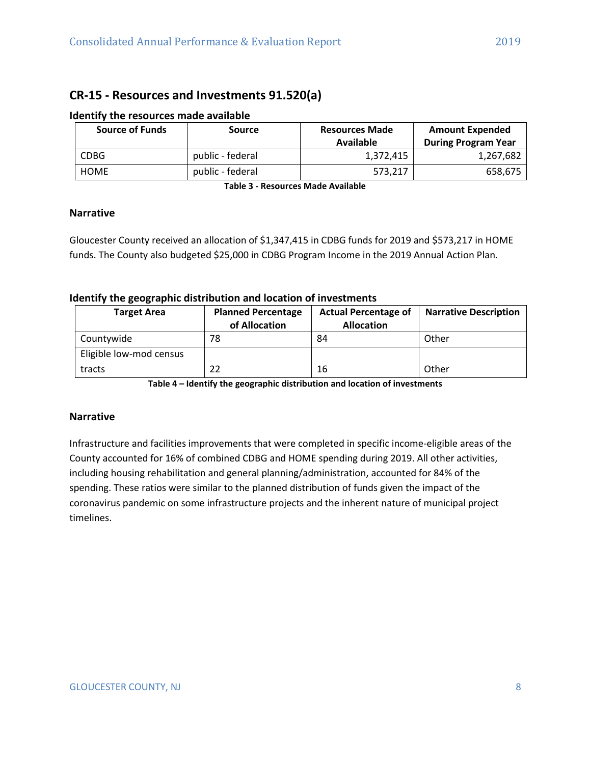## <span id="page-7-0"></span>**CR-15 - Resources and Investments 91.520(a)**

| <b>Source of Funds</b> | Source           | <b>Resources Made</b><br>Available | <b>Amount Expended</b><br><b>During Program Year</b> |
|------------------------|------------------|------------------------------------|------------------------------------------------------|
| <b>CDBG</b>            | public - federal | 1,372,415                          | 1,267,682                                            |
| <b>HOME</b>            | public - federal | 573.217                            | 658,675                                              |

#### **Identify the resources made available**

**Table 3 - Resources Made Available**

## **Narrative**

Gloucester County received an allocation of \$1,347,415 in CDBG funds for 2019 and \$573,217 in HOME funds. The County also budgeted \$25,000 in CDBG Program Income in the 2019 Annual Action Plan.

#### **Identify the geographic distribution and location of investments**

| <b>Target Area</b>      | <b>Planned Percentage</b><br>of Allocation | <b>Actual Percentage of</b><br><b>Allocation</b> | <b>Narrative Description</b> |
|-------------------------|--------------------------------------------|--------------------------------------------------|------------------------------|
| Countywide              | 78                                         | 84                                               | Other                        |
| Eligible low-mod census |                                            |                                                  |                              |
| tracts                  |                                            | 16                                               | Other                        |

**Table 4 – Identify the geographic distribution and location of investments**

## **Narrative**

Infrastructure and facilities improvements that were completed in specific income-eligible areas of the County accounted for 16% of combined CDBG and HOME spending during 2019. All other activities, including housing rehabilitation and general planning/administration, accounted for 84% of the spending. These ratios were similar to the planned distribution of funds given the impact of the coronavirus pandemic on some infrastructure projects and the inherent nature of municipal project timelines.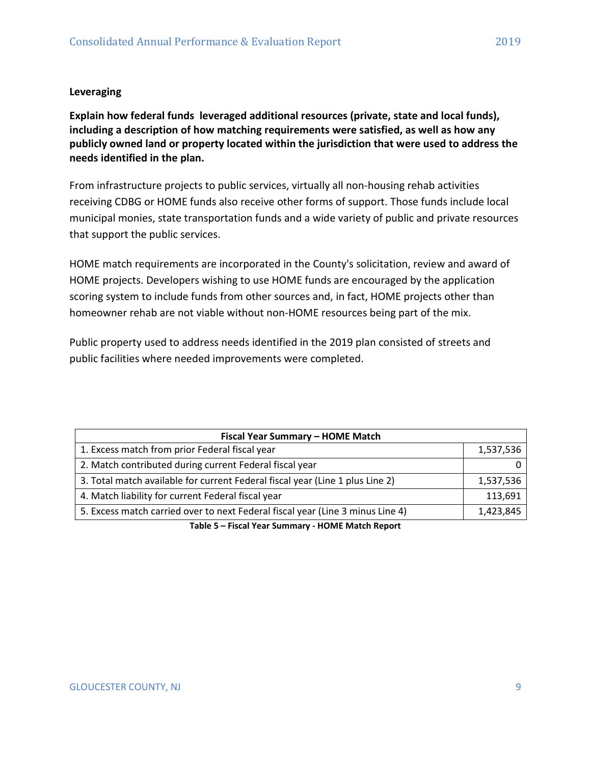## **Leveraging**

**Explain how federal funds leveraged additional resources (private, state and local funds), including a description of how matching requirements were satisfied, as well as how any publicly owned land or property located within the jurisdiction that were used to address the needs identified in the plan.**

From infrastructure projects to public services, virtually all non-housing rehab activities receiving CDBG or HOME funds also receive other forms of support. Those funds include local municipal monies, state transportation funds and a wide variety of public and private resources that support the public services.

HOME match requirements are incorporated in the County's solicitation, review and award of HOME projects. Developers wishing to use HOME funds are encouraged by the application scoring system to include funds from other sources and, in fact, HOME projects other than homeowner rehab are not viable without non-HOME resources being part of the mix.

Public property used to address needs identified in the 2019 plan consisted of streets and public facilities where needed improvements were completed.

| Fiscal Year Summary - HOME Match                                               |           |
|--------------------------------------------------------------------------------|-----------|
| 1. Excess match from prior Federal fiscal year                                 | 1,537,536 |
| 2. Match contributed during current Federal fiscal year                        |           |
| 3. Total match available for current Federal fiscal year (Line 1 plus Line 2)  | 1,537,536 |
| 4. Match liability for current Federal fiscal year                             | 113,691   |
| 5. Excess match carried over to next Federal fiscal year (Line 3 minus Line 4) | 1,423,845 |

**Table 5 – Fiscal Year Summary - HOME Match Report**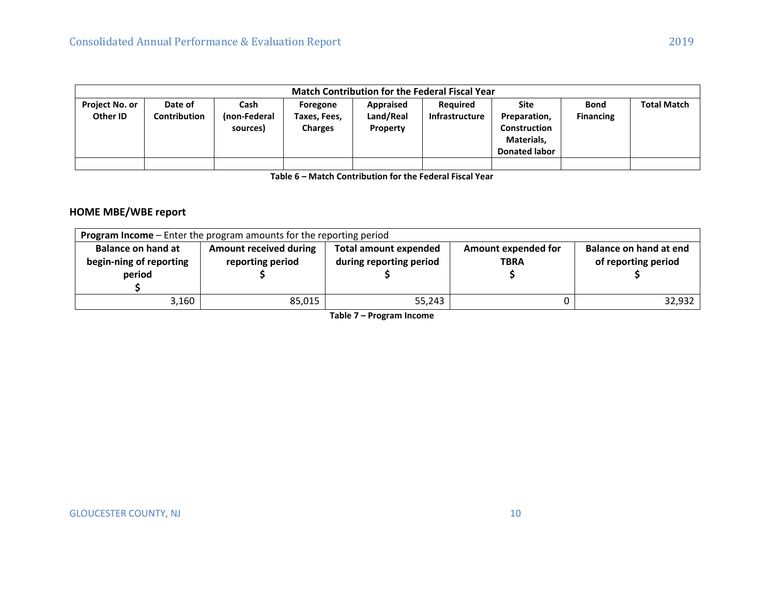|                                   |                         |                                  |                                            |                                           | <b>Match Contribution for the Federal Fiscal Year</b> |                                                                                   |                                 |                    |
|-----------------------------------|-------------------------|----------------------------------|--------------------------------------------|-------------------------------------------|-------------------------------------------------------|-----------------------------------------------------------------------------------|---------------------------------|--------------------|
| <b>Project No. or</b><br>Other ID | Date of<br>Contribution | Cash<br>(non-Federal<br>sources) | Foregone<br>Taxes, Fees,<br><b>Charges</b> | <b>Appraised</b><br>Land/Real<br>Property | Required<br><b>Infrastructure</b>                     | Site<br>Preparation,<br><b>Construction</b><br>Materials,<br><b>Donated labor</b> | <b>Bond</b><br><b>Financing</b> | <b>Total Match</b> |
|                                   |                         |                                  |                                            |                                           |                                                       |                                                                                   |                                 |                    |

**Table 6 – Match Contribution for the Federal Fiscal Year**

## **HOME MBE/WBE report**

|                                                                | <b>Program Income</b> – Enter the program amounts for the reporting period |                                                         |                                    |                                               |
|----------------------------------------------------------------|----------------------------------------------------------------------------|---------------------------------------------------------|------------------------------------|-----------------------------------------------|
| <b>Balance on hand at</b><br>begin-ning of reporting<br>period | <b>Amount received during</b><br>reporting period                          | <b>Total amount expended</b><br>during reporting period | Amount expended for<br><b>TBRA</b> | Balance on hand at end<br>of reporting period |
| 3,160                                                          | 85,015                                                                     | 55,243                                                  |                                    | 32,932                                        |

**Table 7 – Program Income**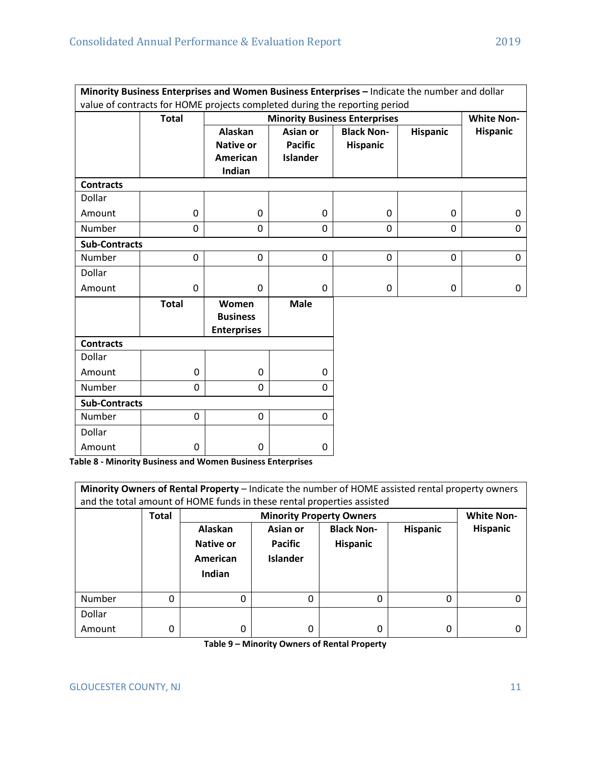|                      |              |                                                          |                                               | Minority Business Enterprises and Women Business Enterprises - Indicate the number and dollar<br>value of contracts for HOME projects completed during the reporting period |                 |                   |
|----------------------|--------------|----------------------------------------------------------|-----------------------------------------------|-----------------------------------------------------------------------------------------------------------------------------------------------------------------------------|-----------------|-------------------|
|                      | <b>Total</b> |                                                          |                                               | <b>Minority Business Enterprises</b>                                                                                                                                        |                 | <b>White Non-</b> |
|                      |              | <b>Alaskan</b><br><b>Native or</b><br>American<br>Indian | Asian or<br><b>Pacific</b><br><b>Islander</b> | <b>Black Non-</b><br><b>Hispanic</b>                                                                                                                                        | <b>Hispanic</b> | <b>Hispanic</b>   |
| <b>Contracts</b>     |              |                                                          |                                               |                                                                                                                                                                             |                 |                   |
| Dollar               |              |                                                          |                                               |                                                                                                                                                                             |                 |                   |
| Amount               | 0            | $\mathbf 0$                                              | 0                                             | 0                                                                                                                                                                           | 0               | 0                 |
| Number               | 0            | 0                                                        | $\Omega$                                      | 0                                                                                                                                                                           | 0               | $\Omega$          |
| <b>Sub-Contracts</b> |              |                                                          |                                               |                                                                                                                                                                             |                 |                   |
| Number               | 0            | $\mathbf 0$                                              | 0                                             | $\mathbf 0$                                                                                                                                                                 | $\overline{0}$  | $\overline{0}$    |
| Dollar               |              |                                                          |                                               |                                                                                                                                                                             |                 |                   |
| Amount               | 0            | 0                                                        | 0                                             | 0                                                                                                                                                                           | 0               | 0                 |
|                      | <b>Total</b> | Women<br><b>Business</b><br><b>Enterprises</b>           | <b>Male</b>                                   |                                                                                                                                                                             |                 |                   |
| <b>Contracts</b>     |              |                                                          |                                               |                                                                                                                                                                             |                 |                   |
| Dollar               |              |                                                          |                                               |                                                                                                                                                                             |                 |                   |
| Amount               | 0            | 0                                                        | 0                                             |                                                                                                                                                                             |                 |                   |
| Number               | 0            | $\overline{0}$                                           | $\Omega$                                      |                                                                                                                                                                             |                 |                   |
| <b>Sub-Contracts</b> |              |                                                          |                                               |                                                                                                                                                                             |                 |                   |
| Number               | 0            | $\mathbf 0$                                              | $\mathbf 0$                                   |                                                                                                                                                                             |                 |                   |
| Dollar               |              |                                                          |                                               |                                                                                                                                                                             |                 |                   |
| Amount               | 0            | 0                                                        | 0                                             |                                                                                                                                                                             |                 |                   |

**Table 8 - Minority Business and Women Business Enterprises**

|        |              | Minority Owners of Rental Property - Indicate the number of HOME assisted rental property owners<br>and the total amount of HOME funds in these rental properties assisted |                                               |                                      |                 |                   |
|--------|--------------|----------------------------------------------------------------------------------------------------------------------------------------------------------------------------|-----------------------------------------------|--------------------------------------|-----------------|-------------------|
|        | <b>Total</b> |                                                                                                                                                                            | <b>Minority Property Owners</b>               |                                      |                 | <b>White Non-</b> |
|        |              | Alaskan<br>Native or<br>American<br>Indian                                                                                                                                 | Asian or<br><b>Pacific</b><br><b>Islander</b> | <b>Black Non-</b><br><b>Hispanic</b> | <b>Hispanic</b> | <b>Hispanic</b>   |
| Number | 0            | 0                                                                                                                                                                          | 0                                             | 0                                    | 0               |                   |
| Dollar |              |                                                                                                                                                                            |                                               |                                      |                 |                   |
| Amount | 0            | 0                                                                                                                                                                          | 0                                             | 0                                    | 0               |                   |

**Table 9 – Minority Owners of Rental Property**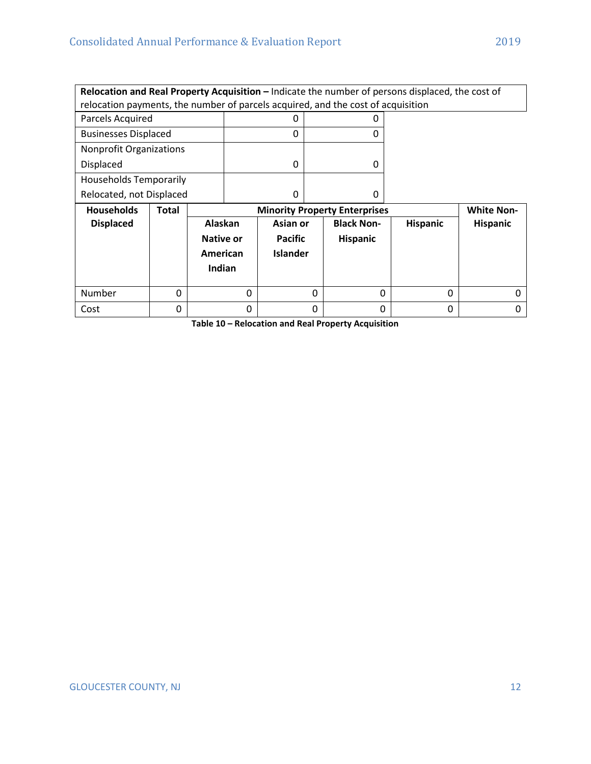|                                |              |           | Relocation and Real Property Acquisition - Indicate the number of persons displaced, the cost of<br>relocation payments, the number of parcels acquired, and the cost of acquisition |                 |   |                                      |          |                   |
|--------------------------------|--------------|-----------|--------------------------------------------------------------------------------------------------------------------------------------------------------------------------------------|-----------------|---|--------------------------------------|----------|-------------------|
|                                |              |           |                                                                                                                                                                                      |                 |   |                                      |          |                   |
| Parcels Acquired               |              |           |                                                                                                                                                                                      | 0               |   | 0                                    |          |                   |
| <b>Businesses Displaced</b>    |              |           |                                                                                                                                                                                      | 0               |   | $\Omega$                             |          |                   |
| <b>Nonprofit Organizations</b> |              |           |                                                                                                                                                                                      |                 |   |                                      |          |                   |
| Displaced                      |              |           |                                                                                                                                                                                      | 0               |   | $\Omega$                             |          |                   |
| <b>Households Temporarily</b>  |              |           |                                                                                                                                                                                      |                 |   |                                      |          |                   |
| Relocated, not Displaced       |              |           |                                                                                                                                                                                      | 0               |   | $\Omega$                             |          |                   |
|                                |              |           |                                                                                                                                                                                      |                 |   |                                      |          |                   |
| <b>Households</b>              | <b>Total</b> |           |                                                                                                                                                                                      |                 |   | <b>Minority Property Enterprises</b> |          | <b>White Non-</b> |
| <b>Displaced</b>               |              | Alaskan   |                                                                                                                                                                                      | Asian or        |   | <b>Black Non-</b>                    | Hispanic | <b>Hispanic</b>   |
|                                |              | Native or |                                                                                                                                                                                      | <b>Pacific</b>  |   | <b>Hispanic</b>                      |          |                   |
|                                |              | American  |                                                                                                                                                                                      | <b>Islander</b> |   |                                      |          |                   |
|                                |              | Indian    |                                                                                                                                                                                      |                 |   |                                      |          |                   |
|                                |              |           |                                                                                                                                                                                      |                 |   |                                      |          |                   |
| Number                         | $\Omega$     |           | $\Omega$                                                                                                                                                                             |                 | 0 | O                                    | 0        |                   |

**Table 10 – Relocation and Real Property Acquisition**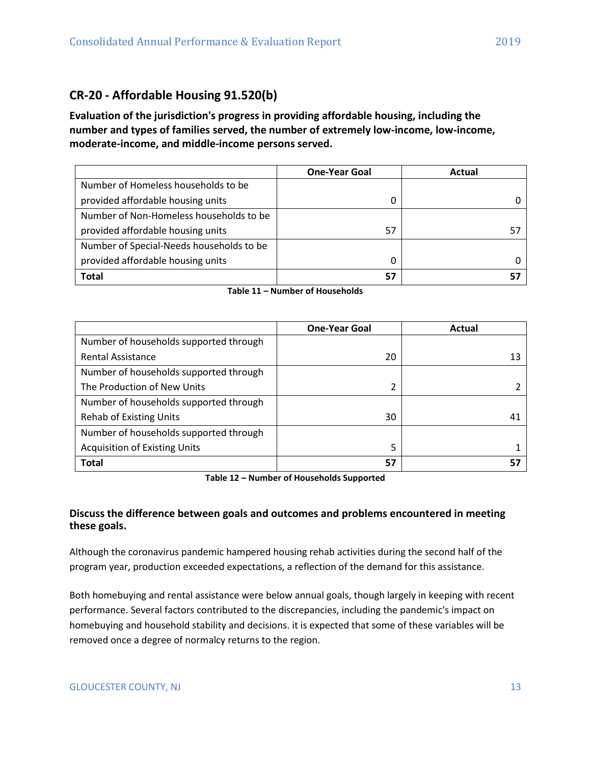# <span id="page-12-0"></span>**CR-20 - Affordable Housing 91.520(b)**

**Evaluation of the jurisdiction's progress in providing affordable housing, including the number and types of families served, the number of extremely low-income, low-income, moderate-income, and middle-income persons served.**

|                                          | <b>One-Year Goal</b> | Actual |
|------------------------------------------|----------------------|--------|
| Number of Homeless households to be      |                      |        |
| provided affordable housing units        | 0                    |        |
| Number of Non-Homeless households to be  |                      |        |
| provided affordable housing units        | 57                   |        |
| Number of Special-Needs households to be |                      |        |
| provided affordable housing units        | 0                    |        |
| <b>Total</b>                             | 57                   |        |

| Table 11 – Number of Households |  |
|---------------------------------|--|
|---------------------------------|--|

|                                        | <b>One-Year Goal</b> | Actual |
|----------------------------------------|----------------------|--------|
| Number of households supported through |                      |        |
| <b>Rental Assistance</b>               | 20                   | 13     |
| Number of households supported through |                      |        |
| The Production of New Units            | 2                    |        |
| Number of households supported through |                      |        |
| <b>Rehab of Existing Units</b>         | 30                   | 41     |
| Number of households supported through |                      |        |
| <b>Acquisition of Existing Units</b>   | 5                    |        |
| <b>Total</b>                           | 57                   |        |

**Table 12 – Number of Households Supported**

## **Discuss the difference between goals and outcomes and problems encountered in meeting these goals.**

Although the coronavirus pandemic hampered housing rehab activities during the second half of the program year, production exceeded expectations, a reflection of the demand for this assistance.

Both homebuying and rental assistance were below annual goals, though largely in keeping with recent performance. Several factors contributed to the discrepancies, including the pandemic's impact on homebuying and household stability and decisions. it is expected that some of these variables will be removed once a degree of normalcy returns to the region.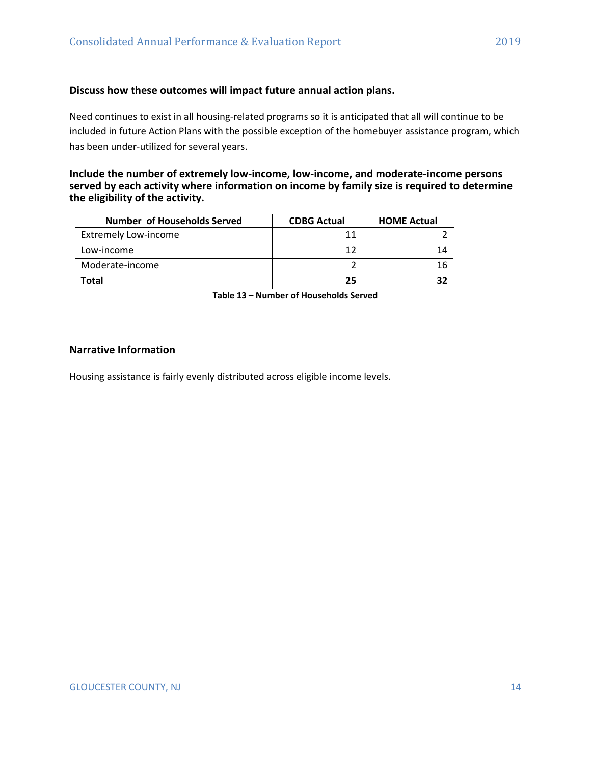#### **Discuss how these outcomes will impact future annual action plans.**

Need continues to exist in all housing-related programs so it is anticipated that all will continue to be included in future Action Plans with the possible exception of the homebuyer assistance program, which has been under-utilized for several years.

#### **Include the number of extremely low-income, low-income, and moderate-income persons served by each activity where information on income by family size is required to determine the eligibility of the activity.**

| <b>Number of Households Served</b> | <b>CDBG Actual</b> | <b>HOME Actual</b> |
|------------------------------------|--------------------|--------------------|
| <b>Extremely Low-income</b>        | 11                 |                    |
| Low-income                         | 12                 |                    |
| Moderate-income                    |                    |                    |
| Total                              | 25                 |                    |

**Table 13 – Number of Households Served**

#### **Narrative Information**

Housing assistance is fairly evenly distributed across eligible income levels.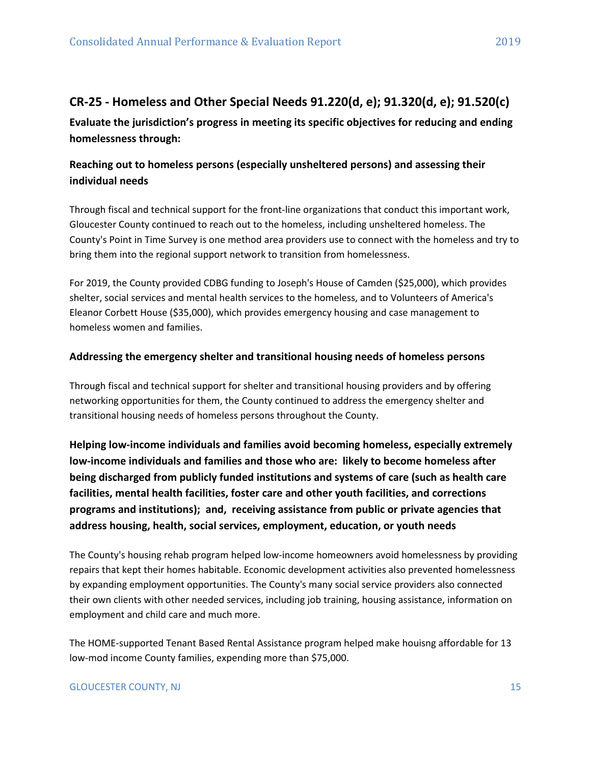# <span id="page-14-0"></span>**CR-25 - Homeless and Other Special Needs 91.220(d, e); 91.320(d, e); 91.520(c)**

**Evaluate the jurisdiction's progress in meeting its specific objectives for reducing and ending homelessness through:**

## **Reaching out to homeless persons (especially unsheltered persons) and assessing their individual needs**

Through fiscal and technical support for the front-line organizations that conduct this important work, Gloucester County continued to reach out to the homeless, including unsheltered homeless. The County's Point in Time Survey is one method area providers use to connect with the homeless and try to bring them into the regional support network to transition from homelessness.

For 2019, the County provided CDBG funding to Joseph's House of Camden (\$25,000), which provides shelter, social services and mental health services to the homeless, and to Volunteers of America's Eleanor Corbett House (\$35,000), which provides emergency housing and case management to homeless women and families.

## **Addressing the emergency shelter and transitional housing needs of homeless persons**

Through fiscal and technical support for shelter and transitional housing providers and by offering networking opportunities for them, the County continued to address the emergency shelter and transitional housing needs of homeless persons throughout the County.

**Helping low-income individuals and families avoid becoming homeless, especially extremely low-income individuals and families and those who are: likely to become homeless after being discharged from publicly funded institutions and systems of care (such as health care facilities, mental health facilities, foster care and other youth facilities, and corrections programs and institutions); and, receiving assistance from public or private agencies that address housing, health, social services, employment, education, or youth needs**

The County's housing rehab program helped low-income homeowners avoid homelessness by providing repairs that kept their homes habitable. Economic development activities also prevented homelessness by expanding employment opportunities. The County's many social service providers also connected their own clients with other needed services, including job training, housing assistance, information on employment and child care and much more.

The HOME-supported Tenant Based Rental Assistance program helped make houisng affordable for 13 low-mod income County families, expending more than \$75,000.

## GLOUCESTER COUNTY, NJ 15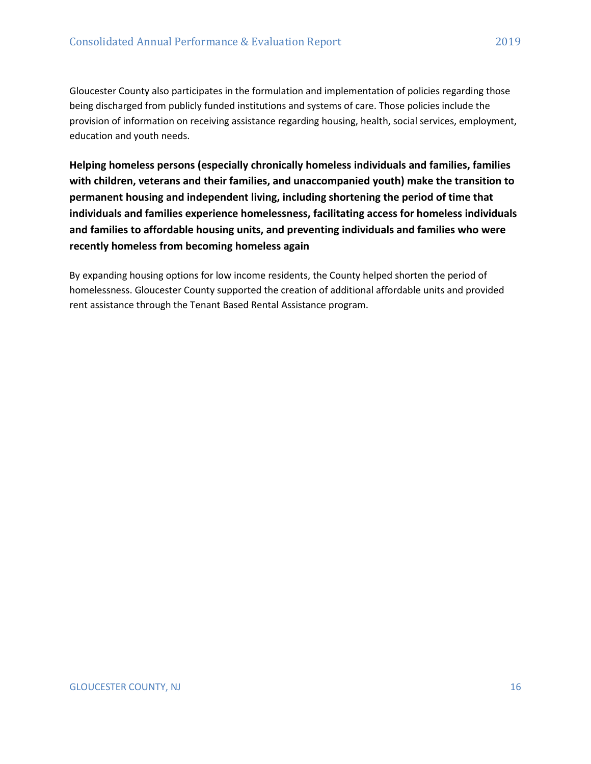Gloucester County also participates in the formulation and implementation of policies regarding those being discharged from publicly funded institutions and systems of care. Those policies include the provision of information on receiving assistance regarding housing, health, social services, employment, education and youth needs.

**Helping homeless persons (especially chronically homeless individuals and families, families with children, veterans and their families, and unaccompanied youth) make the transition to permanent housing and independent living, including shortening the period of time that individuals and families experience homelessness, facilitating access for homeless individuals and families to affordable housing units, and preventing individuals and families who were recently homeless from becoming homeless again**

By expanding housing options for low income residents, the County helped shorten the period of homelessness. Gloucester County supported the creation of additional affordable units and provided rent assistance through the Tenant Based Rental Assistance program.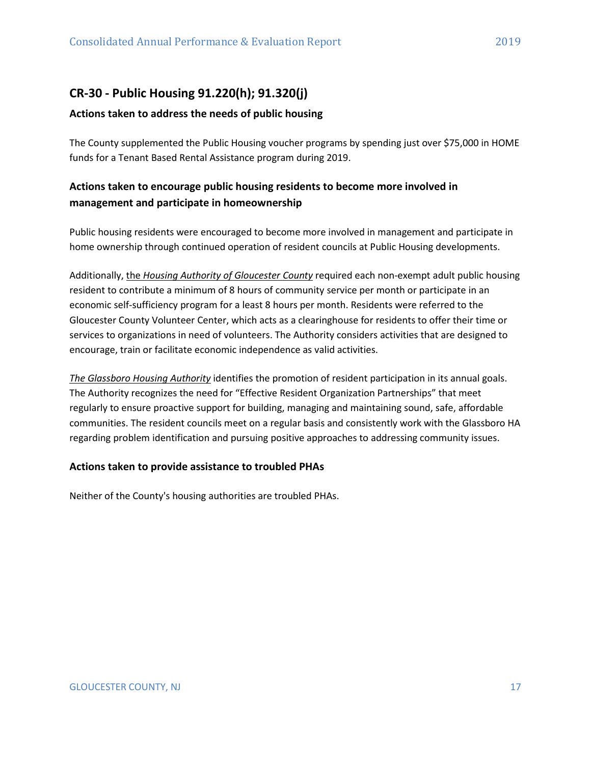# <span id="page-16-0"></span>**CR-30 - Public Housing 91.220(h); 91.320(j)**

## **Actions taken to address the needs of public housing**

The County supplemented the Public Housing voucher programs by spending just over \$75,000 in HOME funds for a Tenant Based Rental Assistance program during 2019.

## **Actions taken to encourage public housing residents to become more involved in management and participate in homeownership**

Public housing residents were encouraged to become more involved in management and participate in home ownership through continued operation of resident councils at Public Housing developments.

Additionally, the *Housing Authority of Gloucester County* required each non-exempt adult public housing resident to contribute a minimum of 8 hours of community service per month or participate in an economic self-sufficiency program for a least 8 hours per month. Residents were referred to the Gloucester County Volunteer Center, which acts as a clearinghouse for residents to offer their time or services to organizations in need of volunteers. The Authority considers activities that are designed to encourage, train or facilitate economic independence as valid activities.

*The Glassboro Housing Authority* identifies the promotion of resident participation in its annual goals. The Authority recognizes the need for "Effective Resident Organization Partnerships" that meet regularly to ensure proactive support for building, managing and maintaining sound, safe, affordable communities. The resident councils meet on a regular basis and consistently work with the Glassboro HA regarding problem identification and pursuing positive approaches to addressing community issues.

## **Actions taken to provide assistance to troubled PHAs**

Neither of the County's housing authorities are troubled PHAs.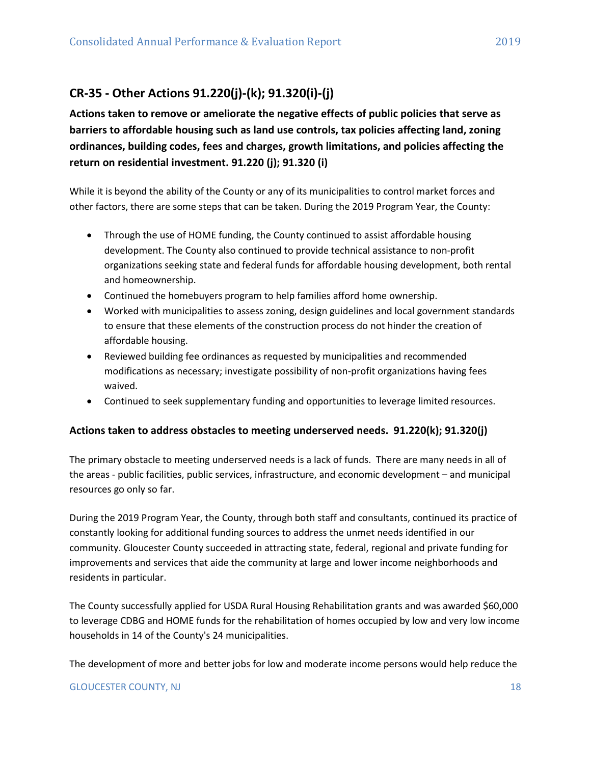# <span id="page-17-0"></span>**CR-35 - Other Actions 91.220(j)-(k); 91.320(i)-(j)**

**Actions taken to remove or ameliorate the negative effects of public policies that serve as barriers to affordable housing such as land use controls, tax policies affecting land, zoning ordinances, building codes, fees and charges, growth limitations, and policies affecting the return on residential investment. 91.220 (j); 91.320 (i)**

While it is beyond the ability of the County or any of its municipalities to control market forces and other factors, there are some steps that can be taken. During the 2019 Program Year, the County:

- Through the use of HOME funding, the County continued to assist affordable housing development. The County also continued to provide technical assistance to non-profit organizations seeking state and federal funds for affordable housing development, both rental and homeownership.
- Continued the homebuyers program to help families afford home ownership.
- Worked with municipalities to assess zoning, design guidelines and local government standards to ensure that these elements of the construction process do not hinder the creation of affordable housing.
- Reviewed building fee ordinances as requested by municipalities and recommended modifications as necessary; investigate possibility of non-profit organizations having fees waived.
- Continued to seek supplementary funding and opportunities to leverage limited resources.

## **Actions taken to address obstacles to meeting underserved needs. 91.220(k); 91.320(j)**

The primary obstacle to meeting underserved needs is a lack of funds. There are many needs in all of the areas - public facilities, public services, infrastructure, and economic development – and municipal resources go only so far.

During the 2019 Program Year, the County, through both staff and consultants, continued its practice of constantly looking for additional funding sources to address the unmet needs identified in our community. Gloucester County succeeded in attracting state, federal, regional and private funding for improvements and services that aide the community at large and lower income neighborhoods and residents in particular.

The County successfully applied for USDA Rural Housing Rehabilitation grants and was awarded \$60,000 to leverage CDBG and HOME funds for the rehabilitation of homes occupied by low and very low income households in 14 of the County's 24 municipalities.

The development of more and better jobs for low and moderate income persons would help reduce the

#### GLOUCESTER COUNTY, NJ 18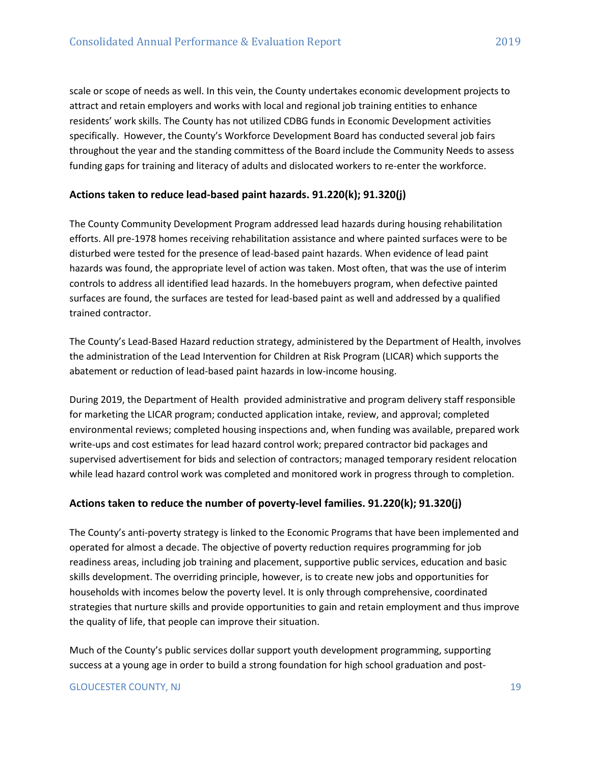scale or scope of needs as well. In this vein, the County undertakes economic development projects to attract and retain employers and works with local and regional job training entities to enhance residents' work skills. The County has not utilized CDBG funds in Economic Development activities specifically. However, the County's Workforce Development Board has conducted several job fairs throughout the year and the standing committess of the Board include the Community Needs to assess funding gaps for training and literacy of adults and dislocated workers to re-enter the workforce.

## **Actions taken to reduce lead-based paint hazards. 91.220(k); 91.320(j)**

The County Community Development Program addressed lead hazards during housing rehabilitation efforts. All pre-1978 homes receiving rehabilitation assistance and where painted surfaces were to be disturbed were tested for the presence of lead-based paint hazards. When evidence of lead paint hazards was found, the appropriate level of action was taken. Most often, that was the use of interim controls to address all identified lead hazards. In the homebuyers program, when defective painted surfaces are found, the surfaces are tested for lead-based paint as well and addressed by a qualified trained contractor.

The County's Lead-Based Hazard reduction strategy, administered by the Department of Health, involves the administration of the Lead Intervention for Children at Risk Program (LICAR) which supports the abatement or reduction of lead-based paint hazards in low-income housing.

During 2019, the Department of Health provided administrative and program delivery staff responsible for marketing the LICAR program; conducted application intake, review, and approval; completed environmental reviews; completed housing inspections and, when funding was available, prepared work write-ups and cost estimates for lead hazard control work; prepared contractor bid packages and supervised advertisement for bids and selection of contractors; managed temporary resident relocation while lead hazard control work was completed and monitored work in progress through to completion.

## **Actions taken to reduce the number of poverty-level families. 91.220(k); 91.320(j)**

The County's anti-poverty strategy is linked to the Economic Programs that have been implemented and operated for almost a decade. The objective of poverty reduction requires programming for job readiness areas, including job training and placement, supportive public services, education and basic skills development. The overriding principle, however, is to create new jobs and opportunities for households with incomes below the poverty level. It is only through comprehensive, coordinated strategies that nurture skills and provide opportunities to gain and retain employment and thus improve the quality of life, that people can improve their situation.

Much of the County's public services dollar support youth development programming, supporting success at a young age in order to build a strong foundation for high school graduation and post-

#### GLOUCESTER COUNTY, NJ 19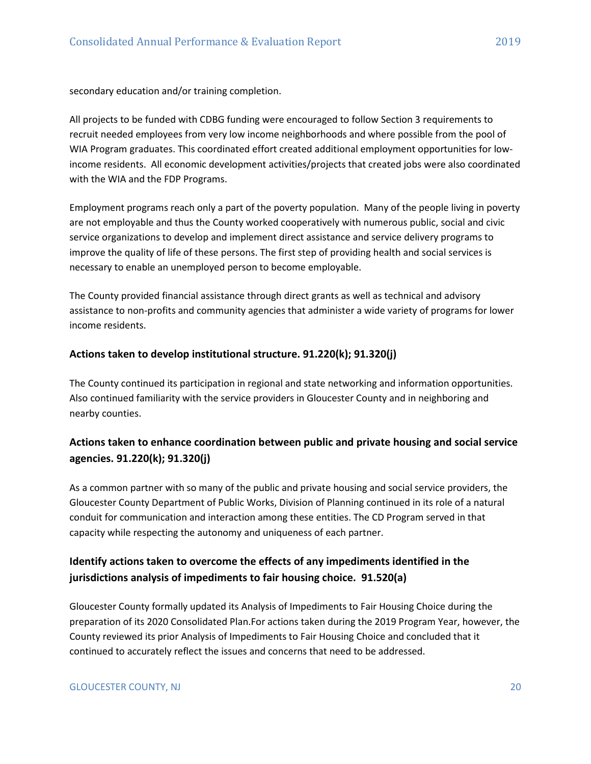secondary education and/or training completion.

All projects to be funded with CDBG funding were encouraged to follow Section 3 requirements to recruit needed employees from very low income neighborhoods and where possible from the pool of WIA Program graduates. This coordinated effort created additional employment opportunities for lowincome residents. All economic development activities/projects that created jobs were also coordinated with the WIA and the FDP Programs.

Employment programs reach only a part of the poverty population. Many of the people living in poverty are not employable and thus the County worked cooperatively with numerous public, social and civic service organizations to develop and implement direct assistance and service delivery programs to improve the quality of life of these persons. The first step of providing health and social services is necessary to enable an unemployed person to become employable.

The County provided financial assistance through direct grants as well as technical and advisory assistance to non-profits and community agencies that administer a wide variety of programs for lower income residents.

#### **Actions taken to develop institutional structure. 91.220(k); 91.320(j)**

The County continued its participation in regional and state networking and information opportunities. Also continued familiarity with the service providers in Gloucester County and in neighboring and nearby counties.

## **Actions taken to enhance coordination between public and private housing and social service agencies. 91.220(k); 91.320(j)**

As a common partner with so many of the public and private housing and social service providers, the Gloucester County Department of Public Works, Division of Planning continued in its role of a natural conduit for communication and interaction among these entities. The CD Program served in that capacity while respecting the autonomy and uniqueness of each partner.

## **Identify actions taken to overcome the effects of any impediments identified in the jurisdictions analysis of impediments to fair housing choice. 91.520(a)**

Gloucester County formally updated its Analysis of Impediments to Fair Housing Choice during the preparation of its 2020 Consolidated Plan.For actions taken during the 2019 Program Year, however, the County reviewed its prior Analysis of Impediments to Fair Housing Choice and concluded that it continued to accurately reflect the issues and concerns that need to be addressed.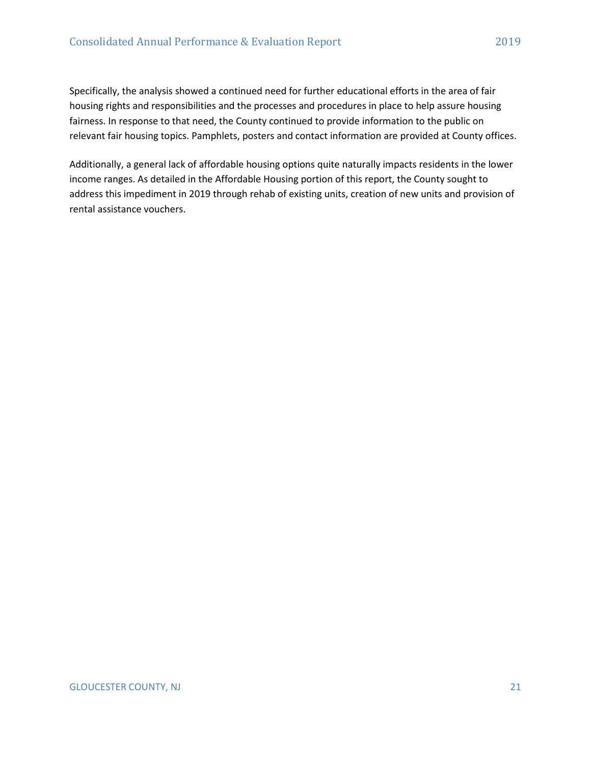Specifically, the analysis showed a continued need for further educational efforts in the area of fair housing rights and responsibilities and the processes and procedures in place to help assure housing fairness. In response to that need, the County continued to provide information to the public on relevant fair housing topics. Pamphlets, posters and contact information are provided at County offices.

Additionally, a general lack of affordable housing options quite naturally impacts residents in the lower income ranges. As detailed in the Affordable Housing portion of this report, the County sought to address this impediment in 2019 through rehab of existing units, creation of new units and provision of rental assistance vouchers.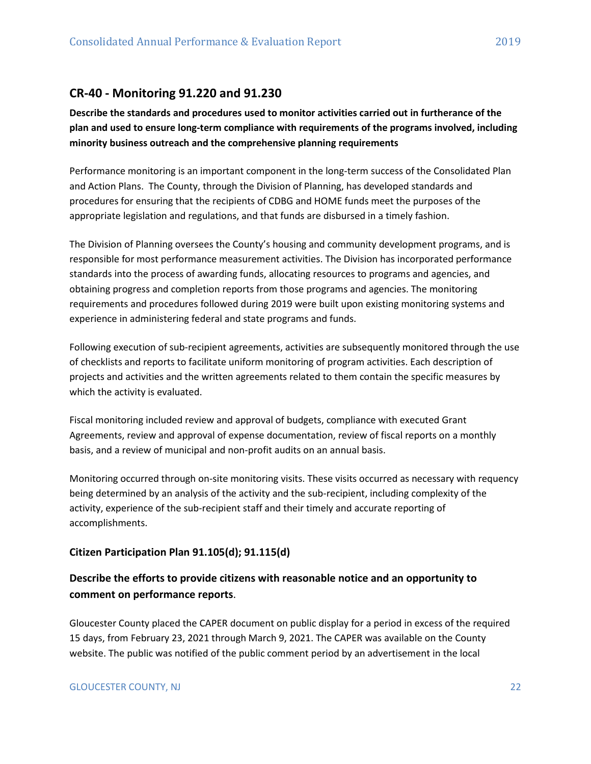## <span id="page-21-0"></span>**CR-40 - Monitoring 91.220 and 91.230**

**Describe the standards and procedures used to monitor activities carried out in furtherance of the plan and used to ensure long-term compliance with requirements of the programs involved, including minority business outreach and the comprehensive planning requirements**

Performance monitoring is an important component in the long-term success of the Consolidated Plan and Action Plans. The County, through the Division of Planning, has developed standards and procedures for ensuring that the recipients of CDBG and HOME funds meet the purposes of the appropriate legislation and regulations, and that funds are disbursed in a timely fashion.

The Division of Planning oversees the County's housing and community development programs, and is responsible for most performance measurement activities. The Division has incorporated performance standards into the process of awarding funds, allocating resources to programs and agencies, and obtaining progress and completion reports from those programs and agencies. The monitoring requirements and procedures followed during 2019 were built upon existing monitoring systems and experience in administering federal and state programs and funds.

Following execution of sub-recipient agreements, activities are subsequently monitored through the use of checklists and reports to facilitate uniform monitoring of program activities. Each description of projects and activities and the written agreements related to them contain the specific measures by which the activity is evaluated.

Fiscal monitoring included review and approval of budgets, compliance with executed Grant Agreements, review and approval of expense documentation, review of fiscal reports on a monthly basis, and a review of municipal and non-profit audits on an annual basis.

Monitoring occurred through on-site monitoring visits. These visits occurred as necessary with requency being determined by an analysis of the activity and the sub-recipient, including complexity of the activity, experience of the sub-recipient staff and their timely and accurate reporting of accomplishments.

#### **Citizen Participation Plan 91.105(d); 91.115(d)**

## **Describe the efforts to provide citizens with reasonable notice and an opportunity to comment on performance reports**.

Gloucester County placed the CAPER document on public display for a period in excess of the required 15 days, from February 23, 2021 through March 9, 2021. The CAPER was available on the County website. The public was notified of the public comment period by an advertisement in the local

#### GLOUCESTER COUNTY, NJ 22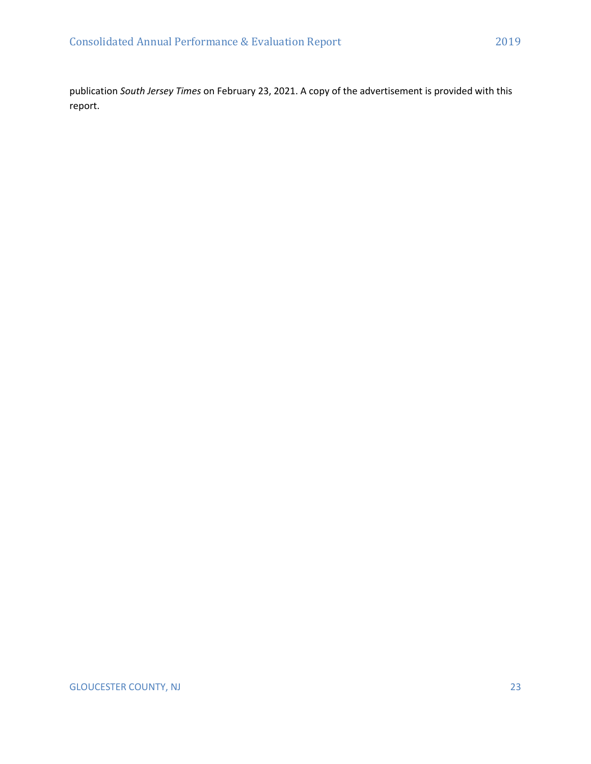publication *South Jersey Times* on February 23, 2021. A copy of the advertisement is provided with this report.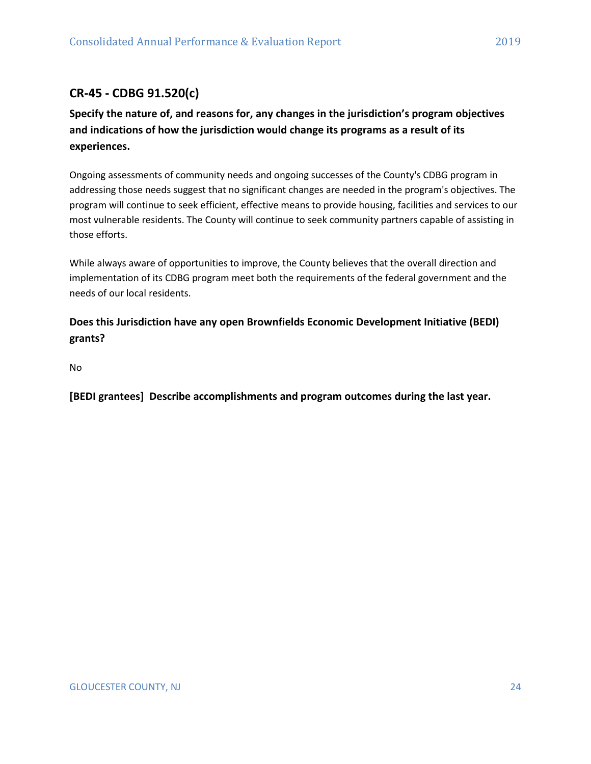# <span id="page-23-0"></span>**CR-45 - CDBG 91.520(c)**

**Specify the nature of, and reasons for, any changes in the jurisdiction's program objectives and indications of how the jurisdiction would change its programs as a result of its experiences.**

Ongoing assessments of community needs and ongoing successes of the County's CDBG program in addressing those needs suggest that no significant changes are needed in the program's objectives. The program will continue to seek efficient, effective means to provide housing, facilities and services to our most vulnerable residents. The County will continue to seek community partners capable of assisting in those efforts.

While always aware of opportunities to improve, the County believes that the overall direction and implementation of its CDBG program meet both the requirements of the federal government and the needs of our local residents.

**Does this Jurisdiction have any open Brownfields Economic Development Initiative (BEDI) grants?**

No

**[BEDI grantees] Describe accomplishments and program outcomes during the last year.**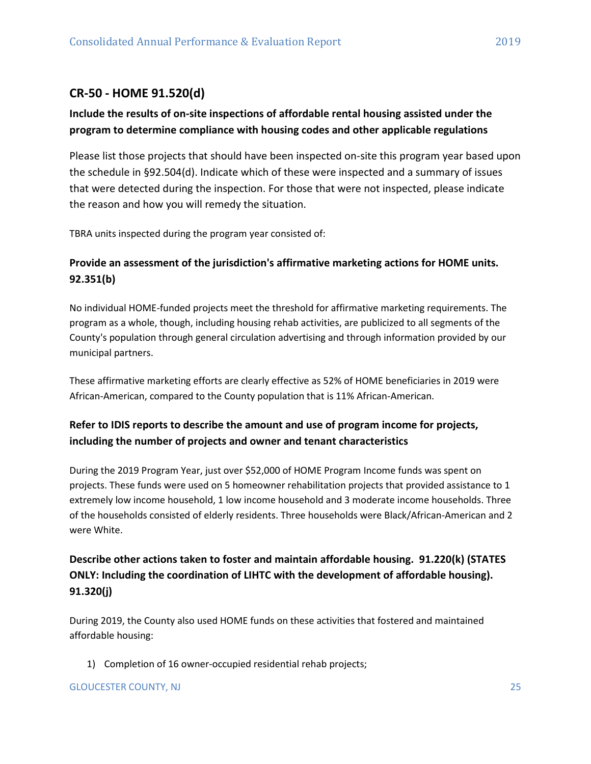# <span id="page-24-0"></span>**CR-50 - HOME 91.520(d)**

## **Include the results of on-site inspections of affordable rental housing assisted under the program to determine compliance with housing codes and other applicable regulations**

Please list those projects that should have been inspected on-site this program year based upon the schedule in §92.504(d). Indicate which of these were inspected and a summary of issues that were detected during the inspection. For those that were not inspected, please indicate the reason and how you will remedy the situation.

TBRA units inspected during the program year consisted of:

## **Provide an assessment of the jurisdiction's affirmative marketing actions for HOME units. 92.351(b)**

No individual HOME-funded projects meet the threshold for affirmative marketing requirements. The program as a whole, though, including housing rehab activities, are publicized to all segments of the County's population through general circulation advertising and through information provided by our municipal partners.

These affirmative marketing efforts are clearly effective as 52% of HOME beneficiaries in 2019 were African-American, compared to the County population that is 11% African-American.

## **Refer to IDIS reports to describe the amount and use of program income for projects, including the number of projects and owner and tenant characteristics**

During the 2019 Program Year, just over \$52,000 of HOME Program Income funds was spent on projects. These funds were used on 5 homeowner rehabilitation projects that provided assistance to 1 extremely low income household, 1 low income household and 3 moderate income households. Three of the households consisted of elderly residents. Three households were Black/African-American and 2 were White.

# **Describe other actions taken to foster and maintain affordable housing. 91.220(k) (STATES ONLY: Including the coordination of LIHTC with the development of affordable housing). 91.320(j)**

During 2019, the County also used HOME funds on these activities that fostered and maintained affordable housing:

1) Completion of 16 owner-occupied residential rehab projects;

## GLOUCESTER COUNTY, NJ 25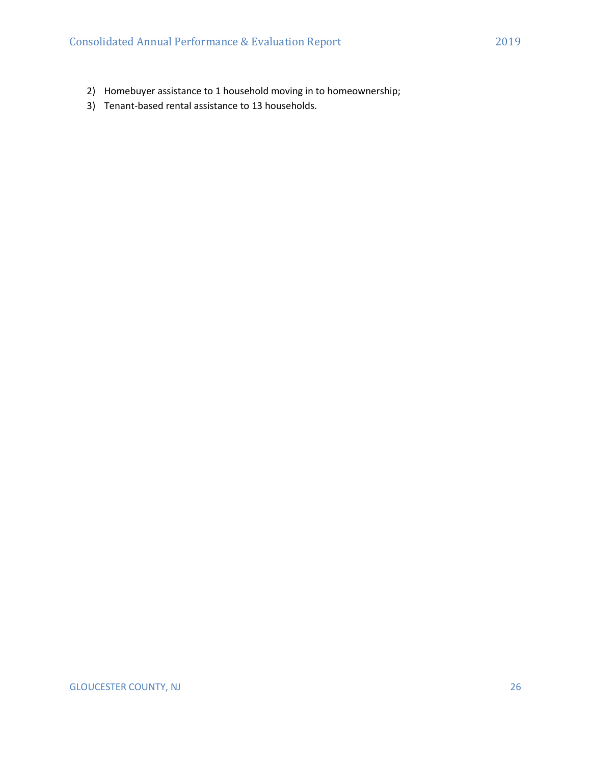- 2) Homebuyer assistance to 1 household moving in to homeownership;
- 3) Tenant-based rental assistance to 13 households.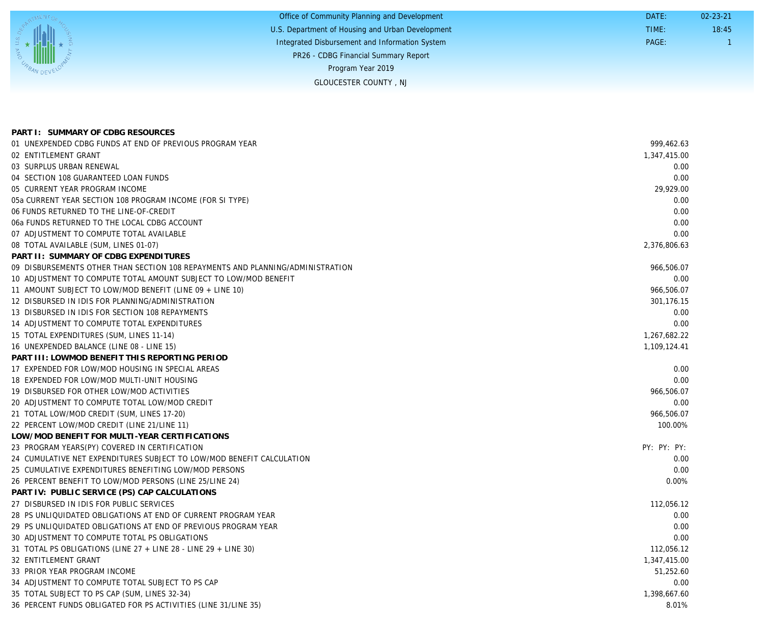|                                                  | Office of Community Planning and Development     | DATE: | $02 - 23 - 21$ |
|--------------------------------------------------|--------------------------------------------------|-------|----------------|
|                                                  | U.S. Department of Housing and Urban Development | TIME: | 18:45          |
|                                                  | Integrated Disbursement and Information System   | PAGE: |                |
|                                                  | PR26 - CDBG Financial Summary Report             |       |                |
| $\frac{1}{\lambda_{\beta_{A_{N_{\rm{DE}}}}(k)}}$ | Program Year 2019                                |       |                |
|                                                  | <b>GLOUCESTER COUNTY, NJ</b>                     |       |                |
|                                                  |                                                  |       |                |

| PART I: SUMMARY OF CDBG RESOURCES                                              |              |
|--------------------------------------------------------------------------------|--------------|
| 01 UNEXPENDED CDBG FUNDS AT END OF PREVIOUS PROGRAM YEAR                       | 999.462.63   |
| 02 ENTITLEMENT GRANT                                                           | 1,347,415.00 |
| 03 SURPLUS URBAN RENEWAL                                                       | 0.00         |
| 04 SECTION 108 GUARANTEED LOAN FUNDS                                           | 0.00         |
| 05 CURRENT YEAR PROGRAM INCOME                                                 | 29,929.00    |
| 05a CURRENT YEAR SECTION 108 PROGRAM INCOME (FOR SI TYPE)                      | 0.00         |
| 06 FUNDS RETURNED TO THE LINE-OF-CREDIT                                        | 0.00         |
| 06a FUNDS RETURNED TO THE LOCAL CDBG ACCOUNT                                   | 0.00         |
| 07 ADJUSTMENT TO COMPUTE TOTAL AVAILABLE                                       | 0.00         |
| 08 TOTAL AVAILABLE (SUM, LINES 01-07)                                          | 2,376,806.63 |
| PART II: SUMMARY OF CDBG EXPENDITURES                                          |              |
| 09 DISBURSEMENTS OTHER THAN SECTION 108 REPAYMENTS AND PLANNING/ADMINISTRATION | 966,506.07   |
| 10 ADJUSTMENT TO COMPUTE TOTAL AMOUNT SUBJECT TO LOW/MOD BENEFIT               | 0.00         |
| 11 AMOUNT SUBJECT TO LOW/MOD BENEFIT (LINE 09 + LINE 10)                       | 966,506.07   |
| 12 DISBURSED IN IDIS FOR PLANNING/ADMINISTRATION                               | 301,176.15   |
| 13 DISBURSED IN IDIS FOR SECTION 108 REPAYMENTS                                | 0.00         |
| 14 ADJUSTMENT TO COMPUTE TOTAL EXPENDITURES                                    | 0.00         |
| 15 TOTAL EXPENDITURES (SUM, LINES 11-14)                                       | 1,267,682.22 |
| 16 UNEXPENDED BALANCE (LINE 08 - LINE 15)                                      | 1,109,124.41 |
| PART III: LOWMOD BENEFIT THIS REPORTING PERIOD                                 |              |
| 17 EXPENDED FOR LOW/MOD HOUSING IN SPECIAL AREAS                               | 0.00         |
| 18 EXPENDED FOR LOW/MOD MULTI-UNIT HOUSING                                     | 0.00         |
| 19 DISBURSED FOR OTHER LOW/MOD ACTIVITIES                                      | 966,506.07   |
| 20 ADJUSTMENT TO COMPUTE TOTAL LOW/MOD CREDIT                                  | 0.00         |
| 21 TOTAL LOW/MOD CREDIT (SUM, LINES 17-20)                                     | 966,506.07   |
| 22 PERCENT LOW/MOD CREDIT (LINE 21/LINE 11)                                    | 100.00%      |
| LOW/MOD BENEFIT FOR MULTI-YEAR CERTIFICATIONS                                  |              |
| 23 PROGRAM YEARS(PY) COVERED IN CERTIFICATION                                  | PY: PY: PY:  |
| 24 CUMULATIVE NET EXPENDITURES SUBJECT TO LOW/MOD BENEFIT CALCULATION          | 0.00         |
| 25 CUMULATIVE EXPENDITURES BENEFITING LOW/MOD PERSONS                          | 0.00         |
| 26 PERCENT BENEFIT TO LOW/MOD PERSONS (LINE 25/LINE 24)                        | 0.00%        |
| PART IV: PUBLIC SERVICE (PS) CAP CALCULATIONS                                  |              |
| 27 DISBURSED IN IDIS FOR PUBLIC SERVICES                                       | 112,056.12   |
| 28 PS UNLIQUIDATED OBLIGATIONS AT END OF CURRENT PROGRAM YEAR                  | 0.00         |
| 29 PS UNLIQUIDATED OBLIGATIONS AT END OF PREVIOUS PROGRAM YEAR                 | 0.00         |
| 30 ADJUSTMENT TO COMPUTE TOTAL PS OBLIGATIONS                                  | 0.00         |
| 31 TOTAL PS OBLIGATIONS (LINE 27 + LINE 28 - LINE 29 + LINE 30)                | 112,056.12   |
| 32 ENTITLEMENT GRANT                                                           | 1,347,415.00 |
| 33 PRIOR YEAR PROGRAM INCOME                                                   | 51,252.60    |
| 34 ADJUSTMENT TO COMPUTE TOTAL SUBJECT TO PS CAP                               | 0.00         |
| 35 TOTAL SUBJECT TO PS CAP (SUM, LINES 32-34)                                  | 1,398,667.60 |
| 36 PERCENT FUNDS OBLIGATED FOR PS ACTIVITIES (LINE 31/LINE 35)                 | 8.01%        |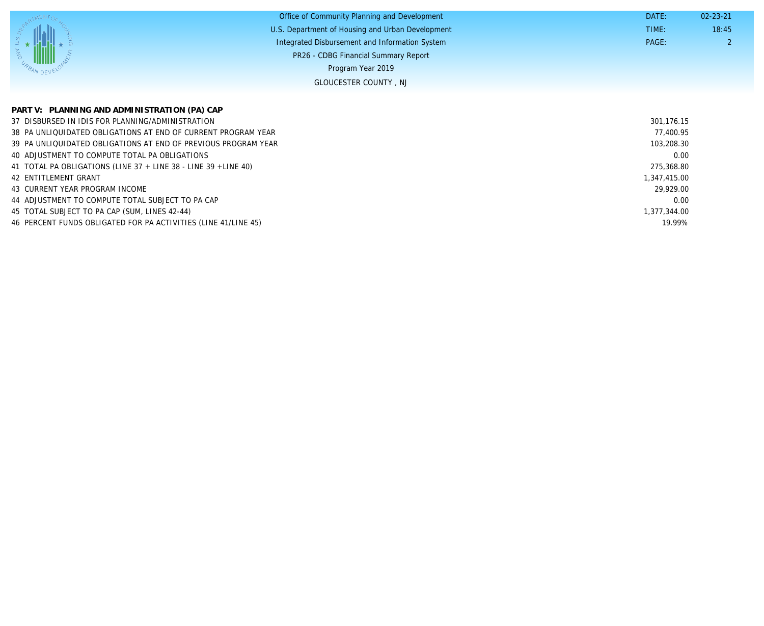|           | Office of Community Planning and Development     | DATE: | $02 - 23 - 21$ |
|-----------|--------------------------------------------------|-------|----------------|
|           | U.S. Department of Housing and Urban Development | TIME: | 18:45          |
|           | Integrated Disbursement and Information System   | PAGE: |                |
|           | PR26 - CDBG Financial Summary Report             |       |                |
| ANDEVELOR | Program Year 2019                                |       |                |
|           | <b>GLOUCESTER COUNTY, NJ</b>                     |       |                |

| PART V: PLANNING AND ADMINISTRATION (PA) CAP                             |              |
|--------------------------------------------------------------------------|--------------|
| 37 DISBURSED IN IDIS FOR PLANNING/ADMINISTRATION                         | 301.176.15   |
| 38 PA UNLIQUIDATED OBLIGATIONS AT END OF CURRENT PROGRAM YEAR            | 77,400.95    |
| 39 PA UNLIQUIDATED OBLIGATIONS AT END OF PREVIOUS PROGRAM YEAR           | 103,208.30   |
| 40 ADJUSTMENT TO COMPUTE TOTAL PA OBLIGATIONS                            | 0.00         |
| 41 TOTAL PA OBLIGATIONS (LINE $37 +$ LINE $38 -$ LINE $39 +$ LINE $40$ ) | 275,368.80   |
| 42 ENTITLEMENT GRANT                                                     | 1,347,415.00 |
| 43 CURRENT YEAR PROGRAM INCOME                                           | 29,929.00    |
| 44 ADJUSTMENT TO COMPUTE TOTAL SUBJECT TO PA CAP                         | 0.00         |
| 45 TOTAL SUBJECT TO PA CAP (SUM, LINES 42-44)                            | 1,377,344.00 |
| 46 PERCENT FUNDS OBLIGATED FOR PA ACTIVITIES (LINE 41/LINE 45)           | 19.99%       |

John AM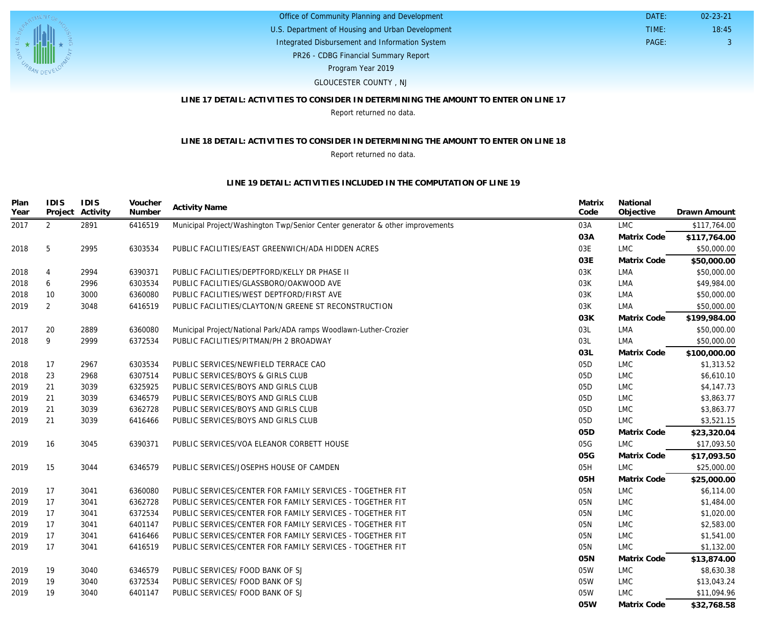

PR26 - CDBG Financial Summary Report U.S. Department of Housing and Urban Development Office of Community Planning and Development Integrated Disbursement and Information System Program Year 2019

#### GLOUCESTER COUNTY , NJ

#### **LINE 17 DETAIL: ACTIVITIES TO CONSIDER IN DETERMINING THE AMOUNT TO ENTER ON LINE 17**

 DATE: TIME:

PAGE: 3

18:45 02-23-21

Report returned no data.

#### **LINE 18 DETAIL: ACTIVITIES TO CONSIDER IN DETERMINING THE AMOUNT TO ENTER ON LINE 18**

#### Report returned no data.

#### **LINE 19 DETAIL: ACTIVITIES INCLUDED IN THE COMPUTATION OF LINE 19**

| Plan<br>Year | <b>IDIS</b><br>Project | <b>IDIS</b><br>Activity | Voucher<br>Number | <b>Activity Name</b>                                                          | Matrix<br>Code | National<br>Objective | Drawn Amount |
|--------------|------------------------|-------------------------|-------------------|-------------------------------------------------------------------------------|----------------|-----------------------|--------------|
| 2017         | $\overline{2}$         | 2891                    | 6416519           | Municipal Project/Washington Twp/Senior Center generator & other improvements | 03A            | <b>LMC</b>            | \$117,764.00 |
|              |                        |                         |                   |                                                                               | 03A            | Matrix Code           | \$117,764.00 |
| 2018         | 5                      | 2995                    | 6303534           | PUBLIC FACILITIES/EAST GREENWICH/ADA HIDDEN ACRES                             | 03E            | <b>LMC</b>            | \$50,000.00  |
|              |                        |                         |                   |                                                                               | 03E            | Matrix Code           | \$50,000.00  |
| 2018         | 4                      | 2994                    | 6390371           | PUBLIC FACILITIES/DEPTFORD/KELLY DR PHASE II                                  | 03K            | LMA                   | \$50,000.00  |
| 2018         | 6                      | 2996                    | 6303534           | PUBLIC FACILITIES/GLASSBORO/OAKWOOD AVE                                       | 03K            | LMA                   | \$49,984.00  |
| 2018         | 10                     | 3000                    | 6360080           | PUBLIC FACILITIES/WEST DEPTFORD/FIRST AVE                                     | 03K            | LMA                   | \$50,000.00  |
| 2019         | 2                      | 3048                    | 6416519           | PUBLIC FACILITIES/CLAYTON/N GREENE ST RECONSTRUCTION                          | 03K            | LMA                   | \$50,000.00  |
|              |                        |                         |                   |                                                                               | 03K            | Matrix Code           | \$199,984.00 |
| 2017         | 20                     | 2889                    | 6360080           | Municipal Project/National Park/ADA ramps Woodlawn-Luther-Crozier             | 03L            | LMA                   | \$50,000.00  |
| 2018         | 9                      | 2999                    | 6372534           | PUBLIC FACILITIES/PITMAN/PH 2 BROADWAY                                        | 03L            | <b>LMA</b>            | \$50,000.00  |
|              |                        |                         |                   |                                                                               | O3L            | Matrix Code           | \$100,000.00 |
| 2018         | 17                     | 2967                    | 6303534           | PUBLIC SERVICES/NEWFIELD TERRACE CAO                                          | 05D            | <b>LMC</b>            | \$1,313.52   |
| 2018         | 23                     | 2968                    | 6307514           | PUBLIC SERVICES/BOYS & GIRLS CLUB                                             | 05D            | <b>LMC</b>            | \$6,610.10   |
| 2019         | 21                     | 3039                    | 6325925           | PUBLIC SERVICES/BOYS AND GIRLS CLUB                                           | 05D            | LMC                   | \$4,147.73   |
| 2019         | 21                     | 3039                    | 6346579           | PUBLIC SERVICES/BOYS AND GIRLS CLUB                                           | 05D            | LMC                   | \$3,863.77   |
| 2019         | 21                     | 3039                    | 6362728           | PUBLIC SERVICES/BOYS AND GIRLS CLUB                                           | 05D            | <b>LMC</b>            | \$3,863.77   |
| 2019         | 21                     | 3039                    | 6416466           | PUBLIC SERVICES/BOYS AND GIRLS CLUB                                           | 05D            | <b>LMC</b>            | \$3,521.15   |
|              |                        |                         |                   |                                                                               | 05D            | Matrix Code           | \$23,320.04  |
| 2019         | 16                     | 3045                    | 6390371           | PUBLIC SERVICES/VOA ELEANOR CORBETT HOUSE                                     | 05G            | <b>LMC</b>            | \$17,093.50  |
|              |                        |                         |                   |                                                                               | 05G            | Matrix Code           | \$17,093.50  |
| 2019         | 15                     | 3044                    | 6346579           | PUBLIC SERVICES/JOSEPHS HOUSE OF CAMDEN                                       | 05H            | <b>LMC</b>            | \$25,000.00  |
|              |                        |                         |                   |                                                                               | 05H            | Matrix Code           | \$25,000.00  |
| 2019         | 17                     | 3041                    | 6360080           | PUBLIC SERVICES/CENTER FOR FAMILY SERVICES - TOGETHER FIT                     | 05N            | <b>LMC</b>            | \$6,114.00   |
| 2019         | 17                     | 3041                    | 6362728           | PUBLIC SERVICES/CENTER FOR FAMILY SERVICES - TOGETHER FIT                     | 05N            | <b>LMC</b>            | \$1,484.00   |
| 2019         | 17                     | 3041                    | 6372534           | PUBLIC SERVICES/CENTER FOR FAMILY SERVICES - TOGETHER FIT                     | 05N            | <b>LMC</b>            | \$1,020.00   |
| 2019         | 17                     | 3041                    | 6401147           | PUBLIC SERVICES/CENTER FOR FAMILY SERVICES - TOGETHER FIT                     | 05N            | <b>LMC</b>            | \$2,583.00   |
| 2019         | 17                     | 3041                    | 6416466           | PUBLIC SERVICES/CENTER FOR FAMILY SERVICES - TOGETHER FIT                     | 05N            | LMC                   | \$1,541.00   |
| 2019         | 17                     | 3041                    | 6416519           | PUBLIC SERVICES/CENTER FOR FAMILY SERVICES - TOGETHER FIT                     | 05N            | <b>LMC</b>            | \$1,132.00   |
|              |                        |                         |                   |                                                                               | 05N            | Matrix Code           | \$13,874.00  |
| 2019         | 19                     | 3040                    | 6346579           | PUBLIC SERVICES/ FOOD BANK OF SJ                                              | 05W            | <b>LMC</b>            | \$8,630.38   |
| 2019         | 19                     | 3040                    | 6372534           | PUBLIC SERVICES/ FOOD BANK OF SJ                                              | 05W            | LMC                   | \$13,043.24  |
| 2019         | 19                     | 3040                    | 6401147           | PUBLIC SERVICES/ FOOD BANK OF SJ                                              | 05W            | <b>LMC</b>            | \$11,094.96  |
|              |                        |                         |                   |                                                                               | 05W            | Matrix Code           | \$32,768.58  |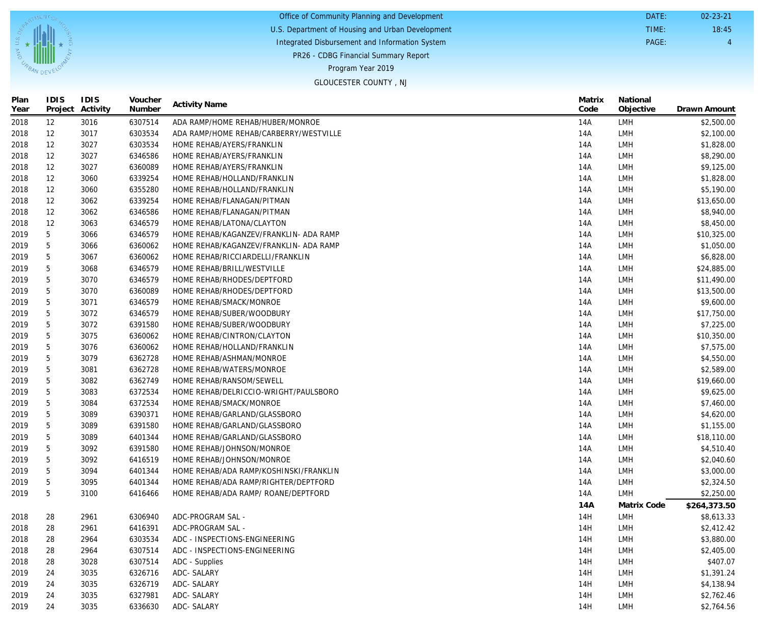|            | Office of Community Planning and Development     | DATE: | $02 - 23 - 21$ |
|------------|--------------------------------------------------|-------|----------------|
|            | U.S. Department of Housing and Urban Development | TIME: | 18:45          |
|            | Integrated Disbursement and Information System   | PAGE: |                |
|            | PR26 - CDBG Financial Summary Report             |       |                |
| BAN DEVELO | Program Year 2019                                |       |                |
|            | CLOUCECTED COUNTY NU                             |       |                |

| <b>GLOUCESTER COUNTY, NJ</b> |  |
|------------------------------|--|
|------------------------------|--|

| Plan<br>Year | IDIS | <b>IDIS</b><br>Project Activity | Voucher<br>Number | <b>Activity Name</b>                   | Matrix<br>Code | National<br>Objective | Drawn Amount |
|--------------|------|---------------------------------|-------------------|----------------------------------------|----------------|-----------------------|--------------|
| 2018         | 12   | 3016                            | 6307514           | ADA RAMP/HOME REHAB/HUBER/MONROE       | 14A            | LMH                   | \$2,500.00   |
| 2018         | 12   | 3017                            | 6303534           | ADA RAMP/HOME REHAB/CARBERRY/WESTVILLE | 14A            | LMH                   | \$2,100.00   |
| 2018         | 12   | 3027                            | 6303534           | HOME REHAB/AYERS/FRANKLIN              | 14A            | LMH                   | \$1,828.00   |
| 2018         | 12   | 3027                            | 6346586           | HOME REHAB/AYERS/FRANKLIN              | 14A            | LMH                   | \$8,290.00   |
| 2018         | 12   | 3027                            | 6360089           | HOME REHAB/AYERS/FRANKLIN              | 14A            | LMH                   | \$9,125.00   |
| 2018         | 12   | 3060                            | 6339254           | HOME REHAB/HOLLAND/FRANKLIN            | 14A            | LMH                   | \$1,828.00   |
| 2018         | 12   | 3060                            | 6355280           | HOME REHAB/HOLLAND/FRANKLIN            | 14A            | LMH                   | \$5,190.00   |
| 2018         | 12   | 3062                            | 6339254           | HOME REHAB/FLANAGAN/PITMAN             | 14A            | LMH                   | \$13,650.00  |
| 2018         | 12   | 3062                            | 6346586           | HOME REHAB/FLANAGAN/PITMAN             | 14A            | LMH                   | \$8,940.00   |
| 2018         | 12   | 3063                            | 6346579           | HOME REHAB/LATONA/CLAYTON              | 14A            | LMH                   | \$8,450.00   |
| 2019         | 5    | 3066                            | 6346579           | HOME REHAB/KAGANZEV/FRANKLIN- ADA RAMP | 14A            | LMH                   | \$10,325.00  |
| 2019         | 5    | 3066                            | 6360062           | HOME REHAB/KAGANZEV/FRANKLIN- ADA RAMP | 14A            | LMH                   | \$1,050.00   |
| 2019         | 5    | 3067                            | 6360062           | HOME REHAB/RICCIARDELLI/FRANKLIN       | 14A            | LMH                   | \$6,828.00   |
| 2019         | 5    | 3068                            | 6346579           | HOME REHAB/BRILL/WESTVILLE             | 14A            | LMH                   | \$24,885.00  |
| 2019         | 5    | 3070                            | 6346579           | HOME REHAB/RHODES/DEPTFORD             | 14A            | LMH                   | \$11,490.00  |
| 2019         | 5    | 3070                            | 6360089           | HOME REHAB/RHODES/DEPTFORD             | 14A            | LMH                   | \$13,500.00  |
| 2019         | 5    | 3071                            | 6346579           | HOME REHAB/SMACK/MONROE                | 14A            | LMH                   | \$9,600.00   |
| 2019         | 5    | 3072                            | 6346579           | HOME REHAB/SUBER/WOODBURY              | 14A            | LMH                   | \$17,750.00  |
| 2019         | 5    | 3072                            | 6391580           | HOME REHAB/SUBER/WOODBURY              | 14A            | LMH                   | \$7,225.00   |
| 2019         | 5    | 3075                            | 6360062           | HOME REHAB/CINTRON/CLAYTON             | 14A            | LMH                   | \$10,350.00  |
| 2019         | 5    | 3076                            | 6360062           | HOME REHAB/HOLLAND/FRANKLIN            | 14A            | LMH                   | \$7,575.00   |
| 2019         | 5    | 3079                            | 6362728           | HOME REHAB/ASHMAN/MONROE               | 14A            | LMH                   | \$4,550.00   |
| 2019         | 5    | 3081                            | 6362728           | HOME REHAB/WATERS/MONROE               | 14A            | LMH                   | \$2,589.00   |
| 2019         | 5    | 3082                            | 6362749           | HOME REHAB/RANSOM/SEWELL               | 14A            | LMH                   | \$19,660.00  |
| 2019         | 5    | 3083                            | 6372534           | HOME REHAB/DELRICCIO-WRIGHT/PAULSBORO  | 14A            | LMH                   | \$9,625.00   |
| 2019         | 5    | 3084                            | 6372534           | HOME REHAB/SMACK/MONROE                | 14A            | LMH                   | \$7,460.00   |
| 2019         | 5    | 3089                            | 6390371           | HOME REHAB/GARLAND/GLASSBORO           | 14A            | LMH                   | \$4,620.00   |
| 2019         | 5    | 3089                            | 6391580           | HOME REHAB/GARLAND/GLASSBORO           | 14A            | LMH                   | \$1,155.00   |
| 2019         | 5    | 3089                            | 6401344           | HOME REHAB/GARLAND/GLASSBORO           | 14A            | LMH                   | \$18,110.00  |
| 2019         | 5    | 3092                            | 6391580           | HOME REHAB/JOHNSON/MONROE              | 14A            | LMH                   | \$4,510.40   |
| 2019         | 5    | 3092                            | 6416519           | HOME REHAB/JOHNSON/MONROE              | 14A            | LMH                   | \$2,040.60   |
| 2019         | 5    | 3094                            | 6401344           | HOME REHAB/ADA RAMP/KOSHINSKI/FRANKLIN | 14A            | LMH                   | \$3,000.00   |
| 2019         | 5    | 3095                            | 6401344           | HOME REHAB/ADA RAMP/RIGHTER/DEPTFORD   | 14A            | LMH                   | \$2,324.50   |
| 2019         | 5    | 3100                            | 6416466           | HOME REHAB/ADA RAMP/ ROANE/DEPTFORD    | 14A            | <b>LMH</b>            | \$2,250.00   |
|              |      |                                 |                   |                                        | 14A            | Matrix Code           | \$264,373.50 |
| 2018         | 28   | 2961                            | 6306940           | ADC-PROGRAM SAL -                      | 14H            | <b>LMH</b>            | \$8,613.33   |
| 2018         | 28   | 2961                            | 6416391           | ADC-PROGRAM SAL -                      | 14H            | LMH                   | \$2,412.42   |
| 2018         | 28   | 2964                            | 6303534           | ADC - INSPECTIONS-ENGINEERING          | 14H            | LMH                   | \$3,880.00   |
| 2018         | 28   | 2964                            | 6307514           | ADC - INSPECTIONS-ENGINEERING          | 14H            | LMH                   | \$2,405.00   |
| 2018         | 28   | 3028                            | 6307514           | ADC - Supplies                         | 14H            | LMH                   | \$407.07     |
| 2019         | 24   | 3035                            | 6326716           | ADC- SALARY                            | 14H            | LMH                   | \$1,391.24   |
| 2019         | 24   | 3035                            | 6326719           | ADC- SALARY                            | 14H            | LMH                   | \$4,138.94   |
| 2019         | 24   | 3035                            | 6327981           | ADC- SALARY                            | 14H            | <b>LMH</b>            | \$2,762.46   |
| 2019         | 24   | 3035                            | 6336630           | ADC- SALARY                            | 14H            | LMH                   | \$2,764.56   |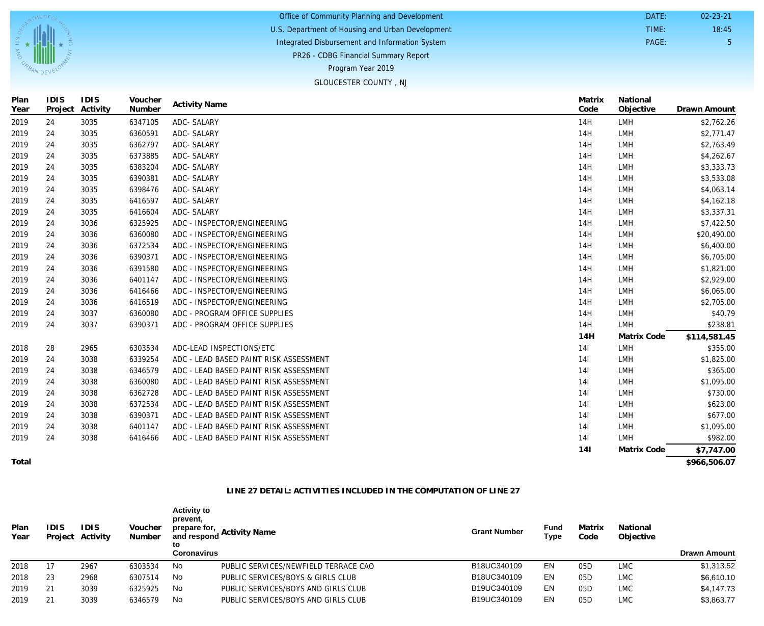| Office of Community Planning and Development     | DATE: | $02 - 23 - 21$ |
|--------------------------------------------------|-------|----------------|
| U.S. Department of Housing and Urban Development | TIME: | 18:45          |
| Integrated Disbursement and Information System   | PAGE: |                |
| <b>PR26 - CDBG Financial Summary Report</b>      |       |                |
| Program Year 2019                                |       |                |

#### GLOUCESTER COUNTY , NJ

| Plan<br>Year | <b>IDIS</b> | IDIS<br>Project Activity | Voucher<br>Number | <b>Activity Name</b>                   | Matrix<br>Code  | National<br>Objective | Drawn Amount |
|--------------|-------------|--------------------------|-------------------|----------------------------------------|-----------------|-----------------------|--------------|
| 2019         | 24          | 3035                     | 6347105           | ADC- SALARY                            | 14H             | <b>LMH</b>            | \$2,762.26   |
| 2019         | 24          | 3035                     | 6360591           | ADC- SALARY                            | 14H             | LMH                   | \$2,771.47   |
| 2019         | 24          | 3035                     | 6362797           | ADC- SALARY                            | 14H             | <b>LMH</b>            | \$2,763.49   |
| 2019         | 24          | 3035                     | 6373885           | ADC- SALARY                            | 14H             | <b>LMH</b>            | \$4,262.67   |
| 2019         | 24          | 3035                     | 6383204           | ADC- SALARY                            | 14H             | <b>LMH</b>            | \$3,333.73   |
| 2019         | 24          | 3035                     | 6390381           | ADC- SALARY                            | 14H             | LMH                   | \$3,533.08   |
| 2019         | 24          | 3035                     | 6398476           | ADC- SALARY                            | 14H             | <b>LMH</b>            | \$4,063.14   |
| 2019         | 24          | 3035                     | 6416597           | ADC- SALARY                            | 14H             | <b>LMH</b>            | \$4,162.18   |
| 2019         | 24          | 3035                     | 6416604           | ADC- SALARY                            | 14H             | LMH                   | \$3,337.31   |
| 2019         | 24          | 3036                     | 6325925           | ADC - INSPECTOR/ENGINEERING            | 14H             | <b>LMH</b>            | \$7,422.50   |
| 2019         | 24          | 3036                     | 6360080           | ADC - INSPECTOR/ENGINEERING            | 14H             | <b>LMH</b>            | \$20,490.00  |
| 2019         | 24          | 3036                     | 6372534           | ADC - INSPECTOR/ENGINEERING            | 14H             | <b>LMH</b>            | \$6,400.00   |
| 2019         | 24          | 3036                     | 6390371           | ADC - INSPECTOR/ENGINEERING            | 14H             | <b>LMH</b>            | \$6,705.00   |
| 2019         | 24          | 3036                     | 6391580           | ADC - INSPECTOR/ENGINEERING            | 14H             | <b>LMH</b>            | \$1,821.00   |
| 2019         | 24          | 3036                     | 6401147           | ADC - INSPECTOR/ENGINEERING            | 14H             | <b>LMH</b>            | \$2,929.00   |
| 2019         | 24          | 3036                     | 6416466           | ADC - INSPECTOR/ENGINEERING            | 14H             | <b>LMH</b>            | \$6,065.00   |
| 2019         | 24          | 3036                     | 6416519           | ADC - INSPECTOR/ENGINEERING            | 14H             | <b>LMH</b>            | \$2,705.00   |
| 2019         | 24          | 3037                     | 6360080           | ADC - PROGRAM OFFICE SUPPLIES          | 14H             | <b>LMH</b>            | \$40.79      |
| 2019         | 24          | 3037                     | 6390371           | ADC - PROGRAM OFFICE SUPPLIES          | 14H             | <b>LMH</b>            | \$238.81     |
|              |             |                          |                   |                                        | 14H             | Matrix Code           | \$114,581.45 |
| 2018         | 28          | 2965                     | 6303534           | ADC-LEAD INSPECTIONS/ETC               | 141             | <b>LMH</b>            | \$355.00     |
| 2019         | 24          | 3038                     | 6339254           | ADC - LEAD BASED PAINT RISK ASSESSMENT | 141             | <b>LMH</b>            | \$1,825.00   |
| 2019         | 24          | 3038                     | 6346579           | ADC - LEAD BASED PAINT RISK ASSESSMENT | 14 <sup>1</sup> | LMH                   | \$365.00     |
| 2019         | 24          | 3038                     | 6360080           | ADC - LEAD BASED PAINT RISK ASSESSMENT | 141             | <b>LMH</b>            | \$1,095.00   |
| 2019         | 24          | 3038                     | 6362728           | ADC - LEAD BASED PAINT RISK ASSESSMENT | 141             | <b>LMH</b>            | \$730.00     |
| 2019         | 24          | 3038                     | 6372534           | ADC - LEAD BASED PAINT RISK ASSESSMENT | 141             | <b>LMH</b>            | \$623.00     |
| 2019         | 24          | 3038                     | 6390371           | ADC - LEAD BASED PAINT RISK ASSESSMENT | 14 <sup>1</sup> | LMH                   | \$677.00     |
| 2019         | 24          | 3038                     | 6401147           | ADC - LEAD BASED PAINT RISK ASSESSMENT | 141             | <b>LMH</b>            | \$1,095.00   |
| 2019         | 24          | 3038                     | 6416466           | ADC - LEAD BASED PAINT RISK ASSESSMENT | 141             | <b>LMH</b>            | \$982.00     |
|              |             |                          |                   |                                        | 141             | Matrix Code           | \$7,747.00   |

**Total**

U.S

**CABAN DEVENT** 

**\$966,506.07**

#### **LINE 27 DETAIL: ACTIVITIES INCLUDED IN THE COMPUTATION OF LINE 27**

| Plan<br>Year | IDIS | IDIS<br>Project Activity | Voucher<br>Number | <b>Activity to</b><br>prevent,<br>prepare for,<br>to<br>Coronavirus | and respond Activity Name            | <b>Grant Number</b> | Fund<br>Type | Matrix<br>Code | National<br>Objective | <b>Drawn Amount</b> |
|--------------|------|--------------------------|-------------------|---------------------------------------------------------------------|--------------------------------------|---------------------|--------------|----------------|-----------------------|---------------------|
| 2018         | 17   | 2967                     | 6303534           | No                                                                  | PUBLIC SERVICES/NEWFIELD TERRACE CAO | B18UC340109         | EN           | 05D            | <b>LMC</b>            | \$1,313.52          |
| 2018         | 23   | 2968                     | 6307514           | No                                                                  | PUBLIC SERVICES/BOYS & GIRLS CLUB    | B18UC340109         | EN           | 05D            | <b>LMC</b>            | \$6,610.10          |
| 2019         | 21   | 3039                     | 6325925           | No                                                                  | PUBLIC SERVICES/BOYS AND GIRLS CLUB  | B19UC340109         | EN           | 05D            | <b>LMC</b>            | \$4,147.73          |
| 2019         | 21   | 3039                     | 6346579           | No                                                                  | PUBLIC SERVICES/BOYS AND GIRLS CLUB  | B19UC340109         | EN           | 05D            | <b>LMC</b>            | \$3,863.77          |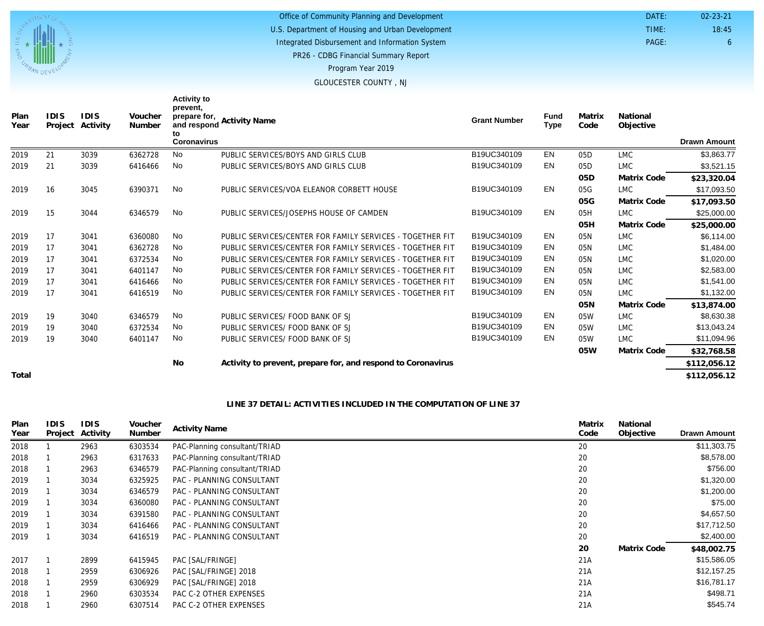

PR26 - CDBG Financial Summary Report U.S. Department of Housing and Urban Development Office of Community Planning and Development Integrated Disbursement and Information System

 DATE: TIME:

PAGE: 6

18:45 02-23-21

Program Year 2019

GLOUCESTER COUNTY , NJ

| Plan<br>Year | <b>IDIS</b><br>Project | <b>IDIS</b><br>Activity | Voucher<br>Number | <b>Activity to</b><br>prevent,<br>prepare for,<br>and respond<br>to | <b>Activity Name</b>                                         | <b>Grant Number</b> | <b>Fund</b><br><b>Type</b> | Matrix<br>Code  | National<br>Objective |                     |
|--------------|------------------------|-------------------------|-------------------|---------------------------------------------------------------------|--------------------------------------------------------------|---------------------|----------------------------|-----------------|-----------------------|---------------------|
|              |                        |                         |                   | <b>Coronavirus</b>                                                  |                                                              |                     |                            |                 |                       | <b>Drawn Amount</b> |
| 2019         | 21                     | 3039                    | 6362728           | <b>No</b>                                                           | PUBLIC SERVICES/BOYS AND GIRLS CLUB                          | B19UC340109         | EN                         | 05 <sub>D</sub> | <b>LMC</b>            | \$3,863.77          |
| 2019         | 21                     | 3039                    | 6416466           | No                                                                  | PUBLIC SERVICES/BOYS AND GIRLS CLUB                          | B19UC340109         | EN                         | 05 <sub>D</sub> | <b>LMC</b>            | \$3,521.15          |
|              |                        |                         |                   |                                                                     |                                                              |                     |                            | 05 <sub>D</sub> | Matrix Code           | \$23,320.04         |
| 2019         | 16                     | 3045                    | 6390371           | No                                                                  | PUBLIC SERVICES/VOA ELEANOR CORBETT HOUSE                    | B19UC340109         | EN                         | 05G             | <b>LMC</b>            | \$17,093.50         |
|              |                        |                         |                   |                                                                     |                                                              |                     |                            | 05G             | Matrix Code           | \$17,093.50         |
| 2019         | 15                     | 3044                    | 6346579           | <b>No</b>                                                           | PUBLIC SERVICES/JOSEPHS HOUSE OF CAMDEN                      | B19UC340109         | EN                         | 05H             | <b>LMC</b>            | \$25,000.00         |
|              |                        |                         |                   |                                                                     |                                                              |                     |                            | 05H             | Matrix Code           | \$25,000.00         |
| 2019         | 17                     | 3041                    | 6360080           | <b>No</b>                                                           | PUBLIC SERVICES/CENTER FOR FAMILY SERVICES - TOGETHER FIT    | B19UC340109         | EN                         | 05N             | <b>LMC</b>            | \$6,114.00          |
| 2019         | 17                     | 3041                    | 6362728           | No                                                                  | PUBLIC SERVICES/CENTER FOR FAMILY SERVICES - TOGETHER FIT    | B19UC340109         | EN                         | 05N             | <b>LMC</b>            | \$1,484.00          |
| 2019         | 17                     | 3041                    | 6372534           | <b>No</b>                                                           | PUBLIC SERVICES/CENTER FOR FAMILY SERVICES - TOGETHER FIT    | B19UC340109         | EN                         | 05N             | <b>LMC</b>            | \$1,020.00          |
| 2019         | 17                     | 3041                    | 6401147           | No                                                                  | PUBLIC SERVICES/CENTER FOR FAMILY SERVICES - TOGETHER FIT    | B19UC340109         | EN                         | 05N             | <b>LMC</b>            | \$2,583.00          |
| 2019         | 17                     | 3041                    | 6416466           | <b>No</b>                                                           | PUBLIC SERVICES/CENTER FOR FAMILY SERVICES - TOGETHER FIT    | B19UC340109         | EN                         | 05N             | <b>LMC</b>            | \$1,541.00          |
| 2019         | 17                     | 3041                    | 6416519           | <b>No</b>                                                           | PUBLIC SERVICES/CENTER FOR FAMILY SERVICES - TOGETHER FIT    | B19UC340109         | EN                         | 05N             | <b>LMC</b>            | \$1,132.00          |
|              |                        |                         |                   |                                                                     |                                                              |                     |                            | 05N             | Matrix Code           | \$13,874.00         |
| 2019         | 19                     | 3040                    | 6346579           | No                                                                  | PUBLIC SERVICES/ FOOD BANK OF SJ                             | B19UC340109         | EN                         | 05W             | <b>LMC</b>            | \$8,630.38          |
| 2019         | 19                     | 3040                    | 6372534           | <b>No</b>                                                           | PUBLIC SERVICES/ FOOD BANK OF SJ                             | B19UC340109         | EN                         | 05W             | <b>LMC</b>            | \$13,043.24         |
| 2019         | 19                     | 3040                    | 6401147           | <b>No</b>                                                           | PUBLIC SERVICES/ FOOD BANK OF SJ                             | B19UC340109         | EN                         | 05W             | <b>LMC</b>            | \$11,094.96         |
|              |                        |                         |                   |                                                                     |                                                              |                     |                            | 05W             | Matrix Code           | \$32,768.58         |
|              |                        |                         |                   | <b>No</b>                                                           | Activity to prevent, prepare for, and respond to Coronavirus |                     |                            |                 |                       | \$112,056.12        |
| Total        |                        |                         |                   |                                                                     |                                                              |                     |                            |                 |                       | \$112,056.12        |

#### **LINE 37 DETAIL: ACTIVITIES INCLUDED IN THE COMPUTATION OF LINE 37**

| Plan<br>Year | <b>IDIS</b> | <b>IDIS</b><br>Project Activity | Voucher<br>Number | <b>Activity Name</b>          | Matrix<br>Code | National<br>Objective | <b>Drawn Amount</b> |
|--------------|-------------|---------------------------------|-------------------|-------------------------------|----------------|-----------------------|---------------------|
| 2018         |             | 2963                            | 6303534           | PAC-Planning consultant/TRIAD | 20             |                       | \$11,303.75         |
| 2018         |             | 2963                            | 6317633           | PAC-Planning consultant/TRIAD | 20             |                       | \$8,578.00          |
| 2018         |             | 2963                            | 6346579           | PAC-Planning consultant/TRIAD | 20             |                       | \$756.00            |
| 2019         |             | 3034                            | 6325925           | PAC - PLANNING CONSULTANT     | 20             |                       | \$1,320.00          |
| 2019         |             | 3034                            | 6346579           | PAC - PLANNING CONSULTANT     | 20             |                       | \$1,200.00          |
| 2019         |             | 3034                            | 6360080           | PAC - PLANNING CONSULTANT     | 20             |                       | \$75.00             |
| 2019         |             | 3034                            | 6391580           | PAC - PLANNING CONSULTANT     | 20             |                       | \$4,657.50          |
| 2019         |             | 3034                            | 6416466           | PAC - PLANNING CONSULTANT     | 20             |                       | \$17,712.50         |
| 2019         |             | 3034                            | 6416519           | PAC - PLANNING CONSULTANT     | 20             |                       | \$2,400.00          |
|              |             |                                 |                   |                               | 20             | Matrix Code           | \$48,002.75         |
| 2017         |             | 2899                            | 6415945           | PAC [SAL/FRINGE]              | 21A            |                       | \$15,586.05         |
| 2018         |             | 2959                            | 6306926           | PAC [SAL/FRINGE] 2018         | 21A            |                       | \$12,157.25         |
| 2018         |             | 2959                            | 6306929           | PAC [SAL/FRINGE] 2018         | 21A            |                       | \$16,781.17         |
| 2018         |             | 2960                            | 6303534           | PAC C-2 OTHER EXPENSES        | 21A            |                       | \$498.71            |
| 2018         |             | 2960                            | 6307514           | PAC C-2 OTHER EXPENSES        | 21A            |                       | \$545.74            |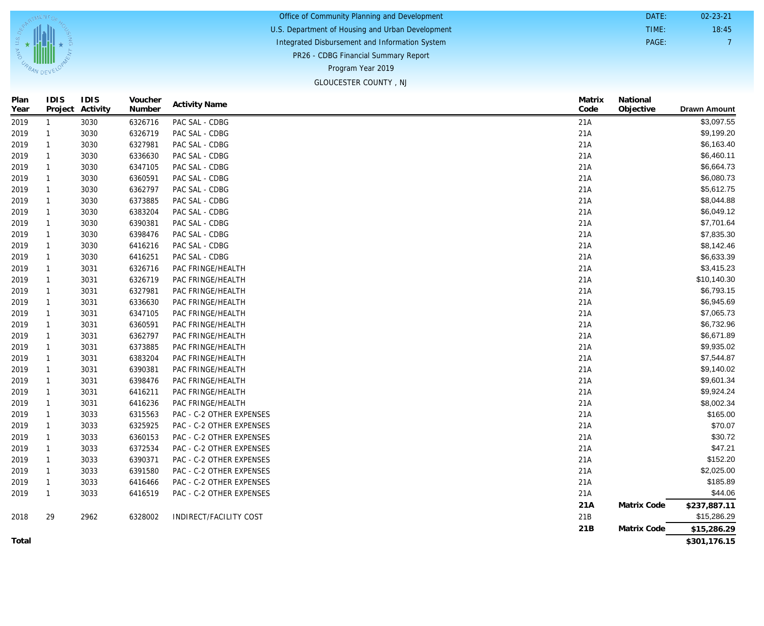| Office of Community Planning and Development     | DATE: | $02 - 23 - 21$ |
|--------------------------------------------------|-------|----------------|
| U.S. Department of Housing and Urban Development | TIME: | 18:45          |
| Integrated Disbursement and Information System   | PAGE: |                |
| PR26 - CDBG Financial Summary Report             |       |                |
| Program Year 2019                                |       |                |
| GLOUCESTER COUNTY, NJ                            |       |                |

| IDIS<br>Project | IDIS<br>Activity | Voucher<br>Number | <b>Activity Name</b>     | Matrix<br>Code | National<br>Objective |
|-----------------|------------------|-------------------|--------------------------|----------------|-----------------------|
| 1               | 3030             | 6326716           | PAC SAL - CDBG           | 21A            |                       |
| 1               | 3030             | 6326719           | PAC SAL - CDBG           | 21A            |                       |
| 1               | 3030             | 6327981           | PAC SAL - CDBG           | 21A            |                       |
| $\mathbf{1}$    | 3030             | 6336630           | PAC SAL - CDBG           | 21A            |                       |
| $\mathbf{1}$    | 3030             | 6347105           | PAC SAL - CDBG           | 21A            |                       |
| 1               | 3030             | 6360591           | PAC SAL - CDBG           | 21A            |                       |
| 1               | 3030             | 6362797           | PAC SAL - CDBG           | 21A            |                       |
| 1               | 3030             | 6373885           | PAC SAL - CDBG           | 21A            |                       |
| 1               | 3030             | 6383204           | PAC SAL - CDBG           | 21A            |                       |
| 1               | 3030             | 6390381           | PAC SAL - CDBG           | 21A            |                       |
| $\mathbf{1}$    | 3030             | 6398476           | PAC SAL - CDBG           | 21A            |                       |
| 1               | 3030             | 6416216           | PAC SAL - CDBG           | 21A            |                       |
| 1               | 3030             | 6416251           | PAC SAL - CDBG           | 21A            |                       |
| 1               | 3031             | 6326716           | PAC FRINGE/HEALTH        | 21A            |                       |
| 1               | 3031             | 6326719           | PAC FRINGE/HEALTH        | 21A            |                       |
| 1               | 3031             | 6327981           | PAC FRINGE/HEALTH        | 21A            |                       |
| 1               | 3031             | 6336630           | PAC FRINGE/HEALTH        | 21A            |                       |
| $\mathbf{1}$    | 3031             | 6347105           | PAC FRINGE/HEALTH        | 21A            |                       |
| 1               | 3031             | 6360591           | PAC FRINGE/HEALTH        | 21A            |                       |
| 1               | 3031             | 6362797           | PAC FRINGE/HEALTH        | 21A            |                       |
| 1               | 3031             | 6373885           | PAC FRINGE/HEALTH        | 21A            |                       |
| 1               | 3031             | 6383204           | PAC FRINGE/HEALTH        | 21A            |                       |
| 1               | 3031             | 6390381           | PAC FRINGE/HEALTH        | 21A            |                       |
| 1               | 3031             | 6398476           | PAC FRINGE/HEALTH        | 21A            |                       |
| 1               | 3031             | 6416211           | PAC FRINGE/HEALTH        | 21A            |                       |
| 1               | 3031             | 6416236           | PAC FRINGE/HEALTH        | 21A            |                       |
| 1               | 3033             | 6315563           | PAC - C-2 OTHER EXPENSES | 21A            |                       |
| 1               | 3033             | 6325925           | PAC - C-2 OTHER EXPENSES | 21A            |                       |
| 1               | 3033             | 6360153           | PAC - C-2 OTHER EXPENSES | 21A            |                       |
| 1               | 3033             | 6372534           | PAC - C-2 OTHER EXPENSES | 21A            |                       |
| 1               | 3033             | 6390371           | PAC - C-2 OTHER EXPENSES | 21A            |                       |
| 1               | 3033             | 6391580           | PAC - C-2 OTHER EXPENSES | 21A            |                       |
| 1               | 3033             | 6416466           | PAC - C-2 OTHER EXPENSES | 21A            |                       |
| $\mathbf{1}$    | 3033             | 6416519           | PAC - C-2 OTHER EXPENSES | 21A            |                       |
|                 |                  |                   |                          | 21A            | Matrix Code           |
| 29              | 2962             | 6328002           | INDIRECT/FACILITY COST   | 21B            |                       |
|                 |                  |                   |                          | 21B            | Matrix Code           |

**Total**

2018

**Plan Year**

U.S. D<sub>ED.</sub>

**IDIS**

TMENT<sub>C</sub>

**EXAMPLE AND DEVELON** 

**IDIS**

**Voucher**

**National**

**Drawn Amount** 

\$3,097.55 \$9,199.20 \$6,163.40 \$6,460.11 \$6,664.73 \$6,080.73 \$5,612.75 \$8,044.88 \$6,049.12 \$7,701.64 \$7,835.30 \$8,142.46 \$6,633.39 \$3,415.23 \$10,140.30 \$6,793.15 \$6,945.69 \$7,065.73 \$6,732.96 \$6,671.89 \$9,935.02 \$7,544.87 \$9,140.02 \$9,601.34 \$9,924.24 \$8,002.34 \$165.00 \$70.07 \$30.72 \$47.21 \$152.20 \$2,025.00 \$185.89 \$44.06 **\$237,887.11** \$15,286.29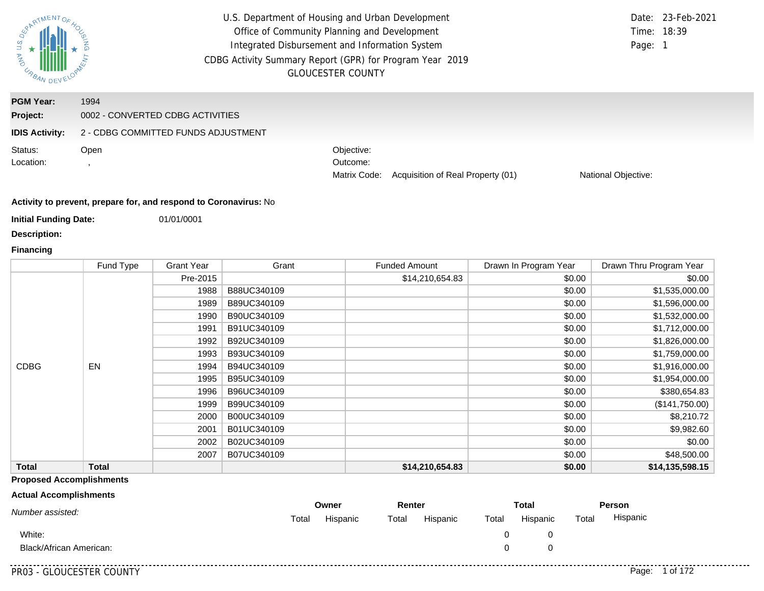

U.S. Department of Housing and Urban Development Office of Community Planning and Development Integrated Disbursement and Information System CDBG Activity Summary Report (GPR) for Program Year 2019 GLOUCESTER COUNTY

#### **IDIS Activity:** 2 - CDBG COMMITTED FUNDS ADJUSTMENT **Project:** 0002 - CONVERTED CDBG ACTIVITIES **PGM Year:** 1994 Matrix Code: Acquisition of Real Property (01) Objective: Outcome: Open , National Objective: Status: Location:

#### **Activity to prevent, prepare for, and respond to Coronavirus:** No

**Initial Funding Date:** 01/01/0001

**Description:**

#### **Financing**

|              | Fund Type    | <b>Grant Year</b> | Grant       | <b>Funded Amount</b> | Drawn In Program Year | Drawn Thru Program Year |
|--------------|--------------|-------------------|-------------|----------------------|-----------------------|-------------------------|
|              |              | Pre-2015          |             | \$14,210,654.83      | \$0.00                | \$0.00                  |
|              |              | 1988              | B88UC340109 |                      | \$0.00                | \$1,535,000.00          |
|              |              | 1989              | B89UC340109 |                      | \$0.00                | \$1,596,000.00          |
|              |              | 1990              | B90UC340109 |                      | \$0.00                | \$1,532,000.00          |
|              |              | 1991              | B91UC340109 |                      | \$0.00                | \$1,712,000.00          |
|              |              | 1992              | B92UC340109 |                      | \$0.00                | \$1,826,000.00          |
|              |              | 1993              | B93UC340109 |                      | \$0.00                | \$1,759,000.00          |
| <b>CDBG</b>  | EN           | 1994              | B94UC340109 |                      | \$0.00                | \$1,916,000.00          |
|              |              | 1995              | B95UC340109 |                      | \$0.00                | \$1,954,000.00          |
|              |              | 1996              | B96UC340109 |                      | \$0.00                | \$380,654.83            |
|              |              | 1999              | B99UC340109 |                      | \$0.00                | (\$141,750.00)          |
|              |              | 2000              | B00UC340109 |                      | \$0.00                | \$8,210.72              |
|              |              | 2001              | B01UC340109 |                      | \$0.00                | \$9,982.60              |
|              |              | 2002              | B02UC340109 |                      | \$0.00                | \$0.00                  |
|              |              | 2007              | B07UC340109 |                      | \$0.00                | \$48,500.00             |
| <b>Total</b> | <b>Total</b> |                   |             | \$14,210,654.83      | \$0.00                | \$14,135,598.15         |

#### **Proposed Accomplishments**

#### **Actual Accomplishments**

|                                |       | Owner    | Renter |          | <b>Total</b> |          | Person |          |
|--------------------------------|-------|----------|--------|----------|--------------|----------|--------|----------|
| Number assisted:               | Total | Hispanic | Total  | Hispanic | Total        | Hispanic | Total  | Hispanic |
| White:                         |       |          |        |          |              |          |        |          |
| <b>Black/African American:</b> |       |          |        |          |              |          |        |          |
|                                |       |          |        |          |              |          |        |          |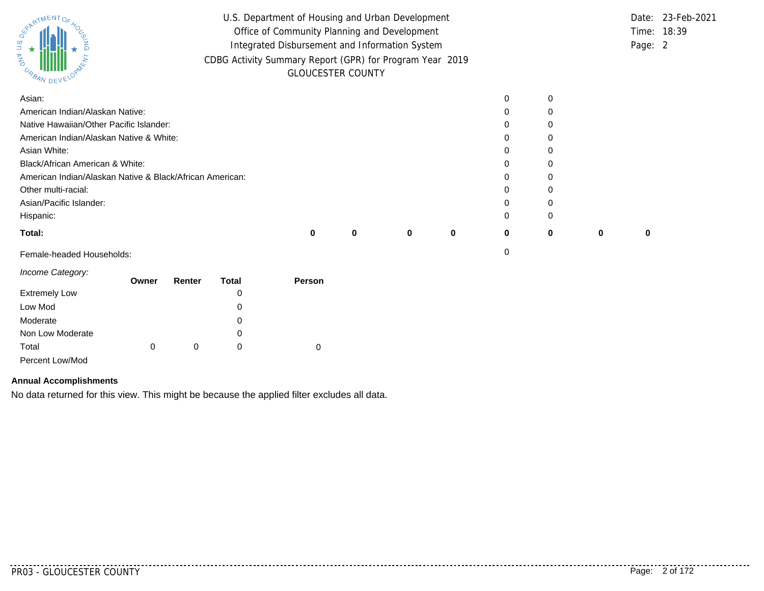| ARTIMENTOF<br>URBAN DEV <sup>L</sup>                     | U.S. Department of Housing and Urban Development<br>Office of Community Planning and Development<br>Integrated Disbursement and Information System<br>CDBG Activity Summary Report (GPR) for Program Year 2019 |   | <b>GLOUCESTER COUNTY</b> |   |   |   |   | Page: 2 | Date: 23-Feb-2021<br>Time: 18:39 |
|----------------------------------------------------------|----------------------------------------------------------------------------------------------------------------------------------------------------------------------------------------------------------------|---|--------------------------|---|---|---|---|---------|----------------------------------|
| Asian:                                                   |                                                                                                                                                                                                                |   |                          |   | 0 | 0 |   |         |                                  |
| American Indian/Alaskan Native:                          |                                                                                                                                                                                                                |   |                          |   | 0 | O |   |         |                                  |
| Native Hawaiian/Other Pacific Islander:                  |                                                                                                                                                                                                                |   |                          |   | 0 |   |   |         |                                  |
| American Indian/Alaskan Native & White:                  |                                                                                                                                                                                                                |   |                          |   | 0 |   |   |         |                                  |
| Asian White:                                             |                                                                                                                                                                                                                |   |                          |   | 0 |   |   |         |                                  |
| Black/African American & White:                          |                                                                                                                                                                                                                |   |                          |   | 0 |   |   |         |                                  |
| American Indian/Alaskan Native & Black/African American: |                                                                                                                                                                                                                |   |                          |   | 0 |   |   |         |                                  |
| Other multi-racial:                                      |                                                                                                                                                                                                                |   |                          |   | 0 |   |   |         |                                  |
| Asian/Pacific Islander:                                  |                                                                                                                                                                                                                |   |                          |   | 0 | O |   |         |                                  |
| Hispanic:                                                |                                                                                                                                                                                                                |   |                          |   | 0 | O |   |         |                                  |
| Total:                                                   |                                                                                                                                                                                                                | 0 |                          | 0 | 0 |   | 0 | 0       |                                  |

Female-headed Households: 0

| Income Category:     | Owner | Renter | Total |        |
|----------------------|-------|--------|-------|--------|
|                      |       |        |       | Person |
| <b>Extremely Low</b> |       |        | 0     |        |
| Low Mod              |       |        | 0     |        |
| Moderate             |       |        | 0     |        |
| Non Low Moderate     |       |        | 0     |        |
| Total                | 0     | 0      | 0     | 0      |
| Percent Low/Mod      |       |        |       |        |

#### **Annual Accomplishments**

No data returned for this view. This might be because the applied filter excludes all data.

. . . . . . . . . . . . .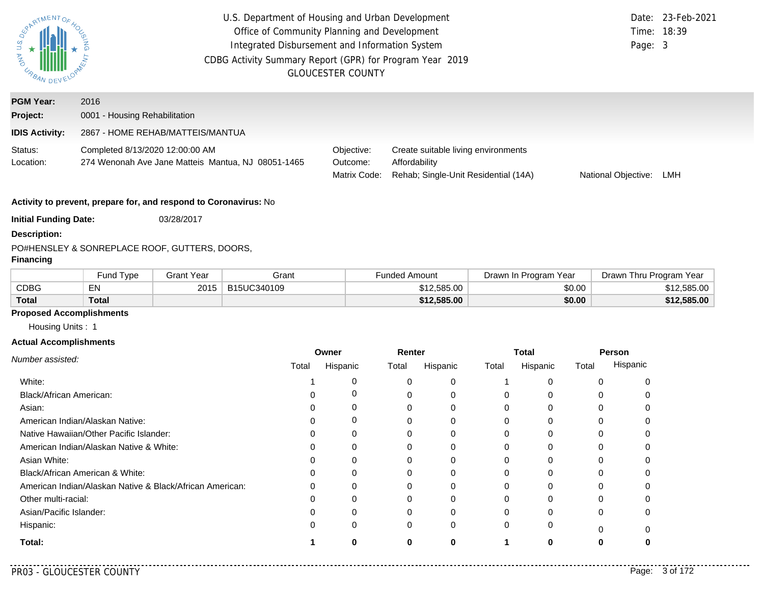| <b>RARTMENTOR</b><br><b>PARA</b><br>URBAN DE          |                                                                                       | U.S. Department of Housing and Urban Development<br>Office of Community Planning and Development<br>Integrated Disbursement and Information System<br>CDBG Activity Summary Report (GPR) for Program Year 2019<br><b>GLOUCESTER COUNTY</b> |                                                                                              |                     |     |  |
|-------------------------------------------------------|---------------------------------------------------------------------------------------|--------------------------------------------------------------------------------------------------------------------------------------------------------------------------------------------------------------------------------------------|----------------------------------------------------------------------------------------------|---------------------|-----|--|
| <b>PGM Year:</b><br>Project:<br><b>IDIS Activity:</b> | 2016<br>0001 - Housing Rehabilitation<br>2867 - HOME REHAB/MATTEIS/MANTUA             |                                                                                                                                                                                                                                            |                                                                                              |                     |     |  |
| Status:<br>Location:                                  | Completed 8/13/2020 12:00:00 AM<br>274 Wenonah Ave Jane Matteis Mantua, NJ 08051-1465 | Objective:<br>Outcome:<br>Matrix Code:                                                                                                                                                                                                     | Create suitable living environments<br>Affordability<br>Rehab; Single-Unit Residential (14A) | National Objective: | LMH |  |
| <b>Initial Funding Date:</b>                          | Activity to prevent, prepare for, and respond to Coronavirus: No<br>03/28/2017        |                                                                                                                                                                                                                                            |                                                                                              |                     |     |  |

**Description:** PO#
HENSLEY & SON
REPLACE ROOF, GUTTERS, DOORS,

#### **Financing**

|       | <b>Fund Type</b> | Grant Year | Grant       | Funded Amount | Drawn In Program Year | Drawn Thru Program Year |
|-------|------------------|------------|-------------|---------------|-----------------------|-------------------------|
| CDBG  | EN               | 2015       | B15UC340109 | \$12,585.00   | \$0.00                | \$12,585,00             |
| Total | Total            |            |             | \$12,585.00   | \$0.00                | \$12,585.00             |

#### **Proposed Accomplishments**

Housing Units : 1

#### **Actual Accomplishments**

|                                                          | Owner |          | Renter |          | <b>Total</b> |          | Person |          |
|----------------------------------------------------------|-------|----------|--------|----------|--------------|----------|--------|----------|
| Number assisted:                                         | Total | Hispanic | Total  | Hispanic | Total        | Hispanic | Total  | Hispanic |
| White:                                                   |       | 0        |        | 0        |              |          |        |          |
| Black/African American:                                  |       | 0        |        |          | $\Omega$     |          |        |          |
| Asian:                                                   |       | 0        |        | 0        | $\Omega$     | 0        | 0      |          |
| American Indian/Alaskan Native:                          |       | 0        |        | O        | 0            |          |        |          |
| Native Hawaiian/Other Pacific Islander:                  |       | 0        |        |          | 0            |          |        |          |
| American Indian/Alaskan Native & White:                  |       | 0        |        |          | $\Omega$     | $\Omega$ | O      |          |
| Asian White:                                             |       |          |        |          | <sup>0</sup> |          |        |          |
| Black/African American & White:                          |       | 0        | O      | $\Omega$ | $\Omega$     |          | 0      |          |
| American Indian/Alaskan Native & Black/African American: |       | $\Omega$ | ∩      | O        | 0            |          |        |          |
| Other multi-racial:                                      |       | 0        |        |          | 0            |          |        |          |
| Asian/Pacific Islander:                                  |       | $\Omega$ |        | $\Omega$ | $\Omega$     |          | 0      |          |
| Hispanic:                                                |       | 0        | 0      | 0        | $\Omega$     | 0        |        |          |
| Total:                                                   |       |          |        |          |              |          |        |          |

 $\sim$   $\sim$   $\sim$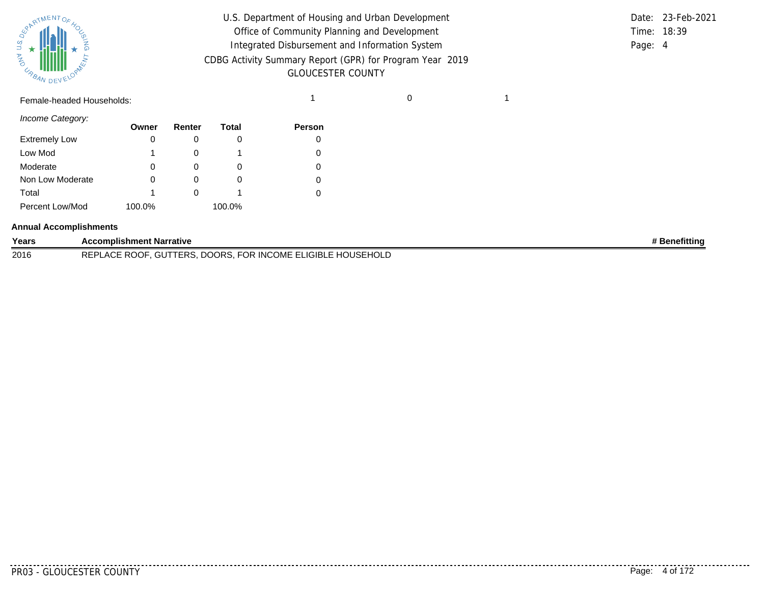

| U.S. Department of Housing and Urban Development         |         | Date: 23-Feb-2021 |
|----------------------------------------------------------|---------|-------------------|
| Office of Community Planning and Development             |         | Time: 18:39       |
| Integrated Disbursement and Information System           | Page: 4 |                   |
| CDBG Activity Summary Report (GPR) for Program Year 2019 |         |                   |
| <b>GLOUCESTER COUNTY</b>                                 |         |                   |

# Female-headed Households: 1 0 1

*Income Category:*

|                      | Owner  | Renter   | Total  | <b>Person</b> |
|----------------------|--------|----------|--------|---------------|
| <b>Extremely Low</b> | 0      |          | O      |               |
| Low Mod              |        |          |        |               |
| Moderate             | 0      | $\Omega$ | O      |               |
| Non Low Moderate     | 0      | O)       | O      |               |
| Total                |        |          |        |               |
| Percent Low/Mod      | 100.0% |          | 100.0% |               |

#### **Annual Accomplishments**

| Years | Accomplishment Narrative                                                                       | <b>Benefitting</b> |
|-------|------------------------------------------------------------------------------------------------|--------------------|
| 2016  | <b>FOR INCOME EL</b><br>LLIGIBLE HC<br>DOORS.<br>ำ∪SEHOL∟<br>TERS<br>. ^Ր<br><b>DEDI</b><br>uu |                    |

. . . . . . . . . .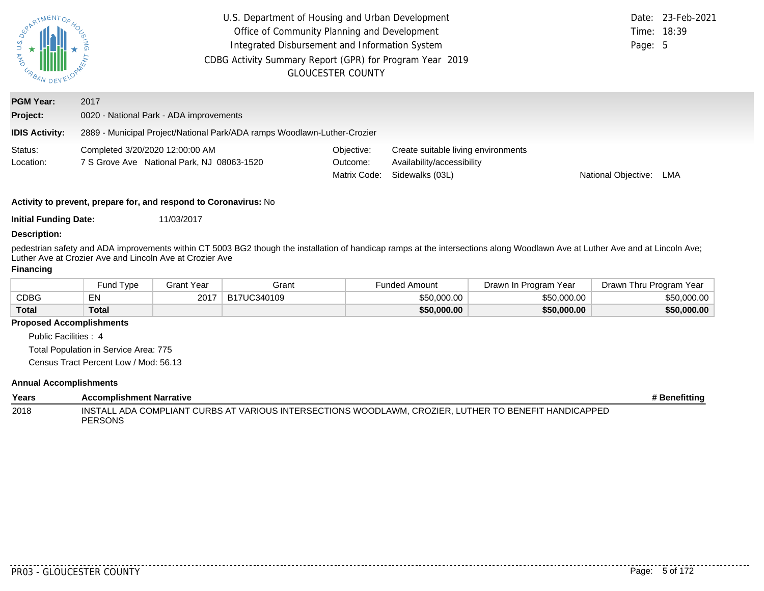| <b>RARTMENTOR</b><br>$\begin{array}{c}\n\overrightarrow{a} \\ \overrightarrow{b} \\ \overrightarrow{r} \\ \overrightarrow{r} \\ \overrightarrow{r} \\ \overrightarrow{r} \\ \overrightarrow{r} \\ \overrightarrow{r} \\ \overrightarrow{r} \\ \overrightarrow{r} \\ \overrightarrow{r} \\ \overrightarrow{r} \\ \overrightarrow{r} \\ \overrightarrow{r} \\ \overrightarrow{r} \\ \overrightarrow{r} \\ \overrightarrow{r} \\ \overrightarrow{r} \\ \overrightarrow{r} \\ \overrightarrow{r} \\ \overrightarrow{r} \\ \overrightarrow{r} \\ \overrightarrow{r} \\ \overrightarrow{r} \\ \overrightarrow{r} \\ \overrightarrow{r} \\ \overrightarrow{r} \\ \overrightarrow{r} \\ \overrightarrow{r} \\ \overrightarrow{r} \\ \over$ | U.S. Department of Housing and Urban Development<br>Office of Community Planning and Development<br>Integrated Disbursement and Information System<br>CDBG Activity Summary Report (GPR) for Program Year 2019<br><b>GLOUCESTER COUNTY</b> | Date: 23-Feb-2021<br>Time: 18:39<br>Page: 5 |                                                                                      |                            |  |
|------------------------------------------------------------------------------------------------------------------------------------------------------------------------------------------------------------------------------------------------------------------------------------------------------------------------------------------------------------------------------------------------------------------------------------------------------------------------------------------------------------------------------------------------------------------------------------------------------------------------------------------------------------------------------------------------------------------------------------|--------------------------------------------------------------------------------------------------------------------------------------------------------------------------------------------------------------------------------------------|---------------------------------------------|--------------------------------------------------------------------------------------|----------------------------|--|
| <b>PGM Year:</b>                                                                                                                                                                                                                                                                                                                                                                                                                                                                                                                                                                                                                                                                                                                   | 2017                                                                                                                                                                                                                                       |                                             |                                                                                      |                            |  |
| Project:                                                                                                                                                                                                                                                                                                                                                                                                                                                                                                                                                                                                                                                                                                                           | 0020 - National Park - ADA improvements                                                                                                                                                                                                    |                                             |                                                                                      |                            |  |
| <b>IDIS Activity:</b>                                                                                                                                                                                                                                                                                                                                                                                                                                                                                                                                                                                                                                                                                                              | 2889 - Municipal Project/National Park/ADA ramps Woodlawn-Luther-Crozier                                                                                                                                                                   |                                             |                                                                                      |                            |  |
| Status:<br>Location:                                                                                                                                                                                                                                                                                                                                                                                                                                                                                                                                                                                                                                                                                                               | Completed 3/20/2020 12:00:00 AM<br>7 S Grove Ave National Park, NJ 08063-1520                                                                                                                                                              | Objective:<br>Outcome:<br>Matrix Code:      | Create suitable living environments<br>Availability/accessibility<br>Sidewalks (03L) | National Objective:<br>LMA |  |
|                                                                                                                                                                                                                                                                                                                                                                                                                                                                                                                                                                                                                                                                                                                                    | Activity to prevent, prepare for, and respond to Coronavirus: No                                                                                                                                                                           |                                             |                                                                                      |                            |  |
| <b>Initial Funding Date:</b>                                                                                                                                                                                                                                                                                                                                                                                                                                                                                                                                                                                                                                                                                                       | 11/03/2017                                                                                                                                                                                                                                 |                                             |                                                                                      |                            |  |
| <b>Description:</b>                                                                                                                                                                                                                                                                                                                                                                                                                                                                                                                                                                                                                                                                                                                | pedestrian safety and ADA improvements within CT 5003 BG2 though the installation of handicap ramps at the intersections along Woodlawn Ave at Luther Ave and at Lincoln Ave;                                                              |                                             |                                                                                      |                            |  |

Luther Ave at Crozier Ave and Lincoln Ave at Crozier Ave

### **Financing**

|              | <b>Fund Type</b> | Grant Year | Grant       | Funded Amount | Drawn In Program Year | Drawn Thru Program Year |  |
|--------------|------------------|------------|-------------|---------------|-----------------------|-------------------------|--|
| CDBG         | EN               | 201        | B17UC340109 | \$50,000.00   | \$50,000,00           | \$50,000.00             |  |
| <b>Total</b> | <b>Total</b>     |            |             | \$50,000.00   | \$50,000,00           | \$50,000.00             |  |

## **Proposed Accomplishments**

Public Facilities : 4

Total Population in Service Area: 775

Census Tract Percent Low / Mod: 56.13

#### **Annual Accomplishments**

| Years | <b>Accomplishment Narrative</b>                                                                                         | # Benefitting |
|-------|-------------------------------------------------------------------------------------------------------------------------|---------------|
| 2018  | INSTALL ADA COMPLIANT CURBS AT VARIOUS INTERSECTIONS WOODLAWM. CROZIER. LUTHER TO BENEFIT HANDICAPPED<br><b>PERSONS</b> |               |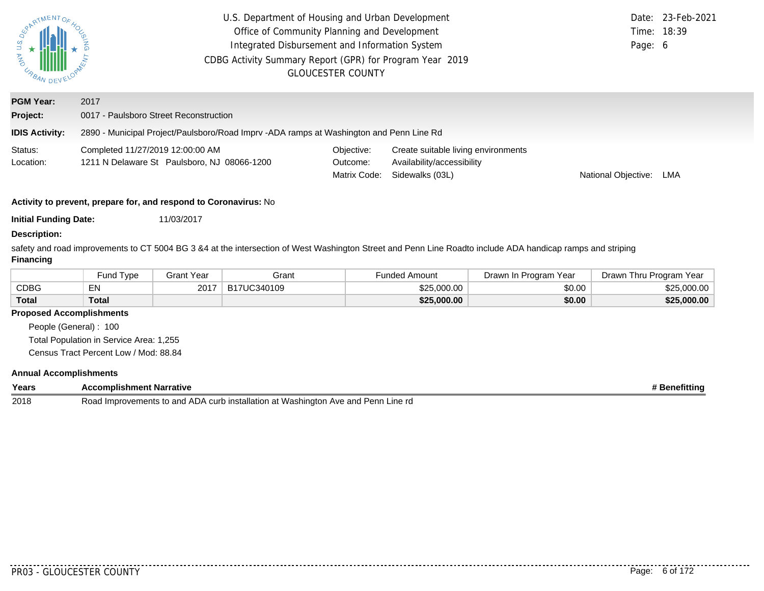| $\begin{matrix} 1 & 1 & 1 \\ 1 & 1 & 1 \\ 1 & 1 & 1 \\ 1 & 1 & 1 \\ 1 & 1 & 1 \\ 1 & 1 & 1 \\ 1 & 1 & 1 \\ 1 & 1 & 1 \\ 1 & 1 & 1 \\ 1 & 1 & 1 \\ 1 & 1 & 1 \\ 1 & 1 & 1 \\ 1 & 1 & 1 \\ 1 & 1 & 1 \\ 1 & 1 & 1 \\ 1 & 1 & 1 \\ 1 & 1 & 1 \\ 1 & 1 & 1 \\ 1 & 1 & 1 \\ 1 & 1 & 1 \\ 1 & 1 & 1 \\ 1 & 1 & 1 \\ 1 & 1 & 1 \\ 1 & 1 & 1$ | U.S. Department of Housing and Urban Development<br>Office of Community Planning and Development<br>Integrated Disbursement and Information System<br>CDBG Activity Summary Report (GPR) for Program Year 2019<br><b>GLOUCESTER COUNTY</b> |                                        |                                                                                      |                     | Date: 23-Feb-2021<br>Time: 18:39<br>Page: 6 |  |  |  |
|---------------------------------------------------------------------------------------------------------------------------------------------------------------------------------------------------------------------------------------------------------------------------------------------------------------------------------------|--------------------------------------------------------------------------------------------------------------------------------------------------------------------------------------------------------------------------------------------|----------------------------------------|--------------------------------------------------------------------------------------|---------------------|---------------------------------------------|--|--|--|
| <b>PGM Year:</b><br>Project:                                                                                                                                                                                                                                                                                                          | 2017<br>0017 - Paulsboro Street Reconstruction                                                                                                                                                                                             |                                        |                                                                                      |                     |                                             |  |  |  |
| <b>IDIS Activity:</b>                                                                                                                                                                                                                                                                                                                 | 2890 - Municipal Project/Paulsboro/Road Imprv -ADA ramps at Washington and Penn Line Rd                                                                                                                                                    |                                        |                                                                                      |                     |                                             |  |  |  |
| Status:<br>Location:                                                                                                                                                                                                                                                                                                                  | Completed 11/27/2019 12:00:00 AM<br>1211 N Delaware St Paulsboro, NJ 08066-1200                                                                                                                                                            | Objective:<br>Outcome:<br>Matrix Code: | Create suitable living environments<br>Availability/accessibility<br>Sidewalks (03L) | National Objective: | LMA                                         |  |  |  |
| Activity to prevent, prepare for, and respond to Coronavirus: No                                                                                                                                                                                                                                                                      |                                                                                                                                                                                                                                            |                                        |                                                                                      |                     |                                             |  |  |  |
| <b>Initial Funding Date:</b><br><b>Description:</b>                                                                                                                                                                                                                                                                                   | 11/03/2017                                                                                                                                                                                                                                 |                                        |                                                                                      |                     |                                             |  |  |  |

safety and road improvements to CT 5004 BG 3 &4 at the intersection of West Washington Street and Penn Line Roadto include ADA handicap ramps and striping **Financing**

|              | und Type <sup>-</sup> | Grant Year | Grant       | ⊦unded Amount | Drawn In Program Year | Drawn Thru Program Year |
|--------------|-----------------------|------------|-------------|---------------|-----------------------|-------------------------|
| CDBG         |                       | 2017       | B17UC340109 | \$25,000.00   | \$0.00                | \$25,000.00             |
| <b>Total</b> | Total                 |            |             | \$25,000.00   | \$0.00                | \$25,000.00             |

### **Proposed Accomplishments**

People (General) : 100 Total Population in Service Area: 1,255

Census Tract Percent Low / Mod: 88.84

## **Annual Accomplishments**

| Years | : Narrative<br>omplishmen<br>nment<br>.                                                                                 | .<br>nefitting |
|-------|-------------------------------------------------------------------------------------------------------------------------|----------------|
| 2018  | ∟ine rd<br>Washington<br>ਾ stallation a∟.<br>and<br>Road<br>' Improve.<br>and<br>Ave<br>∀ements<br>. ADA .<br>urr:<br>◡ |                |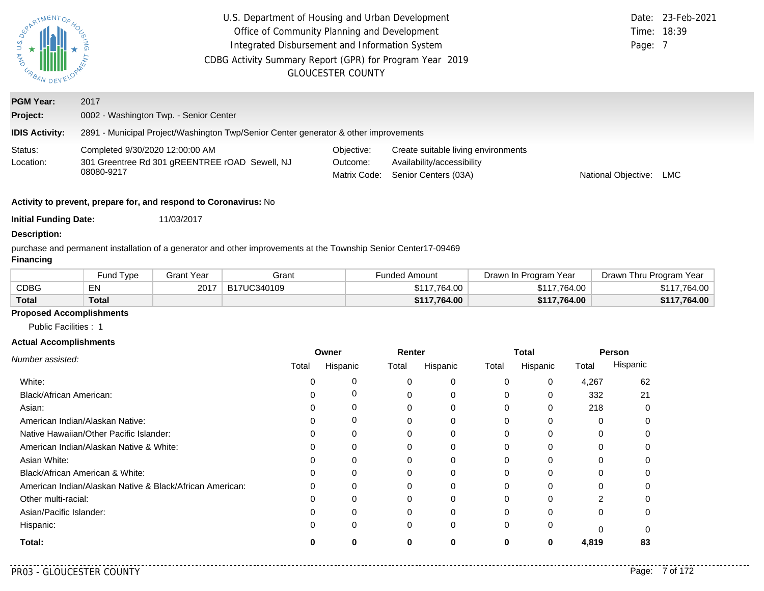| SPARTMENTO-<br>$\begin{matrix} 1 & 1 & 1 \\ 0 & 0 & 1 \\ 0 & 0 & 0 \\ 0 & 0 & 0 \\ 0 & 0 & 0 \\ 0 & 0 & 0 \\ 0 & 0 & 0 \\ 0 & 0 & 0 \\ 0 & 0 & 0 \\ 0 & 0 & 0 \\ 0 & 0 & 0 \\ 0 & 0 & 0 \\ 0 & 0 & 0 \\ 0 & 0 & 0 \\ 0 & 0 & 0 \\ 0 & 0 & 0 \\ 0 & 0 & 0 \\ 0 & 0 & 0 \\ 0 & 0 & 0 \\ 0 & 0 & 0 \\ 0 & 0 & 0 \\ 0 & 0 & 0 \\ 0 & 0 & 0 \\ 0 & 0 & 0$ | U.S. Department of Housing and Urban Development<br>Office of Community Planning and Development<br>Integrated Disbursement and Information System<br>CDBG Activity Summary Report (GPR) for Program Year 2019<br><b>GLOUCESTER COUNTY</b> | Page: 7                                | Date: 23-Feb-2021<br>Time: 18:39                                                          |                     |     |  |  |  |
|------------------------------------------------------------------------------------------------------------------------------------------------------------------------------------------------------------------------------------------------------------------------------------------------------------------------------------------------------|--------------------------------------------------------------------------------------------------------------------------------------------------------------------------------------------------------------------------------------------|----------------------------------------|-------------------------------------------------------------------------------------------|---------------------|-----|--|--|--|
| <b>PGM Year:</b>                                                                                                                                                                                                                                                                                                                                     | 2017                                                                                                                                                                                                                                       |                                        |                                                                                           |                     |     |  |  |  |
| Project:                                                                                                                                                                                                                                                                                                                                             | 0002 - Washington Twp. - Senior Center                                                                                                                                                                                                     |                                        |                                                                                           |                     |     |  |  |  |
| <b>IDIS Activity:</b>                                                                                                                                                                                                                                                                                                                                | 2891 - Municipal Project/Washington Twp/Senior Center generator & other improvements                                                                                                                                                       |                                        |                                                                                           |                     |     |  |  |  |
| Status:<br>Location:                                                                                                                                                                                                                                                                                                                                 | Completed 9/30/2020 12:00:00 AM<br>301 Greentree Rd 301 gREENTREE rOAD Sewell, NJ<br>08080-9217                                                                                                                                            | Objective:<br>Outcome:<br>Matrix Code: | Create suitable living environments<br>Availability/accessibility<br>Senior Centers (03A) | National Objective: | LMC |  |  |  |
| Activity to prevent, prepare for, and respond to Coronavirus: No                                                                                                                                                                                                                                                                                     |                                                                                                                                                                                                                                            |                                        |                                                                                           |                     |     |  |  |  |
| <b>Initial Funding Date:</b>                                                                                                                                                                                                                                                                                                                         | 11/03/2017                                                                                                                                                                                                                                 |                                        |                                                                                           |                     |     |  |  |  |
| <b>Description:</b>                                                                                                                                                                                                                                                                                                                                  |                                                                                                                                                                                                                                            |                                        |                                                                                           |                     |     |  |  |  |
| purchase and permanent installation of a generator and other improvements at the Township Senior Center17-09469                                                                                                                                                                                                                                      |                                                                                                                                                                                                                                            |                                        |                                                                                           |                     |     |  |  |  |

## **Financing**

|              | und Type <sup>-</sup> | 3rant Year | Grant       | Funded Amount | Drawn In Program Year | Drawn Thru Program Year |
|--------------|-----------------------|------------|-------------|---------------|-----------------------|-------------------------|
| <b>CDBG</b>  | ᇊ<br>EN               | 2017       | B17UC340109 | \$117.764.00  | \$117.764.00          | \$117.764.00            |
| <b>Total</b> | Total                 |            |             | \$117,764.00  | \$117,764.00          | \$117,764.00            |

# **Proposed Accomplishments**

Public Facilities : 1

#### **Actual Accomplishments**

|                                                          | Owner |          | Renter |          | <b>Total</b> |          | Person   |          |
|----------------------------------------------------------|-------|----------|--------|----------|--------------|----------|----------|----------|
| Number assisted:                                         | Total | Hispanic | Total  | Hispanic | Total        | Hispanic | Total    | Hispanic |
| White:                                                   |       | 0        | 0      | 0        | 0            | 0        | 4,267    | 62       |
| Black/African American:                                  |       | 0        | 0      | 0        | 0            | 0        | 332      | 21       |
| Asian:                                                   |       | 0        | 0      | 0        | $\Omega$     | 0        | 218      |          |
| American Indian/Alaskan Native:                          |       | 0        |        | 0        | 0            | $\Omega$ |          |          |
| Native Hawaiian/Other Pacific Islander:                  |       | 0        |        | 0        |              |          |          |          |
| American Indian/Alaskan Native & White:                  |       | 0        | 0      | 0        | $\Omega$     | $\Omega$ | 0        |          |
| Asian White:                                             |       | $\Omega$ | 0      | 0        | 0            | $\Omega$ |          |          |
| Black/African American & White:                          |       | 0        | 0      | 0        | 0            |          |          |          |
| American Indian/Alaskan Native & Black/African American: |       | $\Omega$ | 0      | 0        | 0            | $\Omega$ | 0        |          |
| Other multi-racial:                                      |       |          |        | 0        |              |          | 2        |          |
| Asian/Pacific Islander:                                  |       | 0        | 0      | 0        | $\Omega$     | $\Omega$ | $\Omega$ |          |
| Hispanic:                                                |       | 0        | 0      | 0        | $\Omega$     | 0        |          |          |
| Total:                                                   |       | 0        | 0      | 0        | 0            | 0        | 4,819    | 83       |

 $- - -$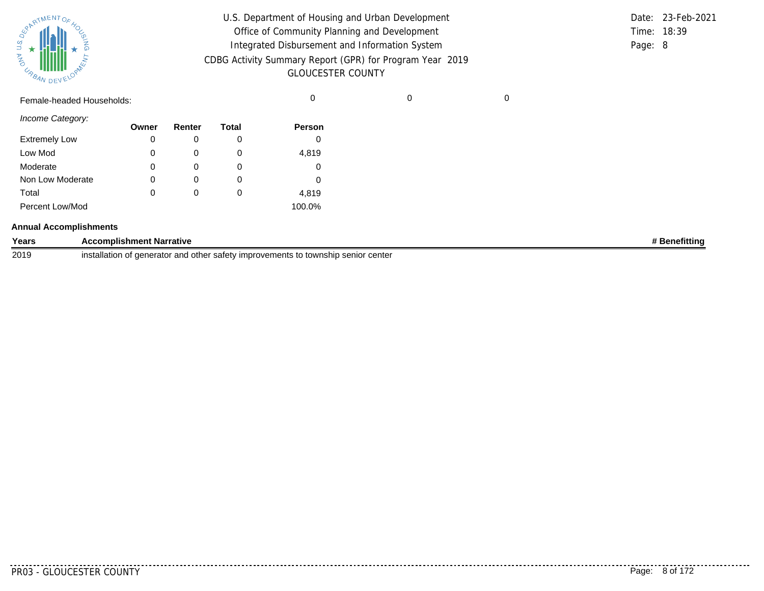

| U.S. Department of Housing and Urban Development         |         | Date: 23-Feb-2021 |
|----------------------------------------------------------|---------|-------------------|
| Office of Community Planning and Development             |         | Time: 18:39       |
| Integrated Disbursement and Information System           | Page: 8 |                   |
| CDBG Activity Summary Report (GPR) for Program Year 2019 |         |                   |
| <b>GLOUCESTER COUNTY</b>                                 |         |                   |

Female-headed Households: 0 0 0

*Income Category:*

|                      | Owner | Renter   | Total | <b>Person</b> |
|----------------------|-------|----------|-------|---------------|
| <b>Extremely Low</b> | 0     |          | O     |               |
| Low Mod              | 0     | O        | O     | 4,819         |
| Moderate             | 0     | O        | O     |               |
| Non Low Moderate     | 0     | O)       | O     |               |
| Total                | 0     | $\Omega$ | 0     | 4,819         |
| Percent Low/Mod      |       |          |       | 100.0%        |

#### **Annual Accomplishments**

| Years | <b>Accomplishment Narrative</b>                                                                                          | <b>Benefitting</b> |
|-------|--------------------------------------------------------------------------------------------------------------------------|--------------------|
| 2019  | improvements to township senior center<br>installation<br>, denerator and other $\overline{\phantom{a}}$<br>∵satet∖<br>. |                    |

. . . . . . . . .

..........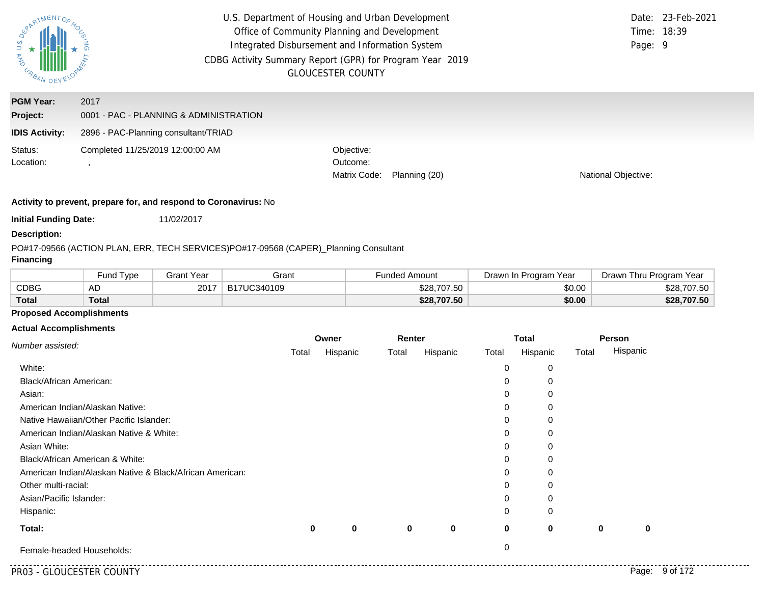| $\overline{a}$<br><b>AND</b><br>URBA. |                                                | U.S. Department of Housing and Urban Development<br>Office of Community Planning and Development<br>Integrated Disbursement and Information System<br>CDBG Activity Summary Report (GPR) for Program Year 2019<br><b>GLOUCESTER COUNTY</b> | Date: 23-Feb-2021<br>Time: 18:39<br>Page: 9 |
|---------------------------------------|------------------------------------------------|--------------------------------------------------------------------------------------------------------------------------------------------------------------------------------------------------------------------------------------------|---------------------------------------------|
| <b>PGM Year:</b><br>Project:          | 2017<br>0001 - PAC - PLANNING & ADMINISTRATION |                                                                                                                                                                                                                                            |                                             |
| <b>IDIS Activity:</b>                 | 2896 - PAC-Planning consultant/TRIAD           |                                                                                                                                                                                                                                            |                                             |
| Status:<br>Location:                  | Completed 11/25/2019 12:00:00 AM               | Objective:<br>Outcome:<br>Matrix Code:<br>Planning (20)                                                                                                                                                                                    | <b>National Objective:</b>                  |

**Initial Funding Date:** 11/02/2017

#### **Description:**

PO#17-09566 (ACTION PLAN, ERR, TECH SERVICES)
PO#17-09568 (CAPER)\_
Planning Consultant

## **Financing**

|              | Fund Type    | Grant Year | Grant       | Funded Amount | Program Year<br>Drawn In | Thru Program Year<br>Drawn <sup>⊣</sup> |
|--------------|--------------|------------|-------------|---------------|--------------------------|-----------------------------------------|
| <b>CDBG</b>  | AD           | 2017       | B17UC340109 | \$28,707.50   | \$0.00                   | \$28,707.50                             |
| <b>Total</b> | <b>Total</b> |            |             | \$28,707.50   | \$0.00                   | \$28,707.50                             |

## **Proposed Accomplishments**

#### **Actual Accomplishments**

| Number assisted:                                         |   | Owner    |       | Renter   |       | <b>Total</b> |       | Person   |
|----------------------------------------------------------|---|----------|-------|----------|-------|--------------|-------|----------|
|                                                          |   | Hispanic | Total | Hispanic | Total | Hispanic     | Total | Hispanic |
| White:                                                   |   |          |       |          | 0     | 0            |       |          |
| <b>Black/African American:</b>                           |   |          |       |          | 0     | 0            |       |          |
| Asian:                                                   |   |          |       |          | 0     |              |       |          |
| American Indian/Alaskan Native:                          |   |          |       |          | 0     |              |       |          |
| Native Hawaiian/Other Pacific Islander:                  |   |          |       |          | 0     |              |       |          |
| American Indian/Alaskan Native & White:                  |   |          |       |          | 0     |              |       |          |
| Asian White:                                             |   |          |       |          | 0     |              |       |          |
| Black/African American & White:                          |   |          |       |          | 0     | C            |       |          |
| American Indian/Alaskan Native & Black/African American: |   |          |       |          | 0     | O            |       |          |
| Other multi-racial:                                      |   |          |       |          | 0     | 0            |       |          |
| Asian/Pacific Islander:                                  |   |          |       |          | 0     |              |       |          |
| Hispanic:                                                |   |          |       |          | 0     | $\Omega$     |       |          |
| Total:                                                   | 0 | 0        | 0     | 0        | 0     | 0            | 0     | 0        |
| Female-headed Households:                                |   |          |       |          | 0     |              |       |          |

. . . .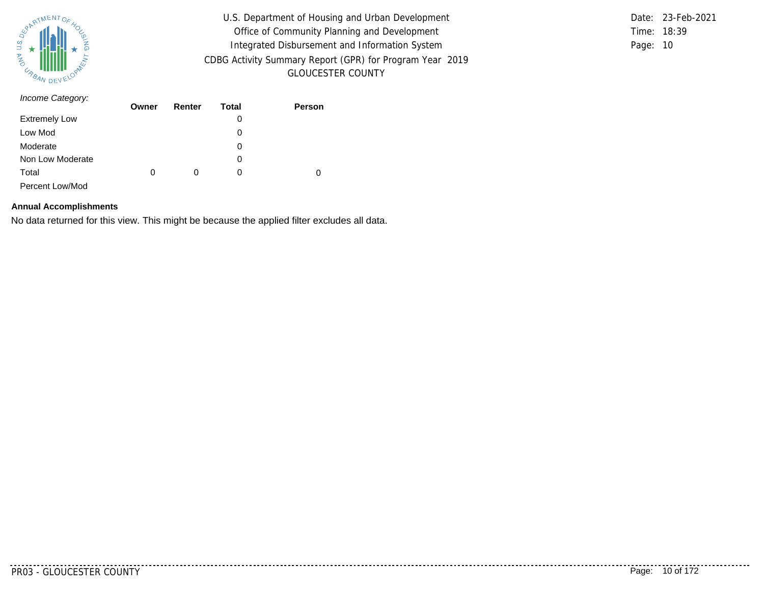

U.S. Department of Housing and Urban Development Office of Community Planning and Development Integrated Disbursement and Information System CDBG Activity Summary Report (GPR) for Program Year 2019 GLOUCESTER COUNTY

Time: 18:39 Page: 10 Date: 23-Feb-2021

| Income Category:     | Owner | Renter | Total | Person |
|----------------------|-------|--------|-------|--------|
|                      |       |        |       |        |
| <b>Extremely Low</b> |       |        | 0     |        |
| Low Mod              |       |        | 0     |        |
| Moderate             |       |        | 0     |        |
| Non Low Moderate     |       |        | 0     |        |
| Total                | 0     | 0      | 0     | 0      |
| Percent Low/Mod      |       |        |       |        |

#### **Annual Accomplishments**

No data returned for this view. This might be because the applied filter excludes all data.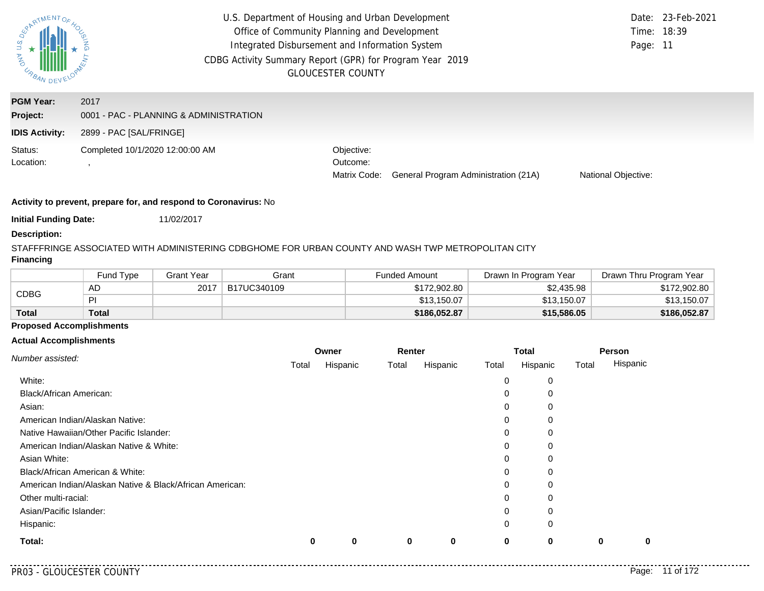| U.S.<br><b>ASSIMARY DE</b>                            | U.S. Department of Housing and Urban Development<br>Office of Community Planning and Development<br>Integrated Disbursement and Information System<br>CDBG Activity Summary Report (GPR) for Program Year 2019 | <b>GLOUCESTER COUNTY</b>               |                                      | Page: 11            | Date: 23-Feb-2021<br>Time: 18:39 |
|-------------------------------------------------------|----------------------------------------------------------------------------------------------------------------------------------------------------------------------------------------------------------------|----------------------------------------|--------------------------------------|---------------------|----------------------------------|
| <b>PGM Year:</b><br>Project:<br><b>IDIS Activity:</b> | 2017<br>0001 - PAC - PLANNING & ADMINISTRATION<br>2899 - PAC [SAL/FRINGE]                                                                                                                                      |                                        |                                      |                     |                                  |
| Status:<br>Location:                                  | Completed 10/1/2020 12:00:00 AM                                                                                                                                                                                | Objective:<br>Outcome:<br>Matrix Code: | General Program Administration (21A) | National Objective: |                                  |

**Initial Funding Date:** 11/02/2017

#### **Description:**

# STAFFFRINGE ASSOCIATED WITH ADMINISTERING CDBGHOME FOR URBAN COUNTY AND WASH TWP METROPOLITAN CITY

## **Financing**

|             | Fund Type | Grant Year | Grant       | Funded Amount | Drawn In Program Year | Drawn Thru Program Year |
|-------------|-----------|------------|-------------|---------------|-----------------------|-------------------------|
|             | AD        | 2017       | B17UC340109 | \$172,902.80  | \$2,435.98            | \$172,902.80            |
| <b>CDBG</b> | PI        |            |             | \$13,150.07   | \$13,150.07           | \$13,150.07             |
| Total       | Total     |            |             | \$186,052.87  | \$15,586.05           | \$186,052.87            |

## **Proposed Accomplishments**

### **Actual Accomplishments**

| Number assisted:                                         |   | Owner    |       | Renter   |          | Total    |       | Person   |  |
|----------------------------------------------------------|---|----------|-------|----------|----------|----------|-------|----------|--|
|                                                          |   | Hispanic | Total | Hispanic | Total    | Hispanic | Total | Hispanic |  |
| White:                                                   |   |          |       |          | 0        | 0        |       |          |  |
| <b>Black/African American:</b>                           |   |          |       |          | 0        | 0        |       |          |  |
| Asian:                                                   |   |          |       |          | 0        | 0        |       |          |  |
| American Indian/Alaskan Native:                          |   |          |       |          | 0        | 0        |       |          |  |
| Native Hawaiian/Other Pacific Islander:                  |   |          |       |          | 0        | 0        |       |          |  |
| American Indian/Alaskan Native & White:                  |   |          |       |          | 0        | 0        |       |          |  |
| Asian White:                                             |   |          |       |          | 0        | 0        |       |          |  |
| Black/African American & White:                          |   |          |       |          | 0        | 0        |       |          |  |
| American Indian/Alaskan Native & Black/African American: |   |          |       |          | 0        | 0        |       |          |  |
| Other multi-racial:                                      |   |          |       |          | $\Omega$ | 0        |       |          |  |
| Asian/Pacific Islander:                                  |   |          |       |          | 0        | 0        |       |          |  |
| Hispanic:                                                |   |          |       |          | $\Omega$ | 0        |       |          |  |
| Total:                                                   | 0 | 0        | 0     | 0        | 0        | 0        | 0     | 0        |  |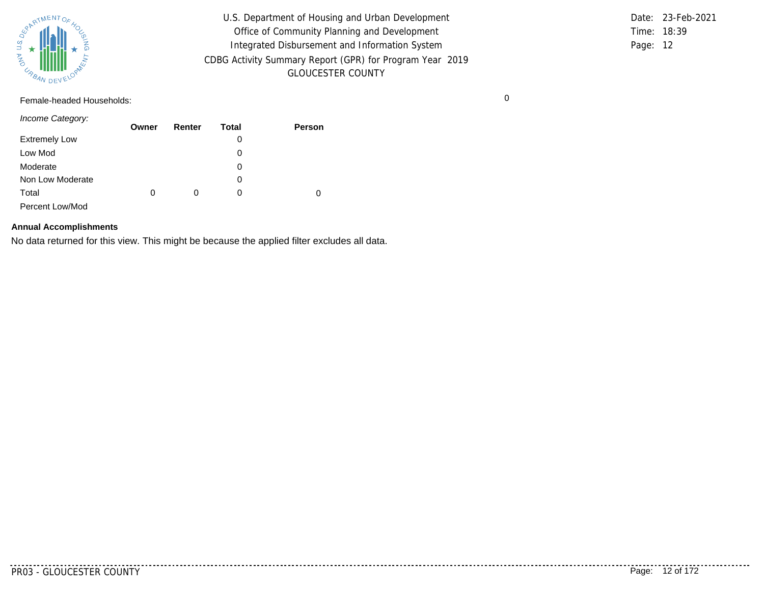

U.S. Department of Housing and Urban Development Office of Community Planning and Development Integrated Disbursement and Information System CDBG Activity Summary Report (GPR) for Program Year 2019 GLOUCESTER COUNTY

Time: 18:39 Page: 12 Date: 23-Feb-2021

Female-headed Households: 0

*Income Category:*

|                      | Owner | Renter | Total | <b>Person</b> |
|----------------------|-------|--------|-------|---------------|
| <b>Extremely Low</b> |       |        | 0     |               |
| Low Mod              |       |        | 0     |               |
| Moderate             |       |        | 0     |               |
| Non Low Moderate     |       |        | 0     |               |
| Total                | 0     | 0      | 0     |               |
| Percent Low/Mod      |       |        |       |               |

## **Annual Accomplishments**

No data returned for this view. This might be because the applied filter excludes all data.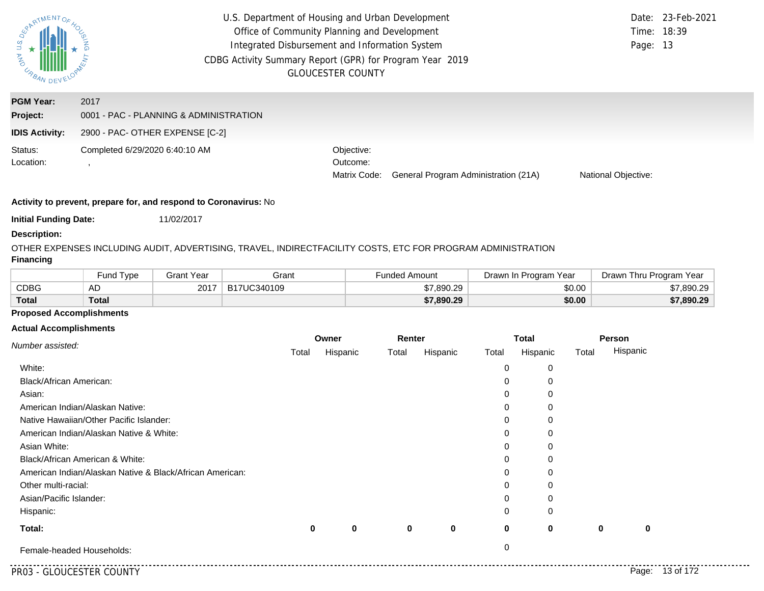| U.S<br>AND<br>URBA-          | U.S. Department of Housing and Urban Development<br>Office of Community Planning and Development<br>Integrated Disbursement and Information System<br>CDBG Activity Summary Report (GPR) for Program Year 2019 | <b>GLOUCESTER COUNTY</b>               |                                      | Page: 13            | Date: 23-Feb-2021<br>Time: 18:39 |
|------------------------------|----------------------------------------------------------------------------------------------------------------------------------------------------------------------------------------------------------------|----------------------------------------|--------------------------------------|---------------------|----------------------------------|
| <b>PGM Year:</b><br>Project: | 2017<br>0001 - PAC - PLANNING & ADMINISTRATION                                                                                                                                                                 |                                        |                                      |                     |                                  |
| <b>IDIS Activity:</b>        | 2900 - PAC- OTHER EXPENSE [C-2]                                                                                                                                                                                |                                        |                                      |                     |                                  |
| Status:<br>Location:         | Completed 6/29/2020 6:40:10 AM                                                                                                                                                                                 | Objective:<br>Outcome:<br>Matrix Code: | General Program Administration (21A) | National Objective: |                                  |

**Initial Funding Date:** 11/02/2017

## **Description:**

OTHER EXPENSES INCLUDING AUDIT, ADVERTISING, TRAVEL, INDIRECTFACILITY COSTS, ETC FOR PROGRAM ADMINISTRATION **Financing**

|              | <b>Fund Type</b> | Grant Year | Grant       | Funded Amount | Drawn In Program Year | Drawn Thru Program Year |
|--------------|------------------|------------|-------------|---------------|-----------------------|-------------------------|
| CDBG         | AD               | 2017       | B17UC340109 | \$7,890.29    | \$0.00                | \$7,890.29              |
| <b>Total</b> | Total            |            |             | \$7,890.29    | \$0.00                | \$7,890.29              |

## **Proposed Accomplishments**

#### **Actual Accomplishments**

| Number assisted:                                         |       | Owner       |       | Renter      |             | <b>Total</b> |       | Person      |
|----------------------------------------------------------|-------|-------------|-------|-------------|-------------|--------------|-------|-------------|
|                                                          | Total | Hispanic    | Total | Hispanic    | Total       | Hispanic     | Total | Hispanic    |
| White:                                                   |       |             |       |             | 0           | 0            |       |             |
| Black/African American:                                  |       |             |       |             | 0           | 0            |       |             |
| Asian:                                                   |       |             |       |             | 0           | 0            |       |             |
| American Indian/Alaskan Native:                          |       |             |       |             | 0           | 0            |       |             |
| Native Hawaiian/Other Pacific Islander:                  |       |             |       |             | 0           | 0            |       |             |
| American Indian/Alaskan Native & White:                  |       |             |       |             | 0           | 0            |       |             |
| Asian White:                                             |       |             |       |             | 0           | 0            |       |             |
| Black/African American & White:                          |       |             |       |             | 0           | 0            |       |             |
| American Indian/Alaskan Native & Black/African American: |       |             |       |             | 0           | 0            |       |             |
| Other multi-racial:                                      |       |             |       |             | 0           | 0            |       |             |
| Asian/Pacific Islander:                                  |       |             |       |             | 0           | 0            |       |             |
| Hispanic:                                                |       |             |       |             | 0           | 0            |       |             |
| Total:                                                   | 0     | $\mathbf 0$ | 0     | $\mathbf 0$ | $\mathbf 0$ | $\bf{0}$     | 0     | $\mathbf 0$ |
| Female-headed Households:                                |       |             |       |             | 0           |              |       |             |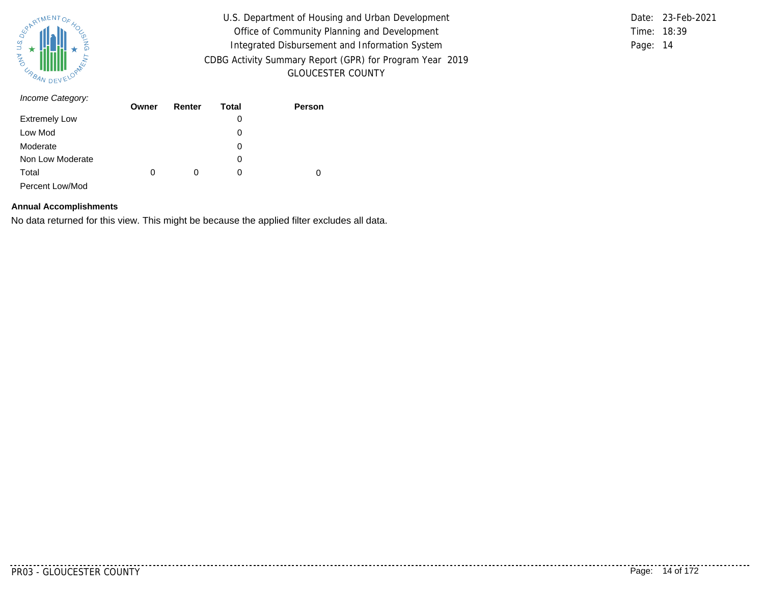

U.S. Department of Housing and Urban Development Office of Community Planning and Development Integrated Disbursement and Information System CDBG Activity Summary Report (GPR) for Program Year 2019 GLOUCESTER COUNTY

Time: 18:39 Page: 14 Date: 23-Feb-2021

| Income Category:     | Owner | Renter | Total | Person |
|----------------------|-------|--------|-------|--------|
|                      |       |        |       |        |
| <b>Extremely Low</b> |       |        | 0     |        |
| Low Mod              |       |        | 0     |        |
| Moderate             |       |        | 0     |        |
| Non Low Moderate     |       |        | 0     |        |
| Total                | 0     | 0      | 0     | 0      |
| Percent Low/Mod      |       |        |       |        |

#### **Annual Accomplishments**

No data returned for this view. This might be because the applied filter excludes all data.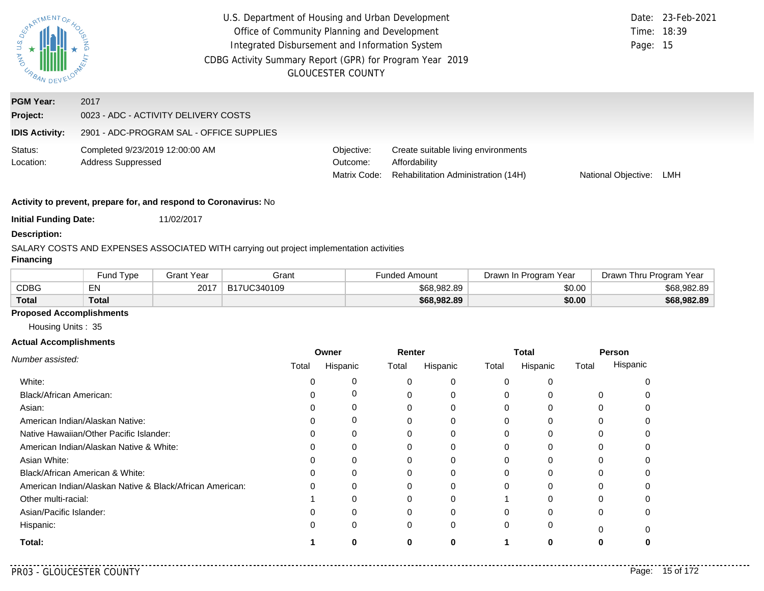| $\overline{a}$<br>AND<br>URBAN DE | U.S. Department of Housing and Urban Development<br>Date: 23-Feb-2021<br>Office of Community Planning and Development<br>Time: 18:39<br>Integrated Disbursement and Information System<br>Page: 15<br>CDBG Activity Summary Report (GPR) for Program Year 2019<br><b>GLOUCESTER COUNTY</b> |                                        |                                                                                             |                     |     |  |
|-----------------------------------|--------------------------------------------------------------------------------------------------------------------------------------------------------------------------------------------------------------------------------------------------------------------------------------------|----------------------------------------|---------------------------------------------------------------------------------------------|---------------------|-----|--|
| <b>PGM Year:</b>                  | 2017                                                                                                                                                                                                                                                                                       |                                        |                                                                                             |                     |     |  |
| Project:                          | 0023 - ADC - ACTIVITY DELIVERY COSTS                                                                                                                                                                                                                                                       |                                        |                                                                                             |                     |     |  |
| <b>IDIS Activity:</b>             | 2901 - ADC-PROGRAM SAL - OFFICE SUPPLIES                                                                                                                                                                                                                                                   |                                        |                                                                                             |                     |     |  |
| Status:<br>Location:              | Completed 9/23/2019 12:00:00 AM<br>Address Suppressed                                                                                                                                                                                                                                      | Objective:<br>Outcome:<br>Matrix Code: | Create suitable living environments<br>Affordability<br>Rehabilitation Administration (14H) | National Objective: | LMH |  |
|                                   |                                                                                                                                                                                                                                                                                            |                                        |                                                                                             |                     |     |  |

**Initial Funding Date:** 11/02/2017

### **Description:**

### SALARY COSTS AND EXPENSES ASSOCIATED WITH carrying out project implementation activities

## **Financing**

|              | und Type <sup>-</sup> | Grant Year | Grant       | Funded Amount | Drawn In Program Year | Drawn Thru Program Year |
|--------------|-----------------------|------------|-------------|---------------|-----------------------|-------------------------|
| <b>CDBG</b>  | <b>ENL</b><br>ᄃᅠᄓ     | 2017       | B17UC340109 | \$68,982.89   | \$0.00                | \$68,982.89             |
| <b>Total</b> | Total                 |            |             | \$68,982.89   | \$0.00                | \$68,982.89             |

### **Proposed Accomplishments**

Housing Units : 35

#### **Actual Accomplishments**

|                                                          | Owner |          | Renter |          | Total    |              | Person |          |
|----------------------------------------------------------|-------|----------|--------|----------|----------|--------------|--------|----------|
| Number assisted:                                         | Total | Hispanic | Total  | Hispanic | Total    | Hispanic     | Total  | Hispanic |
| White:                                                   |       | 0        |        | 0        | $\Omega$ |              |        |          |
| <b>Black/African American:</b>                           |       | 0        |        | $\Omega$ | $\Omega$ |              | 0      |          |
| Asian:                                                   |       | 0        |        |          | $\Omega$ |              | 0      |          |
| American Indian/Alaskan Native:                          |       | 0        |        | 0        | $\Omega$ | $\Omega$     | 0      |          |
| Native Hawaiian/Other Pacific Islander:                  |       | $\Omega$ |        |          | 0        |              |        |          |
| American Indian/Alaskan Native & White:                  |       | 0        | 0      | 0        | $\Omega$ | 0            | 0      |          |
| Asian White:                                             |       | 0        |        |          | 0        |              |        |          |
| Black/African American & White:                          |       | 0        |        |          | $\Omega$ |              |        |          |
| American Indian/Alaskan Native & Black/African American: |       | $\Omega$ |        | $\Omega$ | $\Omega$ | <sup>0</sup> | O      |          |
| Other multi-racial:                                      |       |          |        |          |          |              |        |          |
| Asian/Pacific Islander:                                  |       | 0        |        | 0        | $\Omega$ |              | 0      |          |
| Hispanic:                                                |       | 0        | 0      | 0        | $\Omega$ | 0            | ŋ      |          |
| Total:                                                   |       |          | o      |          |          |              |        |          |

. . . . .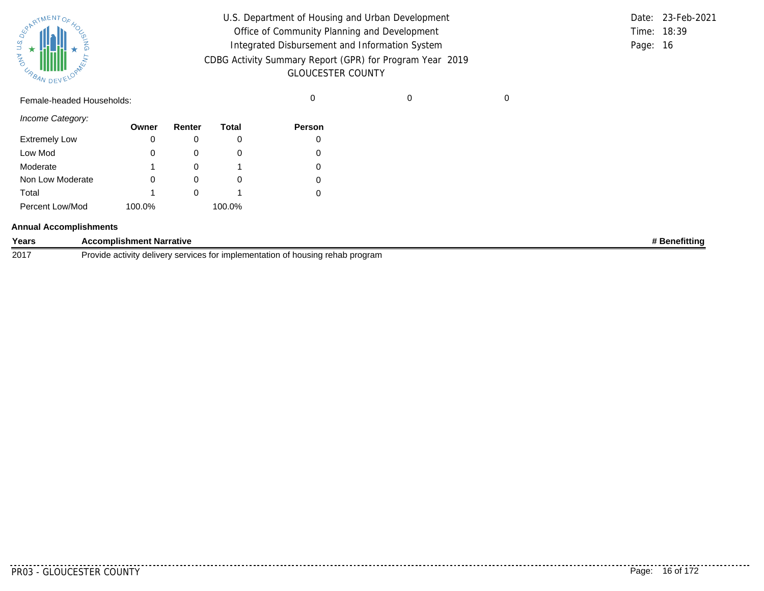| SURATMENTOFAOL    |           |  |
|-------------------|-----------|--|
| S.T<br><b>MAG</b> |           |  |
| URBAN             | DEVELOPAN |  |

| U.S. Department of Housing and Urban Development                                     |          | Date: 23-Feb-2021 |
|--------------------------------------------------------------------------------------|----------|-------------------|
| Office of Community Planning and Development                                         |          | Time: 18:39       |
| Integrated Disbursement and Information System                                       | Page: 16 |                   |
| CDBG Activity Summary Report (GPR) for Program Year 2019<br><b>GLOUCESTER COUNTY</b> |          |                   |

Female-headed Households: 0 0 0

*Income Category:*

|                      | Owner  | Renter | Total  | <b>Person</b> |
|----------------------|--------|--------|--------|---------------|
| <b>Extremely Low</b> |        |        |        |               |
| Low Mod              | 0      |        | O      |               |
| Moderate             | 1      |        |        |               |
| Non Low Moderate     |        |        | O      |               |
| Total                | 1      |        |        |               |
| Percent Low/Mod      | 100.0% |        | 100.0% |               |

#### **Annual Accomplishments**

| Years | <b>Accomplishment Narrative</b>                                                | Renefitting |
|-------|--------------------------------------------------------------------------------|-------------|
| 2017  | Provide activity delivery services for implementation of housing rehab program |             |

. . . . . . . . .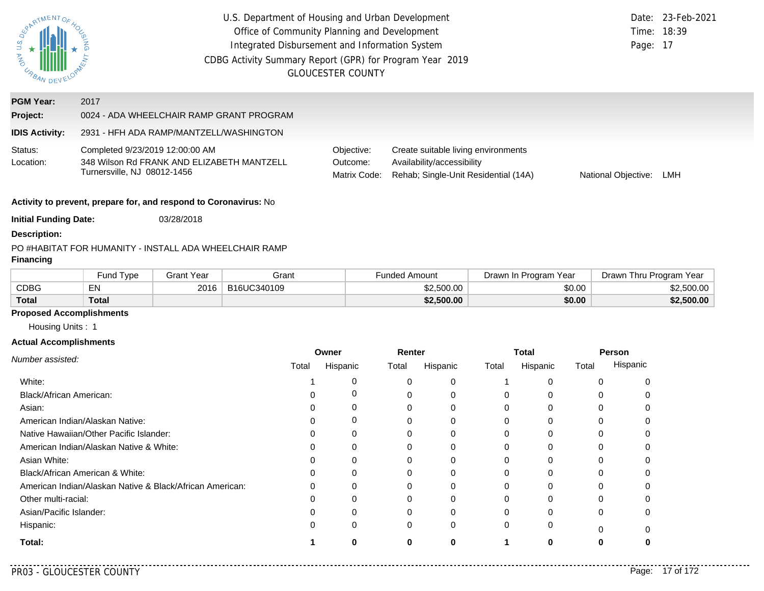| SPARTMENTOS<br><b>STA ANO</b> | U.S. Department of Housing and Urban Development<br>Office of Community Planning and Development<br>Integrated Disbursement and Information System<br>CDBG Activity Summary Report (GPR) for Program Year 2019<br><b>GLOUCESTER COUNTY</b> | Time: 18:39<br>Page: 17                | Date: 23-Feb-2021                                                                                         |                     |     |
|-------------------------------|--------------------------------------------------------------------------------------------------------------------------------------------------------------------------------------------------------------------------------------------|----------------------------------------|-----------------------------------------------------------------------------------------------------------|---------------------|-----|
| <b>PGM Year:</b>              | 2017                                                                                                                                                                                                                                       |                                        |                                                                                                           |                     |     |
| Project:                      | 0024 - ADA WHEELCHAIR RAMP GRANT PROGRAM                                                                                                                                                                                                   |                                        |                                                                                                           |                     |     |
| <b>IDIS Activity:</b>         | 2931 - HFH ADA RAMP/MANTZELL/WASHINGTON                                                                                                                                                                                                    |                                        |                                                                                                           |                     |     |
| Status:<br>Location:          | Completed 9/23/2019 12:00:00 AM<br>348 Wilson Rd FRANK AND ELIZABETH MANTZELL<br>Turnersville, NJ 08012-1456                                                                                                                               | Objective:<br>Outcome:<br>Matrix Code: | Create suitable living environments<br>Availability/accessibility<br>Rehab; Single-Unit Residential (14A) | National Objective: | LMH |
|                               | Activity to prevent, prepare for, and respond to Coronavirus: No                                                                                                                                                                           |                                        |                                                                                                           |                     |     |
| <b>Initial Funding Date:</b>  | 03/28/2018                                                                                                                                                                                                                                 |                                        |                                                                                                           |                     |     |
| <b>Description:</b>           |                                                                                                                                                                                                                                            |                                        |                                                                                                           |                     |     |
| <b>Financing</b>              | PO #HABITAT FOR HUMANITY - INSTALL ADA WHEELCHAIR RAMP                                                                                                                                                                                     |                                        |                                                                                                           |                     |     |

|              | Fund Tvpe    | Grant Year | Grant       | Funded Amount | Drawn In Program Year | Drawn Thru Program Year |
|--------------|--------------|------------|-------------|---------------|-----------------------|-------------------------|
| <b>CDBG</b>  | EN           | 2016       | B16UC340109 | \$2,500.00    | \$0.00                | \$2,500.00              |
| <b>Total</b> | <b>Total</b> |            |             | \$2,500.00    | \$0.00                | \$2,500.00              |

# **Proposed Accomplishments**

Housing Units : 1

#### **Actual Accomplishments**

|                                                          | Owner |          | Renter |          | <b>Total</b> |          | <b>Person</b> |          |
|----------------------------------------------------------|-------|----------|--------|----------|--------------|----------|---------------|----------|
| Number assisted:                                         | Total | Hispanic | Total  | Hispanic | Total        | Hispanic | Total         | Hispanic |
| White:                                                   |       |          |        |          |              |          |               |          |
| Black/African American:                                  |       |          |        |          |              |          |               |          |
| Asian:                                                   |       |          | 0      | 0        | 0            | 0        |               |          |
| American Indian/Alaskan Native:                          |       |          |        | $\Omega$ |              |          |               |          |
| Native Hawaiian/Other Pacific Islander:                  |       |          |        |          |              |          |               |          |
| American Indian/Alaskan Native & White:                  |       |          |        |          |              |          |               |          |
| Asian White:                                             |       |          |        |          |              |          |               |          |
| Black/African American & White:                          |       |          | 0      |          | 0            |          |               |          |
| American Indian/Alaskan Native & Black/African American: |       |          |        | 0        |              |          |               |          |
| Other multi-racial:                                      |       |          |        |          |              |          |               |          |
| Asian/Pacific Islander:                                  |       |          | 0      | $\Omega$ | 0            | ∩        | U             | ∩        |
| Hispanic:                                                |       | $\Omega$ | 0      | 0        | 0            | 0        |               |          |
| Total:                                                   |       |          | 0      | $\bf{0}$ |              |          |               |          |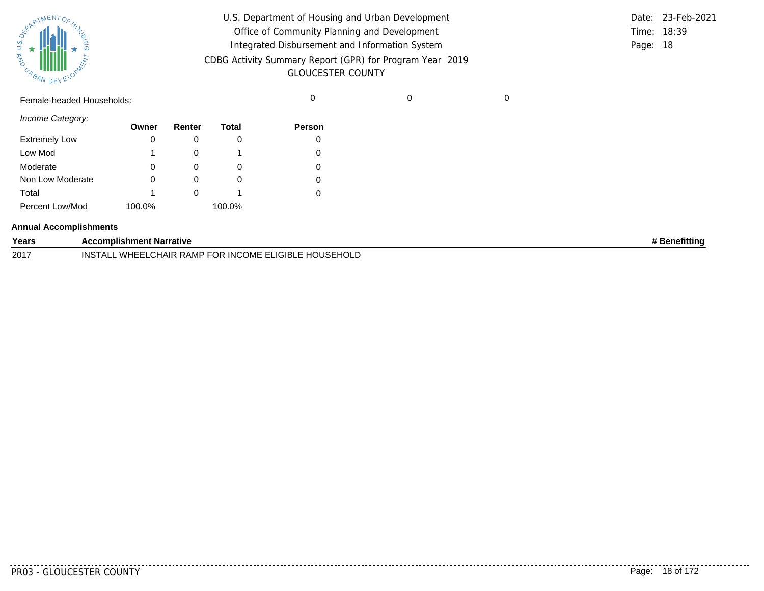| SUPATMENTOF HOL |           |  |
|-----------------|-----------|--|
| URBAN           | DEVELOPAL |  |

| U.S. Department of Housing and Urban Development         |             | Date: 23-Feb-2021 |
|----------------------------------------------------------|-------------|-------------------|
| Office of Community Planning and Development             | Time: 18:39 |                   |
| Integrated Disbursement and Information System           | Page: 18    |                   |
| CDBG Activity Summary Report (GPR) for Program Year 2019 |             |                   |
| <b>GLOUCESTER COUNTY</b>                                 |             |                   |

Female-headed Households: 0 0 0

*Income Category:*

|                      | Owner  | Renter | Total  | <b>Person</b> |
|----------------------|--------|--------|--------|---------------|
| <b>Extremely Low</b> | 0      |        |        | O             |
| Low Mod              |        |        |        |               |
| Moderate             | 0      |        | O      |               |
| Non Low Moderate     | 0      |        |        |               |
| Total                |        |        |        |               |
| Percent Low/Mod      | 100.0% |        | 100.0% |               |

#### **Annual Accomplishments**

| Years | <b>Accomplishment Narrative</b>                               | <b>*</b> Benefitting |
|-------|---------------------------------------------------------------|----------------------|
| 2017  | WHEELCHAIR RAMP FOR INCOME ELIGIBLE HOUSEHOLD<br>INST<br>FALI |                      |

. . . . . . . . .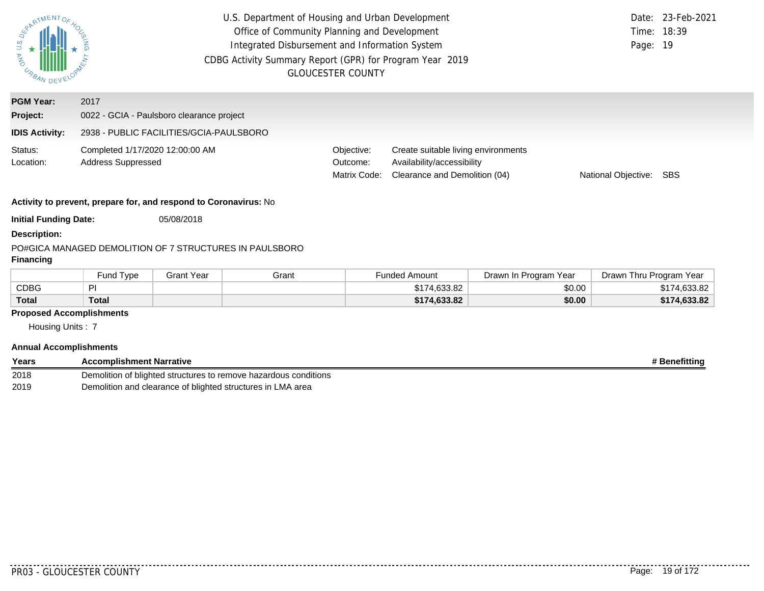| ERARTMENTOR.<br><b>STANADE</b> | U.S. Department of Housing and Urban Development<br>Office of Community Planning and Development<br>Integrated Disbursement and Information System<br>CDBG Activity Summary Report (GPR) for Program Year 2019<br><b>GLOUCESTER COUNTY</b> | Date:<br>Time: 18:39<br>Page: 19       | 23-Feb-2021                                                                                        |                     |            |
|--------------------------------|--------------------------------------------------------------------------------------------------------------------------------------------------------------------------------------------------------------------------------------------|----------------------------------------|----------------------------------------------------------------------------------------------------|---------------------|------------|
| <b>PGM Year:</b>               | 2017                                                                                                                                                                                                                                       |                                        |                                                                                                    |                     |            |
| Project:                       | 0022 - GCIA - Paulsboro clearance project                                                                                                                                                                                                  |                                        |                                                                                                    |                     |            |
| <b>IDIS Activity:</b>          | 2938 - PUBLIC FACILITIES/GCIA-PAULSBORO                                                                                                                                                                                                    |                                        |                                                                                                    |                     |            |
| Status:<br>Location:           | Completed 1/17/2020 12:00:00 AM<br><b>Address Suppressed</b>                                                                                                                                                                               | Objective:<br>Outcome:<br>Matrix Code: | Create suitable living environments<br>Availability/accessibility<br>Clearance and Demolition (04) | National Objective: | <b>SBS</b> |
|                                | Activity to prevent, prepare for, and respond to Coronavirus: No                                                                                                                                                                           |                                        |                                                                                                    |                     |            |
| <b>Initial Funding Date:</b>   | 05/08/2018                                                                                                                                                                                                                                 |                                        |                                                                                                    |                     |            |
| <b>Description:</b>            |                                                                                                                                                                                                                                            |                                        |                                                                                                    |                     |            |
| <b>Financing</b>               | PO#GICA MANAGED DEMOLITION OF 7 STRUCTURES IN PAULSBORO                                                                                                                                                                                    |                                        |                                                                                                    |                     |            |

|              | Fund Type | Grant Year | Grant | <b>Funded Amount</b> | Drawn In Program Year | Drawn Thru Program Year |
|--------------|-----------|------------|-------|----------------------|-----------------------|-------------------------|
| <b>CDBG</b>  | ∽         |            |       | \$174,633,82         | \$0.00                | \$174,633.82            |
| <b>Total</b> | Total     |            |       | \$174.633.82         | \$0.00                | \$174,633.82            |

# **Proposed Accomplishments**

Housing Units : 7

## **Annual Accomplishments**

| Years | <b>Accomplishment Narrative</b>                                  | # Benefitting |
|-------|------------------------------------------------------------------|---------------|
| 2018  | Demolition of blighted structures to remove hazardous conditions |               |
| 2019  | Demolition and clearance of blighted structures in LMA area      |               |

. . . . .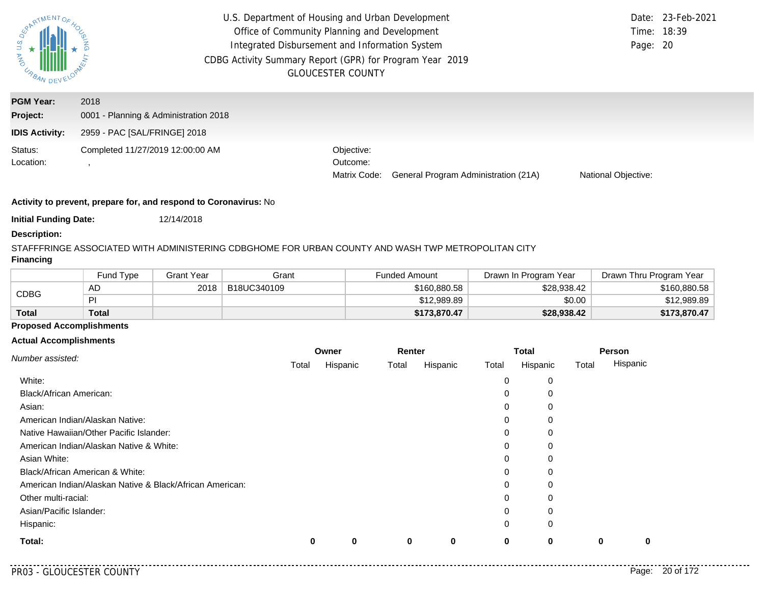| PARTMENTOR<br>S<br><b>MAG</b><br>URBAN DEV | U.S. Department of Housing and Urban Development<br>Office of Community Planning and Development<br>Integrated Disbursement and Information System<br>CDBG Activity Summary Report (GPR) for Program Year 2019 | <b>GLOUCESTER COUNTY</b>               |                                      | Page: 20                   | Date: 23-Feb-2021<br>Time: 18:39 |
|--------------------------------------------|----------------------------------------------------------------------------------------------------------------------------------------------------------------------------------------------------------------|----------------------------------------|--------------------------------------|----------------------------|----------------------------------|
| <b>PGM Year:</b><br>Project:               | 2018<br>0001 - Planning & Administration 2018                                                                                                                                                                  |                                        |                                      |                            |                                  |
| <b>IDIS Activity:</b>                      | 2959 - PAC [SAL/FRINGE] 2018                                                                                                                                                                                   |                                        |                                      |                            |                                  |
| Status:<br>Location:                       | Completed 11/27/2019 12:00:00 AM                                                                                                                                                                               | Objective:<br>Outcome:<br>Matrix Code: | General Program Administration (21A) | <b>National Objective:</b> |                                  |

**Initial Funding Date:** 12/14/2018

#### **Description:**

# STAFFFRINGE ASSOCIATED WITH ADMINISTERING CDBGHOME FOR URBAN COUNTY AND WASH TWP METROPOLITAN CITY

## **Financing**

|              | Fund Type    | Grant Year | Grant       | Funded Amount | Drawn In Program Year | Drawn Thru Program Year |
|--------------|--------------|------------|-------------|---------------|-----------------------|-------------------------|
|              | AD           | 2018       | B18UC340109 | \$160,880.58  | \$28,938.42           | \$160,880.58            |
| <b>CDBG</b>  | PI           |            |             | \$12,989.89   | \$0.00                | \$12,989.89             |
| <b>Total</b> | <b>Total</b> |            |             | \$173,870,47  | \$28,938.42           | \$173,870.47            |

## **Proposed Accomplishments**

### **Actual Accomplishments**

|                                                          |       | Owner    |       | Renter   |       | <b>Total</b> |       | Person   |  |
|----------------------------------------------------------|-------|----------|-------|----------|-------|--------------|-------|----------|--|
| Number assisted:                                         | Total | Hispanic | Total | Hispanic | Total | Hispanic     | Total | Hispanic |  |
| White:                                                   |       |          |       |          | 0     | 0            |       |          |  |
| <b>Black/African American:</b>                           |       |          |       |          | 0     | 0            |       |          |  |
| Asian:                                                   |       |          |       |          | 0     | 0            |       |          |  |
| American Indian/Alaskan Native:                          |       |          |       |          | 0     | 0            |       |          |  |
| Native Hawaiian/Other Pacific Islander:                  |       |          |       |          | 0     | 0            |       |          |  |
| American Indian/Alaskan Native & White:                  |       |          |       |          | 0     | 0            |       |          |  |
| Asian White:                                             |       |          |       |          | 0     | 0            |       |          |  |
| Black/African American & White:                          |       |          |       |          | 0     | 0            |       |          |  |
| American Indian/Alaskan Native & Black/African American: |       |          |       |          | 0     | 0            |       |          |  |
| Other multi-racial:                                      |       |          |       |          | 0     | 0            |       |          |  |
| Asian/Pacific Islander:                                  |       |          |       |          | 0     | 0            |       |          |  |
| Hispanic:                                                |       |          |       |          | 0     | $\mathbf 0$  |       |          |  |
| Total:                                                   | 0     | $\bf{0}$ | 0     | 0        | 0     | 0            | 0     | 0        |  |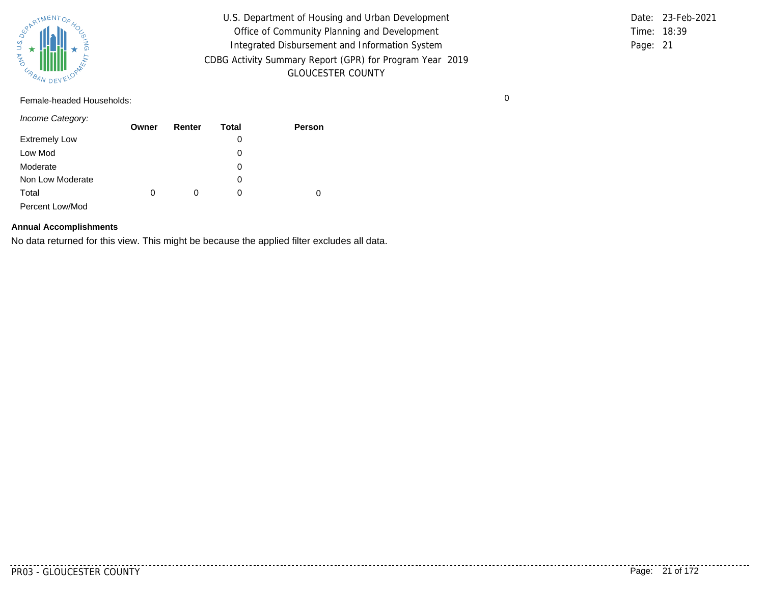

U.S. Department of Housing and Urban Development Office of Community Planning and Development Integrated Disbursement and Information System CDBG Activity Summary Report (GPR) for Program Year 2019 GLOUCESTER COUNTY

Time: 18:39 Page: 21 Date: 23-Feb-2021

Female-headed Households: 0

*Income Category:*

|                      | Owner | Renter | Total | <b>Person</b> |
|----------------------|-------|--------|-------|---------------|
| <b>Extremely Low</b> |       |        | 0     |               |
| Low Mod              |       |        | 0     |               |
| Moderate             |       |        | 0     |               |
| Non Low Moderate     |       |        | 0     |               |
| Total                | 0     | 0      | 0     | 0             |
| Percent Low/Mod      |       |        |       |               |

### **Annual Accomplishments**

No data returned for this view. This might be because the applied filter excludes all data.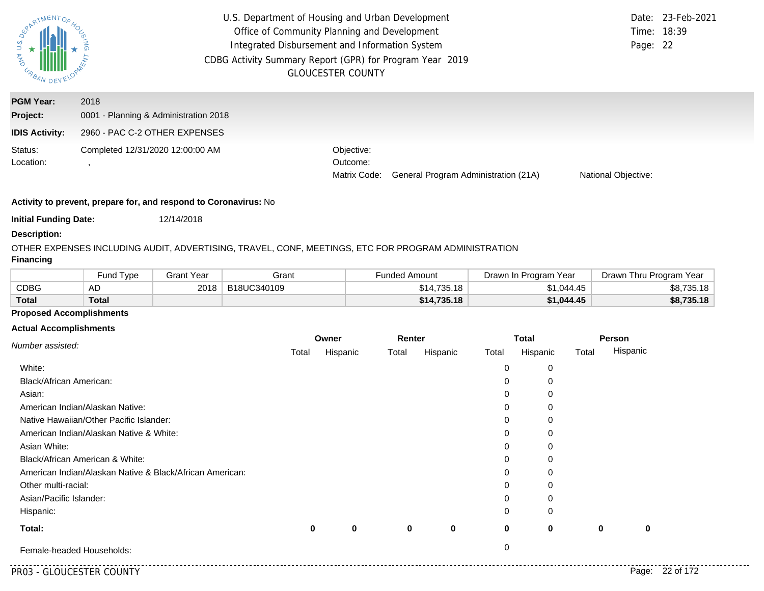| PARTMENTOR<br><b>AND</b><br>URBA. | U.S. Department of Housing and Urban Development<br>Office of Community Planning and Development<br>Integrated Disbursement and Information System<br>CDBG Activity Summary Report (GPR) for Program Year 2019 | <b>GLOUCESTER COUNTY</b>               |                                      | Page: 22                   | Date: 23-Feb-2021<br>Time: 18:39 |
|-----------------------------------|----------------------------------------------------------------------------------------------------------------------------------------------------------------------------------------------------------------|----------------------------------------|--------------------------------------|----------------------------|----------------------------------|
| <b>PGM Year:</b><br>Project:      | 2018<br>0001 - Planning & Administration 2018                                                                                                                                                                  |                                        |                                      |                            |                                  |
| <b>IDIS Activity:</b>             | 2960 - PAC C-2 OTHER EXPENSES                                                                                                                                                                                  |                                        |                                      |                            |                                  |
| Status:<br>Location:              | Completed 12/31/2020 12:00:00 AM                                                                                                                                                                               | Objective:<br>Outcome:<br>Matrix Code: | General Program Administration (21A) | <b>National Objective:</b> |                                  |

**Initial Funding Date:** 12/14/2018

#### **Description:**

# OTHER EXPENSES INCLUDING AUDIT, ADVERTISING, TRAVEL, CONF, MEETINGS, ETC FOR PROGRAM ADMINISTRATION

## **Financing**

|              | Fund Type | Grant Year | Grant       | Funded Amount | Drawn In Program Year | Drawn Thru Program Year |
|--------------|-----------|------------|-------------|---------------|-----------------------|-------------------------|
| <b>CDBG</b>  | AD        | 2018       | B18UC340109 | \$14.735.18   | \$1.044.45            | \$8,735.18              |
| <b>Total</b> | Total     |            |             | \$14,735.18   | \$1.044.45            | \$8,735.18              |

### **Proposed Accomplishments**

#### **Actual Accomplishments**

|                                                          | Owner |             |          | Renter      |             | <b>Total</b> |             | Person   |
|----------------------------------------------------------|-------|-------------|----------|-------------|-------------|--------------|-------------|----------|
| Number assisted:                                         | Total | Hispanic    | Total    | Hispanic    | Total       | Hispanic     | Total       | Hispanic |
| White:                                                   |       |             |          |             | 0           | 0            |             |          |
| Black/African American:                                  |       |             |          |             | 0           | 0            |             |          |
| Asian:                                                   |       |             |          |             | 0           | 0            |             |          |
| American Indian/Alaskan Native:                          |       |             |          |             | 0           | $\Omega$     |             |          |
| Native Hawaiian/Other Pacific Islander:                  |       |             |          |             | 0           | 0            |             |          |
| American Indian/Alaskan Native & White:                  |       |             |          |             | 0           | $\Omega$     |             |          |
| Asian White:                                             |       |             |          |             | 0           | 0            |             |          |
| Black/African American & White:                          |       |             |          |             | $\Omega$    | $\Omega$     |             |          |
| American Indian/Alaskan Native & Black/African American: |       |             |          |             | 0           | 0            |             |          |
| Other multi-racial:                                      |       |             |          |             | 0           | 0            |             |          |
| Asian/Pacific Islander:                                  |       |             |          |             | 0           | 0            |             |          |
| Hispanic:                                                |       |             |          |             | 0           | 0            |             |          |
| Total:                                                   | 0     | $\mathbf 0$ | $\bf{0}$ | $\mathbf 0$ | $\mathbf 0$ | $\bf{0}$     | $\mathbf 0$ | $\bf{0}$ |
| Female-headed Households:                                |       |             |          |             | $\mathbf 0$ |              |             |          |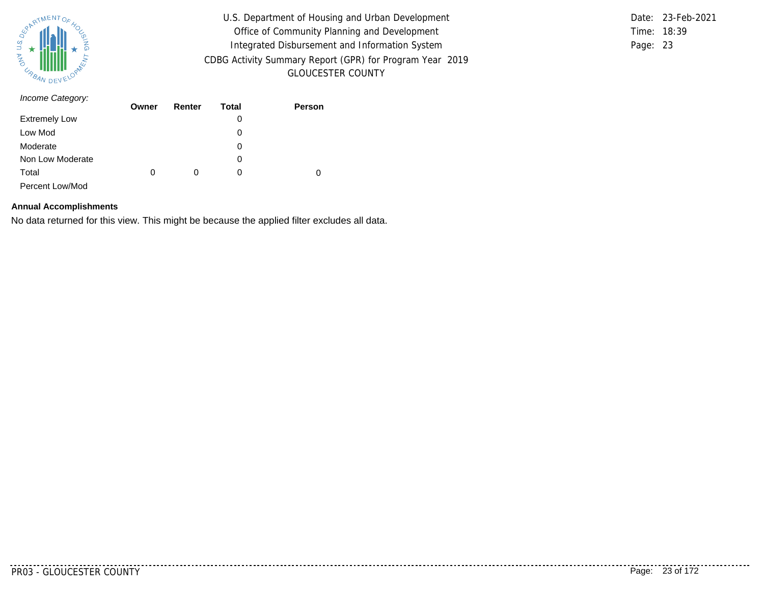

U.S. Department of Housing and Urban Development Office of Community Planning and Development Integrated Disbursement and Information System CDBG Activity Summary Report (GPR) for Program Year 2019 GLOUCESTER COUNTY

Time: 18:39 Page: 23 Date: 23-Feb-2021

| Income Category:     | Owner | Renter | Total | Person |
|----------------------|-------|--------|-------|--------|
|                      |       |        |       |        |
| <b>Extremely Low</b> |       |        | 0     |        |
| Low Mod              |       |        | 0     |        |
| Moderate             |       |        | 0     |        |
| Non Low Moderate     |       |        | 0     |        |
| Total                | 0     | 0      | 0     | 0      |
| Percent Low/Mod      |       |        |       |        |

#### **Annual Accomplishments**

No data returned for this view. This might be because the applied filter excludes all data.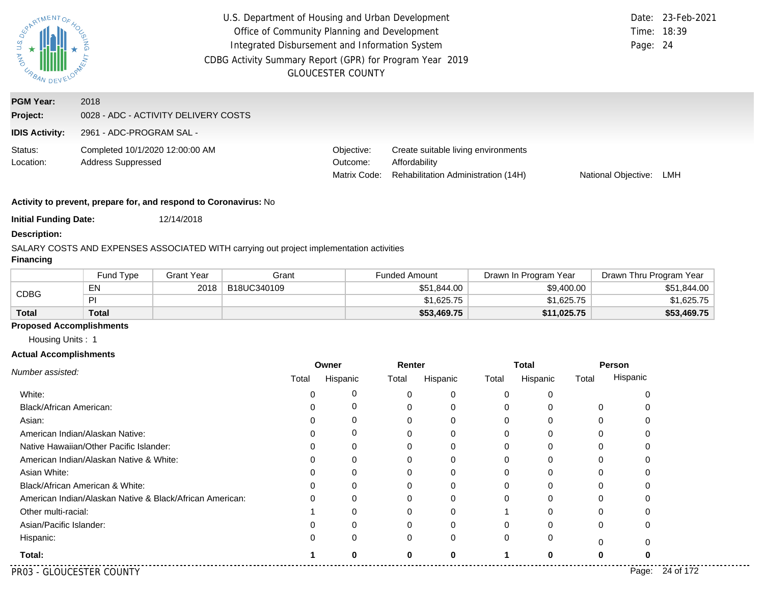| U.S. DE<br><b>AS IMPRANDE.</b>                        | U.S. Department of Housing and Urban Development<br>Office of Community Planning and Development<br>Integrated Disbursement and Information System<br>CDBG Activity Summary Report (GPR) for Program Year 2019<br><b>GLOUCESTER COUNTY</b> |                                        |                                                                                             |                            |     |
|-------------------------------------------------------|--------------------------------------------------------------------------------------------------------------------------------------------------------------------------------------------------------------------------------------------|----------------------------------------|---------------------------------------------------------------------------------------------|----------------------------|-----|
| <b>PGM Year:</b><br>Project:<br><b>IDIS Activity:</b> | 2018<br>0028 - ADC - ACTIVITY DELIVERY COSTS<br>2961 - ADC-PROGRAM SAL -                                                                                                                                                                   |                                        |                                                                                             |                            |     |
| Status:<br>Location:                                  | Completed 10/1/2020 12:00:00 AM<br><b>Address Suppressed</b>                                                                                                                                                                               | Objective:<br>Outcome:<br>Matrix Code: | Create suitable living environments<br>Affordability<br>Rehabilitation Administration (14H) | <b>National Objective:</b> | LMH |

**Initial Funding Date:** 12/14/2018

### **Description:**

SALARY COSTS AND EXPENSES ASSOCIATED WITH carrying out project implementation activities

## **Financing**

|              | Fund Type | <b>Grant Year</b> | Grant       | <b>Funded Amount</b> | Drawn In Program Year | Drawn Thru Program Year |
|--------------|-----------|-------------------|-------------|----------------------|-----------------------|-------------------------|
|              | EN        | 2018              | B18UC340109 | \$51.844.00          | \$9,400.00            | \$51,844.00             |
| CDBG         | PI        |                   |             | \$1,625.75           | \$1,625.75            | \$1,625.75              |
| <b>Total</b> | Total     |                   |             | \$53,469.75          | \$11,025.75           | \$53,469.75             |

# **Proposed Accomplishments**

Housing Units : 1

#### **Actual Accomplishments**

| Number assisted:                                         | Owner |          | Renter   |          | <b>Total</b> |          | Person |          |
|----------------------------------------------------------|-------|----------|----------|----------|--------------|----------|--------|----------|
|                                                          | Total | Hispanic | Total    | Hispanic | Total        | Hispanic | Total  | Hispanic |
| White:                                                   |       | 0        |          |          |              |          |        |          |
| Black/African American:                                  |       | 0        |          |          |              |          | 0      |          |
| Asian:                                                   |       |          |          |          |              |          |        |          |
| American Indian/Alaskan Native:                          |       | 0        |          |          |              |          |        |          |
| Native Hawaiian/Other Pacific Islander:                  |       |          |          |          |              |          |        |          |
| American Indian/Alaskan Native & White:                  |       | 0        |          |          |              |          |        |          |
| Asian White:                                             |       |          |          |          |              |          |        |          |
| Black/African American & White:                          |       |          |          |          |              |          |        |          |
| American Indian/Alaskan Native & Black/African American: |       | 0        |          |          |              |          |        |          |
| Other multi-racial:                                      |       |          |          |          |              |          |        |          |
| Asian/Pacific Islander:                                  |       |          |          |          |              |          |        |          |
| Hispanic:                                                |       | 0        |          |          |              |          |        |          |
| Total:                                                   |       | 0        | $\Omega$ |          |              |          |        |          |

PR03 - GLOUCESTER COUNTY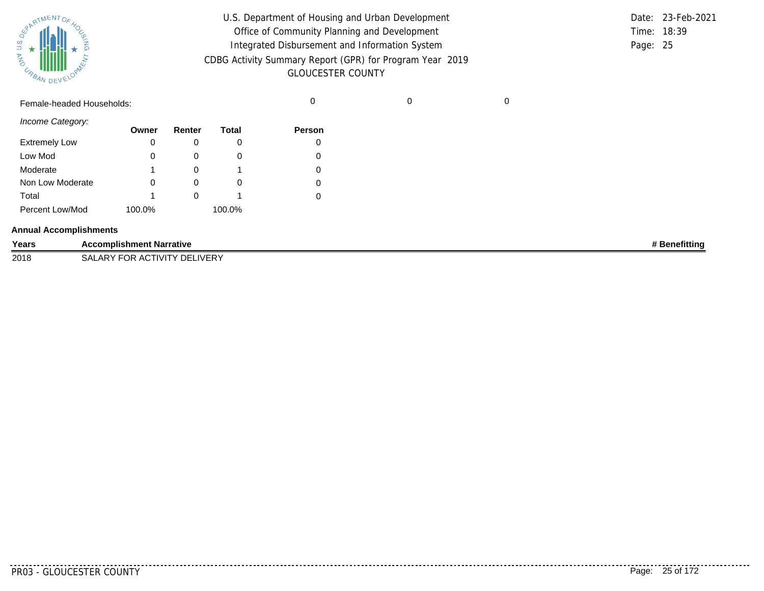| SUPATMENTOF HOL |           |
|-----------------|-----------|
| 气<br>URBAN      | DEVELOPAN |

| U.S. Department of Housing and Urban Development         |             | Date: 23-Feb-2021 |
|----------------------------------------------------------|-------------|-------------------|
| Office of Community Planning and Development             | Time: 18:39 |                   |
| Integrated Disbursement and Information System           | Page: 25    |                   |
| CDBG Activity Summary Report (GPR) for Program Year 2019 |             |                   |
| <b>GLOUCESTER COUNTY</b>                                 |             |                   |

|                      | Female-headed Households:       |        |        |              | 0             | 0 |               |
|----------------------|---------------------------------|--------|--------|--------------|---------------|---|---------------|
| Income Category:     |                                 | Owner  | Renter | <b>Total</b> | <b>Person</b> |   |               |
| <b>Extremely Low</b> |                                 | 0      | 0      | 0            | 0             |   |               |
| Low Mod              |                                 | 0      | 0      | $\mathbf 0$  | 0             |   |               |
| Moderate             |                                 |        | 0      |              | 0             |   |               |
| Non Low Moderate     |                                 | 0      | 0      | $\mathbf 0$  | 0             |   |               |
| Total                |                                 |        | 0      |              | 0             |   |               |
| Percent Low/Mod      |                                 | 100.0% |        | 100.0%       |               |   |               |
|                      | <b>Annual Accomplishments</b>   |        |        |              |               |   |               |
| Years                | <b>Accomplishment Narrative</b> |        |        |              |               |   | # Benefitting |
| 2018                 | SALARY FOR ACTIVITY DELIVERY    |        |        |              |               |   |               |

PR03 - GLOUCESTER COUNTY Page: 25 of 172

. <u>. . . . . . .</u> .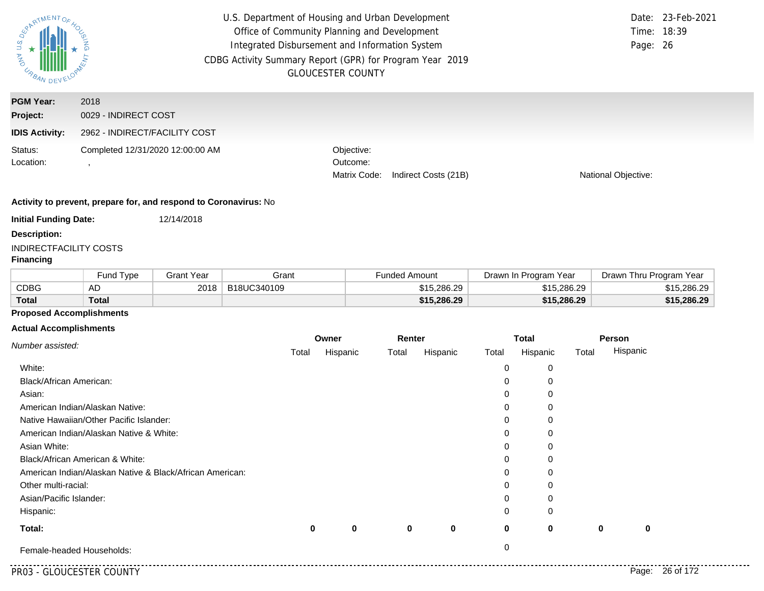| us <sub>De</sub><br>AND URBAN | U.S. Department of Housing and Urban Development<br>Office of Community Planning and Development<br>Integrated Disbursement and Information System<br>CDBG Activity Summary Report (GPR) for Program Year 2019<br><b>GLOUCESTER COUNTY</b> | Date: 23-Feb-2021<br>Time: 18:39<br>Page: 26                   |                     |
|-------------------------------|--------------------------------------------------------------------------------------------------------------------------------------------------------------------------------------------------------------------------------------------|----------------------------------------------------------------|---------------------|
| <b>PGM Year:</b>              | 2018                                                                                                                                                                                                                                       |                                                                |                     |
| Project:                      | 0029 - INDIRECT COST                                                                                                                                                                                                                       |                                                                |                     |
| <b>IDIS Activity:</b>         | 2962 - INDIRECT/FACILITY COST                                                                                                                                                                                                              |                                                                |                     |
| Status:<br>Location:          | Completed 12/31/2020 12:00:00 AM                                                                                                                                                                                                           | Objective:<br>Outcome:<br>Matrix Code:<br>Indirect Costs (21B) | National Objective: |

**Initial Funding Date:** 12/14/2018

| <b>Initial Funding Date:</b> |  |
|------------------------------|--|
|------------------------------|--|

**Description:**

## INDIRECTFACILITY COSTS

## **Financing**

|              | Fund Type    | <b>Grant Year</b> | Grant       | Funded Amount | Drawn In Program Year | Drawn Thru Program Year |
|--------------|--------------|-------------------|-------------|---------------|-----------------------|-------------------------|
| CDBG         | AD           | 2018              | B18UC340109 | \$15,286,29   | \$15,286.29           | \$15,286.29             |
| <b>Total</b> | <b>Total</b> |                   |             | \$15,286.29   | \$15,286.29           | \$15,286.29             |

## **Proposed Accomplishments**

#### **Actual Accomplishments**

| Number assisted:                                         |       | Owner    | Renter |          | <b>Total</b> |          |       | Person   |
|----------------------------------------------------------|-------|----------|--------|----------|--------------|----------|-------|----------|
|                                                          | Total | Hispanic | Total  | Hispanic | Total        | Hispanic | Total | Hispanic |
| White:                                                   |       |          |        |          | 0            | 0        |       |          |
| <b>Black/African American:</b>                           |       |          |        |          | 0            | 0        |       |          |
| Asian:                                                   |       |          |        |          | 0            |          |       |          |
| American Indian/Alaskan Native:                          |       |          |        |          | 0            |          |       |          |
| Native Hawaiian/Other Pacific Islander:                  |       |          |        |          | 0            |          |       |          |
| American Indian/Alaskan Native & White:                  |       |          |        |          | 0            |          |       |          |
| Asian White:                                             |       |          |        |          | 0            |          |       |          |
| Black/African American & White:                          |       |          |        |          | 0            | C        |       |          |
| American Indian/Alaskan Native & Black/African American: |       |          |        |          | 0            | O        |       |          |
| Other multi-racial:                                      |       |          |        |          | 0            | 0        |       |          |
| Asian/Pacific Islander:                                  |       |          |        |          | 0            |          |       |          |
| Hispanic:                                                |       |          |        |          | 0            | $\Omega$ |       |          |
| Total:                                                   | 0     | 0        | 0      | 0        | 0            | 0        | 0     | 0        |
| Female-headed Households:                                |       |          |        |          | 0            |          |       |          |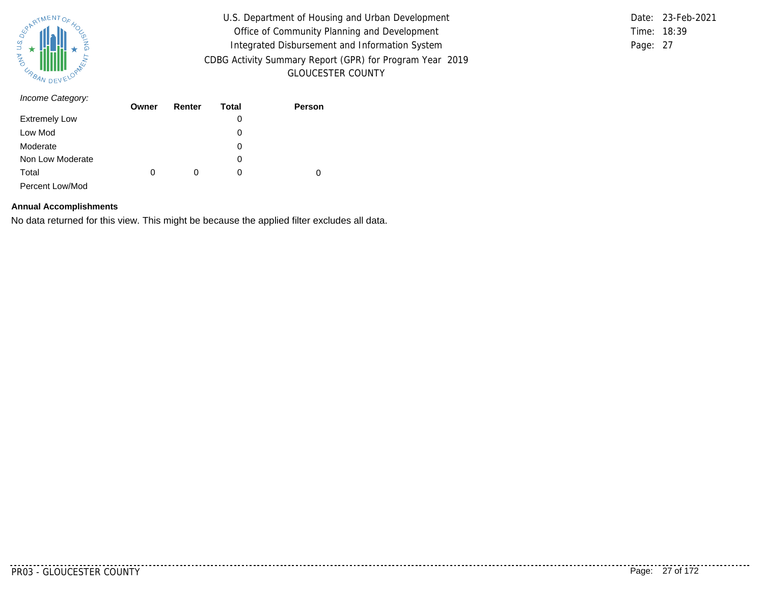

U.S. Department of Housing and Urban Development Office of Community Planning and Development Integrated Disbursement and Information System CDBG Activity Summary Report (GPR) for Program Year 2019 GLOUCESTER COUNTY

Time: 18:39 Page: 27 Date: 23-Feb-2021

| Income Category:     | Owner | Renter | Total | Person |
|----------------------|-------|--------|-------|--------|
|                      |       |        |       |        |
| <b>Extremely Low</b> |       |        | 0     |        |
| Low Mod              |       |        | 0     |        |
| Moderate             |       |        | 0     |        |
| Non Low Moderate     |       |        | 0     |        |
| Total                | 0     | 0      | 0     | 0      |
| Percent Low/Mod      |       |        |       |        |

#### **Annual Accomplishments**

No data returned for this view. This might be because the applied filter excludes all data.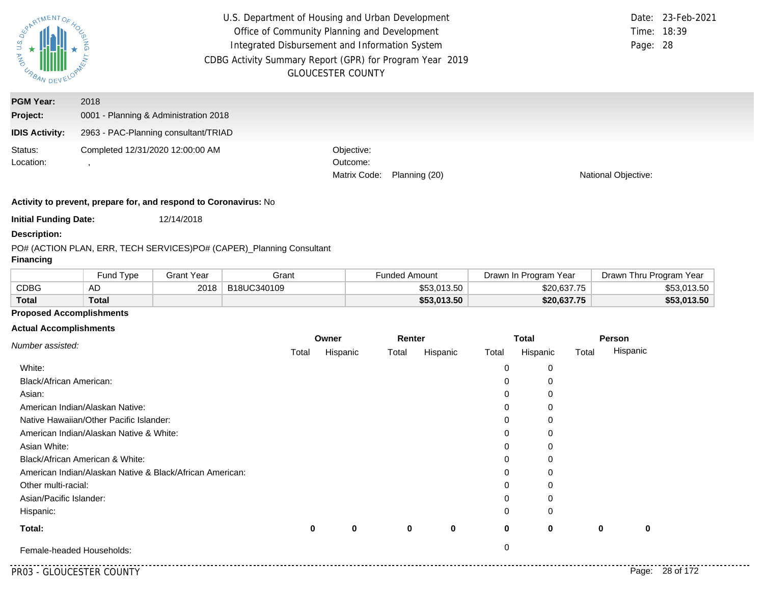| $\overline{a}$<br><b>PASSING BANDE</b>                | U.S. Department of Housing and Urban Development<br>Office of Community Planning and Development<br>Integrated Disbursement and Information System<br>CDBG Activity Summary Report (GPR) for Program Year 2019 | <b>GLOUCESTER COUNTY</b>               |               |                            | Date: 23-Feb-2021<br>Time: 18:39<br>Page: 28 |
|-------------------------------------------------------|----------------------------------------------------------------------------------------------------------------------------------------------------------------------------------------------------------------|----------------------------------------|---------------|----------------------------|----------------------------------------------|
| <b>PGM Year:</b><br>Project:<br><b>IDIS Activity:</b> | 2018<br>0001 - Planning & Administration 2018<br>2963 - PAC-Planning consultant/TRIAD                                                                                                                          |                                        |               |                            |                                              |
| Status:<br>Location:                                  | Completed 12/31/2020 12:00:00 AM                                                                                                                                                                               | Objective:<br>Outcome:<br>Matrix Code: | Planning (20) | <b>National Objective:</b> |                                              |

**Initial Funding Date:** 12/14/2018

## **Description:**

#### PO# (ACTION PLAN, ERR, TECH SERVICES)
PO# (CAPER)\_
Planning Consultant

## **Financing**

|              | Fund Type | Grant Year | Grant       | <b>Funded Amount</b> | Drawn In Program Year | Drawn Thru Program Year |
|--------------|-----------|------------|-------------|----------------------|-----------------------|-------------------------|
| CDBG         | AD        | 2018       | B18UC340109 | \$53.013.50          | \$20,637.75           | \$53,013.50             |
| <b>Total</b> | Total     |            |             | \$53,013.50          | \$20,637.75           | \$53,013.50             |

## **Proposed Accomplishments**

#### **Actual Accomplishments**

| Number assisted:                                         |       | Owner    | Renter |          | <b>Total</b> |          |       | Person   |
|----------------------------------------------------------|-------|----------|--------|----------|--------------|----------|-------|----------|
|                                                          | Total | Hispanic | Total  | Hispanic | Total        | Hispanic | Total | Hispanic |
| White:                                                   |       |          |        |          | 0            | 0        |       |          |
| <b>Black/African American:</b>                           |       |          |        |          | 0            | 0        |       |          |
| Asian:                                                   |       |          |        |          | 0            |          |       |          |
| American Indian/Alaskan Native:                          |       |          |        |          | 0            |          |       |          |
| Native Hawaiian/Other Pacific Islander:                  |       |          |        |          | 0            |          |       |          |
| American Indian/Alaskan Native & White:                  |       |          |        |          | 0            |          |       |          |
| Asian White:                                             |       |          |        |          | 0            |          |       |          |
| Black/African American & White:                          |       |          |        |          | 0            | C        |       |          |
| American Indian/Alaskan Native & Black/African American: |       |          |        |          | 0            | O        |       |          |
| Other multi-racial:                                      |       |          |        |          | 0            | 0        |       |          |
| Asian/Pacific Islander:                                  |       |          |        |          | 0            |          |       |          |
| Hispanic:                                                |       |          |        |          | 0            | $\Omega$ |       |          |
| Total:                                                   | 0     | 0        | 0      | 0        | 0            | 0        | 0     | 0        |
| Female-headed Households:                                |       |          |        |          | 0            |          |       |          |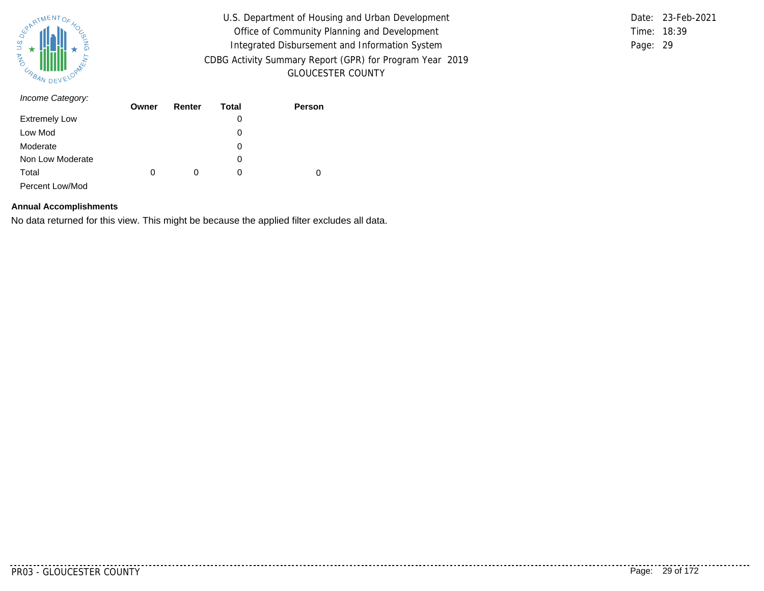

U.S. Department of Housing and Urban Development Office of Community Planning and Development Integrated Disbursement and Information System CDBG Activity Summary Report (GPR) for Program Year 2019 GLOUCESTER COUNTY

Time: 18:39 Page: 29 Date: 23-Feb-2021

| Income Category:     | Owner | Renter | Total | Person |
|----------------------|-------|--------|-------|--------|
|                      |       |        |       |        |
| <b>Extremely Low</b> |       |        | 0     |        |
| Low Mod              |       |        | 0     |        |
| Moderate             |       |        | 0     |        |
| Non Low Moderate     |       |        | 0     |        |
| Total                | 0     | 0      | 0     | 0      |
| Percent Low/Mod      |       |        |       |        |

#### **Annual Accomplishments**

No data returned for this view. This might be because the applied filter excludes all data.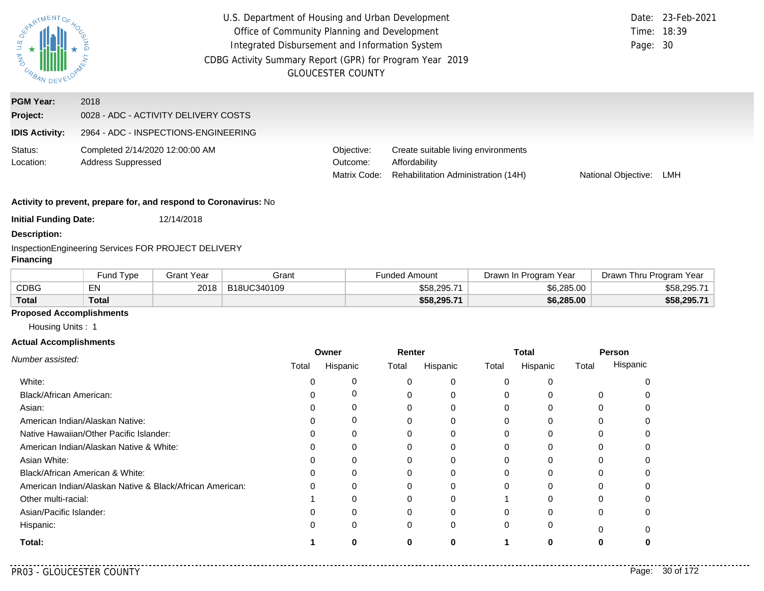| RARTMENTOR.<br>US DE ARBAN                            |                                                                                      | U.S. Department of Housing and Urban Development<br>Office of Community Planning and Development<br>Integrated Disbursement and Information System<br>Page: 30<br>CDBG Activity Summary Report (GPR) for Program Year 2019<br><b>GLOUCESTER COUNTY</b> |                                                                                             |                     |     |  |  |
|-------------------------------------------------------|--------------------------------------------------------------------------------------|--------------------------------------------------------------------------------------------------------------------------------------------------------------------------------------------------------------------------------------------------------|---------------------------------------------------------------------------------------------|---------------------|-----|--|--|
| <b>PGM Year:</b><br>Project:<br><b>IDIS Activity:</b> | 2018<br>0028 - ADC - ACTIVITY DELIVERY COSTS<br>2964 - ADC - INSPECTIONS-ENGINEERING |                                                                                                                                                                                                                                                        |                                                                                             |                     |     |  |  |
| Status:<br>Location:                                  | Completed 2/14/2020 12:00:00 AM<br><b>Address Suppressed</b>                         | Objective:<br>Outcome:<br>Matrix Code:                                                                                                                                                                                                                 | Create suitable living environments<br>Affordability<br>Rehabilitation Administration (14H) | National Objective: | LMH |  |  |
|                                                       | Activity to prevent, prepare for, and respond to Coronavirus: No                     |                                                                                                                                                                                                                                                        |                                                                                             |                     |     |  |  |

**Initial Funding Date:** 12/14/2018

**Description:**

InspectionEngineering Services FOR PROJECT DELIVERY

## **Financing**

|              | <b>Fund Type</b> | Grant Year | Grant       | <b>Funded Amount</b> | Drawn In Program Year | Drawn Thru Program Year |
|--------------|------------------|------------|-------------|----------------------|-----------------------|-------------------------|
| CDBG         | EN               | 2018       | B18UC340109 | $$58,295.7^{\circ}$  | \$6,285.00            | \$58,295.71             |
| <b>Total</b> | Total            |            |             | \$58,295.71          | \$6,285.00            | \$58,295.71             |

# **Proposed Accomplishments**

Housing Units : 1

### **Actual Accomplishments**

|                                                          | Owner |             | Renter |          | <b>Total</b> |              | Person |          |
|----------------------------------------------------------|-------|-------------|--------|----------|--------------|--------------|--------|----------|
| Number assisted:                                         | Total | Hispanic    | Total  | Hispanic | Total        | Hispanic     | Total  | Hispanic |
| White:                                                   |       | 0           |        | 0        | $\Omega$     |              |        |          |
| Black/African American:                                  |       | $\mathbf 0$ |        | $\Omega$ | $\Omega$     |              |        |          |
| Asian:                                                   |       | 0           |        | 0        | $\Omega$     | U            | 0      |          |
| American Indian/Alaskan Native:                          |       | 0           |        | $\Omega$ | 0            | $\Omega$     |        |          |
| Native Hawaiian/Other Pacific Islander:                  |       | 0           |        |          | 0            |              |        |          |
| American Indian/Alaskan Native & White:                  |       | 0           |        | $\Omega$ | $\Omega$     | $\Omega$     | 0      |          |
| Asian White:                                             |       | 0           |        |          | 0            |              |        |          |
| Black/African American & White:                          |       | 0           |        |          | $\Omega$     |              |        |          |
| American Indian/Alaskan Native & Black/African American: |       | $\Omega$    |        | $\Omega$ | $\Omega$     | <sup>0</sup> |        |          |
| Other multi-racial:                                      |       |             |        |          |              |              |        |          |
| Asian/Pacific Islander:                                  |       | 0           |        | $\Omega$ | $\Omega$     | O            | 0      |          |
| Hispanic:                                                |       | $\Omega$    | 0      | 0        | $\Omega$     | 0            | ŋ      |          |
| Total:                                                   |       |             | ŋ      |          |              | n            |        |          |

..........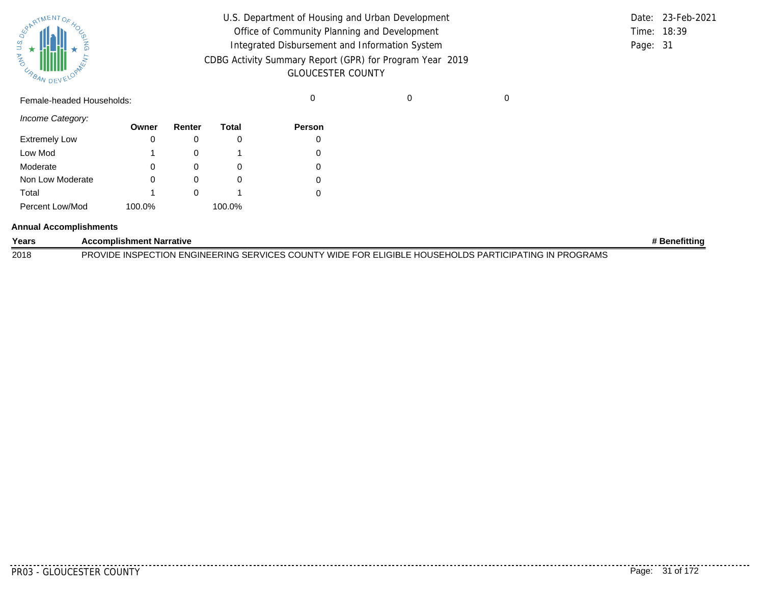| SUPATMENTOF HOL |           |  |
|-----------------|-----------|--|
| URBAN           | DEVELOPAL |  |

| U.S. Department of Housing and Urban Development                                     |          | Date: 23-Feb-2021 |
|--------------------------------------------------------------------------------------|----------|-------------------|
| Office of Community Planning and Development                                         |          | Time: 18:39       |
| Integrated Disbursement and Information System                                       | Page: 31 |                   |
| CDBG Activity Summary Report (GPR) for Program Year 2019<br><b>GLOUCESTER COUNTY</b> |          |                   |

Female-headed Households: 0 0 0

*Income Category:*

|                      | Owner  | Renter | Total  | <b>Person</b> |
|----------------------|--------|--------|--------|---------------|
| <b>Extremely Low</b> | 0      |        |        |               |
| Low Mod              |        |        |        |               |
| Moderate             | 0      | O)     | O      |               |
| Non Low Moderate     | 0      |        | 0      |               |
| Total                |        |        |        |               |
| Percent Low/Mod      | 100.0% |        | 100.0% |               |

#### **Annual Accomplishments**

| Years | <b>Accomplishment Narrative</b>                                                                       | ⊧ Benefittino |
|-------|-------------------------------------------------------------------------------------------------------|---------------|
| 2018  | PROVIDE INSPECTION ENGINEERING SERVICES COUNTY WIDE FOR ELIGIBLE HOUSEHOLDS PARTICIPATING IN PROGRAMS |               |

PR03 - GLOUCESTER COUNTY Page: 31 of 172

. . . . . . . .

..........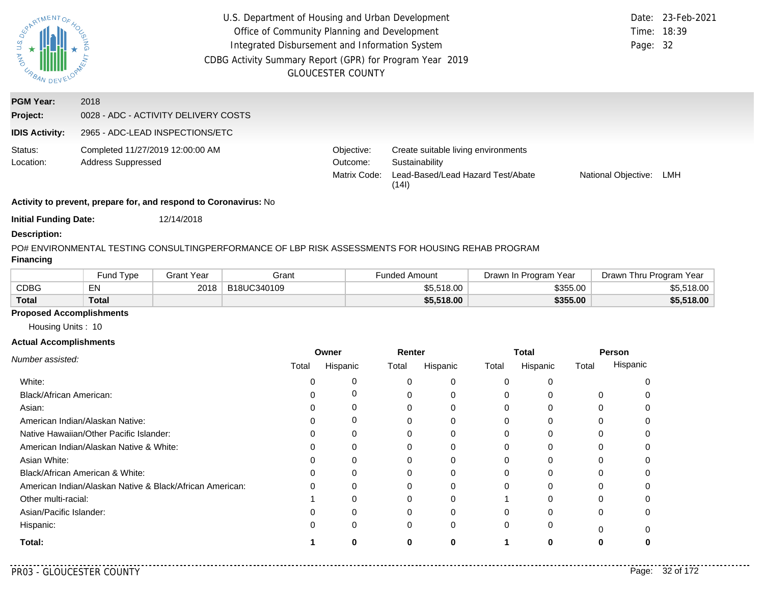| $\overline{a}$<br>AND<br>URBAN DEV                    | U.S. Department of Housing and Urban Development<br>Office of Community Planning and Development<br>Integrated Disbursement and Information System<br>CDBG Activity Summary Report (GPR) for Program Year 2019<br><b>GLOUCESTER COUNTY</b> | Page: 32                               | Date: 23-Feb-2021<br>Time: 18:39                                                                    |                     |     |
|-------------------------------------------------------|--------------------------------------------------------------------------------------------------------------------------------------------------------------------------------------------------------------------------------------------|----------------------------------------|-----------------------------------------------------------------------------------------------------|---------------------|-----|
| <b>PGM Year:</b><br>Project:<br><b>IDIS Activity:</b> | 2018<br>0028 - ADC - ACTIVITY DELIVERY COSTS<br>2965 - ADC-LEAD INSPECTIONS/ETC                                                                                                                                                            |                                        |                                                                                                     |                     |     |
| Status:<br>Location:                                  | Completed 11/27/2019 12:00:00 AM<br><b>Address Suppressed</b>                                                                                                                                                                              | Objective:<br>Outcome:<br>Matrix Code: | Create suitable living environments<br>Sustainability<br>Lead-Based/Lead Hazard Test/Abate<br>(141) | National Objective: | LMH |
|                                                       | Activity to prevent, prepare for, and respond to Coronavirus: No                                                                                                                                                                           |                                        |                                                                                                     |                     |     |

**Initial Funding Date:** 12/14/2018

#### **Description:**

PO# ENVIRONMENTAL TESTING CONSULTINGPERFORMANCE OF LBP RISK ASSESSMENTS FOR HOUSING REHAB PROGRAM

## **Financing**

|              | Fund Type | Grant Year | Grant       | Funded Amount | Drawn In Program Year | Drawn Thru Program Year |
|--------------|-----------|------------|-------------|---------------|-----------------------|-------------------------|
| <b>CDBG</b>  | EN        | 2018       | B18UC340109 | \$5,518.00    | \$355.00              | \$5,518.00              |
| <b>Total</b> | Total     |            |             | \$5,518.00    | \$355.00              | \$5,518.00              |

# **Proposed Accomplishments**

Housing Units : 10

### **Actual Accomplishments**

|                                                          | Owner |          | Renter |          | <b>Total</b> |              | Person   |          |
|----------------------------------------------------------|-------|----------|--------|----------|--------------|--------------|----------|----------|
| Number assisted:                                         | Total | Hispanic | Total  | Hispanic | Total        | Hispanic     | Total    | Hispanic |
| White:                                                   |       | 0        |        | 0        | $\Omega$     |              |          |          |
| Black/African American:                                  |       | 0        |        | $\Omega$ | $\Omega$     |              | 0        |          |
| Asian:                                                   |       | 0        |        |          | $\Omega$     |              | 0        |          |
| American Indian/Alaskan Native:                          |       | 0        |        | $\Omega$ | $\Omega$     | $\Omega$     |          |          |
| Native Hawaiian/Other Pacific Islander:                  |       | $\Omega$ |        |          | 0            |              |          |          |
| American Indian/Alaskan Native & White:                  |       | 0        |        | 0        | $\Omega$     | 0            | 0        |          |
| Asian White:                                             |       | 0        |        |          | 0            |              |          |          |
| Black/African American & White:                          |       | 0        |        |          | 0            |              |          |          |
| American Indian/Alaskan Native & Black/African American: |       | $\Omega$ |        | ∩        | $\Omega$     | <sup>0</sup> | 0        |          |
| Other multi-racial:                                      |       | O        |        |          |              |              |          |          |
| Asian/Pacific Islander:                                  |       | 0        |        | O        | $\Omega$     |              | 0        |          |
| Hispanic:                                                |       | $\Omega$ | 0      | 0        | $\Omega$     | 0            | $\Omega$ |          |
| Total:                                                   |       | ი        | ŋ      | O        |              |              |          |          |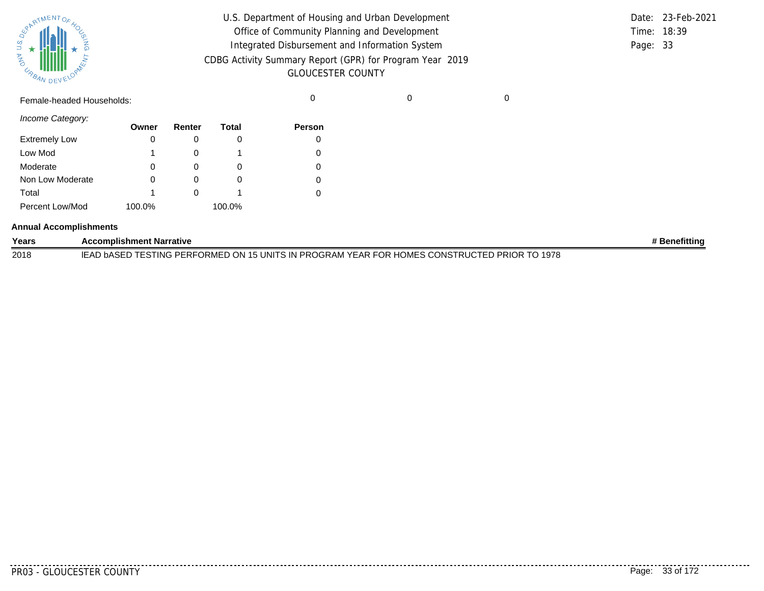| SURATMENTOFAOL    |           |  |
|-------------------|-----------|--|
| S.T<br><b>MAG</b> |           |  |
| URBAN             | DEVELOPAN |  |

| U.S. Department of Housing and Urban Development         |          | Date: 23-Feb-2021 |
|----------------------------------------------------------|----------|-------------------|
| Office of Community Planning and Development             |          | Time: 18:39       |
| Integrated Disbursement and Information System           | Page: 33 |                   |
| CDBG Activity Summary Report (GPR) for Program Year 2019 |          |                   |
| <b>GLOUCESTER COUNTY</b>                                 |          |                   |

Female-headed Households: 0 0 0

*Income Category:*

|                      | Owner  | Renter | Total  | <b>Person</b> |
|----------------------|--------|--------|--------|---------------|
| <b>Extremely Low</b> | 0      |        |        |               |
| Low Mod              | 1      |        |        |               |
| Moderate             | 0      |        |        |               |
| Non Low Moderate     | 0      |        |        |               |
| Total                | 1      |        |        |               |
| Percent Low/Mod      | 100.0% |        | 100.0% |               |

#### **Annual Accomplishments**

| Years | <b>Accomplishment Narrative</b>                                                              | <b>Benefitting</b> |
|-------|----------------------------------------------------------------------------------------------|--------------------|
| 2018  | IEAD bASED TESTING PERFORMED ON 15 UNITS IN PROGRAM YEAR FOR HOMES CONSTRUCTED PRIOR TO 1978 |                    |

..........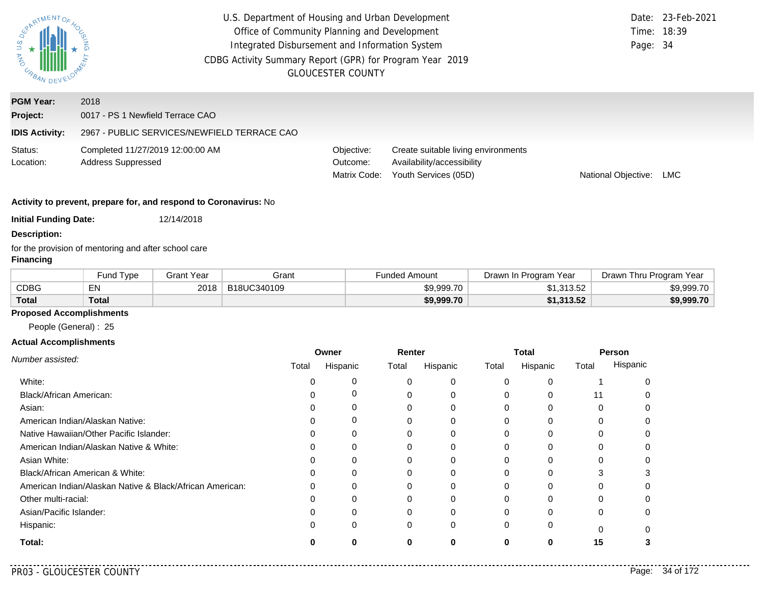| ARTMENTOR<br>URR                        | U.S. Department of Housing and Urban Development<br>Office of Community Planning and Development<br>Integrated Disbursement and Information System<br>CDBG Activity Summary Report (GPR) for Program Year 2019<br><b>GLOUCESTER COUNTY</b> |                                        |                                                                                           |                     | 23-Feb-2021<br>18:39<br>Page: 34 |
|-----------------------------------------|--------------------------------------------------------------------------------------------------------------------------------------------------------------------------------------------------------------------------------------------|----------------------------------------|-------------------------------------------------------------------------------------------|---------------------|----------------------------------|
| <b>PGM Year:</b><br>Project:            | 2018<br>0017 - PS 1 Newfield Terrace CAO                                                                                                                                                                                                   |                                        |                                                                                           |                     |                                  |
| <b>IDIS Activity:</b>                   | 2967 - PUBLIC SERVICES/NEWFIELD TERRACE CAO                                                                                                                                                                                                |                                        |                                                                                           |                     |                                  |
| Status:<br>Location:                    | Completed 11/27/2019 12:00:00 AM<br><b>Address Suppressed</b>                                                                                                                                                                              | Objective:<br>Outcome:<br>Matrix Code: | Create suitable living environments<br>Availability/accessibility<br>Youth Services (05D) | National Objective: | <b>LMC</b>                       |
|                                         | Activity to prevent, prepare for, and respond to Coronavirus: No                                                                                                                                                                           |                                        |                                                                                           |                     |                                  |
| <b>Initial Funding Date:</b>            | 12/14/2018                                                                                                                                                                                                                                 |                                        |                                                                                           |                     |                                  |
| <b>Description:</b><br><b>Financing</b> | for the provision of mentoring and after school care                                                                                                                                                                                       |                                        |                                                                                           |                     |                                  |

|              | Fund Type | Grant Year | Grant       | <b>Funded Amount</b> | Drawn In Program Year | Drawn Thru Program Year |
|--------------|-----------|------------|-------------|----------------------|-----------------------|-------------------------|
| <b>CDBG</b>  | EN        | 2018       | B18UC340109 | \$9.999.70           | \$1,313.52            | \$9,999.70              |
| <b>Total</b> | Total     |            |             | \$9,999.70           | \$1,313.52            | \$9,999.70              |

# **Proposed Accomplishments**

People (General) : 25

## **Actual Accomplishments**

|                                                          | Owner |          | Renter |          | <b>Total</b> |          | Person   |          |
|----------------------------------------------------------|-------|----------|--------|----------|--------------|----------|----------|----------|
| Number assisted:                                         | Total | Hispanic | Total  | Hispanic | Total        | Hispanic | Total    | Hispanic |
| White:                                                   |       | 0        | 0      | 0        | 0            | 0        |          |          |
| Black/African American:                                  |       | 0        | 0      | 0        | 0            |          | 11       |          |
| Asian:                                                   |       | 0        | 0      | 0        | 0            | 0        | 0        |          |
| American Indian/Alaskan Native:                          |       | 0        |        | 0        | 0            | $\Omega$ |          |          |
| Native Hawaiian/Other Pacific Islander:                  |       | 0        |        | 0        |              |          |          |          |
| American Indian/Alaskan Native & White:                  |       | 0        | 0      | 0        | $\Omega$     | 0        | 0        |          |
| Asian White:                                             |       |          |        | 0        |              |          |          |          |
| Black/African American & White:                          |       | 0        |        | 0        |              |          | 3        |          |
| American Indian/Alaskan Native & Black/African American: |       | 0        | 0      | 0        | 0            | 0        | 0        |          |
| Other multi-racial:                                      |       |          | 0      | 0        |              |          |          |          |
| Asian/Pacific Islander:                                  |       | 0        | 0      | 0        | 0            |          | 0        |          |
| Hispanic:                                                |       | 0        | 0      | 0        | $\Omega$     | 0        | $\Omega$ |          |
| Total:                                                   |       | 0        | 0      | 0        | 0            | 0        | 15       |          |

 $- - -$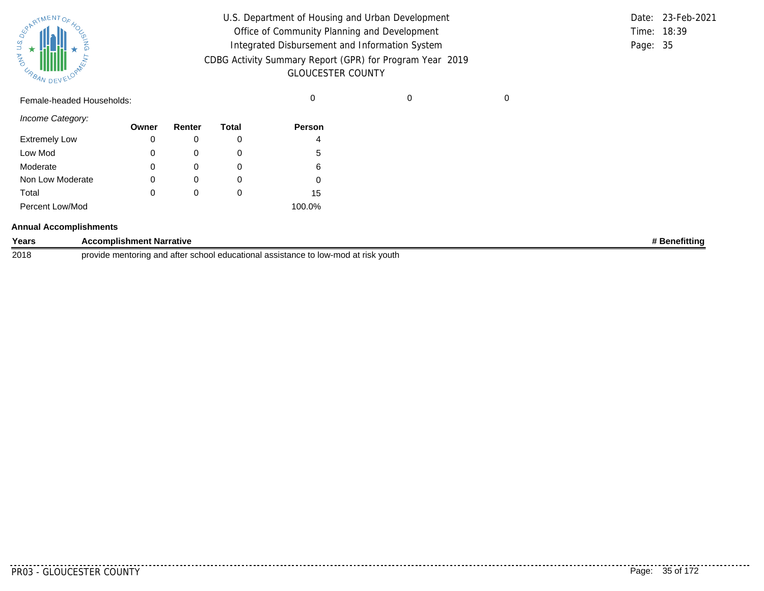| SPARTMENTOF HOL |           |
|-----------------|-----------|
|                 |           |
| 气               |           |
| URBAN           | DEVELOPAN |

| U.S. Department of Housing and Urban Development         |          | Date: 23-Feb-2021 |
|----------------------------------------------------------|----------|-------------------|
| Office of Community Planning and Development             |          | Time: 18:39       |
| Integrated Disbursement and Information System           | Page: 35 |                   |
| CDBG Activity Summary Report (GPR) for Program Year 2019 |          |                   |
| <b>GLOUCESTER COUNTY</b>                                 |          |                   |

Female-headed Households: 0 0 0

*Income Category:*

|                      | Owner | Renter | <b>Total</b> | <b>Person</b> |
|----------------------|-------|--------|--------------|---------------|
| <b>Extremely Low</b> | 0     |        |              | 4             |
| Low Mod              | 0     |        |              | 5             |
| Moderate             | 0     |        |              | 6             |
| Non Low Moderate     | 0     | O      | O            |               |
| Total                | 0     | 0      |              | 15            |
| Percent Low/Mod      |       |        |              | 100.0%        |

#### **Annual Accomplishments**

| Years | omplishment Narrative                                                                                             | netittino |
|-------|-------------------------------------------------------------------------------------------------------------------|-----------|
| 2018  | esistance to low<br>prov<br>mod<br>at risk vouth<br>∵schoo<br>ı and a'<br>ass<br>. educational ≏<br>ntorina<br>юc |           |

. . . . . . . .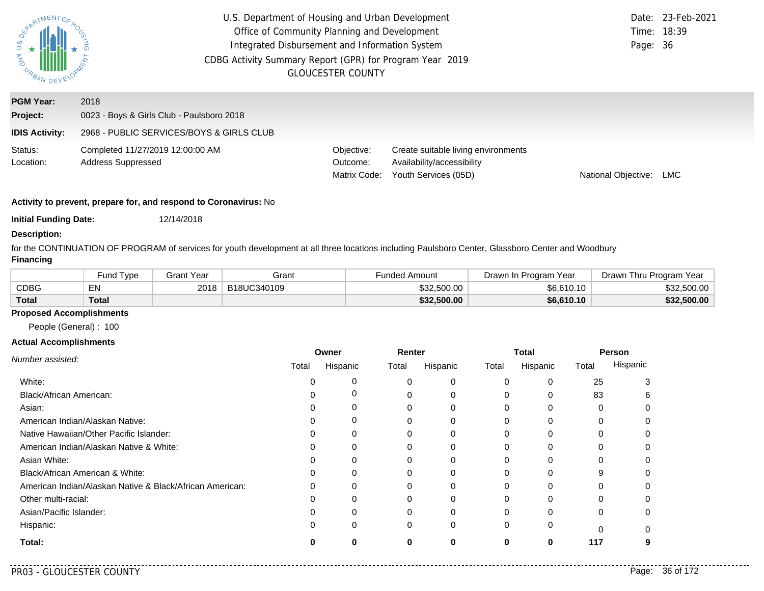| EPARTMENTOS<br>$\overline{u}$ *<br><b>AND</b><br>URBAN DEV | U.S. Department of Housing and Urban Development<br>Office of Community Planning and Development<br>Integrated Disbursement and Information System<br>CDBG Activity Summary Report (GPR) for Program Year 2019<br><b>GLOUCESTER COUNTY</b> | Page: 36                               | Date: 23-Feb-2021<br>Time: 18:39                                                          |                     |     |
|------------------------------------------------------------|--------------------------------------------------------------------------------------------------------------------------------------------------------------------------------------------------------------------------------------------|----------------------------------------|-------------------------------------------------------------------------------------------|---------------------|-----|
| <b>PGM Year:</b><br>Project:                               | 2018<br>0023 - Boys & Girls Club - Paulsboro 2018                                                                                                                                                                                          |                                        |                                                                                           |                     |     |
| <b>IDIS Activity:</b>                                      | 2968 - PUBLIC SERVICES/BOYS & GIRLS CLUB                                                                                                                                                                                                   |                                        |                                                                                           |                     |     |
| Status:<br>Location:                                       | Completed 11/27/2019 12:00:00 AM<br><b>Address Suppressed</b>                                                                                                                                                                              | Objective:<br>Outcome:<br>Matrix Code: | Create suitable living environments<br>Availability/accessibility<br>Youth Services (05D) | National Objective: | LMC |

**Initial Funding Date:** 12/14/2018

### **Description:**

for the CONTINUATION OF PROGRAM of services for youth development at all three locations including Paulsboro Center, Glassboro Center and Woodbury **Financing**

|              | <b>Fund Type</b> | Grant Year | Grant       | <sup>⊏</sup> unded Amount | Drawn In Program Year | Drawn Thru Program Year |
|--------------|------------------|------------|-------------|---------------------------|-----------------------|-------------------------|
| <b>CDBG</b>  | EN               | 2018       | B18UC340109 | \$32,500.00               | \$6.610.10            | \$32,500.00             |
| <b>Total</b> | Total            |            |             | \$32,500.00               | \$6,610.10            | \$32,500.00             |

### **Proposed Accomplishments**

People (General) : 100

### **Actual Accomplishments**

|                                                          | Owner |          | Renter |          | Total    |          | Person   |          |
|----------------------------------------------------------|-------|----------|--------|----------|----------|----------|----------|----------|
| Number assisted:                                         | Total | Hispanic | Total  | Hispanic | Total    | Hispanic | Total    | Hispanic |
| White:                                                   |       | O        |        | 0        | $\Omega$ | 0        | 25       |          |
| <b>Black/African American:</b>                           |       | 0        |        | 0        |          |          | 83       |          |
| Asian:                                                   |       |          |        |          |          |          |          |          |
| American Indian/Alaskan Native:                          |       | 0        |        | 0        |          |          |          |          |
| Native Hawaiian/Other Pacific Islander:                  |       | $\Omega$ |        |          |          |          |          |          |
| American Indian/Alaskan Native & White:                  |       | 0        |        | 0        | 0        |          |          |          |
| Asian White:                                             |       | 0        |        | $\Omega$ |          |          |          |          |
| Black/African American & White:                          |       | 0        |        |          |          |          |          |          |
| American Indian/Alaskan Native & Black/African American: |       | $\Omega$ |        | 0        | $\Omega$ |          |          |          |
| Other multi-racial:                                      |       | O        |        |          |          |          |          |          |
| Asian/Pacific Islander:                                  |       | 0        |        | 0        |          |          | 0        |          |
| Hispanic:                                                |       | 0        | 0      | $\Omega$ | 0        |          | $\Omega$ |          |
| Total:                                                   |       | Λ        |        |          | O        | 0        | 117      |          |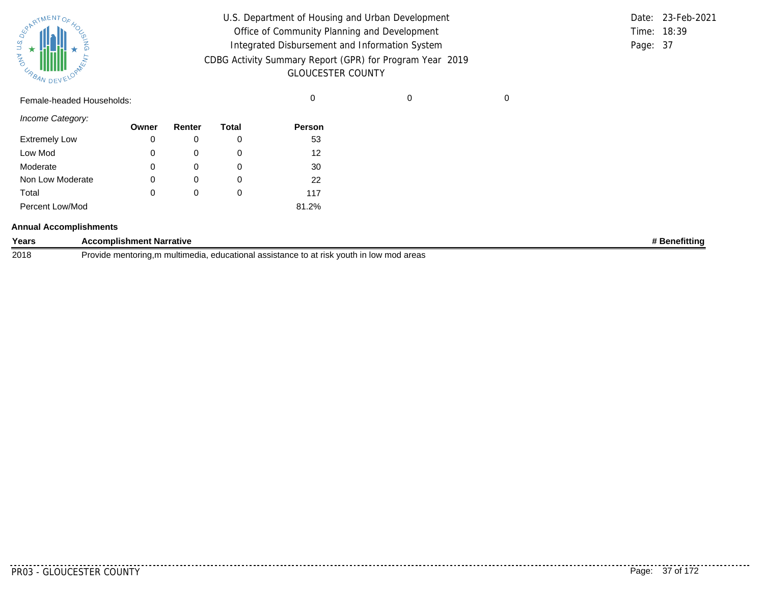| SPARTMENTOF HOL |           |
|-----------------|-----------|
|                 |           |
| 气               |           |
| URBAN           | DEVELOPAN |

| U.S. Department of Housing and Urban Development         |          | Date: 23-Feb-2021 |
|----------------------------------------------------------|----------|-------------------|
| Office of Community Planning and Development             |          | Time: 18:39       |
| Integrated Disbursement and Information System           | Page: 37 |                   |
| CDBG Activity Summary Report (GPR) for Program Year 2019 |          |                   |
| <b>GLOUCESTER COUNTY</b>                                 |          |                   |

Female-headed Households: 0 0 0

*Income Category:*

|                      | Owner | Renter       | Total | <b>Person</b> |
|----------------------|-------|--------------|-------|---------------|
| <b>Extremely Low</b> | 0     |              | O     | 53            |
| Low Mod              | 0     | $\Omega$     | O     | 12            |
| Moderate             | 0     | 0            | O     | 30            |
| Non Low Moderate     | 0     | 0            | 0     | 22            |
| Total                | 0     | $\mathbf{0}$ | O     | 117           |
| Percent Low/Mod      |       |              |       | 81.2%         |

#### **Annual Accomplishments**

| Years | <b>Complishment Narrative</b>                                                                                                    | efittin |
|-------|----------------------------------------------------------------------------------------------------------------------------------|---------|
| 2018  | ∵vouth .<br><b>Provide</b><br>l assistance<br>at risk (<br>יγ mod areas<br>educational<br>multimedia.<br>'ıde mentorına<br>n iow |         |

. . . . . . . . . .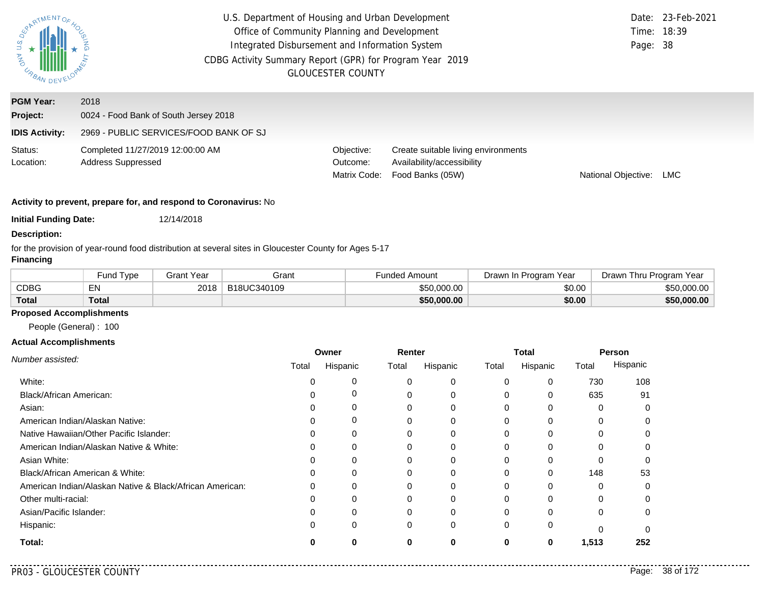| PARTMENTOR.<br>$rac{a}{b}$<br><b>MAG</b><br>URBAN DEV | U.S. Department of Housing and Urban Development<br>Office of Community Planning and Development<br>Integrated Disbursement and Information System<br>CDBG Activity Summary Report (GPR) for Program Year 2019<br><b>GLOUCESTER COUNTY</b> | Time: 18:39<br>Page: 38                | Date: 23-Feb-2021                                                                     |                     |     |
|-------------------------------------------------------|--------------------------------------------------------------------------------------------------------------------------------------------------------------------------------------------------------------------------------------------|----------------------------------------|---------------------------------------------------------------------------------------|---------------------|-----|
| <b>PGM Year:</b><br>Project:                          | 2018<br>0024 - Food Bank of South Jersey 2018                                                                                                                                                                                              |                                        |                                                                                       |                     |     |
| <b>IDIS Activity:</b>                                 | 2969 - PUBLIC SERVICES/FOOD BANK OF SJ                                                                                                                                                                                                     |                                        |                                                                                       |                     |     |
| Status:<br>Location:                                  | Completed 11/27/2019 12:00:00 AM<br><b>Address Suppressed</b>                                                                                                                                                                              | Objective:<br>Outcome:<br>Matrix Code: | Create suitable living environments<br>Availability/accessibility<br>Food Banks (05W) | National Objective: | LMC |

**Initial Funding Date:** 12/14/2018

### **Description:**

for the provision of year-round food distribution at several sites in Gloucester County for Ages 5-17

## **Financing**

|              | Fund Type    | Grant Year | Grant       | Funded Amount | Program<br>Year<br>Drawn In | Thru Program Year<br>⊃rawn l |
|--------------|--------------|------------|-------------|---------------|-----------------------------|------------------------------|
| <b>CDBG</b>  | EN           | 2018       | B18UC340109 | \$50.000.00   | \$0.00                      | \$50,000.00                  |
| <b>Total</b> | <b>Total</b> |            |             | \$50,000.00   | \$0.00                      | \$50,000,00                  |

## **Proposed Accomplishments**

People (General) : 100

### **Actual Accomplishments**

|                                                          | Owner |          | Renter |          | Total    |          | Person   |          |
|----------------------------------------------------------|-------|----------|--------|----------|----------|----------|----------|----------|
| Number assisted:                                         | Total | Hispanic | Total  | Hispanic | Total    | Hispanic | Total    | Hispanic |
| White:                                                   |       | 0        | 0      | 0        | 0        | 0        | 730      | 108      |
| Black/African American:                                  |       | 0        | 0      | 0        | 0        | 0        | 635      | 91       |
| Asian:                                                   |       | 0        | 0      | 0        | 0        |          |          |          |
| American Indian/Alaskan Native:                          |       | 0        | 0      | 0        | 0        | 0        | 0        |          |
| Native Hawaiian/Other Pacific Islander:                  |       | ი        |        | 0        |          |          |          |          |
| American Indian/Alaskan Native & White:                  |       | 0        | 0      | 0        | 0        | $\Omega$ | 0        |          |
| Asian White:                                             |       |          |        | 0        | 0        | $\Omega$ | $\Omega$ |          |
| Black/African American & White:                          |       | 0        | 0      | 0        | 0        | 0        | 148      | 53       |
| American Indian/Alaskan Native & Black/African American: |       | $\Omega$ | 0      | 0        | $\Omega$ | $\Omega$ | $\Omega$ |          |
| Other multi-racial:                                      |       | O        | 0      | 0        | 0        | O        |          |          |
| Asian/Pacific Islander:                                  |       | 0        | 0      | 0        | 0        | $\Omega$ | $\Omega$ |          |
| Hispanic:                                                |       | 0        | 0      | 0        | 0        | 0        | $\Omega$ |          |
| Total:                                                   |       | 0        | 0      | 0        | 0        | 0        | 1,513    | 252      |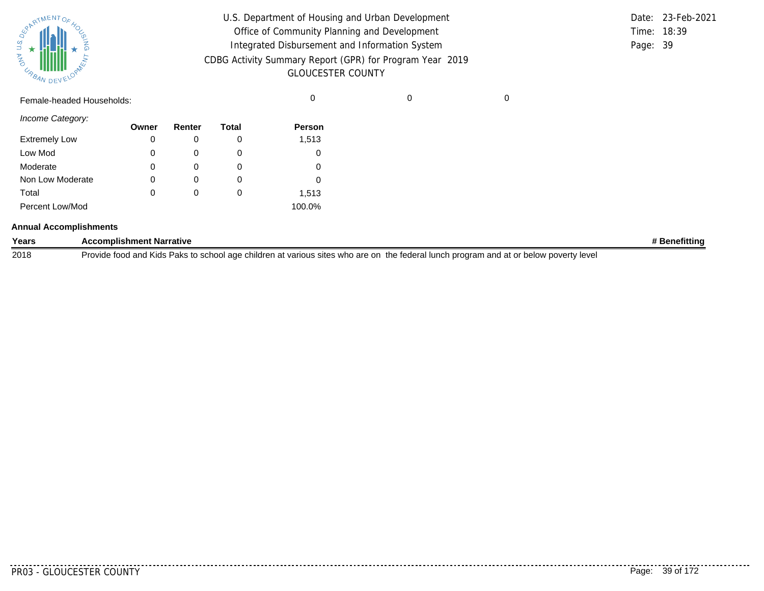| $\frac{1}{\sqrt{2}}$ MENTO<br>NVO<br>URBAN | $\%$<br><b>J</b> SING<br>DEVELOPANCE |  |  |
|--------------------------------------------|--------------------------------------|--|--|
|                                            |                                      |  |  |

| U.S. Department of Housing and Urban Development         |             | Date: 23-Feb-2021 |
|----------------------------------------------------------|-------------|-------------------|
| Office of Community Planning and Development             | Time: 18:39 |                   |
| Integrated Disbursement and Information System           | Page: 39    |                   |
| CDBG Activity Summary Report (GPR) for Program Year 2019 |             |                   |
| <b>GLOUCESTER COUNTY</b>                                 |             |                   |

Female-headed Households: 0 0 0

*Income Category:*

|                      | Owner | Renter   | Total | <b>Person</b> |
|----------------------|-------|----------|-------|---------------|
| <b>Extremely Low</b> | 0     |          | O     | 1,513         |
| Low Mod              | 0     | $\Omega$ | O     |               |
| Moderate             | 0     |          | O     |               |
| Non Low Moderate     | 0     | $\Omega$ | O     |               |
| Total                | 0     | $\Omega$ | O     | 1,513         |
| Percent Low/Mod      |       |          |       | 100.0%        |

#### **Annual Accomplishments**

| Years | <b>Accomplishment Narrative</b>                                                                                                       | Benefittinc |
|-------|---------------------------------------------------------------------------------------------------------------------------------------|-------------|
| 2018  | Provide food and Kids Paks to school age children at various sites who are on the federal lunch program and at or below poverty level |             |

. . . . . . . . .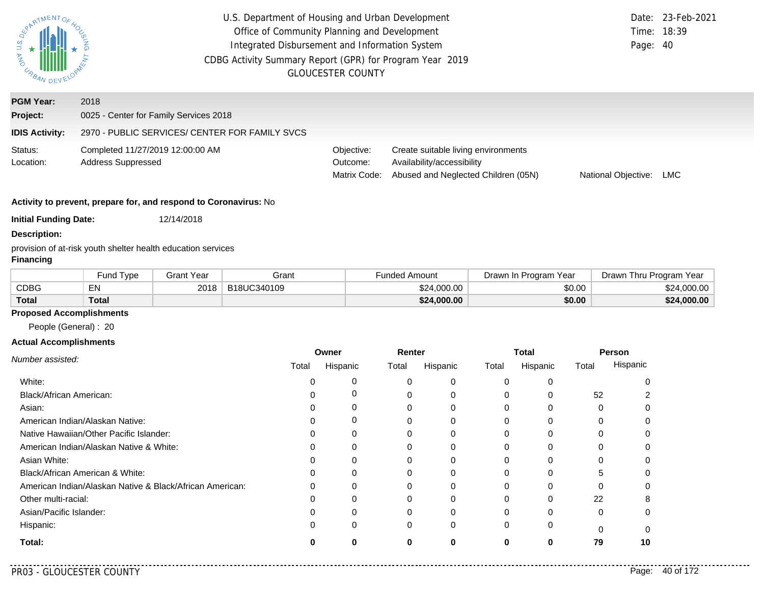| ERARTMENTOR<br><b>STA AND</b><br>URBAN DEV | U.S. Department of Housing and Urban Development<br>Office of Community Planning and Development<br>Integrated Disbursement and Information System<br>CDBG Activity Summary Report (GPR) for Program Year 2019 | <b>GLOUCESTER COUNTY</b>               |                                                                                                          | Date:<br>Time:<br>Page: 40 | 23-Feb-2021<br>18:39 |
|--------------------------------------------|----------------------------------------------------------------------------------------------------------------------------------------------------------------------------------------------------------------|----------------------------------------|----------------------------------------------------------------------------------------------------------|----------------------------|----------------------|
| <b>PGM Year:</b>                           | 2018                                                                                                                                                                                                           |                                        |                                                                                                          |                            |                      |
| Project:                                   | 0025 - Center for Family Services 2018                                                                                                                                                                         |                                        |                                                                                                          |                            |                      |
| <b>IDIS Activity:</b>                      | 2970 - PUBLIC SERVICES/ CENTER FOR FAMILY SVCS                                                                                                                                                                 |                                        |                                                                                                          |                            |                      |
| Status:<br>Location:                       | Completed 11/27/2019 12:00:00 AM<br><b>Address Suppressed</b>                                                                                                                                                  | Objective:<br>Outcome:<br>Matrix Code: | Create suitable living environments<br>Availability/accessibility<br>Abused and Neglected Children (05N) | National Objective:        | LMC                  |
|                                            | Activity to prevent, prepare for, and respond to Coronavirus: No                                                                                                                                               |                                        |                                                                                                          |                            |                      |
| <b>Initial Funding Date:</b>               | 12/14/2018                                                                                                                                                                                                     |                                        |                                                                                                          |                            |                      |
| <b>Description:</b><br><b>Financing</b>    | provision of at-risk youth shelter health education services                                                                                                                                                   |                                        |                                                                                                          |                            |                      |

#### Fund Type Grant Year Grant Grant Grant Funded Amount Drawn In Program Year Drawn Thru Program Year **Total** CDBG EN **Total**  $\texttt{\$2018}\begin{array}{c|c} \text{B18UC}340109 \end{array}$  \$24,000.00 \$24,000.00 \$24,000.00 \$24,000.00 **\$24,000.00 \$0.00 \$24,000.00**

## **Proposed Accomplishments**

People (General) : 20

#### **Actual Accomplishments**

|                                                          | Owner |          | Renter |          | <b>Total</b> |          | Person   |          |
|----------------------------------------------------------|-------|----------|--------|----------|--------------|----------|----------|----------|
| Number assisted:                                         | Total | Hispanic | Total  | Hispanic | Total        | Hispanic | Total    | Hispanic |
| White:                                                   |       | 0        | 0      | 0        | 0            |          |          |          |
| Black/African American:                                  |       | 0        |        | 0        | 0            |          | 52       |          |
| Asian:                                                   |       |          | 0      | 0        | 0            | 0        | 0        |          |
| American Indian/Alaskan Native:                          |       | 0        |        | 0        | 0            | 0        | 0        |          |
| Native Hawaiian/Other Pacific Islander:                  |       | 0        |        | 0        |              |          |          |          |
| American Indian/Alaskan Native & White:                  |       | 0        | 0      | 0        | $\Omega$     | 0        | 0        |          |
| Asian White:                                             |       |          |        | 0        |              |          |          |          |
| Black/African American & White:                          |       | 0        |        | 0        |              |          | 5        |          |
| American Indian/Alaskan Native & Black/African American: |       | $\Omega$ | 0      | 0        | 0            | $\Omega$ | 0        |          |
| Other multi-racial:                                      |       |          | 0      | 0        |              | $\Omega$ | 22       |          |
| Asian/Pacific Islander:                                  |       |          | 0      | 0        | 0            |          | 0        |          |
| Hispanic:                                                |       | 0        | 0      | 0        | $\Omega$     | 0        | $\Omega$ |          |
| Total:                                                   |       | 0        | 0      | 0        | 0            | 0        | 79       | 10       |

. . . .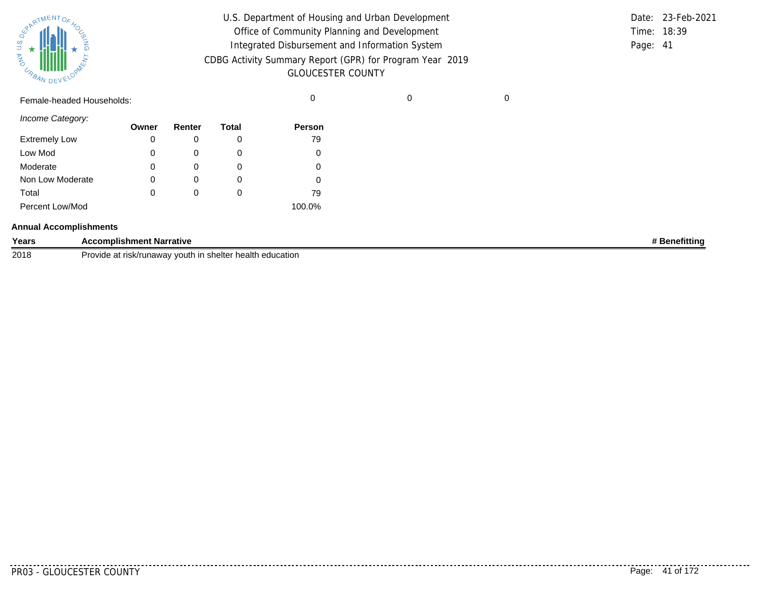| SPARTMENTOF HOL |           |
|-----------------|-----------|
|                 |           |
| 气               |           |
| URBAN           | DEVELOPAN |

| U.S. Department of Housing and Urban Development         |          | Date: 23-Feb-2021 |
|----------------------------------------------------------|----------|-------------------|
| Office of Community Planning and Development             |          | Time: 18:39       |
| Integrated Disbursement and Information System           | Page: 41 |                   |
| CDBG Activity Summary Report (GPR) for Program Year 2019 |          |                   |
| <b>GLOUCESTER COUNTY</b>                                 |          |                   |

Female-headed Households: 0 0 0

*Income Category:*

|                      | Owner | Renter | Total | <b>Person</b> |
|----------------------|-------|--------|-------|---------------|
| <b>Extremely Low</b> | 0     |        | O     | 79            |
| Low Mod              | 0     | O      | O     |               |
| Moderate             | 0     |        | O     |               |
| Non Low Moderate     | 0     | O      | O     |               |
| Total                | 0     | 0      | O     | 79            |
| Percent Low/Mod      |       |        |       | 100.0%        |

#### **Annual Accomplishments**

| Years | <b>Accomplishment Narrative</b>                                                             | ≀fittin |
|-------|---------------------------------------------------------------------------------------------|---------|
| 2018  | ∖health<br>Provid <sup>-</sup><br>shelter<br>education<br>วนth in<br>rısk/runawa∖<br>$\sim$ |         |

<u>. . . . . . . .</u>

.........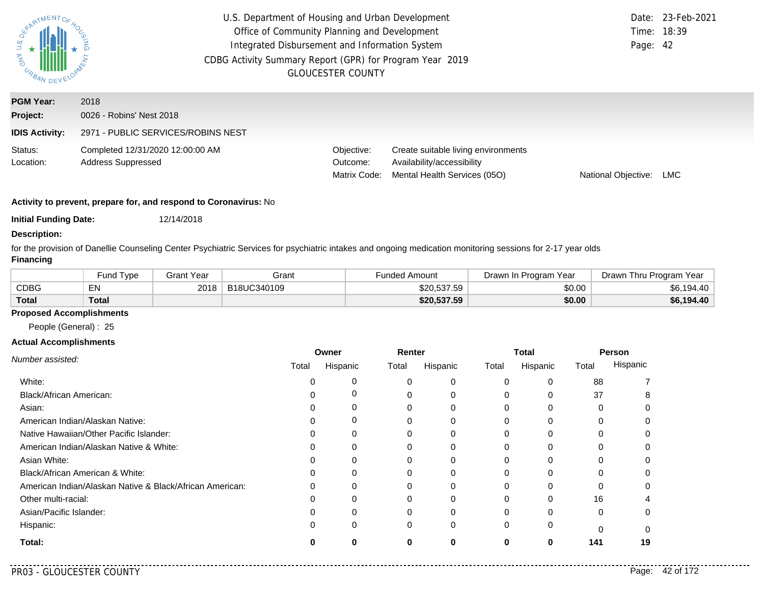| SOL A RENTOS<br><b>ASURANDE</b> | U.S. Department of Housing and Urban Development<br>Office of Community Planning and Development<br>Integrated Disbursement and Information System<br>CDBG Activity Summary Report (GPR) for Program Year 2019<br><b>GLOUCESTER COUNTY</b> | Time: 18:39<br>Page: 42                | Date: 23-Feb-2021                                                                                 |                     |     |
|---------------------------------|--------------------------------------------------------------------------------------------------------------------------------------------------------------------------------------------------------------------------------------------|----------------------------------------|---------------------------------------------------------------------------------------------------|---------------------|-----|
| <b>PGM Year:</b><br>Project:    | 2018<br>0026 - Robins' Nest 2018                                                                                                                                                                                                           |                                        |                                                                                                   |                     |     |
| <b>IDIS Activity:</b>           | 2971 - PUBLIC SERVICES/ROBINS NEST                                                                                                                                                                                                         |                                        |                                                                                                   |                     |     |
| Status:<br>Location:            | Completed 12/31/2020 12:00:00 AM<br><b>Address Suppressed</b>                                                                                                                                                                              | Objective:<br>Outcome:<br>Matrix Code: | Create suitable living environments<br>Availability/accessibility<br>Mental Health Services (05O) | National Objective: | LMC |

**Initial Funding Date:** 12/14/2018

#### **Description:**

for the provision of Danellie Counseling Center Psychiatric Services for psychiatric intakes and ongoing medication monitoring sessions for 2-17 year olds **Financing**

|              | Fund Type | Grant Year | Grant       | Funded Amount | Drawn In Program Year | Drawn Thru Program<br>Year |
|--------------|-----------|------------|-------------|---------------|-----------------------|----------------------------|
| <b>CDBG</b>  | EN        | 2018       | B18UC340109 | \$20,537.59   | \$0.00                | \$6,194.40                 |
| <b>Total</b> | Total     |            |             | \$20,537.59   | \$0.00                | \$6,194.40                 |

### **Proposed Accomplishments**

People (General) : 25

|                                                          | Owner |          | Renter |          | Total        |              | Person |          |
|----------------------------------------------------------|-------|----------|--------|----------|--------------|--------------|--------|----------|
| Number assisted:                                         | Total | Hispanic | Total  | Hispanic | Total        | Hispanic     | Total  | Hispanic |
| White:                                                   |       | 0        |        | 0        | $\Omega$     | 0            | 88     |          |
| <b>Black/African American:</b>                           |       | 0        |        | $\Omega$ | $\Omega$     |              | 37     |          |
| Asian:                                                   |       | 0        |        |          | 0            |              |        |          |
| American Indian/Alaskan Native:                          |       | 0        |        | 0        | 0            | <sup>0</sup> | 0      |          |
| Native Hawaiian/Other Pacific Islander:                  |       | $\Omega$ |        |          | <sup>0</sup> |              |        |          |
| American Indian/Alaskan Native & White:                  |       | 0        |        | 0        | $\Omega$     |              | 0      |          |
| Asian White:                                             |       | 0        |        | $\Omega$ | 0            | $\Omega$     |        |          |
| Black/African American & White:                          |       | 0        |        |          | 0            |              |        |          |
| American Indian/Alaskan Native & Black/African American: |       | $\Omega$ |        | $\Omega$ | $\Omega$     | $\Omega$     | 0      |          |
| Other multi-racial:                                      |       | 0        |        |          | 0            | O            | 16     |          |
| Asian/Pacific Islander:                                  |       | 0        |        |          | $\Omega$     |              | 0      |          |
| Hispanic:                                                |       | 0        | 0      | $\Omega$ | $\Omega$     | 0            | 0      |          |
| Total:                                                   |       | ŋ        | ŋ      | 0        | 0            | 0            | 141    | 19       |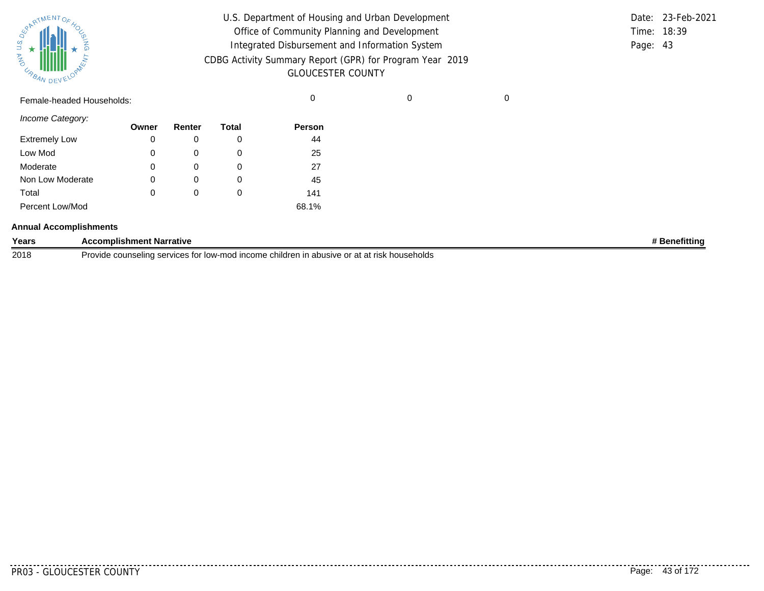| SUPATMENTOF HOL |           |
|-----------------|-----------|
| 气               |           |
| URBAN           | DEVELOPAL |

| U.S. Department of Housing and Urban Development         |          | Date: 23-Feb-2021 |
|----------------------------------------------------------|----------|-------------------|
| Office of Community Planning and Development             |          | Time: 18:39       |
| Integrated Disbursement and Information System           | Page: 43 |                   |
| CDBG Activity Summary Report (GPR) for Program Year 2019 |          |                   |
| <b>GLOUCESTER COUNTY</b>                                 |          |                   |

Female-headed Households: 0 0 0

*Income Category:*

| 0 0 0 0 0 0 0 0 0    | Owner | Renter   | Total | <b>Person</b> |
|----------------------|-------|----------|-------|---------------|
| <b>Extremely Low</b> | 0     | O        | O     | 44            |
| Low Mod              | 0     | O        | O     | 25            |
| Moderate             | 0     | O)       | 0     | 27            |
| Non Low Moderate     | 0     | O)       | O     | 45            |
| Total                | 0     | $\Omega$ | 0     | 141           |
| Percent Low/Mod      |       |          |       | 68.1%         |

#### **Annual Accomplishments**

| Years | <b>Accomplishment Narrative</b>                                                                          | ıetittino |
|-------|----------------------------------------------------------------------------------------------------------|-----------|
| 2018  | e counseling services for '<br>ות low-mod income children in abusive or at at risk households<br>Provide |           |

<u>. . . . . . . .</u>

.........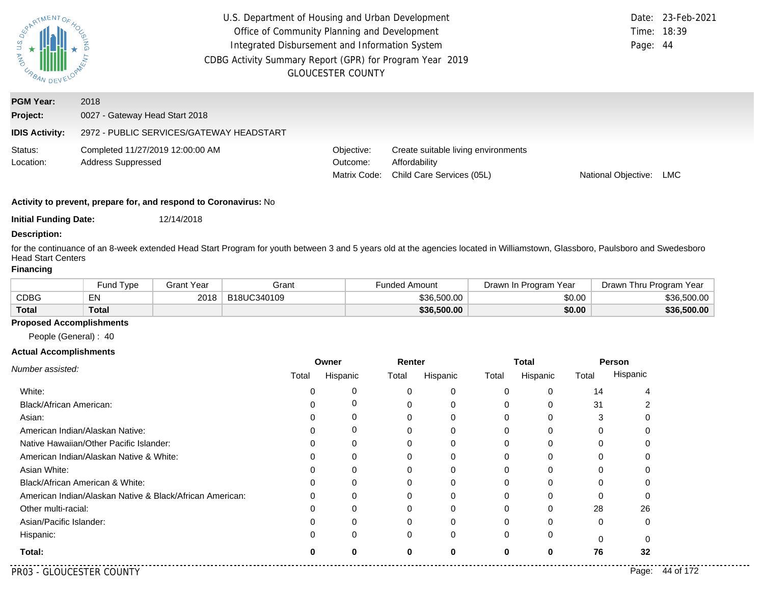| PARTMENTOR<br>U.S.<br><b>AND</b><br>URBAN DEV         | U.S. Department of Housing and Urban Development<br>Office of Community Planning and Development<br>Integrated Disbursement and Information System<br>CDBG Activity Summary Report (GPR) for Program Year 2019<br><b>GLOUCESTER COUNTY</b> | Page: 44                               | Date: 23-Feb-2021<br>Time: 18:39                                                  |                     |     |
|-------------------------------------------------------|--------------------------------------------------------------------------------------------------------------------------------------------------------------------------------------------------------------------------------------------|----------------------------------------|-----------------------------------------------------------------------------------|---------------------|-----|
| <b>PGM Year:</b><br>Project:<br><b>IDIS Activity:</b> | 2018<br>0027 - Gateway Head Start 2018<br>2972 - PUBLIC SERVICES/GATEWAY HEADSTART                                                                                                                                                         |                                        |                                                                                   |                     |     |
| Status:<br>Location:                                  | Completed 11/27/2019 12:00:00 AM<br><b>Address Suppressed</b>                                                                                                                                                                              | Objective:<br>Outcome:<br>Matrix Code: | Create suitable living environments<br>Affordability<br>Child Care Services (05L) | National Objective: | LMC |

**Initial Funding Date:** 12/14/2018

#### **Description:**

for the continuance of an 8-week extended Head Start Program for youth between 3 and 5 years old at the agencies located in Williamstown, Glassboro, Paulsboro and Swedesboro Head Start Centers

### **Financing**

|       | Fund Type | Grant Year | Grant       | Funded Amount | Drawn In Program Year | Drawn Thru Program Year |
|-------|-----------|------------|-------------|---------------|-----------------------|-------------------------|
| CDBG  | EN        | 2018       | B18UC340109 | \$36,500.00   | \$0.00                | \$36.500.00             |
| Total | Total     |            |             | \$36,500.00   | \$0.00                | \$36,500.00             |

#### **Proposed Accomplishments**

People (General) : 40

|                                                          | Owner |          | Renter   |          | Total |          | Person   |          |
|----------------------------------------------------------|-------|----------|----------|----------|-------|----------|----------|----------|
| Number assisted:                                         | Total | Hispanic | Total    | Hispanic | Total | Hispanic | Total    | Hispanic |
| White:                                                   |       | 0        |          |          | 0     | 0        | 14       |          |
| <b>Black/African American:</b>                           |       | 0        |          |          | 0     | 0        | 31       |          |
| Asian:                                                   |       | 0        |          |          | 0     | 0        | 3        |          |
| American Indian/Alaskan Native:                          |       | 0        |          |          | 0     | 0        | 0        |          |
| Native Hawaiian/Other Pacific Islander:                  |       | 0        |          |          | 0     | 0        | 0        |          |
| American Indian/Alaskan Native & White:                  |       | 0        |          |          | 0     | 0        | 0        |          |
| Asian White:                                             |       | 0        |          |          | 0     | 0        | 0        |          |
| Black/African American & White:                          |       |          |          |          | 0     | 0        | 0        |          |
| American Indian/Alaskan Native & Black/African American: | 0     | 0        | 0        |          | 0     | 0        | 0        |          |
| Other multi-racial:                                      |       | 0        |          |          | 0     | 0        | 28       | 26       |
| Asian/Pacific Islander:                                  |       | 0        |          |          | 0     | 0        | 0        | 0        |
| Hispanic:                                                |       | $\Omega$ | $\Omega$ | 0        | 0     | 0        | $\Omega$ |          |
| Total:                                                   |       | Ω        |          |          | 0     | 0        | 76       | 32       |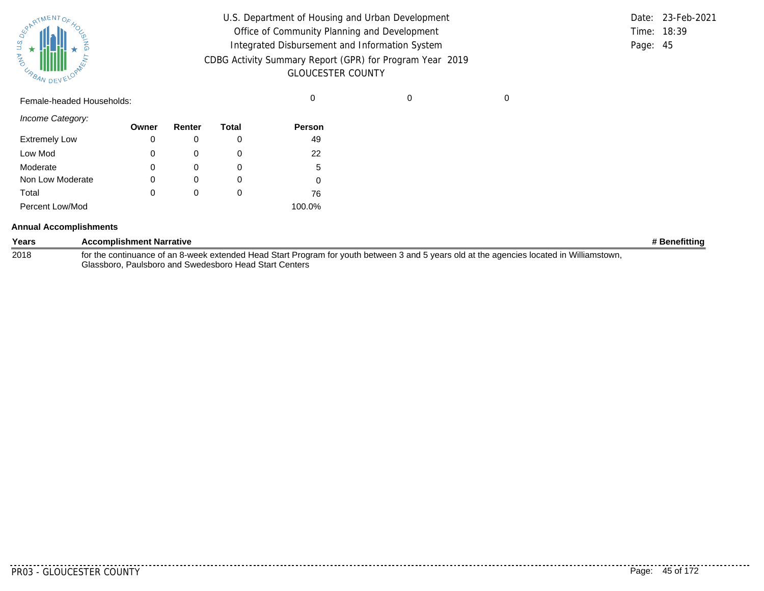| SUPATMENTOF HOL |           |
|-----------------|-----------|
| 气               |           |
| URBAN           | DEVELOPAL |

| U.S. Department of Housing and Urban Development                                     |          | Date: 23-Feb-2021 |
|--------------------------------------------------------------------------------------|----------|-------------------|
| Office of Community Planning and Development                                         |          | Time: 18:39       |
| Integrated Disbursement and Information System                                       | Page: 45 |                   |
| CDBG Activity Summary Report (GPR) for Program Year 2019<br><b>GLOUCESTER COUNTY</b> |          |                   |

Female-headed Households: 0 0 0

*Income Category:*

|                      | Owner | Renter   | Total | Person |
|----------------------|-------|----------|-------|--------|
| <b>Extremely Low</b> | 0     |          | 0     | 49     |
| Low Mod              | 0     | O        | 0     | 22     |
| Moderate             | 0     |          |       | 5      |
| Non Low Moderate     | 0     | O        | 0     |        |
| Total                | 0     | $\Omega$ | 0     | 76     |
| Percent Low/Mod      |       |          |       | 100.0% |

#### **Annual Accomplishments**

| Years | <b>Accomplishment Narrative</b>                                                                                                           | # Benefittina |
|-------|-------------------------------------------------------------------------------------------------------------------------------------------|---------------|
| 2018  | for the continuance of an 8-week extended Head Start Program for youth between 3 and 5 years old at the agencies located in Williamstown, |               |
|       | Glassboro, Paulsboro and Swedesboro Head Start Centers                                                                                    |               |

<u>. . . . . . . .</u>

. . . . . . . . .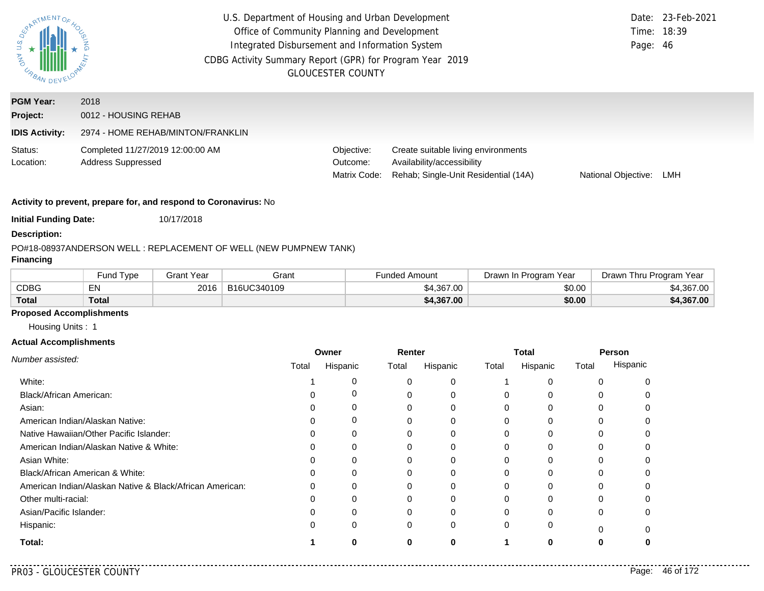| $\overline{a}$<br><b>AS IMPOAN DE</b>                 | U.S. Department of Housing and Urban Development<br>Office of Community Planning and Development<br>Integrated Disbursement and Information System<br>CDBG Activity Summary Report (GPR) for Program Year 2019<br><b>GLOUCESTER COUNTY</b> | Page: 46                               | Date: 23-Feb-2021<br>Time: 18:39                                                                          |                     |     |
|-------------------------------------------------------|--------------------------------------------------------------------------------------------------------------------------------------------------------------------------------------------------------------------------------------------|----------------------------------------|-----------------------------------------------------------------------------------------------------------|---------------------|-----|
| <b>PGM Year:</b><br>Project:<br><b>IDIS Activity:</b> | 2018<br>0012 - HOUSING REHAB<br>2974 - HOME REHAB/MINTON/FRANKLIN                                                                                                                                                                          |                                        |                                                                                                           |                     |     |
| Status:<br>Location:                                  | Completed 11/27/2019 12:00:00 AM<br><b>Address Suppressed</b>                                                                                                                                                                              | Objective:<br>Outcome:<br>Matrix Code: | Create suitable living environments<br>Availability/accessibility<br>Rehab; Single-Unit Residential (14A) | National Objective: | LMH |

**Initial Funding Date:** 10/17/2018

#### **Description:**

#### PO#18-08937
ANDERSON WELL : REPLACEMENT OF WELL (NEW PUMPNEW TANK)

## **Financing**

|              | Fund Type | Grant Year | Grant       | Funded Amount | Program Year<br>Drawn In | Drawn Thru Program Year |
|--------------|-----------|------------|-------------|---------------|--------------------------|-------------------------|
| <b>CDBG</b>  | EN        | 2016       | B16UC340109 | \$4,367.00    | \$0.00                   | \$4,367.00              |
| <b>Total</b> | Total     |            |             | \$4,367.00    | \$0.00                   | \$4,367.00              |

## **Proposed Accomplishments**

Housing Units : 1

#### **Actual Accomplishments**

|                                                          | Owner |          | Renter   |          | <b>Total</b> |              | Person |          |
|----------------------------------------------------------|-------|----------|----------|----------|--------------|--------------|--------|----------|
| Number assisted:                                         | Total | Hispanic | Total    | Hispanic | Total        | Hispanic     | Total  | Hispanic |
| White:                                                   |       | 0        |          | 0        |              |              |        |          |
| Black/African American:                                  |       | 0        |          | $\Omega$ | $\Omega$     |              |        |          |
| Asian:                                                   |       | 0        |          | 0        | $\Omega$     |              | 0      |          |
| American Indian/Alaskan Native:                          |       | 0        |          | $\Omega$ | 0            | $\Omega$     |        |          |
| Native Hawaiian/Other Pacific Islander:                  |       | 0        |          |          | 0            |              |        |          |
| American Indian/Alaskan Native & White:                  |       | 0        |          | 0        | $\Omega$     | $\Omega$     | 0      |          |
| Asian White:                                             |       | 0        |          |          | 0            |              |        |          |
| Black/African American & White:                          |       | 0        |          |          | $\Omega$     |              |        |          |
| American Indian/Alaskan Native & Black/African American: |       | $\Omega$ |          | $\Omega$ | $\Omega$     | <sup>0</sup> |        |          |
| Other multi-racial:                                      |       | O        |          |          | O            |              |        |          |
| Asian/Pacific Islander:                                  |       | 0        |          | $\Omega$ | $\Omega$     |              | 0      |          |
| Hispanic:                                                |       | $\Omega$ | $\Omega$ | 0        | $\Omega$     | 0            | ŋ      |          |
| Total:                                                   |       |          |          |          |              | n            |        |          |

. . . . .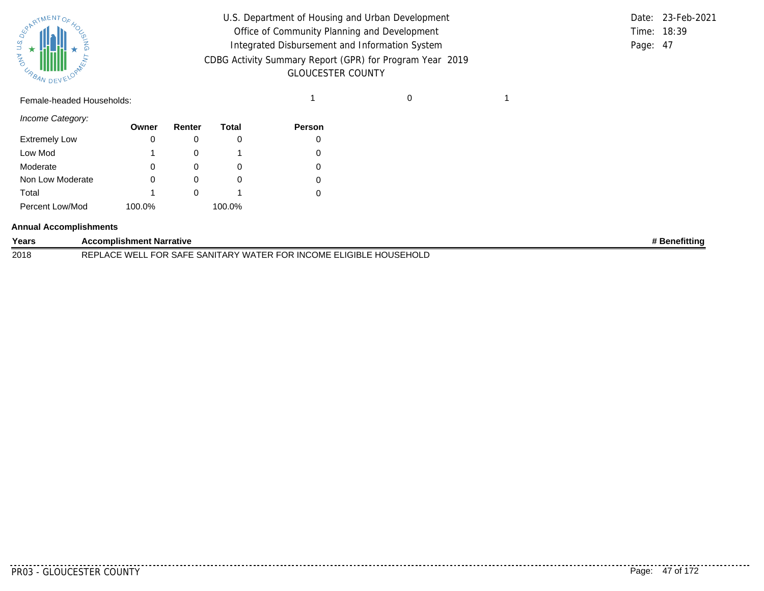

| U.S. Department of Housing and Urban Development         |          | Date: 23-Feb-2021 |
|----------------------------------------------------------|----------|-------------------|
| Office of Community Planning and Development             |          | Time: 18:39       |
| Integrated Disbursement and Information System           | Page: 47 |                   |
| CDBG Activity Summary Report (GPR) for Program Year 2019 |          |                   |
| <b>GLOUCESTER COUNTY</b>                                 |          |                   |

## Female-headed Households: 1 0 1

*Income Category:*

|                      | Owner  | Renter | Total    | <b>Person</b> |
|----------------------|--------|--------|----------|---------------|
| <b>Extremely Low</b> | 0      |        |          |               |
| Low Mod              |        |        |          |               |
| Moderate             | 0      |        | O        |               |
| Non Low Moderate     | 0      |        | $\Omega$ | $\Omega$      |
| Total                |        |        |          |               |
| Percent Low/Mod      | 100.0% |        | 100.0%   |               |

#### **Annual Accomplishments**

| Years | <b>Accomplishment Narrative</b>                                                  | <b>Benefittina</b> |
|-------|----------------------------------------------------------------------------------|--------------------|
| 2018  | . FOR SAFE SANITARY WATER FOR INCOME ELIGIBLE HOUSEHOLD<br><b>REPLACE WELL F</b> |                    |

.........

. . . . . . . . . . .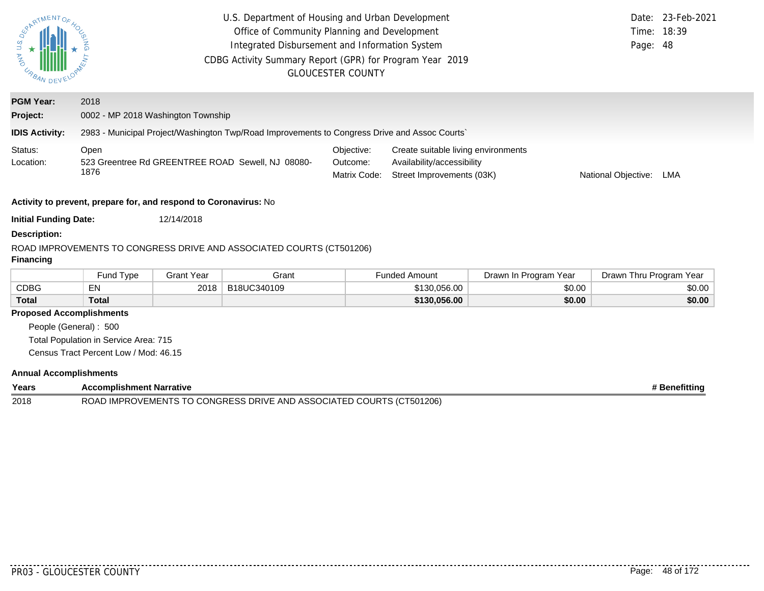| SURANENTOS<br><b>MAD</b><br><b>CABAN DEVELORY</b>        | U.S. Department of Housing and Urban Development<br>Date:<br>Office of Community Planning and Development<br>Time:<br>Integrated Disbursement and Information System<br>Page: 48<br>CDBG Activity Summary Report (GPR) for Program Year 2019<br><b>GLOUCESTER COUNTY</b> |                   |                                                                                              |                                        |                                                                                                                       |                       |                         |        |  |
|----------------------------------------------------------|--------------------------------------------------------------------------------------------------------------------------------------------------------------------------------------------------------------------------------------------------------------------------|-------------------|----------------------------------------------------------------------------------------------|----------------------------------------|-----------------------------------------------------------------------------------------------------------------------|-----------------------|-------------------------|--------|--|
| <b>PGM Year:</b>                                         | 2018                                                                                                                                                                                                                                                                     |                   |                                                                                              |                                        |                                                                                                                       |                       |                         |        |  |
| Project:                                                 | 0002 - MP 2018 Washington Township                                                                                                                                                                                                                                       |                   |                                                                                              |                                        |                                                                                                                       |                       |                         |        |  |
| <b>IDIS Activity:</b>                                    |                                                                                                                                                                                                                                                                          |                   | 2983 - Municipal Project/Washington Twp/Road Improvements to Congress Drive and Assoc Courts |                                        |                                                                                                                       |                       |                         |        |  |
| Status:<br>Location:                                     | Open<br>523 Greentree Rd GREENTREE ROAD Sewell, NJ 08080-<br>1876                                                                                                                                                                                                        |                   |                                                                                              | Objective:<br>Outcome:<br>Matrix Code: | Create suitable living environments<br>Availability/accessibility<br>Street Improvements (03K)<br>National Objective: |                       |                         | LMA    |  |
|                                                          | Activity to prevent, prepare for, and respond to Coronavirus: No                                                                                                                                                                                                         |                   |                                                                                              |                                        |                                                                                                                       |                       |                         |        |  |
| <b>Initial Funding Date:</b>                             |                                                                                                                                                                                                                                                                          | 12/14/2018        |                                                                                              |                                        |                                                                                                                       |                       |                         |        |  |
| <b>Description:</b>                                      |                                                                                                                                                                                                                                                                          |                   |                                                                                              |                                        |                                                                                                                       |                       |                         |        |  |
| <b>Financing</b>                                         |                                                                                                                                                                                                                                                                          |                   | ROAD IMPROVEMENTS TO CONGRESS DRIVE AND ASSOCIATED COURTS (CT501206)                         |                                        |                                                                                                                       |                       |                         |        |  |
|                                                          | Fund Type                                                                                                                                                                                                                                                                | <b>Grant Year</b> | Grant                                                                                        |                                        | <b>Funded Amount</b>                                                                                                  | Drawn In Program Year | Drawn Thru Program Year |        |  |
| <b>CDBG</b>                                              | EN                                                                                                                                                                                                                                                                       | 2018              | B18UC340109                                                                                  |                                        | \$130,056.00                                                                                                          | \$0.00                |                         | \$0.00 |  |
| <b>Total</b>                                             | <b>Total</b><br>\$130,056.00<br>\$0.00                                                                                                                                                                                                                                   |                   |                                                                                              |                                        |                                                                                                                       |                       |                         |        |  |
| <b>Proposed Accomplishments</b><br>People (General): 500 | Total Population in Service Area: 715<br>Census Tract Percent Low / Mod: 46.15                                                                                                                                                                                           |                   |                                                                                              |                                        |                                                                                                                       |                       |                         |        |  |

#### **Annual Accomplishments**

| Years | <b>Accomplishment Narrative</b>                                      | # Benefitting |
|-------|----------------------------------------------------------------------|---------------|
| 2018  | ROAD IMPROVEMENTS TO CONGRESS DRIVE AND ASSOCIATED COURTS (CT501206) |               |

..........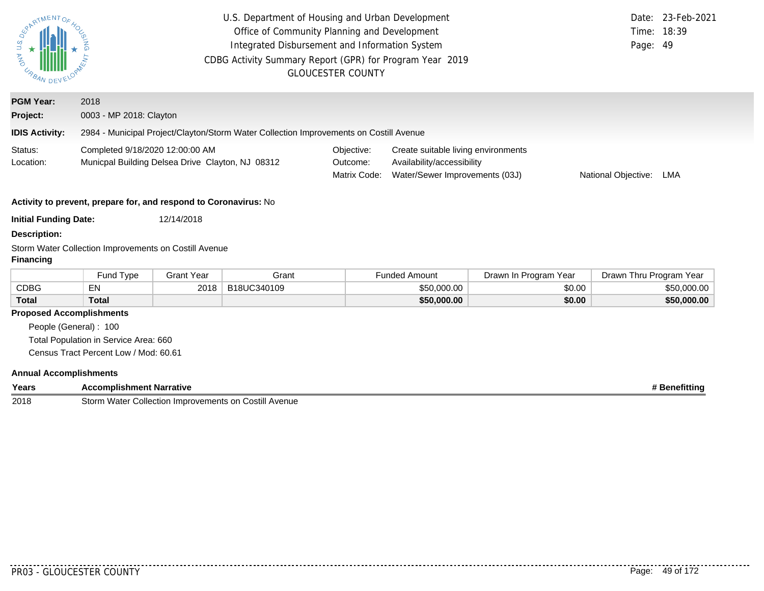| ARTMENTOF                       | U.S. Department of Housing and Urban Development<br>Office of Community Planning and Development<br>Time:<br>Integrated Disbursement and Information System<br>CDBG Activity Summary Report (GPR) for Program Year 2019<br><b>GLOUCESTER COUNTY</b> |                   |                                                                                        |                                        |                                                                                                                                   |                       |                         | Date: 23-Feb-2021<br>18:39<br>Page: 49 |  |  |
|---------------------------------|-----------------------------------------------------------------------------------------------------------------------------------------------------------------------------------------------------------------------------------------------------|-------------------|----------------------------------------------------------------------------------------|----------------------------------------|-----------------------------------------------------------------------------------------------------------------------------------|-----------------------|-------------------------|----------------------------------------|--|--|
| <b>PGM Year:</b>                | 2018                                                                                                                                                                                                                                                |                   |                                                                                        |                                        |                                                                                                                                   |                       |                         |                                        |  |  |
| Project:                        | 0003 - MP 2018: Clayton                                                                                                                                                                                                                             |                   |                                                                                        |                                        |                                                                                                                                   |                       |                         |                                        |  |  |
| <b>IDIS Activity:</b>           |                                                                                                                                                                                                                                                     |                   | 2984 - Municipal Project/Clayton/Storm Water Collection Improvements on Costill Avenue |                                        |                                                                                                                                   |                       |                         |                                        |  |  |
| Status:<br>Location:            | Completed 9/18/2020 12:00:00 AM<br>Municpal Building Delsea Drive Clayton, NJ 08312                                                                                                                                                                 |                   |                                                                                        | Objective:<br>Outcome:<br>Matrix Code: | Create suitable living environments<br>Availability/accessibility<br>Water/Sewer Improvements (03J)<br>National Objective:<br>LMA |                       |                         |                                        |  |  |
|                                 | Activity to prevent, prepare for, and respond to Coronavirus: No                                                                                                                                                                                    |                   |                                                                                        |                                        |                                                                                                                                   |                       |                         |                                        |  |  |
| <b>Initial Funding Date:</b>    |                                                                                                                                                                                                                                                     | 12/14/2018        |                                                                                        |                                        |                                                                                                                                   |                       |                         |                                        |  |  |
| <b>Description:</b>             |                                                                                                                                                                                                                                                     |                   |                                                                                        |                                        |                                                                                                                                   |                       |                         |                                        |  |  |
| <b>Financing</b>                | Storm Water Collection Improvements on Costill Avenue                                                                                                                                                                                               |                   |                                                                                        |                                        |                                                                                                                                   |                       |                         |                                        |  |  |
|                                 | Fund Type                                                                                                                                                                                                                                           | <b>Grant Year</b> | Grant                                                                                  |                                        | <b>Funded Amount</b>                                                                                                              | Drawn In Program Year | Drawn Thru Program Year |                                        |  |  |
| <b>CDBG</b>                     | EN                                                                                                                                                                                                                                                  | 2018              | B18UC340109                                                                            |                                        | \$50,000.00                                                                                                                       | \$0.00                |                         | \$50,000.00                            |  |  |
| <b>Total</b>                    | <b>Total</b>                                                                                                                                                                                                                                        |                   |                                                                                        |                                        | \$50,000.00                                                                                                                       | \$0.00                |                         | \$50,000.00                            |  |  |
| <b>Proposed Accomplishments</b> |                                                                                                                                                                                                                                                     |                   |                                                                                        |                                        |                                                                                                                                   |                       |                         |                                        |  |  |
| People (General): 100           |                                                                                                                                                                                                                                                     |                   |                                                                                        |                                        |                                                                                                                                   |                       |                         |                                        |  |  |
|                                 | Total Population in Service Area: 660                                                                                                                                                                                                               |                   |                                                                                        |                                        |                                                                                                                                   |                       |                         |                                        |  |  |
|                                 | Census Tract Percent Low / Mod: 60.61                                                                                                                                                                                                               |                   |                                                                                        |                                        |                                                                                                                                   |                       |                         |                                        |  |  |
|                                 | <b>Annual Accomplishments</b>                                                                                                                                                                                                                       |                   |                                                                                        |                                        |                                                                                                                                   |                       |                         |                                        |  |  |

| Years | .<br>omplishment Nai<br>rative                                                            | etittin |
|-------|-------------------------------------------------------------------------------------------|---------|
| 2018  | Storm<br>Costill<br>$101 - 12$<br>11.ort<br>Avenue<br>on I<br>Improvements<br>วแon<br>vva |         |

. . . . . . . . . .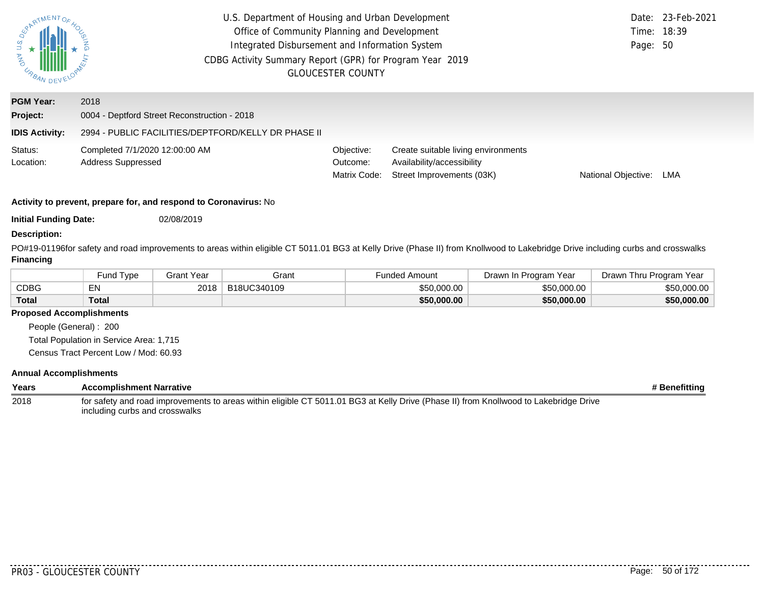| <b>UNAN AND</b><br>URBAN DEV |                                                             | U.S. Department of Housing and Urban Development<br>Office of Community Planning and Development<br>Integrated Disbursement and Information System<br>CDBG Activity Summary Report (GPR) for Program Year 2019 | <b>GLOUCESTER COUNTY</b>               |                                                                                                | Date:<br>Page: 50   | 23-Feb-2021<br>Time: 18:39 |
|------------------------------|-------------------------------------------------------------|----------------------------------------------------------------------------------------------------------------------------------------------------------------------------------------------------------------|----------------------------------------|------------------------------------------------------------------------------------------------|---------------------|----------------------------|
| <b>PGM Year:</b><br>Project: | 2018<br>0004 - Deptford Street Reconstruction - 2018        |                                                                                                                                                                                                                |                                        |                                                                                                |                     |                            |
| <b>IDIS Activity:</b>        |                                                             | 2994 - PUBLIC FACILITIES/DEPTFORD/KELLY DR PHASE II                                                                                                                                                            |                                        |                                                                                                |                     |                            |
| Status:<br>Location:         | Completed 7/1/2020 12:00:00 AM<br><b>Address Suppressed</b> |                                                                                                                                                                                                                | Objective:<br>Outcome:<br>Matrix Code: | Create suitable living environments<br>Availability/accessibility<br>Street Improvements (03K) | National Objective: | LMA                        |
|                              |                                                             | Activity to prevent, prepare for, and respond to Coronavirus: No                                                                                                                                               |                                        |                                                                                                |                     |                            |
| <b>Initial Funding Date:</b> |                                                             | 02/08/2019                                                                                                                                                                                                     |                                        |                                                                                                |                     |                            |
| Desartuttan.                 |                                                             |                                                                                                                                                                                                                |                                        |                                                                                                |                     |                            |

#### **Description:**

PO#19-01196for safety and road improvements to areas within eligible CT 5011.01 BG3 at Kelly Drive (Phase II) from Knollwood to Lakebridge Drive including curbs and crosswalks **Financing**

|              | <b>Fund Type</b> | Grant Year | Grant       | Funded Amount | Drawn In Program Year | Drawn Thru Program Year |  |
|--------------|------------------|------------|-------------|---------------|-----------------------|-------------------------|--|
| CDBG         | EN               | 2018       | B18UC340109 | \$50,000.00   | \$50,000,00           | \$50,000,00             |  |
| <b>Total</b> | Total            |            |             | \$50,000.00   | \$50,000.00           | \$50,000.00             |  |

#### **Proposed Accomplishments**

People (General) : 200 Total Population in Service Area: 1,715

Census Tract Percent Low / Mod: 60.93

| Years | <b>Accomplishment Narrative</b>                                                                                                       | # Benefitting |
|-------|---------------------------------------------------------------------------------------------------------------------------------------|---------------|
| 2018  | for safety and road improvements to areas within eligible CT 5011.01 BG3 at Kelly Drive (Phase II) from Knollwood to Lakebridge Drive |               |
|       | including curbs and crosswalks                                                                                                        |               |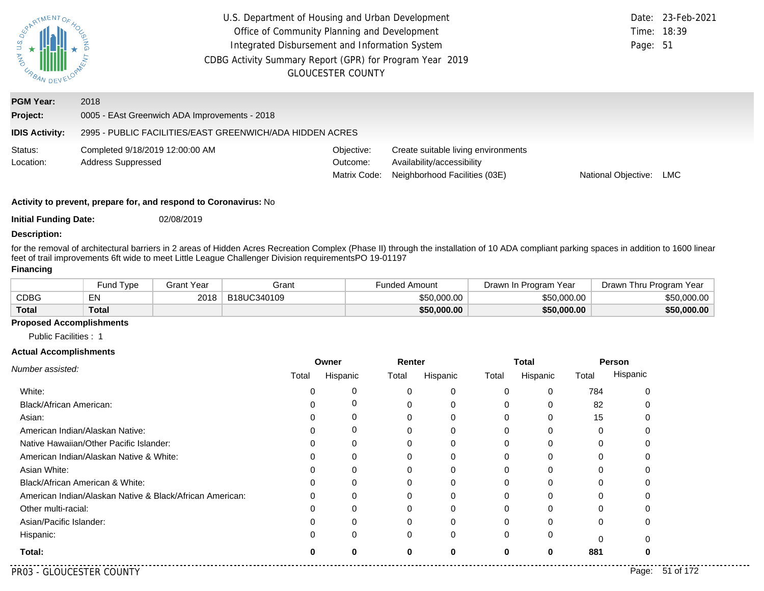| U.S. DES<br>AND URBAN        | U.S. Department of Housing and Urban Development<br>Office of Community Planning and Development<br>Integrated Disbursement and Information System<br>CDBG Activity Summary Report (GPR) for Program Year 2019<br><b>GLOUCESTER COUNTY</b> | Page: 51                               | Date: 23-Feb-2021<br>Time: 18:39                                                                   |                     |     |
|------------------------------|--------------------------------------------------------------------------------------------------------------------------------------------------------------------------------------------------------------------------------------------|----------------------------------------|----------------------------------------------------------------------------------------------------|---------------------|-----|
| <b>PGM Year:</b><br>Project: | 2018<br>0005 - EAst Greenwich ADA Improvements - 2018                                                                                                                                                                                      |                                        |                                                                                                    |                     |     |
| <b>IDIS Activity:</b>        | 2995 - PUBLIC FACILITIES/EAST GREENWICH/ADA HIDDEN ACRES                                                                                                                                                                                   |                                        |                                                                                                    |                     |     |
| Status:<br>Location:         | Completed 9/18/2019 12:00:00 AM<br><b>Address Suppressed</b>                                                                                                                                                                               | Objective:<br>Outcome:<br>Matrix Code: | Create suitable living environments<br>Availability/accessibility<br>Neighborhood Facilities (03E) | National Objective: | LMC |

**Initial Funding Date:** 02/08/2019

#### **Description:**

for the removal of architectural barriers in 2 areas of Hidden Acres Recreation Complex (Phase II) through the installation of 10 ADA compliant parking spaces in addition to 1600 linear feet of trail improvements 6ft wide to meet Little League Challenger Division requirements
PO 19-01197

#### **Financing**

|              | <b>Fund Type</b> | Grant Year | Grant       | Funded Amount | Drawn In Program Year | Drawn Thru Program Year |  |
|--------------|------------------|------------|-------------|---------------|-----------------------|-------------------------|--|
| CDBG         | EN               | 2018       | B18UC340109 | \$50,000.00   | \$50,000,00           | \$50,000.00             |  |
| <b>Total</b> | <b>Total</b>     |            |             | \$50,000.00   | \$50,000,00           | \$50,000.00             |  |

### **Proposed Accomplishments**

Public Facilities : 1

|                                                          | Owner |          | Renter |          | <b>Total</b> |          | Person   |          |
|----------------------------------------------------------|-------|----------|--------|----------|--------------|----------|----------|----------|
| Number assisted:                                         | Total | Hispanic | Total  | Hispanic | Total        | Hispanic | Total    | Hispanic |
| White:                                                   |       | 0        | 0      | 0        | $\Omega$     | 0        | 784      |          |
| Black/African American:                                  |       | $\Gamma$ |        | 0        | $\Omega$     | 0        | 82       |          |
| Asian:                                                   |       | 0        | 0      | 0        | 0            | 0        | 15       |          |
| American Indian/Alaskan Native:                          |       | 0        | 0      | 0        | $\Omega$     | 0        | 0        |          |
| Native Hawaiian/Other Pacific Islander:                  |       | O        |        | 0        |              |          |          |          |
| American Indian/Alaskan Native & White:                  |       | 0        | ი      | 0        | 0            |          | 0        |          |
| Asian White:                                             |       |          |        | $\Omega$ | 0            | O        | $\Omega$ |          |
| Black/African American & White:                          |       | Ω        |        | 0        |              |          |          |          |
| American Indian/Alaskan Native & Black/African American: |       | 0        | 0      | 0        | 0            | 0        | 0        |          |
| Other multi-racial:                                      |       |          |        | $\Omega$ | O            | C        |          |          |
| Asian/Pacific Islander:                                  |       |          |        | 0        |              |          | 0        |          |
| Hispanic:                                                |       | 0        | 0      | $\Omega$ | 0            | 0        | 0        |          |
| Total:                                                   |       | 0        | 0      | 0        | 0            | 0        | 881      |          |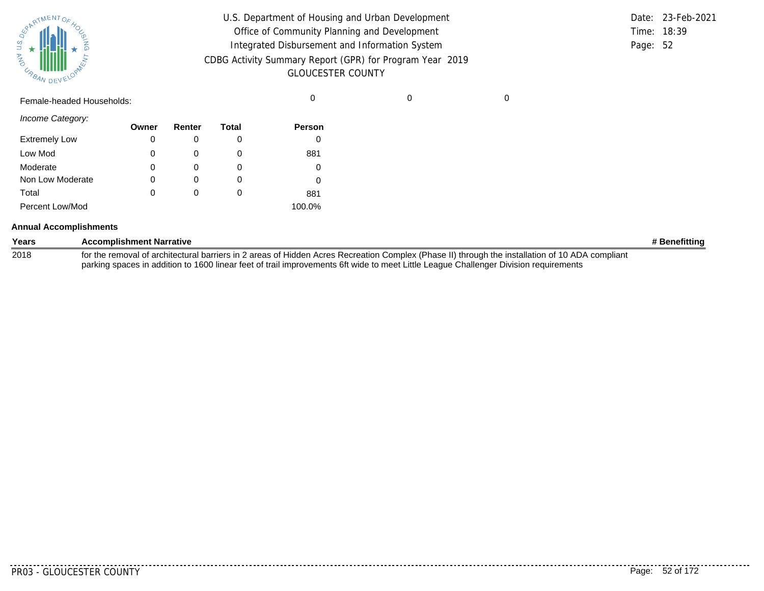| SUPATMENTOF HOL<br>ΔŚ, |           |  |
|------------------------|-----------|--|
| <b>MAG</b><br>URBAN    | DEVELOPAN |  |

| U.S. Department of Housing and Urban Development                                     |          | Date: 23-Feb-2021 |
|--------------------------------------------------------------------------------------|----------|-------------------|
| Office of Community Planning and Development                                         |          | Time: 18:39       |
| Integrated Disbursement and Information System                                       | Page: 52 |                   |
| CDBG Activity Summary Report (GPR) for Program Year 2019<br><b>GLOUCESTER COUNTY</b> |          |                   |

Female-headed Households: 0 0 0

| Income Category: |  |
|------------------|--|
|------------------|--|

| 0 0 0 0 0 0 0 0 0    | Owner | Renter | Total    | <b>Person</b> |
|----------------------|-------|--------|----------|---------------|
| <b>Extremely Low</b> | 0     | O      |          | 0             |
| Low Mod              | 0     | O      |          | 881           |
| Moderate             | 0     | O      | $\Omega$ | 0             |
| Non Low Moderate     | 0     | O      |          | 0             |
| Total                | 0     | 0      |          | 881           |
| Percent Low/Mod      |       |        |          | 100.0%        |

#### **Annual Accomplishments**

| Years | <b>Accomplishment Narrative</b>                                                                                                                 | # Benefitting |
|-------|-------------------------------------------------------------------------------------------------------------------------------------------------|---------------|
| 2018  | for the removal of architectural barriers in 2 areas of Hidden Acres Recreation Complex (Phase II) through the installation of 10 ADA compliant |               |
|       | parking spaces in addition to 1600 linear feet of trail improvements 6ft wide to meet Little League Challenger Division requirements            |               |

. . . . . . . . . .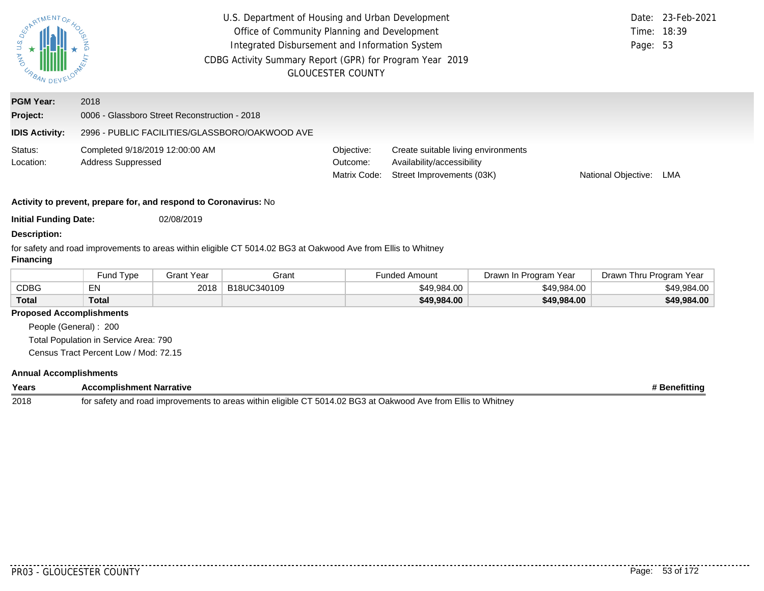| SPARTMENTOS<br><b>STA AND</b><br>URBAN | U.S. Department of Housing and Urban Development<br>Office of Community Planning and Development<br>Integrated Disbursement and Information System<br>CDBG Activity Summary Report (GPR) for Program Year 2019<br><b>GLOUCESTER COUNTY</b> |                   |                                                                                                               |                                        |                                                                                                |                       | Date:<br>Time:<br>Page: 53 | 23-Feb-2021<br>18:39 |
|----------------------------------------|--------------------------------------------------------------------------------------------------------------------------------------------------------------------------------------------------------------------------------------------|-------------------|---------------------------------------------------------------------------------------------------------------|----------------------------------------|------------------------------------------------------------------------------------------------|-----------------------|----------------------------|----------------------|
| <b>PGM Year:</b>                       | 2018                                                                                                                                                                                                                                       |                   |                                                                                                               |                                        |                                                                                                |                       |                            |                      |
| Project:                               | 0006 - Glassboro Street Reconstruction - 2018                                                                                                                                                                                              |                   |                                                                                                               |                                        |                                                                                                |                       |                            |                      |
| <b>IDIS Activity:</b>                  | 2996 - PUBLIC FACILITIES/GLASSBORO/OAKWOOD AVE                                                                                                                                                                                             |                   |                                                                                                               |                                        |                                                                                                |                       |                            |                      |
| Status:<br>Location:                   | Completed 9/18/2019 12:00:00 AM<br>Address Suppressed                                                                                                                                                                                      |                   |                                                                                                               | Objective:<br>Outcome:<br>Matrix Code: | Create suitable living environments<br>Availability/accessibility<br>Street Improvements (03K) |                       | National Objective:        | LMA                  |
|                                        | Activity to prevent, prepare for, and respond to Coronavirus: No                                                                                                                                                                           |                   |                                                                                                               |                                        |                                                                                                |                       |                            |                      |
| <b>Initial Funding Date:</b>           |                                                                                                                                                                                                                                            | 02/08/2019        |                                                                                                               |                                        |                                                                                                |                       |                            |                      |
| <b>Description:</b>                    |                                                                                                                                                                                                                                            |                   |                                                                                                               |                                        |                                                                                                |                       |                            |                      |
| <b>Financing</b>                       |                                                                                                                                                                                                                                            |                   | for safety and road improvements to areas within eligible CT 5014.02 BG3 at Oakwood Ave from Ellis to Whitney |                                        |                                                                                                |                       |                            |                      |
|                                        | Fund Type                                                                                                                                                                                                                                  | <b>Grant Year</b> | Grant                                                                                                         |                                        | <b>Funded Amount</b>                                                                           | Drawn In Program Year | Drawn Thru Program Year    |                      |
| <b>CDBG</b>                            | EN                                                                                                                                                                                                                                         | 2018              | B18UC340109                                                                                                   |                                        | \$49,984.00                                                                                    | \$49,984.00           |                            | \$49,984.00          |

## **Proposed Accomplishments**

**Total**

People (General) : 200 Total Population in Service Area: 790 Census Tract Percent Low / Mod: 72.15

**Total**

#### **Annual Accomplishments**

| Years | <b>Accomplishment Narrative</b>                                                                               | Benefitting |
|-------|---------------------------------------------------------------------------------------------------------------|-------------|
| 2018  | for safety and road improvements to areas within eligible CT 5014.02 BG3 at Oakwood Ave from Ellis to Whitney |             |

**\$49,984.00 \$49,984.00 \$49,984.00**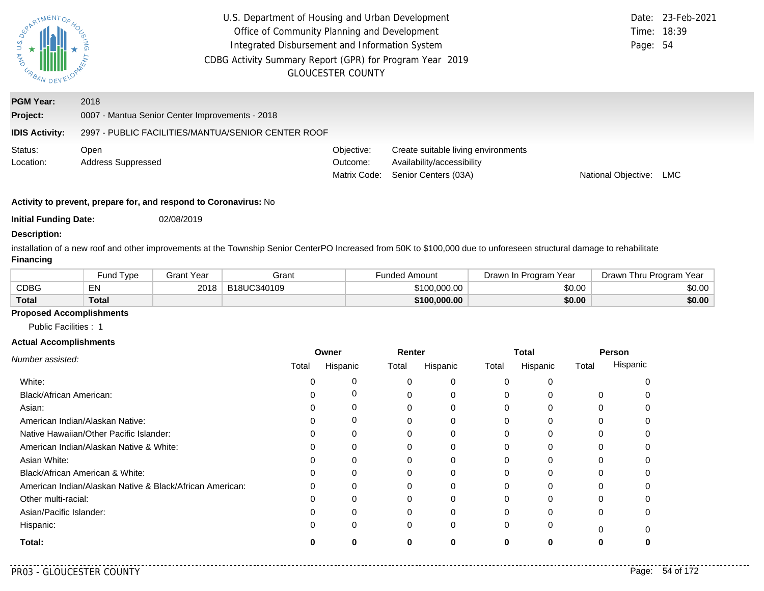| U.S.<br><b>MAN</b><br>URBAN. | U.S. Department of Housing and Urban Development<br>Office of Community Planning and Development<br>Integrated Disbursement and Information System<br>CDBG Activity Summary Report (GPR) for Program Year 2019<br><b>GLOUCESTER COUNTY</b> | Page: 54                               | Date: 23-Feb-2021<br>Time: 18:39                                                          |                     |            |
|------------------------------|--------------------------------------------------------------------------------------------------------------------------------------------------------------------------------------------------------------------------------------------|----------------------------------------|-------------------------------------------------------------------------------------------|---------------------|------------|
| <b>PGM Year:</b>             | 2018                                                                                                                                                                                                                                       |                                        |                                                                                           |                     |            |
| Project:                     | 0007 - Mantua Senior Center Improvements - 2018                                                                                                                                                                                            |                                        |                                                                                           |                     |            |
| <b>IDIS Activity:</b>        | 2997 - PUBLIC FACILITIES/MANTUA/SENIOR CENTER ROOF                                                                                                                                                                                         |                                        |                                                                                           |                     |            |
| Status:<br>Location:         | Open<br><b>Address Suppressed</b>                                                                                                                                                                                                          | Objective:<br>Outcome:<br>Matrix Code: | Create suitable living environments<br>Availability/accessibility<br>Senior Centers (03A) | National Objective: | <b>LMC</b> |

**Initial Funding Date:** 02/08/2019

#### **Description:**

installation of a new roof and other improvements at the Township Senior Center
PO Increased from 50K to \$100,000 due to unforeseen structural damage to rehabilitate **Financing**

|              | Type<br>-und | Grant Year | Grant       | ⊢unded Amount | Drawn In Program Year | Drawn Thru Program Year |
|--------------|--------------|------------|-------------|---------------|-----------------------|-------------------------|
| CDBG         | $-$ M<br>ᄃᅠᄓ | 2018       | B18UC340109 | \$100,000.00  | \$0.00                | \$0.00                  |
| <b>Total</b> | Total        |            |             | \$100,000.00  | \$0.00                | \$0.00                  |

### **Proposed Accomplishments**

Public Facilities : 1

|                                                          | Owner |          | Renter |          | <b>Total</b> |          | Person   |          |
|----------------------------------------------------------|-------|----------|--------|----------|--------------|----------|----------|----------|
| Number assisted:                                         | Total | Hispanic | Total  | Hispanic | Total        | Hispanic | Total    | Hispanic |
| White:                                                   |       |          |        | 0        | $\Omega$     |          |          |          |
| Black/African American:                                  |       | 0        | 0      | 0        | 0            |          | $\Omega$ |          |
| Asian:                                                   |       | Ω        | 0      | 0        | 0            |          |          |          |
| American Indian/Alaskan Native:                          |       | 0        |        | 0        | 0            | $\Omega$ | 0        |          |
| Native Hawaiian/Other Pacific Islander:                  |       | ი        |        |          |              |          |          |          |
| American Indian/Alaskan Native & White:                  |       | 0        | 0      | 0        | 0            | 0        | 0        |          |
| Asian White:                                             |       |          |        | 0        |              |          |          |          |
| Black/African American & White:                          |       |          |        | 0        |              |          |          |          |
| American Indian/Alaskan Native & Black/African American: |       | 0        | 0      | 0        | O            | 0        |          |          |
| Other multi-racial:                                      |       |          |        | 0        |              |          |          |          |
| Asian/Pacific Islander:                                  |       | 0        | 0      | 0        | 0            |          | 0        |          |
| Hispanic:                                                |       | 0        | 0      | 0        | $\Omega$     | 0        | $\Omega$ |          |
| Total:                                                   |       | 0        | 0      | 0        | 0            | 0        |          |          |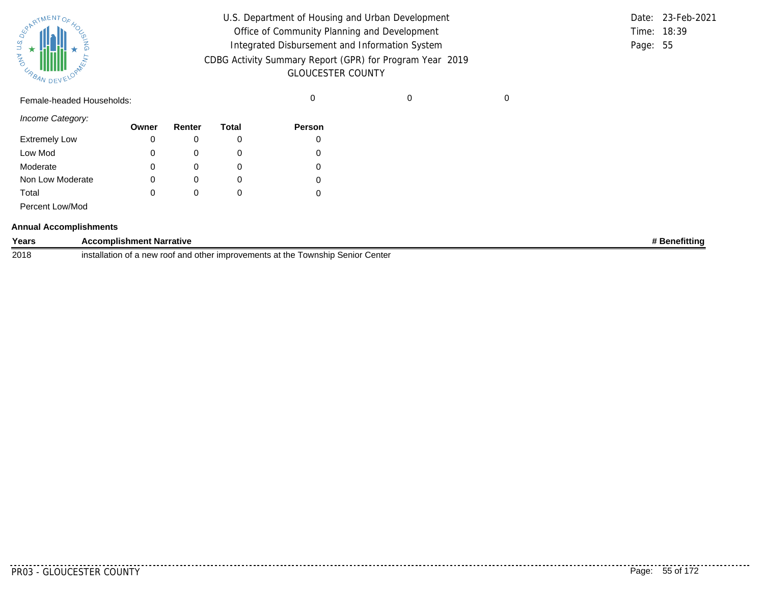| SURATMENTOFAOL    |           |  |
|-------------------|-----------|--|
| S.T<br><b>MAG</b> |           |  |
| URBAN             | DEVELOPAN |  |

| U.S. Department of Housing and Urban Development                                     |          | Date: 23-Feb-2021 |
|--------------------------------------------------------------------------------------|----------|-------------------|
| Office of Community Planning and Development                                         |          | Time: 18:39       |
| Integrated Disbursement and Information System                                       | Page: 55 |                   |
| CDBG Activity Summary Report (GPR) for Program Year 2019<br><b>GLOUCESTER COUNTY</b> |          |                   |
|                                                                                      |          |                   |

Female-headed Households: 0 0 0

*Income Category:*

|                      | Owner | Renter       | Total  | <b>Person</b> |
|----------------------|-------|--------------|--------|---------------|
| <b>Extremely Low</b> | 0     |              |        |               |
| Low Mod              | 0     |              | O      |               |
| Moderate             | 0     |              |        |               |
| Non Low Moderate     | 0     | O)           | O      |               |
| Total                | 0     | $\mathbf{0}$ | $\cup$ |               |
| Percent Low/Mod      |       |              |        |               |

#### **Annual Accomplishments**

| Years | <b>Accomplishment Narrative</b>                                                                                       | Benefitting |
|-------|-----------------------------------------------------------------------------------------------------------------------|-------------|
| 2018  | installatior<br>n of a new roof and other improvements at the $\bar{\ }$<br>Center<br>∵ Senior <i>د</i><br>: Township |             |

..........

. . . . . . . . . . . .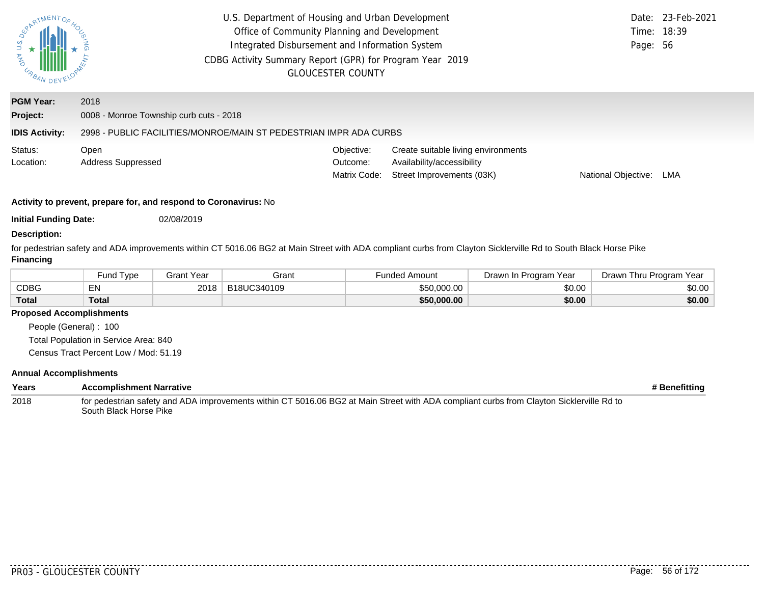| <b>SPARTMENTOF</b><br>U.S.<br><b>AND</b><br>URBAN DEV | U.S. Department of Housing and Urban Development<br>Office of Community Planning and Development<br>Integrated Disbursement and Information System<br>CDBG Activity Summary Report (GPR) for Program Year 2019 | <b>GLOUCESTER COUNTY</b>               |                                                                                                | Page: 56            | Date: 23-Feb-2021<br>Time: 18:39 |
|-------------------------------------------------------|----------------------------------------------------------------------------------------------------------------------------------------------------------------------------------------------------------------|----------------------------------------|------------------------------------------------------------------------------------------------|---------------------|----------------------------------|
| <b>PGM Year:</b><br>Project:<br><b>IDIS Activity:</b> | 2018<br>0008 - Monroe Township curb cuts - 2018<br>2998 - PUBLIC FACILITIES/MONROE/MAIN ST PEDESTRIAN IMPR ADA CURBS                                                                                           |                                        |                                                                                                |                     |                                  |
| Status:<br>Location:                                  | Open<br><b>Address Suppressed</b>                                                                                                                                                                              | Objective:<br>Outcome:<br>Matrix Code: | Create suitable living environments<br>Availability/accessibility<br>Street Improvements (03K) | National Objective: | LMA                              |
|                                                       | Activity to prevent, prepare for, and respond to Coronavirus: No                                                                                                                                               |                                        |                                                                                                |                     |                                  |

**Initial Funding Date:** 02/08/2019

#### **Description:**

for pedestrian safety and ADA improvements within CT 5016.06 BG2 at Main Street with ADA compliant curbs from Clayton Sicklerville Rd to South Black Horse Pike **Financing**

|              | und Type <sup>-</sup> | <b>Grant Year</b> | Grant       | Funded Amount | Drawn In Program Year | Drawn Thru Program Year |
|--------------|-----------------------|-------------------|-------------|---------------|-----------------------|-------------------------|
| <b>CDBG</b>  |                       | 2018              | B18UC340109 | \$50,000.00   | \$0.00                | \$0.00                  |
| <b>Total</b> | Total                 |                   |             | \$50,000.00   | \$0.00                | \$0.00                  |

## **Proposed Accomplishments**

People (General) : 100 Total Population in Service Area: 840

Census Tract Percent Low / Mod: 51.19

| Years | <b>Accomplishment Narrative</b>                                                                                                                                    | # Benefitting |
|-------|--------------------------------------------------------------------------------------------------------------------------------------------------------------------|---------------|
| 2018  | for pedestrian safety and ADA improvements within CT 5016.06 BG2 at Main Street with ADA compliant curbs from Clayton Sicklerville Rd to<br>South Black Horse Pike |               |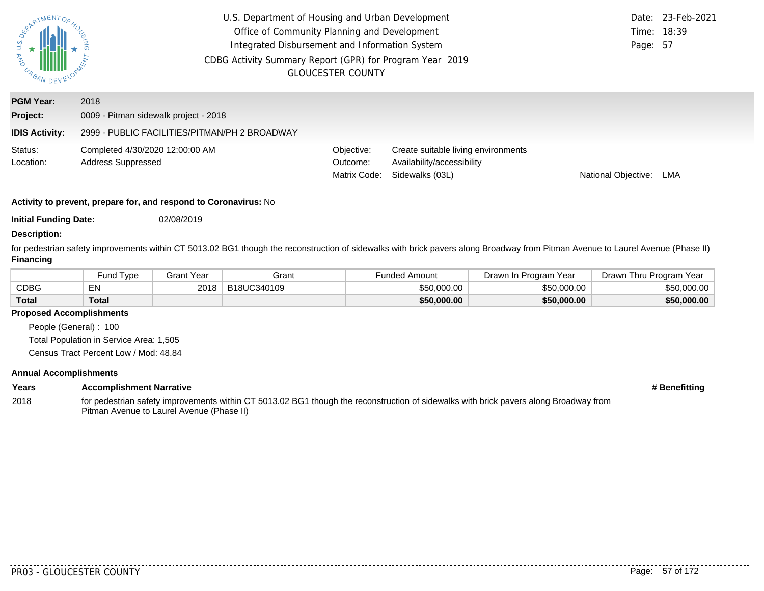| S.<br>n<br><b>AND</b><br>UP BAN DEV | U.S. Department of Housing and Urban Development<br>Office of Community Planning and Development<br>Integrated Disbursement and Information System<br>CDBG Activity Summary Report (GPR) for Program Year 2019 | <b>GLOUCESTER COUNTY</b>               |                                                                                      | Page: 57            | Date: 23-Feb-2021<br>Time: 18:39 |
|-------------------------------------|----------------------------------------------------------------------------------------------------------------------------------------------------------------------------------------------------------------|----------------------------------------|--------------------------------------------------------------------------------------|---------------------|----------------------------------|
| <b>PGM Year:</b>                    | 2018                                                                                                                                                                                                           |                                        |                                                                                      |                     |                                  |
| Project:                            | 0009 - Pitman sidewalk project - 2018                                                                                                                                                                          |                                        |                                                                                      |                     |                                  |
| <b>IDIS Activity:</b>               | 2999 - PUBLIC FACILITIES/PITMAN/PH 2 BROADWAY                                                                                                                                                                  |                                        |                                                                                      |                     |                                  |
| Status:<br>Location:                | Completed 4/30/2020 12:00:00 AM<br><b>Address Suppressed</b>                                                                                                                                                   | Objective:<br>Outcome:<br>Matrix Code: | Create suitable living environments<br>Availability/accessibility<br>Sidewalks (03L) | National Objective: | LMA                              |
|                                     | Activity to provent proporcing and respond to Coronavirual No.                                                                                                                                                 |                                        |                                                                                      |                     |                                  |

**Initial Funding Date:** 02/08/2019

#### **Description:**

for pedestrian safety improvements within CT 5013.02 BG1 though the reconstruction of sidewalks with brick pavers along Broadway from Pitman Avenue to Laurel Avenue (Phase II) **Financing**

|              | Fund Type    | Grant Year | Grant       | <sup>⊏</sup> unded Amount | Drawn In Program Year | Drawn Thru Program Year |
|--------------|--------------|------------|-------------|---------------------------|-----------------------|-------------------------|
| CDBG         | EN           | 2018       | B18UC340109 | \$50,000,00               | \$50,000,00           | \$50,000.00             |
| <b>Total</b> | <b>Total</b> |            |             | \$50,000.00               | \$50,000.00           | \$50,000.00             |

#### **Proposed Accomplishments**

People (General) : 100 Total Population in Service Area: 1,505

Census Tract Percent Low / Mod: 48.84

| Years | <b>Accomplishment Narrative</b>                                                                                                       | # Benefitting |
|-------|---------------------------------------------------------------------------------------------------------------------------------------|---------------|
| 2018  | for pedestrian safety improvements within CT 5013.02 BG1 though the reconstruction of sidewalks with brick pavers along Broadway from |               |
|       | Pitman Avenue to Laurel Avenue (Phase II)                                                                                             |               |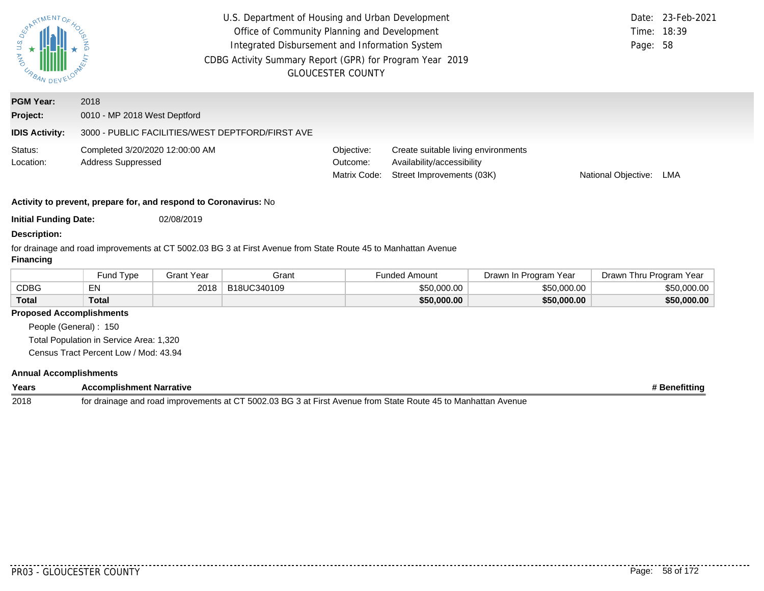| <b>ASPATMENTOF</b>                                               | U.S. Department of Housing and Urban Development<br>Office of Community Planning and Development<br>Integrated Disbursement and Information System<br>CDBG Activity Summary Report (GPR) for Program Year 2019 | <b>GLOUCESTER COUNTY</b>               |                                                                                                | 23-Feb-2021<br>Date:<br>18:39<br>Time:<br>Page: 58 |  |  |  |
|------------------------------------------------------------------|----------------------------------------------------------------------------------------------------------------------------------------------------------------------------------------------------------------|----------------------------------------|------------------------------------------------------------------------------------------------|----------------------------------------------------|--|--|--|
| <b>PGM Year:</b>                                                 | 2018                                                                                                                                                                                                           |                                        |                                                                                                |                                                    |  |  |  |
| Project:                                                         | 0010 - MP 2018 West Deptford                                                                                                                                                                                   |                                        |                                                                                                |                                                    |  |  |  |
| <b>IDIS Activity:</b>                                            | 3000 - PUBLIC FACILITIES/WEST DEPTFORD/FIRST AVE                                                                                                                                                               |                                        |                                                                                                |                                                    |  |  |  |
| Status:<br>Location:                                             | Completed 3/20/2020 12:00:00 AM<br><b>Address Suppressed</b>                                                                                                                                                   | Objective:<br>Outcome:<br>Matrix Code: | Create suitable living environments<br>Availability/accessibility<br>Street Improvements (03K) | National Objective:<br>LMA                         |  |  |  |
| Activity to prevent, prepare for, and respond to Coronavirus: No |                                                                                                                                                                                                                |                                        |                                                                                                |                                                    |  |  |  |
| <b>Initial Funding Date:</b>                                     | 02/08/2019                                                                                                                                                                                                     |                                        |                                                                                                |                                                    |  |  |  |
| <b>Description:</b>                                              |                                                                                                                                                                                                                |                                        |                                                                                                |                                                    |  |  |  |
| Financing                                                        | for drainage and road improvements at CT 5002.03 BG 3 at First Avenue from State Route 45 to Manhattan Avenue                                                                                                  |                                        |                                                                                                |                                                    |  |  |  |

|              | Fund Type | Grant Year | Grant       | <b>Funded Amount</b> | Drawn In Program Year | Drawn Thru Program Year |
|--------------|-----------|------------|-------------|----------------------|-----------------------|-------------------------|
| <b>CDBG</b>  | EN        | 2018       | B18UC340109 | \$50,000,00          | \$50,000.00           | \$50,000.00             |
| <b>Total</b> | Total     |            |             | \$50,000.00          | \$50,000,00           | \$50,000.00             |

## **Proposed Accomplishments**

People (General) : 150 Total Population in Service Area: 1,320

Census Tract Percent Low / Mod: 43.94

| Years | Accomplishment Narrative                                                                                      | <b>Benefitting</b> |
|-------|---------------------------------------------------------------------------------------------------------------|--------------------|
| 2018  | for drainage and road improvements at CT 5002.03 BG 3 at First Avenue from State Route 45 to Manhattan Avenue |                    |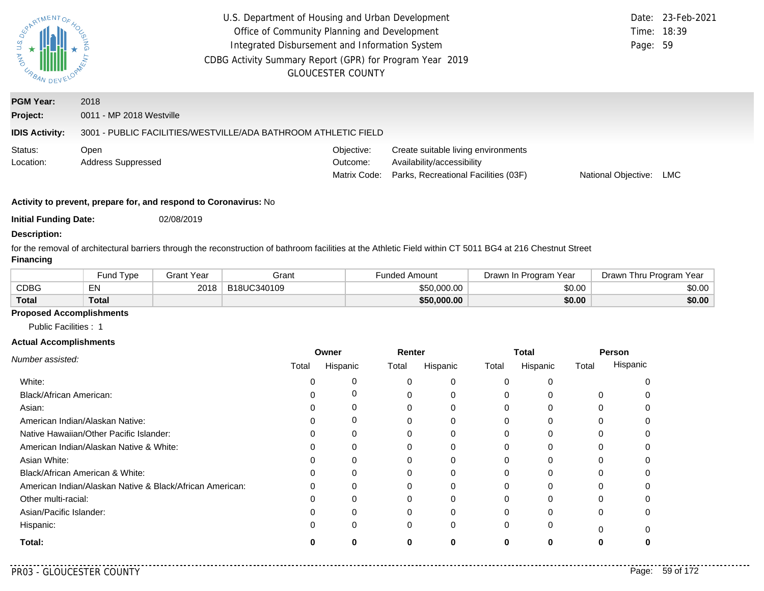| <b>DAY U.S. /</b><br>URBAN.                           | U.S. Department of Housing and Urban Development<br>Office of Community Planning and Development<br>Integrated Disbursement and Information System<br>CDBG Activity Summary Report (GPR) for Program Year 2019 | <b>GLOUCESTER COUNTY</b>               |                                                                                                           | Page: 59            | Date: 23-Feb-2021<br>Time: 18:39 |
|-------------------------------------------------------|----------------------------------------------------------------------------------------------------------------------------------------------------------------------------------------------------------------|----------------------------------------|-----------------------------------------------------------------------------------------------------------|---------------------|----------------------------------|
| <b>PGM Year:</b><br>Project:<br><b>IDIS Activity:</b> | 2018<br>0011 - MP 2018 Westville<br>3001 - PUBLIC FACILITIES/WESTVILLE/ADA BATHROOM ATHLETIC FIELD                                                                                                             |                                        |                                                                                                           |                     |                                  |
| Status:<br>Location:                                  | Open<br><b>Address Suppressed</b>                                                                                                                                                                              | Objective:<br>Outcome:<br>Matrix Code: | Create suitable living environments<br>Availability/accessibility<br>Parks, Recreational Facilities (03F) | National Objective: | <b>LMC</b>                       |
|                                                       | Activity to prevent, prepare for, and respond to Coronavirus: No                                                                                                                                               |                                        |                                                                                                           |                     |                                  |

**Initial Funding Date:** 02/08/2019

#### **Description:**

for the removal of architectural barriers through the reconstruction of bathroom facilities at the Athletic Field within CT 5011 BG4 at 216 Chestnut Street **Financing**

|              | <b>Fund Type</b> | Grant Year | Grant       | Funded Amount | Drawn In Program Year | Drawn Thru Program Year |
|--------------|------------------|------------|-------------|---------------|-----------------------|-------------------------|
| <b>CDBG</b>  | EN               | 2018       | B18UC340109 | \$50,000.00   | \$0.00                | \$0.00                  |
| <b>Total</b> | Total            |            |             | \$50,000.00   | \$0.00                | \$0.00                  |

## **Proposed Accomplishments**

Public Facilities : 1

|                                                          |       | Owner    | Renter |          | <b>Total</b><br>Hispanic<br>Total<br>$\Omega$<br>0<br>0<br>0<br>$\Omega$<br>0<br>O<br>0<br>O<br>0 | Person |          |          |
|----------------------------------------------------------|-------|----------|--------|----------|---------------------------------------------------------------------------------------------------|--------|----------|----------|
| Number assisted:                                         | Total | Hispanic | Total  | Hispanic |                                                                                                   |        | Total    | Hispanic |
| White:                                                   |       |          | 0      | 0        |                                                                                                   |        |          |          |
| Black/African American:                                  |       |          | 0      | 0        |                                                                                                   |        | U        |          |
| Asian:                                                   |       |          | 0      | 0        |                                                                                                   |        |          |          |
| American Indian/Alaskan Native:                          |       | 0        | 0      | 0        |                                                                                                   |        |          |          |
| Native Hawaiian/Other Pacific Islander:                  |       |          | 0      |          |                                                                                                   |        |          |          |
| American Indian/Alaskan Native & White:                  |       | 0        | 0      | 0        |                                                                                                   |        |          |          |
| Asian White:                                             |       |          | 0      | 0        |                                                                                                   |        |          |          |
| Black/African American & White:                          |       |          | 0      | 0        |                                                                                                   |        |          |          |
| American Indian/Alaskan Native & Black/African American: |       | ∩        | 0      | $\Omega$ |                                                                                                   |        |          |          |
| Other multi-racial:                                      |       |          | 0      | 0        |                                                                                                   |        |          |          |
| Asian/Pacific Islander:                                  |       |          | 0      | 0        |                                                                                                   |        | 0        |          |
| Hispanic:                                                |       | 0        | 0      | 0        | 0                                                                                                 | 0      | $\Omega$ |          |
| Total:                                                   |       | o        | ი      | 0        |                                                                                                   |        |          |          |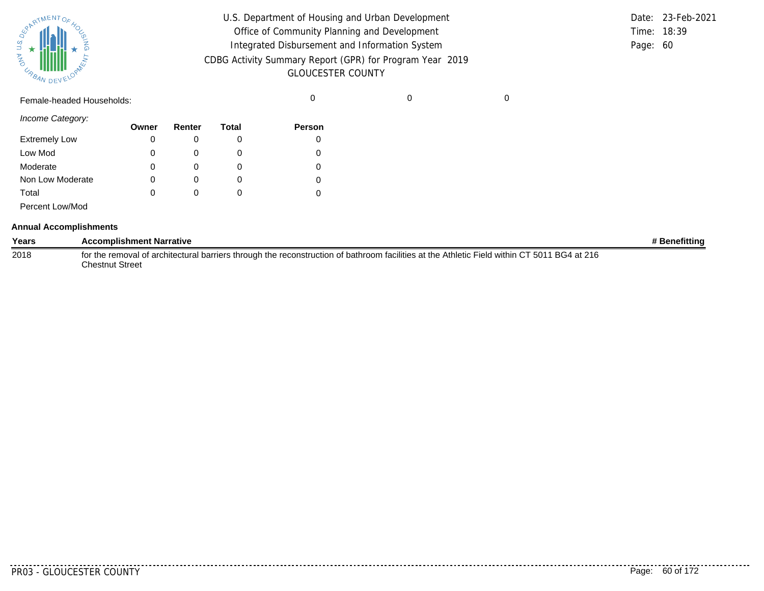| SPARTMENTOF HOL |           |
|-----------------|-----------|
|                 |           |
| 气               |           |
| URBAN           | DEVELOPAN |

| U.S. Department of Housing and Urban Development                                     |          | Date: 23-Feb-2021 |
|--------------------------------------------------------------------------------------|----------|-------------------|
| Office of Community Planning and Development                                         |          | Time: 18:39       |
| Integrated Disbursement and Information System                                       | Page: 60 |                   |
| CDBG Activity Summary Report (GPR) for Program Year 2019<br><b>GLOUCESTER COUNTY</b> |          |                   |

Female-headed Households: 0 0 0

*Income Category:*

| $111001110$ valugury. | Owner | Renter | Total | <b>Person</b> |
|-----------------------|-------|--------|-------|---------------|
| <b>Extremely Low</b>  | 0     |        |       |               |
| Low Mod               | 0     |        |       |               |
| Moderate              | 0     |        |       |               |
| Non Low Moderate      | 0     | 0      | O     |               |
| Total                 | 0     |        |       |               |
| Percent Low/Mod       |       |        |       |               |

#### **Annual Accomplishments**

| Years | <b>Accomplishment Narrative</b>                                                                                                             | # Benefittina |
|-------|---------------------------------------------------------------------------------------------------------------------------------------------|---------------|
| 2018  | for the removal of architectural barriers through the reconstruction of bathroom facilities at the Athletic Field within CT 5011 BG4 at 216 |               |
|       | Chestnut Street                                                                                                                             |               |

. . . . . . . . . .

. . . . . . . . . . .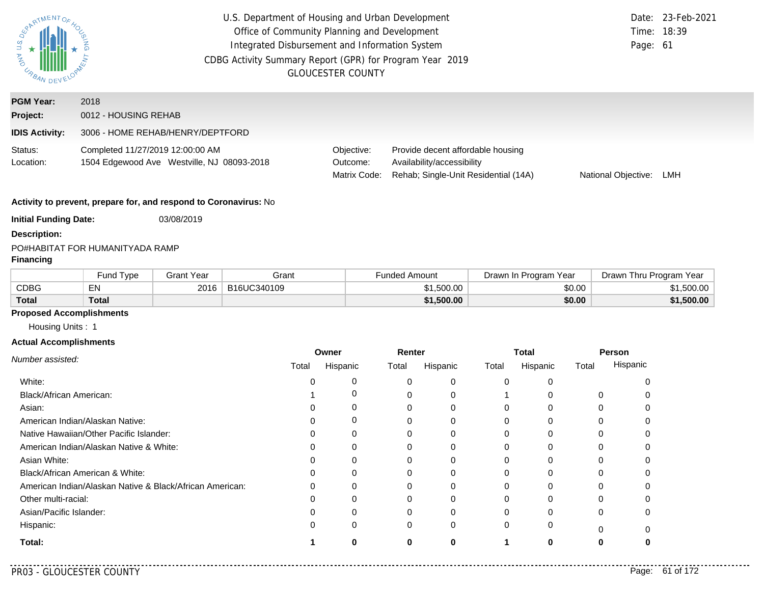| PARTMENTOR<br>AND<br>URBAN                            | U.S. Department of Housing and Urban Development<br>Office of Community Planning and Development<br>Integrated Disbursement and Information System<br>CDBG Activity Summary Report (GPR) for Program Year 2019 | <b>GLOUCESTER COUNTY</b>               |                                                                                                         | Page: 61            | Date: 23-Feb-2021<br>Time: 18:39 |  |  |
|-------------------------------------------------------|----------------------------------------------------------------------------------------------------------------------------------------------------------------------------------------------------------------|----------------------------------------|---------------------------------------------------------------------------------------------------------|---------------------|----------------------------------|--|--|
| <b>PGM Year:</b><br>Project:<br><b>IDIS Activity:</b> | 2018<br>0012 - HOUSING REHAB<br>3006 - HOME REHAB/HENRY/DEPTFORD                                                                                                                                               |                                        |                                                                                                         |                     |                                  |  |  |
| Status:<br>Location:                                  | Completed 11/27/2019 12:00:00 AM<br>1504 Edgewood Ave Westville, NJ 08093-2018                                                                                                                                 | Objective:<br>Outcome:<br>Matrix Code: | Provide decent affordable housing<br>Availability/accessibility<br>Rehab; Single-Unit Residential (14A) | National Objective: | LMH                              |  |  |
|                                                       | Activity to prevent, prepare for, and respond to Coronavirus: No                                                                                                                                               |                                        |                                                                                                         |                     |                                  |  |  |
| <b>Initial Funding Date:</b>                          | 03/08/2019                                                                                                                                                                                                     |                                        |                                                                                                         |                     |                                  |  |  |

#### PO#
HABITAT FOR HUMANITY
ADA RAMP **Financing**

**Description:**

|              | <b>Fund Type</b> | Grant Year | Grant       | Funded Amount | Drawn In Program Year | Drawn Thru Program Year |
|--------------|------------------|------------|-------------|---------------|-----------------------|-------------------------|
| CDBG         | $-$ .<br>ΕN      | 2016       | B16UC340109 | \$1,500.00    | \$0.00                | \$1,500.00              |
| <b>Total</b> | <b>Total</b>     |            |             | \$1,500.00    | \$0.00                | \$1,500.00              |

## **Proposed Accomplishments**

Housing Units : 1

#### **Actual Accomplishments**

|                                                          |       | Owner    | Renter |          | <b>Total</b><br>Hispanic<br>Total<br>0<br>$\Omega$<br>0<br>O<br>O<br>0<br>$\Omega$<br>0<br>0<br>$\Omega$<br>$\Omega$<br>0 | Person |          |          |
|----------------------------------------------------------|-------|----------|--------|----------|---------------------------------------------------------------------------------------------------------------------------|--------|----------|----------|
| Number assisted:                                         | Total | Hispanic | Total  | Hispanic |                                                                                                                           |        | Total    | Hispanic |
| White:                                                   |       |          |        | 0        |                                                                                                                           |        |          |          |
| Black/African American:                                  |       |          |        | 0        |                                                                                                                           |        | 0        |          |
| Asian:                                                   |       |          | 0      | 0        |                                                                                                                           |        | 0        |          |
| American Indian/Alaskan Native:                          |       | 0        |        | 0        |                                                                                                                           |        |          |          |
| Native Hawaiian/Other Pacific Islander:                  |       | 0        |        |          |                                                                                                                           |        |          |          |
| American Indian/Alaskan Native & White:                  |       | 0        | 0      | 0        |                                                                                                                           |        | 0        |          |
| Asian White:                                             |       |          |        | 0        |                                                                                                                           |        |          |          |
| Black/African American & White:                          |       | 0        | 0      | 0        |                                                                                                                           |        |          |          |
| American Indian/Alaskan Native & Black/African American: |       | $\Omega$ |        | 0        |                                                                                                                           |        | ∩        |          |
| Other multi-racial:                                      |       |          |        | 0        |                                                                                                                           |        |          |          |
| Asian/Pacific Islander:                                  |       | 0        | 0      | 0        |                                                                                                                           |        | 0        |          |
| Hispanic:                                                |       | 0        | 0      | 0        | 0                                                                                                                         | 0      | $\Omega$ |          |
| Total:                                                   |       | Ω        | ŋ      | o        |                                                                                                                           | 0      |          |          |

. . . . . . . . . .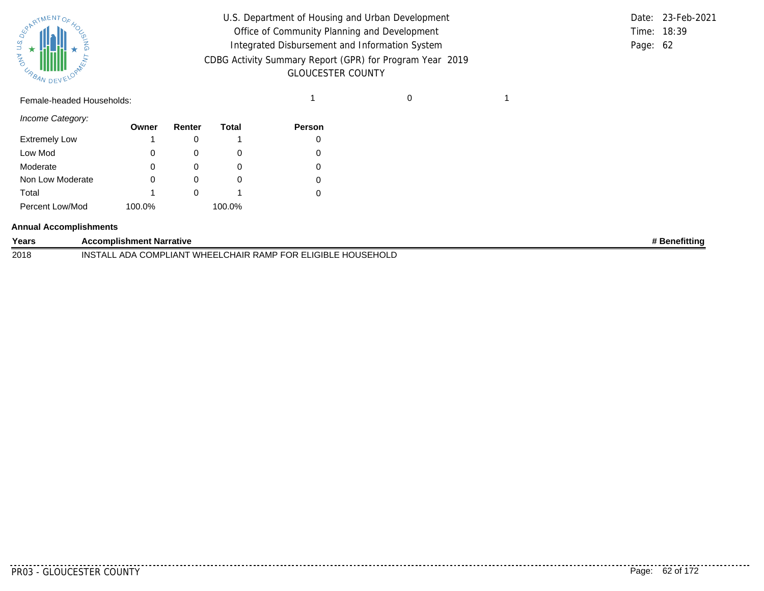

| U.S. Department of Housing and Urban Development         |          | Date: 23-Feb-2021 |
|----------------------------------------------------------|----------|-------------------|
| Office of Community Planning and Development             |          | Time: 18:39       |
| Integrated Disbursement and Information System           | Page: 62 |                   |
| CDBG Activity Summary Report (GPR) for Program Year 2019 |          |                   |
| <b>GLOUCESTER COUNTY</b>                                 |          |                   |

## Female-headed Households: 1 0 1

*Income Category:*

|                      | Owner  | Renter | Total    | <b>Person</b> |
|----------------------|--------|--------|----------|---------------|
| <b>Extremely Low</b> |        |        |          |               |
| Low Mod              | 0      |        | O        |               |
| Moderate             | 0      | O      | O        |               |
| Non Low Moderate     |        |        | $\Omega$ |               |
| Total                |        |        |          |               |
| Percent Low/Mod      | 100.0% |        | 100.0%   |               |

#### **Annual Accomplishments**

| Years | <b>\ccomplishment Narrative</b>                                                                  | ∩efittinơ |
|-------|--------------------------------------------------------------------------------------------------|-----------|
| 2018  | IGIRI<br>WHEEI<br>LCHAIR<br><b>HOUSEL</b><br>`RAMP<br>-OMP'<br>INS<br>$\mathbf{A}$<br>JR.<br>⊔AN |           |

. . . . . . . . .

.........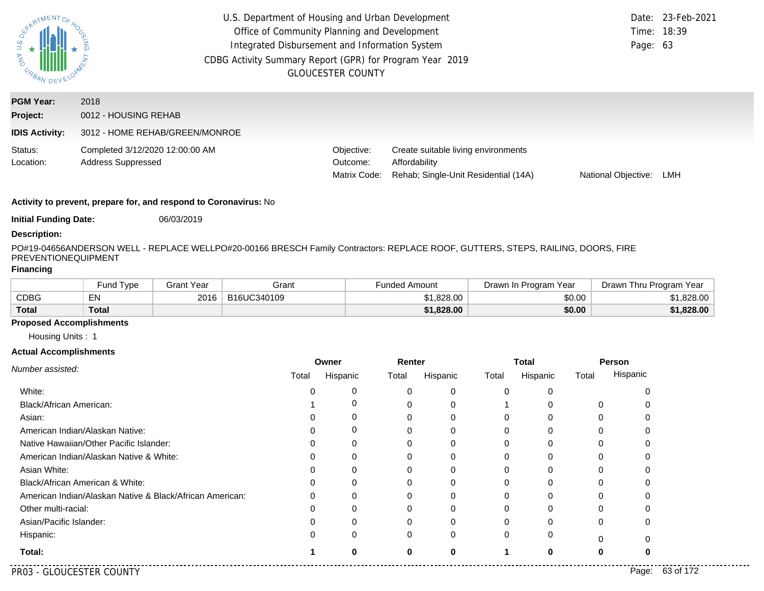| S.<br>D<br><b>AND</b><br>URBAN DEV                    | U.S. Department of Housing and Urban Development<br>Office of Community Planning and Development<br>Integrated Disbursement and Information System<br>CDBG Activity Summary Report (GPR) for Program Year 2019<br><b>GLOUCESTER COUNTY</b> |                                        |                                                                                              |                     |     |
|-------------------------------------------------------|--------------------------------------------------------------------------------------------------------------------------------------------------------------------------------------------------------------------------------------------|----------------------------------------|----------------------------------------------------------------------------------------------|---------------------|-----|
| <b>PGM Year:</b><br>Project:<br><b>IDIS Activity:</b> | 2018<br>0012 - HOUSING REHAB<br>3012 - HOME REHAB/GREEN/MONROE                                                                                                                                                                             |                                        |                                                                                              |                     |     |
| Status:<br>Location:                                  | Completed 3/12/2020 12:00:00 AM<br><b>Address Suppressed</b>                                                                                                                                                                               | Objective:<br>Outcome:<br>Matrix Code: | Create suitable living environments<br>Affordability<br>Rehab: Single-Unit Residential (14A) | National Objective: | LMH |

**Initial Funding Date:** 06/03/2019

#### **Description:**

PO#19-04656
ANDERSON WELL - REPLACE WELL
PO#20-00166 BRESCH Family Contractors: REPLACE ROOF, GUTTERS, STEPS, RAILING, DOORS, FIRE PREVENTIONEQUIPMENT

#### **Financing**

|              | Fund Type | Grant Year | Grant       | <b>Funded Amount</b> | Drawn In Program Year | Drawn Thru Program Year |
|--------------|-----------|------------|-------------|----------------------|-----------------------|-------------------------|
| <b>CDBG</b>  | EN        | 2016       | B16UC340109 | \$1.828.00           | \$0.00                | .828.00                 |
| <b>Total</b> | Total     |            |             | \$1,828.00           | \$0.00                | \$1,828.00              |

#### **Proposed Accomplishments**

Housing Units : 1

#### **Actual Accomplishments**

|                                                          | Owner        |          | Renter   |          | <b>Total</b>      |   | Person |          |
|----------------------------------------------------------|--------------|----------|----------|----------|-------------------|---|--------|----------|
| Number assisted:                                         | Total        | Hispanic | Total    | Hispanic | Total<br>Hispanic |   | Total  | Hispanic |
| White:                                                   |              | 0        |          |          | 0                 |   |        |          |
| Black/African American:                                  |              |          |          |          |                   |   | 0      |          |
| Asian:                                                   |              |          |          |          |                   |   |        |          |
| American Indian/Alaskan Native:                          |              | 0        |          |          | ი                 |   | 0      |          |
| Native Hawaiian/Other Pacific Islander:                  |              | 0        |          |          |                   |   |        |          |
| American Indian/Alaskan Native & White:                  |              | 0        |          |          |                   |   | 0      |          |
| Asian White:                                             |              |          |          |          |                   |   |        |          |
| Black/African American & White:                          | $\mathbf{O}$ |          |          |          |                   |   |        |          |
| American Indian/Alaskan Native & Black/African American: | 0            | 0        | C        |          | 0                 | O | 0      |          |
| Other multi-racial:                                      |              |          |          |          |                   |   |        |          |
| Asian/Pacific Islander:                                  |              |          |          |          |                   |   | 0      |          |
| Hispanic:                                                |              | 0        | $\Omega$ | 0        | 0                 | 0 | 0      |          |
| Total:                                                   |              | ŋ        |          | 0        |                   |   | 0      |          |

PR03 - GLOUCESTER COUNTY Page: 63 of 172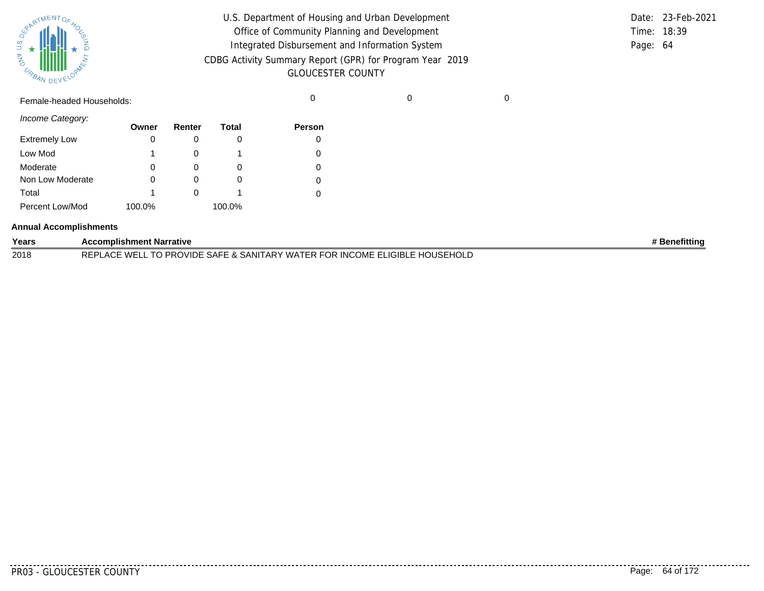| SPARTMENTOF HOL |           |
|-----------------|-----------|
|                 |           |
| 气               |           |
| URBAN           | DEVELOPAN |

| U.S. Department of Housing and Urban Development         |          | Date: 23-Feb-2021 |
|----------------------------------------------------------|----------|-------------------|
| Office of Community Planning and Development             |          | Time: 18:39       |
| Integrated Disbursement and Information System           | Page: 64 |                   |
| CDBG Activity Summary Report (GPR) for Program Year 2019 |          |                   |
| <b>GLOUCESTER COUNTY</b>                                 |          |                   |

Female-headed Households: 0 0 0

*Income Category:*

|                      | Owner  | Renter | Total  | <b>Person</b> |
|----------------------|--------|--------|--------|---------------|
| <b>Extremely Low</b> | 0      |        |        |               |
| Low Mod              | 1      |        |        |               |
| Moderate             | 0      |        |        |               |
| Non Low Moderate     | 0      |        |        |               |
| Total                | 1      |        |        |               |
| Percent Low/Mod      | 100.0% |        | 100.0% |               |

#### **Annual Accomplishments**

| Years | <b>Accomplishment Narrative</b>                                                          | Benefittina |
|-------|------------------------------------------------------------------------------------------|-------------|
| 2018  | '. TO PROVIDE SAFE & SANITARY WATER FOR INCOME ELIGIBLE HOUSEHOLD<br><b>REPLACE WELL</b> |             |

<u>. . . . . . . .</u>

. . . . . . . . . .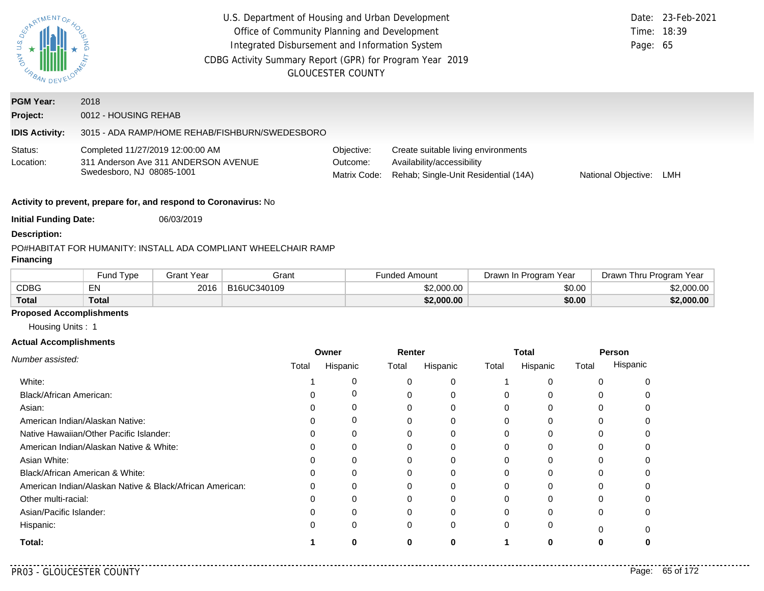|                                                                                                                                                                                                                                                                                                                                                     |                                                                   |                   | U.S. Department of Housing and Urban Development               |          |                          |                      |                                                                    |          |                       |          |                         | Date: 23-Feb-2021 |
|-----------------------------------------------------------------------------------------------------------------------------------------------------------------------------------------------------------------------------------------------------------------------------------------------------------------------------------------------------|-------------------------------------------------------------------|-------------------|----------------------------------------------------------------|----------|--------------------------|----------------------|--------------------------------------------------------------------|----------|-----------------------|----------|-------------------------|-------------------|
|                                                                                                                                                                                                                                                                                                                                                     |                                                                   |                   | Office of Community Planning and Development                   |          |                          |                      |                                                                    |          |                       |          |                         | Time: 18:39       |
| $\begin{picture}(180,10) \put(0,0){\line(1,0){15}} \put(10,0){\line(1,0){15}} \put(10,0){\line(1,0){15}} \put(10,0){\line(1,0){15}} \put(10,0){\line(1,0){15}} \put(10,0){\line(1,0){15}} \put(10,0){\line(1,0){15}} \put(10,0){\line(1,0){15}} \put(10,0){\line(1,0){15}} \put(10,0){\line(1,0){15}} \put(10,0){\line(1,0){15}} \put(10,0){\line($ |                                                                   |                   | Integrated Disbursement and Information System                 |          |                          |                      |                                                                    |          |                       |          | Page: 65                |                   |
| ARD<br>OND                                                                                                                                                                                                                                                                                                                                          |                                                                   |                   | CDBG Activity Summary Report (GPR) for Program Year 2019       |          |                          |                      |                                                                    |          |                       |          |                         |                   |
| <b>URBAN DEVELOY</b>                                                                                                                                                                                                                                                                                                                                |                                                                   |                   |                                                                |          | <b>GLOUCESTER COUNTY</b> |                      |                                                                    |          |                       |          |                         |                   |
| <b>PGM Year:</b>                                                                                                                                                                                                                                                                                                                                    | 2018                                                              |                   |                                                                |          |                          |                      |                                                                    |          |                       |          |                         |                   |
| Project:                                                                                                                                                                                                                                                                                                                                            | 0012 - HOUSING REHAB                                              |                   |                                                                |          |                          |                      |                                                                    |          |                       |          |                         |                   |
| <b>IDIS Activity:</b>                                                                                                                                                                                                                                                                                                                               |                                                                   |                   | 3015 - ADA RAMP/HOME REHAB/FISHBURN/SWEDESBORO                 |          |                          |                      |                                                                    |          |                       |          |                         |                   |
|                                                                                                                                                                                                                                                                                                                                                     |                                                                   |                   |                                                                |          |                          |                      |                                                                    |          |                       |          |                         |                   |
| Status:                                                                                                                                                                                                                                                                                                                                             | Completed 11/27/2019 12:00:00 AM                                  |                   |                                                                |          | Objective:               |                      | Create suitable living environments                                |          |                       |          |                         |                   |
| Location:                                                                                                                                                                                                                                                                                                                                           | 311 Anderson Ave 311 ANDERSON AVENUE<br>Swedesboro, NJ 08085-1001 |                   |                                                                |          | Outcome:<br>Matrix Code: |                      | Availability/accessibility<br>Rehab; Single-Unit Residential (14A) |          |                       |          | National Objective:     | LMH               |
|                                                                                                                                                                                                                                                                                                                                                     |                                                                   |                   |                                                                |          |                          |                      |                                                                    |          |                       |          |                         |                   |
|                                                                                                                                                                                                                                                                                                                                                     | Activity to prevent, prepare for, and respond to Coronavirus: No  |                   |                                                                |          |                          |                      |                                                                    |          |                       |          |                         |                   |
| <b>Initial Funding Date:</b>                                                                                                                                                                                                                                                                                                                        |                                                                   | 06/03/2019        |                                                                |          |                          |                      |                                                                    |          |                       |          |                         |                   |
| <b>Description:</b>                                                                                                                                                                                                                                                                                                                                 |                                                                   |                   |                                                                |          |                          |                      |                                                                    |          |                       |          |                         |                   |
|                                                                                                                                                                                                                                                                                                                                                     |                                                                   |                   | PO#HABITAT FOR HUMANITY: INSTALL ADA COMPLIANT WHEELCHAIR RAMP |          |                          |                      |                                                                    |          |                       |          |                         |                   |
|                                                                                                                                                                                                                                                                                                                                                     |                                                                   |                   |                                                                |          |                          |                      |                                                                    |          |                       |          |                         |                   |
| <b>Financing</b>                                                                                                                                                                                                                                                                                                                                    |                                                                   |                   |                                                                |          |                          |                      |                                                                    |          |                       |          |                         |                   |
|                                                                                                                                                                                                                                                                                                                                                     | Fund Type                                                         | <b>Grant Year</b> | Grant                                                          |          |                          | <b>Funded Amount</b> |                                                                    |          | Drawn In Program Year |          | Drawn Thru Program Year |                   |
| <b>CDBG</b>                                                                                                                                                                                                                                                                                                                                         | <b>EN</b>                                                         | 2016              | B16UC340109                                                    |          |                          |                      | \$2,000.00                                                         |          |                       | \$0.00   |                         | \$2,000.00        |
| <b>Total</b>                                                                                                                                                                                                                                                                                                                                        | <b>Total</b>                                                      |                   |                                                                |          |                          |                      | \$2,000.00                                                         |          |                       | \$0.00   |                         | \$2,000.00        |
| <b>Proposed Accomplishments</b>                                                                                                                                                                                                                                                                                                                     |                                                                   |                   |                                                                |          |                          |                      |                                                                    |          |                       |          |                         |                   |
| Housing Units: 1                                                                                                                                                                                                                                                                                                                                    |                                                                   |                   |                                                                |          |                          |                      |                                                                    |          |                       |          |                         |                   |
| <b>Actual Accomplishments</b>                                                                                                                                                                                                                                                                                                                       |                                                                   |                   |                                                                |          |                          |                      |                                                                    |          |                       |          |                         |                   |
|                                                                                                                                                                                                                                                                                                                                                     |                                                                   |                   |                                                                | Owner    |                          | Renter               |                                                                    |          | <b>Total</b>          |          | Person                  |                   |
|                                                                                                                                                                                                                                                                                                                                                     |                                                                   |                   | Total                                                          |          | Hispanic                 | Total                | Hispanic                                                           | Total    | Hispanic              | Total    | Hispanic                |                   |
| White:                                                                                                                                                                                                                                                                                                                                              |                                                                   |                   |                                                                | 1        | 0                        | 0                    | 0                                                                  |          | 0                     | 0        | 0                       |                   |
| Black/African American:                                                                                                                                                                                                                                                                                                                             |                                                                   |                   |                                                                | 0        | 0                        | 0                    | 0                                                                  | 0        | 0                     | 0        | 0                       |                   |
| Number assisted:<br>Asian:                                                                                                                                                                                                                                                                                                                          |                                                                   |                   |                                                                | 0<br>0   | 0<br>0                   | 0<br>0               | 0<br>0                                                             | 0<br>0   | 0<br>0                | 0<br>0   | 0<br>0                  |                   |
|                                                                                                                                                                                                                                                                                                                                                     | American Indian/Alaskan Native:                                   |                   |                                                                | 0        | 0                        | 0                    | 0                                                                  | 0        | 0                     | 0        | 0                       |                   |
|                                                                                                                                                                                                                                                                                                                                                     | Native Hawaiian/Other Pacific Islander:                           |                   |                                                                | $\Omega$ | ∩                        | $\cap$               | ∩                                                                  | $\Omega$ |                       | $\Omega$ | $\cap$                  |                   |
| Asian White:                                                                                                                                                                                                                                                                                                                                        | American Indian/Alaskan Native & White:                           |                   |                                                                | Ω        | O                        | 0                    |                                                                    | 0        | 0                     | 0        |                         |                   |
|                                                                                                                                                                                                                                                                                                                                                     | Black/African American & White:                                   |                   |                                                                | O        | O                        | 0                    | O                                                                  | 0        | 0                     | 0        | O                       |                   |
|                                                                                                                                                                                                                                                                                                                                                     | American Indian/Alaskan Native & Black/African American:          |                   |                                                                | 0        | O                        | 0                    | O                                                                  | 0        |                       | 0        | 0                       |                   |
| Other multi-racial:                                                                                                                                                                                                                                                                                                                                 |                                                                   |                   |                                                                | O        |                          | 0                    |                                                                    |          |                       | 0        | U                       |                   |
| Asian/Pacific Islander:                                                                                                                                                                                                                                                                                                                             |                                                                   |                   |                                                                | Ω        |                          | 0                    |                                                                    |          |                       | 0        | 0                       |                   |
| Hispanic:                                                                                                                                                                                                                                                                                                                                           |                                                                   |                   |                                                                | O        | 0                        | 0                    | 0                                                                  | O        |                       | $\left($ | 0                       |                   |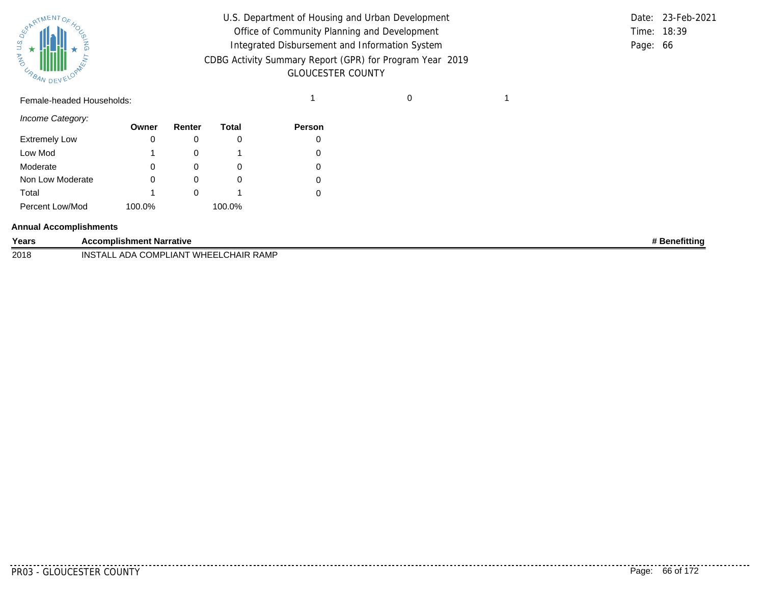

| U.S. Department of Housing and Urban Development         |          | Date: 23-Feb-2021 |
|----------------------------------------------------------|----------|-------------------|
| Office of Community Planning and Development             |          | Time: 18:39       |
| Integrated Disbursement and Information System           | Page: 66 |                   |
| CDBG Activity Summary Report (GPR) for Program Year 2019 |          |                   |
| <b>GLOUCESTER COUNTY</b>                                 |          |                   |

## Female-headed Households: 1 0 1

*Income Category:*

|                      | Owner  | Renter | Total  | Person |
|----------------------|--------|--------|--------|--------|
| <b>Extremely Low</b> | 0      |        | 0      |        |
| Low Mod              |        |        |        | 0      |
| Moderate             | 0      |        | 0      | 0      |
| Non Low Moderate     | O      |        | O      | 0      |
| Total                |        |        |        | 0      |
| Percent Low/Mod      | 100.0% |        | 100.0% |        |

#### **Annual Accomplishments**

| Years | <b>Accomplishment Narrative</b>                    | <b>Benefitting</b> |
|-------|----------------------------------------------------|--------------------|
| 2018  | 'LIANT WHEELCHAIR RAMP<br><b>INSTALL ADA COMPL</b> |                    |

.........

de de deceder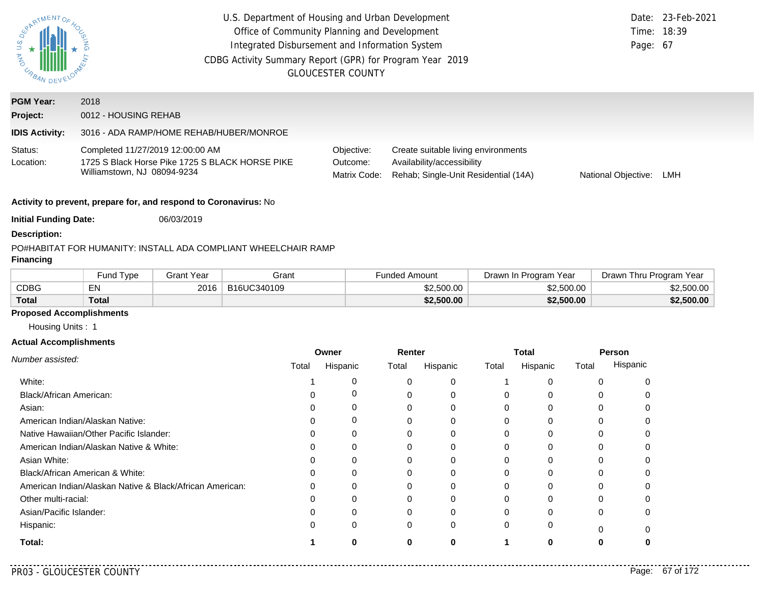| ARTMENTOR                    | U.S. Department of Housing and Urban Development<br>Office of Community Planning and Development<br>Integrated Disbursement and Information System<br>CDBG Activity Summary Report (GPR) for Program Year 2019<br><b>GLOUCESTER COUNTY</b>                                |                   |                                                                |  |                      |                       | Date:<br>Page: 67       | 23-Feb-2021<br>Time: 18:39 |
|------------------------------|---------------------------------------------------------------------------------------------------------------------------------------------------------------------------------------------------------------------------------------------------------------------------|-------------------|----------------------------------------------------------------|--|----------------------|-----------------------|-------------------------|----------------------------|
| <b>PGM Year:</b>             | 2018                                                                                                                                                                                                                                                                      |                   |                                                                |  |                      |                       |                         |                            |
| Project:                     | 0012 - HOUSING REHAB                                                                                                                                                                                                                                                      |                   |                                                                |  |                      |                       |                         |                            |
| <b>IDIS Activity:</b>        | 3016 - ADA RAMP/HOME REHAB/HUBER/MONROE                                                                                                                                                                                                                                   |                   |                                                                |  |                      |                       |                         |                            |
| Status:<br>Location:         | Completed 11/27/2019 12:00:00 AM<br>Objective:<br>Create suitable living environments<br>1725 S Black Horse Pike 1725 S BLACK HORSE PIKE<br>Availability/accessibility<br>Outcome:<br>Williamstown, NJ 08094-9234<br>Matrix Code:<br>Rehab; Single-Unit Residential (14A) |                   |                                                                |  |                      |                       | National Objective:     | LMH                        |
|                              | Activity to prevent, prepare for, and respond to Coronavirus: No                                                                                                                                                                                                          |                   |                                                                |  |                      |                       |                         |                            |
| <b>Initial Funding Date:</b> |                                                                                                                                                                                                                                                                           | 06/03/2019        |                                                                |  |                      |                       |                         |                            |
| <b>Description:</b>          |                                                                                                                                                                                                                                                                           |                   |                                                                |  |                      |                       |                         |                            |
| <b>Financing</b>             |                                                                                                                                                                                                                                                                           |                   | PO#HABITAT FOR HUMANITY: INSTALL ADA COMPLIANT WHEELCHAIR RAMP |  |                      |                       |                         |                            |
|                              | Fund Type                                                                                                                                                                                                                                                                 | <b>Grant Year</b> | Grant                                                          |  | <b>Funded Amount</b> | Drawn In Program Year | Drawn Thru Program Year |                            |
| <b>CDBG</b>                  | EN                                                                                                                                                                                                                                                                        | 2016              | B16UC340109                                                    |  | \$2,500.00           | \$2,500.00            |                         | \$2,500.00                 |
| <b>Total</b>                 | <b>Total</b>                                                                                                                                                                                                                                                              |                   |                                                                |  | \$2,500.00           | \$2,500,00            |                         | \$2,500.00                 |

# **Proposed Accomplishments**

Housing Units : 1

|                                                                                                                                                                                                                                                                                                                                                           | Owner |          | Renter |          |       | Total    | Person |          |
|-----------------------------------------------------------------------------------------------------------------------------------------------------------------------------------------------------------------------------------------------------------------------------------------------------------------------------------------------------------|-------|----------|--------|----------|-------|----------|--------|----------|
| Number assisted:<br>White:<br>Black/African American:<br>Asian:<br>American Indian/Alaskan Native:<br>Native Hawaiian/Other Pacific Islander:<br>American Indian/Alaskan Native & White:<br>Asian White:<br>Black/African American & White:<br>American Indian/Alaskan Native & Black/African American:<br>Other multi-racial:<br>Asian/Pacific Islander: | Total | Hispanic | Total  | Hispanic | Total | Hispanic | Total  | Hispanic |
|                                                                                                                                                                                                                                                                                                                                                           |       |          |        |          |       |          |        |          |
|                                                                                                                                                                                                                                                                                                                                                           |       |          |        |          |       |          |        |          |
|                                                                                                                                                                                                                                                                                                                                                           |       | $\Omega$ |        |          |       |          |        |          |
|                                                                                                                                                                                                                                                                                                                                                           |       |          |        |          |       |          |        |          |
|                                                                                                                                                                                                                                                                                                                                                           |       |          |        |          |       |          |        |          |
|                                                                                                                                                                                                                                                                                                                                                           |       |          |        | 0        |       |          |        |          |
|                                                                                                                                                                                                                                                                                                                                                           |       |          |        |          |       |          |        |          |
|                                                                                                                                                                                                                                                                                                                                                           |       | 0        | 0      | 0        | 0     | 0        |        |          |
|                                                                                                                                                                                                                                                                                                                                                           |       |          |        |          |       |          |        |          |
|                                                                                                                                                                                                                                                                                                                                                           |       |          |        |          |       |          |        |          |
|                                                                                                                                                                                                                                                                                                                                                           |       |          |        | 0        |       |          |        |          |
| Hispanic:                                                                                                                                                                                                                                                                                                                                                 |       | $\Omega$ | 0      | 0        | 0     |          |        |          |
| Total:                                                                                                                                                                                                                                                                                                                                                    |       |          | 0      | 0        |       |          |        |          |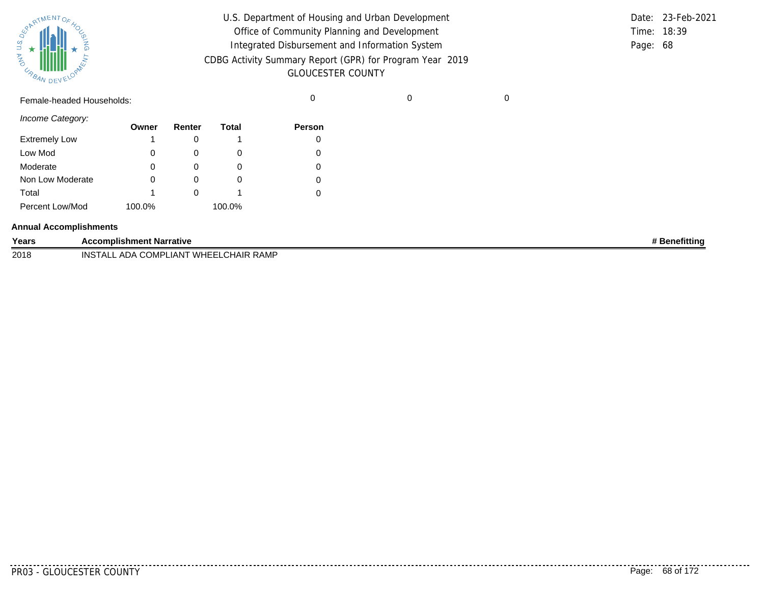

| U.S. Department of Housing and Urban Development         |          | Date: 23-Feb-2021 |
|----------------------------------------------------------|----------|-------------------|
| Office of Community Planning and Development             |          | Time: 18:39       |
| Integrated Disbursement and Information System           | Page: 68 |                   |
| CDBG Activity Summary Report (GPR) for Program Year 2019 |          |                   |
| <b>GLOUCESTER COUNTY</b>                                 |          |                   |

Female-headed Households: 0 0 0

*Income Category:*

|                      | Owner  | Renter | Total  | Person |
|----------------------|--------|--------|--------|--------|
| <b>Extremely Low</b> |        |        |        |        |
| Low Mod              |        |        | O      | 0      |
| Moderate             | 0      |        | O      |        |
| Non Low Moderate     |        |        | O      |        |
| Total                |        |        |        |        |
| Percent Low/Mod      | 100.0% |        | 100.0% |        |

#### **Annual Accomplishments**

| Years | <b>Accomplishment Narrative</b>                    | <b>Benefitting</b> |
|-------|----------------------------------------------------|--------------------|
| 2018  | A COMPLIANT WHEELCHAIR RAMP<br>INST<br>ADA<br>г∧ і |                    |

.........

. . . . . . . . . . .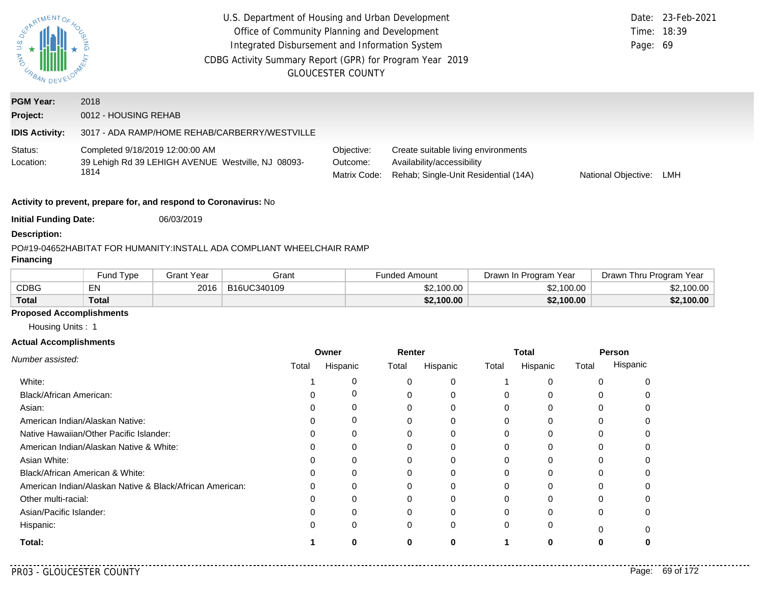| WYARTMENTOF<br><b>AND</b><br><b>UNAN DEVELOR</b>    | U.S. Department of Housing and Urban Development<br>Office of Community Planning and Development<br>Integrated Disbursement and Information System<br>CDBG Activity Summary Report (GPR) for Program Year 2019<br><b>GLOUCESTER COUNTY</b>                                         |                   |                                                                       |                   |                      |            |       |                          |            |                         | Date: 23-Feb-2021<br>Time: 18:39<br>Page: 69 |
|-----------------------------------------------------|------------------------------------------------------------------------------------------------------------------------------------------------------------------------------------------------------------------------------------------------------------------------------------|-------------------|-----------------------------------------------------------------------|-------------------|----------------------|------------|-------|--------------------------|------------|-------------------------|----------------------------------------------|
| <b>PGM Year:</b>                                    | 2018                                                                                                                                                                                                                                                                               |                   |                                                                       |                   |                      |            |       |                          |            |                         |                                              |
| Project:                                            | 0012 - HOUSING REHAB                                                                                                                                                                                                                                                               |                   |                                                                       |                   |                      |            |       |                          |            |                         |                                              |
| <b>IDIS Activity:</b>                               |                                                                                                                                                                                                                                                                                    |                   | 3017 - ADA RAMP/HOME REHAB/CARBERRY/WESTVILLE                         |                   |                      |            |       |                          |            |                         |                                              |
| Status:<br>Location:                                | Completed 9/18/2019 12:00:00 AM<br>Objective:<br>Create suitable living environments<br>39 Lehigh Rd 39 LEHIGH AVENUE Westville, NJ 08093-<br>Availability/accessibility<br>Outcome:<br>1814<br>Rehab; Single-Unit Residential (14A)<br>Matrix Code:<br>National Objective:<br>LMH |                   |                                                                       |                   |                      |            |       |                          |            |                         |                                              |
|                                                     | Activity to prevent, prepare for, and respond to Coronavirus: No                                                                                                                                                                                                                   |                   |                                                                       |                   |                      |            |       |                          |            |                         |                                              |
| <b>Initial Funding Date:</b>                        |                                                                                                                                                                                                                                                                                    | 06/03/2019        |                                                                       |                   |                      |            |       |                          |            |                         |                                              |
| <b>Description:</b>                                 |                                                                                                                                                                                                                                                                                    |                   |                                                                       |                   |                      |            |       |                          |            |                         |                                              |
| <b>Financing</b>                                    |                                                                                                                                                                                                                                                                                    |                   | PO#19-04652HABITAT FOR HUMANITY:INSTALL ADA COMPLIANT WHEELCHAIR RAMP |                   |                      |            |       |                          |            |                         |                                              |
|                                                     | Fund Type                                                                                                                                                                                                                                                                          | <b>Grant Year</b> | Grant                                                                 |                   | <b>Funded Amount</b> |            |       | Drawn In Program Year    |            | Drawn Thru Program Year |                                              |
| <b>CDBG</b>                                         | EN                                                                                                                                                                                                                                                                                 | 2016              | B16UC340109                                                           |                   |                      | \$2,100.00 |       |                          | \$2,100.00 |                         | \$2,100.00                                   |
| <b>Total</b>                                        | <b>Total</b>                                                                                                                                                                                                                                                                       |                   |                                                                       |                   |                      | \$2,100.00 |       |                          | \$2,100.00 |                         | \$2,100.00                                   |
| <b>Proposed Accomplishments</b><br>Housing Units: 1 |                                                                                                                                                                                                                                                                                    |                   |                                                                       |                   |                      |            |       |                          |            |                         |                                              |
| <b>Actual Accomplishments</b>                       |                                                                                                                                                                                                                                                                                    |                   |                                                                       |                   |                      |            |       |                          |            |                         |                                              |
| Number assisted:                                    |                                                                                                                                                                                                                                                                                    |                   | Total                                                                 | Owner<br>Hispanic | Renter<br>Total      | Hispanic   | Total | <b>Total</b><br>Hispanic | Total      | Person<br>Hispanic      |                                              |
| White:                                              |                                                                                                                                                                                                                                                                                    |                   | 1                                                                     | 0                 | 0                    | 0          | 1     | 0                        |            | 0<br>0                  |                                              |

0

0

**0**

**0**

0 0

**1 0**

. . . . . . . . . . . . . . . . . . .

**Total:**

Hispanic:

Asian:

Asian White:

Other multi-racial: Asian/Pacific Islander:

Black/African American:

American Indian/Alaskan Native: Native Hawaiian/Other Pacific Islander: American Indian/Alaskan Native & White:

Black/African American & White:

American Indian/Alaskan Native & Black/African American:

. . . . . . . .

0

0

0

0

0

0

0

0

 $\Omega$ 

0

0

**0**

0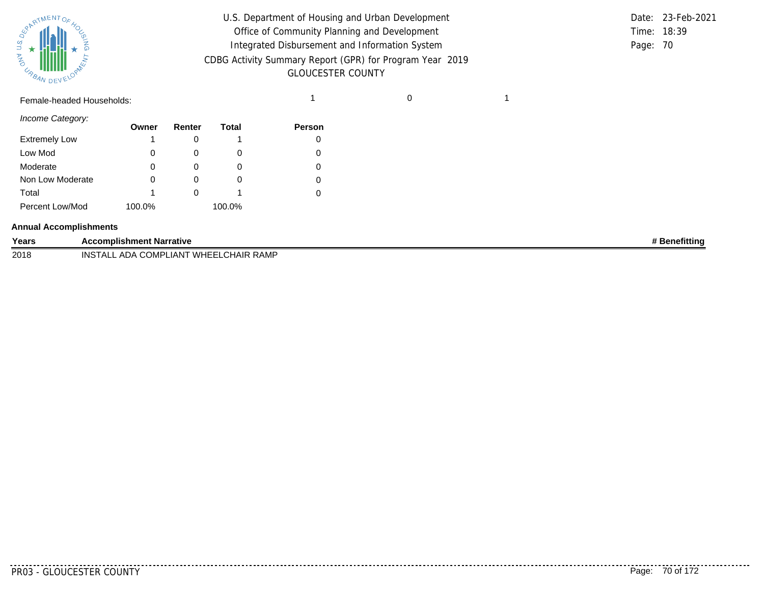

| U.S. Department of Housing and Urban Development         |          | Date: 23-Feb-2021 |
|----------------------------------------------------------|----------|-------------------|
| Office of Community Planning and Development             |          | Time: 18:39       |
| Integrated Disbursement and Information System           | Page: 70 |                   |
| CDBG Activity Summary Report (GPR) for Program Year 2019 |          |                   |
| <b>GLOUCESTER COUNTY</b>                                 |          |                   |

## Female-headed Households: 1 0 1

*Income Category:*

| Owner  | Renter | Total  | Person |
|--------|--------|--------|--------|
|        |        |        |        |
| 0      |        | O      | 0      |
| 0      |        | 0      | 0      |
| O      |        | O      | 0      |
|        |        |        | 0      |
| 100.0% |        | 100.0% |        |
|        |        |        |        |

#### **Annual Accomplishments**

| Years | <b>Accomplishment Narrative</b>                    | <b>Benefitting</b> |
|-------|----------------------------------------------------|--------------------|
| 2018  | 'LIANT WHEELCHAIR RAMP<br><b>INSTALL ADA COMPL</b> |                    |

.........

. . . . . . . . . .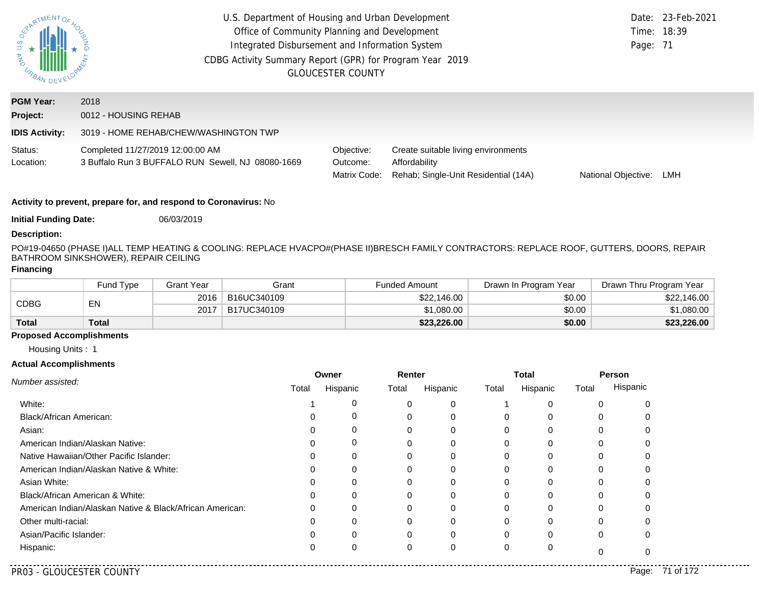| ONY U.S.<br>URBAN DEV        | U.S. Department of Housing and Urban Development<br>Office of Community Planning and Development<br>Integrated Disbursement and Information System<br>CDBG Activity Summary Report (GPR) for Program Year 2019 | <b>GLOUCESTER COUNTY</b>               |                                                                                              | Page: 71            | Date: 23-Feb-2021<br>Time: 18:39 |
|------------------------------|----------------------------------------------------------------------------------------------------------------------------------------------------------------------------------------------------------------|----------------------------------------|----------------------------------------------------------------------------------------------|---------------------|----------------------------------|
| <b>PGM Year:</b><br>Project: | 2018<br>0012 - HOUSING REHAB                                                                                                                                                                                   |                                        |                                                                                              |                     |                                  |
| <b>IDIS Activity:</b>        | 3019 - HOME REHAB/CHEW/WASHINGTON TWP                                                                                                                                                                          |                                        |                                                                                              |                     |                                  |
| Status:<br>Location:         | Completed 11/27/2019 12:00:00 AM<br>3 Buffalo Run 3 BUFFALO RUN Sewell, NJ 08080-1669                                                                                                                          | Objective:<br>Outcome:<br>Matrix Code: | Create suitable living environments<br>Affordability<br>Rehab: Single-Unit Residential (14A) | National Objective: | LMH                              |

**Initial Funding Date:** 06/03/2019

#### **Description:**

PO#19-04650 (PHASE I)ALL TEMP HEATING & COOLING: REPLACE HVACPO#(PHASE II)BRESCH FAMILY CONTRACTORS: REPLACE ROOF, GUTTERS, DOORS, REPAIR BATHROOM SINKSHOWER), REPAIR CEILING

## **Financing**

|              | Fund Type | <b>Grant Year</b> | Grant       | <b>Funded Amount</b> | Drawn In Program Year | Drawn Thru Program Year |
|--------------|-----------|-------------------|-------------|----------------------|-----------------------|-------------------------|
| CDBG         | EN        | 2016              | B16UC340109 | \$22,146.00          | \$0.00                | \$22,146.00             |
|              |           | 2017              | B17UC340109 | \$1,080.00           | \$0.00                | 61.080.00 l             |
| <b>Total</b> | Total     |                   |             | \$23,226.00          | \$0.00                | \$23,226.00             |

## **Proposed Accomplishments**

Housing Units : 1

|                                                          |       | Owner       | Renter |          |       | <b>Total</b> | Person |          |
|----------------------------------------------------------|-------|-------------|--------|----------|-------|--------------|--------|----------|
| Number assisted:                                         | Total | Hispanic    | Total  | Hispanic | Total | Hispanic     | Total  | Hispanic |
| White:                                                   |       |             | 0      | 0        |       |              |        |          |
| <b>Black/African American:</b>                           |       | 0           | 0      | 0        | 0     | 0            | 0      |          |
| Asian:                                                   |       |             |        | 0        |       |              |        |          |
| American Indian/Alaskan Native:                          | O     | $\mathbf 0$ | 0      | 0        | O     | n            | 0      |          |
| Native Hawaiian/Other Pacific Islander:                  |       |             |        |          |       |              |        |          |
| American Indian/Alaskan Native & White:                  |       | $\mathbf 0$ | 0      | 0        |       |              |        |          |
| Asian White:                                             |       |             |        |          |       |              |        |          |
| Black/African American & White:                          |       |             |        |          |       |              |        |          |
| American Indian/Alaskan Native & Black/African American: | 0     |             | 0      | 0        |       |              |        |          |
| Other multi-racial:                                      |       |             |        | $\Omega$ |       |              |        |          |
| Asian/Pacific Islander:                                  |       |             | 0      | 0        |       |              | 0      |          |
| Hispanic:                                                |       |             | 0      | 0        |       |              |        |          |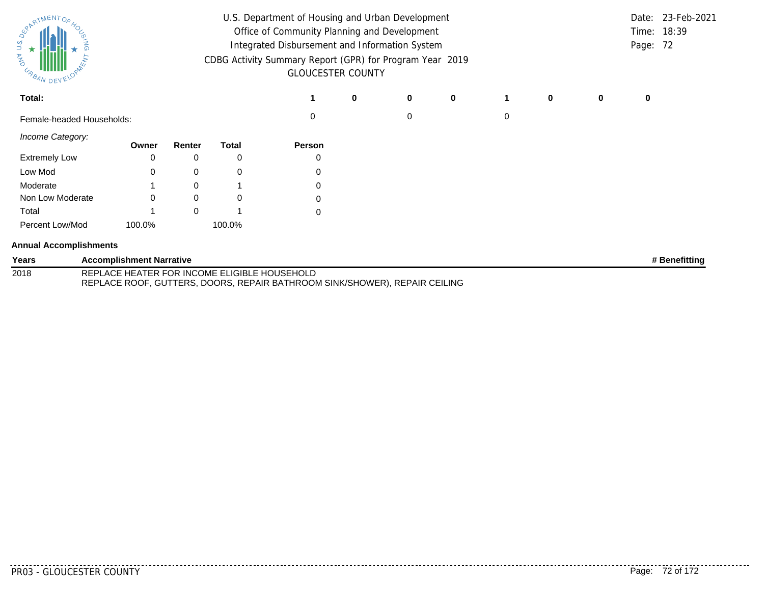| SurantMENTOF<br><b>AND</b><br>URBAN DEVELL |                                              | U.S. Department of Housing and Urban Development<br>Office of Community Planning and Development<br>Integrated Disbursement and Information System<br>CDBG Activity Summary Report (GPR) for Program Year 2019<br><b>GLOUCESTER COUNTY</b> |              |             |   |   |             |   |   |   |   | Date: 23-Feb-2021<br>Time: 18:39<br>Page: 72 |
|--------------------------------------------|----------------------------------------------|--------------------------------------------------------------------------------------------------------------------------------------------------------------------------------------------------------------------------------------------|--------------|-------------|---|---|-------------|---|---|---|---|----------------------------------------------|
| Total:                                     |                                              |                                                                                                                                                                                                                                            |              |             | 0 | 0 | $\mathbf 0$ |   | 0 | 0 | 0 |                                              |
| Female-headed Households:                  |                                              |                                                                                                                                                                                                                                            |              | 0           |   | 0 |             | 0 |   |   |   |                                              |
| Income Category:                           | Owner                                        | Renter                                                                                                                                                                                                                                     | <b>Total</b> | Person      |   |   |             |   |   |   |   |                                              |
| <b>Extremely Low</b>                       | 0                                            | 0                                                                                                                                                                                                                                          | 0            | 0           |   |   |             |   |   |   |   |                                              |
| Low Mod                                    | 0                                            | 0                                                                                                                                                                                                                                          | 0            | 0           |   |   |             |   |   |   |   |                                              |
| Moderate                                   |                                              | $\Omega$                                                                                                                                                                                                                                   |              | 0           |   |   |             |   |   |   |   |                                              |
| Non Low Moderate                           | $\Omega$                                     | 0                                                                                                                                                                                                                                          | 0            | $\mathbf 0$ |   |   |             |   |   |   |   |                                              |
| Total                                      |                                              | $\Omega$                                                                                                                                                                                                                                   |              | 0           |   |   |             |   |   |   |   |                                              |
| Percent Low/Mod                            | 100.0%                                       |                                                                                                                                                                                                                                            | 100.0%       |             |   |   |             |   |   |   |   |                                              |
| <b>Annual Accomplishments</b>              |                                              |                                                                                                                                                                                                                                            |              |             |   |   |             |   |   |   |   |                                              |
| Years                                      | <b>Accomplishment Narrative</b>              |                                                                                                                                                                                                                                            |              |             |   |   |             |   |   |   |   | # Benefitting                                |
| 2018                                       | REPLACE HEATER FOR INCOME ELIGIBLE HOUSEHOLD |                                                                                                                                                                                                                                            |              |             |   |   |             |   |   |   |   |                                              |

REPLACE ROOF, GUTTERS, DOORS, REPAIR BATHROOM SINK/SHOWER), REPAIR CEILING

PR03 - GLOUCESTER COUNTY Page: 72 of 172

. . . . . . . . . .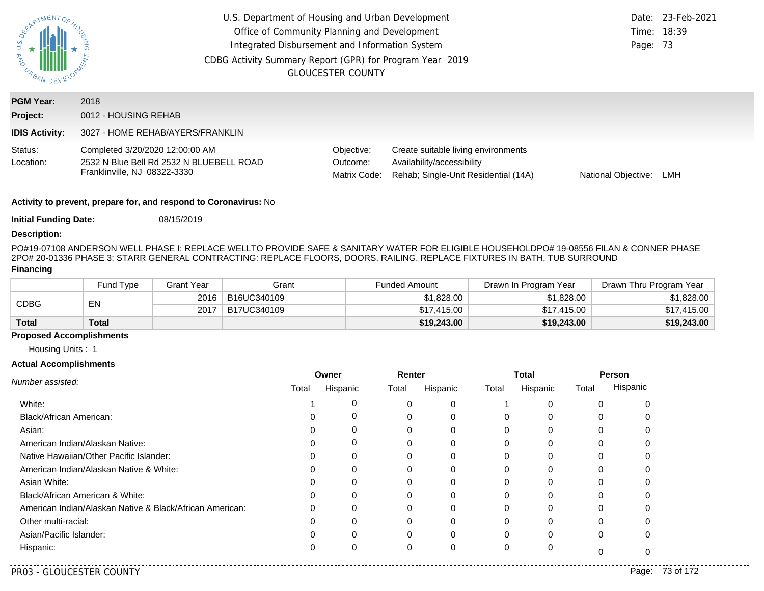| $\zeta$<br>URBAN DEN         | U.S. Department of Housing and Urban Development<br>Office of Community Planning and Development<br>Integrated Disbursement and Information System<br>CDBG Activity Summary Report (GPR) for Program Year 2019 | <b>GLOUCESTER COUNTY</b>               |                                                                                                           | Time: 18:39<br>Page: 73 | Date: 23-Feb-2021 |
|------------------------------|----------------------------------------------------------------------------------------------------------------------------------------------------------------------------------------------------------------|----------------------------------------|-----------------------------------------------------------------------------------------------------------|-------------------------|-------------------|
| <b>PGM Year:</b><br>Project: | 2018<br>0012 - HOUSING REHAB                                                                                                                                                                                   |                                        |                                                                                                           |                         |                   |
| <b>IDIS Activity:</b>        | 3027 - HOME REHAB/AYERS/FRANKLIN                                                                                                                                                                               |                                        |                                                                                                           |                         |                   |
| Status:<br>Location:         | Completed 3/20/2020 12:00:00 AM<br>2532 N Blue Bell Rd 2532 N BLUEBELL ROAD<br>Franklinville, NJ 08322-3330                                                                                                    | Objective:<br>Outcome:<br>Matrix Code: | Create suitable living environments<br>Availability/accessibility<br>Rehab; Single-Unit Residential (14A) | National Objective:     | LMH               |

**Initial Funding Date:** 08/15/2019

#### **Description:**

PO#19-07108 ANDERSON WELL PHASE I: REPLACE WELLTO PROVIDE SAFE & SANITARY WATER FOR ELIGIBLE HOUSEHOLDPO# 19-08556 FILAN & CONNER PHASE 2
PO# 20-01336 PHASE 3: STARR GENERAL CONTRACTING: REPLACE FLOORS, DOORS, RAILING, REPLACE FIXTURES IN BATH, TUB SURROUND **Financing**

|              | Fund Type | <b>Grant Year</b> | Grant       | <b>Funded Amount</b> | Drawn In Program Year | Drawn Thru Program Year |
|--------------|-----------|-------------------|-------------|----------------------|-----------------------|-------------------------|
| CDBG         | EN        | 2016              | B16UC340109 | \$1,828.00           | \$1,828.00            | \$1,828.00              |
|              |           | 2017              | B17UC340109 | \$17,415,00          | \$17,415,00           | \$17,415.00             |
| <b>Total</b> | Total     |                   |             | \$19,243.00          | \$19,243.00           | \$19,243.00             |

### **Proposed Accomplishments**

Housing Units : 1

|                                                          | Owner |          | Renter |          |          | <b>Total</b> | Person |          |
|----------------------------------------------------------|-------|----------|--------|----------|----------|--------------|--------|----------|
| Number assisted:                                         | Total | Hispanic | Total  | Hispanic | Total    | Hispanic     | Total  | Hispanic |
| White:                                                   |       |          | 0      | 0        |          | C            |        |          |
| <b>Black/African American:</b>                           |       | 0        | 0      |          | 0        | 0            |        |          |
| Asian:                                                   |       |          |        |          | 0        |              |        |          |
| American Indian/Alaskan Native:                          |       | 0        | 0      |          | $\Omega$ | 0            |        |          |
| Native Hawaiian/Other Pacific Islander:                  |       |          |        |          | 0        |              |        |          |
| American Indian/Alaskan Native & White:                  |       |          |        |          | $\Omega$ | $\Omega$     |        |          |
| Asian White:                                             |       |          |        |          | 0        |              |        |          |
| Black/African American & White:                          |       |          |        |          | 0        | $\Omega$     |        |          |
| American Indian/Alaskan Native & Black/African American: |       |          | 0      |          | 0        | 0            |        |          |
| Other multi-racial:                                      |       |          |        |          | 0        | $\Omega$     |        |          |
| Asian/Pacific Islander:                                  |       |          | 0      |          | $\Omega$ | 0            | 0      |          |
| Hispanic:                                                |       |          | 0      |          | 0        | C            |        |          |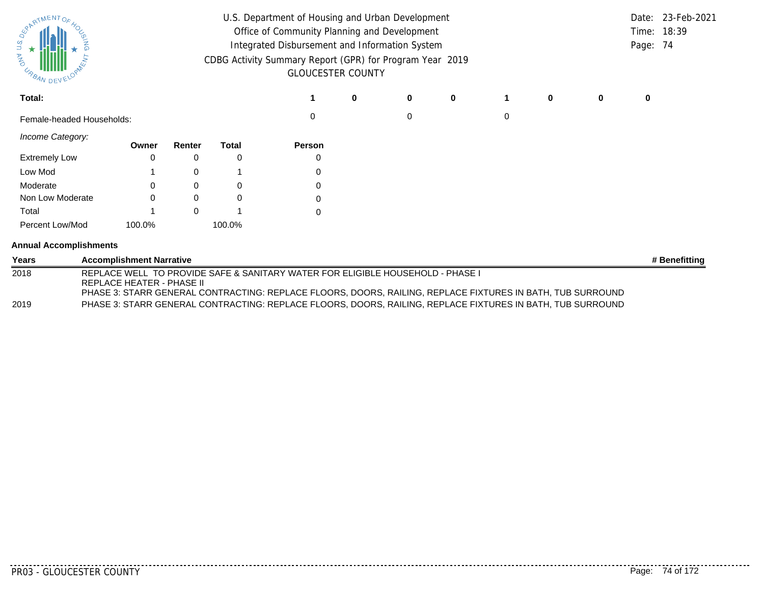| SurantMENTOF<br>ARD<br>O<br><b>CABAN DEVE</b> |  |                                  |          |        |                                                                                                                                                                                              | U.S. Department of Housing and Urban Development<br>Office of Community Planning and Development<br>Integrated Disbursement and Information System<br>CDBG Activity Summary Report (GPR) for Program Year 2019<br><b>GLOUCESTER COUNTY</b> |   |          |   |   |   |   |               |
|-----------------------------------------------|--|----------------------------------|----------|--------|----------------------------------------------------------------------------------------------------------------------------------------------------------------------------------------------|--------------------------------------------------------------------------------------------------------------------------------------------------------------------------------------------------------------------------------------------|---|----------|---|---|---|---|---------------|
| Total:                                        |  |                                  |          |        |                                                                                                                                                                                              | 0                                                                                                                                                                                                                                          | 0 | $\bf{0}$ |   | 0 | 0 | 0 |               |
| Female-headed Households:                     |  |                                  |          |        | $\Omega$                                                                                                                                                                                     |                                                                                                                                                                                                                                            | 0 |          | 0 |   |   |   |               |
| Income Category:                              |  | Owner                            | Renter   | Total  | Person                                                                                                                                                                                       |                                                                                                                                                                                                                                            |   |          |   |   |   |   |               |
| <b>Extremely Low</b>                          |  | 0                                | 0        | 0      | 0                                                                                                                                                                                            |                                                                                                                                                                                                                                            |   |          |   |   |   |   |               |
| Low Mod                                       |  |                                  | 0        |        | 0                                                                                                                                                                                            |                                                                                                                                                                                                                                            |   |          |   |   |   |   |               |
| Moderate                                      |  |                                  | 0        | 0      | 0                                                                                                                                                                                            |                                                                                                                                                                                                                                            |   |          |   |   |   |   |               |
| Non Low Moderate                              |  |                                  | $\Omega$ | 0      | 0                                                                                                                                                                                            |                                                                                                                                                                                                                                            |   |          |   |   |   |   |               |
| Total                                         |  |                                  | $\Omega$ |        | $\Omega$                                                                                                                                                                                     |                                                                                                                                                                                                                                            |   |          |   |   |   |   |               |
| Percent Low/Mod                               |  | 100.0%                           |          | 100.0% |                                                                                                                                                                                              |                                                                                                                                                                                                                                            |   |          |   |   |   |   |               |
| <b>Annual Accomplishments</b>                 |  |                                  |          |        |                                                                                                                                                                                              |                                                                                                                                                                                                                                            |   |          |   |   |   |   |               |
| Years                                         |  | <b>Accomplishment Narrative</b>  |          |        |                                                                                                                                                                                              |                                                                                                                                                                                                                                            |   |          |   |   |   |   | # Benefitting |
| 2018                                          |  | <b>REPLACE HEATER - PHASE II</b> |          |        | REPLACE WELL TO PROVIDE SAFE & SANITARY WATER FOR ELIGIBLE HOUSEHOLD - PHASE I<br>PHASE 3: STARR GENERAL CONTRACTING: REPLACE FLOORS, DOORS, RAILING, REPLACE FIXTURES IN BATH, TUB SURROUND |                                                                                                                                                                                                                                            |   |          |   |   |   |   |               |
| 2019                                          |  |                                  |          |        | PHASE 3: STARR GENERAL CONTRACTING: REPLACE FLOORS, DOORS, RAILING, REPLACE FIXTURES IN BATH, TUB SURROUND                                                                                   |                                                                                                                                                                                                                                            |   |          |   |   |   |   |               |

<u>. . . . . . . . . . . . . . .</u>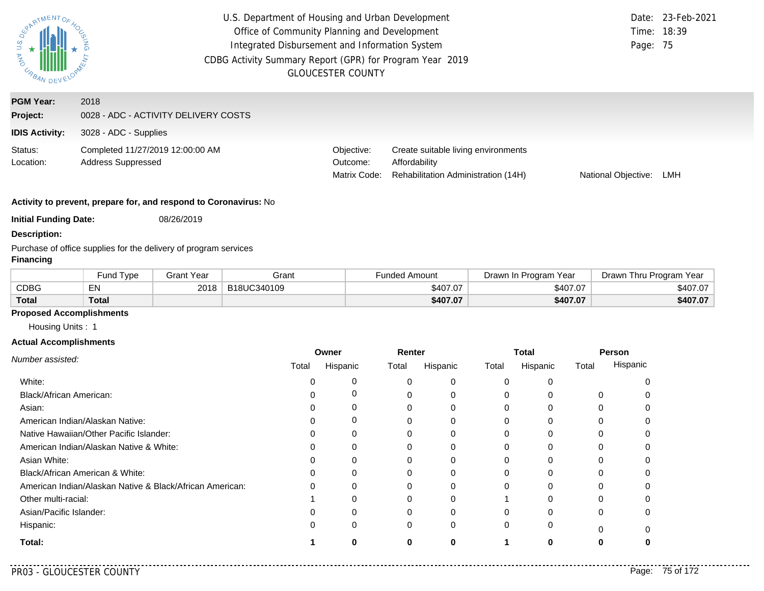| $US.$ $D_{\xi}$<br>AND URBAN                          | U.S. Department of Housing and Urban Development<br>Office of Community Planning and Development<br>Integrated Disbursement and Information System<br>CDBG Activity Summary Report (GPR) for Program Year 2019<br><b>GLOUCESTER COUNTY</b> | Page: 75                               | Date: 23-Feb-2021<br>Time: 18:39                                                            |                     |     |
|-------------------------------------------------------|--------------------------------------------------------------------------------------------------------------------------------------------------------------------------------------------------------------------------------------------|----------------------------------------|---------------------------------------------------------------------------------------------|---------------------|-----|
| <b>PGM Year:</b><br>Project:<br><b>IDIS Activity:</b> | 2018<br>0028 - ADC - ACTIVITY DELIVERY COSTS<br>3028 - ADC - Supplies                                                                                                                                                                      |                                        |                                                                                             |                     |     |
| Status:<br>Location:                                  | Completed 11/27/2019 12:00:00 AM<br><b>Address Suppressed</b>                                                                                                                                                                              | Objective:<br>Outcome:<br>Matrix Code: | Create suitable living environments<br>Affordability<br>Rehabilitation Administration (14H) | National Objective: | LMH |

**Initial Funding Date:** 08/26/2019

**Description:**

Purchase of office supplies for the delivery of program services

### **Financing**

|              | <b>Fund Type</b> | Grant Year | Grant       | <b>Funded Amount</b> | Drawn In Program Year | Drawn Thru Program<br>Year |
|--------------|------------------|------------|-------------|----------------------|-----------------------|----------------------------|
| CDBG         | EN               | 2018       | B18UC340109 | \$407.07             | \$407.07              | \$407.07                   |
| <b>Total</b> | <b>Total</b>     |            |             | \$407.07             | \$407.07              | \$407.07                   |

## **Proposed Accomplishments**

Housing Units : 1

#### **Actual Accomplishments**

|                                                          | Owner |          | Renter |          | Total    |          | Person |          |
|----------------------------------------------------------|-------|----------|--------|----------|----------|----------|--------|----------|
| Number assisted:                                         | Total | Hispanic | Total  | Hispanic | Total    | Hispanic | Total  | Hispanic |
| White:                                                   |       | 0        |        | 0        | $\Omega$ |          |        |          |
| Black/African American:                                  |       | 0        |        | 0        | $\Omega$ |          | 0      |          |
| Asian:                                                   |       | 0        |        |          | $\Omega$ |          | 0      |          |
| American Indian/Alaskan Native:                          |       | 0        |        | $\Omega$ | $\Omega$ | $\Omega$ |        |          |
| Native Hawaiian/Other Pacific Islander:                  |       | 0        |        |          | 0        |          |        |          |
| American Indian/Alaskan Native & White:                  |       | 0        |        | 0        | $\Omega$ | 0        | 0      |          |
| Asian White:                                             |       | 0        |        |          | 0        |          |        |          |
| Black/African American & White:                          |       | 0        |        |          | $\Omega$ |          |        |          |
| American Indian/Alaskan Native & Black/African American: |       | 0        |        | 0        | $\Omega$ | O        |        |          |
| Other multi-racial:                                      |       |          |        |          |          |          |        |          |
| Asian/Pacific Islander:                                  |       | 0        |        | $\Omega$ | $\Omega$ | U        | 0      |          |
| Hispanic:                                                |       | 0        | 0      | 0        | $\Omega$ | 0        | ŋ      |          |
| Total:                                                   |       |          |        |          |          | n        |        |          |

. . . . . . . . . . .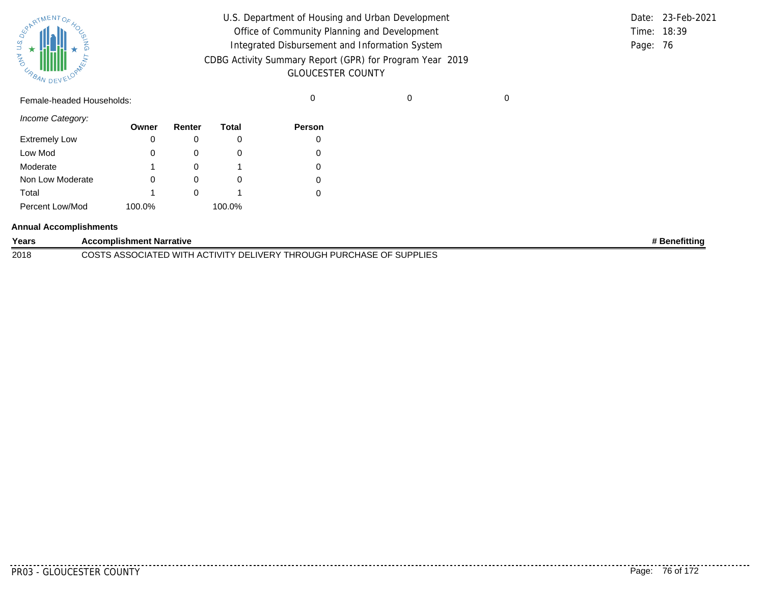| SPARTMENTOF HOL |           |
|-----------------|-----------|
|                 |           |
| 气               |           |
| URBAN           | DEVELOPAN |

| U.S. Department of Housing and Urban Development         |          | Date: 23-Feb-2021 |
|----------------------------------------------------------|----------|-------------------|
| Office of Community Planning and Development             |          | Time: 18:39       |
| Integrated Disbursement and Information System           | Page: 76 |                   |
| CDBG Activity Summary Report (GPR) for Program Year 2019 |          |                   |
| <b>GLOUCESTER COUNTY</b>                                 |          |                   |

Female-headed Households: 0 0 0

*Income Category:*

|                      | Owner  | Renter | Total  | <b>Person</b> |
|----------------------|--------|--------|--------|---------------|
| <b>Extremely Low</b> |        |        |        |               |
| Low Mod              | 0      |        | O      |               |
| Moderate             | 1      |        |        |               |
| Non Low Moderate     |        |        | O      |               |
| Total                | 1      |        |        |               |
| Percent Low/Mod      | 100.0% |        | 100.0% |               |

#### **Annual Accomplishments**

| Years | <b>Complishment Narrative</b>                                                                               | າefittino |
|-------|-------------------------------------------------------------------------------------------------------------|-----------|
| 2018  | <b>PURCHASE</b><br>ד⊃∩י<br><b>THROUGH</b><br>DELIVERY<br>'D WITH AC<br><b>IVI</b><br>۰٫۱д۰<br>u<br>니니니<br>. |           |

PR03 - GLOUCESTER COUNTY Page: 76 of 172

. . . . . . . .

..........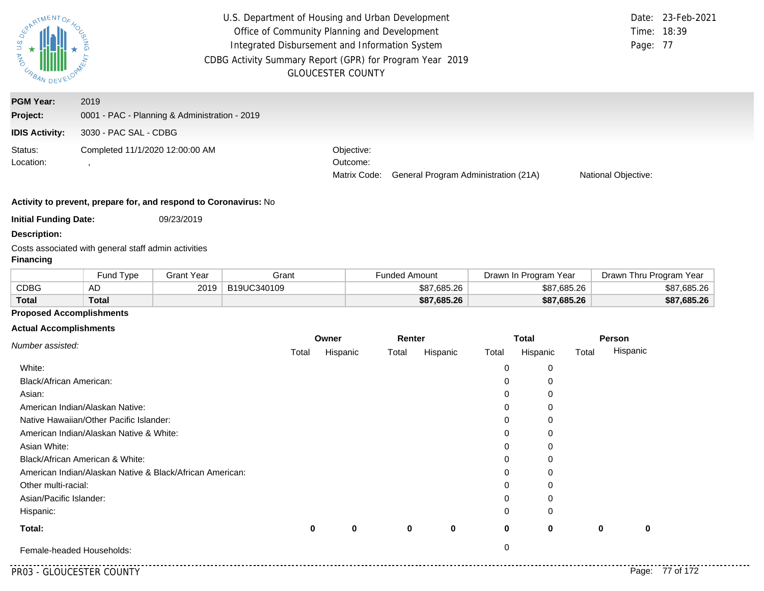| <b>MAG</b><br>URBAN DEV | U.S. Department of Housing and Urban Development<br>Office of Community Planning and Development<br>Integrated Disbursement and Information System<br>CDBG Activity Summary Report (GPR) for Program Year 2019<br><b>GLOUCESTER COUNTY</b> | Page: 77                               | Date: 23-Feb-2021<br>Time: 18:39     |                     |  |
|-------------------------|--------------------------------------------------------------------------------------------------------------------------------------------------------------------------------------------------------------------------------------------|----------------------------------------|--------------------------------------|---------------------|--|
| <b>PGM Year:</b>        | 2019                                                                                                                                                                                                                                       |                                        |                                      |                     |  |
| Project:                | 0001 - PAC - Planning & Administration - 2019                                                                                                                                                                                              |                                        |                                      |                     |  |
| <b>IDIS Activity:</b>   | 3030 - PAC SAL - CDBG                                                                                                                                                                                                                      |                                        |                                      |                     |  |
| Status:<br>Location:    | Completed 11/1/2020 12:00:00 AM                                                                                                                                                                                                            | Objective:<br>Outcome:<br>Matrix Code: | General Program Administration (21A) | National Objective: |  |

**Initial Funding Date:** 09/23/2019

**Description:**

Costs associated with general staff admin activities

## **Financing**

|              | Fund Type | <b>Grant Year</b> | Grant       | Funded Amount | Drawn In Program Year | Drawn Thru Program<br>Year |
|--------------|-----------|-------------------|-------------|---------------|-----------------------|----------------------------|
| CDBG         | AD        | 2019              | B19UC340109 | \$87.685.26   | \$87,685.26           | \$87,685.26                |
| <b>Total</b> | Total     |                   |             | \$87,685.26   | \$87,685.26           | \$87,685.26                |

## **Proposed Accomplishments**

#### **Actual Accomplishments**

| Number assisted:                                         | Owner    |          | Renter |             | <b>Total</b> |             |          | Person   |
|----------------------------------------------------------|----------|----------|--------|-------------|--------------|-------------|----------|----------|
|                                                          | Total    | Hispanic | Total  | Hispanic    | Total        | Hispanic    | Total    | Hispanic |
| White:                                                   |          |          |        |             | 0            | 0           |          |          |
| Black/African American:                                  |          |          |        |             | 0            | 0           |          |          |
| Asian:                                                   |          |          |        |             | 0            | 0           |          |          |
| American Indian/Alaskan Native:                          |          |          |        |             | 0            | 0           |          |          |
| Native Hawaiian/Other Pacific Islander:                  |          |          |        |             | 0            | 0           |          |          |
| American Indian/Alaskan Native & White:                  |          |          |        |             | 0            | 0           |          |          |
| Asian White:                                             |          |          |        |             | 0            | 0           |          |          |
| Black/African American & White:                          |          |          |        |             | 0            | 0           |          |          |
| American Indian/Alaskan Native & Black/African American: |          |          |        |             | 0            | 0           |          |          |
| Other multi-racial:                                      |          |          |        |             | 0            | 0           |          |          |
| Asian/Pacific Islander:                                  |          |          |        |             | 0            | 0           |          |          |
| Hispanic:                                                |          |          |        |             | 0            | 0           |          |          |
| Total:                                                   | $\bf{0}$ | 0        | 0      | $\mathbf 0$ | 0            | $\mathbf 0$ | $\bf{0}$ | 0        |
| Female-headed Households:                                |          |          |        |             | 0            |             |          |          |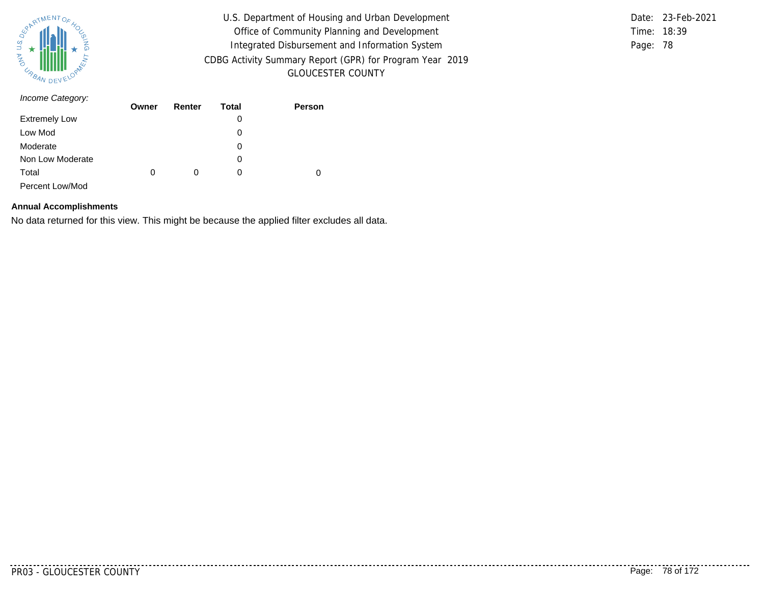

Time: 18:39 Page: 78 Date: 23-Feb-2021

| Income Category:     | Owner | Renter | Total | Person |
|----------------------|-------|--------|-------|--------|
|                      |       |        |       |        |
| <b>Extremely Low</b> |       |        | 0     |        |
| Low Mod              |       |        | 0     |        |
| Moderate             |       |        | 0     |        |
| Non Low Moderate     |       |        | 0     |        |
| Total                | 0     | 0      | 0     | 0      |
| Percent Low/Mod      |       |        |       |        |

#### **Annual Accomplishments**

No data returned for this view. This might be because the applied filter excludes all data.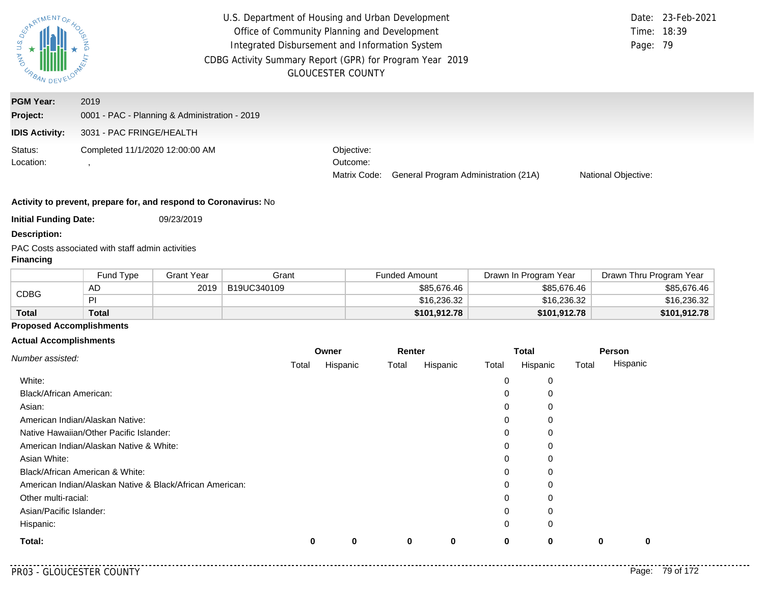| EPARTMENTOS<br>$rac{a}{b}$<br><b>AND</b><br>URBAN DEV | U.S. Department of Housing and Urban Development<br>Office of Community Planning and Development<br>Integrated Disbursement and Information System<br>CDBG Activity Summary Report (GPR) for Program Year 2019<br><b>GLOUCESTER COUNTY</b> | Page: 79                               | Date: 23-Feb-2021<br>Time: 18:39     |                     |  |
|-------------------------------------------------------|--------------------------------------------------------------------------------------------------------------------------------------------------------------------------------------------------------------------------------------------|----------------------------------------|--------------------------------------|---------------------|--|
| <b>PGM Year:</b><br>Project:                          | 2019<br>0001 - PAC - Planning & Administration - 2019                                                                                                                                                                                      |                                        |                                      |                     |  |
| <b>IDIS Activity:</b>                                 | 3031 - PAC FRINGE/HEALTH                                                                                                                                                                                                                   |                                        |                                      |                     |  |
| Status:<br>Location:                                  | Completed 11/1/2020 12:00:00 AM                                                                                                                                                                                                            | Objective:<br>Outcome:<br>Matrix Code: | General Program Administration (21A) | National Objective: |  |

**Initial Funding Date:** 09/23/2019

**Description:**

PAC Costs associated with staff admin activities

## **Financing**

|              | <b>Fund Type</b> | <b>Grant Year</b> | Grant       | Funded Amount | Drawn In Program Year | Drawn Thru Program Year |
|--------------|------------------|-------------------|-------------|---------------|-----------------------|-------------------------|
| <b>CDBG</b>  | AD               | 2019              | B19UC340109 | \$85,676.46   | \$85,676.46           | \$85,676.46             |
|              | ÞI               |                   |             | \$16,236,32   | \$16,236.32           | \$16,236.32             |
| <b>Total</b> | Total            |                   |             | \$101.912.78  | \$101,912.78          | \$101,912.78            |

# **Proposed Accomplishments**

#### **Actual Accomplishments**

|                                                          | Owner |          | Renter |          | <b>Total</b> |          | Person |          |
|----------------------------------------------------------|-------|----------|--------|----------|--------------|----------|--------|----------|
| Number assisted:                                         | Total | Hispanic | Total  | Hispanic | Total        | Hispanic | Total  | Hispanic |
| White:                                                   |       |          |        |          | 0            | 0        |        |          |
| Black/African American:                                  |       |          |        |          | 0            | 0        |        |          |
| Asian:                                                   |       |          |        |          | 0            | 0        |        |          |
| American Indian/Alaskan Native:                          |       |          |        |          | 0            | 0        |        |          |
| Native Hawaiian/Other Pacific Islander:                  |       |          |        |          | 0            | 0        |        |          |
| American Indian/Alaskan Native & White:                  |       |          |        |          | 0            | 0        |        |          |
| Asian White:                                             |       |          |        |          | 0            | 0        |        |          |
| Black/African American & White:                          |       |          |        |          | 0            | 0        |        |          |
| American Indian/Alaskan Native & Black/African American: |       |          |        |          | 0            | 0        |        |          |
| Other multi-racial:                                      |       |          |        |          | 0            | 0        |        |          |
| Asian/Pacific Islander:                                  |       |          |        |          | 0            | 0        |        |          |
| Hispanic:                                                |       |          |        |          | 0            | 0        |        |          |
| Total:                                                   | 0     | 0        | 0      | 0        | 0            | $\bf{0}$ | 0      |          |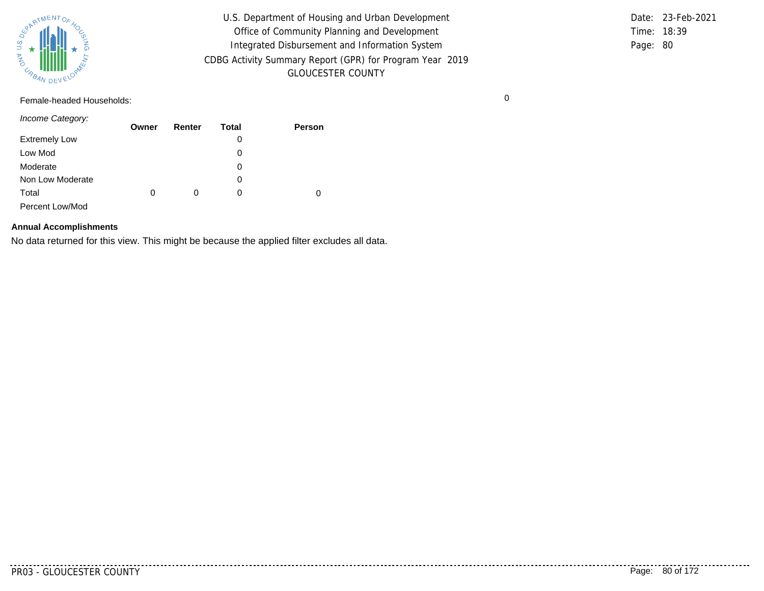

Time: 18:39 Page: 80 Date: 23-Feb-2021

Female-headed Households: 0

*Income Category:*

|                      | Owner | Renter | <b>Total</b> | <b>Person</b> |
|----------------------|-------|--------|--------------|---------------|
| <b>Extremely Low</b> |       |        | 0            |               |
| Low Mod              |       |        | 0            |               |
| Moderate             |       |        | 0            |               |
| Non Low Moderate     |       |        | 0            |               |
| Total                | 0     | 0      | 0            |               |
| Percent Low/Mod      |       |        |              |               |

#### **Annual Accomplishments**

No data returned for this view. This might be because the applied filter excludes all data.

PR03 - GLOUCESTER COUNTY PAGE: 80 of 172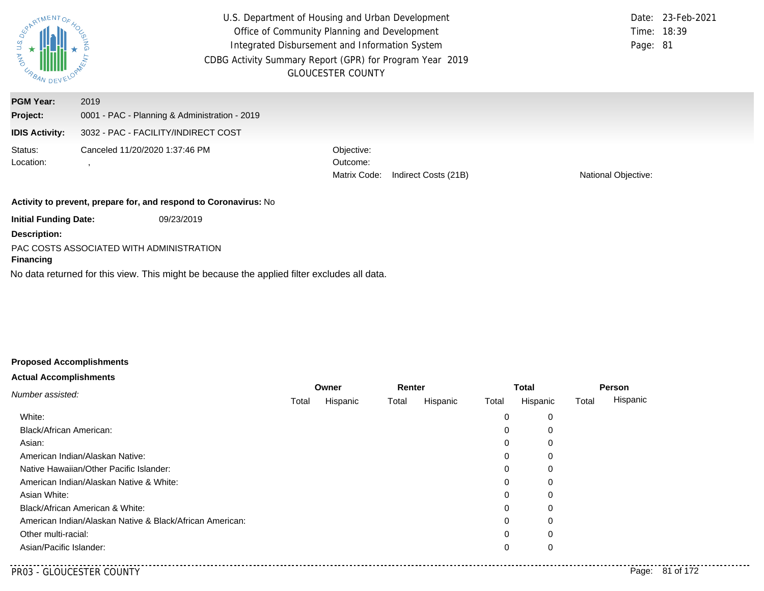| ARTMENTOS<br>URBAN DEV           |                                                                                      | U.S. Department of Housing and Urban Development<br>Office of Community Planning and Development<br>Integrated Disbursement and Information System<br>CDBG Activity Summary Report (GPR) for Program Year 2019<br><b>GLOUCESTER COUNTY</b> | Date: 23-Feb-2021<br>Time: 18:39<br>Page: 81 |  |  |  |  |
|----------------------------------|--------------------------------------------------------------------------------------|--------------------------------------------------------------------------------------------------------------------------------------------------------------------------------------------------------------------------------------------|----------------------------------------------|--|--|--|--|
| <b>PGM Year:</b><br>Project:     | 2019                                                                                 |                                                                                                                                                                                                                                            |                                              |  |  |  |  |
| <b>IDIS Activity:</b>            | 0001 - PAC - Planning & Administration - 2019<br>3032 - PAC - FACILITY/INDIRECT COST |                                                                                                                                                                                                                                            |                                              |  |  |  |  |
| Status:<br>Location:             | Canceled 11/20/2020 1:37:46 PM                                                       | Objective:<br>Outcome:<br>Matrix Code:<br>Indirect Costs (21B)                                                                                                                                                                             | National Objective:                          |  |  |  |  |
|                                  | Activity to prevent, prepare for, and respond to Coronavirus: No                     |                                                                                                                                                                                                                                            |                                              |  |  |  |  |
| <b>Initial Funding Date:</b>     | 09/23/2019                                                                           |                                                                                                                                                                                                                                            |                                              |  |  |  |  |
| <b>Description:</b><br>Financing | PAC COSTS ASSOCIATED WITH ADMINISTRATION                                             |                                                                                                                                                                                                                                            |                                              |  |  |  |  |

No data returned for this view. This might be because the applied filter excludes all data.

# **Proposed Accomplishments**

# **Actual Accomplishments**

| Number assisted:                                         | Owner |          | Renter |          | <b>Total</b> |          | Person |          |
|----------------------------------------------------------|-------|----------|--------|----------|--------------|----------|--------|----------|
|                                                          | Total | Hispanic | Total  | Hispanic | Total        | Hispanic | Total  | Hispanic |
| White:                                                   |       |          |        |          | 0            | 0        |        |          |
| Black/African American:                                  |       |          |        |          | $\mathbf 0$  | 0        |        |          |
| Asian:                                                   |       |          |        |          | 0            | 0        |        |          |
| American Indian/Alaskan Native:                          |       |          |        |          | 0            | 0        |        |          |
| Native Hawaiian/Other Pacific Islander:                  |       |          |        |          | 0            | 0        |        |          |
| American Indian/Alaskan Native & White:                  |       |          |        |          | 0            | 0        |        |          |
| Asian White:                                             |       |          |        |          | 0            | 0        |        |          |
| Black/African American & White:                          |       |          |        |          | 0            | 0        |        |          |
| American Indian/Alaskan Native & Black/African American: |       |          |        |          | 0            | 0        |        |          |
| Other multi-racial:                                      |       |          |        |          | $\Omega$     | 0        |        |          |
| Asian/Pacific Islander:                                  |       |          |        |          | 0            | 0        |        |          |
|                                                          |       |          |        |          |              |          |        |          |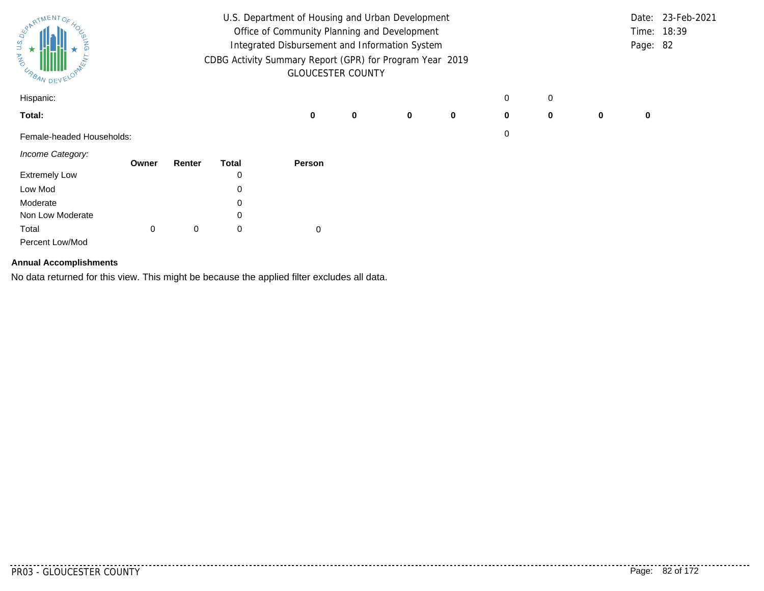| ARTMENTOR<br>URBAN DEVEL  | U.S. Department of Housing and Urban Development<br>Office of Community Planning and Development<br>Integrated Disbursement and Information System<br>CDBG Activity Summary Report (GPR) for Program Year 2019<br><b>GLOUCESTER COUNTY</b> |        |              |        |   |   |             |   | Page: 82 | Date: 23-Feb-2021<br>Time: 18:39 |          |  |
|---------------------------|--------------------------------------------------------------------------------------------------------------------------------------------------------------------------------------------------------------------------------------------|--------|--------------|--------|---|---|-------------|---|----------|----------------------------------|----------|--|
| Hispanic:                 |                                                                                                                                                                                                                                            |        |              |        |   |   |             | 0 | 0        |                                  |          |  |
| Total:                    |                                                                                                                                                                                                                                            |        |              | 0      | 0 | 0 | $\mathbf 0$ | 0 | 0        | 0                                | $\bf{0}$ |  |
| Female-headed Households: |                                                                                                                                                                                                                                            |        |              |        |   |   |             | 0 |          |                                  |          |  |
| Income Category:          | Owner                                                                                                                                                                                                                                      | Renter | <b>Total</b> | Person |   |   |             |   |          |                                  |          |  |
| <b>Extremely Low</b>      |                                                                                                                                                                                                                                            |        | 0            |        |   |   |             |   |          |                                  |          |  |
| Low Mod                   |                                                                                                                                                                                                                                            |        | 0            |        |   |   |             |   |          |                                  |          |  |
| Moderate                  |                                                                                                                                                                                                                                            |        | 0            |        |   |   |             |   |          |                                  |          |  |
| Non Low Moderate          |                                                                                                                                                                                                                                            |        | 0            |        |   |   |             |   |          |                                  |          |  |
| Total                     | 0                                                                                                                                                                                                                                          | 0      | 0            | 0      |   |   |             |   |          |                                  |          |  |
| Percent Low/Mod           |                                                                                                                                                                                                                                            |        |              |        |   |   |             |   |          |                                  |          |  |

# **Annual Accomplishments**

No data returned for this view. This might be because the applied filter excludes all data.

<u>. . . . . . . . .</u>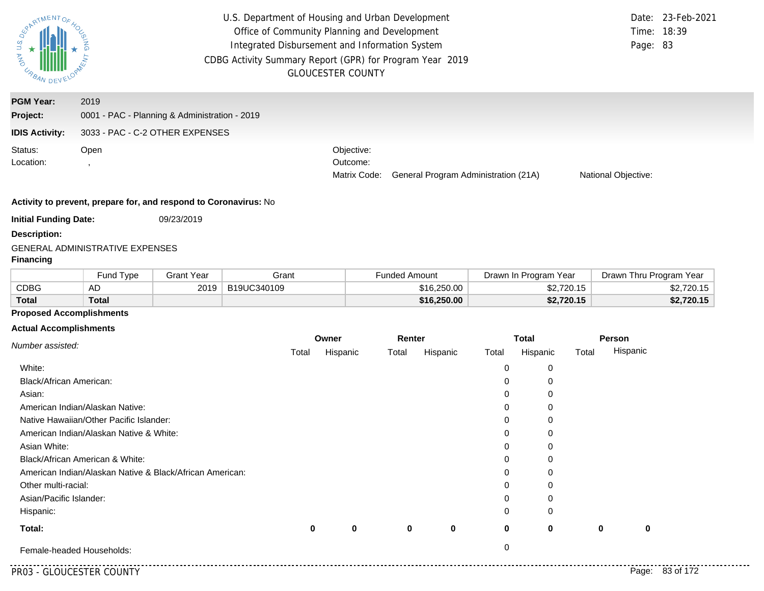| SORATMENTOFAGE | $\frac{2}{1}$ |  |
|----------------|---------------|--|
| <b>AND</b>     | DEVELOPMENT   |  |
| URBAN          |               |  |

| <b>PGM Year:</b>      | 2019                                          |                        |                                                   |                     |
|-----------------------|-----------------------------------------------|------------------------|---------------------------------------------------|---------------------|
| Project:              | 0001 - PAC - Planning & Administration - 2019 |                        |                                                   |                     |
| <b>IDIS Activity:</b> | 3033 - PAC - C-2 OTHER EXPENSES               |                        |                                                   |                     |
| Status:<br>Location:  | Open                                          | Objective:<br>Outcome: | Matrix Code: General Program Administration (21A) | National Objective: |

#### **Activity to prevent, prepare for, and respond to Coronavirus:** No

**Initial Funding Date:** 09/23/2019

**Description:**

### GENERAL ADMINISTRATIVE EXPENSES

#### **Financing**

|              | Fund Type | <b>Grant Year</b> | Grant       | Funded Amount | Drawn In Program Year | Drawn Thru Program Year |  |
|--------------|-----------|-------------------|-------------|---------------|-----------------------|-------------------------|--|
| <b>CDBG</b>  | AD        | 2019              | B19UC340109 | \$16,250,00   | \$2,720.15            | \$2,720.15              |  |
| <b>Total</b> | Total     |                   |             | \$16,250.00   | \$2,720.15            | \$2,720.15              |  |

## **Proposed Accomplishments**

|                                                          | Owner |          |             | Renter      |          | <b>Total</b> |       | Person   |
|----------------------------------------------------------|-------|----------|-------------|-------------|----------|--------------|-------|----------|
| Number assisted:                                         | Total | Hispanic | Total       | Hispanic    | Total    | Hispanic     | Total | Hispanic |
| White:                                                   |       |          |             |             | 0        | 0            |       |          |
| Black/African American:                                  |       |          |             |             | 0        | 0            |       |          |
| Asian:                                                   |       |          |             |             | 0        | 0            |       |          |
| American Indian/Alaskan Native:                          |       |          |             |             | $\Omega$ | 0            |       |          |
| Native Hawaiian/Other Pacific Islander:                  |       |          |             |             | 0        | 0            |       |          |
| American Indian/Alaskan Native & White:                  |       |          |             |             | 0        | 0            |       |          |
| Asian White:                                             |       |          |             |             | 0        | 0            |       |          |
| Black/African American & White:                          |       |          |             |             | 0        | 0            |       |          |
| American Indian/Alaskan Native & Black/African American: |       |          |             |             | 0        | 0            |       |          |
| Other multi-racial:                                      |       |          |             |             | 0        | 0            |       |          |
| Asian/Pacific Islander:                                  |       |          |             |             | 0        | 0            |       |          |
| Hispanic:                                                |       |          |             |             | 0        | 0            |       |          |
| Total:                                                   | 0     | 0        | $\mathbf 0$ | $\mathbf 0$ | 0        | $\mathbf 0$  | 0     | 0        |
| Female-headed Households:                                |       |          |             |             | 0        |              |       |          |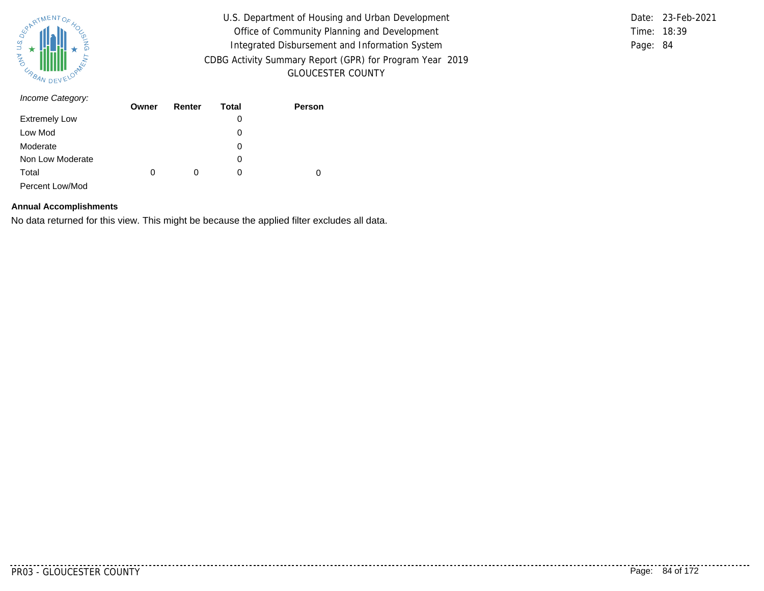

Time: 18:39 Page: 84 Date: 23-Feb-2021

| Income Category:     | Owner | Renter | Total | Person |
|----------------------|-------|--------|-------|--------|
|                      |       |        |       |        |
| <b>Extremely Low</b> |       |        | 0     |        |
| Low Mod              |       |        | 0     |        |
| Moderate             |       |        | 0     |        |
| Non Low Moderate     |       |        | 0     |        |
| Total                | 0     | 0      | 0     | 0      |
| Percent Low/Mod      |       |        |       |        |

#### **Annual Accomplishments**

No data returned for this view. This might be because the applied filter excludes all data.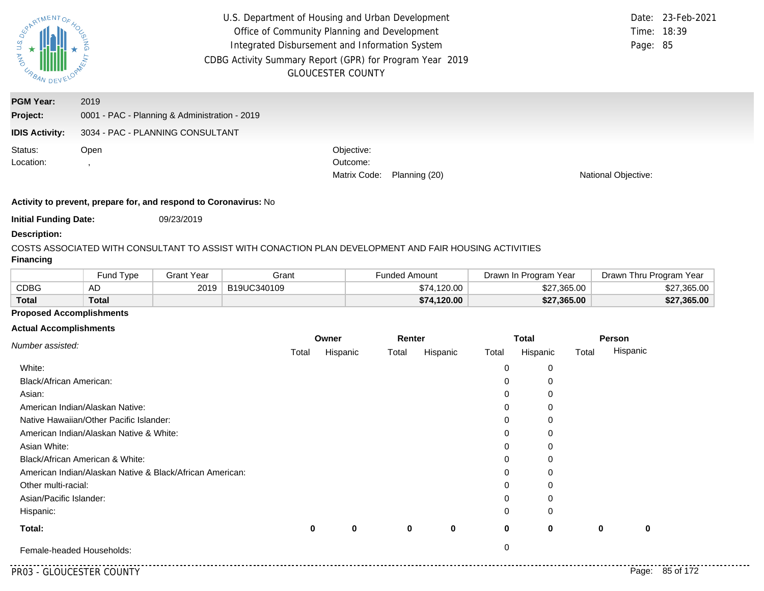

| <b>PGM Year:</b>      | 2019                                          |                        |               |                            |
|-----------------------|-----------------------------------------------|------------------------|---------------|----------------------------|
| Project:              | 0001 - PAC - Planning & Administration - 2019 |                        |               |                            |
| <b>IDIS Activity:</b> | 3034 - PAC - PLANNING CONSULTANT              |                        |               |                            |
| Status:<br>Location:  | Open                                          | Objective:<br>Outcome: |               |                            |
|                       |                                               | Matrix Code:           | Planning (20) | <b>National Objective:</b> |
|                       |                                               |                        |               |                            |

#### **Activity to prevent, prepare for, and respond to Coronavirus:** No

**Initial Funding Date:** 09/23/2019

#### **Description:**

COSTS ASSOCIATED WITH CONSULTANT TO ASSIST WITH CONACTION PLAN DEVELOPMENT AND FAIR HOUSING ACTIVITIES

# **Financing**

|              | <b>Fund Type</b> | Grant Year | Grant       | <b>Funded Amount</b> | Drawn In Program Year | Drawn Thru Program Year |  |
|--------------|------------------|------------|-------------|----------------------|-----------------------|-------------------------|--|
| CDBG         | AD               | 2019       | B19UC340109 | \$74.120.00          | \$27,365.00           | \$27,365.00             |  |
| <b>Total</b> | <b>Total</b>     |            |             | \$74,120.00          | \$27,365.00           | \$27,365.00             |  |

## **Proposed Accomplishments**

|                                                          | Owner |          | Renter |          | <b>Total</b> |          |       | Person   |
|----------------------------------------------------------|-------|----------|--------|----------|--------------|----------|-------|----------|
| Number assisted:                                         | Total | Hispanic | Total  | Hispanic | Total        | Hispanic | Total | Hispanic |
| White:                                                   |       |          |        |          | 0            | 0        |       |          |
| Black/African American:                                  |       |          |        |          | 0            |          |       |          |
| Asian:                                                   |       |          |        |          | 0            |          |       |          |
| American Indian/Alaskan Native:                          |       |          |        |          | 0            |          |       |          |
| Native Hawaiian/Other Pacific Islander:                  |       |          |        |          | 0            |          |       |          |
| American Indian/Alaskan Native & White:                  |       |          |        |          | 0            |          |       |          |
| Asian White:                                             |       |          |        |          | 0            | 0        |       |          |
| Black/African American & White:                          |       |          |        |          | 0            | $\Omega$ |       |          |
| American Indian/Alaskan Native & Black/African American: |       |          |        |          | 0            |          |       |          |
| Other multi-racial:                                      |       |          |        |          | 0            |          |       |          |
| Asian/Pacific Islander:                                  |       |          |        |          | 0            |          |       |          |
| Hispanic:                                                |       |          |        |          | 0            | 0        |       |          |
| Total:                                                   | 0     | 0        | 0      | 0        | 0            | 0        | 0     | 0        |
| Female-headed Households:                                |       |          |        |          | 0            |          |       |          |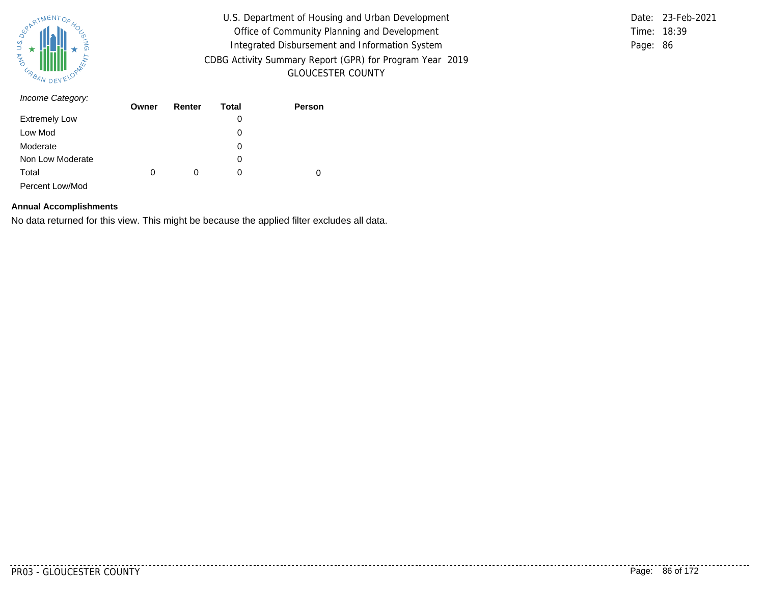

Time: 18:39 Page: 86 Date: 23-Feb-2021

| Income Category:     | Owner | Renter | Total | Person |
|----------------------|-------|--------|-------|--------|
| <b>Extremely Low</b> |       |        | 0     |        |
| Low Mod              |       |        | 0     |        |
| Moderate             |       |        | 0     |        |
| Non Low Moderate     |       |        | 0     |        |
| Total                | 0     | 0      | 0     | 0      |
| Percent Low/Mod      |       |        |       |        |

#### **Annual Accomplishments**

No data returned for this view. This might be because the applied filter excludes all data.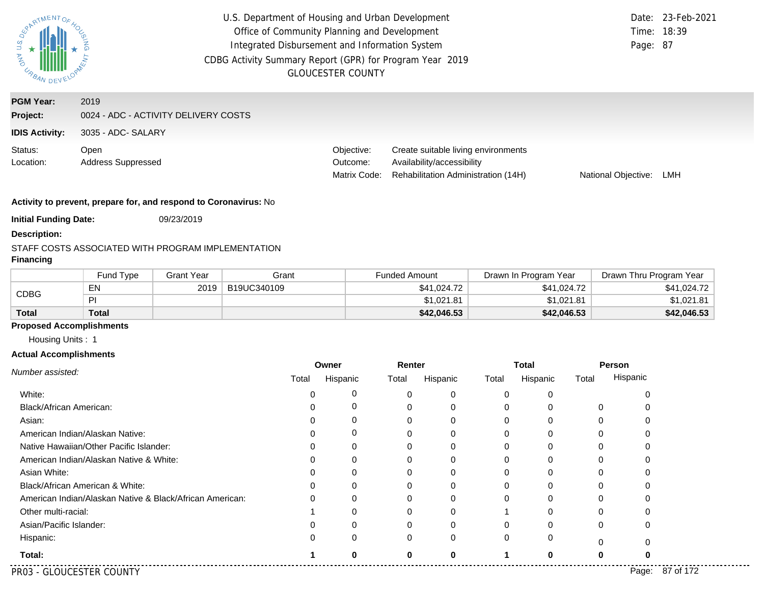| PARTMENTOR<br>U.S.<br><b>MAG</b><br>URBAN DEV | U.S. Department of Housing and Urban Development<br>Office of Community Planning and Development<br>Integrated Disbursement and Information System<br>CDBG Activity Summary Report (GPR) for Program Year 2019<br><b>GLOUCESTER COUNTY</b> |  |                                        |                                                                                                          | Page: 87            | Date: 23-Feb-2021<br>Time: 18:39 |
|-----------------------------------------------|--------------------------------------------------------------------------------------------------------------------------------------------------------------------------------------------------------------------------------------------|--|----------------------------------------|----------------------------------------------------------------------------------------------------------|---------------------|----------------------------------|
| <b>PGM Year:</b><br>Project:                  | 2019<br>0024 - ADC - ACTIVITY DELIVERY COSTS                                                                                                                                                                                               |  |                                        |                                                                                                          |                     |                                  |
| <b>IDIS Activity:</b>                         | 3035 - ADC- SALARY                                                                                                                                                                                                                         |  |                                        |                                                                                                          |                     |                                  |
| Status:<br>Location:                          | Open<br><b>Address Suppressed</b>                                                                                                                                                                                                          |  | Objective:<br>Outcome:<br>Matrix Code: | Create suitable living environments<br>Availability/accessibility<br>Rehabilitation Administration (14H) | National Objective: | LMH                              |

**Initial Funding Date:** 09/23/2019

#### **Description:**

#### STAFF COSTS ASSOCIATED WITH PROGRAM IMPLEMENTATION

# **Financing**

|              | <b>Fund Type</b> | <b>Grant Year</b> | Grant       | <b>Funded Amount</b> | Drawn In Program Year | Drawn Thru Program Year |
|--------------|------------------|-------------------|-------------|----------------------|-----------------------|-------------------------|
|              | E٨               | 2019              | B19UC340109 | \$41.024.72          | \$41,024.72           | \$41,024.72             |
| <b>CDBG</b>  |                  |                   |             | \$1,021.81           | \$1,021.81            | \$1,021.81              |
| <b>Total</b> | Total            |                   |             | \$42,046.53          | \$42,046.53           | \$42,046.53             |

### **Proposed Accomplishments**

Housing Units : 1

#### **Actual Accomplishments**

|                                                          | Owner |          | Renter |          | <b>Total</b> |          |       | Person             |
|----------------------------------------------------------|-------|----------|--------|----------|--------------|----------|-------|--------------------|
| Number assisted:                                         | Total | Hispanic | Total  | Hispanic | Total        | Hispanic | Total | Hispanic           |
| White:                                                   |       |          |        |          |              |          |       |                    |
| Black/African American:                                  |       | O        |        |          |              |          | 0     |                    |
| Asian:                                                   |       | Ω        |        |          |              |          |       |                    |
| American Indian/Alaskan Native:                          |       | 0        |        |          |              |          |       |                    |
| Native Hawaiian/Other Pacific Islander:                  |       | 0        |        |          |              |          |       |                    |
| American Indian/Alaskan Native & White:                  |       | 0        |        |          |              |          |       |                    |
| Asian White:                                             |       | 0        |        |          |              |          |       |                    |
| Black/African American & White:                          |       | 0        |        |          |              |          |       |                    |
| American Indian/Alaskan Native & Black/African American: |       | 0        |        |          |              |          |       |                    |
| Other multi-racial:                                      |       | 0        |        |          |              |          | O     |                    |
| Asian/Pacific Islander:                                  |       |          |        |          |              |          | 0     | 0                  |
| Hispanic:                                                |       | 0        |        |          |              | 0        |       |                    |
| Total:                                                   |       | ŋ        | ŋ      | n        |              |          | 0     |                    |
| PR03 - GLOUCESTER COUNTY                                 |       |          |        |          |              |          |       | 87 of 172<br>Page: |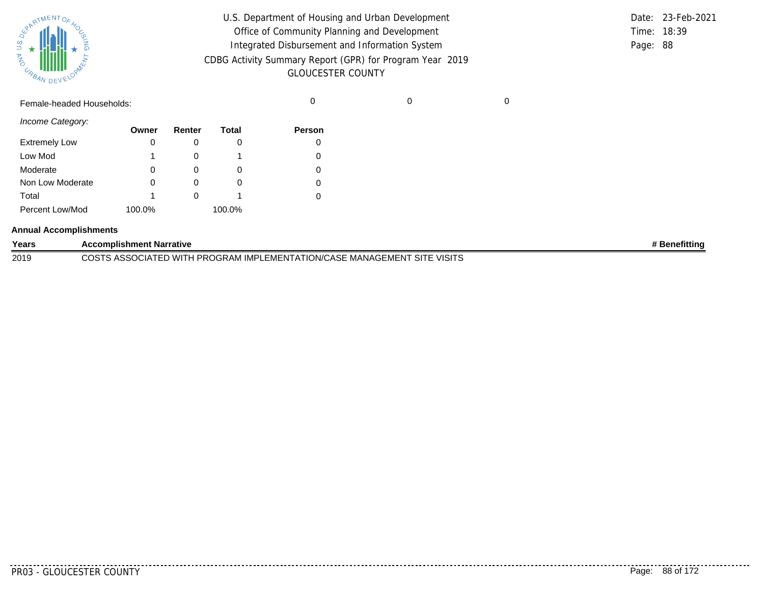| 芎                  | SUPATMENTOF HOL<br>z |  |  |  |  |
|--------------------|----------------------|--|--|--|--|
| DEVELOPAL<br>URBAN |                      |  |  |  |  |

| U.S. Department of Housing and Urban Development         |             | Date: 23-Feb-2021 |
|----------------------------------------------------------|-------------|-------------------|
| Office of Community Planning and Development             | Time: 18:39 |                   |
| Integrated Disbursement and Information System           | Page: 88    |                   |
| CDBG Activity Summary Report (GPR) for Program Year 2019 |             |                   |
| <b>GLOUCESTER COUNTY</b>                                 |             |                   |

Female-headed Households: 0 0 0

*Income Category:*

|                      | Owner  | Renter | Total  | Person   |
|----------------------|--------|--------|--------|----------|
| <b>Extremely Low</b> |        |        | O      |          |
| Low Mod              |        |        |        | 0        |
| Moderate             | 0      |        | O      | $\Omega$ |
| Non Low Moderate     | 0      |        | O      | $\Omega$ |
| Total                |        |        |        |          |
| Percent Low/Mod      | 100.0% |        | 100.0% |          |

#### **Annual Accomplishments**

| Years | <b>Accomplishment Narrative</b>                                          | <b>* Benefitting</b> |
|-------|--------------------------------------------------------------------------|----------------------|
| 2019  | COSTS ASSOCIATED WITH PROGRAM IMPLEMENTATION/CASE MANAGEMENT SITE VISITS |                      |

. . . . . . . . . . .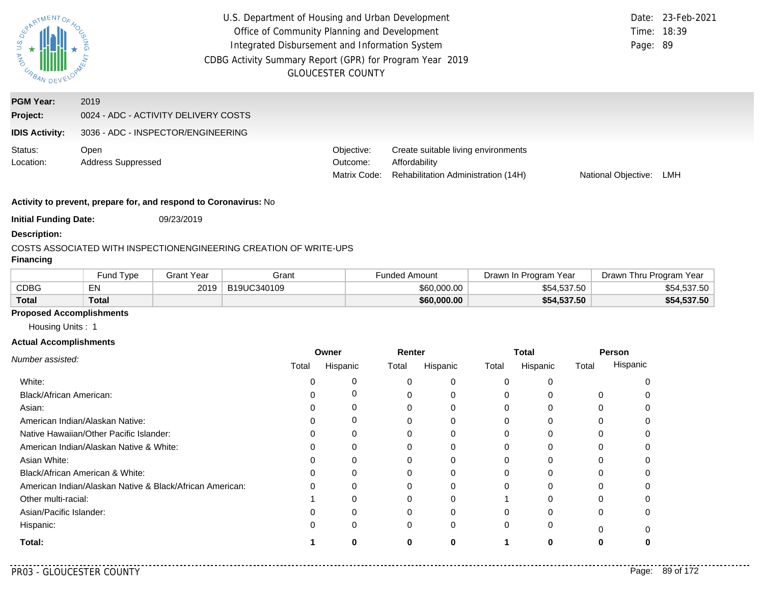| PARTMENTOR<br>$rac{a}{b}$<br><b>MAG</b><br>URBA. | U.S. Department of Housing and Urban Development<br>Office of Community Planning and Development<br>Integrated Disbursement and Information System<br>CDBG Activity Summary Report (GPR) for Program Year 2019<br><b>GLOUCESTER COUNTY</b> |                                        | Time: 18:39<br>Page: 89                                                                     | Date: 23-Feb-2021          |     |
|--------------------------------------------------|--------------------------------------------------------------------------------------------------------------------------------------------------------------------------------------------------------------------------------------------|----------------------------------------|---------------------------------------------------------------------------------------------|----------------------------|-----|
| <b>PGM Year:</b><br>Project:                     | 2019<br>0024 - ADC - ACTIVITY DELIVERY COSTS                                                                                                                                                                                               |                                        |                                                                                             |                            |     |
| <b>IDIS Activity:</b>                            | 3036 - ADC - INSPECTOR/ENGINEERING                                                                                                                                                                                                         |                                        |                                                                                             |                            |     |
| Status:<br>Location:                             | Open<br><b>Address Suppressed</b>                                                                                                                                                                                                          | Objective:<br>Outcome:<br>Matrix Code: | Create suitable living environments<br>Affordability<br>Rehabilitation Administration (14H) | <b>National Objective:</b> | LMH |

**Initial Funding Date:** 09/23/2019

#### **Description:**

#### COSTS ASSOCIATED WITH INSPECTIONENGINEERING CREATION OF WRITE-UPS

## **Financing**

|              | <b>Fund Type</b> | 3rant Year | Grant       | Funded Amount | Drawn In Program Year | Drawn Thru Program Year |
|--------------|------------------|------------|-------------|---------------|-----------------------|-------------------------|
| CDBG         | EN               | 2019       | B19UC340109 | \$60,000.00   | \$54,537.50           | \$54,537.50             |
| <b>Total</b> | Total            |            |             | \$60,000.00   | \$54,537.50           | \$54,537.50             |

# **Proposed Accomplishments**

Housing Units : 1

#### **Actual Accomplishments**

|                                                          | Owner |          | Renter |          | <b>Total</b> |          | Person |          |
|----------------------------------------------------------|-------|----------|--------|----------|--------------|----------|--------|----------|
| Number assisted:                                         | Total | Hispanic | Total  | Hispanic | Total        | Hispanic | Total  | Hispanic |
| White:                                                   |       | 0        |        | 0        | $\Omega$     |          |        |          |
| Black/African American:                                  |       |          |        | $\Omega$ |              |          |        |          |
| Asian:                                                   |       |          |        |          |              |          |        |          |
| American Indian/Alaskan Native:                          |       | 0        |        | 0        |              |          |        |          |
| Native Hawaiian/Other Pacific Islander:                  |       |          |        |          |              |          |        |          |
| American Indian/Alaskan Native & White:                  | ი     | $\Omega$ |        | 0        |              |          |        |          |
| Asian White:                                             |       |          |        |          |              |          |        |          |
| Black/African American & White:                          |       |          |        |          |              |          |        |          |
| American Indian/Alaskan Native & Black/African American: | 0     |          |        | U        |              |          |        |          |
| Other multi-racial:                                      |       |          |        |          |              |          |        |          |
| Asian/Pacific Islander:                                  |       | 0        |        | $\Omega$ |              |          | 0      |          |
| Hispanic:                                                |       | 0        |        | 0        | 0            |          |        |          |
| Total:                                                   |       |          | O      | O        |              |          |        |          |

 $\sim$   $\sim$   $\sim$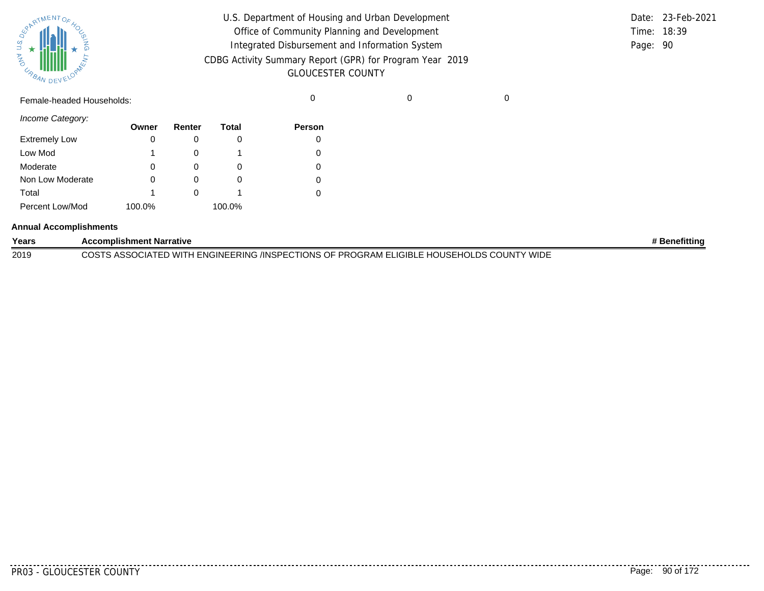| SPARTMENTOF HOL    |  |  |  |  |  |
|--------------------|--|--|--|--|--|
|                    |  |  |  |  |  |
| 气                  |  |  |  |  |  |
| DEVELOPAN<br>URBAN |  |  |  |  |  |

| U.S. Department of Housing and Urban Development         |             | Date: 23-Feb-2021 |
|----------------------------------------------------------|-------------|-------------------|
| Office of Community Planning and Development             | Time: 18:39 |                   |
| Integrated Disbursement and Information System           | Page: 90    |                   |
| CDBG Activity Summary Report (GPR) for Program Year 2019 |             |                   |
| <b>GLOUCESTER COUNTY</b>                                 |             |                   |

Female-headed Households: 0 0 0

*Income Category:*

|                      | Owner  | Renter | Total  | <b>Person</b> |
|----------------------|--------|--------|--------|---------------|
| <b>Extremely Low</b> | 0      |        |        |               |
| Low Mod              | 1      |        |        |               |
| Moderate             | 0      |        | O      |               |
| Non Low Moderate     | 0      |        |        |               |
| Total                | 1      |        |        |               |
| Percent Low/Mod      | 100.0% |        | 100.0% |               |

#### **Annual Accomplishments**

| Years | <b>Accomplishment Narrative</b>                                                                             | <b>Benefitting</b> |
|-------|-------------------------------------------------------------------------------------------------------------|--------------------|
| 2019  | TS ASSOCIATED WITH ENGINEERING /INSPECTIONS OF PROGRAM ELIGIBLE HOUSEHOLDS COUNTY WIDE<br>COST <sup>r</sup> |                    |

. . . . . . .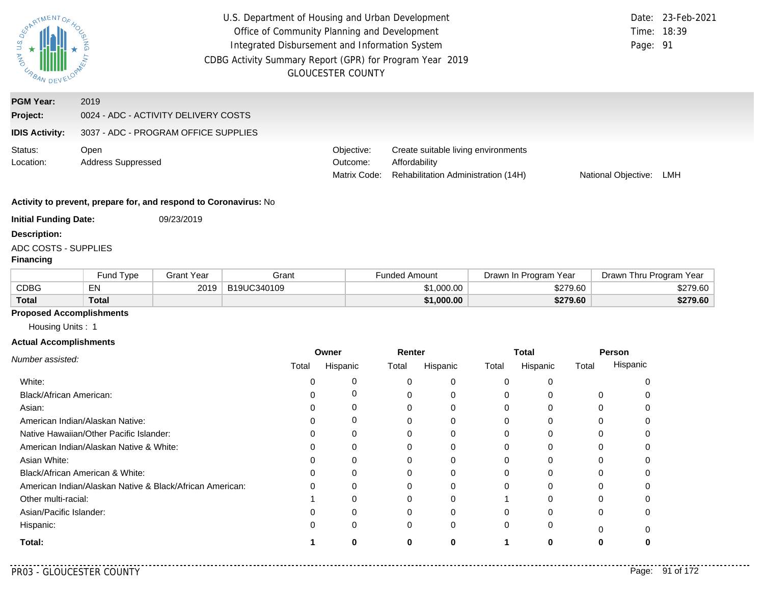| RARTMENTOR                                            | U.S. Department of Housing and Urban Development<br>Office of Community Planning and Development<br>Integrated Disbursement and Information System<br>CDBG Activity Summary Report (GPR) for Program Year 2019 | <b>GLOUCESTER COUNTY</b>               |                                                                                             | Page: 91            | Date: 23-Feb-2021<br>Time: 18:39 |
|-------------------------------------------------------|----------------------------------------------------------------------------------------------------------------------------------------------------------------------------------------------------------------|----------------------------------------|---------------------------------------------------------------------------------------------|---------------------|----------------------------------|
| <b>PGM Year:</b><br>Project:<br><b>IDIS Activity:</b> | 2019<br>0024 - ADC - ACTIVITY DELIVERY COSTS<br>3037 - ADC - PROGRAM OFFICE SUPPLIES                                                                                                                           |                                        |                                                                                             |                     |                                  |
| Status:<br>Location:                                  | Open<br><b>Address Suppressed</b>                                                                                                                                                                              | Objective:<br>Outcome:<br>Matrix Code: | Create suitable living environments<br>Affordability<br>Rehabilitation Administration (14H) | National Objective: | LMH                              |
| <b>Initial Funding Date:</b>                          | Activity to prevent, prepare for, and respond to Coronavirus: No<br>09/23/2019                                                                                                                                 |                                        |                                                                                             |                     |                                  |

#### **Description:**

# ADC COSTS - SUPPLIES

## **Financing**

|              | <b>Fund Type</b> | Grant Year | Grant       | Funded Amount | Drawn In Program Year | Drawn Thru Program Year |
|--------------|------------------|------------|-------------|---------------|-----------------------|-------------------------|
| CDBG         | $-$ .<br>ЕN      | 2019       | B19UC340109 | \$1,000.00    | \$279.60              | \$279.60                |
| <b>Total</b> | Total            |            |             | \$1,000.00    | \$279.60              | \$279.60                |

#### **Proposed Accomplishments**

Housing Units : 1

#### **Actual Accomplishments**

|                                                          | Owner |          | Renter |          | Total    |              | Person |          |
|----------------------------------------------------------|-------|----------|--------|----------|----------|--------------|--------|----------|
| Number assisted:                                         | Total | Hispanic | Total  | Hispanic | Total    | Hispanic     | Total  | Hispanic |
| White:                                                   |       | 0        |        | 0        | $\Omega$ | <sup>0</sup> |        |          |
| Black/African American:                                  |       | 0        |        | 0        | $\Omega$ |              | 0      |          |
| Asian:                                                   |       | 0        |        |          | $\Omega$ |              |        |          |
| American Indian/Alaskan Native:                          |       | 0        |        |          | 0        | <sup>0</sup> |        |          |
| Native Hawaiian/Other Pacific Islander:                  |       | 0        |        |          | O        |              |        |          |
| American Indian/Alaskan Native & White:                  |       | 0        |        | 0        | 0        | U            | 0      |          |
| Asian White:                                             |       | O        |        |          | 0        |              |        |          |
| Black/African American & White:                          |       | 0        |        |          | $\Omega$ |              |        |          |
| American Indian/Alaskan Native & Black/African American: |       | 0        |        |          | $\Omega$ | O            |        |          |
| Other multi-racial:                                      |       |          |        |          |          |              |        |          |
| Asian/Pacific Islander:                                  |       | 0        | U      | 0        | $\Omega$ | $\Omega$     | 0      |          |
| Hispanic:                                                |       | 0        | 0      | 0        | $\Omega$ | 0            | U      |          |
| Total:                                                   |       |          |        |          |          | n            |        |          |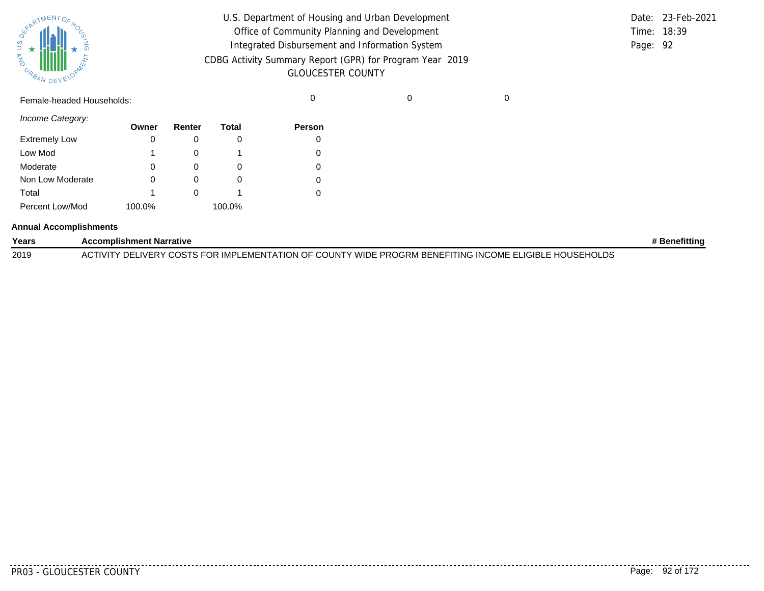|       | <b>REAL AVENTOF 40C</b> |  |
|-------|-------------------------|--|
| Ź     |                         |  |
| URBAN | DEVELOPAN               |  |

| U.S. Department of Housing and Urban Development         |          | Date: 23-Feb-2021 |
|----------------------------------------------------------|----------|-------------------|
| Office of Community Planning and Development             |          | Time: 18:39       |
| Integrated Disbursement and Information System           | Page: 92 |                   |
| CDBG Activity Summary Report (GPR) for Program Year 2019 |          |                   |
| <b>GLOUCESTER COUNTY</b>                                 |          |                   |

Female-headed Households: 0 0 0

*Income Category:*

|                      | Owner  | Renter | Total  | <b>Person</b> |
|----------------------|--------|--------|--------|---------------|
| <b>Extremely Low</b> | 0      |        |        |               |
| Low Mod              | 1      |        |        |               |
| Moderate             | 0      |        | O      |               |
| Non Low Moderate     | 0      |        | 0      |               |
| Total                | 1      |        |        |               |
| Percent Low/Mod      | 100.0% |        | 100.0% |               |

#### **Annual Accomplishments**

| Years | <b>Accomplishment Narrative</b>                                                                        | ⊧ Benefittinɑ |
|-------|--------------------------------------------------------------------------------------------------------|---------------|
| 2019  | ACTIVITY DELIVERY COSTS FOR IMPLEMENTATION OF COUNTY WIDE PROGRM BENEFITING INCOME ELIGIBLE HOUSEHOLDS |               |

<u>. . . . . .</u> .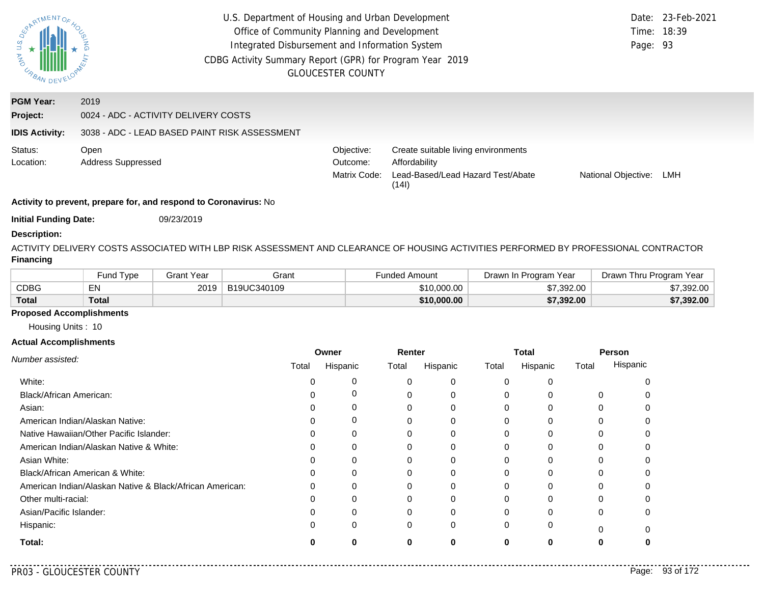| <b>ASPATMENTOF</b>    | U.S. Department of Housing and Urban Development<br>Office of Community Planning and Development<br>Integrated Disbursement and Information System<br>CDBG Activity Summary Report (GPR) for Program Year 2019<br><b>GLOUCESTER COUNTY</b> |                                        |                                                                                                    |                            |     |
|-----------------------|--------------------------------------------------------------------------------------------------------------------------------------------------------------------------------------------------------------------------------------------|----------------------------------------|----------------------------------------------------------------------------------------------------|----------------------------|-----|
| <b>PGM Year:</b>      | 2019                                                                                                                                                                                                                                       |                                        |                                                                                                    |                            |     |
| Project:              | 0024 - ADC - ACTIVITY DELIVERY COSTS                                                                                                                                                                                                       |                                        |                                                                                                    |                            |     |
| <b>IDIS Activity:</b> | 3038 - ADC - LEAD BASED PAINT RISK ASSESSMENT                                                                                                                                                                                              |                                        |                                                                                                    |                            |     |
| Status:<br>Location:  | Open<br><b>Address Suppressed</b>                                                                                                                                                                                                          | Objective:<br>Outcome:<br>Matrix Code: | Create suitable living environments<br>Affordability<br>Lead-Based/Lead Hazard Test/Abate<br>(14I) | <b>National Objective:</b> | LMH |
|                       | Activity to prevent, prepare for, and respond to Coronavirus: No                                                                                                                                                                           |                                        |                                                                                                    |                            |     |

**Initial Funding Date:** 09/23/2019

#### **Description:**

ACTIVITY DELIVERY COSTS ASSOCIATED WITH LBP RISK ASSESSMENT AND CLEARANCE OF HOUSING ACTIVITIES PERFORMED BY PROFESSIONAL CONTRACTOR **Financing**

|              | <b>Fund Type</b> | Grant Year | Grant       | Funded Amount | Drawn In Program Year | Drawn Thru Program Year |
|--------------|------------------|------------|-------------|---------------|-----------------------|-------------------------|
| CDBG         | EN               | 2019       | B19UC340109 | \$10,000.00   | \$7.392.00            | .392.00                 |
| <b>Total</b> | Total            |            |             | \$10,000.00   | \$7,392.00            | \$7,392.00              |

## **Proposed Accomplishments**

Housing Units : 10

|                                                          | Owner |          | Renter |          | Total    |          | Person   |          |
|----------------------------------------------------------|-------|----------|--------|----------|----------|----------|----------|----------|
| Number assisted:                                         | Total | Hispanic | Total  | Hispanic | Total    | Hispanic | Total    | Hispanic |
| White:                                                   |       |          | 0      | 0        | 0        | 0        |          |          |
| <b>Black/African American:</b>                           |       | $\Gamma$ | 0      | 0        | 0        |          | 0        |          |
| Asian:                                                   |       | Ω        | 0      | 0        | 0        |          |          |          |
| American Indian/Alaskan Native:                          |       | 0        |        | 0        | 0        | 0        | 0        |          |
| Native Hawaiian/Other Pacific Islander:                  |       | ი        |        |          |          |          |          |          |
| American Indian/Alaskan Native & White:                  |       | 0        | 0      | 0        | 0        | 0        | 0        |          |
| Asian White:                                             |       |          |        | 0        |          |          |          |          |
| Black/African American & White:                          |       |          |        | 0        |          |          |          |          |
| American Indian/Alaskan Native & Black/African American: |       | 0        |        | 0        | 0        | 0        |          |          |
| Other multi-racial:                                      |       |          |        |          |          |          |          |          |
| Asian/Pacific Islander:                                  |       | 0        | 0      | 0        | $\Omega$ | $\Omega$ | $\Omega$ |          |
| Hispanic:                                                |       | 0        | 0      | 0        | $\Omega$ | 0        | $\Omega$ |          |
| Total:                                                   |       | O        | 0      | 0        | 0        | 0        |          |          |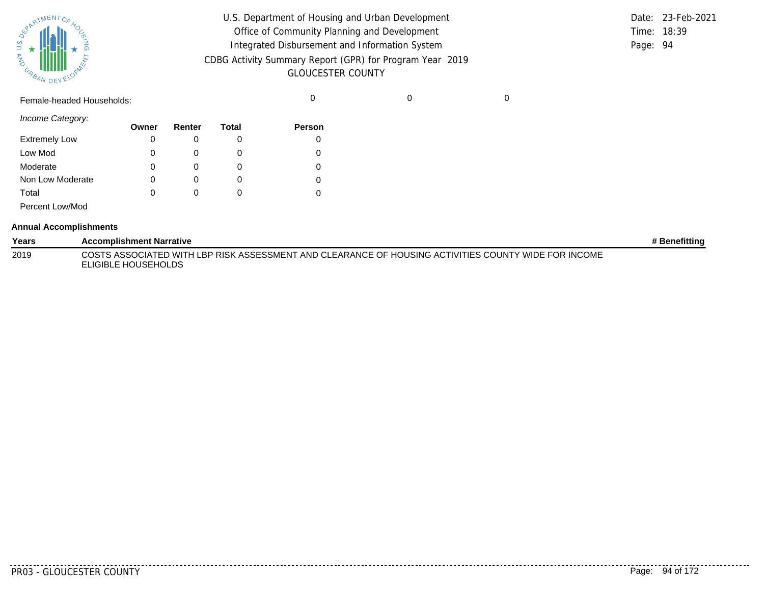

| U.S. Department of Housing and Urban Development                                     |          | Date: 23-Feb-2021 |
|--------------------------------------------------------------------------------------|----------|-------------------|
| Office of Community Planning and Development                                         |          | Time: 18:39       |
| Integrated Disbursement and Information System                                       | Page: 94 |                   |
| CDBG Activity Summary Report (GPR) for Program Year 2019<br><b>GLOUCESTER COUNTY</b> |          |                   |

Female-headed Households: 0 0 0

*Income Category:*

|                      | Owner | Renter | Total    | Person |
|----------------------|-------|--------|----------|--------|
| <b>Extremely Low</b> | 0     | O      |          | 0      |
| Low Mod              | 0     |        | $\Omega$ | 0      |
| Moderate             | 0     |        |          | 0      |
| Non Low Moderate     | 0     | O      | $\Omega$ | 0      |
| Total                | 0     |        | $\Omega$ | 0      |
| Percent Low/Mod      |       |        |          |        |

#### **Annual Accomplishments**

| Years | <b>Accomplishment Narrative</b>                                                                                             | # Benefittina |
|-------|-----------------------------------------------------------------------------------------------------------------------------|---------------|
| 2019  | COSTS ASSOCIATED WITH LBP RISK ASSESSMENT AND CLEARANCE OF HOUSING ACTIVITIES COUNTY WIDE FOR INCOME<br>ELIGIBLE HOUSEHOLDS |               |

<u>. . . . . . .</u>

.........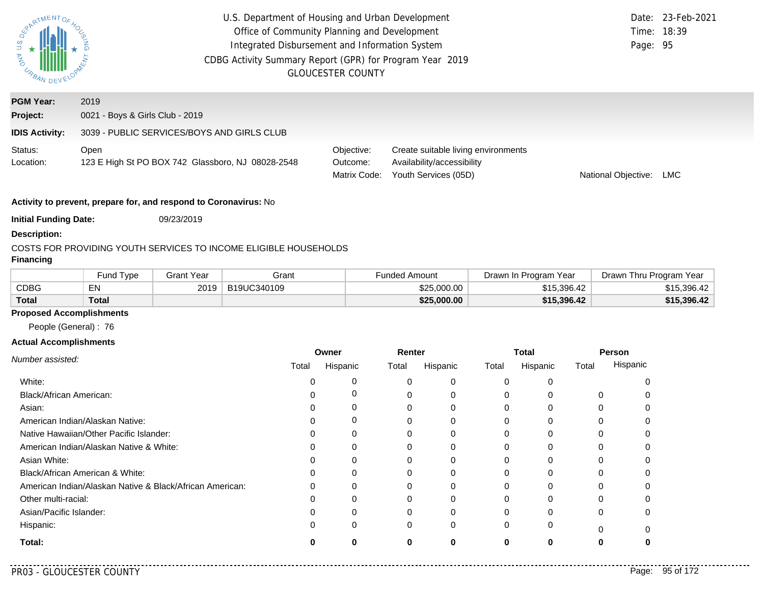| $\mathbb S$<br>AND URBAN | U.S. Department of Housing and Urban Development<br>Office of Community Planning and Development<br>Integrated Disbursement and Information System<br>CDBG Activity Summary Report (GPR) for Program Year 2019 | <b>GLOUCESTER COUNTY</b>               |                                                                                           | Page: 95            | Date: 23-Feb-2021<br>Time: 18:39 |
|--------------------------|----------------------------------------------------------------------------------------------------------------------------------------------------------------------------------------------------------------|----------------------------------------|-------------------------------------------------------------------------------------------|---------------------|----------------------------------|
| <b>PGM Year:</b>         | 2019                                                                                                                                                                                                           |                                        |                                                                                           |                     |                                  |
| Project:                 | 0021 - Boys & Girls Club - 2019                                                                                                                                                                                |                                        |                                                                                           |                     |                                  |
| <b>IDIS Activity:</b>    | 3039 - PUBLIC SERVICES/BOYS AND GIRLS CLUB                                                                                                                                                                     |                                        |                                                                                           |                     |                                  |
| Status:<br>Location:     | Open<br>123 E High St PO BOX 742 Glassboro, NJ 08028-2548                                                                                                                                                      | Objective:<br>Outcome:<br>Matrix Code: | Create suitable living environments<br>Availability/accessibility<br>Youth Services (05D) | National Objective: | LMC                              |

**Initial Funding Date:** 09/23/2019

#### **Description:**

#### COSTS FOR PROVIDING YOUTH SERVICES TO INCOME ELIGIBLE HOUSEHOLDS

## **Financing**

|              | und Type <sup>-</sup> | Grant Year | Grant       | Funded Amount | Drawn In Program Year | Drawn Thru Program Year |
|--------------|-----------------------|------------|-------------|---------------|-----------------------|-------------------------|
| CDBG         | ᇊ                     | 2019       | B19UC340109 | \$25,000.00   | \$15,396.42           | \$15.396.42             |
| <b>Total</b> | Total                 |            |             | \$25,000.00   | \$15,396.42           | \$15,396.42             |

# **Proposed Accomplishments**

People (General) : 76

|                                                          | Owner    |          | Renter |          | Total    |          | Person |          |
|----------------------------------------------------------|----------|----------|--------|----------|----------|----------|--------|----------|
| Number assisted:                                         | Total    | Hispanic | Total  | Hispanic | Total    | Hispanic | Total  | Hispanic |
| White:                                                   |          |          |        | 0        | $\Omega$ |          |        |          |
| <b>Black/African American:</b>                           |          |          |        | 0        |          |          |        |          |
| Asian:                                                   |          |          |        |          |          |          |        |          |
| American Indian/Alaskan Native:                          |          | $\Omega$ |        | 0        |          |          |        |          |
| Native Hawaiian/Other Pacific Islander:                  |          |          |        |          |          |          |        |          |
| American Indian/Alaskan Native & White:                  | 0        | 0        |        | 0        |          |          |        |          |
| Asian White:                                             |          |          |        | $\Omega$ |          |          |        |          |
| Black/African American & White:                          |          |          |        |          |          |          |        |          |
| American Indian/Alaskan Native & Black/African American: | $\Omega$ | $\Omega$ |        | $\Omega$ |          |          |        |          |
| Other multi-racial:                                      |          |          |        |          |          |          |        |          |
| Asian/Pacific Islander:                                  |          | $\Omega$ |        | 0        |          |          |        |          |
| Hispanic:                                                |          | 0        |        | 0        |          |          |        |          |
| Total:                                                   |          |          | 0      | 0        |          |          |        |          |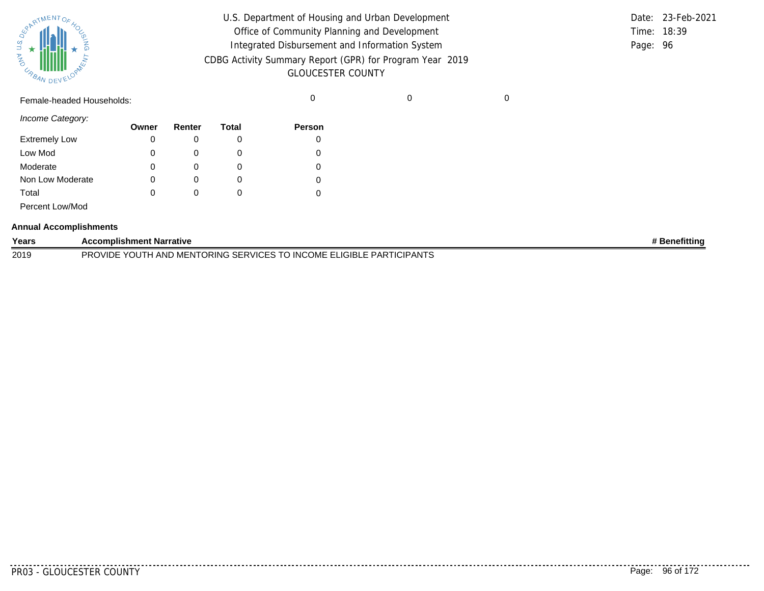| SPARTMENTOF HOL |           |
|-----------------|-----------|
|                 |           |
| 气               |           |
| URBAN           | DEVELOPAN |

| U.S. Department of Housing and Urban Development                                     |          | Date: 23-Feb-2021 |
|--------------------------------------------------------------------------------------|----------|-------------------|
| Office of Community Planning and Development                                         |          | Time: 18:39       |
| Integrated Disbursement and Information System                                       | Page: 96 |                   |
| CDBG Activity Summary Report (GPR) for Program Year 2019<br><b>GLOUCESTER COUNTY</b> |          |                   |
|                                                                                      |          |                   |

Female-headed Households: 0 0 0

*Income Category:*

| $111001110$ valugury. | Owner | Renter | Total | <b>Person</b> |
|-----------------------|-------|--------|-------|---------------|
| <b>Extremely Low</b>  | 0     |        |       |               |
| Low Mod               | 0     |        |       |               |
| Moderate              | 0     |        |       |               |
| Non Low Moderate      | 0     | 0      | O     |               |
| Total                 | 0     |        |       |               |
| Percent Low/Mod       |       |        |       |               |

#### **Annual Accomplishments**

| Years | <b>Accomplishment Narrative</b>                                                                       | <b>Benefitting</b> |
|-------|-------------------------------------------------------------------------------------------------------|--------------------|
| 2019  | <b>TO INCOME ELIGIBLE F</b><br><b>PARTICIPANTS</b><br>. H AND MENTORING SERVICES T<br>PROVIDE<br>YOU. |                    |

. <u>. . . . . . .</u> .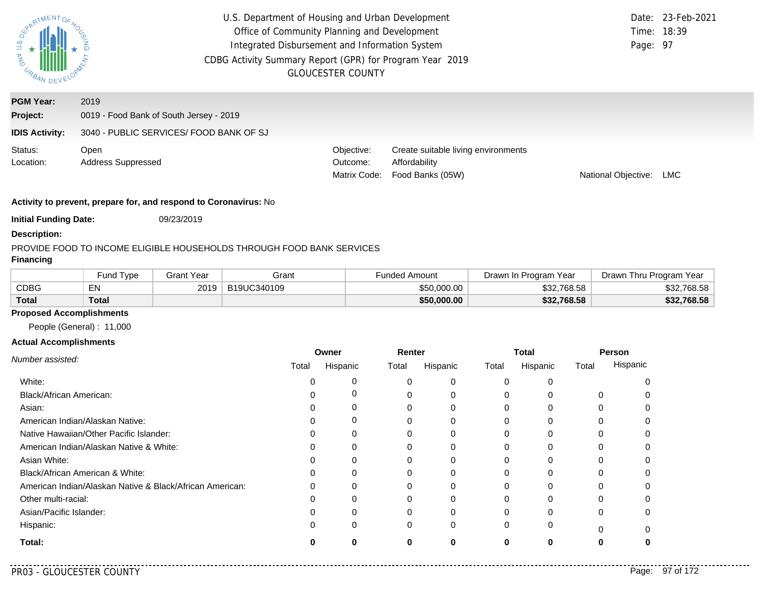| <b>AND</b><br><b>CABAN DEV</b> | U.S. Department of Housing and Urban Development<br>Office of Community Planning and Development<br>Integrated Disbursement and Information System<br>CDBG Activity Summary Report (GPR) for Program Year 2019 | <b>GLOUCESTER COUNTY</b>               |                                                                          | Page: 97                   | Date: 23-Feb-2021<br>Time: 18:39 |
|--------------------------------|----------------------------------------------------------------------------------------------------------------------------------------------------------------------------------------------------------------|----------------------------------------|--------------------------------------------------------------------------|----------------------------|----------------------------------|
| <b>PGM Year:</b><br>Project:   | 2019<br>0019 - Food Bank of South Jersey - 2019                                                                                                                                                                |                                        |                                                                          |                            |                                  |
| <b>IDIS Activity:</b>          | 3040 - PUBLIC SERVICES/ FOOD BANK OF SJ                                                                                                                                                                        |                                        |                                                                          |                            |                                  |
| Status:<br>Location:           | Open<br><b>Address Suppressed</b>                                                                                                                                                                              | Objective:<br>Outcome:<br>Matrix Code: | Create suitable living environments<br>Affordability<br>Food Banks (05W) | <b>National Objective:</b> | LMC                              |

**Initial Funding Date:** 09/23/2019

#### **Description:**

#### PROVIDE FOOD TO INCOME ELIGIBLE HOUSEHOLDS THROUGH FOOD BANK SERVICES

# **Financing**

|              | und Type <sup>-</sup> | Grant Year | Grant       | Funded Amount | Drawn In Program Year | Drawn Thru Program Year |
|--------------|-----------------------|------------|-------------|---------------|-----------------------|-------------------------|
| CDBG         | ᇊ                     | 2019       | B19UC340109 | \$50,000.00   | \$32,768.58           | \$32.768.58             |
| <b>Total</b> | Total                 |            |             | \$50,000.00   | \$32,768.58           | \$32,768.58             |

# **Proposed Accomplishments**

People (General) : 11,000

|                                                          | Owner |          |       | Renter   |              | Total        |       | Person   |
|----------------------------------------------------------|-------|----------|-------|----------|--------------|--------------|-------|----------|
| Number assisted:                                         | Total | Hispanic | Total | Hispanic | Total        | Hispanic     | Total | Hispanic |
| White:                                                   |       | 0        |       | 0        | $\Omega$     |              |       |          |
| Black/African American:                                  |       | 0        |       | $\Omega$ | $\Omega$     |              | 0     |          |
| Asian:                                                   |       | 0        |       |          | $\Omega$     |              | 0     |          |
| American Indian/Alaskan Native:                          |       | 0        |       | 0        | $\Omega$     | $\Omega$     | 0     |          |
| Native Hawaiian/Other Pacific Islander:                  |       | $\Omega$ |       |          | 0            |              |       |          |
| American Indian/Alaskan Native & White:                  |       | 0        | 0     | 0        | $\Omega$     | 0            | 0     |          |
| Asian White:                                             |       | 0        |       |          | 0            |              |       |          |
| Black/African American & White:                          |       | 0        |       |          | 0            |              |       |          |
| American Indian/Alaskan Native & Black/African American: |       | $\Omega$ |       | $\Omega$ | $\Omega$     | <sup>0</sup> | O     |          |
| Other multi-racial:                                      |       | O        |       |          | <sup>0</sup> |              |       |          |
| Asian/Pacific Islander:                                  |       | 0        |       | 0        | $\Omega$     |              | 0     |          |
| Hispanic:                                                |       | 0        | 0     | 0        | $\Omega$     | 0            | ŋ     |          |
| Total:                                                   |       |          |       |          | O            | ŋ            |       |          |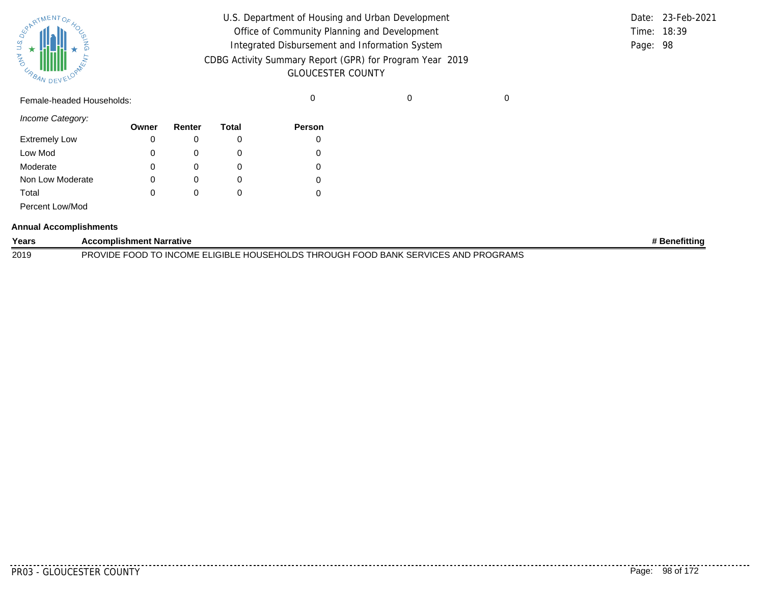| SUPATMENTOF HOL |           |  |
|-----------------|-----------|--|
| URBAN           | DEVELOPAL |  |

| U.S. Department of Housing and Urban Development         |          | Date: 23-Feb-2021 |
|----------------------------------------------------------|----------|-------------------|
| Office of Community Planning and Development             |          | Time: 18:39       |
| Integrated Disbursement and Information System           | Page: 98 |                   |
| CDBG Activity Summary Report (GPR) for Program Year 2019 |          |                   |
| <b>GLOUCESTER COUNTY</b>                                 |          |                   |

Female-headed Households: 0 0 0

*Income Category:*

|                      | Owner | Renter | Total | Person |
|----------------------|-------|--------|-------|--------|
| <b>Extremely Low</b> | 0     |        |       | 0      |
| Low Mod              | 0     |        |       |        |
| Moderate             | 0     |        |       |        |
| Non Low Moderate     | 0     | O      |       |        |
| Total                | 0     |        |       |        |
| Percent Low/Mod      |       |        |       |        |

#### **Annual Accomplishments**

| Years | <b>Accomplishment Narrative</b>                                                    | <b>⊧Benefittin</b> ɑ |
|-------|------------------------------------------------------------------------------------|----------------------|
| 2019  | PROVIDE FOOD TO INCOME ELIGIBLE HOUSEHOLDS THROUGH FOOD BANK SERVICES AND PROGRAMS |                      |

. . . . . . . . . .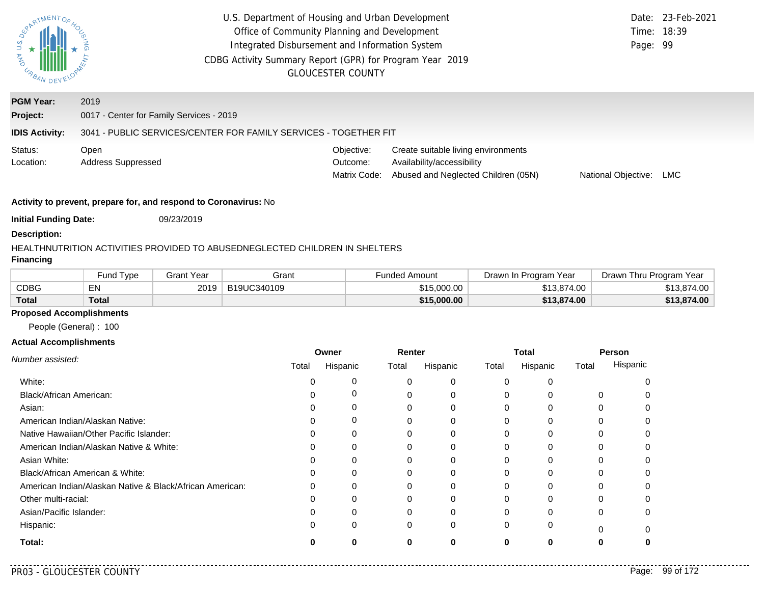| U.S. DEX<br>AND<br>URBAN DE | U.S. Department of Housing and Urban Development<br>Office of Community Planning and Development<br>Integrated Disbursement and Information System<br>CDBG Activity Summary Report (GPR) for Program Year 2019<br><b>GLOUCESTER COUNTY</b> | Page: 99                               | Date: 23-Feb-2021<br>Time: 18:39                                                                         |                     |     |
|-----------------------------|--------------------------------------------------------------------------------------------------------------------------------------------------------------------------------------------------------------------------------------------|----------------------------------------|----------------------------------------------------------------------------------------------------------|---------------------|-----|
| <b>PGM Year:</b>            | 2019                                                                                                                                                                                                                                       |                                        |                                                                                                          |                     |     |
| Project:                    | 0017 - Center for Family Services - 2019                                                                                                                                                                                                   |                                        |                                                                                                          |                     |     |
| <b>IDIS Activity:</b>       | 3041 - PUBLIC SERVICES/CENTER FOR FAMILY SERVICES - TOGETHER FIT                                                                                                                                                                           |                                        |                                                                                                          |                     |     |
| Status:<br>Location:        | Open<br><b>Address Suppressed</b>                                                                                                                                                                                                          | Objective:<br>Outcome:<br>Matrix Code: | Create suitable living environments<br>Availability/accessibility<br>Abused and Neglected Children (05N) | National Objective: | LMC |
|                             | Activity to provent prepare for and reepend to Coronaviruou No.                                                                                                                                                                            |                                        |                                                                                                          |                     |     |

**Initial Funding Date:** 09/23/2019

#### **Description:**

### HEALTHNUTRITION ACTIVITIES PROVIDED TO ABUSEDNEGLECTED CHILDREN IN SHELTERS

# **Financing**

|              | <b>Fund Type</b> | Grant Year | Grant       | Funded Amount | Drawn In Program Year | Drawn Thru Program Year |
|--------------|------------------|------------|-------------|---------------|-----------------------|-------------------------|
| <b>CDBG</b>  | EN               | 2019       | B19UC340109 | \$15,000.00   | \$13,874.00           | \$13,874.00             |
| <b>Total</b> | <b>Total</b>     |            |             | \$15,000.00   | \$13,874.00           | \$13,874.00             |

#### **Proposed Accomplishments**

People (General) : 100

|                                                          | Owner<br>Renter |          |       | <b>Total</b> |          | Person   |       |          |
|----------------------------------------------------------|-----------------|----------|-------|--------------|----------|----------|-------|----------|
| Number assisted:                                         | Total           | Hispanic | Total | Hispanic     | Total    | Hispanic | Total | Hispanic |
| White:                                                   |                 | 0        |       | 0            | $\Omega$ |          |       |          |
| Black/African American:                                  |                 |          |       | 0            |          |          |       |          |
| Asian:                                                   |                 |          |       |              |          |          |       |          |
| American Indian/Alaskan Native:                          |                 | $\Omega$ |       | 0            |          |          |       |          |
| Native Hawaiian/Other Pacific Islander:                  |                 |          |       |              |          |          |       |          |
| American Indian/Alaskan Native & White:                  | 0               | $\Omega$ |       | 0            | 0        |          |       |          |
| Asian White:                                             |                 |          |       | 0            |          |          |       |          |
| Black/African American & White:                          |                 |          |       |              |          |          |       |          |
| American Indian/Alaskan Native & Black/African American: | 0               | $\Omega$ |       | 0            |          |          |       |          |
| Other multi-racial:                                      |                 |          |       |              |          |          |       |          |
| Asian/Pacific Islander:                                  |                 | 0        |       | 0            |          |          |       |          |
| Hispanic:                                                |                 | 0        | 0     | 0            |          |          |       |          |
| Total:                                                   |                 |          | O     | 0            |          |          |       |          |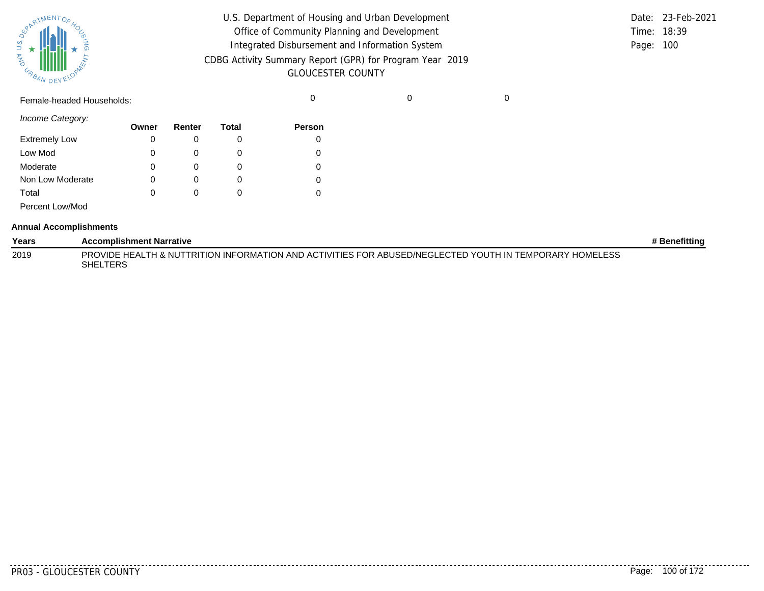| SURATMENTOFAOL    |           |  |
|-------------------|-----------|--|
| S.T<br><b>MAG</b> |           |  |
| URBAN             | DEVELOPAN |  |

| U.S. Department of Housing and Urban Development                                     |             | Date: 23-Feb-2021 |
|--------------------------------------------------------------------------------------|-------------|-------------------|
| Office of Community Planning and Development                                         | Time: 18:39 |                   |
| Integrated Disbursement and Information System                                       | Page: 100   |                   |
| CDBG Activity Summary Report (GPR) for Program Year 2019<br><b>GLOUCESTER COUNTY</b> |             |                   |

Female-headed Households: 0 0 0

*Income Category:*

|                      | Owner | Renter   | Total | <b>Person</b> |
|----------------------|-------|----------|-------|---------------|
| <b>Extremely Low</b> | 0     | O        |       |               |
| Low Mod              | 0     | O        |       |               |
| Moderate             | 0     | $\Omega$ |       |               |
| Non Low Moderate     | 0     | O        |       | 0             |
| Total                | 0     |          |       |               |
| Percent Low/Mod      |       |          |       |               |

#### **Annual Accomplishments**

| Years | <b>Accomplishment Narrative</b>                                                                                     | # Benefittina |
|-------|---------------------------------------------------------------------------------------------------------------------|---------------|
| 2019  | PROVIDE HEALTH & NUTTRITION INFORMATION AND ACTIVITIES FOR ABUSED/NEGLECTED YOUTH IN TEMPORARY HOMELESS<br>SHELTERS |               |

<u>. . . . . . . .</u>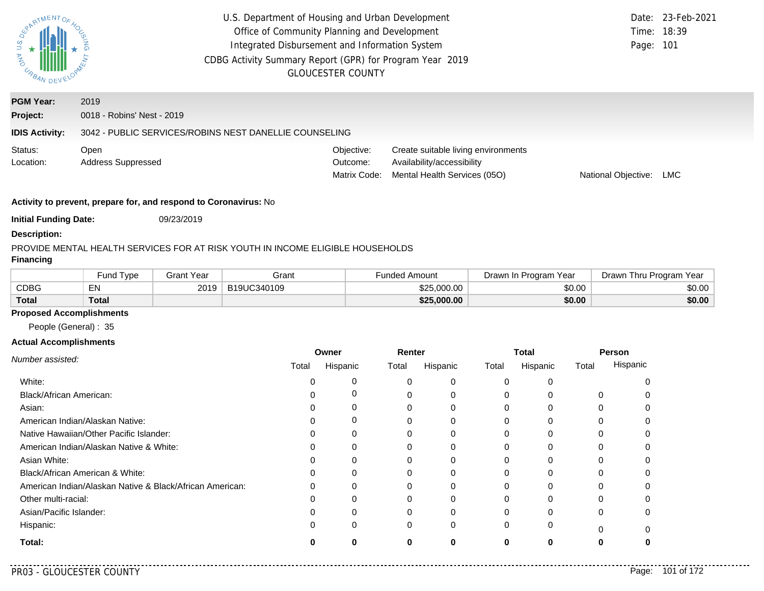| PARTMENTOR<br><b>DAY U.S.</b><br>URBAN.               | U.S. Department of Housing and Urban Development<br>Office of Community Planning and Development<br>Integrated Disbursement and Information System<br>CDBG Activity Summary Report (GPR) for Program Year 2019<br><b>GLOUCESTER COUNTY</b> |                                        |                                                                                                   |                     | Date: 23-Feb-2021<br>Time: 18:39<br>Page: 101 |
|-------------------------------------------------------|--------------------------------------------------------------------------------------------------------------------------------------------------------------------------------------------------------------------------------------------|----------------------------------------|---------------------------------------------------------------------------------------------------|---------------------|-----------------------------------------------|
| <b>PGM Year:</b><br>Project:<br><b>IDIS Activity:</b> | 2019<br>0018 - Robins' Nest - 2019<br>3042 - PUBLIC SERVICES/ROBINS NEST DANELLIE COUNSELING                                                                                                                                               |                                        |                                                                                                   |                     |                                               |
| Status:<br>Location:                                  | Open<br><b>Address Suppressed</b>                                                                                                                                                                                                          | Objective:<br>Outcome:<br>Matrix Code: | Create suitable living environments<br>Availability/accessibility<br>Mental Health Services (05O) | National Objective: | LMC.                                          |
|                                                       | Activity to prevent, prepare for, and respond to Coronavirus: No                                                                                                                                                                           |                                        |                                                                                                   |                     |                                               |

**Initial Funding Date:** 09/23/2019

#### **Description:**

# PROVIDE MENTAL HEALTH SERVICES FOR AT RISK YOUTH IN INCOME ELIGIBLE HOUSEHOLDS

# **Financing**

|              | Fund Type    | Grant Year | Grant       | <sup>⊏</sup> unded Amount | Drawn In Program Year | Drawn Thru Program Year |
|--------------|--------------|------------|-------------|---------------------------|-----------------------|-------------------------|
| <b>CDBG</b>  | EN           | 2019       | B19UC340109 | \$25,000.00               | \$0.00                | \$0.00                  |
| <b>Total</b> | <b>Total</b> |            |             | \$25,000.00               | \$0.00                | \$0.00                  |

# **Proposed Accomplishments**

People (General) : 35

## **Actual Accomplishments**

|                                                          | Owner |          | Renter |          | <b>Total</b> |          | Person   |          |
|----------------------------------------------------------|-------|----------|--------|----------|--------------|----------|----------|----------|
| Number assisted:                                         | Total | Hispanic | Total  | Hispanic | Total        | Hispanic | Total    | Hispanic |
| White:                                                   |       |          | 0      | 0        | $\Omega$     | $\Omega$ |          |          |
| <b>Black/African American:</b>                           |       | 0        | 0      | 0        | 0            |          | 0        |          |
| Asian:                                                   |       | Ω        | 0      | 0        | 0            |          |          |          |
| American Indian/Alaskan Native:                          |       | 0        | 0      | 0        | 0            | 0        | 0        |          |
| Native Hawaiian/Other Pacific Islander:                  |       | O        |        |          |              |          |          |          |
| American Indian/Alaskan Native & White:                  |       | 0        | 0      | 0        | 0            | 0        | 0        |          |
| Asian White:                                             |       |          |        | 0        |              |          |          |          |
| Black/African American & White:                          |       | Ω        |        | 0        |              |          |          |          |
| American Indian/Alaskan Native & Black/African American: |       | 0        | 0      | 0        | 0            | 0        | 0        |          |
| Other multi-racial:                                      |       |          | 0      | 0        |              |          |          |          |
| Asian/Pacific Islander:                                  |       |          |        | 0        |              |          | 0        |          |
| Hispanic:                                                |       | 0        | 0      | 0        | $\Omega$     | 0        | $\Omega$ |          |
| Total:                                                   |       | 0        | 0      | 0        | 0            | 0        | 0        |          |

 $\sim$   $\sim$   $\sim$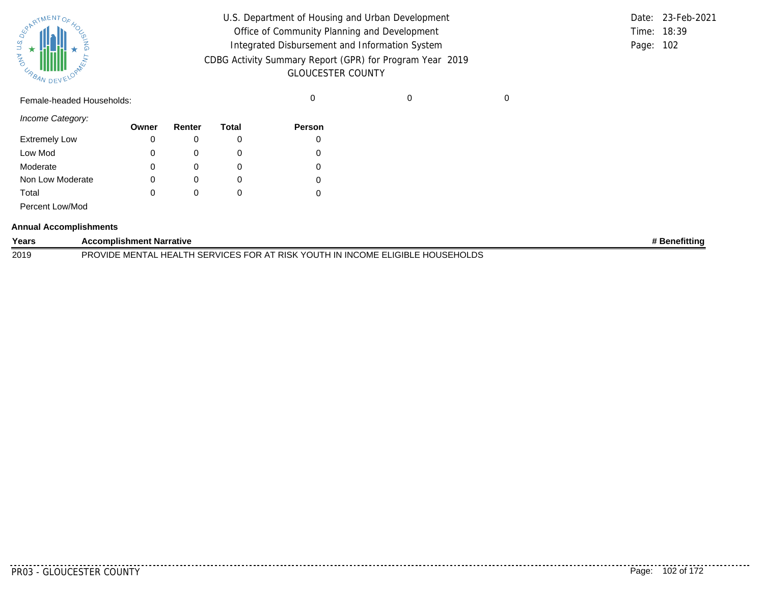|       | <b>REAL AVENTOF 40C</b> |  |
|-------|-------------------------|--|
| Ź     |                         |  |
| URBAN | DEVELOPAN               |  |

| U.S. Department of Housing and Urban Development         |             | Date: 23-Feb-2021 |
|----------------------------------------------------------|-------------|-------------------|
| Office of Community Planning and Development             | Time: 18:39 |                   |
| Integrated Disbursement and Information System           | Page: 102   |                   |
| CDBG Activity Summary Report (GPR) for Program Year 2019 |             |                   |
| <b>GLOUCESTER COUNTY</b>                                 |             |                   |

Female-headed Households: 0 0 0

*Income Category:*

| $111001110$ valugury. | Owner | Renter | Total | <b>Person</b> |
|-----------------------|-------|--------|-------|---------------|
| <b>Extremely Low</b>  | 0     |        |       |               |
| Low Mod               | 0     |        |       |               |
| Moderate              | 0     |        |       |               |
| Non Low Moderate      | 0     | 0      | O     |               |
| Total                 | 0     |        |       |               |
| Percent Low/Mod       |       |        |       |               |

#### **Annual Accomplishments**

| Years | <b>Accomplishment Narrative</b>                                                                                      | <b>Benefitting</b> |
|-------|----------------------------------------------------------------------------------------------------------------------|--------------------|
| 2019  | K YOUTH IN INCOME ELIGIBLE HOUSEHOLDS<br>EALTH SERVICES FOR AT<br><b>PROVIDE</b><br>' RISK<br>MENT<br>HEAL.<br>1 A I |                    |

--------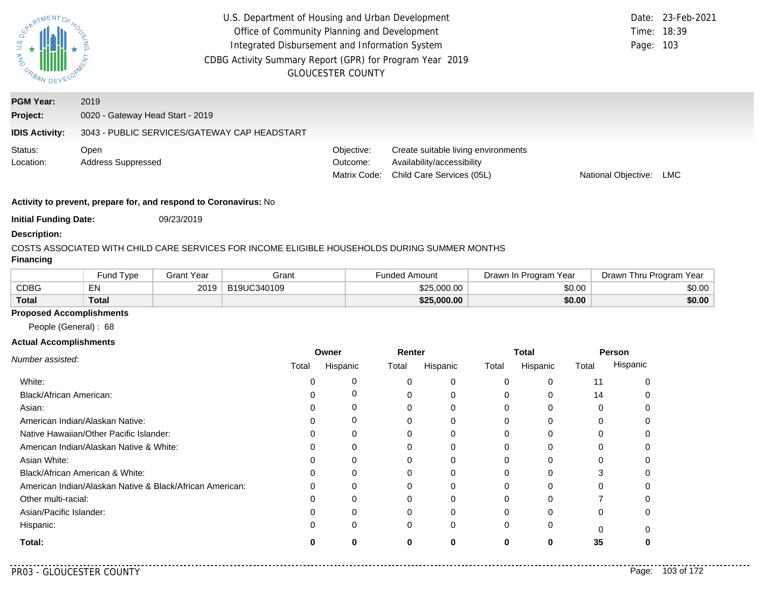| U.S.<br>AND URBA             | U.S. Department of Housing and Urban Development<br>Office of Community Planning and Development<br>Integrated Disbursement and Information System<br>CDBG Activity Summary Report (GPR) for Program Year 2019<br><b>GLOUCESTER COUNTY</b> | Page: 103                              | Date: 23-Feb-2021<br>Time: 18:39                                                               |                     |      |
|------------------------------|--------------------------------------------------------------------------------------------------------------------------------------------------------------------------------------------------------------------------------------------|----------------------------------------|------------------------------------------------------------------------------------------------|---------------------|------|
| <b>PGM Year:</b><br>Project: | 2019<br>0020 - Gateway Head Start - 2019                                                                                                                                                                                                   |                                        |                                                                                                |                     |      |
| <b>IDIS Activity:</b>        | 3043 - PUBLIC SERVICES/GATEWAY CAP HEADSTART                                                                                                                                                                                               |                                        |                                                                                                |                     |      |
| Status:<br>Location:         | Open<br><b>Address Suppressed</b>                                                                                                                                                                                                          | Objective:<br>Outcome:<br>Matrix Code: | Create suitable living environments<br>Availability/accessibility<br>Child Care Services (05L) | National Objective: | LMC. |

**Initial Funding Date:** 09/23/2019

#### **Description:**

### COSTS ASSOCIATED WITH CHILD CARE SERVICES FOR INCOME ELIGIBLE HOUSEHOLDS DURING SUMMER MONTHS

# **Financing**

|              | Fund Type | Grant Year | Grant       | Funded Amount | Drawn In Program Year | Yea<br>Drawn Thru Program |
|--------------|-----------|------------|-------------|---------------|-----------------------|---------------------------|
| <b>CDBG</b>  | EN        | 2019       | B19UC340109 | \$25,000.00   | \$0.00                | \$0.00                    |
| <b>Total</b> | Total     |            |             | \$25,000.00   | \$0.00                | \$0.00                    |

#### **Proposed Accomplishments**

People (General) : 68

#### **Actual Accomplishments**

|                                                          | Owner |          | Renter |          | Total    |              | Person |          |
|----------------------------------------------------------|-------|----------|--------|----------|----------|--------------|--------|----------|
| Number assisted:                                         | Total | Hispanic | Total  | Hispanic | Total    | Hispanic     | Total  | Hispanic |
| White:                                                   |       | 0        |        | 0        | $\Omega$ | 0            | 11     |          |
| Black/African American:                                  |       | 0        |        | $\Omega$ | $\Omega$ | 0            | 14     |          |
| Asian:                                                   |       | 0        |        | 0        | $\Omega$ | 0            | 0      |          |
| American Indian/Alaskan Native:                          |       | 0        |        | $\Omega$ | $\Omega$ | $\Omega$     | 0      |          |
| Native Hawaiian/Other Pacific Islander:                  |       | $\Omega$ |        |          | 0        |              |        |          |
| American Indian/Alaskan Native & White:                  |       | 0        |        | 0        | $\Omega$ | 0            | 0      |          |
| Asian White:                                             |       | 0        |        |          | 0        |              |        |          |
| Black/African American & White:                          |       | 0        |        |          | 0        |              |        |          |
| American Indian/Alaskan Native & Black/African American: |       | $\Omega$ |        | ∩        | $\Omega$ | <sup>0</sup> | ŋ      |          |
| Other multi-racial:                                      |       | 0        |        |          | 0        |              |        |          |
| Asian/Pacific Islander:                                  |       | 0        |        | $\Omega$ | $\Omega$ |              | 0      |          |
| Hispanic:                                                |       | $\Omega$ | 0      | 0        | $\Omega$ | 0            | 0      |          |
| Total:                                                   |       | ŋ        | ŋ      | 0        | 0        | $\mathbf{0}$ | 35     |          |

. . . . .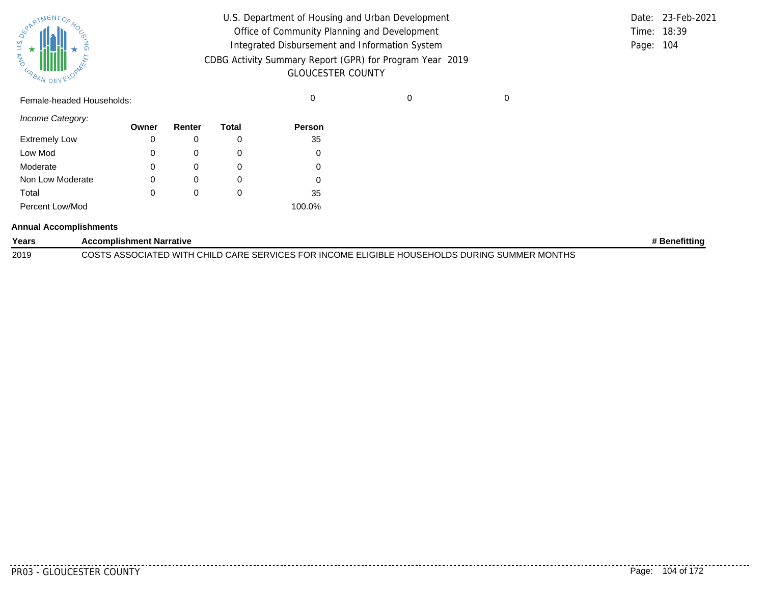| SURATMENTOFAOL    |           |  |
|-------------------|-----------|--|
| S.T<br><b>MAG</b> |           |  |
| URBAN             | DEVELOPAN |  |

| U.S. Department of Housing and Urban Development         |           | Date: 23-Feb-2021 |
|----------------------------------------------------------|-----------|-------------------|
| Office of Community Planning and Development             |           | Time: 18:39       |
| Integrated Disbursement and Information System           | Page: 104 |                   |
| CDBG Activity Summary Report (GPR) for Program Year 2019 |           |                   |
| <b>GLOUCESTER COUNTY</b>                                 |           |                   |

Female-headed Households: 0 0 0

*Income Category:*

|                      | Owner | Renter       | Total    | <b>Person</b> |
|----------------------|-------|--------------|----------|---------------|
| <b>Extremely Low</b> | 0     |              | 0        | 35            |
| Low Mod              | 0     |              | O        |               |
| Moderate             | 0     |              | O        |               |
| Non Low Moderate     | 0     |              | O        |               |
| Total                | 0     | $\mathbf{0}$ | $\Omega$ | 35            |
| Percent Low/Mod      |       |              |          | 100.0%        |

#### **Annual Accomplishments**

| Years | <b>Accomplishment Narrative</b>                                                               | ⊧ Benefittino |
|-------|-----------------------------------------------------------------------------------------------|---------------|
| 2019  | COSTS ASSOCIATED WITH CHILD CARE SERVICES FOR INCOME ELIGIBLE HOUSEHOLDS DURING SUMMER MONTHS |               |

. . . . . . . .

........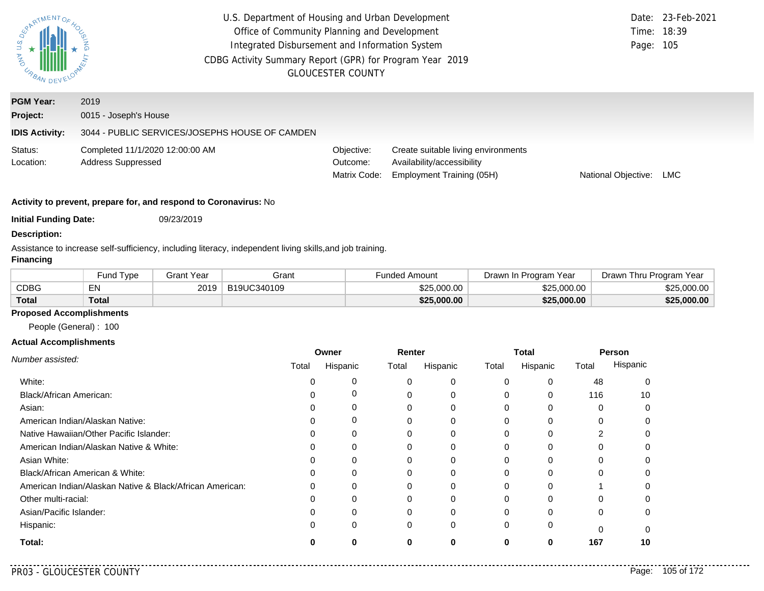| PARTMENTOR,<br>$\begin{array}{c}\n\downarrow \\ \downarrow \\ \downarrow \\ \downarrow \\ \hline\n\end{array}$ |                                                                                 | U.S. Department of Housing and Urban Development<br>Office of Community Planning and Development<br>Integrated Disbursement and Information System<br>CDBG Activity Summary Report (GPR) for Program Year 2019<br><b>GLOUCESTER COUNTY</b> |                                                                                                |                     | Date: 23-Feb-2021<br>Time: 18:39<br>Page: 105 |
|----------------------------------------------------------------------------------------------------------------|---------------------------------------------------------------------------------|--------------------------------------------------------------------------------------------------------------------------------------------------------------------------------------------------------------------------------------------|------------------------------------------------------------------------------------------------|---------------------|-----------------------------------------------|
| <b>PGM Year:</b><br>Project:<br><b>IDIS Activity:</b>                                                          | 2019<br>0015 - Joseph's House<br>3044 - PUBLIC SERVICES/JOSEPHS HOUSE OF CAMDEN |                                                                                                                                                                                                                                            |                                                                                                |                     |                                               |
| Status:<br>Location:                                                                                           | Completed 11/1/2020 12:00:00 AM<br><b>Address Suppressed</b>                    | Objective:<br>Outcome:<br>Matrix Code:                                                                                                                                                                                                     | Create suitable living environments<br>Availability/accessibility<br>Employment Training (05H) | National Objective: | <b>LMC</b>                                    |
| <b>Initial Funding Date:</b>                                                                                   | Activity to prevent, prepare for, and respond to Coronavirus: No<br>09/23/2019  |                                                                                                                                                                                                                                            |                                                                                                |                     |                                               |

#### **Description:**

Assistance to increase self-sufficiency, including literacy, independent living skills,and job training.

### **Financing**

|              | Fund Type | Grant Year | Grant       | Funded Amount | Program Year<br><i>D</i> rawn In∶ | Drawn Thru Program Year |
|--------------|-----------|------------|-------------|---------------|-----------------------------------|-------------------------|
| <b>CDBG</b>  | EN        | 2019       | B19UC340109 | \$25.000.00   | \$25,000,00                       | \$25,000,00             |
| <b>Total</b> | Total     |            |             | \$25,000.00   | \$25,000.00                       | \$25,000.00             |

# **Proposed Accomplishments**

People (General) : 100

|                                                          | Owner |          | Renter |          | Total    |          | Person   |          |
|----------------------------------------------------------|-------|----------|--------|----------|----------|----------|----------|----------|
| Number assisted:                                         | Total | Hispanic | Total  | Hispanic | Total    | Hispanic | Total    | Hispanic |
| White:                                                   |       | C        | 0      | 0        | $\Omega$ | $\Omega$ | 48       |          |
| Black/African American:                                  |       | C        |        | 0        | 0        | $\Omega$ | 116      | 10       |
| Asian:                                                   |       |          |        | 0        | 0        | 0        | 0        |          |
| American Indian/Alaskan Native:                          |       | 0        |        | 0        | 0        | 0        | 0        |          |
| Native Hawaiian/Other Pacific Islander:                  |       |          |        |          |          | $\Omega$ | っ        |          |
| American Indian/Alaskan Native & White:                  |       | 0        | 0      | 0        | $\Omega$ | $\Omega$ | 0        |          |
| Asian White:                                             |       |          |        | O        |          | $\Omega$ | O        |          |
| Black/African American & White:                          |       | 0        |        | 0        | 0        | 0        | 0        |          |
| American Indian/Alaskan Native & Black/African American: |       | $\Omega$ |        | 0        | 0        | $\Omega$ |          |          |
| Other multi-racial:                                      |       |          |        |          |          | $\Omega$ |          |          |
| Asian/Pacific Islander:                                  |       | $\Omega$ | 0      | 0        | $\Omega$ | $\Omega$ | 0        |          |
| Hispanic:                                                |       | 0        | 0      | 0        | $\Omega$ | 0        | $\Omega$ |          |
| Total:                                                   |       | $\Omega$ | Λ      | ŋ        | 0        | 0        | 167      | 10       |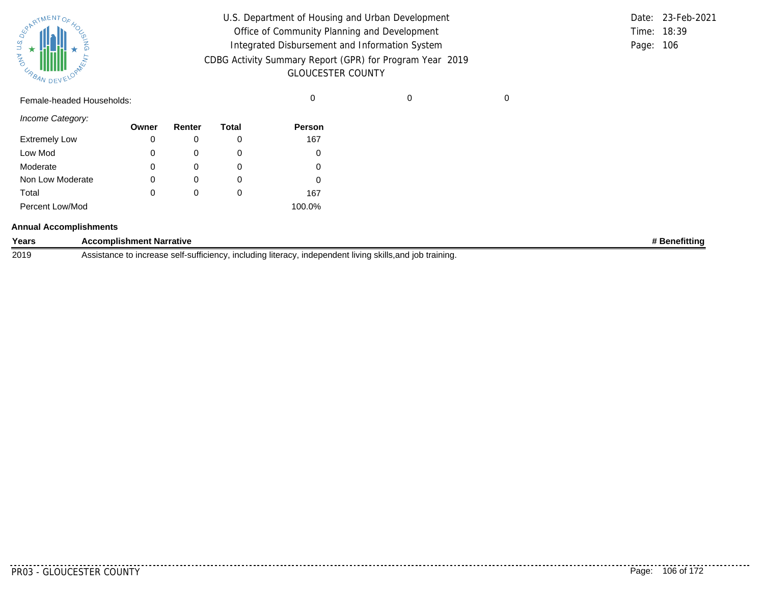| SURATMENTOFAOL    |           |  |
|-------------------|-----------|--|
| S.T<br><b>MAG</b> |           |  |
| URBAN             | DEVELOPAN |  |

| U.S. Department of Housing and Urban Development         |           | Date: 23-Feb-2021 |
|----------------------------------------------------------|-----------|-------------------|
| Office of Community Planning and Development             |           | Time: 18:39       |
| Integrated Disbursement and Information System           | Page: 106 |                   |
| CDBG Activity Summary Report (GPR) for Program Year 2019 |           |                   |
| <b>GLOUCESTER COUNTY</b>                                 |           |                   |

Female-headed Households: 0 0 0

*Income Category:*

|                      | Owner | Renter       | Total | <b>Person</b> |
|----------------------|-------|--------------|-------|---------------|
| <b>Extremely Low</b> | 0     |              | 0     | 167           |
| Low Mod              | 0     | O            | O     |               |
| Moderate             | 0     |              |       |               |
| Non Low Moderate     | 0     |              | 0     |               |
| Total                | 0     | $\mathbf{0}$ | Ω     | 167           |
| Percent Low/Mod      |       |              |       | 100.0%        |

#### **Annual Accomplishments**

| Years | <b>Accomplishment Narrative</b>                                                                                                    | ıefittinc |
|-------|------------------------------------------------------------------------------------------------------------------------------------|-----------|
| 2019  | <br>o increase selt-sufficiency.<br>. includina literacv.<br>, independent living skills,and i<br>l iob training.<br>Assistance to |           |

. . . . . . . . .

........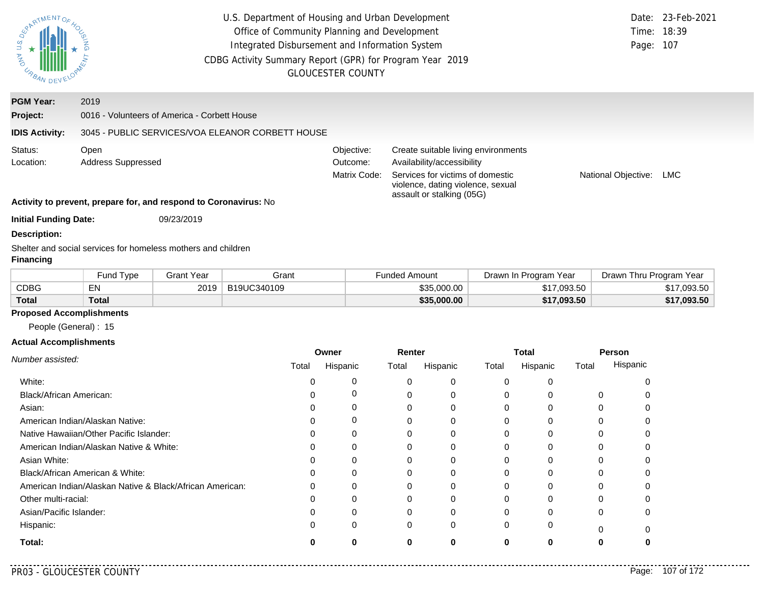| ARTMENTOS                                                                                                                     | U.S. Department of Housing and Urban Development<br>Office of Community Planning and Development<br>Integrated Disbursement and Information System<br>CDBG Activity Summary Report (GPR) for Program Year 2019<br><b>GLOUCESTER COUNTY</b> |                   |                                                  |                                                                                                                                                                                                              |                      |                       | Date:<br>Time:<br>Page: | 23-Feb-2021<br>18:39<br>107 |
|-------------------------------------------------------------------------------------------------------------------------------|--------------------------------------------------------------------------------------------------------------------------------------------------------------------------------------------------------------------------------------------|-------------------|--------------------------------------------------|--------------------------------------------------------------------------------------------------------------------------------------------------------------------------------------------------------------|----------------------|-----------------------|-------------------------|-----------------------------|
| <b>PGM Year:</b>                                                                                                              | 2019                                                                                                                                                                                                                                       |                   |                                                  |                                                                                                                                                                                                              |                      |                       |                         |                             |
| Project:                                                                                                                      | 0016 - Volunteers of America - Corbett House                                                                                                                                                                                               |                   |                                                  |                                                                                                                                                                                                              |                      |                       |                         |                             |
| <b>IDIS Activity:</b>                                                                                                         |                                                                                                                                                                                                                                            |                   | 3045 - PUBLIC SERVICES/VOA ELEANOR CORBETT HOUSE |                                                                                                                                                                                                              |                      |                       |                         |                             |
| Status:<br>Open<br><b>Address Suppressed</b><br>Location:<br>Activity to prevent, prepare for, and respond to Coronavirus: No |                                                                                                                                                                                                                                            |                   | Objective:<br>Outcome:<br>Matrix Code:           | Create suitable living environments<br>Availability/accessibility<br>Services for victims of domestic<br>National Objective:<br><b>LMC</b><br>violence, dating violence, sexual<br>assault or stalking (05G) |                      |                       |                         |                             |
| <b>Initial Funding Date:</b>                                                                                                  |                                                                                                                                                                                                                                            | 09/23/2019        |                                                  |                                                                                                                                                                                                              |                      |                       |                         |                             |
| <b>Description:</b><br><b>Financing</b>                                                                                       | Shelter and social services for homeless mothers and children                                                                                                                                                                              |                   |                                                  |                                                                                                                                                                                                              |                      |                       |                         |                             |
|                                                                                                                               | Fund Type                                                                                                                                                                                                                                  | <b>Grant Year</b> | Grant                                            |                                                                                                                                                                                                              | <b>Funded Amount</b> | Drawn In Program Year | Drawn Thru Program Year |                             |
| <b>CDBG</b>                                                                                                                   | <b>EN</b>                                                                                                                                                                                                                                  | 2019              | B19UC340109                                      |                                                                                                                                                                                                              | \$35,000.00          | \$17,093.50           |                         | \$17,093.50                 |
| <b>Total</b>                                                                                                                  | <b>Total</b>                                                                                                                                                                                                                               |                   |                                                  |                                                                                                                                                                                                              | \$35,000.00          | \$17,093.50           |                         | \$17,093.50                 |
| <b>Proposed Accomplishments</b><br>People (General): 15                                                                       |                                                                                                                                                                                                                                            |                   |                                                  |                                                                                                                                                                                                              |                      |                       |                         |                             |

|                                                          |       | Owner    | Renter |          |          | Total    |       | <b>Person</b> |  |
|----------------------------------------------------------|-------|----------|--------|----------|----------|----------|-------|---------------|--|
| Number assisted:                                         | Total | Hispanic | Total  | Hispanic | Total    | Hispanic | Total | Hispanic      |  |
| White:                                                   |       |          |        |          | 0        | C        |       |               |  |
| <b>Black/African American:</b>                           |       |          | 0      |          | 0        |          |       |               |  |
| Asian:                                                   |       |          | 0      |          | 0        | 0        | 0     |               |  |
| American Indian/Alaskan Native:                          |       |          |        |          | 0        | $\Omega$ |       |               |  |
| Native Hawaiian/Other Pacific Islander:                  |       |          |        |          | 0        |          |       |               |  |
| American Indian/Alaskan Native & White:                  |       | 0        | 0      |          | $\Omega$ | $\Omega$ |       |               |  |
| Asian White:                                             |       |          |        |          | 0        |          |       |               |  |
| Black/African American & White:                          |       |          |        |          | 0        |          |       |               |  |
| American Indian/Alaskan Native & Black/African American: |       | 0        | 0      |          | $\Omega$ | $\Omega$ |       |               |  |
| Other multi-racial:                                      |       |          |        |          | 0        |          |       |               |  |
| Asian/Pacific Islander:                                  |       |          | 0      |          | 0        | 0        | 0     |               |  |
| Hispanic:                                                |       |          | 0      | 0        | 0        | $\Omega$ | 0     |               |  |
| Total:                                                   |       |          | 0      | 0        | ŋ        | 0        | 0     |               |  |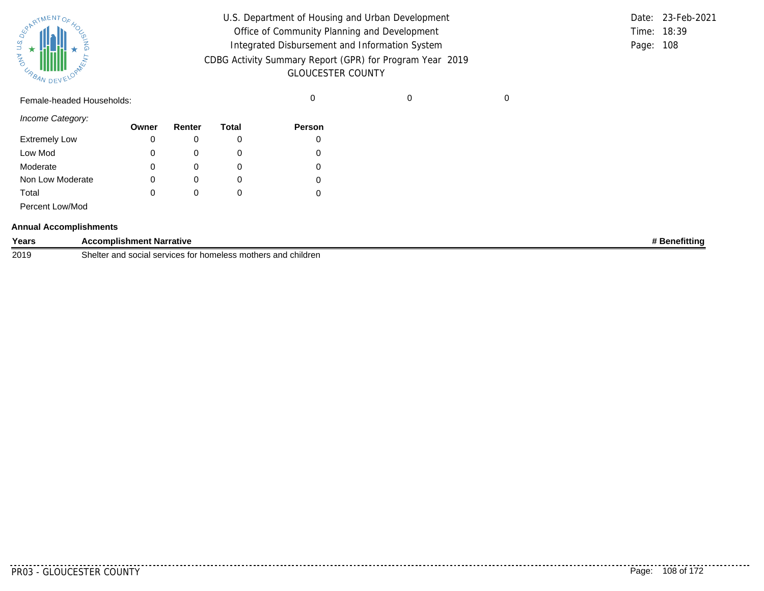|       | <b>REAL AVENTOF 40C</b> |           |
|-------|-------------------------|-----------|
| Ź     |                         |           |
| URBAN |                         | DEVELOPAN |

| U.S. Department of Housing and Urban Development         |           | Date: 23-Feb-2021 |
|----------------------------------------------------------|-----------|-------------------|
| Office of Community Planning and Development             |           | Time: 18:39       |
| Integrated Disbursement and Information System           | Page: 108 |                   |
| CDBG Activity Summary Report (GPR) for Program Year 2019 |           |                   |
| <b>GLOUCESTER COUNTY</b>                                 |           |                   |

Female-headed Households: 0 0 0

*Income Category:*

|                      | Owner | Renter | Total | Person   |
|----------------------|-------|--------|-------|----------|
| <b>Extremely Low</b> |       |        | O     |          |
| Low Mod              | 0     |        | O     | 0        |
| Moderate             | 0     |        | 0     | 0        |
| Non Low Moderate     | 0     |        | O     | $\Omega$ |
| Total                | 0     |        | O     |          |
| Percent Low/Mod      |       |        |       |          |

#### **Annual Accomplishments**

| Years | <b>Accomplishment Narrative</b>                                                             | netittinc |
|-------|---------------------------------------------------------------------------------------------|-----------|
| 2019  | .<br>Shelter and<br>mothers<br>children<br>rs and<br>services<br>nomeless<br>⊸∪cial °⊆<br>. |           |

. . . . . . . .

........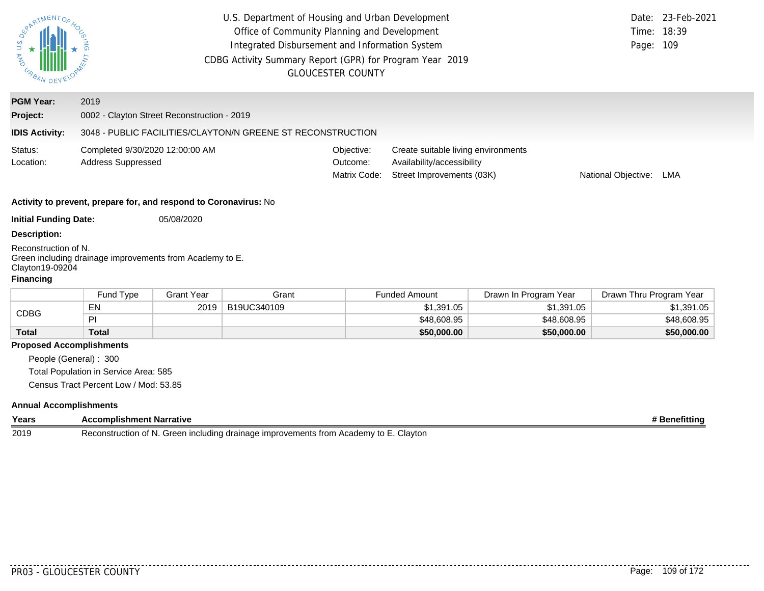| <b>SEARTMENT</b><br><b>UNBAN DEVELOY</b>                    | U.S. Department of Housing and Urban Development<br>Office of Community Planning and Development<br>Integrated Disbursement and Information System<br>CDBG Activity Summary Report (GPR) for Program Year 2019<br><b>GLOUCESTER COUNTY</b> |                   |                                                             |                                        |                                                                                                | Page: 109             | Date: 23-Feb-2021<br>Time: 18:39 |               |
|-------------------------------------------------------------|--------------------------------------------------------------------------------------------------------------------------------------------------------------------------------------------------------------------------------------------|-------------------|-------------------------------------------------------------|----------------------------------------|------------------------------------------------------------------------------------------------|-----------------------|----------------------------------|---------------|
| <b>PGM Year:</b>                                            | 2019                                                                                                                                                                                                                                       |                   |                                                             |                                        |                                                                                                |                       |                                  |               |
| Project:                                                    | 0002 - Clayton Street Reconstruction - 2019                                                                                                                                                                                                |                   |                                                             |                                        |                                                                                                |                       |                                  |               |
| <b>IDIS Activity:</b>                                       |                                                                                                                                                                                                                                            |                   | 3048 - PUBLIC FACILITIES/CLAYTON/N GREENE ST RECONSTRUCTION |                                        |                                                                                                |                       |                                  |               |
| Status:<br>Location:                                        | Completed 9/30/2020 12:00:00 AM<br><b>Address Suppressed</b>                                                                                                                                                                               |                   |                                                             | Objective:<br>Outcome:<br>Matrix Code: | Create suitable living environments<br>Availability/accessibility<br>Street Improvements (03K) |                       | National Objective: LMA          |               |
|                                                             | Activity to prevent, prepare for, and respond to Coronavirus: No                                                                                                                                                                           |                   |                                                             |                                        |                                                                                                |                       |                                  |               |
| <b>Initial Funding Date:</b>                                |                                                                                                                                                                                                                                            | 05/08/2020        |                                                             |                                        |                                                                                                |                       |                                  |               |
| <b>Description:</b>                                         |                                                                                                                                                                                                                                            |                   |                                                             |                                        |                                                                                                |                       |                                  |               |
| Reconstruction of N.<br>Clayton19-09204<br><b>Financing</b> | Green including drainage improvements from Academy to E.                                                                                                                                                                                   |                   |                                                             |                                        |                                                                                                |                       |                                  |               |
|                                                             | Fund Type                                                                                                                                                                                                                                  | <b>Grant Year</b> | Grant                                                       |                                        | <b>Funded Amount</b>                                                                           | Drawn In Program Year | Drawn Thru Program Year          |               |
| <b>CDBG</b>                                                 | EN                                                                                                                                                                                                                                         | 2019              | B19UC340109                                                 |                                        | \$1,391.05                                                                                     | \$1,391.05            |                                  | \$1,391.05    |
|                                                             | PI                                                                                                                                                                                                                                         |                   |                                                             |                                        | \$48,608.95                                                                                    | \$48,608.95           |                                  | \$48,608.95   |
| <b>Total</b>                                                | <b>Total</b>                                                                                                                                                                                                                               |                   |                                                             |                                        | \$50,000.00                                                                                    | \$50,000.00           |                                  | \$50,000.00   |
| <b>Proposed Accomplishments</b><br>People (General): 300    | Total Population in Service Area: 585<br>Census Tract Percent Low / Mod: 53.85                                                                                                                                                             |                   |                                                             |                                        |                                                                                                |                       |                                  |               |
| <b>Annual Accomplishments</b><br>Years                      | <b>Accomplishment Narrative</b>                                                                                                                                                                                                            |                   |                                                             |                                        |                                                                                                |                       |                                  | # Benefitting |
|                                                             |                                                                                                                                                                                                                                            |                   |                                                             |                                        |                                                                                                |                       |                                  |               |

2019 Reconstruction of N. Green including drainage improvements from Academy to E. Clayton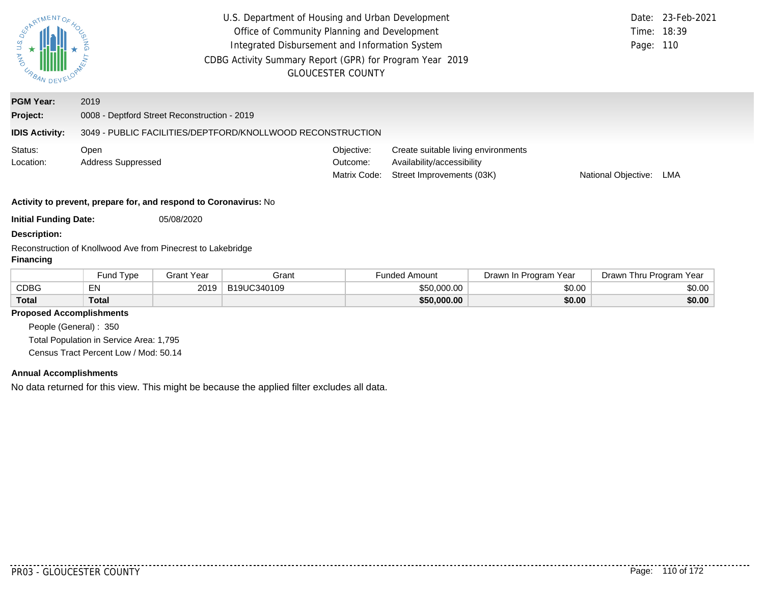| ERARTMENTOS<br>JNY U.S.<br>URBAN DEV | U.S. Department of Housing and Urban Development<br>Office of Community Planning and Development<br>Integrated Disbursement and Information System<br>CDBG Activity Summary Report (GPR) for Program Year 2019<br><b>GLOUCESTER COUNTY</b> | Date:<br>Time:<br>Page:                | 23-Feb-2021<br>18:39<br>110                                                                    |                     |     |  |
|--------------------------------------|--------------------------------------------------------------------------------------------------------------------------------------------------------------------------------------------------------------------------------------------|----------------------------------------|------------------------------------------------------------------------------------------------|---------------------|-----|--|
| <b>PGM Year:</b>                     | 2019                                                                                                                                                                                                                                       |                                        |                                                                                                |                     |     |  |
| Project:                             | 0008 - Deptford Street Reconstruction - 2019                                                                                                                                                                                               |                                        |                                                                                                |                     |     |  |
| <b>IDIS Activity:</b>                | 3049 - PUBLIC FACILITIES/DEPTFORD/KNOLLWOOD RECONSTRUCTION                                                                                                                                                                                 |                                        |                                                                                                |                     |     |  |
| Status:<br>Location:                 | Open<br>Address Suppressed                                                                                                                                                                                                                 | Objective:<br>Outcome:<br>Matrix Code: | Create suitable living environments<br>Availability/accessibility<br>Street Improvements (03K) | National Objective: | LMA |  |
|                                      | Activity to prevent, prepare for, and respond to Coronavirus: No                                                                                                                                                                           |                                        |                                                                                                |                     |     |  |
| <b>Initial Funding Date:</b>         | 05/08/2020                                                                                                                                                                                                                                 |                                        |                                                                                                |                     |     |  |
| <b>Description:</b>                  |                                                                                                                                                                                                                                            |                                        |                                                                                                |                     |     |  |
| Financing                            | Reconstruction of Knollwood Ave from Pinecrest to Lakebridge                                                                                                                                                                               |                                        |                                                                                                |                     |     |  |

|              | ' Tvpe<br>Fund | <b>Grant Year</b> | Grant       | Funded Amount | Drawn In Program Year | Drawn Thru Program Year |
|--------------|----------------|-------------------|-------------|---------------|-----------------------|-------------------------|
| CDBG         | EΝ<br>⊷        | 2019              | B19UC340109 | \$50,000,00   | \$0.00                | \$0.00                  |
| <b>Total</b> | <b>Total</b>   |                   |             | \$50,000.00   | \$0.00                | \$0.00                  |

# **Proposed Accomplishments**

People (General) : 350 Total Population in Service Area: 1,795 Census Tract Percent Low / Mod: 50.14

## **Annual Accomplishments**

No data returned for this view. This might be because the applied filter excludes all data.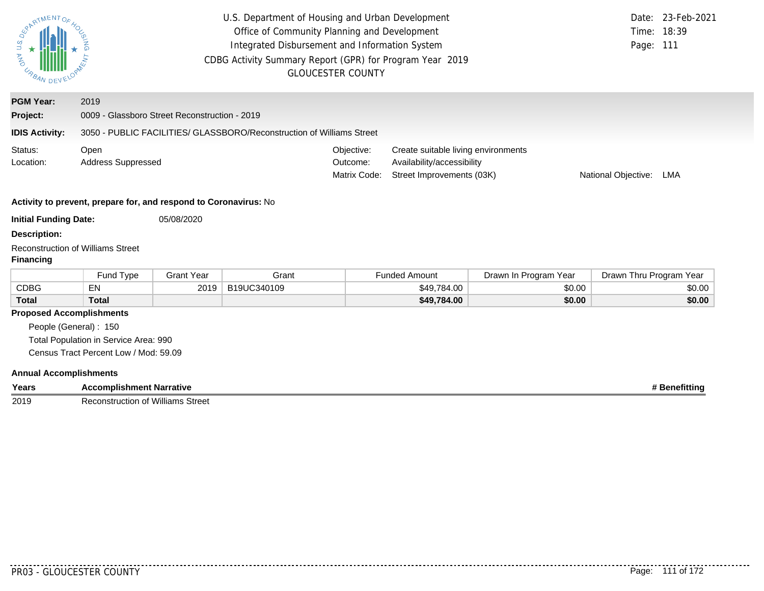| ARTMENTOS<br><b>CABAN DEVELOY</b>                            | U.S. Department of Housing and Urban Development<br>Office of Community Planning and Development<br>Integrated Disbursement and Information System<br>CDBG Activity Summary Report (GPR) for Program Year 2019<br><b>GLOUCESTER COUNTY</b> |                   |             |                                        |                                                                                                | Date:<br>Time:<br>Page: 111 | 23-Feb-2021<br>18:39    |        |
|--------------------------------------------------------------|--------------------------------------------------------------------------------------------------------------------------------------------------------------------------------------------------------------------------------------------|-------------------|-------------|----------------------------------------|------------------------------------------------------------------------------------------------|-----------------------------|-------------------------|--------|
| <b>PGM Year:</b>                                             | 2019                                                                                                                                                                                                                                       |                   |             |                                        |                                                                                                |                             |                         |        |
| Project:                                                     | 0009 - Glassboro Street Reconstruction - 2019                                                                                                                                                                                              |                   |             |                                        |                                                                                                |                             |                         |        |
| <b>IDIS Activity:</b>                                        | 3050 - PUBLIC FACILITIES/ GLASSBORO/Reconstruction of Williams Street                                                                                                                                                                      |                   |             |                                        |                                                                                                |                             |                         |        |
| Status:<br>Location:                                         | Open<br><b>Address Suppressed</b>                                                                                                                                                                                                          |                   |             | Objective:<br>Outcome:<br>Matrix Code: | Create suitable living environments<br>Availability/accessibility<br>Street Improvements (03K) |                             | National Objective:     | LMA    |
|                                                              | Activity to prevent, prepare for, and respond to Coronavirus: No                                                                                                                                                                           |                   |             |                                        |                                                                                                |                             |                         |        |
| <b>Initial Funding Date:</b>                                 |                                                                                                                                                                                                                                            | 05/08/2020        |             |                                        |                                                                                                |                             |                         |        |
| <b>Description:</b>                                          |                                                                                                                                                                                                                                            |                   |             |                                        |                                                                                                |                             |                         |        |
| <b>Reconstruction of Williams Street</b><br><b>Financing</b> |                                                                                                                                                                                                                                            |                   |             |                                        |                                                                                                |                             |                         |        |
|                                                              | Fund Type                                                                                                                                                                                                                                  | <b>Grant Year</b> | Grant       |                                        | <b>Funded Amount</b>                                                                           | Drawn In Program Year       | Drawn Thru Program Year |        |
| <b>CDBG</b>                                                  | EN                                                                                                                                                                                                                                         | 2019              | B19UC340109 |                                        | \$49,784.00                                                                                    | \$0.00                      |                         | \$0.00 |
| <b>Total</b>                                                 | <b>Total</b>                                                                                                                                                                                                                               |                   |             |                                        | \$49,784.00                                                                                    | \$0.00                      |                         | \$0.00 |
| <b>Proposed Accomplishments</b>                              |                                                                                                                                                                                                                                            |                   |             |                                        |                                                                                                |                             |                         |        |
| People (General): 150                                        |                                                                                                                                                                                                                                            |                   |             |                                        |                                                                                                |                             |                         |        |
|                                                              | Total Population in Service Area: 990<br>Census Tract Percent Low / Mod: 59.09                                                                                                                                                             |                   |             |                                        |                                                                                                |                             |                         |        |
|                                                              |                                                                                                                                                                                                                                            |                   |             |                                        |                                                                                                |                             |                         |        |
| <b>Annual Accomplishments</b>                                |                                                                                                                                                                                                                                            |                   |             |                                        |                                                                                                |                             |                         |        |

| Years | <b>\ccomplishment Narrative</b>       | →fittino |
|-------|---------------------------------------|----------|
| 2019  | Street<br>Reconstruction of<br>'liams |          |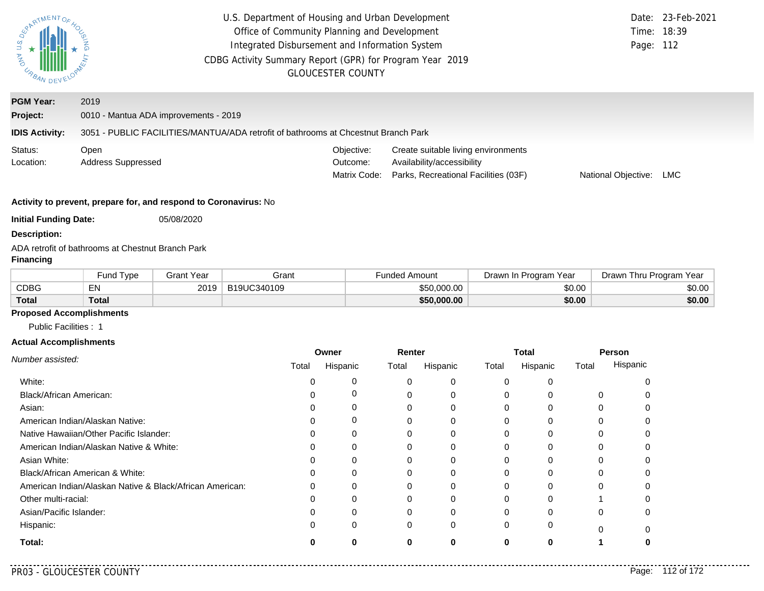| ARTMENTOS<br>URBAN DEV                                           |                                                   | U.S. Department of Housing and Urban Development<br>Office of Community Planning and Development<br>Integrated Disbursement and Information System<br>CDBG Activity Summary Report (GPR) for Program Year 2019 | <b>GLOUCESTER COUNTY</b>               |                                                                                                           | Date:<br>Time: 18:39<br>Page: 112 | 23-Feb-2021 |  |
|------------------------------------------------------------------|---------------------------------------------------|----------------------------------------------------------------------------------------------------------------------------------------------------------------------------------------------------------------|----------------------------------------|-----------------------------------------------------------------------------------------------------------|-----------------------------------|-------------|--|
| <b>PGM Year:</b>                                                 | 2019                                              |                                                                                                                                                                                                                |                                        |                                                                                                           |                                   |             |  |
| Project:                                                         | 0010 - Mantua ADA improvements - 2019             |                                                                                                                                                                                                                |                                        |                                                                                                           |                                   |             |  |
| <b>IDIS Activity:</b>                                            |                                                   | 3051 - PUBLIC FACILITIES/MANTUA/ADA retrofit of bathrooms at Chcestnut Branch Park                                                                                                                             |                                        |                                                                                                           |                                   |             |  |
| Status:<br>Location:                                             | Open<br>Address Suppressed                        |                                                                                                                                                                                                                | Objective:<br>Outcome:<br>Matrix Code: | Create suitable living environments<br>Availability/accessibility<br>Parks, Recreational Facilities (03F) | National Objective:               | LMC         |  |
| Activity to prevent, prepare for, and respond to Coronavirus: No |                                                   |                                                                                                                                                                                                                |                                        |                                                                                                           |                                   |             |  |
| <b>Initial Funding Date:</b>                                     | 05/08/2020                                        |                                                                                                                                                                                                                |                                        |                                                                                                           |                                   |             |  |
| <b>Description:</b>                                              |                                                   |                                                                                                                                                                                                                |                                        |                                                                                                           |                                   |             |  |
| Financing                                                        | ADA retrofit of bathrooms at Chestnut Branch Park |                                                                                                                                                                                                                |                                        |                                                                                                           |                                   |             |  |
|                                                                  |                                                   |                                                                                                                                                                                                                |                                        |                                                                                                           |                                   |             |  |

|              | Fund Type    | Grant Year | Grant       | Funded Amount | Drawn In Program Year | Drawn Thru Program Year |
|--------------|--------------|------------|-------------|---------------|-----------------------|-------------------------|
| <b>CDBG</b>  | EN           | 2019       | B19UC340109 | \$50,000.00   | \$0.00                | \$0.00                  |
| <b>Total</b> | <b>Total</b> |            |             | \$50,000.00   | \$0.00                | \$0.00                  |

# **Proposed Accomplishments**

Public Facilities : 1

#### **Actual Accomplishments**

|                                                          | Owner |          | Renter |          | <b>Total</b> |          | Person   |          |
|----------------------------------------------------------|-------|----------|--------|----------|--------------|----------|----------|----------|
| Number assisted:                                         | Total | Hispanic | Total  | Hispanic | Total        | Hispanic | Total    | Hispanic |
| White:                                                   |       |          |        |          | 0            |          |          |          |
| Black/African American:                                  |       |          |        |          |              |          | $\Omega$ |          |
| Asian:                                                   |       |          |        |          | 0            | 0        | 0        |          |
| American Indian/Alaskan Native:                          |       |          |        |          |              |          |          |          |
| Native Hawaiian/Other Pacific Islander:                  |       |          |        |          |              |          |          |          |
| American Indian/Alaskan Native & White:                  |       |          | 0      |          | 0            | 0        |          |          |
| Asian White:                                             |       |          |        |          | 0            |          |          |          |
| Black/African American & White:                          |       |          |        |          | 0            |          |          |          |
| American Indian/Alaskan Native & Black/African American: |       |          |        |          | 0            | O        |          |          |
| Other multi-racial:                                      |       |          |        |          |              |          |          |          |
| Asian/Pacific Islander:                                  |       |          | ი      |          | 0            | 0        | 0        |          |
| Hispanic:                                                |       |          | 0      | 0        | 0            | 0        |          |          |
| Total:                                                   |       |          | 0      | 0        | O            | O        |          |          |

. . . . . . . . .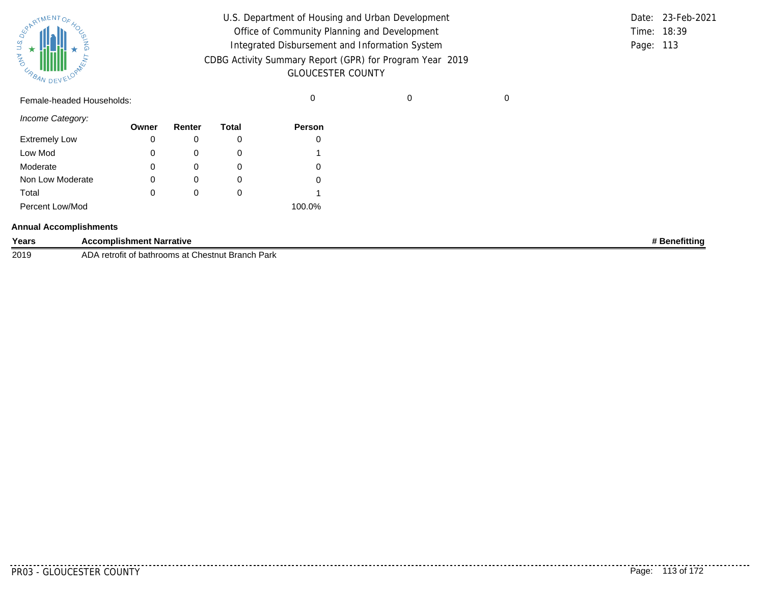| SUPATMENTOF 40 |           |  |
|----------------|-----------|--|
| <b>MA</b>      |           |  |
| URBAN          | DEVELOPAN |  |

| U.S. Department of Housing and Urban Development         |           | Date: 23-Feb-2021 |
|----------------------------------------------------------|-----------|-------------------|
| Office of Community Planning and Development             |           | Time: 18:39       |
| Integrated Disbursement and Information System           | Page: 113 |                   |
| CDBG Activity Summary Report (GPR) for Program Year 2019 |           |                   |
| <b>GLOUCESTER COUNTY</b>                                 |           |                   |

Female-headed Households: 0 0 0

*Income Category:*

|                      | Owner | Renter | Total | <b>Person</b> |
|----------------------|-------|--------|-------|---------------|
| <b>Extremely Low</b> | 0     |        |       | 0             |
| Low Mod              | 0     | O      |       |               |
| Moderate             | 0     |        |       | 0             |
| Non Low Moderate     | 0     |        |       | 0             |
| Total                | 0     | O      |       |               |
| Percent Low/Mod      |       |        |       | 100.0%        |

#### **Annual Accomplishments**

| Years | <b>Accomplishment Narrative</b>                        | <b>Benefitting</b> |
|-------|--------------------------------------------------------|--------------------|
| 2019  | AD/<br>retrofit of bathrooms at Chestnut Branch Park ، |                    |

. . . . . . . .

--------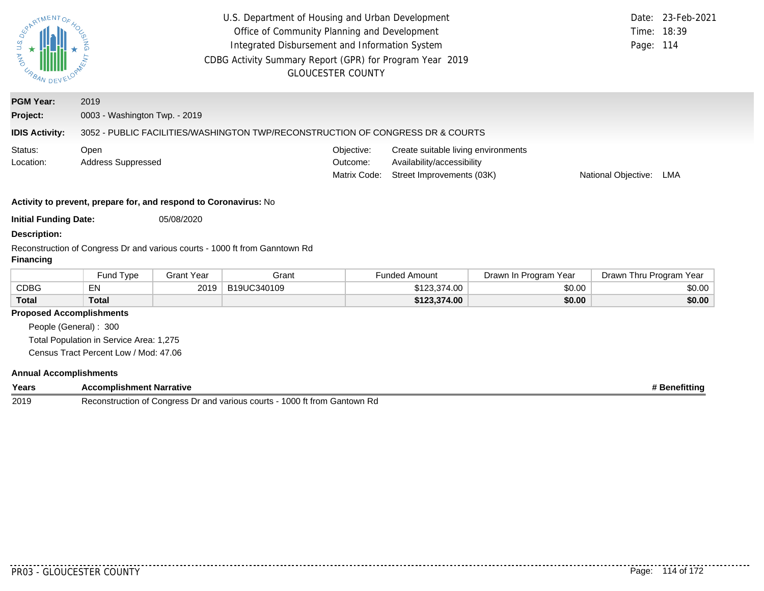| ARTMENTOR                                                                                       | U.S. Department of Housing and Urban Development<br>Office of Community Planning and Development<br>Integrated Disbursement and Information System<br>CDBG Activity Summary Report (GPR) for Program Year 2019<br><b>GLOUCESTER COUNTY</b> |                   |                                                                                |                                        |                                                                                                | Time:<br>Page:        | Date: 23-Feb-2021<br>18:39<br>114 |        |
|-------------------------------------------------------------------------------------------------|--------------------------------------------------------------------------------------------------------------------------------------------------------------------------------------------------------------------------------------------|-------------------|--------------------------------------------------------------------------------|----------------------------------------|------------------------------------------------------------------------------------------------|-----------------------|-----------------------------------|--------|
| <b>PGM Year:</b>                                                                                | 2019                                                                                                                                                                                                                                       |                   |                                                                                |                                        |                                                                                                |                       |                                   |        |
| Project:                                                                                        | 0003 - Washington Twp. - 2019                                                                                                                                                                                                              |                   |                                                                                |                                        |                                                                                                |                       |                                   |        |
| <b>IDIS Activity:</b>                                                                           |                                                                                                                                                                                                                                            |                   | 3052 - PUBLIC FACILITIES/WASHINGTON TWP/RECONSTRUCTION OF CONGRESS DR & COURTS |                                        |                                                                                                |                       |                                   |        |
| Status:<br>Location:                                                                            | Open<br><b>Address Suppressed</b>                                                                                                                                                                                                          |                   |                                                                                | Objective:<br>Outcome:<br>Matrix Code: | Create suitable living environments<br>Availability/accessibility<br>Street Improvements (03K) |                       | National Objective:               | LMA    |
|                                                                                                 | Activity to prevent, prepare for, and respond to Coronavirus: No                                                                                                                                                                           |                   |                                                                                |                                        |                                                                                                |                       |                                   |        |
| <b>Initial Funding Date:</b>                                                                    |                                                                                                                                                                                                                                            | 05/08/2020        |                                                                                |                                        |                                                                                                |                       |                                   |        |
| <b>Description:</b>                                                                             |                                                                                                                                                                                                                                            |                   |                                                                                |                                        |                                                                                                |                       |                                   |        |
| Reconstruction of Congress Dr and various courts - 1000 ft from Ganntown Rd<br><b>Financing</b> |                                                                                                                                                                                                                                            |                   |                                                                                |                                        |                                                                                                |                       |                                   |        |
|                                                                                                 | Fund Type                                                                                                                                                                                                                                  | <b>Grant Year</b> | Grant                                                                          |                                        | <b>Funded Amount</b>                                                                           | Drawn In Program Year | Drawn Thru Program Year           |        |
| <b>CDBG</b>                                                                                     | EN                                                                                                                                                                                                                                         | 2019              | B19UC340109                                                                    |                                        | \$123,374.00                                                                                   | \$0.00                |                                   | \$0.00 |
| Total                                                                                           | <b>Total</b>                                                                                                                                                                                                                               |                   |                                                                                |                                        | \$123,374.00                                                                                   | \$0.00                |                                   | \$0.00 |

## **Proposed Accomplishments**

People (General) : 300 Total Population in Service Area: 1,275 Census Tract Percent Low / Mod: 47.06

#### **Annual Accomplishments**

| Years | <b>Accomplishment Narrative</b>                                                                                  | enefittino |
|-------|------------------------------------------------------------------------------------------------------------------|------------|
| 2019  | 1000<br>ገ ft from l<br>Gantown<br>⊰ernnetri<br>various<br>Congress<br>or and<br>courts<br>∽÷<br>ı Rd<br>tructior |            |

. . . . . . . . . .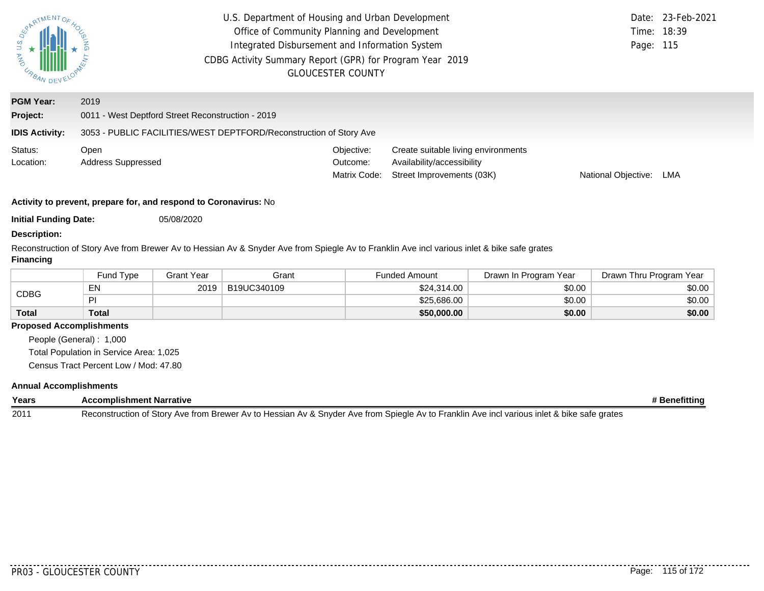| <b>UNA U.S.</b><br>URBAN DEV                          | U.S. Department of Housing and Urban Development<br>Office of Community Planning and Development<br>Integrated Disbursement and Information System<br>CDBG Activity Summary Report (GPR) for Program Year 2019 | <b>GLOUCESTER COUNTY</b>               |                                                                                                | Page: 115           | Date: 23-Feb-2021<br>Time: 18:39 |  |  |  |  |
|-------------------------------------------------------|----------------------------------------------------------------------------------------------------------------------------------------------------------------------------------------------------------------|----------------------------------------|------------------------------------------------------------------------------------------------|---------------------|----------------------------------|--|--|--|--|
| <b>PGM Year:</b><br>Project:<br><b>IDIS Activity:</b> | 2019<br>0011 - West Deptford Street Reconstruction - 2019<br>3053 - PUBLIC FACILITIES/WEST DEPTFORD/Reconstruction of Story Ave                                                                                |                                        |                                                                                                |                     |                                  |  |  |  |  |
| Status:<br>Location:                                  | Open<br><b>Address Suppressed</b>                                                                                                                                                                              | Objective:<br>Outcome:<br>Matrix Code: | Create suitable living environments<br>Availability/accessibility<br>Street Improvements (03K) | National Objective: | LMA                              |  |  |  |  |
|                                                       | Activity to prevent, prepare for, and respond to Coronavirus: No                                                                                                                                               |                                        |                                                                                                |                     |                                  |  |  |  |  |

**Initial Funding Date:** 05/08/2020

## **Description:**

Reconstruction of Story Ave from Brewer Av to Hessian Av & Snyder Ave from Spiegle Av to Franklin Ave incl various inlet & bike safe grates **Financing**

|              | Fund Type    | Grant Year | Grant       | <b>Funded Amount</b> | Drawn In Program Year | Drawn Thru Program Year |
|--------------|--------------|------------|-------------|----------------------|-----------------------|-------------------------|
| CDBG         | EN           | 2019       | B19UC340109 | \$24,314.00          | \$0.00                | \$0.00                  |
|              | ÞI           |            |             | \$25,686,00          | \$0.00                | \$0.00                  |
| <b>Total</b> | <b>Total</b> |            |             | \$50,000.00          | \$0.00                | \$0.00                  |

## **Proposed Accomplishments**

People (General) : 1,000 Total Population in Service Area: 1,025 Census Tract Percent Low / Mod: 47.80

## **Annual Accomplishments**

| Years | <b>Accomplishment Narrative</b>                                                                                                             | <b><i>*</i></b> Benefitting |
|-------|---------------------------------------------------------------------------------------------------------------------------------------------|-----------------------------|
| 2011  | Reconstruction of Story Ave from Brewer Av to Hessian Av & Snyder Ave from Spiegle Av to Franklin Ave incl various inlet & bike safe grates |                             |

 $- - - -$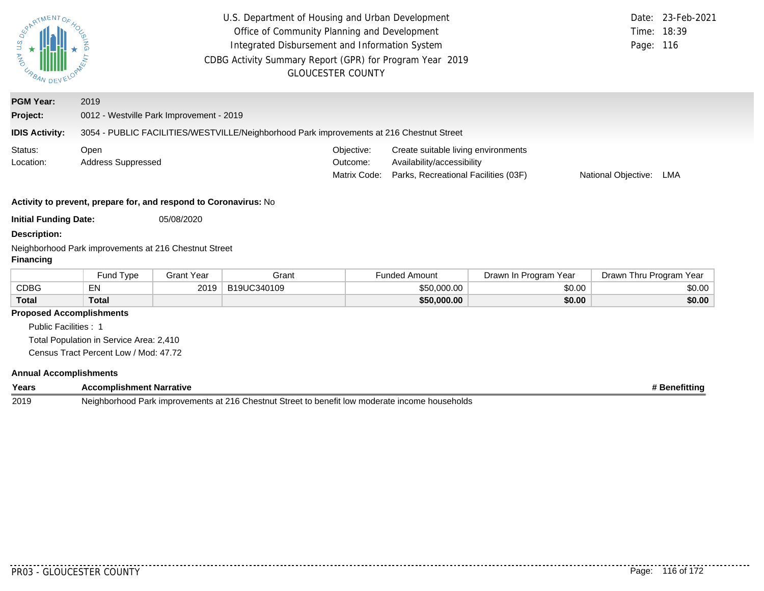| ARTMENTOS                                                                                        | U.S. Department of Housing and Urban Development<br>Office of Community Planning and Development<br>Integrated Disbursement and Information System<br>CDBG Activity Summary Report (GPR) for Program Year 2019<br><b>GLOUCESTER COUNTY</b> |                   |             |                                        |                                                                                                                                         |                       | Date:<br>Time:<br>Page: | 23-Feb-2021<br>18:39<br>116 |
|--------------------------------------------------------------------------------------------------|--------------------------------------------------------------------------------------------------------------------------------------------------------------------------------------------------------------------------------------------|-------------------|-------------|----------------------------------------|-----------------------------------------------------------------------------------------------------------------------------------------|-----------------------|-------------------------|-----------------------------|
| <b>PGM Year:</b>                                                                                 | 2019                                                                                                                                                                                                                                       |                   |             |                                        |                                                                                                                                         |                       |                         |                             |
| Project:                                                                                         | 0012 - Westville Park Improvement - 2019                                                                                                                                                                                                   |                   |             |                                        |                                                                                                                                         |                       |                         |                             |
| <b>IDIS Activity:</b>                                                                            | 3054 - PUBLIC FACILITIES/WESTVILLE/Neighborhood Park improvements at 216 Chestnut Street                                                                                                                                                   |                   |             |                                        |                                                                                                                                         |                       |                         |                             |
| Status:<br>Location:                                                                             | Open<br>Address Suppressed                                                                                                                                                                                                                 |                   |             | Objective:<br>Outcome:<br>Matrix Code: | Create suitable living environments<br>Availability/accessibility<br>Parks, Recreational Facilities (03F)<br>National Objective:<br>LMA |                       |                         |                             |
|                                                                                                  | Activity to prevent, prepare for, and respond to Coronavirus: No                                                                                                                                                                           |                   |             |                                        |                                                                                                                                         |                       |                         |                             |
| <b>Initial Funding Date:</b>                                                                     |                                                                                                                                                                                                                                            | 05/08/2020        |             |                                        |                                                                                                                                         |                       |                         |                             |
| <b>Description:</b><br>Neighborhood Park improvements at 216 Chestnut Street<br><b>Financing</b> |                                                                                                                                                                                                                                            |                   |             |                                        |                                                                                                                                         |                       |                         |                             |
|                                                                                                  | Fund Type                                                                                                                                                                                                                                  | <b>Grant Year</b> | Grant       |                                        | <b>Funded Amount</b>                                                                                                                    | Drawn In Program Year | Drawn Thru Program Year |                             |
| <b>CDBG</b>                                                                                      | EN                                                                                                                                                                                                                                         | 2019              | B19UC340109 |                                        | \$50,000.00                                                                                                                             | \$0.00                |                         | \$0.00                      |
| <b>Total</b>                                                                                     | <b>Total</b>                                                                                                                                                                                                                               |                   |             |                                        | \$50,000.00                                                                                                                             | \$0.00                |                         | \$0.00                      |
| <b>Proposed Accomplishments</b>                                                                  |                                                                                                                                                                                                                                            |                   |             |                                        |                                                                                                                                         |                       |                         |                             |
| Public Facilities : 1                                                                            |                                                                                                                                                                                                                                            |                   |             |                                        |                                                                                                                                         |                       |                         |                             |

Total Population in Service Area: 2,410

Census Tract Percent Low / Mod: 47.72

## **Annual Accomplishments**

| Years | Accompl <sup>:</sup><br>Narrative<br>ent<br>:nm                                                                                            | enerittinu |
|-------|--------------------------------------------------------------------------------------------------------------------------------------------|------------|
| 2019  | .216 <sub>0</sub><br>Street to benefit<br>ncome.<br>erate<br>useholds<br>umprovements :<br>Neighb<br>∴hestnut<br>. at<br>r Iow<br>' moder: |            |

..........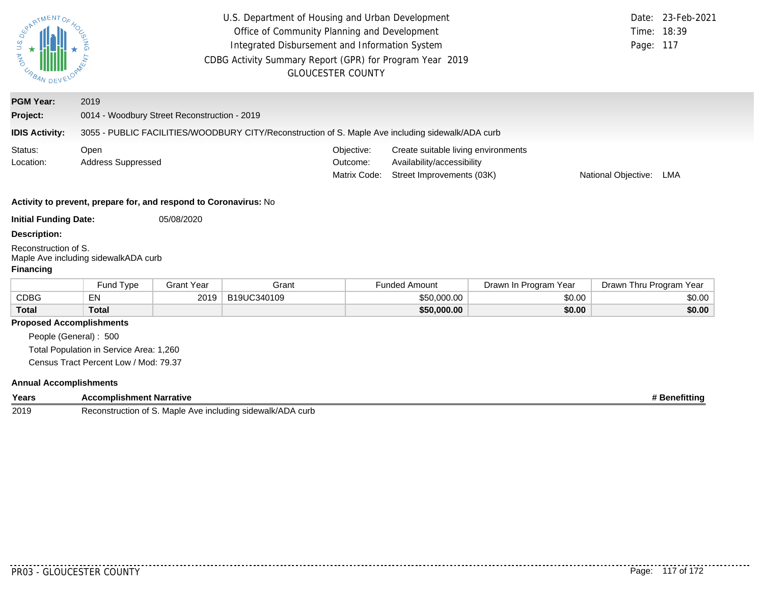| ARTMENTOS<br><b>UNANDEVELOR</b>                          |                                                                                  |                   |                                                                                                   | U.S. Department of Housing and Urban Development<br>Office of Community Planning and Development<br>Integrated Disbursement and Information System<br>CDBG Activity Summary Report (GPR) for Program Year 2019<br><b>GLOUCESTER COUNTY</b> |                                                                                                                       |                       | Time:<br>Page:          | Date: 23-Feb-2021<br>18:39<br>117 |
|----------------------------------------------------------|----------------------------------------------------------------------------------|-------------------|---------------------------------------------------------------------------------------------------|--------------------------------------------------------------------------------------------------------------------------------------------------------------------------------------------------------------------------------------------|-----------------------------------------------------------------------------------------------------------------------|-----------------------|-------------------------|-----------------------------------|
| <b>PGM Year:</b>                                         | 2019                                                                             |                   |                                                                                                   |                                                                                                                                                                                                                                            |                                                                                                                       |                       |                         |                                   |
| Project:                                                 | 0014 - Woodbury Street Reconstruction - 2019                                     |                   |                                                                                                   |                                                                                                                                                                                                                                            |                                                                                                                       |                       |                         |                                   |
| <b>IDIS Activity:</b>                                    |                                                                                  |                   | 3055 - PUBLIC FACILITIES/WOODBURY CITY/Reconstruction of S. Maple Ave including sidewalk/ADA curb |                                                                                                                                                                                                                                            |                                                                                                                       |                       |                         |                                   |
| Status:<br>Location:                                     | Open<br><b>Address Suppressed</b>                                                |                   |                                                                                                   | Objective:<br>Outcome:<br>Matrix Code:                                                                                                                                                                                                     | Create suitable living environments<br>Availability/accessibility<br>Street Improvements (03K)<br>National Objective: |                       |                         | LMA                               |
|                                                          | Activity to prevent, prepare for, and respond to Coronavirus: No                 |                   |                                                                                                   |                                                                                                                                                                                                                                            |                                                                                                                       |                       |                         |                                   |
| <b>Initial Funding Date:</b>                             |                                                                                  | 05/08/2020        |                                                                                                   |                                                                                                                                                                                                                                            |                                                                                                                       |                       |                         |                                   |
| <b>Description:</b>                                      |                                                                                  |                   |                                                                                                   |                                                                                                                                                                                                                                            |                                                                                                                       |                       |                         |                                   |
| Reconstruction of S.<br><b>Financing</b>                 | Maple Ave including sidewalkADA curb                                             |                   |                                                                                                   |                                                                                                                                                                                                                                            |                                                                                                                       |                       |                         |                                   |
|                                                          | Fund Type                                                                        | <b>Grant Year</b> | Grant                                                                                             |                                                                                                                                                                                                                                            | <b>Funded Amount</b>                                                                                                  | Drawn In Program Year | Drawn Thru Program Year |                                   |
| <b>CDBG</b>                                              | EN                                                                               | 2019              | B19UC340109                                                                                       |                                                                                                                                                                                                                                            | \$50,000.00                                                                                                           | \$0.00                |                         | \$0.00                            |
| <b>Total</b>                                             | <b>Total</b>                                                                     |                   |                                                                                                   |                                                                                                                                                                                                                                            | \$50,000.00                                                                                                           | \$0.00                |                         | \$0.00                            |
| <b>Proposed Accomplishments</b><br>People (General): 500 | Total Population in Service Area: 1,260<br>Census Tract Percent Low / Mod: 79.37 |                   |                                                                                                   |                                                                                                                                                                                                                                            |                                                                                                                       |                       |                         |                                   |

## **Annual Accomplishments**

| Years | complishment Narrative:<br>$\mathbf{A}$ $\mathbf{C}$<br>יטר          | <b>Benefitting</b> |
|-------|----------------------------------------------------------------------|--------------------|
| 2019  | Reconstruction of S. Maple<br>்^ Ave including sidewalk/AD<br>\ curb |                    |

........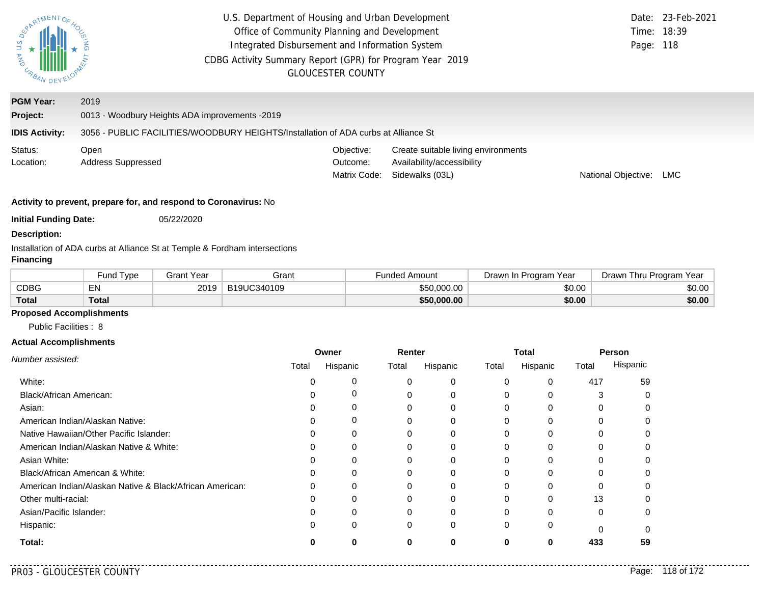| JNY U.S.<br>URBAN DEV                                                                                          | U.S. Department of Housing and Urban Development<br>Office of Community Planning and Development<br>Integrated Disbursement and Information System<br>CDBG Activity Summary Report (GPR) for Program Year 2019 | <b>GLOUCESTER COUNTY</b>               |                                                                                      | Page: 118           | Date: 23-Feb-2021<br>Time: 18:39 |  |
|----------------------------------------------------------------------------------------------------------------|----------------------------------------------------------------------------------------------------------------------------------------------------------------------------------------------------------------|----------------------------------------|--------------------------------------------------------------------------------------|---------------------|----------------------------------|--|
| <b>PGM Year:</b><br>Project:<br><b>IDIS Activity:</b>                                                          | 2019<br>0013 - Woodbury Heights ADA improvements -2019<br>3056 - PUBLIC FACILITIES/WOODBURY HEIGHTS/Installation of ADA curbs at Alliance St                                                                   |                                        |                                                                                      |                     |                                  |  |
| Status:<br>Location:                                                                                           | Open<br>Address Suppressed                                                                                                                                                                                     | Objective:<br>Outcome:<br>Matrix Code: | Create suitable living environments<br>Availability/accessibility<br>Sidewalks (03L) | National Objective: | <b>LMC</b>                       |  |
| Activity to prevent, prepare for, and respond to Coronavirus: No<br><b>Initial Funding Date:</b><br>05/22/2020 |                                                                                                                                                                                                                |                                        |                                                                                      |                     |                                  |  |

#### **Description:**

Installation of ADA curbs at Alliance St at Temple & Fordham intersections

### **Financing**

|              | <b>Fund Type</b> | 3rant Year | Grant       | -unded Amount | Drawn In Program Year | Drawn Thru Program Year |
|--------------|------------------|------------|-------------|---------------|-----------------------|-------------------------|
| CDBG         | EN               | 2019       | B19UC340109 | \$50,000,00   | \$0.00                | \$0.00                  |
| <b>Total</b> | <b>Total</b>     |            |             | \$50,000.00   | \$0.00                | \$0.00                  |

# **Proposed Accomplishments**

Public Facilities : 8

#### **Actual Accomplishments**

|                                                          | Owner |          | Renter |          | Total    |          | Person   |          |
|----------------------------------------------------------|-------|----------|--------|----------|----------|----------|----------|----------|
| Number assisted:                                         | Total | Hispanic | Total  | Hispanic | Total    | Hispanic | Total    | Hispanic |
| White:                                                   |       |          |        |          | $\Omega$ | 0        | 417      | 59       |
| <b>Black/African American:</b>                           |       |          |        |          | 0        |          |          |          |
| Asian:                                                   |       |          |        |          | 0        |          |          |          |
| American Indian/Alaskan Native:                          |       | O        | 0      |          | 0        | 0        |          |          |
| Native Hawaiian/Other Pacific Islander:                  |       |          |        |          |          |          |          |          |
| American Indian/Alaskan Native & White:                  |       | O        | 0      |          | 0        | 0        |          |          |
| Asian White:                                             |       |          |        |          | 0        |          |          |          |
| Black/African American & White:                          |       |          |        |          | 0        |          |          |          |
| American Indian/Alaskan Native & Black/African American: |       |          | ი      |          | 0        | O        |          |          |
| Other multi-racial:                                      |       |          |        |          |          |          | 13       |          |
| Asian/Pacific Islander:                                  |       |          | 0      |          | 0        | 0        | $\Omega$ | O        |
| Hispanic:                                                |       |          | 0      | 0        | 0        | 0        |          |          |
| Total:                                                   |       |          | 0      |          | O        | 0        | 433      | 59       |

. . . . . .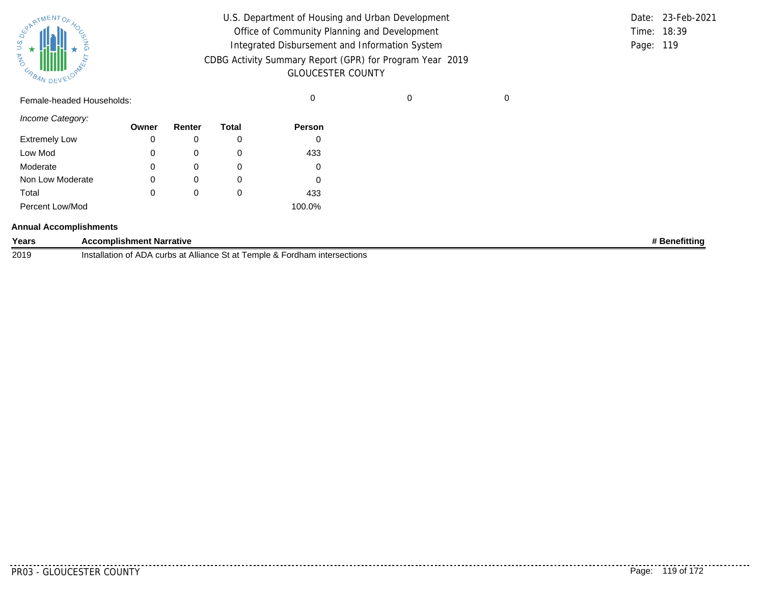| SURATMENTOFAOL    |           |  |
|-------------------|-----------|--|
| S.T<br><b>MAG</b> |           |  |
| URBAN             | DEVELOPAN |  |

| U.S. Department of Housing and Urban Development         |           | Date: 23-Feb-2021 |
|----------------------------------------------------------|-----------|-------------------|
| Office of Community Planning and Development             |           | Time: 18:39       |
| Integrated Disbursement and Information System           | Page: 119 |                   |
| CDBG Activity Summary Report (GPR) for Program Year 2019 |           |                   |
| <b>GLOUCESTER COUNTY</b>                                 |           |                   |

Female-headed Households: 0 0 0

*Income Category:*

|                      | Owner | Renter   | <b>Total</b> | <b>Person</b> |
|----------------------|-------|----------|--------------|---------------|
| <b>Extremely Low</b> | 0     |          | O            |               |
| Low Mod              | 0     | O        | 0            | 433           |
| Moderate             | 0     |          | O            |               |
| Non Low Moderate     | 0     | $\Omega$ | O            |               |
| Total                | 0     |          | O            | 433           |
| Percent Low/Mod      |       |          |              | 100.0%        |

#### **Annual Accomplishments**

| Years | <b>Accomplishment Narrative</b>                                                                    | efittino |
|-------|----------------------------------------------------------------------------------------------------|----------|
| 2019  | ∡ Fordham .<br>Temple &<br>. Alliance St at<br>ntersections<br>√ curbs at ∍<br>Installation<br>.)A |          |

. . . . . . . . .

--------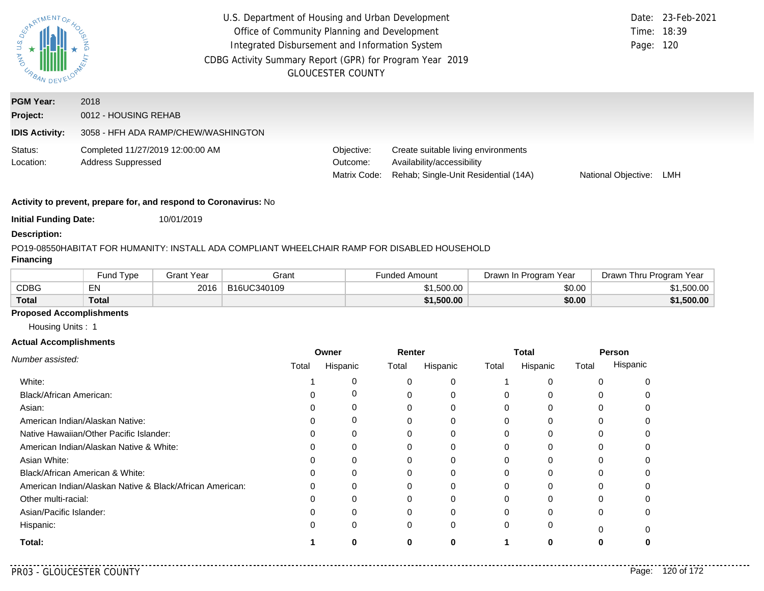| U.S.<br><b>AND</b><br>URBAN DEV | U.S. Department of Housing and Urban Development<br>Office of Community Planning and Development<br>Integrated Disbursement and Information System<br>CDBG Activity Summary Report (GPR) for Program Year 2019<br><b>GLOUCESTER COUNTY</b> | Page: 120                              | Date: 23-Feb-2021<br>Time: 18:39                                                                          |                     |     |
|---------------------------------|--------------------------------------------------------------------------------------------------------------------------------------------------------------------------------------------------------------------------------------------|----------------------------------------|-----------------------------------------------------------------------------------------------------------|---------------------|-----|
| <b>PGM Year:</b><br>Project:    | 2018<br>0012 - HOUSING REHAB                                                                                                                                                                                                               |                                        |                                                                                                           |                     |     |
| <b>IDIS Activity:</b>           | 3058 - HFH ADA RAMP/CHEW/WASHINGTON                                                                                                                                                                                                        |                                        |                                                                                                           |                     |     |
| Status:<br>Location:            | Completed 11/27/2019 12:00:00 AM<br><b>Address Suppressed</b>                                                                                                                                                                              | Objective:<br>Outcome:<br>Matrix Code: | Create suitable living environments<br>Availability/accessibility<br>Rehab; Single-Unit Residential (14A) | National Objective: | LMH |

**Initial Funding Date:** 10/01/2019

#### **Description:**

### PO19-08550
HABITAT FOR HUMANITY: INSTALL ADA COMPLIANT WHEELCHAIR RAMP FOR DISABLED HOUSEHOLD

## **Financing**

|              | und Type <sup>-</sup> | Grant Year | Grant       | Funded Amount | Drawn In Program Year | Drawn Thru Program Year |
|--------------|-----------------------|------------|-------------|---------------|-----------------------|-------------------------|
| CDBG         | <b>ENL</b><br>ᄃᅠᄓ     | 2016       | B16UC340109 | \$1,500.00    | \$0.00                | .500.00                 |
| <b>Total</b> | Total                 |            |             | \$1,500.00    | \$0.00                | \$1,500.00              |

## **Proposed Accomplishments**

Housing Units : 1

#### **Actual Accomplishments**

|                                                          | Renter<br>Owner |          |       | <b>Total</b> |          | Person   |          |          |
|----------------------------------------------------------|-----------------|----------|-------|--------------|----------|----------|----------|----------|
| Number assisted:                                         | Total           | Hispanic | Total | Hispanic     | Total    | Hispanic | Total    | Hispanic |
| White:                                                   |                 |          |       | 0            |          |          |          |          |
| Black/African American:                                  |                 | 0        |       | 0            |          |          |          |          |
| Asian:                                                   |                 | 0        | 0     | 0            | $\Omega$ | 0        | 0        |          |
| American Indian/Alaskan Native:                          |                 | 0        |       | 0            |          |          |          |          |
| Native Hawaiian/Other Pacific Islander:                  |                 | 0        |       |              |          |          |          |          |
| American Indian/Alaskan Native & White:                  |                 | 0        | 0     | 0            | 0        | $\Omega$ | 0        |          |
| Asian White:                                             |                 |          | 0     | 0            |          |          |          |          |
| Black/African American & White:                          |                 | 0        | 0     | 0            | 0        |          |          |          |
| American Indian/Alaskan Native & Black/African American: |                 | $\Omega$ |       | 0            | 0        | $\Omega$ |          |          |
| Other multi-racial:                                      |                 |          |       |              |          |          |          |          |
| Asian/Pacific Islander:                                  |                 | 0        | 0     | 0            | $\Omega$ | $\Omega$ | 0        |          |
| Hispanic:                                                |                 | 0        | 0     | 0            | $\Omega$ | 0        | $\Omega$ |          |
| Total:                                                   |                 | O        | 0     | 0            |          | 0        |          |          |

. . . . .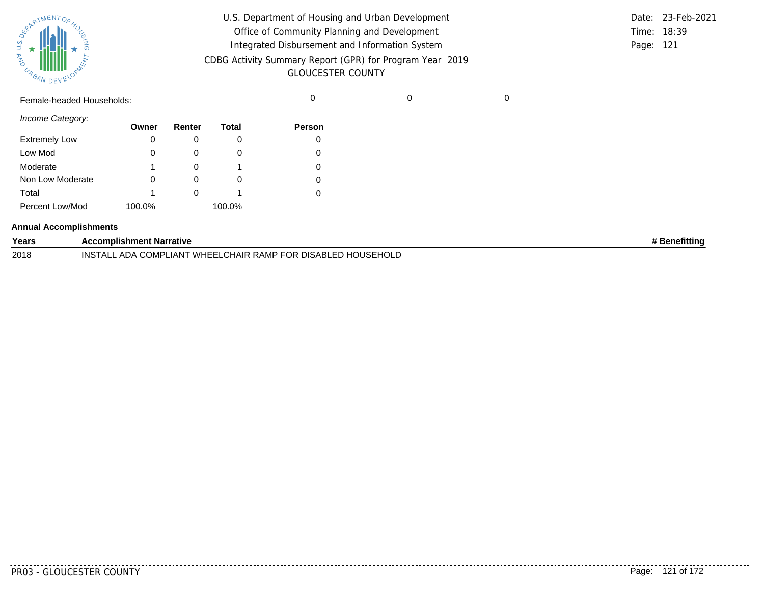| SURATMENTOFAOL    |           |  |
|-------------------|-----------|--|
| S.T<br><b>MAG</b> |           |  |
| URBAN             | DEVELOPAN |  |

|             | Date: 23-Feb-2021 |
|-------------|-------------------|
| Time: 18:39 |                   |
| Page: 121   |                   |
|             |                   |
|             |                   |

Female-headed Households: 0 0 0

*Income Category:*

|                      | Owner  | Renter | Total  | <b>Person</b> |
|----------------------|--------|--------|--------|---------------|
| <b>Extremely Low</b> |        |        |        | O             |
| Low Mod              | 0      |        |        |               |
| Moderate             |        |        |        |               |
| Non Low Moderate     | 0      |        |        |               |
| Total                |        |        |        |               |
| Percent Low/Mod      | 100.0% |        | 100.0% |               |

#### **Annual Accomplishments**

| Years | Accomplishment Narrative                                                                 | ' Benefittina |
|-------|------------------------------------------------------------------------------------------|---------------|
| 2018  | 、DISABLED HOUSEHOLD<br>LCHAIR RAMP FOR "<br>WHEELL<br><b>INSTAL</b><br>_ ADA COMPLIANT ` |               |

<u>. . . . . . . .</u>

--------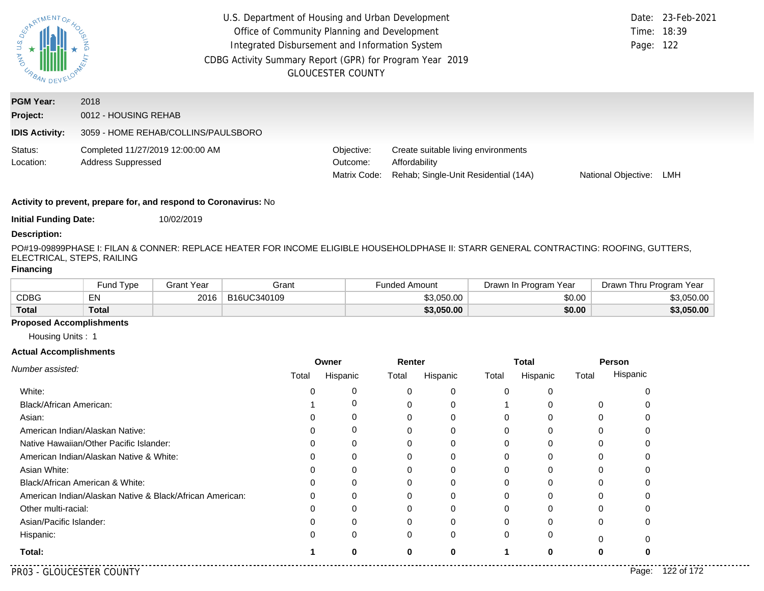| S n<br><b>AND</b><br>URBAN DEV                        | U.S. Department of Housing and Urban Development<br>Office of Community Planning and Development<br>Integrated Disbursement and Information System<br>CDBG Activity Summary Report (GPR) for Program Year 2019<br><b>GLOUCESTER COUNTY</b> |                                        |                                                                                              |                     |     |
|-------------------------------------------------------|--------------------------------------------------------------------------------------------------------------------------------------------------------------------------------------------------------------------------------------------|----------------------------------------|----------------------------------------------------------------------------------------------|---------------------|-----|
| <b>PGM Year:</b><br>Project:<br><b>IDIS Activity:</b> | 2018<br>0012 - HOUSING REHAB<br>3059 - HOME REHAB/COLLINS/PAULSBORO                                                                                                                                                                        |                                        |                                                                                              |                     |     |
| Status:<br>Location:                                  | Completed 11/27/2019 12:00:00 AM<br><b>Address Suppressed</b>                                                                                                                                                                              | Objective:<br>Outcome:<br>Matrix Code: | Create suitable living environments<br>Affordability<br>Rehab: Single-Unit Residential (14A) | National Objective: | LMH |

**Initial Funding Date:** 10/02/2019

#### **Description:**

PO#19-09899PHASE I: FILAN & CONNER: REPLACE HEATER FOR INCOME ELIGIBLE HOUSEHOLDPHASE II: STARR GENERAL CONTRACTING: ROOFING, GUTTERS, ELECTRICAL, STEPS, RAILING

## **Financing**

|              | Fund Type      | <b>Grant Year</b> | Grant       | -unded Amount | Drawn In Program Year | Drawn Thru Program Year |
|--------------|----------------|-------------------|-------------|---------------|-----------------------|-------------------------|
| <b>CDBG</b>  | <b>F</b><br>ЕM | 2016              | B16UC340109 | \$3.050.00    | \$0.00                | \$3,050.00              |
| <b>Total</b> | Total          |                   |             | \$3,050.00    | \$0.00                | \$3,050.00              |

## **Proposed Accomplishments**

Housing Units : 1

#### **Actual Accomplishments**

|                                                          | Renter<br>Owner |          |       |          | <b>Total</b> | Person   |       |          |
|----------------------------------------------------------|-----------------|----------|-------|----------|--------------|----------|-------|----------|
| Number assisted:                                         | Total           | Hispanic | Total | Hispanic | Total        | Hispanic | Total | Hispanic |
| White:                                                   |                 | 0        |       | 0        |              |          |       |          |
| Black/African American:                                  |                 | 0        |       | 0        |              |          | 0     |          |
| Asian:                                                   |                 | 0        |       |          |              |          |       |          |
| American Indian/Alaskan Native:                          |                 | 0        |       |          |              |          |       |          |
| Native Hawaiian/Other Pacific Islander:                  |                 | 0        |       |          |              |          |       |          |
| American Indian/Alaskan Native & White:                  |                 | 0        |       |          |              |          |       |          |
| Asian White:                                             |                 | 0        |       |          |              |          |       |          |
| Black/African American & White:                          |                 | 0        |       |          |              |          |       |          |
| American Indian/Alaskan Native & Black/African American: | 0               | 0        | 0     | 0        |              | 0        |       | n        |
| Other multi-racial:                                      |                 | 0        |       |          |              |          |       |          |
| Asian/Pacific Islander:                                  |                 | 0        |       |          |              |          | 0     | ი        |
| Hispanic:                                                |                 | 0        | 0     | 0        |              | $\Omega$ |       |          |
| Total:                                                   |                 | U        | ŋ     | 0        |              |          | O     |          |

. . . . . .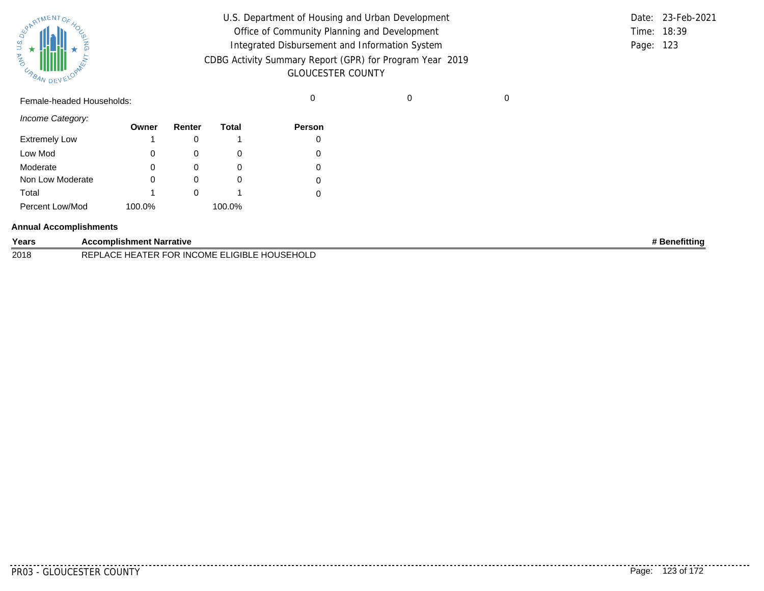| SUPATMENTOF HOL |           |  |
|-----------------|-----------|--|
| URBAN           | DEVELOPAL |  |

| U.S. Department of Housing and Urban Development         |             | Date: 23-Feb-2021 |
|----------------------------------------------------------|-------------|-------------------|
| Office of Community Planning and Development             | Time: 18:39 |                   |
| Integrated Disbursement and Information System           | Page: 123   |                   |
| CDBG Activity Summary Report (GPR) for Program Year 2019 |             |                   |
| <b>GLOUCESTER COUNTY</b>                                 |             |                   |

Female-headed Households: 0 0 0

*Income Category:*

|                      | Owner  | Renter | Total  | <b>Person</b> |
|----------------------|--------|--------|--------|---------------|
| <b>Extremely Low</b> |        |        |        |               |
| Low Mod              | 0      |        | O      | 0             |
| Moderate             | 0      |        | O      | 0             |
| Non Low Moderate     | 0      |        | O      |               |
| Total                |        |        |        |               |
| Percent Low/Mod      | 100.0% |        | 100.0% |               |

#### **Annual Accomplishments**

| Years | <b>Accomplishment Narrative</b>                                                          | ' Benefitting |
|-------|------------------------------------------------------------------------------------------|---------------|
| 2018  | <b>TINCOME ELIGIBLE I</b><br>: HOUSEHOLD<br><b>FOR</b><br>HE AT<br><b>REPLACE</b><br>'ER |               |

. . . . . . . . .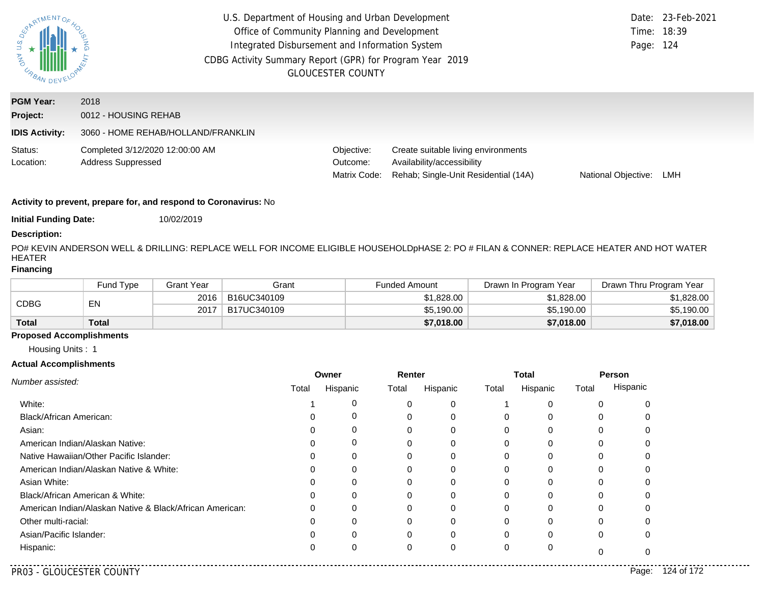| ASARIMENTOF                                           | U.S. Department of Housing and Urban Development<br>Date: 23-Feb-2021<br>Office of Community Planning and Development<br>Time: 18:39<br>Integrated Disbursement and Information System<br>Page: 124<br>CDBG Activity Summary Report (GPR) for Program Year 2019<br><b>GLOUCESTER COUNTY</b> |                                        |                                                                                                           |                     |     |
|-------------------------------------------------------|---------------------------------------------------------------------------------------------------------------------------------------------------------------------------------------------------------------------------------------------------------------------------------------------|----------------------------------------|-----------------------------------------------------------------------------------------------------------|---------------------|-----|
| <b>PGM Year:</b><br>Project:<br><b>IDIS Activity:</b> | 2018<br>0012 - HOUSING REHAB<br>3060 - HOME REHAB/HOLLAND/FRANKLIN                                                                                                                                                                                                                          |                                        |                                                                                                           |                     |     |
| Status:<br>Location:                                  | Completed 3/12/2020 12:00:00 AM<br><b>Address Suppressed</b>                                                                                                                                                                                                                                | Objective:<br>Outcome:<br>Matrix Code: | Create suitable living environments<br>Availability/accessibility<br>Rehab; Single-Unit Residential (14A) | National Objective: | LMH |

**Initial Funding Date:** 10/02/2019

## **Description:**

PO# KEVIN ANDERSON WELL & DRILLING: REPLACE WELL FOR INCOME ELIGIBLE HOUSEHOLDpHASE 2: PO # FILAN & CONNER: REPLACE HEATER AND HOT WATER HEATER

#### **Financing**

|              | Fund Type | Grant Year | Grant       | <b>Funded Amount</b> | Drawn In Program Year | Drawn Thru Program Year |
|--------------|-----------|------------|-------------|----------------------|-----------------------|-------------------------|
| CDBG         | EN        | 2016       | B16UC340109 | \$1,828.00           | \$1,828.00            | \$1,828.00              |
|              |           | 2017       | B17UC340109 | \$5,190.00           | \$5,190.00            | \$5,190.00              |
| <b>Total</b> | Total     |            |             | \$7,018.00           | \$7,018.00            | \$7,018.00              |

## **Proposed Accomplishments**

Housing Units : 1

| Number assisted:                                         | Owner  |          | Renter   |          |       | <b>Total</b> | Person |          |
|----------------------------------------------------------|--------|----------|----------|----------|-------|--------------|--------|----------|
|                                                          | Total  | Hispanic | Total    | Hispanic | Total | Hispanic     | Total  | Hispanic |
| White:                                                   |        |          | C        | 0        |       | 0            | 0      |          |
| Black/African American:                                  |        |          | $\Omega$ |          | 0     | 0            | 0      |          |
| Asian:                                                   |        |          |          |          |       | $\Omega$     | 0      |          |
| American Indian/Alaskan Native:                          | $\Box$ | 0        | 0        | 0        | 0     | $\Omega$     | 0      |          |
| Native Hawaiian/Other Pacific Islander:                  |        |          |          |          |       | 0            | 0      |          |
| American Indian/Alaskan Native & White:                  |        |          | 0        | O        | 0     | 0            | 0      |          |
| Asian White:                                             |        |          |          |          |       | 0            | 0      |          |
| Black/African American & White:                          |        |          |          |          |       | $\Omega$     | 0      |          |
| American Indian/Alaskan Native & Black/African American: |        |          | 0        |          | 0     | 0            | 0      |          |
| Other multi-racial:                                      |        |          |          |          |       | $\Omega$     | ŋ      |          |
| Asian/Pacific Islander:                                  |        |          | 0        |          | 0     | 0            | 0      |          |
| Hispanic:                                                |        |          | $\Omega$ | 0        | 0     | 0            |        |          |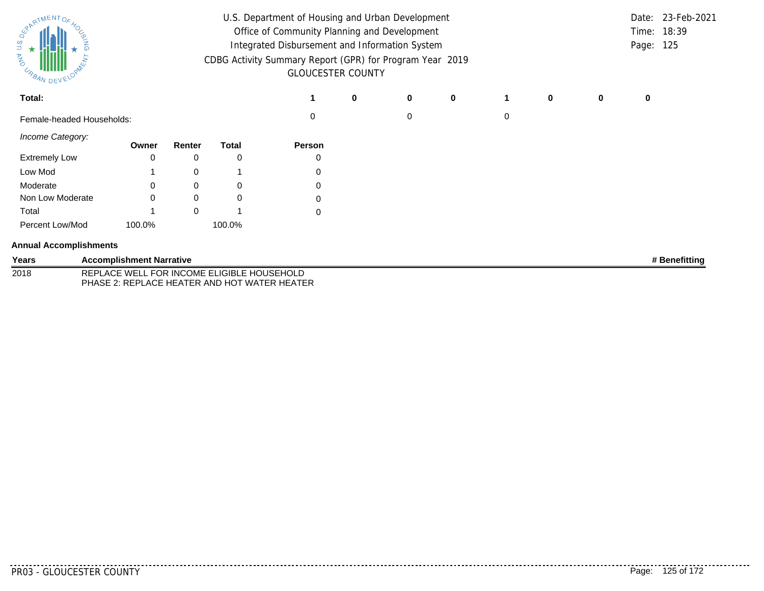| ARTMENTOR<br><b>CABAN DEVY</b> | U.S. Department of Housing and Urban Development<br>Office of Community Planning and Development<br>Integrated Disbursement and Information System<br>CDBG Activity Summary Report (GPR) for Program Year 2019<br><b>GLOUCESTER COUNTY</b> |                                 |        |                                                                                            |               |   |   |             | Page: 125 | Date: 23-Feb-2021<br>Time: 18:39 |   |   |               |
|--------------------------------|--------------------------------------------------------------------------------------------------------------------------------------------------------------------------------------------------------------------------------------------|---------------------------------|--------|--------------------------------------------------------------------------------------------|---------------|---|---|-------------|-----------|----------------------------------|---|---|---------------|
| Total:                         |                                                                                                                                                                                                                                            |                                 |        |                                                                                            |               | 0 | 0 | $\mathbf 0$ | 1         | 0                                | 0 | 0 |               |
| Female-headed Households:      |                                                                                                                                                                                                                                            |                                 |        |                                                                                            | $\Omega$      |   | 0 |             | 0         |                                  |   |   |               |
| Income Category:               |                                                                                                                                                                                                                                            | Owner                           | Renter | <b>Total</b>                                                                               | <b>Person</b> |   |   |             |           |                                  |   |   |               |
| <b>Extremely Low</b>           |                                                                                                                                                                                                                                            | $\Omega$                        | 0      | 0                                                                                          |               |   |   |             |           |                                  |   |   |               |
| Low Mod                        |                                                                                                                                                                                                                                            |                                 | 0      |                                                                                            | 0             |   |   |             |           |                                  |   |   |               |
| Moderate                       |                                                                                                                                                                                                                                            | ∩                               | 0      | 0                                                                                          | 0             |   |   |             |           |                                  |   |   |               |
| Non Low Moderate               |                                                                                                                                                                                                                                            | ∩                               | 0      | 0                                                                                          | 0             |   |   |             |           |                                  |   |   |               |
| Total                          |                                                                                                                                                                                                                                            |                                 | 0      |                                                                                            | 0             |   |   |             |           |                                  |   |   |               |
| Percent Low/Mod                |                                                                                                                                                                                                                                            | 100.0%                          |        | 100.0%                                                                                     |               |   |   |             |           |                                  |   |   |               |
| <b>Annual Accomplishments</b>  |                                                                                                                                                                                                                                            |                                 |        |                                                                                            |               |   |   |             |           |                                  |   |   |               |
| Years                          |                                                                                                                                                                                                                                            | <b>Accomplishment Narrative</b> |        |                                                                                            |               |   |   |             |           |                                  |   |   | # Benefitting |
| 2018                           |                                                                                                                                                                                                                                            |                                 |        | REPLACE WELL FOR INCOME ELIGIBLE HOUSEHOLD<br>PHASE 2: REPLACE HEATER AND HOT WATER HEATER |               |   |   |             |           |                                  |   |   |               |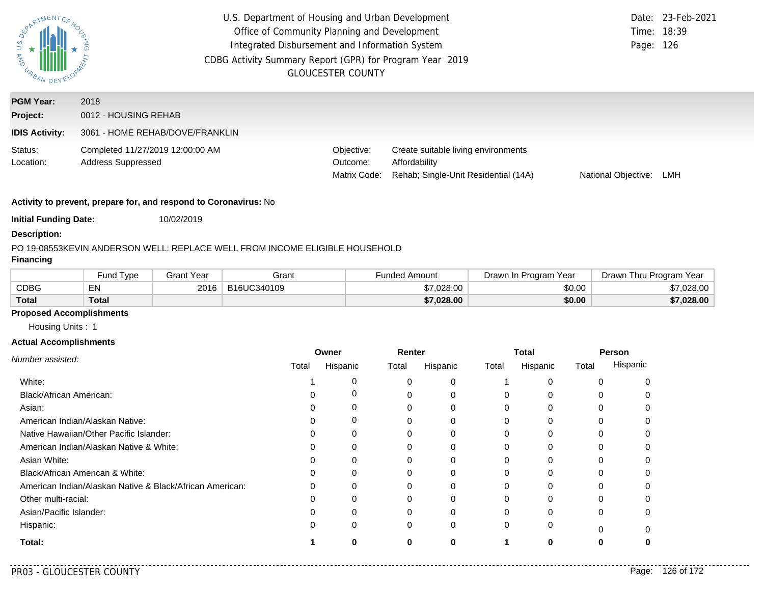| U.S.<br><b>ASSIMARY DE</b>                            | U.S. Department of Housing and Urban Development<br>Date: 23-Feb-2021<br>Office of Community Planning and Development<br>Time: 18:39<br>Integrated Disbursement and Information System<br>Page: 126<br>CDBG Activity Summary Report (GPR) for Program Year 2019<br><b>GLOUCESTER COUNTY</b> |                                        |                                                                                              |                     |     |
|-------------------------------------------------------|---------------------------------------------------------------------------------------------------------------------------------------------------------------------------------------------------------------------------------------------------------------------------------------------|----------------------------------------|----------------------------------------------------------------------------------------------|---------------------|-----|
| <b>PGM Year:</b><br>Project:<br><b>IDIS Activity:</b> | 2018<br>0012 - HOUSING REHAB<br>3061 - HOME REHAB/DOVE/FRANKLIN                                                                                                                                                                                                                             |                                        |                                                                                              |                     |     |
| Status:<br>Location:                                  | Completed 11/27/2019 12:00:00 AM<br><b>Address Suppressed</b>                                                                                                                                                                                                                               | Objective:<br>Outcome:<br>Matrix Code: | Create suitable living environments<br>Affordability<br>Rehab: Single-Unit Residential (14A) | National Objective: | LMH |

**Initial Funding Date:** 10/02/2019

#### **Description:**

#### PO 19-08553
KEVIN ANDERSON WELL: REPLACE WELL FROM INCOME ELIGIBLE HOUSEHOLD

## **Financing**

|              | und Type <sup>-</sup> | Grant Year | Grant       | ⊦unded Amount | Drawn In Program Year | Drawn Thru Program Year |
|--------------|-----------------------|------------|-------------|---------------|-----------------------|-------------------------|
| CDBG         | <b>ENL</b><br>ᄃᅠᄓ     | 2016       | B16UC340109 | \$7,028,00    | \$0.00                | .028.00                 |
| <b>Total</b> | Total                 |            |             | \$7,028.00    | \$0.00                | \$7,028.00              |

## **Proposed Accomplishments**

Housing Units : 1

#### **Actual Accomplishments**

| Number assisted:                                         |       | Owner    |       | Renter   |          | Total        |       | Person   |
|----------------------------------------------------------|-------|----------|-------|----------|----------|--------------|-------|----------|
|                                                          | Total | Hispanic | Total | Hispanic | Total    | Hispanic     | Total | Hispanic |
| White:                                                   |       | 0        |       |          |          |              |       |          |
| Black/African American:                                  |       | 0        |       |          | 0        |              |       |          |
| Asian:                                                   |       | 0        |       | 0        | $\Omega$ |              | 0     |          |
| American Indian/Alaskan Native:                          |       | 0        |       | 0        | 0        | <sup>0</sup> |       |          |
| Native Hawaiian/Other Pacific Islander:                  |       | 0        |       |          | 0        |              |       |          |
| American Indian/Alaskan Native & White:                  |       | 0        |       |          | $\Omega$ | <sup>0</sup> | 0     |          |
| Asian White:                                             |       | O        |       |          | 0        |              |       |          |
| Black/African American & White:                          |       | 0        |       | 0        | $\Omega$ |              | 0     |          |
| American Indian/Alaskan Native & Black/African American: |       | $\Omega$ |       | ∩        | 0        |              |       |          |
| Other multi-racial:                                      |       |          |       |          |          |              |       |          |
| Asian/Pacific Islander:                                  |       | $\Omega$ |       | ∩        | $\Omega$ | <sup>0</sup> | 0     |          |
| Hispanic:                                                |       | 0        | 0     | 0        | $\Omega$ | 0            |       |          |
| Total:                                                   |       |          |       |          |          |              |       |          |

. . . . .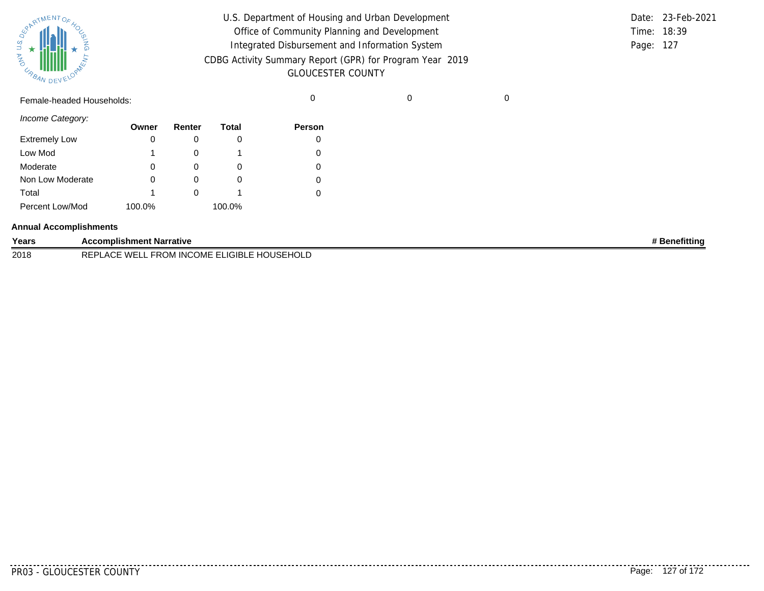| SUPATMENTOF HOL |           |  |
|-----------------|-----------|--|
| URBAN           | DEVELOPAL |  |

| U.S. Department of Housing and Urban Development         |             | Date: 23-Feb-2021 |
|----------------------------------------------------------|-------------|-------------------|
| Office of Community Planning and Development             | Time: 18:39 |                   |
| Integrated Disbursement and Information System           | Page: 127   |                   |
| CDBG Activity Summary Report (GPR) for Program Year 2019 |             |                   |
| <b>GLOUCESTER COUNTY</b>                                 |             |                   |

Female-headed Households: 0 0 0

*Income Category:*

|                      | Owner  | Renter | Total  | Person |
|----------------------|--------|--------|--------|--------|
| <b>Extremely Low</b> |        |        | O      |        |
| Low Mod              |        |        |        | 0      |
| Moderate             | 0      |        | O      | 0      |
| Non Low Moderate     |        |        | O      | 0      |
| Total                |        |        |        | 0      |
| Percent Low/Mod      | 100.0% |        | 100.0% |        |

#### **Annual Accomplishments**

| Years | <b>Accomplishment Narrative</b>                                                     | <b>}enefittinc</b> |
|-------|-------------------------------------------------------------------------------------|--------------------|
| 2018  | . FROM INCOME EL'<br>, IGIRI F HO'<br>HOLD<br>WE.<br><b>DEDI</b><br>∣I≈⊢⊦<br>$\sim$ |                    |

<u>. . . . . . . .</u>

. . . . . . . . .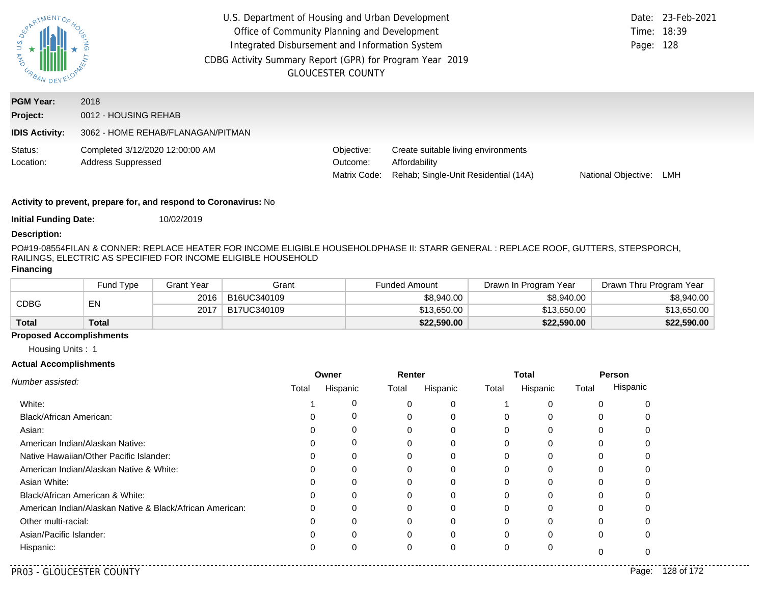| PARTMENTOR<br>$rac{q}{q}$ +<br><b>AND</b><br>URBAN    |                                                                   | <b>GLOUCESTER COUNTY</b>               | U.S. Department of Housing and Urban Development<br>Office of Community Planning and Development<br>Integrated Disbursement and Information System<br>CDBG Activity Summary Report (GPR) for Program Year 2019 |                     |     |  |  |  |
|-------------------------------------------------------|-------------------------------------------------------------------|----------------------------------------|----------------------------------------------------------------------------------------------------------------------------------------------------------------------------------------------------------------|---------------------|-----|--|--|--|
| <b>PGM Year:</b><br>Project:<br><b>IDIS Activity:</b> | 2018<br>0012 - HOUSING REHAB<br>3062 - HOME REHAB/FLANAGAN/PITMAN |                                        |                                                                                                                                                                                                                |                     |     |  |  |  |
| Status:<br>Location:                                  | Completed 3/12/2020 12:00:00 AM<br><b>Address Suppressed</b>      | Objective:<br>Outcome:<br>Matrix Code: | Create suitable living environments<br>Affordability<br>Rehab; Single-Unit Residential (14A)                                                                                                                   | National Objective: | LMH |  |  |  |

**Initial Funding Date:** 10/02/2019

#### **Description:**

PO#19-08554FILAN & CONNER: REPLACE HEATER FOR INCOME ELIGIBLE HOUSEHOLDPHASE II: STARR GENERAL : REPLACE ROOF, GUTTERS, STEPSPORCH, RAILINGS, ELECTRIC AS SPECIFIED FOR INCOME ELIGIBLE HOUSEHOLD

## **Financing**

|              | Fund Type    | Grant Year | Grant       | <b>Funded Amount</b> | Drawn In Program Year | Drawn Thru Program Year |
|--------------|--------------|------------|-------------|----------------------|-----------------------|-------------------------|
| CDBG         | EN           | 2016       | B16UC340109 | \$8,940.00           | \$8,940.00            | \$8,940.00              |
|              |              | 2017       | B17UC340109 | \$13,650.00          | \$13,650.00           | \$13,650.00             |
| <b>Total</b> | <b>Total</b> |            |             | \$22,590.00          | \$22,590.00           | \$22,590.00             |

## **Proposed Accomplishments**

Housing Units : 1

|                                                          |       | Owner    | Renter |          |          | Total    | <b>Person</b> |          |
|----------------------------------------------------------|-------|----------|--------|----------|----------|----------|---------------|----------|
| Number assisted:                                         | Total | Hispanic | Total  | Hispanic | Total    | Hispanic | Total         | Hispanic |
| White:                                                   |       |          | 0      |          |          | C        |               |          |
| Black/African American:                                  |       |          | 0      |          | $\Omega$ | 0        |               |          |
| Asian:                                                   |       |          |        |          | 0        |          |               |          |
| American Indian/Alaskan Native:                          |       | 0        | 0      | O        | $\Omega$ | 0        |               |          |
| Native Hawaiian/Other Pacific Islander:                  |       |          |        |          | 0        |          |               |          |
| American Indian/Alaskan Native & White:                  |       |          | 0      |          | $\Omega$ | 0        |               |          |
| Asian White:                                             |       |          |        |          | 0        |          |               |          |
| Black/African American & White:                          |       |          |        |          | 0        | 0        |               |          |
| American Indian/Alaskan Native & Black/African American: |       |          | 0      |          | 0        | C        |               |          |
| Other multi-racial:                                      |       |          |        |          | 0        | $\Omega$ |               |          |
| Asian/Pacific Islander:                                  |       |          | 0      |          | $\Omega$ | C        | 0             |          |
| Hispanic:                                                |       |          | 0      |          | 0        | 0        |               |          |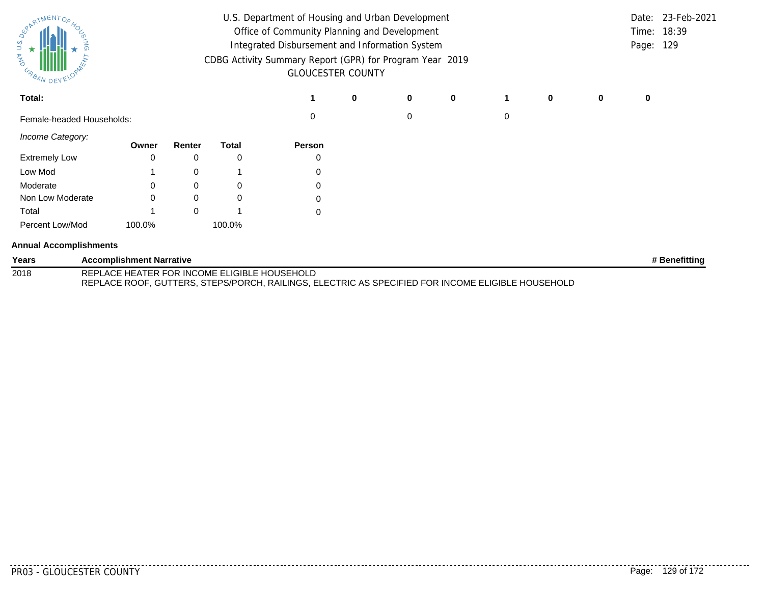| U.S. Department of Housing and Urban Development<br>ARTMENTOR<br>Office of Community Planning and Development<br>Integrated Disbursement and Information System<br>CDBG Activity Summary Report (GPR) for Program Year 2019<br>US BAN DEVY<br><b>GLOUCESTER COUNTY</b> |                                              |          |          |        |   |   |             |   |   | Page: 129 | Date: 23-Feb-2021<br>Time: 18:39 |               |
|------------------------------------------------------------------------------------------------------------------------------------------------------------------------------------------------------------------------------------------------------------------------|----------------------------------------------|----------|----------|--------|---|---|-------------|---|---|-----------|----------------------------------|---------------|
| Total:                                                                                                                                                                                                                                                                 |                                              |          |          |        | 0 | 0 | $\mathbf 0$ | 1 | 0 | 0         | 0                                |               |
| Female-headed Households:                                                                                                                                                                                                                                              |                                              |          |          | 0      |   | 0 |             | 0 |   |           |                                  |               |
| Income Category:                                                                                                                                                                                                                                                       | Owner                                        | Renter   | Total    | Person |   |   |             |   |   |           |                                  |               |
| <b>Extremely Low</b>                                                                                                                                                                                                                                                   |                                              | 0        | 0        | 0      |   |   |             |   |   |           |                                  |               |
| Low Mod                                                                                                                                                                                                                                                                |                                              | 0        |          | 0      |   |   |             |   |   |           |                                  |               |
| Moderate                                                                                                                                                                                                                                                               |                                              | 0        | 0        | 0      |   |   |             |   |   |           |                                  |               |
| Non Low Moderate                                                                                                                                                                                                                                                       |                                              | 0        | $\Omega$ | 0      |   |   |             |   |   |           |                                  |               |
| Total                                                                                                                                                                                                                                                                  |                                              | $\Omega$ |          | 0      |   |   |             |   |   |           |                                  |               |
| Percent Low/Mod                                                                                                                                                                                                                                                        | 100.0%                                       |          | 100.0%   |        |   |   |             |   |   |           |                                  |               |
| <b>Annual Accomplishments</b>                                                                                                                                                                                                                                          |                                              |          |          |        |   |   |             |   |   |           |                                  |               |
| Years                                                                                                                                                                                                                                                                  | <b>Accomplishment Narrative</b>              |          |          |        |   |   |             |   |   |           |                                  | # Benefitting |
| 2018                                                                                                                                                                                                                                                                   | REPLACE HEATER FOR INCOME ELIGIBLE HOUSEHOLD |          |          |        |   |   |             |   |   |           |                                  |               |

REPLACE ROOF, GUTTERS, STEPS/PORCH, RAILINGS, ELECTRIC AS SPECIFIED FOR INCOME ELIGIBLE HOUSEHOLD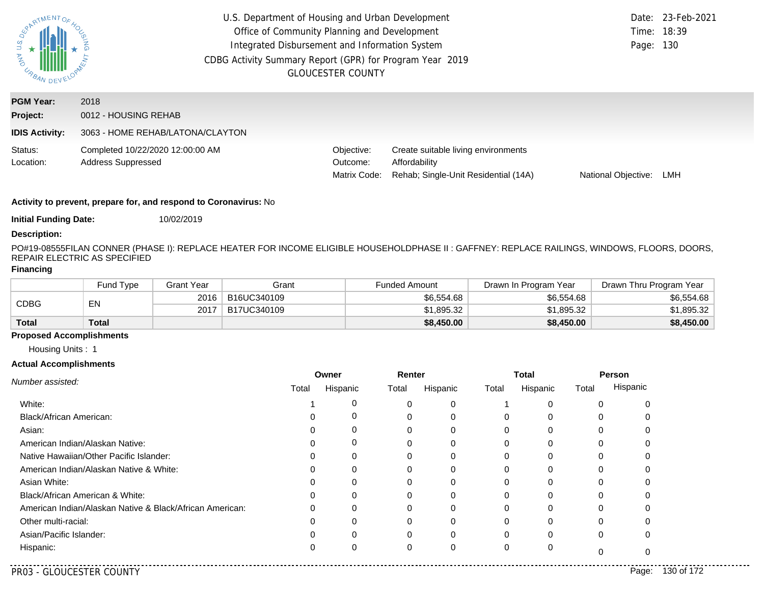| <b>AND</b><br>URBAN                                   | U.S. Department of Housing and Urban Development<br>Office of Community Planning and Development<br>Integrated Disbursement and Information System<br>CDBG Activity Summary Report (GPR) for Program Year 2019 | <b>GLOUCESTER COUNTY</b>               |                                                                                              | Time: 18:39<br>Page: 130 | Date: 23-Feb-2021 |
|-------------------------------------------------------|----------------------------------------------------------------------------------------------------------------------------------------------------------------------------------------------------------------|----------------------------------------|----------------------------------------------------------------------------------------------|--------------------------|-------------------|
| <b>PGM Year:</b><br>Project:<br><b>IDIS Activity:</b> | 2018<br>0012 - HOUSING REHAB<br>3063 - HOME REHAB/LATONA/CLAYTON                                                                                                                                               |                                        |                                                                                              |                          |                   |
| Status:<br>Location:                                  | Completed 10/22/2020 12:00:00 AM<br><b>Address Suppressed</b>                                                                                                                                                  | Objective:<br>Outcome:<br>Matrix Code: | Create suitable living environments<br>Affordability<br>Rehab; Single-Unit Residential (14A) | National Objective:      | LMH               |

**Initial Funding Date:** 10/02/2019

#### **Description:**

PO#19-08555FILAN CONNER (PHASE I): REPLACE HEATER FOR INCOME ELIGIBLE HOUSEHOLDPHASE II : GAFFNEY: REPLACE RAILINGS, WINDOWS, FLOORS, DOORS, REPAIR ELECTRIC AS SPECIFIED

#### **Financing**

|              | Fund Type    | Grant Year | Grant       | <b>Funded Amount</b> | Drawn In Program Year | Drawn Thru Program Year |
|--------------|--------------|------------|-------------|----------------------|-----------------------|-------------------------|
| CDBG         | EN           | 2016       | B16UC340109 | \$6,554,68           | \$6,554.68            | \$6,554.68              |
|              |              | 2017       | B17UC340109 | \$1,895.32           | \$1,895.32            | \$1.895.32              |
| <b>Total</b> | <b>Total</b> |            |             | \$8,450.00           | \$8,450.00            | \$8,450.00              |

## **Proposed Accomplishments**

Housing Units : 1

|                                                          |       | Owner    | Renter   |          |       | <b>Total</b> |       | Person   |
|----------------------------------------------------------|-------|----------|----------|----------|-------|--------------|-------|----------|
| Number assisted:                                         | Total | Hispanic | Total    | Hispanic | Total | Hispanic     | Total | Hispanic |
| White:                                                   |       | 0        | 0        |          |       | 0            | 0     |          |
| Black/African American:                                  |       | U        | 0        | 0        | 0     | 0            | 0     |          |
| Asian:                                                   |       |          | $\Omega$ |          |       | $\Omega$     |       |          |
| American Indian/Alaskan Native:                          | 0     | 0        | 0        | 0        | 0     | $\Omega$     | 0     |          |
| Native Hawaiian/Other Pacific Islander:                  |       |          | 0        |          |       |              |       |          |
| American Indian/Alaskan Native & White:                  |       | 0        | 0        |          |       | 0            |       |          |
| Asian White:                                             |       |          | 0        |          |       |              |       |          |
| Black/African American & White:                          |       |          | 0        |          |       |              |       |          |
| American Indian/Alaskan Native & Black/African American: |       |          | 0        |          |       | 0            |       |          |
| Other multi-racial:                                      |       |          | 0        |          |       | $\Omega$     |       |          |
| Asian/Pacific Islander:                                  |       |          | 0        |          | υ     | 0            | 0     |          |
| Hispanic:                                                |       |          | 0        | 0        | υ     | 0            |       |          |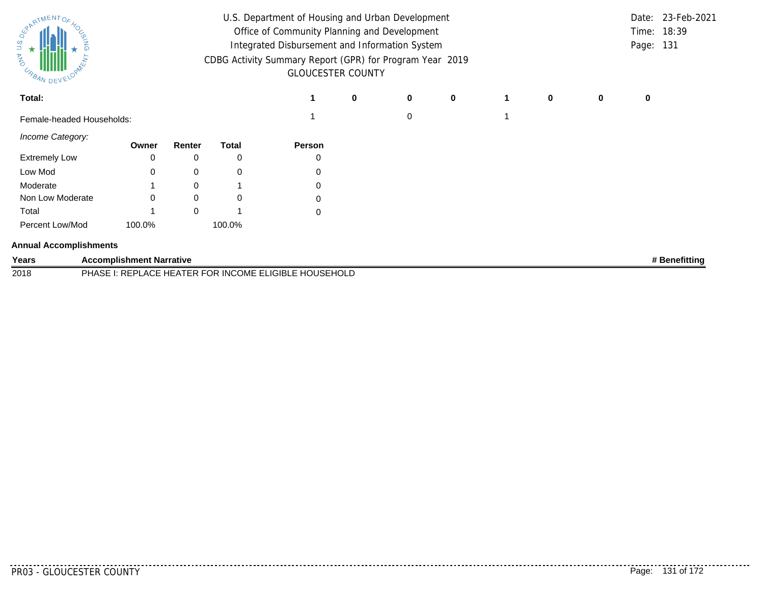| SPARTMENTOS<br><b>UNANG</b><br><b>CABAN DEVEN</b> | U.S. Department of Housing and Urban Development<br>Office of Community Planning and Development<br>Integrated Disbursement and Information System<br>CDBG Activity Summary Report (GPR) for Program Year 2019<br><b>GLOUCESTER COUNTY</b> |          |              |                                                       |   |   |           |  |   |   | Page: 131 | Date: 23-Feb-2021<br>Time: 18:39 |
|---------------------------------------------------|--------------------------------------------------------------------------------------------------------------------------------------------------------------------------------------------------------------------------------------------|----------|--------------|-------------------------------------------------------|---|---|-----------|--|---|---|-----------|----------------------------------|
| Total:                                            |                                                                                                                                                                                                                                            |          |              |                                                       | 0 | 0 | $\pmb{0}$ |  | 0 | 0 | 0         |                                  |
| Female-headed Households:                         |                                                                                                                                                                                                                                            |          |              |                                                       |   | 0 |           |  |   |   |           |                                  |
| Income Category:                                  | Owner                                                                                                                                                                                                                                      | Renter   | <b>Total</b> | Person                                                |   |   |           |  |   |   |           |                                  |
| <b>Extremely Low</b>                              | 0                                                                                                                                                                                                                                          | 0        | 0            |                                                       |   |   |           |  |   |   |           |                                  |
| Low Mod                                           | $\Omega$                                                                                                                                                                                                                                   | 0        | 0            |                                                       |   |   |           |  |   |   |           |                                  |
| Moderate                                          |                                                                                                                                                                                                                                            | 0        |              | 0                                                     |   |   |           |  |   |   |           |                                  |
| Non Low Moderate                                  | 0                                                                                                                                                                                                                                          | 0        | 0            | $\Omega$                                              |   |   |           |  |   |   |           |                                  |
| Total                                             |                                                                                                                                                                                                                                            | $\Omega$ |              | 0                                                     |   |   |           |  |   |   |           |                                  |
| Percent Low/Mod                                   | 100.0%                                                                                                                                                                                                                                     |          | 100.0%       |                                                       |   |   |           |  |   |   |           |                                  |
| <b>Annual Accomplishments</b>                     |                                                                                                                                                                                                                                            |          |              |                                                       |   |   |           |  |   |   |           |                                  |
| Years                                             | <b>Accomplishment Narrative</b>                                                                                                                                                                                                            |          |              |                                                       |   |   |           |  |   |   |           | # Benefitting                    |
| 2018                                              |                                                                                                                                                                                                                                            |          |              | PHASE I: REPLACE HEATER FOR INCOME ELIGIBLE HOUSEHOLD |   |   |           |  |   |   |           |                                  |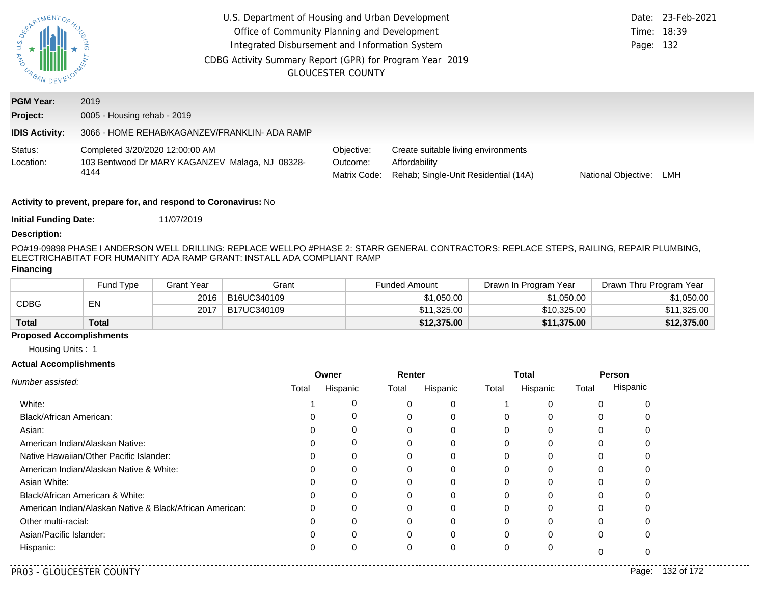| <b>AND</b><br>URBAN DEV - | U.S. Department of Housing and Urban Development<br>Office of Community Planning and Development<br>Integrated Disbursement and Information System<br>CDBG Activity Summary Report (GPR) for Program Year 2019 | <b>GLOUCESTER COUNTY</b>               |                                                                                              | Page: 132           | Date: 23-Feb-2021<br>Time: 18:39 |
|---------------------------|----------------------------------------------------------------------------------------------------------------------------------------------------------------------------------------------------------------|----------------------------------------|----------------------------------------------------------------------------------------------|---------------------|----------------------------------|
| <b>PGM Year:</b>          | 2019                                                                                                                                                                                                           |                                        |                                                                                              |                     |                                  |
| Project:                  | 0005 - Housing rehab - 2019                                                                                                                                                                                    |                                        |                                                                                              |                     |                                  |
| <b>IDIS Activity:</b>     | 3066 - HOME REHAB/KAGANZEV/FRANKLIN- ADA RAMP                                                                                                                                                                  |                                        |                                                                                              |                     |                                  |
| Status:<br>Location:      | Completed 3/20/2020 12:00:00 AM<br>103 Bentwood Dr MARY KAGANZEV Malaga, NJ 08328-<br>4144                                                                                                                     | Objective:<br>Outcome:<br>Matrix Code: | Create suitable living environments<br>Affordability<br>Rehab; Single-Unit Residential (14A) | National Objective: | LMH                              |
|                           | $\blacksquare$ . The second contract of the second contract of $\blacksquare$ . The second contract of $\blacksquare$                                                                                          |                                        |                                                                                              |                     |                                  |

**Initial Funding Date:** 11/07/2019

#### **Description:**

PO#19-09898 PHASE I ANDERSON WELL DRILLING: REPLACE WELLPO #PHASE 2: STARR GENERAL CONTRACTORS: REPLACE STEPS, RAILING, REPAIR PLUMBING, ELECTRIC
HABITAT FOR HUMANITY ADA RAMP GRANT: INSTALL ADA COMPLIANT RAMP

#### **Financing**

|              | Fund Type | <b>Grant Year</b> | Grant       | <b>Funded Amount</b> | Drawn In Program Year | Drawn Thru Program Year |
|--------------|-----------|-------------------|-------------|----------------------|-----------------------|-------------------------|
| CDBG         | EN        | 2016              | B16UC340109 | \$1,050.00           | \$1,050.00            | \$1,050.00              |
|              |           | 2017              | B17UC340109 | \$11.325.00          | \$10,325.00           | \$11,325.00             |
| <b>Total</b> | Total     |                   |             | \$12,375.00          | \$11,375.00           | \$12,375.00             |

## **Proposed Accomplishments**

Housing Units : 1

|                                                          |       | Owner    | Renter   |          |       | <b>Total</b> | Person   |          |  |
|----------------------------------------------------------|-------|----------|----------|----------|-------|--------------|----------|----------|--|
| Number assisted:                                         | Total | Hispanic | Total    | Hispanic | Total | Hispanic     | Total    | Hispanic |  |
| White:                                                   |       |          | C        | 0        |       | $\Omega$     | 0        |          |  |
| <b>Black/African American:</b>                           |       |          | $\Omega$ | 0        | 0     | 0            | 0        |          |  |
| Asian:                                                   |       |          |          |          |       | $\Omega$     | 0        |          |  |
| American Indian/Alaskan Native:                          |       | 0        | 0        | O        | 0     | 0            | 0        |          |  |
| Native Hawaiian/Other Pacific Islander:                  |       |          |          |          |       | 0            | 0        |          |  |
| American Indian/Alaskan Native & White:                  |       |          | 0        |          |       | 0            | 0        |          |  |
| Asian White:                                             |       |          |          |          |       | 0            | 0        |          |  |
| Black/African American & White:                          |       |          | 0        |          |       | $\Omega$     | $\Omega$ |          |  |
| American Indian/Alaskan Native & Black/African American: |       |          | 0        |          |       | 0            | 0        |          |  |
| Other multi-racial:                                      |       |          | $\Omega$ |          |       | $\Omega$     | ŋ        |          |  |
| Asian/Pacific Islander:                                  |       |          | $\Omega$ |          | 0     | $\Omega$     | 0        |          |  |
| Hispanic:                                                |       |          | 0        | 0        | 0     | 0            |          |          |  |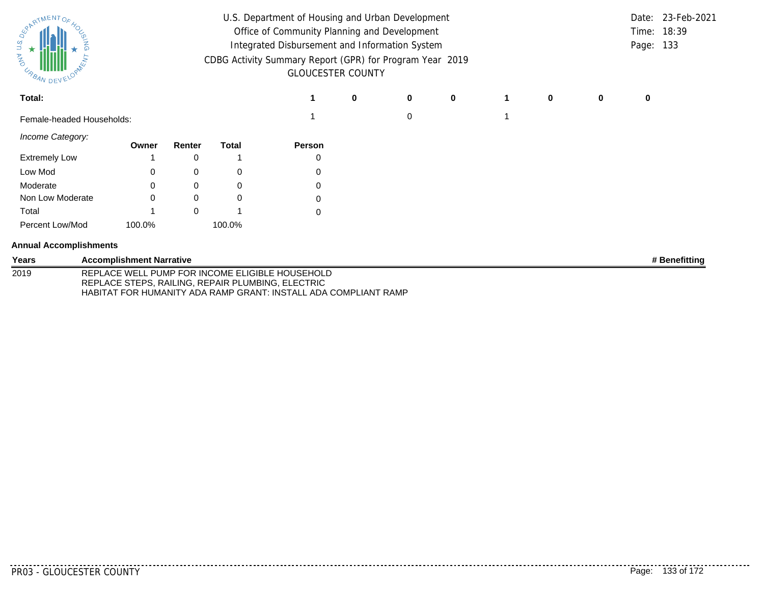| U.S. Department of Housing and Urban Development<br>SPARTMENTOS<br>Office of Community Planning and Development<br>U.S.<br>Integrated Disbursement and Information System<br><b>MAG</b><br>CDBG Activity Summary Report (GPR) for Program Year 2019<br>US BAN DEVELL<br><b>GLOUCESTER COUNTY</b> |                                 |          |              |                                                   |   |          |             |  |          |   | Date:<br>Page: 133 | 23-Feb-2021<br>Time: 18:39 |
|--------------------------------------------------------------------------------------------------------------------------------------------------------------------------------------------------------------------------------------------------------------------------------------------------|---------------------------------|----------|--------------|---------------------------------------------------|---|----------|-------------|--|----------|---|--------------------|----------------------------|
| Total:                                                                                                                                                                                                                                                                                           |                                 |          |              |                                                   | 0 | 0        | $\mathbf 0$ |  | $\bf{0}$ | 0 | 0                  |                            |
| Female-headed Households:                                                                                                                                                                                                                                                                        |                                 |          |              |                                                   |   | $\Omega$ |             |  |          |   |                    |                            |
| Income Category:                                                                                                                                                                                                                                                                                 | Owner                           | Renter   | <b>Total</b> | Person                                            |   |          |             |  |          |   |                    |                            |
| <b>Extremely Low</b>                                                                                                                                                                                                                                                                             |                                 | 0        |              | 0                                                 |   |          |             |  |          |   |                    |                            |
| Low Mod                                                                                                                                                                                                                                                                                          | 0                               | 0        | 0            | 0                                                 |   |          |             |  |          |   |                    |                            |
| Moderate                                                                                                                                                                                                                                                                                         | 0                               | 0        | 0            | 0                                                 |   |          |             |  |          |   |                    |                            |
| Non Low Moderate                                                                                                                                                                                                                                                                                 | 0                               | $\Omega$ | 0            | 0                                                 |   |          |             |  |          |   |                    |                            |
| Total                                                                                                                                                                                                                                                                                            |                                 | $\Omega$ |              | 0                                                 |   |          |             |  |          |   |                    |                            |
| Percent Low/Mod                                                                                                                                                                                                                                                                                  | 100.0%                          |          | 100.0%       |                                                   |   |          |             |  |          |   |                    |                            |
| <b>Annual Accomplishments</b>                                                                                                                                                                                                                                                                    |                                 |          |              |                                                   |   |          |             |  |          |   |                    |                            |
| Years                                                                                                                                                                                                                                                                                            | <b>Accomplishment Narrative</b> |          |              |                                                   |   |          |             |  |          |   |                    | # Benefitting              |
| 2019                                                                                                                                                                                                                                                                                             |                                 |          |              | REPLACE WELL PLIMP FOR INCOME FLIGIBLE HOLISEHOLD |   |          |             |  |          |   |                    |                            |

2019 REPLACE WELL PUMP FOR INCOME ELIGIBLE HOUSEHOLD REPLACE STEPS, RAILING, REPAIR PLUMBING, ELECTRIC HABITAT FOR HUMANITY ADA RAMP GRANT: INSTALL ADA COMPLIANT RAMP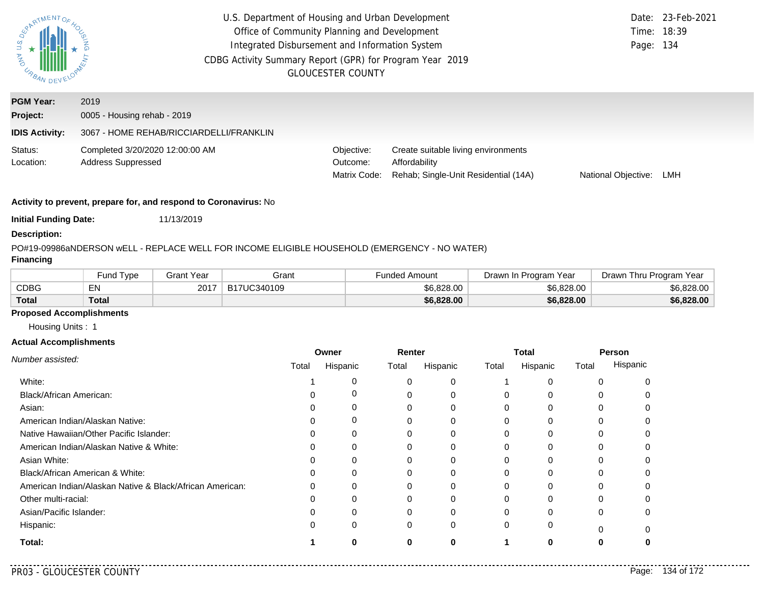| EPATMENTOS            | U.S. Department of Housing and Urban Development<br>Office of Community Planning and Development<br>Integrated Disbursement and Information System<br>CDBG Activity Summary Report (GPR) for Program Year 2019<br><b>GLOUCESTER COUNTY</b> | Page: 134                              | Date: 23-Feb-2021<br>Time: 18:39                                                             |                     |     |
|-----------------------|--------------------------------------------------------------------------------------------------------------------------------------------------------------------------------------------------------------------------------------------|----------------------------------------|----------------------------------------------------------------------------------------------|---------------------|-----|
| <b>PGM Year:</b>      | 2019                                                                                                                                                                                                                                       |                                        |                                                                                              |                     |     |
| Project:              | 0005 - Housing rehab - 2019                                                                                                                                                                                                                |                                        |                                                                                              |                     |     |
| <b>IDIS Activity:</b> | 3067 - HOME REHAB/RICCIARDELLI/FRANKLIN                                                                                                                                                                                                    |                                        |                                                                                              |                     |     |
| Status:<br>Location:  | Completed 3/20/2020 12:00:00 AM<br>Address Suppressed                                                                                                                                                                                      | Objective:<br>Outcome:<br>Matrix Code: | Create suitable living environments<br>Affordability<br>Rehab; Single-Unit Residential (14A) | National Objective: | LMH |
|                       | $\blacksquare$ . The contract of the contract of the contract of the contract of the contract of the contract of the contract of the contract of the contract of the contract of the contract of the contract of the contract of the       |                                        |                                                                                              |                     |     |

**Initial Funding Date:** 11/13/2019

## **Description:**

## PO#19-09986
aNDERSON wELL - REPLACE WELL FOR INCOME ELIGIBLE HOUSEHOLD (EMERGENCY - NO WATER)

## **Financing**

|              | Fund Type | Grant Year | Grant       | Funded Amount | ⊤Program Year<br>Drawn In | Thru Program Year<br>⊃rawn l |
|--------------|-----------|------------|-------------|---------------|---------------------------|------------------------------|
| <b>CDBG</b>  | EN        | 2017       | B17UC340109 | \$6,828,00    | \$6,828,00                | \$6,828.00                   |
| <b>Total</b> | Total     |            |             | \$6,828.00    | \$6,828.00                | \$6,828.00                   |

## **Proposed Accomplishments**

Housing Units : 1

#### **Actual Accomplishments**

|                                                          | Owner |          | Renter |          | <b>Total</b> |          | Person   |          |
|----------------------------------------------------------|-------|----------|--------|----------|--------------|----------|----------|----------|
| Number assisted:                                         | Total | Hispanic | Total  | Hispanic | Total        | Hispanic | Total    | Hispanic |
| White:                                                   |       |          |        | 0        |              |          |          |          |
| Black/African American:                                  |       |          |        | 0        | 0            |          |          |          |
| Asian:                                                   |       |          | 0      | 0        | 0            | 0        | 0        |          |
| American Indian/Alaskan Native:                          |       | 0        |        | 0        | O            | U        |          |          |
| Native Hawaiian/Other Pacific Islander:                  |       | 0        |        | 0        |              |          |          |          |
| American Indian/Alaskan Native & White:                  |       | $\Omega$ | 0      | 0        | 0            | $\Omega$ | 0        |          |
| Asian White:                                             |       | U        | 0      | 0        |              |          |          |          |
| Black/African American & White:                          |       | 0        | 0      | 0        | 0            |          |          |          |
| American Indian/Alaskan Native & Black/African American: |       | $\Omega$ |        | 0        | 0            | $\Omega$ | 0        |          |
| Other multi-racial:                                      |       |          |        |          |              |          |          |          |
| Asian/Pacific Islander:                                  |       | $\Omega$ | 0      | 0        | $\Omega$     | $\Omega$ | $\Omega$ |          |
| Hispanic:                                                |       | 0        | 0      | 0        | $\Omega$     | 0        | $\Omega$ |          |
| Total:                                                   |       | O        | 0      | 0        |              | 0        |          |          |

. . . . .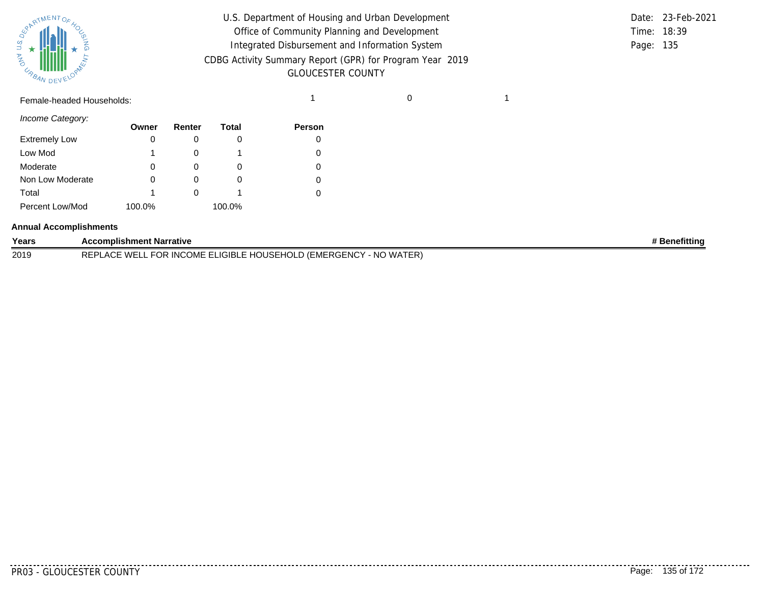

| U.S. Department of Housing and Urban Development         |             | Date: 23-Feb-2021 |
|----------------------------------------------------------|-------------|-------------------|
| Office of Community Planning and Development             | Time: 18:39 |                   |
| Integrated Disbursement and Information System           | Page: 135   |                   |
| CDBG Activity Summary Report (GPR) for Program Year 2019 |             |                   |
| <b>GLOUCESTER COUNTY</b>                                 |             |                   |

# Female-headed Households: 1 0 1

*Income Category:*

|                      | Owner  | Renter | Total  | <b>Person</b> |
|----------------------|--------|--------|--------|---------------|
| <b>Extremely Low</b> | 0      |        |        |               |
| Low Mod              | 1      |        |        |               |
| Moderate             | 0      |        | O      |               |
| Non Low Moderate     | 0      |        |        |               |
| Total                | 1      |        |        |               |
| Percent Low/Mod      | 100.0% |        | 100.0% |               |

# **Annual Accomplishments**

| Years | <b>Accomplishment Narrative</b>                                                                         | ' Benefittinc |
|-------|---------------------------------------------------------------------------------------------------------|---------------|
| 2019  | LD (EMERGENCY<br>[ER]<br>. FOR INCOME ELIGIBLE HOUSEHOLD<br>- NO WAT<br><b>WEL</b><br><b>REPI</b><br>ΑO |               |

PR03 - GLOUCESTER COUNTY Page: 135 of 172

--------

. . . . . . . . . . .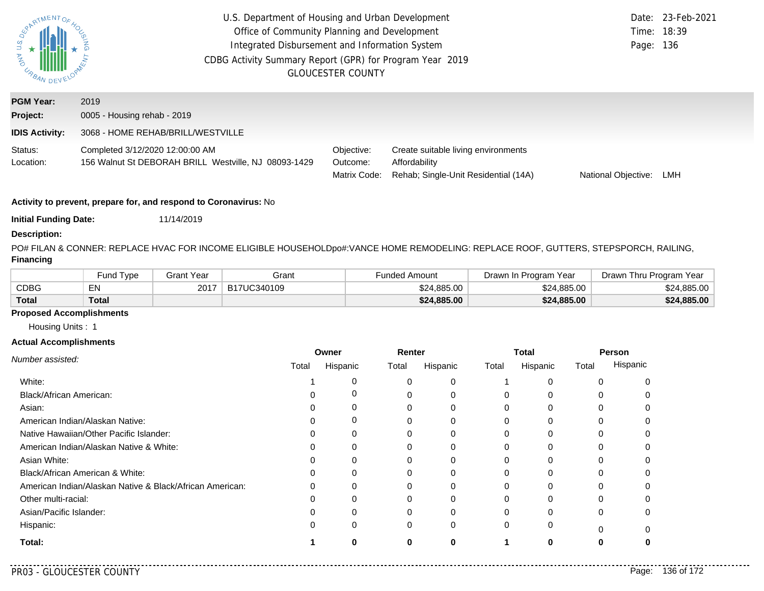| $USQ_{\mathcal{E}}$<br><b>AND</b><br>URBAN DEV | U.S. Department of Housing and Urban Development<br>Office of Community Planning and Development<br>Integrated Disbursement and Information System<br>CDBG Activity Summary Report (GPR) for Program Year 2019<br><b>GLOUCESTER COUNTY</b> | Page: 136                              | Date: 23-Feb-2021<br>Time: 18:39                                                             |                     |     |
|------------------------------------------------|--------------------------------------------------------------------------------------------------------------------------------------------------------------------------------------------------------------------------------------------|----------------------------------------|----------------------------------------------------------------------------------------------|---------------------|-----|
| <b>PGM Year:</b>                               | 2019                                                                                                                                                                                                                                       |                                        |                                                                                              |                     |     |
| Project:                                       | 0005 - Housing rehab - 2019                                                                                                                                                                                                                |                                        |                                                                                              |                     |     |
| <b>IDIS Activity:</b>                          | 3068 - HOME REHAB/BRILL/WESTVILLE                                                                                                                                                                                                          |                                        |                                                                                              |                     |     |
| Status:<br>Location:                           | Completed 3/12/2020 12:00:00 AM<br>156 Walnut St DEBORAH BRILL Westville, NJ 08093-1429                                                                                                                                                    | Objective:<br>Outcome:<br>Matrix Code: | Create suitable living environments<br>Affordability<br>Rehab; Single-Unit Residential (14A) | National Objective: | LMH |
|                                                |                                                                                                                                                                                                                                            |                                        |                                                                                              |                     |     |

**Initial Funding Date:** 11/14/2019

## **Description:**

PO# FILAN & CONNER: REPLACE HVAC FOR INCOME ELIGIBLE HOUSEHOLDpo#:VANCE HOME REMODELING: REPLACE ROOF, GUTTERS, STEPSPORCH, RAILING, **Financing**

|              | und Type <sup>-</sup> | Grant Year | Grant       | Funded Amount | Drawn In Program Year | Drawn Thru Program Year |
|--------------|-----------------------|------------|-------------|---------------|-----------------------|-------------------------|
| CDBG         | <b>EIV</b>            | 2017       | B17UC340109 | \$24,885.00   | \$24,885,00           | \$24.885.00             |
| <b>Total</b> | Total                 |            |             | \$24,885.00   | \$24,885.00           | \$24,885.00             |

## **Proposed Accomplishments**

Housing Units : 1

|                                                          | Owner |          | Renter |          | <b>Total</b> |          | Person |          |
|----------------------------------------------------------|-------|----------|--------|----------|--------------|----------|--------|----------|
| Number assisted:                                         | Total | Hispanic | Total  | Hispanic | Total        | Hispanic | Total  | Hispanic |
| White:                                                   |       | C        |        | 0        |              |          | O      |          |
| Black/African American:                                  |       | C        |        | 0        | $\Omega$     | ∩        | U      |          |
| Asian:                                                   |       | C        |        | 0        | 0            | 0        | 0      |          |
| American Indian/Alaskan Native:                          |       | 0        |        | 0        | 0            | $\Omega$ | 0      |          |
| Native Hawaiian/Other Pacific Islander:                  |       |          |        |          |              | ∩        |        |          |
| American Indian/Alaskan Native & White:                  |       | 0        |        | 0        | 0            | $\Omega$ | 0      |          |
| Asian White:                                             |       |          |        |          |              | $\Omega$ | O      |          |
| Black/African American & White:                          |       | 0        |        | 0        | 0            | $\Omega$ | ი      |          |
| American Indian/Alaskan Native & Black/African American: |       | 0        |        | 0        | 0            | $\Omega$ | 0      |          |
| Other multi-racial:                                      |       |          |        |          |              | U        |        |          |
| Asian/Pacific Islander:                                  |       | 0        | U      | 0        | $\Omega$     | $\Omega$ | 0      |          |
| Hispanic:                                                |       | 0        | 0      | 0        | 0            | 0        | O      |          |
| Total:                                                   |       | O        | Λ      | ŋ        |              | ŋ        | O      |          |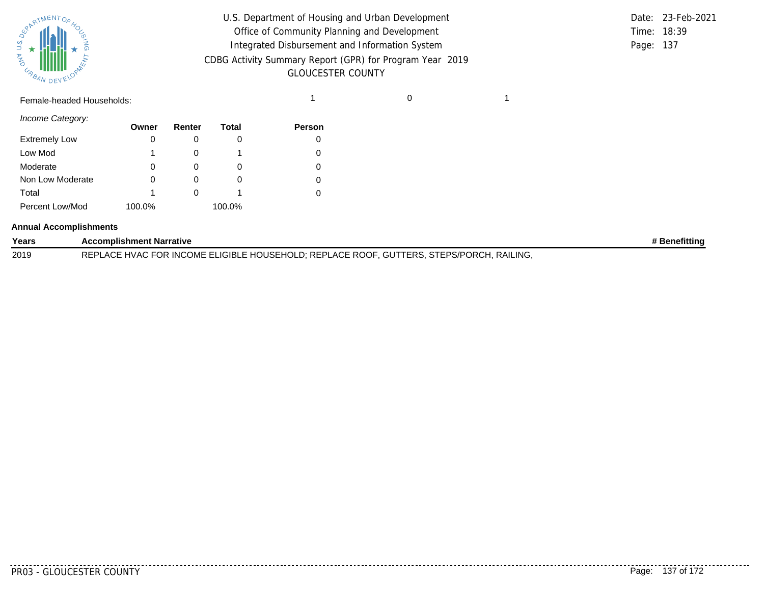

| $\frac{u s \, o_{\xi}}{\star}$<br>$\alpha_{\beta_{A_{N}}}\text{minim}$ | U.S. Department of Housing and Urban Development<br>Office of Community Planning and Development<br>Integrated Disbursement and Information System<br>CDBG Activity Summary Report (GPR) for Program Year 2019<br><b>GLOUCESTER COUNTY</b> |  | Date: 23-Feb-2021<br>Time: 18:39<br>Page: 137 |
|------------------------------------------------------------------------|--------------------------------------------------------------------------------------------------------------------------------------------------------------------------------------------------------------------------------------------|--|-----------------------------------------------|
| Female-headed Households:                                              |                                                                                                                                                                                                                                            |  |                                               |

|             | Date: 23-Feb-2021 |
|-------------|-------------------|
| Time: 18:39 |                   |
| Page: 137   |                   |

*Income Category:*

|                      | Owner  | Renter   | Total  | <b>Person</b> |
|----------------------|--------|----------|--------|---------------|
| <b>Extremely Low</b> | 0      |          |        |               |
| Low Mod              |        |          |        |               |
| Moderate             | 0      | $\Omega$ | O      |               |
| Non Low Moderate     | 0      |          |        |               |
| Total                | 1      |          |        |               |
| Percent Low/Mod      | 100.0% |          | 100.0% |               |

#### **Annual Accomplishments**

| Years | <b>Accomplishment Narrative</b>                                                               | <b>Benefitting</b> |
|-------|-----------------------------------------------------------------------------------------------|--------------------|
| 2019  | REPLACE HVAC FOR INCOME ELIGIBLE HOUSEHOLD; REPLACE ROOF, GUTTERS, STEPS/PORCH, .<br>RAILING. |                    |

<u>. . . . . . . . . . .</u>

........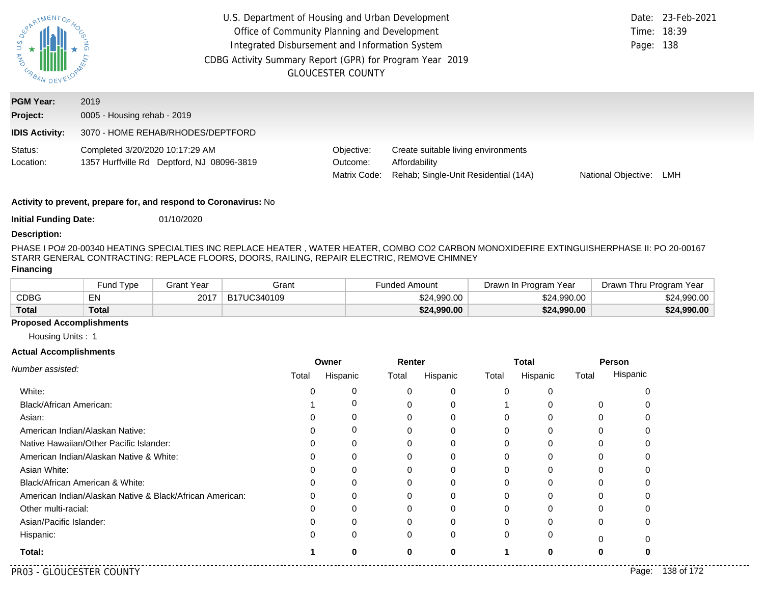| S n<br><b>MAG</b><br>URBAN DEV                        | U.S. Department of Housing and Urban Development<br>Office of Community Planning and Development<br>Integrated Disbursement and Information System<br>CDBG Activity Summary Report (GPR) for Program Year 2019<br><b>GLOUCESTER COUNTY</b> |                                        |                                                                                              |                     | Date: 23-Feb-2021<br>Time: 18:39<br>Page: 138 |
|-------------------------------------------------------|--------------------------------------------------------------------------------------------------------------------------------------------------------------------------------------------------------------------------------------------|----------------------------------------|----------------------------------------------------------------------------------------------|---------------------|-----------------------------------------------|
| <b>PGM Year:</b><br>Project:<br><b>IDIS Activity:</b> | 2019<br>0005 - Housing rehab - 2019<br>3070 - HOME REHAB/RHODES/DEPTFORD                                                                                                                                                                   |                                        |                                                                                              |                     |                                               |
| Status:<br>Location:                                  | Completed 3/20/2020 10:17:29 AM<br>1357 Hurffville Rd Deptford, NJ 08096-3819                                                                                                                                                              | Objective:<br>Outcome:<br>Matrix Code: | Create suitable living environments<br>Affordability<br>Rehab; Single-Unit Residential (14A) | National Objective: | LMH                                           |

**Initial Funding Date:** 01/10/2020

#### **Description:**

PHASE I PO# 20-00340 HEATING SPECIALTIES INC REPLACE HEATER, WATER HEATER, COMBO CO2 CARBON MONOXIDEFIRE EXTINGUISHERPHASE II: PO 20-00167 STARR GENERAL CONTRACTING: REPLACE FLOORS, DOORS, RAILING, REPAIR ELECTRIC, REMOVE CHIMNEY

#### **Financing**

|              | <b>Fund Type</b> | Grant Year | Grant       | Funded Amount | Drawn In Program Year | Drawn Thru Program Year |
|--------------|------------------|------------|-------------|---------------|-----------------------|-------------------------|
| CDBG         | EN               | 2017       | B17UC340109 | \$24,990.00   | \$24,990,00           | \$24,990.00             |
| <b>Total</b> | <b>Total</b>     |            |             | \$24,990.00   | \$24,990.00           | \$24,990.00             |

## **Proposed Accomplishments**

Housing Units : 1

|                                                          | Owner    |          | Renter |          | <b>Total</b> |          | Person |          |
|----------------------------------------------------------|----------|----------|--------|----------|--------------|----------|--------|----------|
| Number assisted:                                         | Total    | Hispanic | Total  | Hispanic | Total        | Hispanic | Total  | Hispanic |
| White:                                                   |          | 0        |        | 0        |              |          |        |          |
| Black/African American:                                  |          |          | 0      | $\Omega$ |              |          | 0      |          |
| Asian:                                                   |          |          | 0      | 0        |              |          |        |          |
| American Indian/Alaskan Native:                          |          | 0        | 0      | $\Omega$ |              |          |        |          |
| Native Hawaiian/Other Pacific Islander:                  |          |          |        | 0        |              |          |        |          |
| American Indian/Alaskan Native & White:                  |          | 0        | 0      | 0        |              |          |        |          |
| Asian White:                                             |          |          |        | 0        |              |          |        |          |
| Black/African American & White:                          |          |          |        | U        |              |          |        |          |
| American Indian/Alaskan Native & Black/African American: | $\Omega$ | $\Omega$ | 0      | $\Omega$ | O            | ∩        | 0      |          |
| Other multi-racial:                                      |          |          |        | 0        |              |          |        |          |
| Asian/Pacific Islander:                                  |          |          |        | U        |              |          | 0      |          |
| Hispanic:                                                |          | $\Omega$ | 0      | $\Omega$ | 0            | $\Omega$ |        |          |
| Total:                                                   |          | O        | 0      | 0        |              |          |        |          |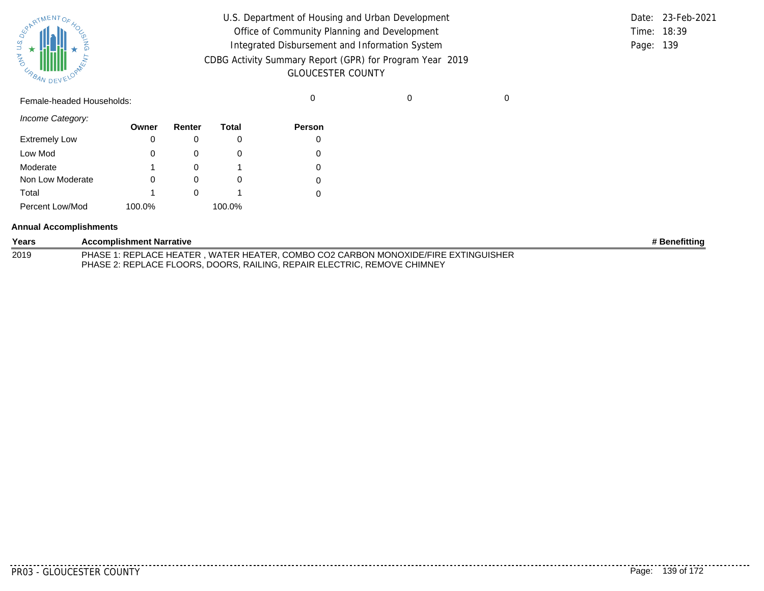

| U.S. Department of Housing and Urban Development         |           | Date: 23-Feb-2021 |
|----------------------------------------------------------|-----------|-------------------|
| Office of Community Planning and Development             |           | Time: 18:39       |
| Integrated Disbursement and Information System           | Page: 139 |                   |
| CDBG Activity Summary Report (GPR) for Program Year 2019 |           |                   |
| <b>GLOUCESTER COUNTY</b>                                 |           |                   |

Female-headed Households: 0 0 0

*Income Category:*

|                      | Owner  | Renter | <b>Total</b> | Person |
|----------------------|--------|--------|--------------|--------|
| <b>Extremely Low</b> | 0      |        |              | 0      |
| Low Mod              | 0      |        |              | 0      |
| Moderate             | 1      |        |              | 0      |
| Non Low Moderate     | Ω      |        |              | 0      |
| Total                | 1      |        |              | 0      |
| Percent Low/Mod      | 100.0% |        | 100.0%       |        |

#### **Annual Accomplishments**

| Years | <b>Accomplishment Narrative</b>                                                    | # Benefitting |
|-------|------------------------------------------------------------------------------------|---------------|
| 2019  | PHASE 1: REPLACE HEATER, WATER HEATER, COMBO CO2 CARBON MONOXIDE/FIRE EXTINGUISHER |               |
|       | PHASE 2: REPLACE FLOORS, DOORS, RAILING, REPAIR ELECTRIC, REMOVE CHIMNEY           |               |

. . . . . . . .

........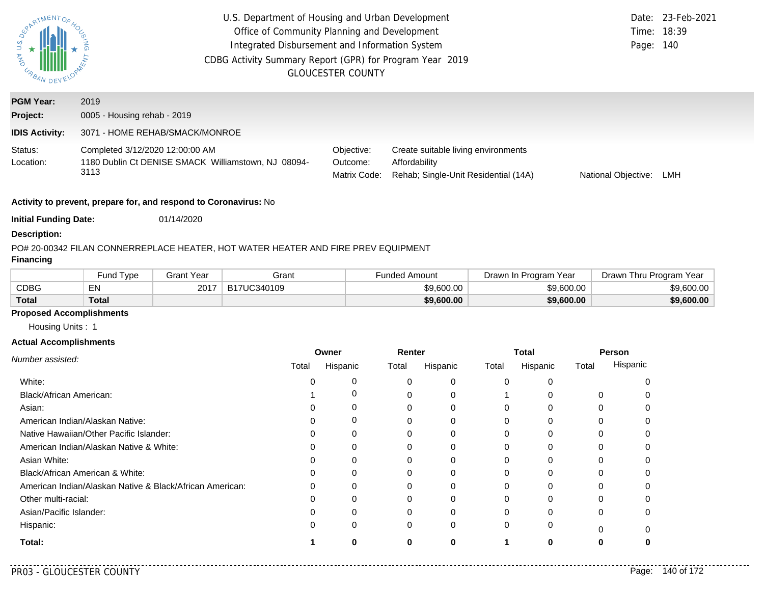| PARTMENTOR<br>US<br><b>MAG</b><br>URBAN DEV | U.S. Department of Housing and Urban Development<br>Date: 23-Feb-2021<br>Office of Community Planning and Development<br>Time: 18:39<br>Integrated Disbursement and Information System<br>Page: 140<br>CDBG Activity Summary Report (GPR) for Program Year 2019<br><b>GLOUCESTER COUNTY</b> |                                        |                                                                                              |                            |     |
|---------------------------------------------|---------------------------------------------------------------------------------------------------------------------------------------------------------------------------------------------------------------------------------------------------------------------------------------------|----------------------------------------|----------------------------------------------------------------------------------------------|----------------------------|-----|
| <b>PGM Year:</b>                            | 2019                                                                                                                                                                                                                                                                                        |                                        |                                                                                              |                            |     |
| Project:                                    | 0005 - Housing rehab - 2019                                                                                                                                                                                                                                                                 |                                        |                                                                                              |                            |     |
| <b>IDIS Activity:</b>                       | 3071 - HOME REHAB/SMACK/MONROE                                                                                                                                                                                                                                                              |                                        |                                                                                              |                            |     |
| Status:<br>Location:                        | Completed 3/12/2020 12:00:00 AM<br>1180 Dublin Ct DENISE SMACK Williamstown, NJ 08094-<br>3113                                                                                                                                                                                              | Objective:<br>Outcome:<br>Matrix Code: | Create suitable living environments<br>Affordability<br>Rehab: Single-Unit Residential (14A) | <b>National Objective:</b> | LMH |

**Initial Funding Date:** 01/14/2020

#### **Description:**

## PO# 20-00342 FILAN CONNER
REPLACE HEATER, HOT WATER HEATER AND FIRE PREV EQUIPMENT

## **Financing**

|              | <b>Fund Type</b> | Grant Year | Grant       | Funded Amount | Drawn In Program Year | Drawn Thru Program Year |
|--------------|------------------|------------|-------------|---------------|-----------------------|-------------------------|
| <b>CDBG</b>  | EN               | 2017       | B17UC340109 | \$9,600.00    | \$9,600.00            | \$9,600.00              |
| <b>Total</b> | Total            |            |             | \$9,600.00    | \$9.600.00            | \$9,600.00              |

## **Proposed Accomplishments**

Housing Units : 1

#### **Actual Accomplishments**

|                                                          | Owner |          | Renter |          | <b>Total</b> |          | Person |          |
|----------------------------------------------------------|-------|----------|--------|----------|--------------|----------|--------|----------|
| Number assisted:                                         | Total | Hispanic | Total  | Hispanic | Total        | Hispanic | Total  | Hispanic |
| White:                                                   |       |          |        | 0        |              |          |        |          |
| Black/African American:                                  |       |          |        | $\Omega$ |              |          |        |          |
| Asian:                                                   |       |          |        | 0        |              |          |        |          |
| American Indian/Alaskan Native:                          |       | O        |        | $\Omega$ |              |          |        |          |
| Native Hawaiian/Other Pacific Islander:                  |       |          |        |          |              |          |        |          |
| American Indian/Alaskan Native & White:                  |       | O        |        | 0        |              |          |        |          |
| Asian White:                                             |       |          |        |          |              |          |        |          |
| Black/African American & White:                          |       |          |        | 0        |              |          |        |          |
| American Indian/Alaskan Native & Black/African American: |       |          |        | $\Omega$ |              |          |        |          |
| Other multi-racial:                                      |       |          |        |          |              |          |        |          |
| Asian/Pacific Islander:                                  |       |          |        | $\Omega$ |              |          | 0      |          |
| Hispanic:                                                |       | 0        | 0      | 0        |              |          |        |          |
| Total:                                                   |       |          | 0      | 0        |              |          | o      |          |

. . . . .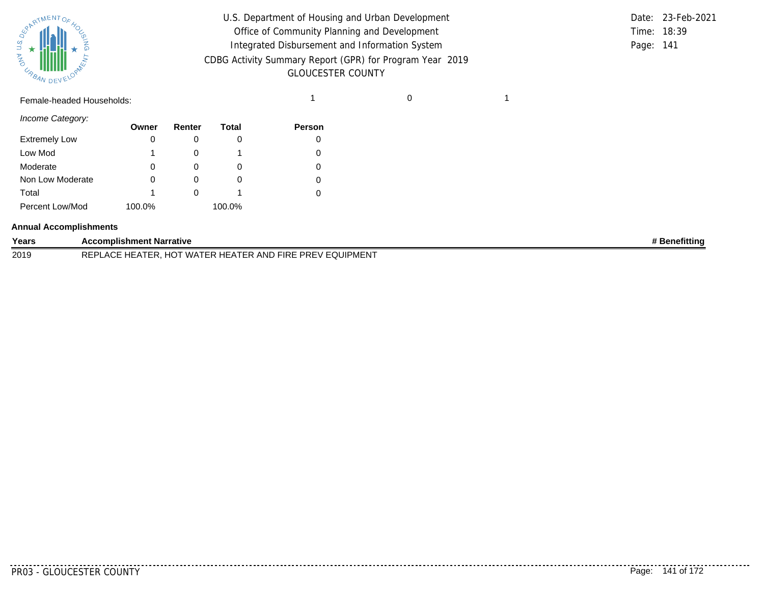

| U.S. Department of Housing and Urban Development         |           | Date: 23-Feb-2021 |
|----------------------------------------------------------|-----------|-------------------|
| Office of Community Planning and Development             |           | Time: 18:39       |
| Integrated Disbursement and Information System           | Page: 141 |                   |
| CDBG Activity Summary Report (GPR) for Program Year 2019 |           |                   |
| <b>GLOUCESTER COUNTY</b>                                 |           |                   |

# Female-headed Households: 1 0 1

*Income Category:*

|                      | Owner  | Renter | Total  | <b>Person</b> |
|----------------------|--------|--------|--------|---------------|
| <b>Extremely Low</b> | 0      |        | U      |               |
| Low Mod              |        |        |        |               |
| Moderate             | 0      | O)     | O      |               |
| Non Low Moderate     | 0      |        | O      |               |
| Total                |        |        |        |               |
| Percent Low/Mod      | 100.0% |        | 100.0% |               |

#### **Annual Accomplishments**

| Years | <b>Accomplishment Narrative</b>                                                                                                                                                                                       | lenefittinc |
|-------|-----------------------------------------------------------------------------------------------------------------------------------------------------------------------------------------------------------------------|-------------|
| 2019  | $\sim$<br>EQUIPMENT<br>DEDI<br>AND<br><b>PREV</b><br><b>FIRE</b><br>$\Lambda$<br>VV A<br><b>HFAIFR</b><br>1 U<br>∼<br>the contract of the contract of the contract of the contract of the contract of the contract of |             |

. . . . . . . . . .

........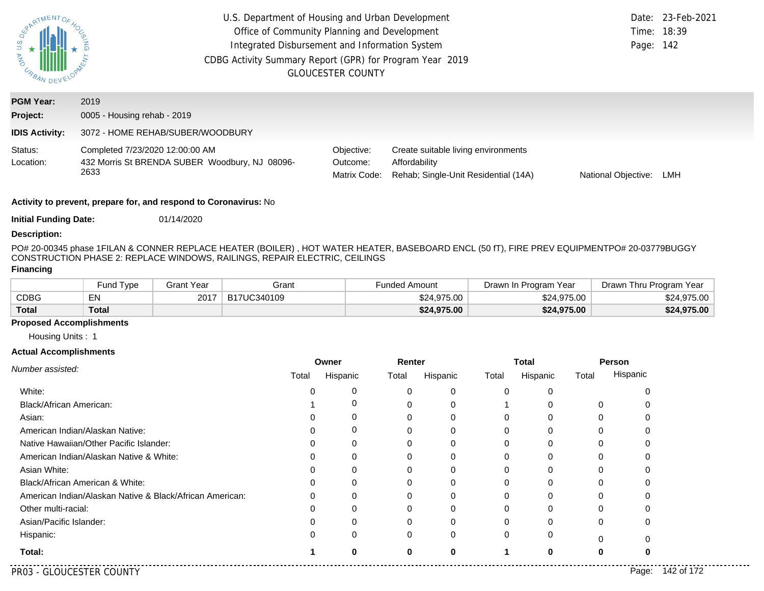| <b>PLA</b><br>URBAN DES      | U.S. Department of Housing and Urban Development<br>Office of Community Planning and Development<br>Time: 18:39<br>Integrated Disbursement and Information System<br>Page: 142<br>CDBG Activity Summary Report (GPR) for Program Year 2019<br><b>GLOUCESTER COUNTY</b> |                                        |                                                                                              |                            |     |  |  |
|------------------------------|------------------------------------------------------------------------------------------------------------------------------------------------------------------------------------------------------------------------------------------------------------------------|----------------------------------------|----------------------------------------------------------------------------------------------|----------------------------|-----|--|--|
| <b>PGM Year:</b><br>Project: | 2019<br>0005 - Housing rehab - 2019                                                                                                                                                                                                                                    |                                        |                                                                                              |                            |     |  |  |
| <b>IDIS Activity:</b>        | 3072 - HOME REHAB/SUBER/WOODBURY                                                                                                                                                                                                                                       |                                        |                                                                                              |                            |     |  |  |
| Status:<br>Location:         | Completed 7/23/2020 12:00:00 AM<br>432 Morris St BRENDA SUBER Woodbury, NJ 08096-<br>2633                                                                                                                                                                              | Objective:<br>Outcome:<br>Matrix Code: | Create suitable living environments<br>Affordability<br>Rehab; Single-Unit Residential (14A) | <b>National Objective:</b> | LMH |  |  |

**Initial Funding Date:** 01/14/2020

#### **Description:**

PO# 20-00345 phase 1
FILAN & CONNER REPLACE HEATER (BOILER) , HOT WATER HEATER, BASEBOARD ENCL (50 fT), FIRE PREV EQUIPMENT
PO# 20-03779
BUGGY CONSTRUCTION PHASE 2: REPLACE WINDOWS, RAILINGS, REPAIR ELECTRIC, CEILINGS

## **Financing**

|              | <b>Fund Type</b> | <b>Grant Year</b> | Grant       | Funded Amount | Drawn In Program Year | Drawn Thru Program Year |
|--------------|------------------|-------------------|-------------|---------------|-----------------------|-------------------------|
| CDBG         | EN               | 2017              | B17UC340109 | \$24,975.00   | \$24,975.00           | \$24,975.00             |
| <b>Total</b> | <b>Total</b>     |                   |             | \$24,975.00   | \$24,975.00           | \$24,975.00             |

## **Proposed Accomplishments**

Housing Units : 1

|                                                          | Owner    |          | Renter   |          | <b>Total</b> |          | Person   |          |
|----------------------------------------------------------|----------|----------|----------|----------|--------------|----------|----------|----------|
| Number assisted:                                         | Total    | Hispanic | Total    | Hispanic | Total        | Hispanic | Total    | Hispanic |
| White:                                                   |          | 0        |          | 0        | 0            |          |          | n        |
| Black/African American:                                  |          | 0        |          | 0        |              |          | $\Omega$ |          |
| Asian:                                                   |          | 0        | 0        | 0        |              |          |          |          |
| American Indian/Alaskan Native:                          | n        | 0        |          | 0        |              | $\Omega$ | U        | O        |
| Native Hawaiian/Other Pacific Islander:                  |          | 0        |          | 0        |              |          |          |          |
| American Indian/Alaskan Native & White:                  | Ω        | 0        | 0        | 0        |              | 0        | 0        | O        |
| Asian White:                                             |          | 0        |          | 0        |              |          |          |          |
| Black/African American & White:                          | 0        | 0        |          |          |              |          |          |          |
| American Indian/Alaskan Native & Black/African American: | $\Omega$ | 0        | 0        | 0        |              | $\Omega$ | 0        | 0        |
| Other multi-racial:                                      |          | 0        |          | 0        |              | $\Omega$ |          |          |
| Asian/Pacific Islander:                                  |          | 0        |          |          |              |          | 0        | 0        |
| Hispanic:                                                |          | $\Omega$ | $\Omega$ | $\Omega$ |              | $\Omega$ | 0        | n        |
| Total:                                                   |          | n        |          | 0        |              |          |          |          |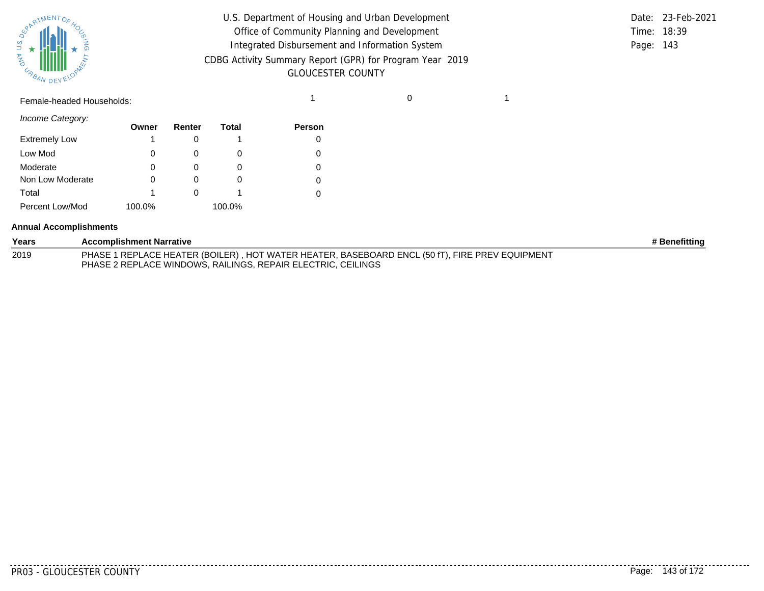

| U.S. Department of Housing and Urban Development         |             | Date: 23-Feb-2021 |
|----------------------------------------------------------|-------------|-------------------|
| Office of Community Planning and Development             | Time: 18:39 |                   |
| Integrated Disbursement and Information System           | Page: 143   |                   |
| CDBG Activity Summary Report (GPR) for Program Year 2019 |             |                   |
| <b>GLOUCESTER COUNTY</b>                                 |             |                   |

# Female-headed Households: 1 0 1

*Income Category:*

|                      | Owner  | Renter | Total  | Person |
|----------------------|--------|--------|--------|--------|
| <b>Extremely Low</b> |        |        |        |        |
| Low Mod              | 0      |        |        |        |
| Moderate             | 0      |        |        |        |
| Non Low Moderate     | 0      |        | O)     |        |
| Total                | 1      |        |        |        |
| Percent Low/Mod      | 100.0% |        | 100.0% |        |

#### **Annual Accomplishments**

| Years | <b>Accomplishment Narrative</b>                                                                                                                                | # Benefitting |
|-------|----------------------------------------------------------------------------------------------------------------------------------------------------------------|---------------|
| 2019  | PHASE 1 REPLACE HEATER (BOILER), HOT WATER HEATER, BASEBOARD ENCL (50 fT), FIRE PREV EQUIPMENT<br>PHASE 2 REPLACE WINDOWS, RAILINGS, REPAIR ELECTRIC, CEILINGS |               |

. . . . . . . . .

........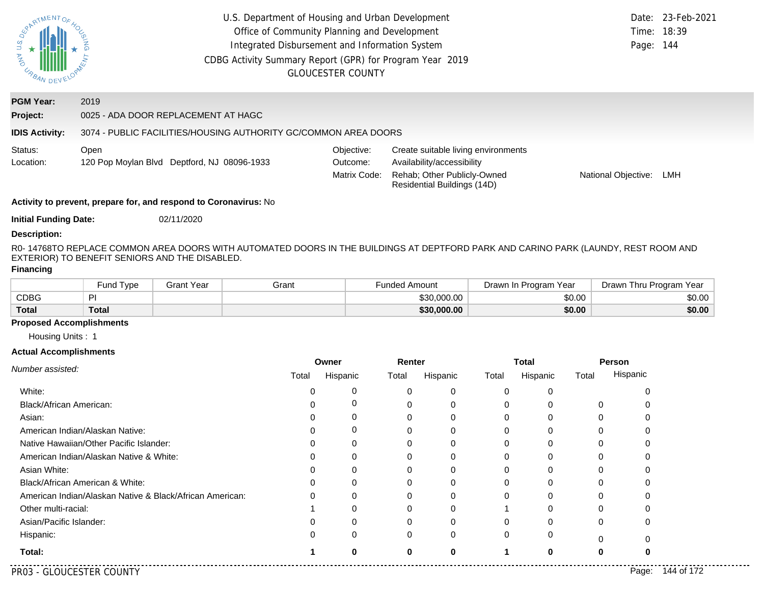| South MENTOS<br><b>MAD</b><br><b>CABAN DEVELO</b> |                                                                                                                                                                                      |                                                                 | U.S. Department of Housing and Urban Development<br>Office of Community Planning and Development<br>Integrated Disbursement and Information System<br>CDBG Activity Summary Report (GPR) for Program Year 2019<br><b>GLOUCESTER COUNTY</b> |        |                          |                      |                                                                                          |                                     | Time:<br>Page: 144    | Date: 23-Feb-2021<br>18:39 |                     |                         |
|---------------------------------------------------|--------------------------------------------------------------------------------------------------------------------------------------------------------------------------------------|-----------------------------------------------------------------|--------------------------------------------------------------------------------------------------------------------------------------------------------------------------------------------------------------------------------------------|--------|--------------------------|----------------------|------------------------------------------------------------------------------------------|-------------------------------------|-----------------------|----------------------------|---------------------|-------------------------|
| <b>PGM Year:</b>                                  | 2019                                                                                                                                                                                 |                                                                 |                                                                                                                                                                                                                                            |        |                          |                      |                                                                                          |                                     |                       |                            |                     |                         |
| Project:                                          | 0025 - ADA DOOR REPLACEMENT AT HAGC                                                                                                                                                  |                                                                 |                                                                                                                                                                                                                                            |        |                          |                      |                                                                                          |                                     |                       |                            |                     |                         |
| <b>IDIS Activity:</b>                             |                                                                                                                                                                                      | 3074 - PUBLIC FACILITIES/HOUSING AUTHORITY GC/COMMON AREA DOORS |                                                                                                                                                                                                                                            |        |                          |                      |                                                                                          |                                     |                       |                            |                     |                         |
| Status:                                           | Open                                                                                                                                                                                 |                                                                 |                                                                                                                                                                                                                                            |        | Objective:               |                      |                                                                                          | Create suitable living environments |                       |                            |                     |                         |
| Location:                                         | 120 Pop Moylan Blvd Deptford, NJ 08096-1933                                                                                                                                          |                                                                 |                                                                                                                                                                                                                                            |        | Outcome:<br>Matrix Code: |                      | Availability/accessibility<br>Rehab; Other Publicly-Owned<br>Residential Buildings (14D) |                                     |                       |                            | National Objective: | LMH                     |
|                                                   | Activity to prevent, prepare for, and respond to Coronavirus: No                                                                                                                     |                                                                 |                                                                                                                                                                                                                                            |        |                          |                      |                                                                                          |                                     |                       |                            |                     |                         |
| <b>Initial Funding Date:</b>                      |                                                                                                                                                                                      | 02/11/2020                                                      |                                                                                                                                                                                                                                            |        |                          |                      |                                                                                          |                                     |                       |                            |                     |                         |
| <b>Description:</b>                               |                                                                                                                                                                                      |                                                                 |                                                                                                                                                                                                                                            |        |                          |                      |                                                                                          |                                     |                       |                            |                     |                         |
|                                                   | R0-14768TO REPLACE COMMON AREA DOORS WITH AUTOMATED DOORS IN THE BUILDINGS AT DEPTFORD PARK AND CARINO PARK (LAUNDY, REST ROOM AND<br>EXTERIOR) TO BENEFIT SENIORS AND THE DISABLED. |                                                                 |                                                                                                                                                                                                                                            |        |                          |                      |                                                                                          |                                     |                       |                            |                     |                         |
| <b>Financing</b>                                  |                                                                                                                                                                                      |                                                                 |                                                                                                                                                                                                                                            |        |                          |                      |                                                                                          |                                     |                       |                            |                     |                         |
|                                                   | Fund Type                                                                                                                                                                            | <b>Grant Year</b>                                               | Grant                                                                                                                                                                                                                                      |        |                          | <b>Funded Amount</b> |                                                                                          |                                     | Drawn In Program Year |                            |                     | Drawn Thru Program Year |
| <b>CDBG</b>                                       | PI                                                                                                                                                                                   |                                                                 |                                                                                                                                                                                                                                            |        |                          |                      | \$30,000.00                                                                              |                                     |                       | \$0.00                     |                     | \$0.00                  |
| <b>Total</b>                                      | <b>Total</b>                                                                                                                                                                         |                                                                 |                                                                                                                                                                                                                                            |        |                          |                      | \$30,000.00                                                                              |                                     |                       | \$0.00                     |                     | \$0.00                  |
| <b>Proposed Accomplishments</b>                   |                                                                                                                                                                                      |                                                                 |                                                                                                                                                                                                                                            |        |                          |                      |                                                                                          |                                     |                       |                            |                     |                         |
| Housing Units: 1                                  |                                                                                                                                                                                      |                                                                 |                                                                                                                                                                                                                                            |        |                          |                      |                                                                                          |                                     |                       |                            |                     |                         |
| <b>Actual Accomplishments</b>                     |                                                                                                                                                                                      |                                                                 |                                                                                                                                                                                                                                            | Owner  |                          | Renter               |                                                                                          |                                     | <b>Total</b>          | Person                     |                     |                         |
| Number assisted:                                  |                                                                                                                                                                                      |                                                                 |                                                                                                                                                                                                                                            | Total  | Hispanic                 | Total                | Hispanic                                                                                 | Total                               | Hispanic              | Total                      | Hispanic            |                         |
|                                                   |                                                                                                                                                                                      |                                                                 |                                                                                                                                                                                                                                            |        |                          |                      |                                                                                          |                                     |                       |                            |                     |                         |
|                                                   |                                                                                                                                                                                      |                                                                 |                                                                                                                                                                                                                                            |        |                          |                      |                                                                                          |                                     |                       |                            |                     |                         |
| White:                                            |                                                                                                                                                                                      |                                                                 |                                                                                                                                                                                                                                            | 0<br>0 | 0<br>$\boldsymbol{0}$    | 0<br>0               | 0                                                                                        | 0<br>0                              | 0                     |                            | 0<br>0              |                         |
| Black/African American:<br>Asian:                 |                                                                                                                                                                                      |                                                                 |                                                                                                                                                                                                                                            | 0      | 0                        | 0                    | 0<br>0                                                                                   | 0                                   | 0<br>$\mathbf 0$      | 0<br>0                     | 0                   |                         |
|                                                   | American Indian/Alaskan Native:                                                                                                                                                      |                                                                 |                                                                                                                                                                                                                                            | 0      | 0                        | 0                    | 0                                                                                        | 0                                   | 0                     | 0                          | 0                   |                         |
|                                                   | Native Hawaiian/Other Pacific Islander:                                                                                                                                              |                                                                 |                                                                                                                                                                                                                                            |        |                          | $\Omega$             | 0                                                                                        | 0                                   | 0                     | 0                          | $\Omega$            |                         |
|                                                   | American Indian/Alaskan Native & White:                                                                                                                                              |                                                                 |                                                                                                                                                                                                                                            |        | ∩                        |                      | O                                                                                        |                                     | O                     |                            |                     |                         |
| Asian White:                                      |                                                                                                                                                                                      |                                                                 |                                                                                                                                                                                                                                            |        |                          |                      |                                                                                          | O                                   |                       |                            |                     |                         |
|                                                   | Black/African American & White:                                                                                                                                                      |                                                                 |                                                                                                                                                                                                                                            |        |                          |                      |                                                                                          |                                     |                       |                            |                     |                         |
|                                                   | American Indian/Alaskan Native & Black/African American:                                                                                                                             |                                                                 |                                                                                                                                                                                                                                            |        |                          |                      |                                                                                          |                                     |                       |                            |                     |                         |
| Other multi-racial:                               |                                                                                                                                                                                      |                                                                 |                                                                                                                                                                                                                                            |        |                          |                      |                                                                                          |                                     |                       |                            |                     |                         |
| Asian/Pacific Islander:                           |                                                                                                                                                                                      |                                                                 |                                                                                                                                                                                                                                            |        |                          |                      |                                                                                          |                                     |                       |                            |                     |                         |
| Hispanic:                                         |                                                                                                                                                                                      |                                                                 |                                                                                                                                                                                                                                            |        | ∩                        | $\Omega$             | ∩                                                                                        | 0                                   | 0                     | O                          | 0                   |                         |
| Total:                                            |                                                                                                                                                                                      |                                                                 |                                                                                                                                                                                                                                            |        | $\bf{0}$                 | 0                    | $\bf{0}$                                                                                 | 1                                   | $\bf{0}$              | 0                          |                     |                         |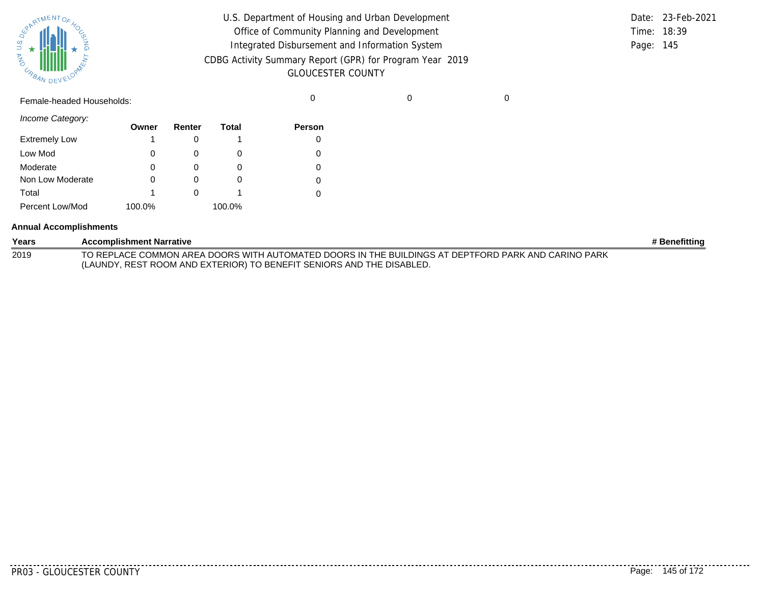

| U.S. Department of Housing and Urban Development         |             | Date: 23-Feb-2021 |
|----------------------------------------------------------|-------------|-------------------|
| Office of Community Planning and Development             | Time: 18:39 |                   |
| Integrated Disbursement and Information System           | Page: 145   |                   |
| CDBG Activity Summary Report (GPR) for Program Year 2019 |             |                   |
| <b>GLOUCESTER COUNTY</b>                                 |             |                   |

Female-headed Households: 0 0 0

*Income Category:*

|                      | Owner  | Renter | <b>Total</b> | Person |
|----------------------|--------|--------|--------------|--------|
| <b>Extremely Low</b> | 1      |        |              | 0      |
| Low Mod              | 0      |        |              | 0      |
| Moderate             | 0      |        | O)           | 0      |
| Non Low Moderate     | 0      |        | $\Omega$     | 0      |
| Total                | 1      |        |              | 0      |
| Percent Low/Mod      | 100.0% |        | 100.0%       |        |

#### **Annual Accomplishments**

| Years | <b>Accomplishment Narrative</b>                                                                     | # Benefitting |
|-------|-----------------------------------------------------------------------------------------------------|---------------|
| 2019  | TO REPLACE COMMON AREA DOORS WITH AUTOMATED DOORS IN THE BUILDINGS AT DEPTFORD PARK AND CARINO PARK |               |
|       | (LAUNDY, REST ROOM AND EXTERIOR) TO BENEFIT SENIORS AND THE DISABLED.                               |               |

. . . . . . . . .

. . . . . . . .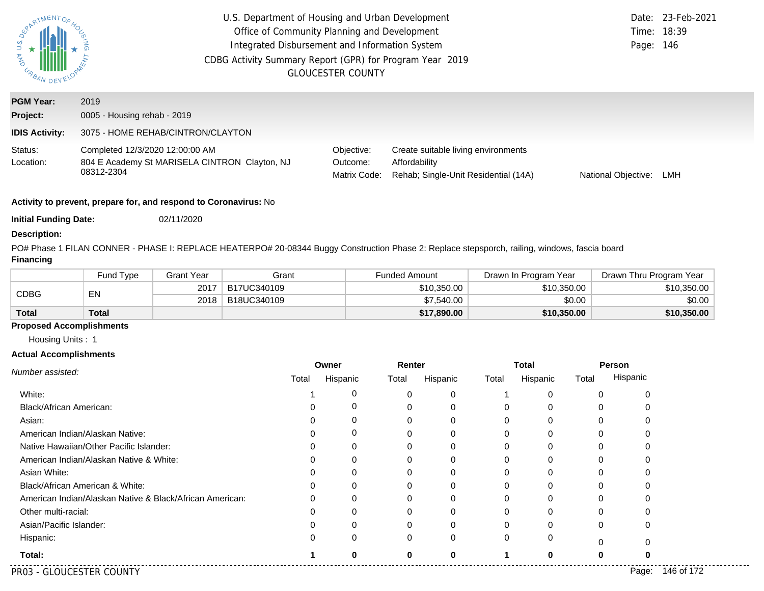| <b>MAG</b><br>URBAN   | U.S. Department of Housing and Urban Development<br>Office of Community Planning and Development<br>Integrated Disbursement and Information System<br>CDBG Activity Summary Report (GPR) for Program Year 2019<br><b>GLOUCESTER COUNTY</b> | Page: 146                              | Date: 23-Feb-2021<br>Time: 18:39                                                             |                     |     |
|-----------------------|--------------------------------------------------------------------------------------------------------------------------------------------------------------------------------------------------------------------------------------------|----------------------------------------|----------------------------------------------------------------------------------------------|---------------------|-----|
| <b>PGM Year:</b>      | 2019                                                                                                                                                                                                                                       |                                        |                                                                                              |                     |     |
| Project:              | 0005 - Housing rehab - 2019                                                                                                                                                                                                                |                                        |                                                                                              |                     |     |
| <b>IDIS Activity:</b> | 3075 - HOME REHAB/CINTRON/CLAYTON                                                                                                                                                                                                          |                                        |                                                                                              |                     |     |
| Status:<br>Location:  | Completed 12/3/2020 12:00:00 AM<br>804 E Academy St MARISELA CINTRON Clayton, NJ<br>08312-2304                                                                                                                                             | Objective:<br>Outcome:<br>Matrix Code: | Create suitable living environments<br>Affordability<br>Rehab: Single-Unit Residential (14A) | National Objective: | LMH |

**Initial Funding Date:** 02/11/2020

#### **Description:**

PO# Phase 1 FILAN CONNER - PHASE I: REPLACE HEATERPO# 20-08344 Buggy Construction Phase 2: Replace stepsporch, railing, windows, fascia board **Financing**

|              | Fund Type | Grant Year | Grant       | <b>Funded Amount</b> | Drawn In Program Year | Drawn Thru Program Year |
|--------------|-----------|------------|-------------|----------------------|-----------------------|-------------------------|
| CDBG         | EN        | 2017       | B17UC340109 | \$10,350.00          | \$10,350,00           | \$10,350,00             |
|              |           | 2018       | B18UC340109 | \$7,540.00           | \$0.00                | \$0.00                  |
| <b>Total</b> | Total     |            |             | \$17,890.00          | \$10,350.00           | \$10,350.00             |

## **Proposed Accomplishments**

Housing Units : 1

#### **Actual Accomplishments**

| Number assisted:                                         | Owner |          | Renter       |          | <b>Total</b> |          | Person |          |
|----------------------------------------------------------|-------|----------|--------------|----------|--------------|----------|--------|----------|
|                                                          | Total | Hispanic | Total        | Hispanic | Total        | Hispanic | Total  | Hispanic |
| White:                                                   |       | 0        | ∩            | $\Omega$ |              | $\Omega$ |        |          |
| <b>Black/African American:</b>                           |       |          |              |          |              | $\Omega$ |        |          |
| Asian:                                                   |       |          |              |          |              | 0        |        |          |
| American Indian/Alaskan Native:                          |       | 0        |              | 0        |              | 0        |        |          |
| Native Hawaiian/Other Pacific Islander:                  |       |          |              |          |              | ∩        |        |          |
| American Indian/Alaskan Native & White:                  |       |          |              |          |              | 0        |        |          |
| Asian White:                                             |       |          |              | 0        |              | 0        |        |          |
| Black/African American & White:                          |       |          |              |          |              |          |        |          |
| American Indian/Alaskan Native & Black/African American: |       | 0        |              |          |              | 0        |        |          |
| Other multi-racial:                                      |       |          |              | $\Omega$ |              | $\Omega$ |        |          |
| Asian/Pacific Islander:                                  |       |          |              |          |              |          |        |          |
| Hispanic:                                                |       | $\Omega$ | <sup>0</sup> | $\Omega$ | 0            | $\Omega$ |        |          |
| Total:                                                   |       | O        | $\Omega$     | O        |              | $\Omega$ |        |          |

PR03 - GLOUCESTER COUNTY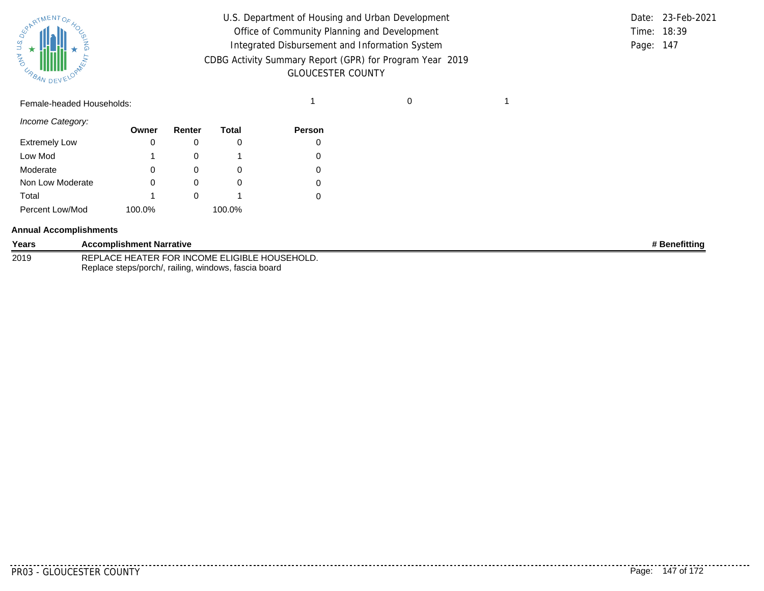

| U.S. Department of Housing and Urban Development         |             | Date: 23-Feb-2021 |
|----------------------------------------------------------|-------------|-------------------|
| Office of Community Planning and Development             | Time: 18:39 |                   |
| Integrated Disbursement and Information System           | Page: 147   |                   |
| CDBG Activity Summary Report (GPR) for Program Year 2019 |             |                   |
| <b>GLOUCESTER COUNTY</b>                                 |             |                   |

**Person**

# Female-headed Households: 1 0 1

| Income Category:     | Owner |
|----------------------|-------|
| <b>Extremely Low</b> |       |

| <b>Extremely Low</b> |              |        | 0 |
|----------------------|--------------|--------|---|
| Low Mod              |              |        | 0 |
| Moderate             | 0            |        | 0 |
| Non Low Moderate     | $\mathbf{0}$ |        | 0 |
| Total                |              |        | 0 |
| Percent Low/Mod      | 100.0%       | 100.0% |   |

**Renter**

**Total**

#### **Annual Accomplishments**

| Years | <b>Accomplishment Narrative</b>                      | <b>≉ Benefittinq</b> |
|-------|------------------------------------------------------|----------------------|
| 2019  | REPLACE HEATER FOR INCOME ELIGIBLE HOUSEHOLD.        |                      |
|       | Replace steps/porch/, railing, windows, fascia board |                      |

........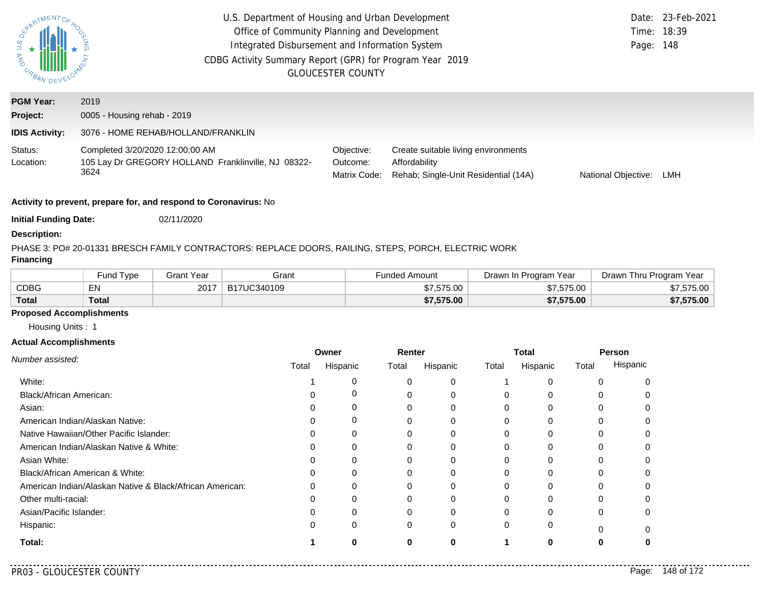| U.S<br>AND<br>P<br>URBAN.    | U.S. Department of Housing and Urban Development<br>Office of Community Planning and Development<br>Integrated Disbursement and Information System<br>CDBG Activity Summary Report (GPR) for Program Year 2019 | <b>GLOUCESTER COUNTY</b>               |                                                                                              | Page: 148           | Date: 23-Feb-2021<br>Time: 18:39 |
|------------------------------|----------------------------------------------------------------------------------------------------------------------------------------------------------------------------------------------------------------|----------------------------------------|----------------------------------------------------------------------------------------------|---------------------|----------------------------------|
| <b>PGM Year:</b><br>Project: | 2019<br>0005 - Housing rehab - 2019                                                                                                                                                                            |                                        |                                                                                              |                     |                                  |
| <b>IDIS Activity:</b>        | 3076 - HOME REHAB/HOLLAND/FRANKLIN                                                                                                                                                                             |                                        |                                                                                              |                     |                                  |
| Status:<br>Location:         | Completed 3/20/2020 12:00:00 AM<br>105 Lay Dr GREGORY HOLLAND Franklinville, NJ 08322-<br>3624                                                                                                                 | Objective:<br>Outcome:<br>Matrix Code: | Create suitable living environments<br>Affordability<br>Rehab; Single-Unit Residential (14A) | National Objective: | LMH                              |

**Initial Funding Date:** 02/11/2020

#### **Description:**

# PHASE 3: PO# 20-01331 BRESCH FAMILY CONTRACTORS: REPLACE DOORS, RAILING, STEPS, PORCH, ELECTRIC WORK

# **Financing**

|              | Fund Type | Grant Year | Grant       | Funded Amount | Drawn In Program Year | Drawn Thru Program Year |
|--------------|-----------|------------|-------------|---------------|-----------------------|-------------------------|
| <b>CDBG</b>  | EN        | 2017       | B17UC340109 | \$7,575.00    | \$7,575.00            | \$7,575.00              |
| <b>Total</b> | Total     |            |             | \$7,575.00    | \$7,575.00            | \$7,575.00              |

# **Proposed Accomplishments**

Housing Units : 1

#### **Actual Accomplishments**

|                                                          | Owner |          | Renter |              | <b>Total</b> |          | Person |          |
|----------------------------------------------------------|-------|----------|--------|--------------|--------------|----------|--------|----------|
| Number assisted:                                         | Total | Hispanic | Total  | Hispanic     | Total        | Hispanic | Total  | Hispanic |
| White:                                                   |       |          |        |              |              |          |        |          |
| Black/African American:                                  |       |          |        | $\Omega$     |              |          |        |          |
| Asian:                                                   |       |          |        | 0            | 0            |          |        |          |
| American Indian/Alaskan Native:                          |       | 0        |        | 0            |              |          |        |          |
| Native Hawaiian/Other Pacific Islander:                  |       |          |        |              |              |          |        |          |
| American Indian/Alaskan Native & White:                  |       | $\Omega$ |        | 0            |              |          |        |          |
| Asian White:                                             |       |          |        |              |              |          |        |          |
| Black/African American & White:                          | 0     | $\Omega$ |        | 0            |              |          |        |          |
| American Indian/Alaskan Native & Black/African American: | 0     | $\Omega$ |        | $\Omega$     |              |          |        |          |
| Other multi-racial:                                      |       |          |        |              |              |          |        |          |
| Asian/Pacific Islander:                                  |       | 0        |        | $\Omega$     |              |          | 0      |          |
| Hispanic:                                                | 0     | $\Omega$ |        | $\mathbf{0}$ | 0            |          |        |          |
| Total:                                                   |       |          | O      | O            |              |          |        |          |

. . . . .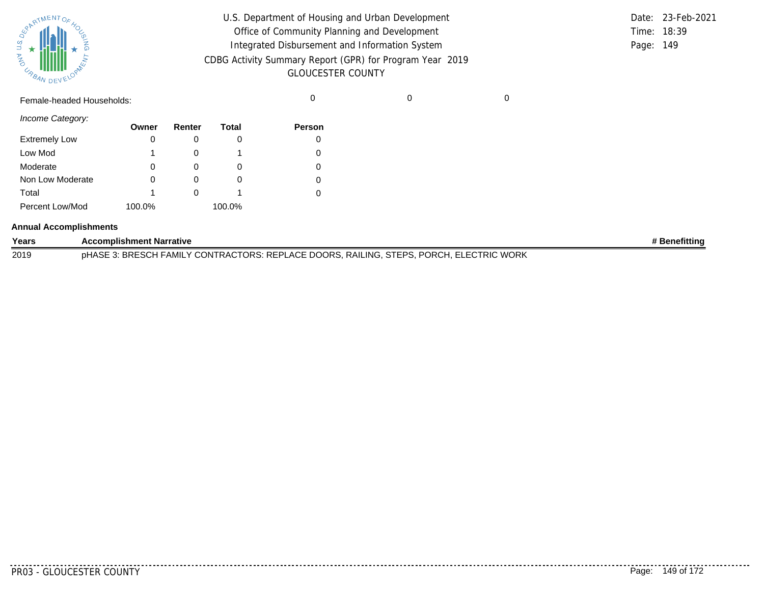| SUPATMENTOF HOL |           |  |
|-----------------|-----------|--|
| URBAN           | DEVELOPAL |  |

| U.S. Department of Housing and Urban Development         |           | Date: 23-Feb-2021 |
|----------------------------------------------------------|-----------|-------------------|
| Office of Community Planning and Development             |           | Time: 18:39       |
| Integrated Disbursement and Information System           | Page: 149 |                   |
| CDBG Activity Summary Report (GPR) for Program Year 2019 |           |                   |
| <b>GLOUCESTER COUNTY</b>                                 |           |                   |

Female-headed Households: 0 0 0

*Income Category:*

|                      | Owner  | Renter | Total  | <b>Person</b> |
|----------------------|--------|--------|--------|---------------|
| <b>Extremely Low</b> |        |        |        |               |
| Low Mod              |        |        |        |               |
| Moderate             | 0      | O)     | O      |               |
| Non Low Moderate     | 0      |        | O      |               |
| Total                |        |        |        |               |
| Percent Low/Mod      | 100.0% |        | 100.0% |               |

#### **Annual Accomplishments**

| Years | <b>Accomplishment Narrative</b>                                                         | ' Benefittina |
|-------|-----------------------------------------------------------------------------------------|---------------|
| 2019  | pHASE 3: BRESCH FAMILY CONTRACTORS: REPLACE DOORS, RAILING, STEPS, PORCH, ELECTRIC WORK |               |

. . . . . . . .

. . . . . . . . .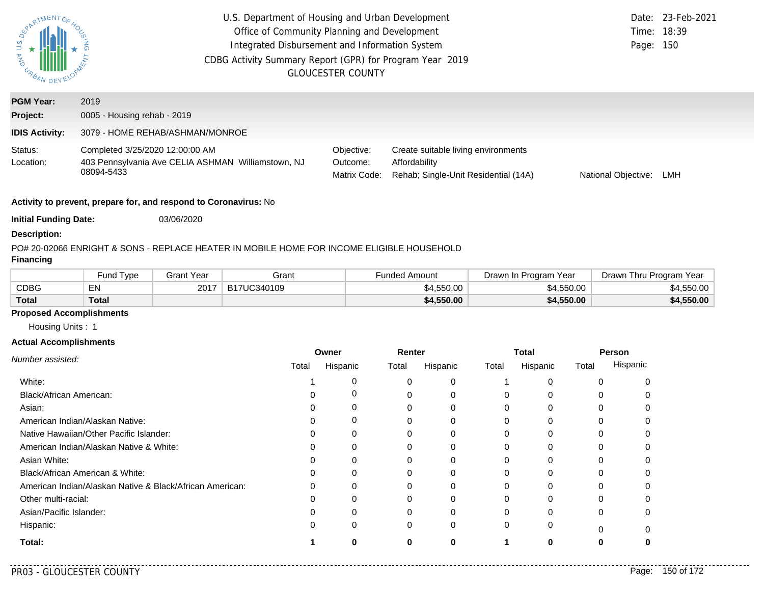| U.S.<br><b>AS IMPRANDE</b> | U.S. Department of Housing and Urban Development<br>Office of Community Planning and Development<br>Integrated Disbursement and Information System<br>CDBG Activity Summary Report (GPR) for Program Year 2019 | <b>GLOUCESTER COUNTY</b>               |                                                                                              | Page: 150                  | Date: 23-Feb-2021<br>Time: 18:39 |
|----------------------------|----------------------------------------------------------------------------------------------------------------------------------------------------------------------------------------------------------------|----------------------------------------|----------------------------------------------------------------------------------------------|----------------------------|----------------------------------|
| <b>PGM Year:</b>           | 2019                                                                                                                                                                                                           |                                        |                                                                                              |                            |                                  |
| Project:                   | 0005 - Housing rehab - 2019                                                                                                                                                                                    |                                        |                                                                                              |                            |                                  |
| <b>IDIS Activity:</b>      | 3079 - HOME REHAB/ASHMAN/MONROE                                                                                                                                                                                |                                        |                                                                                              |                            |                                  |
| Status:<br>Location:       | Completed 3/25/2020 12:00:00 AM<br>403 Pennsylvania Ave CELIA ASHMAN Williamstown, NJ<br>08094-5433                                                                                                            | Objective:<br>Outcome:<br>Matrix Code: | Create suitable living environments<br>Affordability<br>Rehab; Single-Unit Residential (14A) | <b>National Objective:</b> | LMH                              |
|                            |                                                                                                                                                                                                                |                                        |                                                                                              |                            |                                  |

**Initial Funding Date:** 03/06/2020

#### **Description:**

# PO# 20-02066 ENRIGHT & SONS - REPLACE HEATER IN MOBILE HOME FOR INCOME ELIGIBLE HOUSEHOLD

# **Financing**

|              | <b>Fund Type</b> | Grant Year | Grant       | <b>Funded Amount</b> | Drawn In Program Year | Drawn Thru Program Year |
|--------------|------------------|------------|-------------|----------------------|-----------------------|-------------------------|
| <b>CDBG</b>  | EN               | 2017       | B17UC340109 | \$4,550.00           | \$4,550.00            | \$4,550.00              |
| <b>Total</b> | Total            |            |             | \$4,550.00           | \$4,550.00            | \$4,550.00              |

# **Proposed Accomplishments**

Housing Units : 1

#### **Actual Accomplishments**

|                                                          | Owner |          | Renter   |          | <b>Total</b> |              | Person |          |
|----------------------------------------------------------|-------|----------|----------|----------|--------------|--------------|--------|----------|
| Number assisted:                                         | Total | Hispanic | Total    | Hispanic | Total        | Hispanic     | Total  | Hispanic |
| White:                                                   |       | 0        |          | 0        |              |              |        |          |
| <b>Black/African American:</b>                           |       | 0        |          | $\Omega$ | $\Omega$     |              |        |          |
| Asian:                                                   |       | 0        |          | 0        | $\Omega$     |              | 0      |          |
| American Indian/Alaskan Native:                          |       | 0        |          | $\Omega$ | 0            | $\Omega$     |        |          |
| Native Hawaiian/Other Pacific Islander:                  |       | 0        |          |          | 0            |              |        |          |
| American Indian/Alaskan Native & White:                  |       | 0        |          | 0        | $\Omega$     | $\Omega$     | 0      |          |
| Asian White:                                             |       | 0        |          |          | 0            |              |        |          |
| Black/African American & White:                          |       | 0        |          |          | $\Omega$     |              |        |          |
| American Indian/Alaskan Native & Black/African American: |       | $\Omega$ |          | $\Omega$ | $\Omega$     | <sup>0</sup> |        |          |
| Other multi-racial:                                      |       | O        |          |          | O            |              |        |          |
| Asian/Pacific Islander:                                  |       | 0        |          | $\Omega$ | $\Omega$     |              | 0      |          |
| Hispanic:                                                |       | $\Omega$ | $\Omega$ | 0        | $\Omega$     | 0            | ŋ      |          |
| Total:                                                   |       |          |          |          |              | n            |        |          |

. . . . .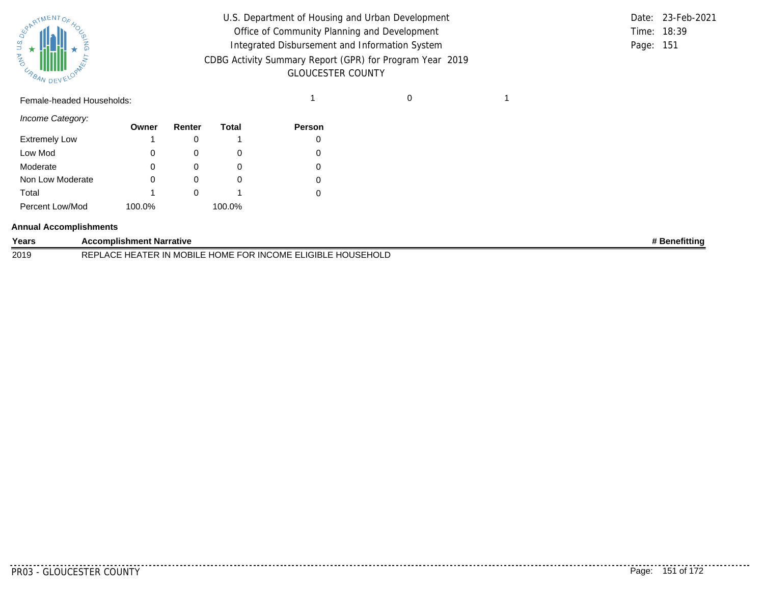

| $\mathbf{z}$<br>$\omega_{A_{\text{A}}}\text{min}$ | U.S. Department of Housing and Urban Development<br>Office of Community Planning and Development<br>Integrated Disbursement and Information System<br>CDBG Activity Summary Report (GPR) for Program Year 2019<br><b>GLOUCESTER COUNTY</b> |  | Time: 18:39<br>Page: 151 | Date: 23-Feb-2021 |
|---------------------------------------------------|--------------------------------------------------------------------------------------------------------------------------------------------------------------------------------------------------------------------------------------------|--|--------------------------|-------------------|
| Female-headed Households:                         |                                                                                                                                                                                                                                            |  |                          |                   |

|           | Date: 23-Feb-2021 |
|-----------|-------------------|
|           | Time: 18:39       |
| Page: 151 |                   |

*Income Category:*

|                      | Owner  | Renter | Total  | <b>Person</b> |
|----------------------|--------|--------|--------|---------------|
| <b>Extremely Low</b> |        |        |        |               |
| Low Mod              | 0      |        | O      |               |
| Moderate             | 0      |        | O      |               |
| Non Low Moderate     | Ω      |        | O      |               |
| Total                |        |        |        |               |
| Percent Low/Mod      | 100.0% |        | 100.0% |               |

#### **Annual Accomplishments**

| Years | Accomplishment Narrative                                                                                     | <b>Benefitting</b> |
|-------|--------------------------------------------------------------------------------------------------------------|--------------------|
| 2019  | IGIRI F H(<br>__ nUME FOR INCO**T<br>HOLD<br>DEDI<br>… ≀BII F H⊆ i<br>OME FL<br>' IN M<br>$\Lambda$<br>$-11$ |                    |

<u>. . . . . . . . .</u>

. . . . . . . .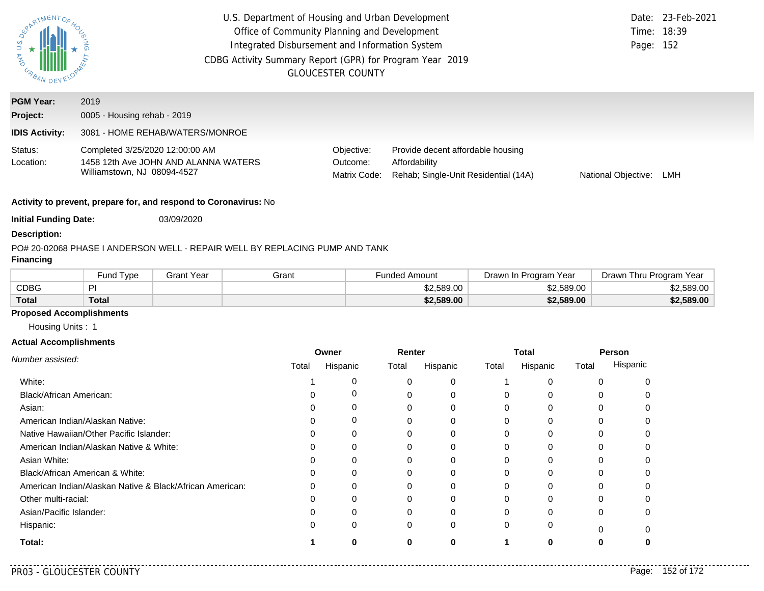| PARTMENTOR.<br>JAN US Z<br>URBAN | U.S. Department of Housing and Urban Development<br>Office of Community Planning and Development<br>Integrated Disbursement and Information System<br>CDBG Activity Summary Report (GPR) for Program Year 2019<br><b>GLOUCESTER COUNTY</b> |                                        |                                                                                            |                     |     |  |  |  |  |
|----------------------------------|--------------------------------------------------------------------------------------------------------------------------------------------------------------------------------------------------------------------------------------------|----------------------------------------|--------------------------------------------------------------------------------------------|---------------------|-----|--|--|--|--|
| <b>PGM Year:</b><br>Project:     | 2019<br>0005 - Housing rehab - 2019                                                                                                                                                                                                        |                                        |                                                                                            |                     |     |  |  |  |  |
| <b>IDIS Activity:</b>            | 3081 - HOME REHAB/WATERS/MONROE                                                                                                                                                                                                            |                                        |                                                                                            |                     |     |  |  |  |  |
| Status:<br>Location:             | Completed 3/25/2020 12:00:00 AM<br>1458 12th Ave JOHN AND ALANNA WATERS<br>Williamstown, NJ 08094-4527                                                                                                                                     | Objective:<br>Outcome:<br>Matrix Code: | Provide decent affordable housing<br>Affordability<br>Rehab; Single-Unit Residential (14A) | National Objective: | LMH |  |  |  |  |
|                                  | Activity to prevent, prepare for, and respond to Coronavirus: No                                                                                                                                                                           |                                        |                                                                                            |                     |     |  |  |  |  |

**Initial Funding Date:** 03/09/2020

#### **Description:**

### PO# 20-02068 PHASE I ANDERSON WELL - REPAIR WELL BY REPLACING PUMP AND TANK

# **Financing**

|              | Fund Type | Grant Year | Grant | <sup>⊏</sup> unded Amount | Drawn In Program Year | Drawn Thru Program Year |
|--------------|-----------|------------|-------|---------------------------|-----------------------|-------------------------|
| <b>CDBG</b>  | ÞI        |            |       | \$2.589.00                | \$2.589.00            | \$2,589.00              |
| <b>Total</b> | Total     |            |       | \$2,589.00                | \$2,589.00            | \$2,589.00              |

# **Proposed Accomplishments**

Housing Units : 1

#### **Actual Accomplishments**

|                                                          | Owner |          | Renter |          | <b>Total</b> |          | Person   |          |
|----------------------------------------------------------|-------|----------|--------|----------|--------------|----------|----------|----------|
| Number assisted:                                         | Total | Hispanic | Total  | Hispanic | Total        | Hispanic | Total    | Hispanic |
| White:                                                   |       | 0        |        | 0        |              |          |          |          |
| Black/African American:                                  |       |          |        | ი        |              |          |          |          |
| Asian:                                                   |       |          | 0      | 0        | $\Omega$     | $\Omega$ | 0        |          |
| American Indian/Alaskan Native:                          |       | 0        |        | 0        | 0            | $\Omega$ |          |          |
| Native Hawaiian/Other Pacific Islander:                  |       | 0        |        |          |              |          |          |          |
| American Indian/Alaskan Native & White:                  |       | $\Omega$ | 0      | 0        | $\Omega$     | $\Omega$ | 0        |          |
| Asian White:                                             |       |          |        | 0        |              |          |          |          |
| Black/African American & White:                          |       |          |        | 0        |              |          |          |          |
| American Indian/Alaskan Native & Black/African American: |       | 0        |        | 0        | 0            | 0        | 0        |          |
| Other multi-racial:                                      |       |          |        |          |              |          |          |          |
| Asian/Pacific Islander:                                  |       | 0        | 0      | 0        | 0            | ი        | 0        |          |
| Hispanic:                                                |       | 0        | 0      | 0        | 0            | 0        | $\Omega$ |          |
| Total:                                                   |       | 0        | 0      | 0        |              | 0        |          |          |

 $-1$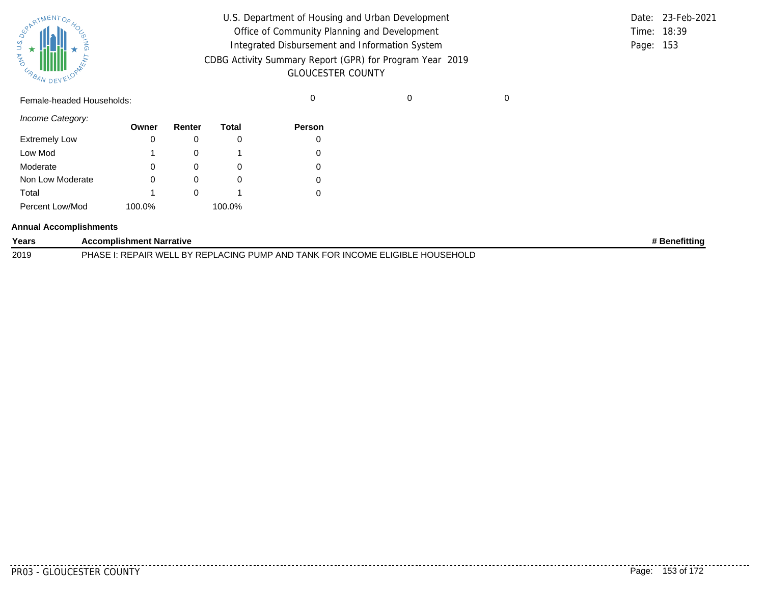| SPARTMENTOF HOL |           |
|-----------------|-----------|
|                 |           |
| 气               |           |
| URBAN           | DEVELOPAN |

| U.S. Department of Housing and Urban Development         |           | Date: 23-Feb-2021 |
|----------------------------------------------------------|-----------|-------------------|
| Office of Community Planning and Development             |           | Time: 18:39       |
| Integrated Disbursement and Information System           | Page: 153 |                   |
| CDBG Activity Summary Report (GPR) for Program Year 2019 |           |                   |
| <b>GLOUCESTER COUNTY</b>                                 |           |                   |

Female-headed Households: 0 0 0

*Income Category:*

|                      | Owner  | Renter | Total  | <b>Person</b> |
|----------------------|--------|--------|--------|---------------|
| <b>Extremely Low</b> | 0      | U      |        | 0             |
| Low Mod              | 1      |        |        |               |
| Moderate             | 0      |        |        | 0             |
| Non Low Moderate     | 0      | O      |        | 0             |
| Total                | 1      |        |        |               |
| Percent Low/Mod      | 100.0% |        | 100.0% |               |

#### **Annual Accomplishments**

| Years | <b>Accomplishment Narrative</b>                                             | <b>Benefittinc</b> ' |
|-------|-----------------------------------------------------------------------------|----------------------|
| 2019  | PHASE I: REPAIR WELL BY REPLACING PUMP AND TANK FOR INCOME ELIGIBLE HOUSEHC |                      |

PR03 - GLOUCESTER COUNTY Page: 153 of 172

--------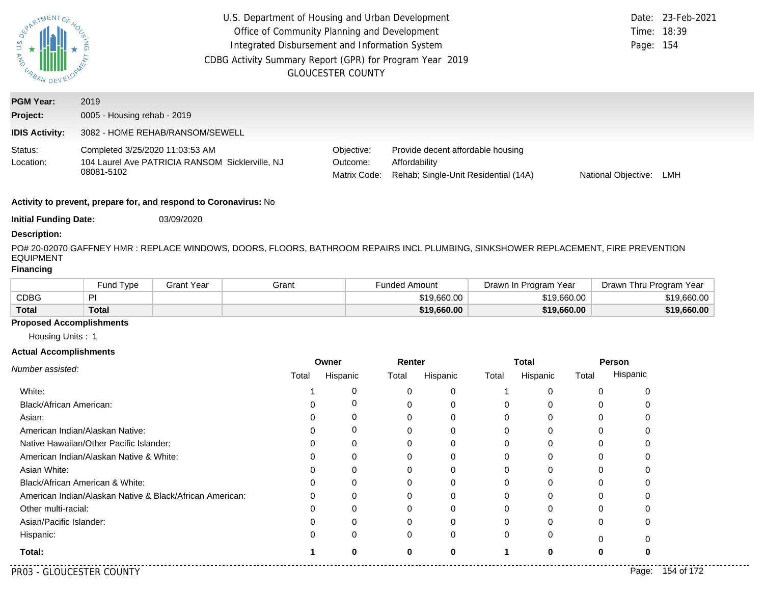| PARTMENTOR<br><b>DAY U.S.</b><br>URBAN DEV | U.S. Department of Housing and Urban Development<br>Office of Community Planning and Development<br>Integrated Disbursement and Information System<br>CDBG Activity Summary Report (GPR) for Program Year 2019<br><b>GLOUCESTER COUNTY</b> | Page: 154                              | Date: 23-Feb-2021<br>Time: 18:39                                                           |                     |     |
|--------------------------------------------|--------------------------------------------------------------------------------------------------------------------------------------------------------------------------------------------------------------------------------------------|----------------------------------------|--------------------------------------------------------------------------------------------|---------------------|-----|
| <b>PGM Year:</b><br>Project:               | 2019<br>0005 - Housing rehab - 2019                                                                                                                                                                                                        |                                        |                                                                                            |                     |     |
| <b>IDIS Activity:</b>                      | 3082 - HOME REHAB/RANSOM/SEWELL                                                                                                                                                                                                            |                                        |                                                                                            |                     |     |
| Status:<br>Location:                       | Completed 3/25/2020 11:03:53 AM<br>104 Laurel Ave PATRICIA RANSOM Sicklerville, NJ<br>08081-5102                                                                                                                                           | Objective:<br>Outcome:<br>Matrix Code: | Provide decent affordable housing<br>Affordability<br>Rehab; Single-Unit Residential (14A) | National Objective: | LMH |

**Initial Funding Date:** 03/09/2020

#### **Description:**

PO# 20-02070 GAFFNEY HMR : REPLACE WINDOWS, DOORS, FLOORS, BATHROOM REPAIRS INCL PLUMBING, SINKSHOWER REPLACEMENT, FIRE PREVENTION EQUIPMENT

## **Financing**

|             | Fund Type | Grant Year | Grant | Funded Amount | Drawn In Program Year | Drawn Thru Program Year |
|-------------|-----------|------------|-------|---------------|-----------------------|-------------------------|
| <b>CDBG</b> | PI        |            |       | \$19.660.00   | \$19,660,00           | \$19.660.00             |
| Total       | Total     |            |       | \$19,660,00   | \$19,660.00           | \$19,660.00             |

#### **Proposed Accomplishments**

Housing Units : 1

#### **Actual Accomplishments**

|                                                          | Owner |              | Renter |          | <b>Total</b> |          | Person |          |
|----------------------------------------------------------|-------|--------------|--------|----------|--------------|----------|--------|----------|
| Number assisted:                                         | Total | Hispanic     | Total  | Hispanic | Total        | Hispanic | Total  | Hispanic |
| White:                                                   |       |              |        | U        |              |          |        |          |
| Black/African American:                                  |       |              | 0      | 0        |              |          |        |          |
| Asian:                                                   |       |              |        |          |              |          |        |          |
| American Indian/Alaskan Native:                          |       | 0            | 0      | 0        |              |          |        |          |
| Native Hawaiian/Other Pacific Islander:                  |       |              |        | U        |              |          |        |          |
| American Indian/Alaskan Native & White:                  |       |              | 0      |          |              |          |        |          |
| Asian White:                                             |       |              |        | 0        |              |          |        |          |
| Black/African American & White:                          |       |              |        |          |              |          |        |          |
| American Indian/Alaskan Native & Black/African American: | 0     | 0            | 0      | U        |              |          |        |          |
| Other multi-racial:                                      |       |              |        |          |              |          |        |          |
| Asian/Pacific Islander:                                  |       |              |        |          |              |          |        |          |
| Hispanic:                                                |       | $\Omega$     | 0      | $\Omega$ | 0            | $\Omega$ |        |          |
| Total:                                                   |       | <sup>0</sup> | O      | 0        |              |          |        |          |

. . . . . .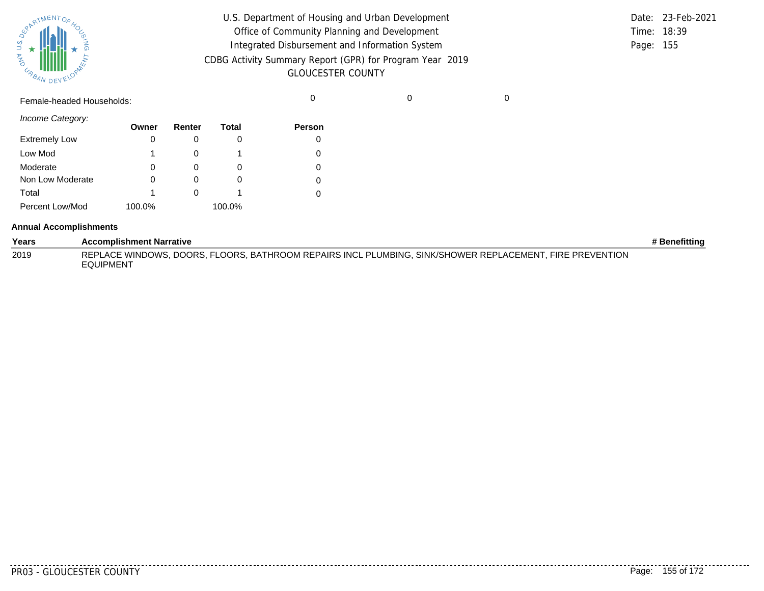

| U.S. Department of Housing and Urban Development         |             | Date: 23-Feb-2021 |
|----------------------------------------------------------|-------------|-------------------|
| Office of Community Planning and Development             | Time: 18:39 |                   |
| Integrated Disbursement and Information System           | Page: 155   |                   |
| CDBG Activity Summary Report (GPR) for Program Year 2019 |             |                   |
| <b>GLOUCESTER COUNTY</b>                                 |             |                   |

Female-headed Households: 0 0 0

*Income Category:*

|                      | Owner  | Renter | <b>Total</b> | Person |
|----------------------|--------|--------|--------------|--------|
| <b>Extremely Low</b> | 0      |        |              |        |
| Low Mod              | 1      |        |              |        |
| Moderate             | 0      |        | O            | 0      |
| Non Low Moderate     | Ω      |        |              | 0      |
| Total                | 1      |        |              |        |
| Percent Low/Mod      | 100.0% |        | 100.0%       |        |

#### **Annual Accomplishments**

| Years | <b>Accomplishment Narrative</b>                                                                                              | # Benefitting |
|-------|------------------------------------------------------------------------------------------------------------------------------|---------------|
| 2019  | REPLACE WINDOWS, DOORS, FLOORS, BATHROOM REPAIRS INCL PLUMBING, SINK/SHOWER REPLACEMENT, FIRE PREVENTION<br><b>EQUIPMENT</b> |               |

........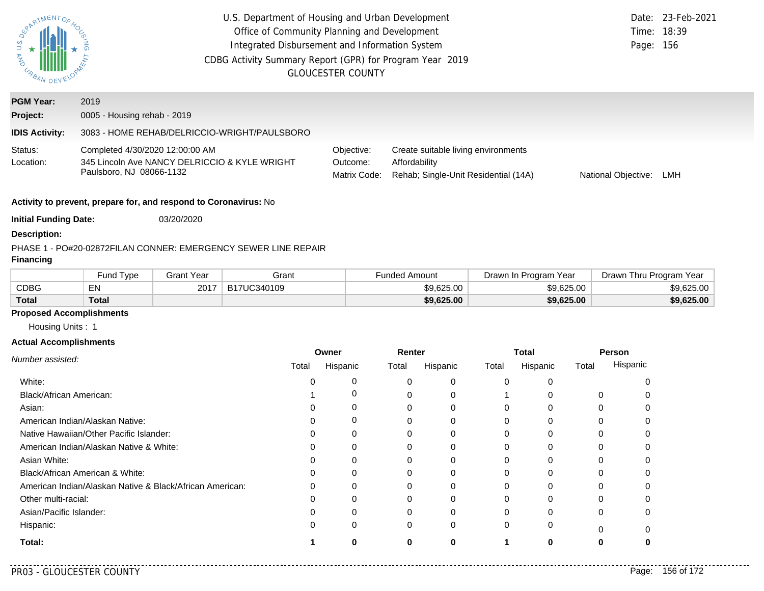| U.S. Department of Housing and Urban Development<br>SOARTMENTOR<br>Office of Community Planning and Development<br>Integrated Disbursement and Information System<br><b>MAG</b><br>CDBG Activity Summary Report (GPR) for Program Year 2019<br><b>UNAN DEVELOY</b><br><b>GLOUCESTER COUNTY</b> |                                                                                                              |                           |                                                                |       |                                        |                      |                                                                             |       | Page: 156                           | Date: 23-Feb-2021<br>Time: 18:39 |                         |            |
|------------------------------------------------------------------------------------------------------------------------------------------------------------------------------------------------------------------------------------------------------------------------------------------------|--------------------------------------------------------------------------------------------------------------|---------------------------|----------------------------------------------------------------|-------|----------------------------------------|----------------------|-----------------------------------------------------------------------------|-------|-------------------------------------|----------------------------------|-------------------------|------------|
| <b>PGM Year:</b>                                                                                                                                                                                                                                                                               | 2019                                                                                                         |                           |                                                                |       |                                        |                      |                                                                             |       |                                     |                                  |                         |            |
| Project:                                                                                                                                                                                                                                                                                       | 0005 - Housing rehab - 2019                                                                                  |                           |                                                                |       |                                        |                      |                                                                             |       |                                     |                                  |                         |            |
| <b>IDIS Activity:</b>                                                                                                                                                                                                                                                                          |                                                                                                              |                           | 3083 - HOME REHAB/DELRICCIO-WRIGHT/PAULSBORO                   |       |                                        |                      |                                                                             |       |                                     |                                  |                         |            |
| Status:<br>Location:                                                                                                                                                                                                                                                                           | Completed 4/30/2020 12:00:00 AM<br>345 Lincoln Ave NANCY DELRICCIO & KYLE WRIGHT<br>Paulsboro, NJ 08066-1132 |                           |                                                                |       | Objective:<br>Outcome:<br>Matrix Code: | Affordability        | Create suitable living environments<br>Rehab; Single-Unit Residential (14A) |       | National Objective: LMH             |                                  |                         |            |
|                                                                                                                                                                                                                                                                                                | Activity to prevent, prepare for, and respond to Coronavirus: No                                             |                           |                                                                |       |                                        |                      |                                                                             |       |                                     |                                  |                         |            |
| <b>Initial Funding Date:</b>                                                                                                                                                                                                                                                                   |                                                                                                              | 03/20/2020                |                                                                |       |                                        |                      |                                                                             |       |                                     |                                  |                         |            |
| <b>Description:</b>                                                                                                                                                                                                                                                                            |                                                                                                              |                           |                                                                |       |                                        |                      |                                                                             |       |                                     |                                  |                         |            |
| <b>Financing</b>                                                                                                                                                                                                                                                                               |                                                                                                              |                           | PHASE 1 - PO#20-02872FILAN CONNER: EMERGENCY SEWER LINE REPAIR |       |                                        |                      |                                                                             |       |                                     |                                  |                         |            |
|                                                                                                                                                                                                                                                                                                |                                                                                                              |                           |                                                                |       |                                        |                      |                                                                             |       |                                     |                                  |                         |            |
| <b>CDBG</b>                                                                                                                                                                                                                                                                                    | Fund Type<br>EN                                                                                              | <b>Grant Year</b><br>2017 | Grant<br>B17UC340109                                           |       |                                        | <b>Funded Amount</b> | \$9,625.00                                                                  |       | Drawn In Program Year<br>\$9,625.00 |                                  | Drawn Thru Program Year | \$9,625.00 |
| <b>Total</b>                                                                                                                                                                                                                                                                                   | <b>Total</b>                                                                                                 |                           |                                                                |       |                                        |                      | \$9,625.00                                                                  |       | \$9,625.00                          |                                  |                         | \$9,625.00 |
| <b>Proposed Accomplishments</b>                                                                                                                                                                                                                                                                |                                                                                                              |                           |                                                                |       |                                        |                      |                                                                             |       |                                     |                                  |                         |            |
| Housing Units: 1                                                                                                                                                                                                                                                                               |                                                                                                              |                           |                                                                |       |                                        |                      |                                                                             |       |                                     |                                  |                         |            |
| <b>Actual Accomplishments</b>                                                                                                                                                                                                                                                                  |                                                                                                              |                           |                                                                |       |                                        |                      |                                                                             |       |                                     |                                  |                         |            |
|                                                                                                                                                                                                                                                                                                |                                                                                                              |                           |                                                                | Owner |                                        | Renter               |                                                                             |       | <b>Total</b>                        |                                  | Person                  |            |
| Number assisted:                                                                                                                                                                                                                                                                               |                                                                                                              |                           | Total                                                          |       | Hispanic                               | Total                | Hispanic                                                                    | Total | Hispanic                            | Total                            | Hispanic                |            |
| White:                                                                                                                                                                                                                                                                                         |                                                                                                              |                           |                                                                | 0     | 0                                      | 0                    | 0                                                                           | 0     | 0                                   |                                  | 0                       |            |
| Black/African American:                                                                                                                                                                                                                                                                        |                                                                                                              |                           |                                                                |       | 0                                      | 0                    | 0                                                                           | 1     | 0                                   |                                  | 0<br>0                  |            |
| Asian:                                                                                                                                                                                                                                                                                         |                                                                                                              |                           |                                                                | 0     | 0                                      | 0                    | 0                                                                           | 0     | 0                                   |                                  | 0<br>0                  |            |
|                                                                                                                                                                                                                                                                                                | American Indian/Alaskan Native:                                                                              |                           |                                                                | 0     | 0                                      | 0                    | 0                                                                           | 0     | 0                                   |                                  | 0<br>0                  |            |
|                                                                                                                                                                                                                                                                                                | Native Hawaiian/Other Pacific Islander:                                                                      |                           |                                                                | 0     | 0                                      | 0                    | 0                                                                           | 0     | 0                                   |                                  | 0<br>0                  |            |
|                                                                                                                                                                                                                                                                                                | American Indian/Alaskan Native & White:                                                                      |                           |                                                                |       | 0                                      | 0                    | 0                                                                           | 0     | 0                                   |                                  | 0<br>0                  |            |
| Asian White:                                                                                                                                                                                                                                                                                   |                                                                                                              |                           |                                                                | O     | 0                                      | 0                    | 0                                                                           | 0     | 0                                   |                                  | 0<br>Ω                  |            |
|                                                                                                                                                                                                                                                                                                | Black/African American & White:                                                                              |                           |                                                                | n     | 0                                      | 0                    | 0                                                                           | 0     | 0                                   |                                  | O<br>0                  |            |
|                                                                                                                                                                                                                                                                                                | American Indian/Alaskan Native & Black/African American:                                                     |                           |                                                                |       | 0                                      | 0                    | 0                                                                           | 0     | 0                                   |                                  | 0                       |            |
| Other multi-racial:                                                                                                                                                                                                                                                                            |                                                                                                              |                           |                                                                | O     | 0                                      | 0                    | 0                                                                           | 0     | Ω                                   |                                  | O                       |            |
| Asian/Pacific Islander:                                                                                                                                                                                                                                                                        |                                                                                                              |                           |                                                                | U     | 0                                      | 0                    | 0                                                                           | O     | O                                   |                                  | O                       |            |
| Hispanic:                                                                                                                                                                                                                                                                                      |                                                                                                              |                           |                                                                | 0     | 0                                      | 0                    | 0                                                                           | 0     | 0                                   |                                  | $\Omega$<br>$\Omega$    |            |

**1 0**

**0**

**0**

**Total:**

. . . . . . . . .

**0**

**1 0 0**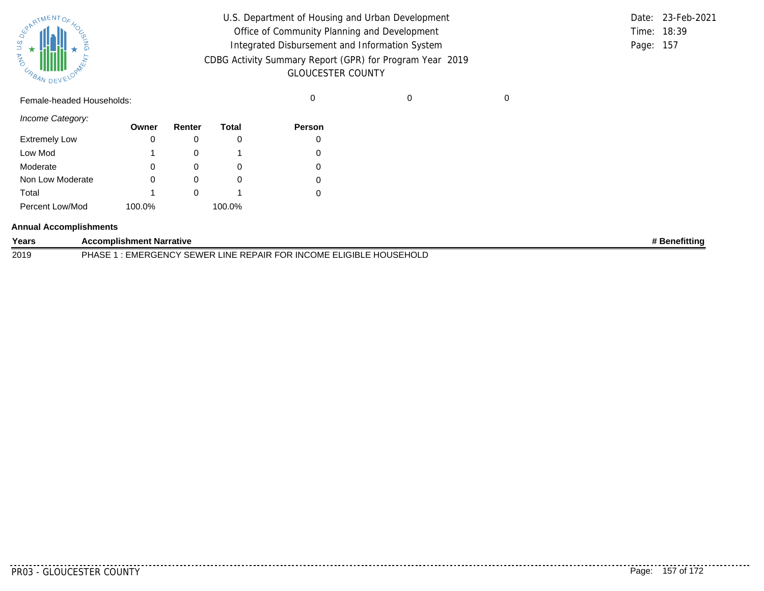| SURATMENTOFAOL    |           |  |
|-------------------|-----------|--|
| S.T<br><b>MAG</b> |           |  |
| URBAN             | DEVELOPAN |  |

| U.S. Department of Housing and Urban Development         |             | Date: 23-Feb-2021 |
|----------------------------------------------------------|-------------|-------------------|
| Office of Community Planning and Development             | Time: 18:39 |                   |
| Integrated Disbursement and Information System           | Page: 157   |                   |
| CDBG Activity Summary Report (GPR) for Program Year 2019 |             |                   |
| <b>GLOUCESTER COUNTY</b>                                 |             |                   |

Female-headed Households: 0 0 0

*Income Category:*

|                      | Owner  | Renter   | Total  | <b>Person</b> |
|----------------------|--------|----------|--------|---------------|
| <b>Extremely Low</b> | 0      |          |        |               |
| Low Mod              | 1      |          |        |               |
| Moderate             | 0      |          |        |               |
| Non Low Moderate     | 0      | $\left($ |        |               |
| Total                | 1      |          |        |               |
| Percent Low/Mod      | 100.0% |          | 100.0% |               |

#### **Annual Accomplishments**

| Years | <b>Accomplishment Narrative</b>                                             | <b>Benefittina</b> |
|-------|-----------------------------------------------------------------------------|--------------------|
| 2019  | : EMERGENCY SEWER LINE REPAIR FOR INCOME ELIGIBLE HOUSEHOLD<br><b>PHASE</b> |                    |

PR03 - GLOUCESTER COUNTY Page: 157 of 172

. . . . . . . . .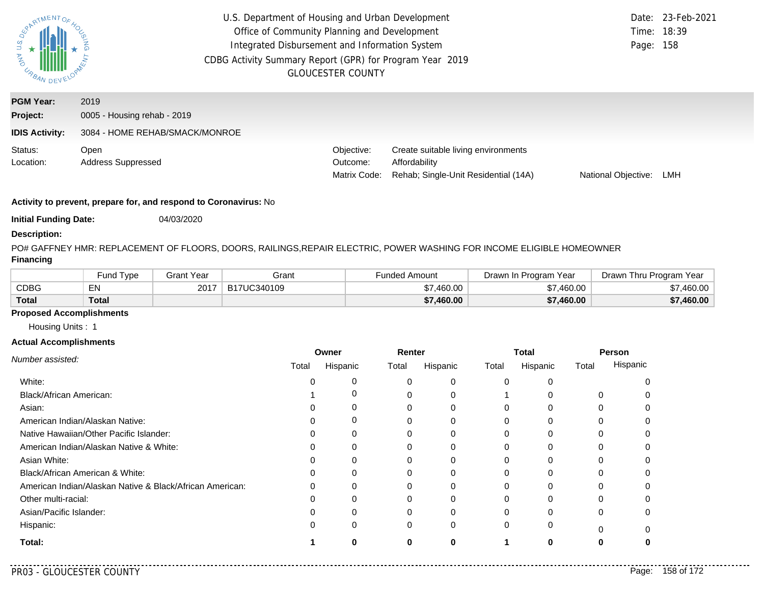| $\overline{a}$<br><b>ASSIMAL DE</b>                   | U.S. Department of Housing and Urban Development<br>Date: 23-Feb-2021<br>Office of Community Planning and Development<br>Time: 18:39<br>Integrated Disbursement and Information System<br>Page: 158<br>CDBG Activity Summary Report (GPR) for Program Year 2019<br><b>GLOUCESTER COUNTY</b> |  |                                        |                                                                                              |                     |     |
|-------------------------------------------------------|---------------------------------------------------------------------------------------------------------------------------------------------------------------------------------------------------------------------------------------------------------------------------------------------|--|----------------------------------------|----------------------------------------------------------------------------------------------|---------------------|-----|
| <b>PGM Year:</b><br>Project:<br><b>IDIS Activity:</b> | 2019<br>0005 - Housing rehab - 2019<br>3084 - HOME REHAB/SMACK/MONROE                                                                                                                                                                                                                       |  |                                        |                                                                                              |                     |     |
| Status:<br>Location:                                  | Open<br><b>Address Suppressed</b>                                                                                                                                                                                                                                                           |  | Objective:<br>Outcome:<br>Matrix Code: | Create suitable living environments<br>Affordability<br>Rehab; Single-Unit Residential (14A) | National Objective: | LMH |

**Initial Funding Date:** 04/03/2020

### **Description:**

PO# GAFFNEY HMR: REPLACEMENT OF FLOORS, DOORS, RAILINGS,REPAIR ELECTRIC, POWER WASHING FOR INCOME ELIGIBLE HOMEOWNER **Financing**

|              | <b>Fund Type</b> | Grant Year | Grant       | Funded Amount | Drawn In Program Year | Drawn Thru Program<br>Year |
|--------------|------------------|------------|-------------|---------------|-----------------------|----------------------------|
| <b>CDBG</b>  | EN               | 2017       | B17UC340109 | \$7,460.00    | \$7,460.00            | \$7,460.00 ∖               |
| <b>Total</b> | Total            |            |             | \$7,460.00    | \$7,460.00            | \$7,460.00                 |

# **Proposed Accomplishments**

Housing Units : 1

#### **Actual Accomplishments**

|                                                          |       | Owner    | Renter |          | <b>Total</b> |          | Person   |          |
|----------------------------------------------------------|-------|----------|--------|----------|--------------|----------|----------|----------|
| Number assisted:                                         | Total | Hispanic | Total  | Hispanic | Total        | Hispanic | Total    | Hispanic |
| White:                                                   |       |          |        | 0        | 0            |          |          |          |
| Black/African American:                                  |       |          |        | 0        |              |          | 0        |          |
| Asian:                                                   |       |          | 0      | 0        | $\Omega$     | 0        | 0        |          |
| American Indian/Alaskan Native:                          |       | 0        |        | 0        | O            | O        |          |          |
| Native Hawaiian/Other Pacific Islander:                  |       | 0        |        |          |              |          |          |          |
| American Indian/Alaskan Native & White:                  |       | 0        | 0      | 0        | 0            | $\Omega$ | 0        |          |
| Asian White:                                             |       |          |        | 0        |              |          |          |          |
| Black/African American & White:                          |       | 0        | 0      | 0        | 0            |          |          |          |
| American Indian/Alaskan Native & Black/African American: |       | $\Omega$ |        | 0        | 0            | $\Omega$ | ∩        |          |
| Other multi-racial:                                      |       |          |        | 0        |              |          |          |          |
| Asian/Pacific Islander:                                  |       | 0        | 0      | 0        | $\Omega$     | 0        | 0        |          |
| Hispanic:                                                |       | 0        | 0      | 0        | 0            | 0        | $\Omega$ |          |
| Total:                                                   |       | ŋ        | ŋ      | o        |              | 0        |          |          |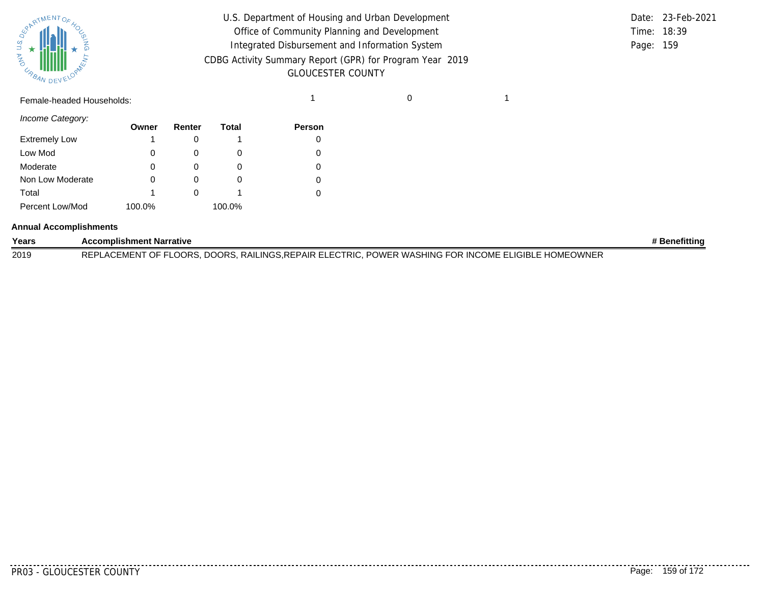

| U.S. Department of Housing and Urban Development         |           | Date: 23-Feb-2021 |
|----------------------------------------------------------|-----------|-------------------|
| Office of Community Planning and Development             |           | Time: 18:39       |
| Integrated Disbursement and Information System           | Page: 159 |                   |
| CDBG Activity Summary Report (GPR) for Program Year 2019 |           |                   |
| <b>GLOUCESTER COUNTY</b>                                 |           |                   |

|             | Date: 23-Feb-2021 |
|-------------|-------------------|
| Time: 18:39 |                   |
| Page: 159   |                   |

Female-headed Households: 1 0 1

*Income Category:*

|                      | Owner  | Renter | Total  | <b>Person</b> |
|----------------------|--------|--------|--------|---------------|
| <b>Extremely Low</b> | 1      |        |        | 0             |
| Low Mod              | 0      |        |        |               |
| Moderate             | 0      |        |        | 0             |
| Non Low Moderate     | 0      |        |        | 0             |
| Total                | 1      |        |        |               |
| Percent Low/Mod      | 100.0% |        | 100.0% |               |

#### **Annual Accomplishments**

| Years | <b>Accomplishment Narrative</b>                                                                                   | Benefitting |
|-------|-------------------------------------------------------------------------------------------------------------------|-------------|
| 2019  | . RAILINGS.REPAIR ELECTRIC.<br>., POWER WASHING FOR INCOME ELIGIBLE HOMEOWNER<br>REPLACEMENT OF FLOORS,<br>DOORS. |             |

PR03 - GLOUCESTER COUNTY Page: 159 of 172

. . . . . . . . . .

. . . . . . . .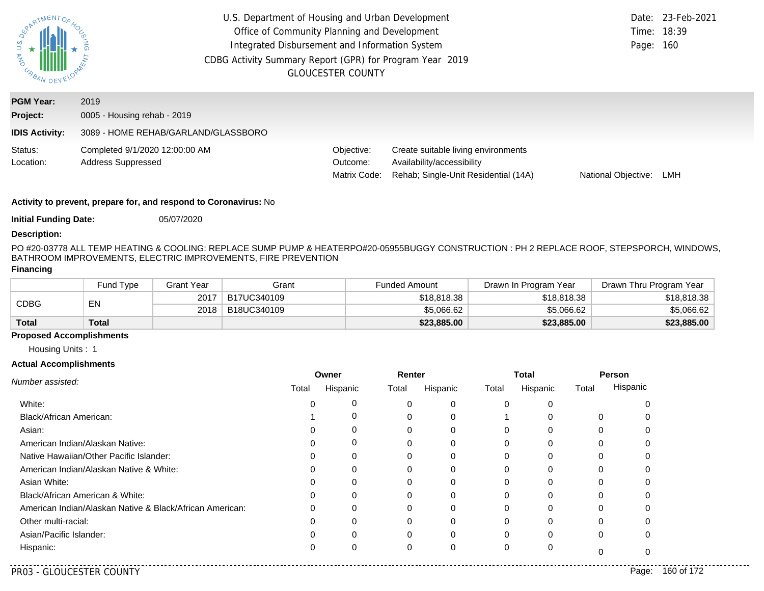| S.<br>D<br><b>AND</b><br>URBAN DE                     | U.S. Department of Housing and Urban Development<br>Office of Community Planning and Development<br>Integrated Disbursement and Information System<br>CDBG Activity Summary Report (GPR) for Program Year 2019 | <b>GLOUCESTER COUNTY</b>               |                                                                                                           | Time: 18:39<br>Page: 160 | Date: 23-Feb-2021 |
|-------------------------------------------------------|----------------------------------------------------------------------------------------------------------------------------------------------------------------------------------------------------------------|----------------------------------------|-----------------------------------------------------------------------------------------------------------|--------------------------|-------------------|
| <b>PGM Year:</b><br>Project:<br><b>IDIS Activity:</b> | 2019<br>0005 - Housing rehab - 2019<br>3089 - HOME REHAB/GARLAND/GLASSBORO                                                                                                                                     |                                        |                                                                                                           |                          |                   |
| Status:<br>Location:                                  | Completed 9/1/2020 12:00:00 AM<br><b>Address Suppressed</b>                                                                                                                                                    | Objective:<br>Outcome:<br>Matrix Code: | Create suitable living environments<br>Availability/accessibility<br>Rehab; Single-Unit Residential (14A) | National Objective:      | LMH               |

**Initial Funding Date:** 05/07/2020

#### **Description:**

PO #20-03778 ALL TEMP HEATING & COOLING: REPLACE SUMP PUMP & HEATERPO#20-05955BUGGY CONSTRUCTION : PH 2 REPLACE ROOF, STEPSPORCH, WINDOWS, BATHROOM IMPROVEMENTS, ELECTRIC IMPROVEMENTS, FIRE PREVENTION

# **Financing**

|              | Fund Type | <b>Grant Year</b> | Grant       | <b>Funded Amount</b> | Drawn In Program Year | Drawn Thru Program Year |
|--------------|-----------|-------------------|-------------|----------------------|-----------------------|-------------------------|
|              | EN        | 2017              | B17UC340109 | \$18,818.38          | \$18,818.38           | \$18.818.38             |
| <b>CDBG</b>  |           | 2018              | B18UC340109 | \$5,066.62           | \$5,066.62            | \$5.066.62              |
| <b>Total</b> | Total     |                   |             | \$23,885.00          | \$23,885.00           | \$23,885.00             |

# **Proposed Accomplishments**

Housing Units : 1

#### **Actual Accomplishments**

|                                                          | Owner |             | Renter |          |       | <b>Total</b> | Person |          |
|----------------------------------------------------------|-------|-------------|--------|----------|-------|--------------|--------|----------|
| Number assisted:                                         | Total | Hispanic    | Total  | Hispanic | Total | Hispanic     | Total  | Hispanic |
| White:                                                   |       | 0           | 0      | 0        |       |              |        |          |
| Black/African American:                                  |       | 0           | 0      | 0        |       |              | 0      |          |
| Asian:                                                   |       |             |        | 0        |       |              |        |          |
| American Indian/Alaskan Native:                          |       | $\mathbf 0$ | 0      | 0        |       | ſ            |        |          |
| Native Hawaiian/Other Pacific Islander:                  |       |             |        |          |       |              |        |          |
| American Indian/Alaskan Native & White:                  |       | $\Omega$    |        | $\Omega$ |       |              |        |          |
| Asian White:                                             |       |             | 0      | 0        |       |              |        |          |
| Black/African American & White:                          |       | $\Omega$    |        | 0        |       |              |        |          |
| American Indian/Alaskan Native & Black/African American: | 0     | $\Omega$    | 0      | 0        |       |              |        |          |
| Other multi-racial:                                      |       |             | 0      | 0        |       |              |        |          |
| Asian/Pacific Islander:                                  |       | $\Omega$    | 0      | 0        | O     | C            | 0      |          |
| Hispanic:                                                |       |             | 0      | 0        |       |              |        |          |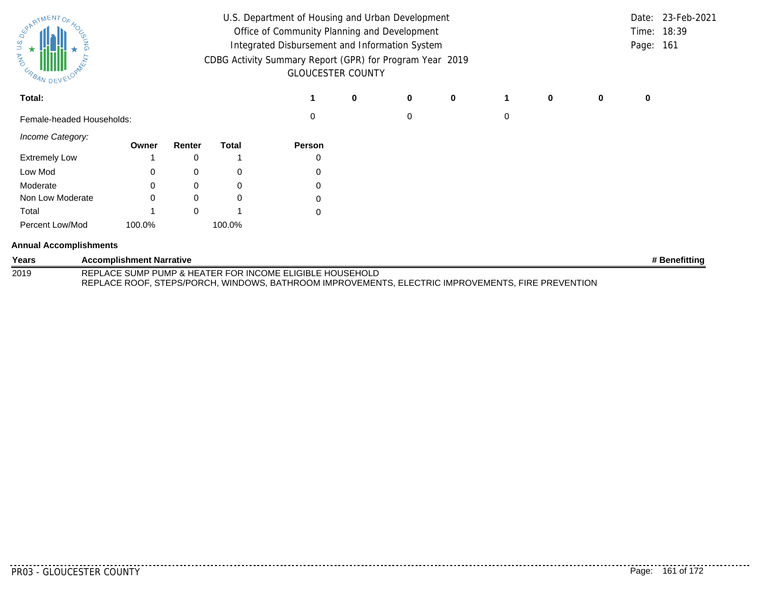| ERARTMENTOR<br>U.S.<br>$\star$<br><b>AND</b><br>USAN DEVY |                                 | U.S. Department of Housing and Urban Development<br>Office of Community Planning and Development<br>Integrated Disbursement and Information System<br>CDBG Activity Summary Report (GPR) for Program Year 2019<br><b>GLOUCESTER COUNTY</b> |              |                                                                                                                                                               |   |   |             |   |   | Page: 161 | Date: 23-Feb-2021<br>Time: 18:39 |               |
|-----------------------------------------------------------|---------------------------------|--------------------------------------------------------------------------------------------------------------------------------------------------------------------------------------------------------------------------------------------|--------------|---------------------------------------------------------------------------------------------------------------------------------------------------------------|---|---|-------------|---|---|-----------|----------------------------------|---------------|
| Total:                                                    |                                 |                                                                                                                                                                                                                                            |              |                                                                                                                                                               | 0 | 0 | $\mathbf 0$ |   | 0 | 0         | 0                                |               |
| Female-headed Households:                                 |                                 |                                                                                                                                                                                                                                            |              | 0                                                                                                                                                             |   | 0 |             | 0 |   |           |                                  |               |
| Income Category:                                          | Owner                           | Renter                                                                                                                                                                                                                                     | <b>Total</b> | Person                                                                                                                                                        |   |   |             |   |   |           |                                  |               |
| <b>Extremely Low</b>                                      |                                 | 0                                                                                                                                                                                                                                          |              |                                                                                                                                                               |   |   |             |   |   |           |                                  |               |
| Low Mod                                                   |                                 | 0                                                                                                                                                                                                                                          | 0            | 0                                                                                                                                                             |   |   |             |   |   |           |                                  |               |
| Moderate                                                  |                                 | 0                                                                                                                                                                                                                                          | 0            | 0                                                                                                                                                             |   |   |             |   |   |           |                                  |               |
| Non Low Moderate                                          |                                 | 0                                                                                                                                                                                                                                          | 0            |                                                                                                                                                               |   |   |             |   |   |           |                                  |               |
| Total                                                     |                                 | $\Omega$                                                                                                                                                                                                                                   |              | 0                                                                                                                                                             |   |   |             |   |   |           |                                  |               |
| Percent Low/Mod                                           | 100.0%                          |                                                                                                                                                                                                                                            | 100.0%       |                                                                                                                                                               |   |   |             |   |   |           |                                  |               |
| <b>Annual Accomplishments</b>                             |                                 |                                                                                                                                                                                                                                            |              |                                                                                                                                                               |   |   |             |   |   |           |                                  |               |
| Years                                                     | <b>Accomplishment Narrative</b> |                                                                                                                                                                                                                                            |              |                                                                                                                                                               |   |   |             |   |   |           |                                  | # Benefitting |
| 2019                                                      |                                 |                                                                                                                                                                                                                                            |              | REPLACE SUMP PUMP & HEATER FOR INCOME ELIGIBLE HOUSEHOLD<br>REPLACE ROOF, STEPS/PORCH, WINDOWS, BATHROOM IMPROVEMENTS, ELECTRIC IMPROVEMENTS, FIRE PREVENTION |   |   |             |   |   |           |                                  |               |

. . . . . . . .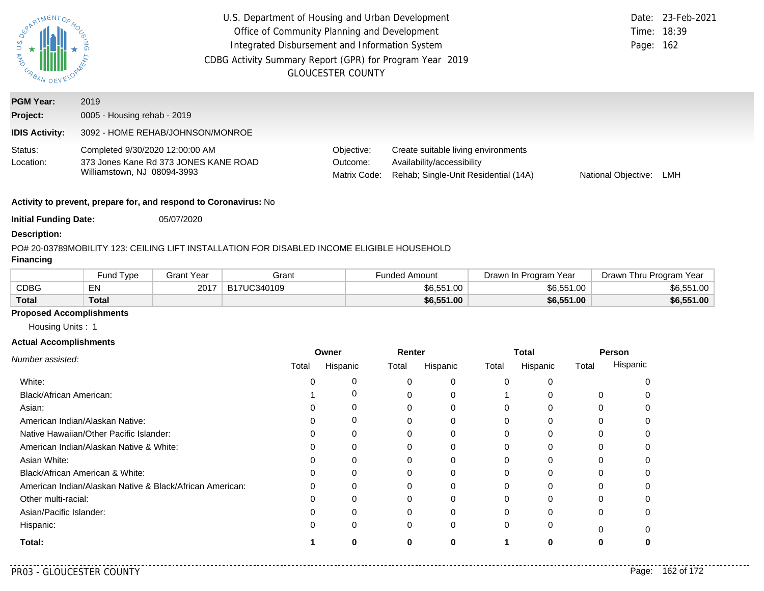| U.S.<br><b>AND</b><br>URBAN. | U.S. Department of Housing and Urban Development<br>Office of Community Planning and Development<br>Integrated Disbursement and Information System<br>CDBG Activity Summary Report (GPR) for Program Year 2019<br><b>GLOUCESTER COUNTY</b> | Page: 162                              | Date: 23-Feb-2021<br>Time: 18:39                                                                          |                     |     |
|------------------------------|--------------------------------------------------------------------------------------------------------------------------------------------------------------------------------------------------------------------------------------------|----------------------------------------|-----------------------------------------------------------------------------------------------------------|---------------------|-----|
| <b>PGM Year:</b>             | 2019                                                                                                                                                                                                                                       |                                        |                                                                                                           |                     |     |
| Project:                     | 0005 - Housing rehab - 2019                                                                                                                                                                                                                |                                        |                                                                                                           |                     |     |
| <b>IDIS Activity:</b>        | 3092 - HOME REHAB/JOHNSON/MONROE                                                                                                                                                                                                           |                                        |                                                                                                           |                     |     |
| Status:<br>Location:         | Completed 9/30/2020 12:00:00 AM<br>373 Jones Kane Rd 373 JONES KANE ROAD<br>Williamstown, NJ 08094-3993                                                                                                                                    | Objective:<br>Outcome:<br>Matrix Code: | Create suitable living environments<br>Availability/accessibility<br>Rehab; Single-Unit Residential (14A) | National Objective: | LMH |

**Initial Funding Date:** 05/07/2020

#### **Description:**

#### PO# 20-03789
MOBILITY 123: CEILING LIFT INSTALLATION FOR DISABLED INCOME ELIGIBLE HOUSEHOLD

# **Financing**

|              | Fund Tvpe | Grant Year | Grant       | Funded Amount<br>Drawn In Program Year |            | Drawn Thru Program Year |
|--------------|-----------|------------|-------------|----------------------------------------|------------|-------------------------|
| <b>CDBG</b>  | E٨        | 2017       | B17UC340109 | \$6,551.00                             | \$6,551.00 | \$6,551.00              |
| <b>Total</b> | Total     |            |             | \$6,551.00                             | \$6,551.00 | \$6,551.00              |

### **Proposed Accomplishments**

Housing Units : 1

#### **Actual Accomplishments**

|                                                          | Owner |          | Renter |          | <b>Total</b> |          | Person |          |
|----------------------------------------------------------|-------|----------|--------|----------|--------------|----------|--------|----------|
| Number assisted:                                         | Total | Hispanic | Total  | Hispanic | Total        | Hispanic | Total  | Hispanic |
| White:                                                   |       | 0        |        | 0        | $\Omega$     |          |        |          |
| Black/African American:                                  |       | 0        |        |          |              |          |        |          |
| Asian:                                                   |       | 0        |        | 0        | 0            |          | 0      |          |
| American Indian/Alaskan Native:                          |       | 0        |        | 0        |              |          |        |          |
| Native Hawaiian/Other Pacific Islander:                  |       | 0        |        |          |              |          |        |          |
| American Indian/Alaskan Native & White:                  |       | $\Omega$ |        |          |              |          |        |          |
| Asian White:                                             |       | O        |        |          |              |          |        |          |
| Black/African American & White:                          |       | 0        |        |          |              |          |        |          |
| American Indian/Alaskan Native & Black/African American: |       | $\Omega$ |        | 0        |              |          |        |          |
| Other multi-racial:                                      |       |          |        |          |              |          |        |          |
| Asian/Pacific Islander:                                  |       | $\Omega$ |        | 0        | $\Omega$     |          | 0      |          |
| Hispanic:                                                |       | $\Omega$ | 0      | 0        | 0            | 0        | ∩      |          |
| Total:                                                   |       | ŋ        |        |          |              |          |        |          |

. . . . .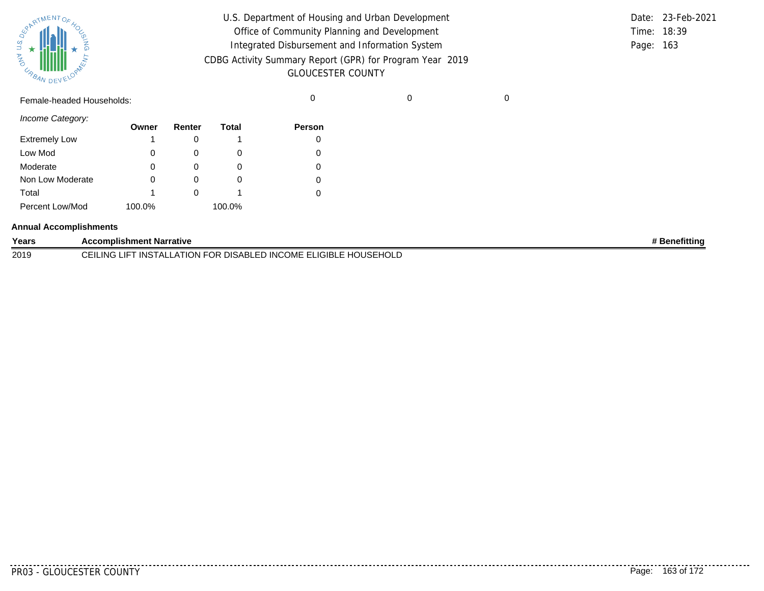| SPARTMENTOF HOL |           |
|-----------------|-----------|
|                 |           |
| 气               |           |
| URBAN           | DEVELOPAN |

| U.S. Department of Housing and Urban Development         |             | Date: 23-Feb-2021 |
|----------------------------------------------------------|-------------|-------------------|
| Office of Community Planning and Development             | Time: 18:39 |                   |
| Integrated Disbursement and Information System           | Page: 163   |                   |
| CDBG Activity Summary Report (GPR) for Program Year 2019 |             |                   |
| <b>GLOUCESTER COUNTY</b>                                 |             |                   |

Female-headed Households: 0 0 0

*Income Category:*

|                      | Owner  | Renter | Total  | <b>Person</b> |
|----------------------|--------|--------|--------|---------------|
| <b>Extremely Low</b> | 1      |        |        |               |
| Low Mod              | 0      |        | O)     |               |
| Moderate             | 0      |        | O      |               |
| Non Low Moderate     | 0      |        | 0      |               |
| Total                | 1      |        |        |               |
| Percent Low/Mod      | 100.0% |        | 100.0% |               |

#### **Annual Accomplishments**

| Years | <b>Accomplishment Narrative</b>                                                              | <b>Benefitting</b> |
|-------|----------------------------------------------------------------------------------------------|--------------------|
| 2019  | R DISABLED INCOME ELIGIBLE HOUSEHOLD<br>CEILING<br>$-LATION FC$<br>INS<br>OR.<br><b>IALL</b> |                    |

. . . . . . . . .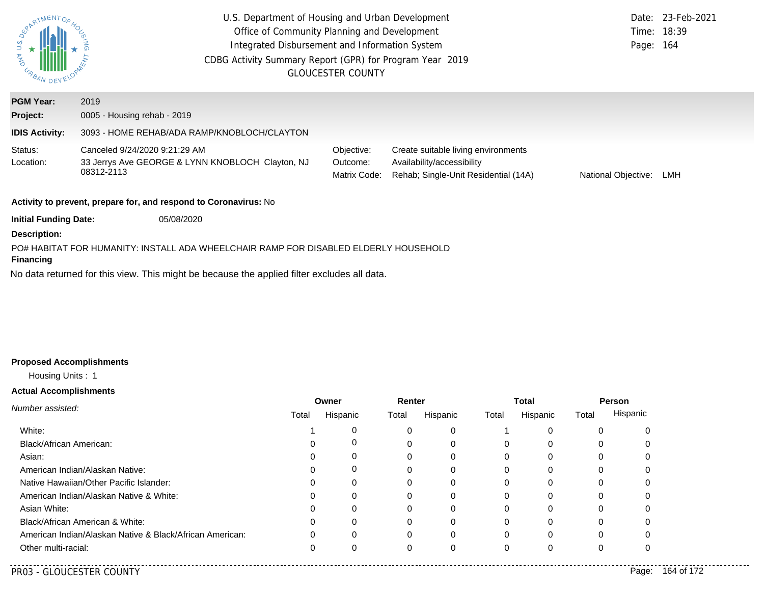| ERARTMENTOR<br>U.S.<br><b>AND</b> | U.S. Department of Housing and Urban Development<br>Office of Community Planning and Development<br>Integrated Disbursement and Information System<br>CDBG Activity Summary Report (GPR) for Program Year 2019<br><b>GLOUCESTER COUNTY</b> |                                        |                                                                                                           |                     |     |
|-----------------------------------|--------------------------------------------------------------------------------------------------------------------------------------------------------------------------------------------------------------------------------------------|----------------------------------------|-----------------------------------------------------------------------------------------------------------|---------------------|-----|
| <b>PGM Year:</b>                  | 2019                                                                                                                                                                                                                                       |                                        |                                                                                                           |                     |     |
| Project:                          | 0005 - Housing rehab - 2019                                                                                                                                                                                                                |                                        |                                                                                                           |                     |     |
| <b>IDIS Activity:</b>             | 3093 - HOME REHAB/ADA RAMP/KNOBLOCH/CLAYTON                                                                                                                                                                                                |                                        |                                                                                                           |                     |     |
| Status:<br>Location:              | Canceled 9/24/2020 9:21:29 AM<br>33 Jerrys Ave GEORGE & LYNN KNOBLOCH Clayton, NJ<br>08312-2113                                                                                                                                            | Objective:<br>Outcome:<br>Matrix Code: | Create suitable living environments<br>Availability/accessibility<br>Rehab; Single-Unit Residential (14A) | National Objective: | LMH |
|                                   | Activity to prevent, prepare for, and respond to Coronavirus: No                                                                                                                                                                           |                                        |                                                                                                           |                     |     |
| <b>Initial Funding Date:</b>      | 05/08/2020                                                                                                                                                                                                                                 |                                        |                                                                                                           |                     |     |
| <b>Description:</b>               |                                                                                                                                                                                                                                            |                                        |                                                                                                           |                     |     |
| <b>Financing</b>                  | PO# HABITAT FOR HUMANITY: INSTALL ADA WHEELCHAIR RAMP FOR DISABLED ELDERLY HOUSEHOLD                                                                                                                                                       |                                        |                                                                                                           |                     |     |
|                                   | No data returned for this view. This might be because the applied filter excludes all data.                                                                                                                                                |                                        |                                                                                                           |                     |     |

# **Proposed Accomplishments**

# Housing Units : 1

# **Actual Accomplishments**

| Number assisted:                                         |          | Owner    | Renter |          |          | <b>Total</b> | Person |          |
|----------------------------------------------------------|----------|----------|--------|----------|----------|--------------|--------|----------|
|                                                          | Total    | Hispanic | Total  | Hispanic | Total    | Hispanic     | Total  | Hispanic |
| White:                                                   |          |          |        | 0        |          |              |        |          |
| <b>Black/African American:</b>                           | 0        | U        |        | 0        | $\Omega$ | 0            |        |          |
| Asian:                                                   | 0        | 0        | 0      | 0        | 0        | 0            |        |          |
| American Indian/Alaskan Native:                          | 0        | 0        | 0      | 0        | 0        | 0            |        | 0        |
| Native Hawaiian/Other Pacific Islander:                  | 0        | 0        | 0      | 0        | 0        | 0            |        | 0        |
| American Indian/Alaskan Native & White:                  | 0        | 0        | 0      | 0        | 0        | 0            |        | 0        |
| Asian White:                                             | 0        | 0        | 0      | 0        | 0        |              |        | 0        |
| Black/African American & White:                          | 0        | 0        |        | 0        | 0        |              |        | 0        |
| American Indian/Alaskan Native & Black/African American: | $\Omega$ | 0        | 0      | 0        | 0        |              |        |          |
| Other multi-racial:                                      | 0        | 0        |        |          | 0        |              |        |          |

..........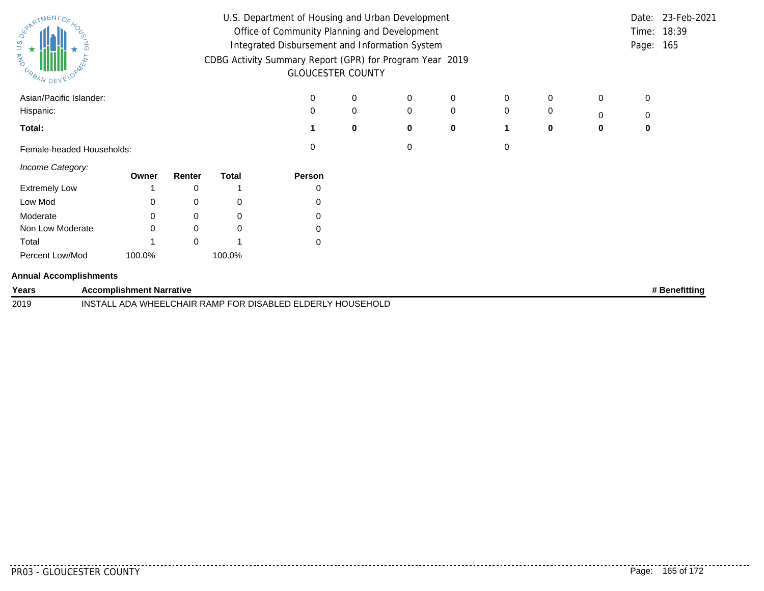| South MENTOS                  |          |                                 |             |              | U.S. Department of Housing and Urban Development           |          |             |             |   |   |   | Date: | 23-Feb-2021   |
|-------------------------------|----------|---------------------------------|-------------|--------------|------------------------------------------------------------|----------|-------------|-------------|---|---|---|-------|---------------|
|                               |          |                                 |             |              | Office of Community Planning and Development               |          |             |             |   |   |   | Time: | 18:39         |
|                               | $\Omega$ |                                 |             |              | Integrated Disbursement and Information System             |          |             |             |   |   |   | Page: | 165           |
| <b>MAG</b>                    |          |                                 |             |              | CDBG Activity Summary Report (GPR) for Program Year 2019   |          |             |             |   |   |   |       |               |
| <b>CABAN DEVELOR</b>          |          |                                 |             |              | <b>GLOUCESTER COUNTY</b>                                   |          |             |             |   |   |   |       |               |
| Asian/Pacific Islander:       |          |                                 |             |              | 0                                                          | 0        | 0           | 0           | 0 | 0 | 0 | 0     |               |
| Hispanic:                     |          |                                 |             |              | $\Omega$                                                   | 0        | $\mathbf 0$ | $\mathbf 0$ | 0 | 0 | 0 | 0     |               |
| Total:                        |          |                                 |             |              |                                                            | $\bf{0}$ | 0           | 0           | 1 | 0 | 0 | 0     |               |
| Female-headed Households:     |          |                                 |             |              | 0                                                          |          | 0           |             | 0 |   |   |       |               |
| Income Category:              |          | Owner                           | Renter      | <b>Total</b> | Person                                                     |          |             |             |   |   |   |       |               |
| <b>Extremely Low</b>          |          |                                 | 0           |              | 0                                                          |          |             |             |   |   |   |       |               |
| Low Mod                       |          | 0                               | 0           | 0            | 0                                                          |          |             |             |   |   |   |       |               |
| Moderate                      |          | 0                               | 0           | 0            | 0                                                          |          |             |             |   |   |   |       |               |
| Non Low Moderate              |          | ∩                               | 0           | 0            | 0                                                          |          |             |             |   |   |   |       |               |
| Total                         |          |                                 | $\mathbf 0$ |              | $\mathbf 0$                                                |          |             |             |   |   |   |       |               |
| Percent Low/Mod               |          | 100.0%                          |             | 100.0%       |                                                            |          |             |             |   |   |   |       |               |
| <b>Annual Accomplishments</b> |          |                                 |             |              |                                                            |          |             |             |   |   |   |       |               |
| Years                         |          | <b>Accomplishment Narrative</b> |             |              |                                                            |          |             |             |   |   |   |       | # Benefitting |
| 2019                          |          |                                 |             |              | INSTALL ADA WHEELCHAIR RAMP FOR DISABLED ELDERLY HOUSEHOLD |          |             |             |   |   |   |       |               |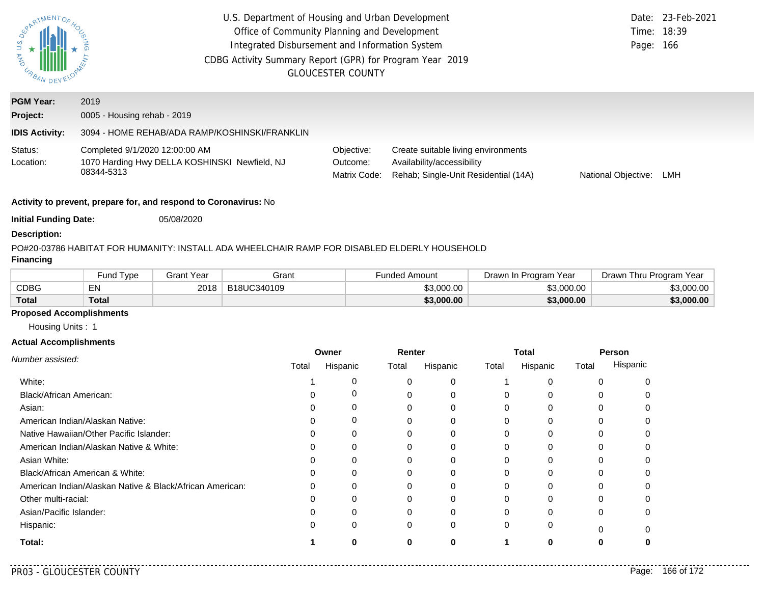| SOLUMENTORY<br><b>MAG</b><br><b>CABAN DEVELOY</b> | U.S. Department of Housing and Urban Development<br>Office of Community Planning and Development<br>Integrated Disbursement and Information System<br>CDBG Activity Summary Report (GPR) for Program Year 2019<br><b>GLOUCESTER COUNTY</b> |                   |                                                                                              |                                        |                      | Page: 166                                                                                                 | Date: 23-Feb-2021<br>Time: 18:39 |                       |            |                         |            |
|---------------------------------------------------|--------------------------------------------------------------------------------------------------------------------------------------------------------------------------------------------------------------------------------------------|-------------------|----------------------------------------------------------------------------------------------|----------------------------------------|----------------------|-----------------------------------------------------------------------------------------------------------|----------------------------------|-----------------------|------------|-------------------------|------------|
| <b>PGM Year:</b>                                  | 2019                                                                                                                                                                                                                                       |                   |                                                                                              |                                        |                      |                                                                                                           |                                  |                       |            |                         |            |
| Project:                                          | 0005 - Housing rehab - 2019                                                                                                                                                                                                                |                   |                                                                                              |                                        |                      |                                                                                                           |                                  |                       |            |                         |            |
| <b>IDIS Activity:</b>                             |                                                                                                                                                                                                                                            |                   | 3094 - HOME REHAB/ADA RAMP/KOSHINSKI/FRANKLIN                                                |                                        |                      |                                                                                                           |                                  |                       |            |                         |            |
| Status:<br>Location:                              | Completed 9/1/2020 12:00:00 AM<br>1070 Harding Hwy DELLA KOSHINSKI Newfield, NJ<br>08344-5313                                                                                                                                              |                   |                                                                                              | Objective:<br>Outcome:<br>Matrix Code: |                      | Create suitable living environments<br>Availability/accessibility<br>Rehab; Single-Unit Residential (14A) |                                  |                       |            | National Objective:     | LMH        |
|                                                   | Activity to prevent, prepare for, and respond to Coronavirus: No                                                                                                                                                                           |                   |                                                                                              |                                        |                      |                                                                                                           |                                  |                       |            |                         |            |
| <b>Initial Funding Date:</b>                      |                                                                                                                                                                                                                                            | 05/08/2020        |                                                                                              |                                        |                      |                                                                                                           |                                  |                       |            |                         |            |
| <b>Description:</b>                               |                                                                                                                                                                                                                                            |                   |                                                                                              |                                        |                      |                                                                                                           |                                  |                       |            |                         |            |
|                                                   |                                                                                                                                                                                                                                            |                   | PO#20-03786 HABITAT FOR HUMANITY: INSTALL ADA WHEELCHAIR RAMP FOR DISABLED ELDERLY HOUSEHOLD |                                        |                      |                                                                                                           |                                  |                       |            |                         |            |
| <b>Financing</b>                                  |                                                                                                                                                                                                                                            |                   |                                                                                              |                                        |                      |                                                                                                           |                                  |                       |            |                         |            |
|                                                   | Fund Type                                                                                                                                                                                                                                  | <b>Grant Year</b> | Grant                                                                                        |                                        | <b>Funded Amount</b> |                                                                                                           |                                  | Drawn In Program Year |            | Drawn Thru Program Year |            |
| <b>CDBG</b>                                       | EN                                                                                                                                                                                                                                         | 2018              | B18UC340109                                                                                  |                                        |                      | \$3,000.00                                                                                                |                                  |                       | \$3,000.00 |                         | \$3,000.00 |
| <b>Total</b>                                      | <b>Total</b>                                                                                                                                                                                                                               |                   |                                                                                              |                                        |                      | \$3,000.00                                                                                                |                                  |                       | \$3,000.00 |                         | \$3,000.00 |
| <b>Proposed Accomplishments</b>                   |                                                                                                                                                                                                                                            |                   |                                                                                              |                                        |                      |                                                                                                           |                                  |                       |            |                         |            |
| Housing Units: 1                                  |                                                                                                                                                                                                                                            |                   |                                                                                              |                                        |                      |                                                                                                           |                                  |                       |            |                         |            |
| <b>Actual Accomplishments</b>                     |                                                                                                                                                                                                                                            |                   |                                                                                              |                                        |                      |                                                                                                           |                                  |                       |            |                         |            |
| Number assisted:                                  |                                                                                                                                                                                                                                            |                   |                                                                                              | Owner                                  | Renter               |                                                                                                           |                                  | <b>Total</b>          |            | Person                  |            |
|                                                   |                                                                                                                                                                                                                                            |                   | Total                                                                                        | Hispanic                               | Total                | Hispanic                                                                                                  | Total                            | Hispanic              | Total      | Hispanic                |            |
| White:                                            |                                                                                                                                                                                                                                            |                   | 1                                                                                            | 0                                      | 0                    | 0                                                                                                         | -1                               | 0                     |            | 0<br>0                  |            |
| Black/African American:                           |                                                                                                                                                                                                                                            |                   | 0                                                                                            | $\mathbf 0$                            | 0                    | $\mathbf 0$                                                                                               | 0                                | 0                     |            | 0<br>0                  |            |
| Asian:                                            |                                                                                                                                                                                                                                            |                   | 0                                                                                            | 0                                      | 0                    | 0                                                                                                         | 0                                | 0                     |            | 0<br>0                  |            |
|                                                   | American Indian/Alaskan Native:                                                                                                                                                                                                            |                   | $\Omega$                                                                                     | 0                                      | $\Omega$             | $\mathbf 0$                                                                                               | 0                                | 0                     |            | $\mathbf 0$<br>0        |            |
|                                                   | Native Hawaiian/Other Pacific Islander:                                                                                                                                                                                                    |                   | $\Omega$                                                                                     | $\Omega$                               | $\Omega$             | $\Omega$                                                                                                  | $\Omega$                         | $\Omega$              |            | $\Omega$<br>$\Omega$    |            |
|                                                   | American Indian/Alaskan Native & White:                                                                                                                                                                                                    |                   | 0                                                                                            | $\Omega$                               | $\Omega$             | $\Omega$                                                                                                  | $\Omega$                         | $\Omega$              |            | 0<br>$\Omega$           |            |
| Asian White:                                      |                                                                                                                                                                                                                                            |                   | $\Omega$                                                                                     | 0                                      | 0                    | $\Omega$                                                                                                  | $\Omega$                         | $\Omega$              |            | 0<br>0                  |            |
|                                                   | Black/African American & White:                                                                                                                                                                                                            |                   | 0                                                                                            | 0                                      | 0                    | 0                                                                                                         | 0                                | 0                     |            | 0<br>0                  |            |
|                                                   | American Indian/Alaskan Native & Black/African American:                                                                                                                                                                                   |                   | 0                                                                                            | $\mathbf 0$                            | 0                    | 0                                                                                                         | 0                                | 0                     |            | 0<br>0                  |            |
| Other multi-racial:                               |                                                                                                                                                                                                                                            |                   | $\Omega$                                                                                     | $\Omega$                               | $\Omega$             | $\Omega$                                                                                                  | $\Omega$                         | $\Omega$              |            | $\Omega$<br>$\Omega$    |            |

**1 0**

**0**

0 0 0 0

**0**

0 0

0 0 **1 0 0**

0 0 0 0

Asian/Pacific Islander:

**Total:**

Hispanic:

. . . . . . . .

0

0

**0**

0

0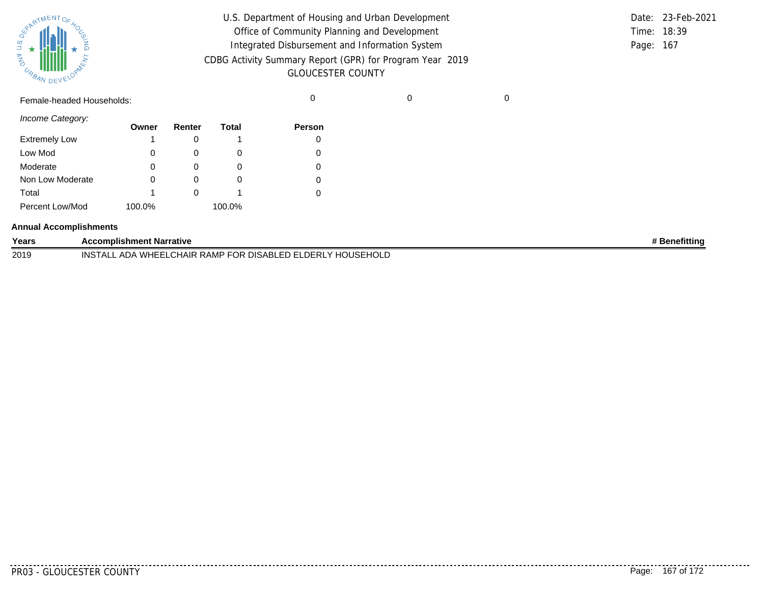|       | <b>REAL AVENTOF 40C</b> |  |
|-------|-------------------------|--|
| Ź     |                         |  |
| URBAN | DEVELOPAN               |  |

| U.S. Department of Housing and Urban Development         |             | Date: 23-Feb-2021 |
|----------------------------------------------------------|-------------|-------------------|
| Office of Community Planning and Development             | Time: 18:39 |                   |
| Integrated Disbursement and Information System           | Page: 167   |                   |
| CDBG Activity Summary Report (GPR) for Program Year 2019 |             |                   |
| <b>GLOUCESTER COUNTY</b>                                 |             |                   |

Female-headed Households: 0 0 0

*Income Category:*

| 0 0 0 0 0 0 0 0 0    | Owner  | Renter | Total  | <b>Person</b> |
|----------------------|--------|--------|--------|---------------|
| <b>Extremely Low</b> | 1      |        |        |               |
| Low Mod              | 0      |        | O      |               |
| Moderate             | 0      |        |        |               |
| Non Low Moderate     | 0      |        |        |               |
| Total                | 1      |        |        |               |
| Percent Low/Mod      | 100.0% |        | 100.0% |               |

#### **Annual Accomplishments**

| Years | Accomplishment Narrative                                                                                   | <b>Benefitting</b> |
|-------|------------------------------------------------------------------------------------------------------------|--------------------|
| 2019  | <b>HOUSEL</b><br>L ADA WHEELCHAIR RAMP FOR DISABLED ELDERLY I<br><b>HOLD</b><br>INS <sup>®</sup><br>. A I' |                    |

........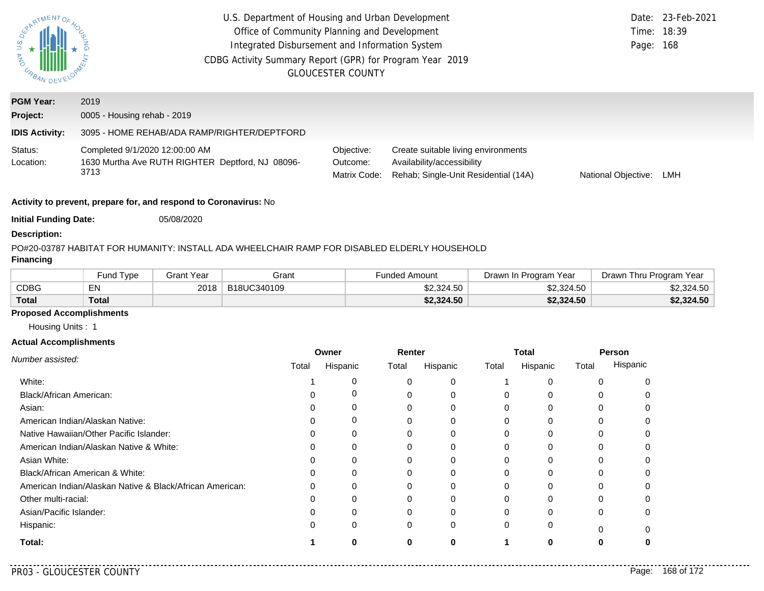| RARTMENTOR.<br>$\begin{array}{c}\n\widetilde{\mathcal{Q}} & \star \\ \downarrow & \star \\ \downarrow & \star \\ \hline\n\end{array}$ | U.S. Department of Housing and Urban Development<br>Office of Community Planning and Development<br>Integrated Disbursement and Information System<br>CDBG Activity Summary Report (GPR) for Program Year 2019 | <b>GLOUCESTER COUNTY</b>               |                                                                                                           | Page:               | Date: 23-Feb-2021<br>Time: 18:39<br>168 |
|---------------------------------------------------------------------------------------------------------------------------------------|----------------------------------------------------------------------------------------------------------------------------------------------------------------------------------------------------------------|----------------------------------------|-----------------------------------------------------------------------------------------------------------|---------------------|-----------------------------------------|
| <b>PGM Year:</b><br>Project:                                                                                                          | 2019<br>0005 - Housing rehab - 2019                                                                                                                                                                            |                                        |                                                                                                           |                     |                                         |
| <b>IDIS Activity:</b>                                                                                                                 | 3095 - HOME REHAB/ADA RAMP/RIGHTER/DEPTFORD                                                                                                                                                                    |                                        |                                                                                                           |                     |                                         |
| Status:<br>Location:                                                                                                                  | Completed 9/1/2020 12:00:00 AM<br>1630 Murtha Ave RUTH RIGHTER Deptford, NJ 08096-<br>3713                                                                                                                     | Objective:<br>Outcome:<br>Matrix Code: | Create suitable living environments<br>Availability/accessibility<br>Rehab; Single-Unit Residential (14A) | National Objective: | LMH                                     |
|                                                                                                                                       | Activity to prevent, prepare for, and respond to Coronavirus: No                                                                                                                                               |                                        |                                                                                                           |                     |                                         |
| <b>Initial Funding Date:</b>                                                                                                          | 05/08/2020                                                                                                                                                                                                     |                                        |                                                                                                           |                     |                                         |
| <b>Description:</b>                                                                                                                   |                                                                                                                                                                                                                |                                        |                                                                                                           |                     |                                         |

#### PO#20-03787 HABITAT FOR HUMANITY: INSTALL ADA WHEELCHAIR RAMP FOR DISABLED ELDERLY HOUSEHOLD

### **Financing**

|              | Fund Type   | Grant Year | Grant       | <b>Funded Amount</b> | Drawn In Program Year | Drawn Thru Program Year |
|--------------|-------------|------------|-------------|----------------------|-----------------------|-------------------------|
| CDBG         | $-$ N i $-$ | 2018       | B18UC340109 | \$2,324.50           | \$2,324.50            | \$2,324.50              |
| <b>Total</b> | Total       |            |             | \$2,324.50           | \$2,324.50            | \$2,324.50              |

# **Proposed Accomplishments**

Housing Units : 1

#### **Actual Accomplishments**

|                                                          |       | Owner    | Renter |          | <b>Total</b> |          | Person |          |
|----------------------------------------------------------|-------|----------|--------|----------|--------------|----------|--------|----------|
| Number assisted:                                         | Total | Hispanic | Total  | Hispanic | Total        | Hispanic | Total  | Hispanic |
| White:                                                   |       | O        |        | 0        |              |          |        |          |
| Black/African American:                                  |       | 0        |        | O        |              |          |        |          |
| Asian:                                                   |       | 0        |        | 0        | 0            |          | 0      |          |
| American Indian/Alaskan Native:                          |       | 0        |        | 0        |              |          |        |          |
| Native Hawaiian/Other Pacific Islander:                  |       | $\Omega$ |        |          |              |          |        |          |
| American Indian/Alaskan Native & White:                  |       | $\Omega$ |        | 0        |              |          |        |          |
| Asian White:                                             |       |          |        |          |              |          |        |          |
| Black/African American & White:                          |       | $\Omega$ |        | 0        | $\Omega$     |          | U      |          |
| American Indian/Alaskan Native & Black/African American: |       | 0        |        | $\Omega$ |              |          |        |          |
| Other multi-racial:                                      |       |          |        |          |              |          |        |          |
| Asian/Pacific Islander:                                  |       | $\Omega$ |        | $\Omega$ |              |          |        |          |
| Hispanic:                                                |       | $\Omega$ | 0      | 0        | $\Omega$     | 0        |        |          |
| Total:                                                   |       |          |        |          |              |          |        |          |

. . . . .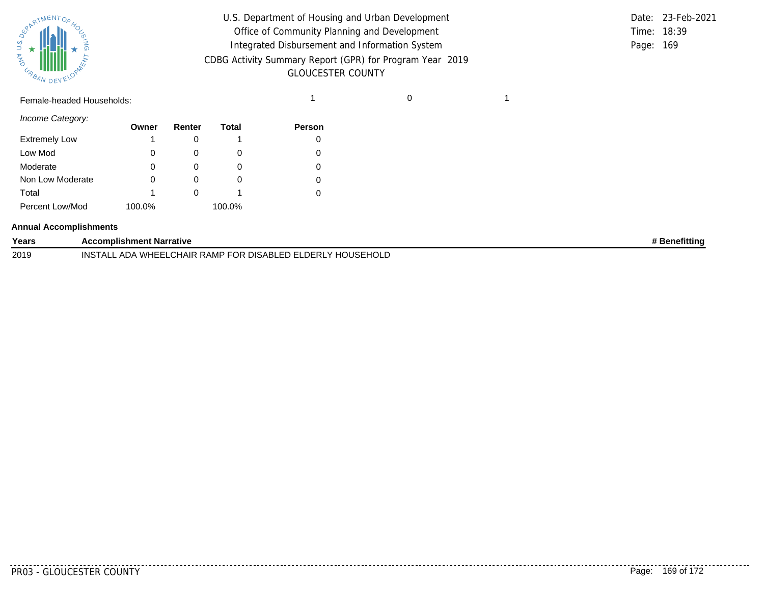

| $\frac{u s \, o_{\xi}}{\star}$<br>$\alpha_{\beta_{A_{N}}}\text{minim}$ | U.S. Department of Housing and Urban Development<br>Office of Community Planning and Development<br>Integrated Disbursement and Information System<br>CDBG Activity Summary Report (GPR) for Program Year 2019<br><b>GLOUCESTER COUNTY</b> |  | Date: 23-Feb-2021<br>Time: 18:39<br>Page: 169 |
|------------------------------------------------------------------------|--------------------------------------------------------------------------------------------------------------------------------------------------------------------------------------------------------------------------------------------|--|-----------------------------------------------|
| Female-headed Households:                                              |                                                                                                                                                                                                                                            |  |                                               |

|             | Date: 23-Feb-2021 |
|-------------|-------------------|
| Time: 18:39 |                   |
| Page: 169   |                   |

*Income Category:*

|                      | Owner  | Renter | Total  | <b>Person</b> |
|----------------------|--------|--------|--------|---------------|
| <b>Extremely Low</b> |        |        |        |               |
| Low Mod              | 0      |        | O      |               |
| Moderate             | 0      | O)     | O      |               |
| Non Low Moderate     | 0      |        | O      |               |
| Total                |        |        |        |               |
| Percent Low/Mod      | 100.0% |        | 100.0% |               |

#### **Annual Accomplishments**

| Years | <b>Accomplishment Narrative</b>                                                                                               | enefittinc |
|-------|-------------------------------------------------------------------------------------------------------------------------------|------------|
| 2019  | <b>ISE</b><br>∩IS∆RI<br>INS<br>. WH<br>⊢ו⊣נו<br>ADL<br>∴ KAMP'<br>∙RI<br>HAIR<br>HOLL<br>$\cdot$ 1 $-$<br>IJΚ<br>4 L<br><br>. |            |

. . . . . . . . . . .

. . . . . . . .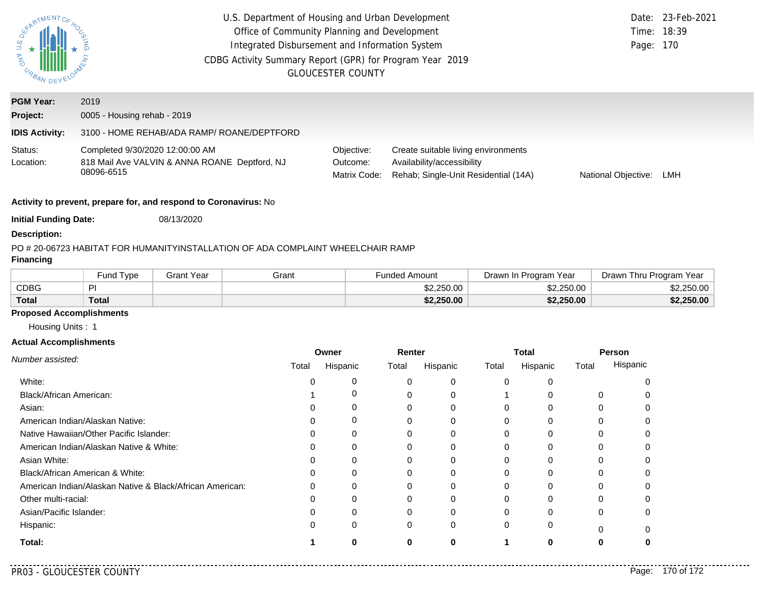| SOLUMENTOF<br><b>MAD</b><br><b>CABAN DEVELOY</b> |                                               |                                                                                 | U.S. Department of Housing and Urban Development<br>Office of Community Planning and Development<br>Integrated Disbursement and Information System<br>CDBG Activity Summary Report (GPR) for Program Year 2019 | <b>GLOUCESTER COUNTY</b>               |                      |                                                                                                           |          |                       |            | Page: 170               | Date: 23-Feb-2021<br>Time: 18:39 |
|--------------------------------------------------|-----------------------------------------------|---------------------------------------------------------------------------------|----------------------------------------------------------------------------------------------------------------------------------------------------------------------------------------------------------------|----------------------------------------|----------------------|-----------------------------------------------------------------------------------------------------------|----------|-----------------------|------------|-------------------------|----------------------------------|
| <b>PGM Year:</b>                                 | 2019                                          |                                                                                 |                                                                                                                                                                                                                |                                        |                      |                                                                                                           |          |                       |            |                         |                                  |
| Project:                                         | 0005 - Housing rehab - 2019                   |                                                                                 |                                                                                                                                                                                                                |                                        |                      |                                                                                                           |          |                       |            |                         |                                  |
| <b>IDIS Activity:</b>                            |                                               | 3100 - HOME REHAB/ADA RAMP/ ROANE/DEPTFORD                                      |                                                                                                                                                                                                                |                                        |                      |                                                                                                           |          |                       |            |                         |                                  |
| Status:<br>Location:                             | Completed 9/30/2020 12:00:00 AM<br>08096-6515 | 818 Mail Ave VALVIN & ANNA ROANE Deptford, NJ                                   |                                                                                                                                                                                                                | Objective:<br>Outcome:<br>Matrix Code: |                      | Create suitable living environments<br>Availability/accessibility<br>Rehab; Single-Unit Residential (14A) |          |                       |            | National Objective:     | LMH                              |
|                                                  |                                               | Activity to prevent, prepare for, and respond to Coronavirus: No                |                                                                                                                                                                                                                |                                        |                      |                                                                                                           |          |                       |            |                         |                                  |
| <b>Initial Funding Date:</b>                     |                                               | 08/13/2020                                                                      |                                                                                                                                                                                                                |                                        |                      |                                                                                                           |          |                       |            |                         |                                  |
| <b>Description:</b>                              |                                               |                                                                                 |                                                                                                                                                                                                                |                                        |                      |                                                                                                           |          |                       |            |                         |                                  |
| <b>Financing</b>                                 |                                               | PO # 20-06723 HABITAT FOR HUMANITYINSTALLATION OF ADA COMPLAINT WHEELCHAIR RAMP |                                                                                                                                                                                                                |                                        |                      |                                                                                                           |          |                       |            |                         |                                  |
|                                                  | Fund Type                                     | <b>Grant Year</b>                                                               | Grant                                                                                                                                                                                                          |                                        | <b>Funded Amount</b> |                                                                                                           |          | Drawn In Program Year |            | Drawn Thru Program Year |                                  |
| <b>CDBG</b>                                      | PI                                            |                                                                                 |                                                                                                                                                                                                                |                                        |                      | \$2,250.00                                                                                                |          |                       | \$2,250.00 |                         | \$2,250.00                       |
| <b>Total</b>                                     | <b>Total</b>                                  |                                                                                 |                                                                                                                                                                                                                |                                        |                      | \$2,250.00                                                                                                |          |                       | \$2,250.00 |                         | \$2,250.00                       |
|                                                  | <b>Proposed Accomplishments</b>               |                                                                                 |                                                                                                                                                                                                                |                                        |                      |                                                                                                           |          |                       |            |                         |                                  |
| Housing Units: 1                                 |                                               |                                                                                 |                                                                                                                                                                                                                |                                        |                      |                                                                                                           |          |                       |            |                         |                                  |
| <b>Actual Accomplishments</b>                    |                                               |                                                                                 |                                                                                                                                                                                                                |                                        |                      |                                                                                                           |          |                       |            |                         |                                  |
| Number assisted:                                 |                                               |                                                                                 |                                                                                                                                                                                                                | Owner                                  | Renter               |                                                                                                           |          | <b>Total</b>          |            | Person                  |                                  |
|                                                  |                                               |                                                                                 | Total                                                                                                                                                                                                          | Hispanic                               | Total                | Hispanic                                                                                                  | Total    | Hispanic              | Total      | Hispanic                |                                  |
| White:                                           |                                               |                                                                                 | 0                                                                                                                                                                                                              | 0                                      | 0                    | 0                                                                                                         | 0        | 0                     |            | 0                       |                                  |
| Black/African American:                          |                                               |                                                                                 |                                                                                                                                                                                                                | 0                                      | $\mathbf 0$          | 0                                                                                                         | 1        | 0                     |            | 0<br>0                  |                                  |
| Asian:                                           |                                               |                                                                                 | 0                                                                                                                                                                                                              | 0                                      | $\Omega$             | $\mathbf 0$                                                                                               | 0        | $\mathbf 0$           |            | 0<br>0                  |                                  |
|                                                  | American Indian/Alaskan Native:               |                                                                                 | $\Omega$                                                                                                                                                                                                       | 0                                      | $\Omega$             | $\mathbf 0$                                                                                               | $\Omega$ | $\mathbf 0$           |            | $\Omega$<br>0           |                                  |
|                                                  | Native Hawaiian/Other Pacific Islander:       |                                                                                 | $\Omega$                                                                                                                                                                                                       | $\Omega$                               | $\Omega$             | $\mathbf 0$                                                                                               | $\Omega$ | $\Omega$              |            | $\Omega$<br>0           |                                  |
|                                                  | American Indian/Alaskan Native & White:       |                                                                                 | $\Omega$                                                                                                                                                                                                       | $\Omega$                               | $\Omega$             | $\Omega$                                                                                                  | $\Omega$ | $\Omega$              |            | $\Omega$<br>0           |                                  |
| Asian White:                                     |                                               |                                                                                 | 0                                                                                                                                                                                                              | $\Omega$                               | $\Omega$             | $\Omega$                                                                                                  | $\Omega$ | $\Omega$              |            | $\Omega$<br>$\Omega$    |                                  |
|                                                  |                                               |                                                                                 |                                                                                                                                                                                                                |                                        |                      |                                                                                                           |          |                       |            |                         |                                  |
|                                                  | Black/African American & White:               |                                                                                 | $\Omega$                                                                                                                                                                                                       | $\Omega$                               | $\Omega$             | $\Omega$                                                                                                  | $\Omega$ | $\Omega$              |            | $\Omega$<br>0           |                                  |

**1 0**

**0**

0 0 0 0 0 0 0 0

**0**

0 0  $\boldsymbol{0}$ 0 **1 0 0**

0 0 0 0 0 0 0 0

**Total:**

Hispanic:

Other multi-racial: Asian/Pacific Islander:

. . . . . . . .

0

0

0

**0**

0

0 0 0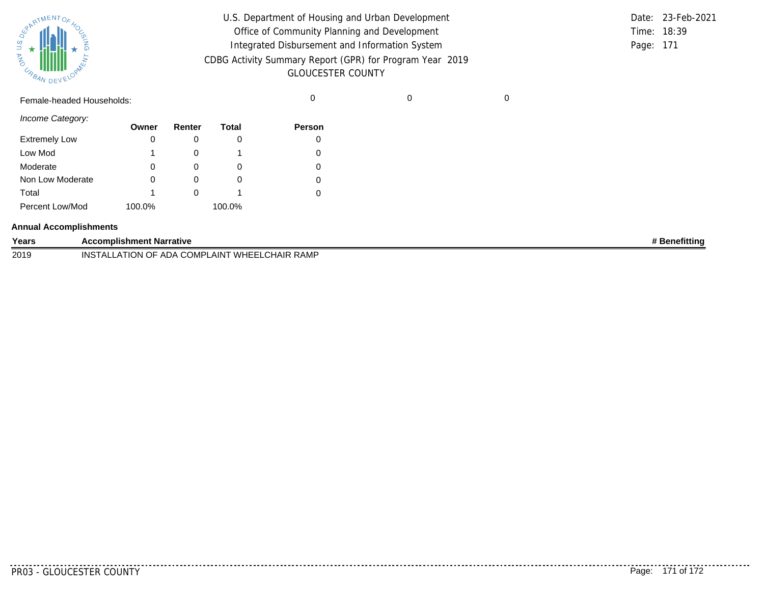| SUPARTMENTOF 40 |           |  |
|-----------------|-----------|--|
| そっ              |           |  |
| URBAN           | DEVELOPAL |  |

| U.S. Department of Housing and Urban Development         |           | Date: 23-Feb-2021 |
|----------------------------------------------------------|-----------|-------------------|
| Office of Community Planning and Development             |           | Time: 18:39       |
| Integrated Disbursement and Information System           | Page: 171 |                   |
| CDBG Activity Summary Report (GPR) for Program Year 2019 |           |                   |
| <b>GLOUCESTER COUNTY</b>                                 |           |                   |

Female-headed Households: 0 0 0

*Income Category:*

|                      | Owner  | Renter | Total  | <b>Person</b> |
|----------------------|--------|--------|--------|---------------|
| <b>Extremely Low</b> | 0      |        |        |               |
| Low Mod              |        |        |        |               |
| Moderate             | 0      |        | O      |               |
| Non Low Moderate     | Ω      |        |        |               |
| Total                |        |        |        |               |
| Percent Low/Mod      | 100.0% |        | 100.0% |               |

#### **Annual Accomplishments**

| Years | Accomplishment Narrative                                                             | <b>}enefitting</b> |
|-------|--------------------------------------------------------------------------------------|--------------------|
| 2019  | ∕HAIR RAMP<br>WHEEL<br>_AIN <sup>-</sup><br>INS<br>ADA<br>ION OF<br>`ΤΛΙ.<br>. UMPL. |                    |

. . . . . . . . .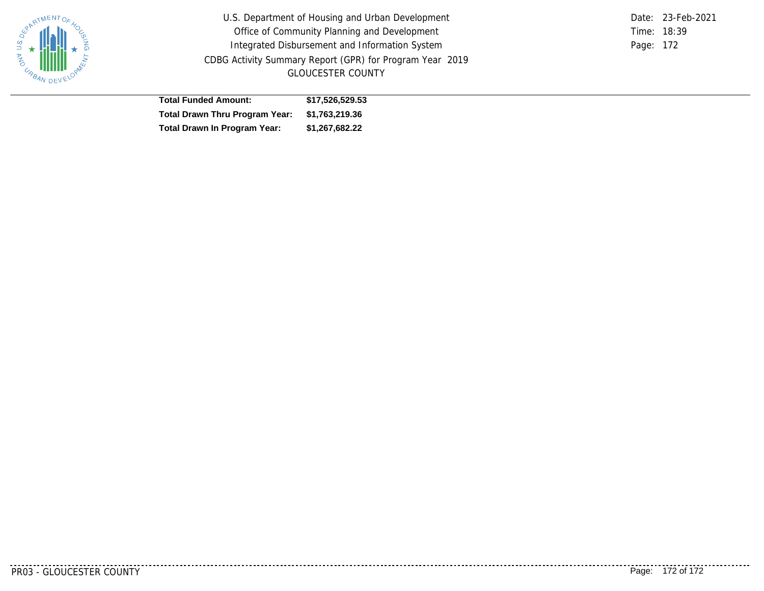

U.S. Department of Housing and Urban Development Office of Community Planning and Development Integrated Disbursement and Information System CDBG Activity Summary Report (GPR) for Program Year 2019 GLOUCESTER COUNTY

Time: 18:39 Page: 172 Date: 23-Feb-2021

| <b>Total Funded Amount:</b>                   | \$17.526.529.53 |
|-----------------------------------------------|-----------------|
| Total Drawn Thru Program Year: \$1,763,219.36 |                 |
| <b>Total Drawn In Program Year:</b>           | \$1,267,682.22  |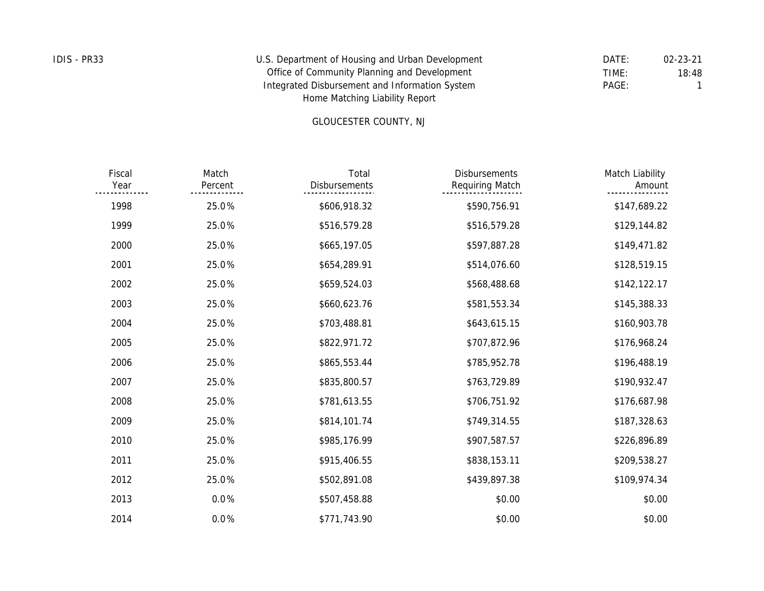| IDIS - PR33 | U.S. Department of Housing and Urban Development | DATE: | 02-23-21 |
|-------------|--------------------------------------------------|-------|----------|
|             | Office of Community Planning and Development     | TIME: | 18:48    |
|             | Integrated Disbursement and Information System   | PAGE: |          |
|             | Home Matching Liability Report                   |       |          |

# GLOUCESTER COUNTY, NJ

| Match Liability<br>Amount | <b>Disbursements</b><br>Requiring Match | Total<br>Disbursements | Match<br>Percent | Fiscal<br>Year |
|---------------------------|-----------------------------------------|------------------------|------------------|----------------|
| \$147,689.22              | \$590,756.91                            | \$606,918.32           | 25.0%            | 1998           |
| \$129,144.82              | \$516,579.28                            | \$516,579.28           | 25.0%            | 1999           |
| \$149,471.82              | \$597,887.28                            | \$665,197.05           | 25.0%            | 2000           |
| \$128,519.15              | \$514,076.60                            | \$654,289.91           | 25.0%            | 2001           |
| \$142,122.17              | \$568,488.68                            | \$659,524.03           | 25.0%            | 2002           |
| \$145,388.33              | \$581,553.34                            | \$660,623.76           | 25.0%            | 2003           |
| \$160,903.78              | \$643,615.15                            | \$703,488.81           | 25.0%            | 2004           |
| \$176,968.24              | \$707,872.96                            | \$822,971.72           | 25.0%            | 2005           |
| \$196,488.19              | \$785,952.78                            | \$865,553.44           | 25.0%            | 2006           |
| \$190,932.47              | \$763,729.89                            | \$835,800.57           | 25.0%            | 2007           |
| \$176,687.98              | \$706,751.92                            | \$781,613.55           | 25.0%            | 2008           |
| \$187,328.63              | \$749,314.55                            | \$814,101.74           | 25.0%            | 2009           |
| \$226,896.89              | \$907,587.57                            | \$985,176.99           | 25.0%            | 2010           |
| \$209,538.27              | \$838,153.11                            | \$915,406.55           | 25.0%            | 2011           |
| \$109,974.34              | \$439,897.38                            | \$502,891.08           | 25.0%            | 2012           |
| \$0.00                    | \$0.00                                  | \$507,458.88           | 0.0%             | 2013           |
| \$0.00                    | \$0.00                                  | \$771,743.90           | 0.0%             | 2014           |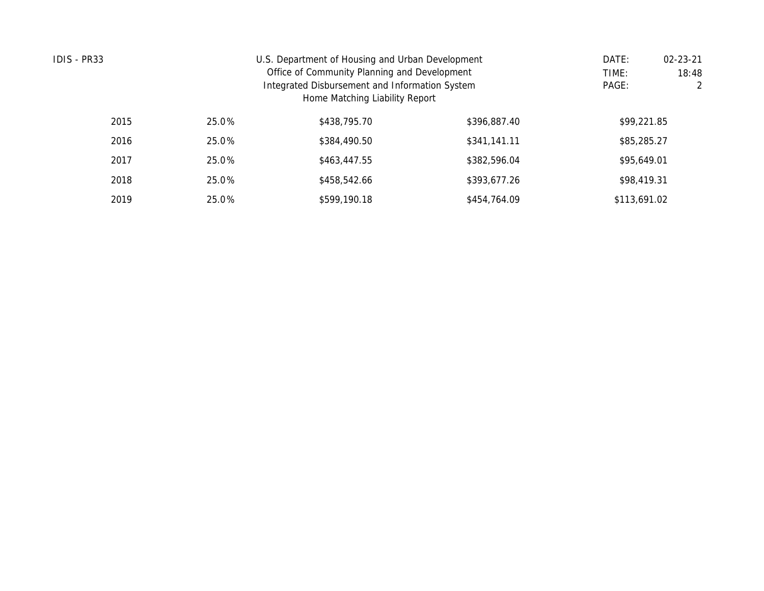| IDIS - PR33 |       | U.S. Department of Housing and Urban Development |              |              |  |  |  |  |  |
|-------------|-------|--------------------------------------------------|--------------|--------------|--|--|--|--|--|
|             |       | Office of Community Planning and Development     |              |              |  |  |  |  |  |
|             | PAGE: | 2                                                |              |              |  |  |  |  |  |
|             |       | Home Matching Liability Report                   |              |              |  |  |  |  |  |
| 2015        | 25.0% | \$438,795.70                                     | \$396,887.40 | \$99,221.85  |  |  |  |  |  |
| 2016        | 25.0% | \$384,490.50                                     | \$341,141.11 | \$85,285.27  |  |  |  |  |  |
| 2017        | 25.0% | \$463,447.55                                     | \$382,596.04 | \$95,649.01  |  |  |  |  |  |
| 2018        | 25.0% | \$458,542.66                                     | \$393,677.26 | \$98,419.31  |  |  |  |  |  |
| 2019        | 25.0% | \$599,190.18                                     | \$454,764.09 | \$113,691.02 |  |  |  |  |  |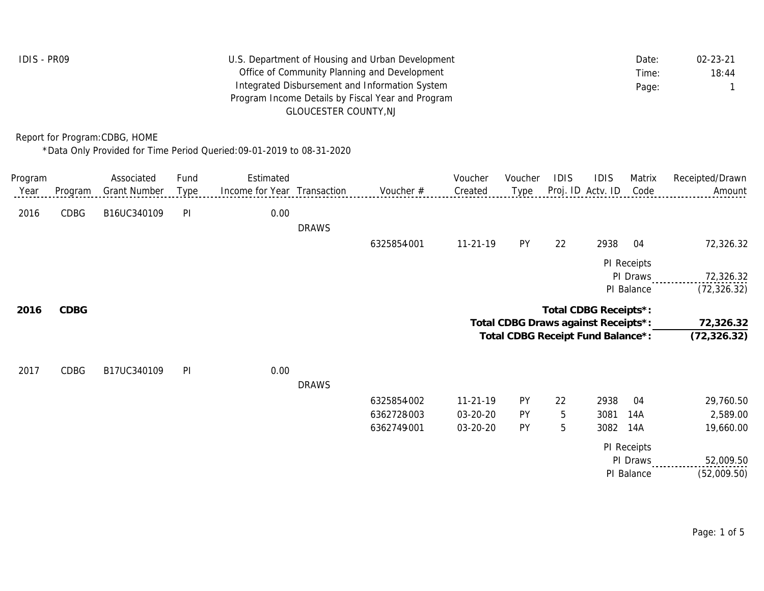| IDIS - PR09 | U.S. Department of Housing and Urban Development  | Date: | $02 - 23 - 21$ |
|-------------|---------------------------------------------------|-------|----------------|
|             | Office of Community Planning and Development      | Time: | 18:44          |
|             | Integrated Disbursement and Information System    | Page: |                |
|             | Program Income Details by Fiscal Year and Program |       |                |
|             | GLOUCESTER COUNTY.NJ                              |       |                |

Report for Program:CDBG, HOME

\*Data Only Provided for Time Period Queried:09-01-2019 to 08-31-2020

| Program |         | Associated          | Fund | Estimated                   |              |            | Voucher    | Voucher                             | <b>IDIS</b> | <b>IDIS</b>           | Matrix      | Receipted/Drawn |
|---------|---------|---------------------|------|-----------------------------|--------------|------------|------------|-------------------------------------|-------------|-----------------------|-------------|-----------------|
| Year    | Program | <b>Grant Number</b> | Type | Income for Year Transaction |              | Voucher #  | Created    | Type                                |             | Proj. ID Actv. ID     | Code        | Amount          |
| 2016    | CDBG    | B16UC340109         | PI   | 0.00                        |              |            |            |                                     |             |                       |             |                 |
|         |         |                     |      |                             | <b>DRAWS</b> |            |            |                                     |             |                       |             |                 |
|         |         |                     |      |                             |              | 6325854001 | $11-21-19$ | PY                                  | 22          | 2938                  | 04          | 72,326.32       |
|         |         |                     |      |                             |              |            |            |                                     |             |                       | PI Receipts |                 |
|         |         |                     |      |                             |              |            |            |                                     |             |                       | PI Draws    | 72,326.32       |
|         |         |                     |      |                             |              |            |            |                                     |             |                       | PI Balance  | (72, 326.32)    |
| 2016    | CDBG    |                     |      |                             |              |            |            |                                     |             | Total CDBG Receipts*: |             |                 |
|         |         |                     |      |                             |              |            |            | Total CDBG Draws against Receipts*: |             |                       |             | 72,326.32       |
|         |         |                     |      |                             |              |            |            | Total CDBG Receipt Fund Balance*:   |             |                       |             | (72, 326.32)    |
| 2017    | CDBG    | B17UC340109         | PI   | 0.00                        |              |            |            |                                     |             |                       |             |                 |
|         |         |                     |      |                             | <b>DRAWS</b> |            |            |                                     |             |                       |             |                 |
|         |         |                     |      |                             |              | 6325854002 | $11-21-19$ | PY                                  | 22          | 2938                  | 04          | 29,760.50       |
|         |         |                     |      |                             |              | 6362728003 | 03-20-20   | PY                                  | 5           | 3081                  | 14A         | 2,589.00        |
|         |         |                     |      |                             |              | 6362749001 | 03-20-20   | PY                                  | 5           | 3082                  | 14A         | 19,660.00       |
|         |         |                     |      |                             |              |            |            |                                     |             |                       | PI Receipts |                 |
|         |         |                     |      |                             |              |            |            |                                     |             |                       | PI Draws    | 52,009.50       |
|         |         |                     |      |                             |              |            |            |                                     |             |                       | PI Balance  | (52,009.50)     |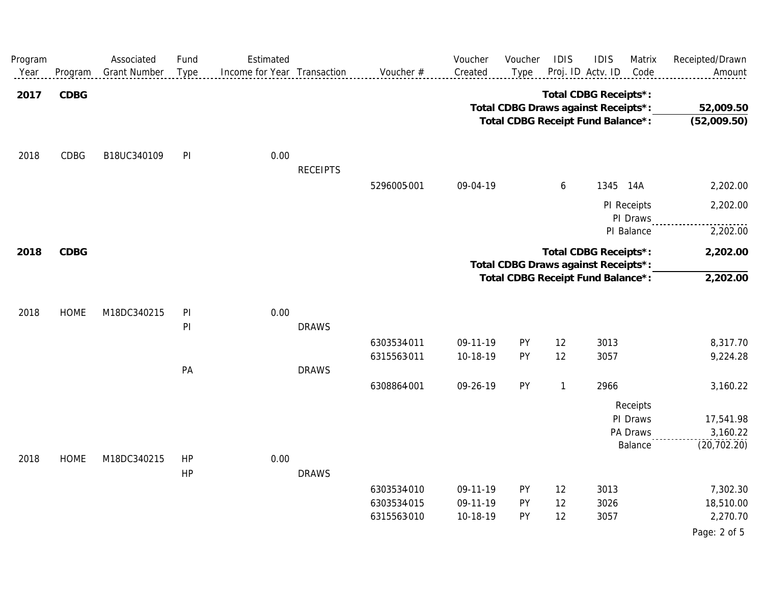| Program<br>Year | Program     | Associated<br><b>Grant Number</b> | Fund<br>Type | Estimated<br>Income for Year Transaction |                 | Voucher #  | Voucher<br>Created | Voucher<br>Type                     | IDIS                  | <b>IDIS</b><br>Proj. ID Actv. ID | Matrix<br>Code          | Receipted/Drawn<br>Amount |
|-----------------|-------------|-----------------------------------|--------------|------------------------------------------|-----------------|------------|--------------------|-------------------------------------|-----------------------|----------------------------------|-------------------------|---------------------------|
| 2017            | CDBG        |                                   |              |                                          |                 |            |                    |                                     | Total CDBG Receipts*: |                                  |                         |                           |
|                 |             |                                   |              |                                          |                 |            |                    | Total CDBG Draws against Receipts*: |                       |                                  |                         | 52,009.50                 |
|                 |             |                                   |              |                                          |                 |            |                    | Total CDBG Receipt Fund Balance*:   |                       |                                  |                         | (52,009.50)               |
| 2018            | CDBG        | B18UC340109                       | PI           | 0.00                                     |                 |            |                    |                                     |                       |                                  |                         |                           |
|                 |             |                                   |              |                                          | <b>RECEIPTS</b> |            |                    |                                     |                       |                                  |                         |                           |
|                 |             |                                   |              |                                          |                 | 5296005001 | 09-04-19           |                                     | 6                     |                                  | 1345 14A                | 2,202.00                  |
|                 |             |                                   |              |                                          |                 |            |                    |                                     |                       |                                  | PI Receipts<br>PI Draws | 2,202.00                  |
|                 |             |                                   |              |                                          |                 |            |                    |                                     |                       |                                  | PI Balance              | 2,202.00                  |
| 2018            | CDBG        |                                   |              |                                          |                 |            |                    | Total CDBG Draws against Receipts*: | Total CDBG Receipts*: |                                  |                         | 2,202.00                  |
|                 |             |                                   |              |                                          |                 |            |                    | Total CDBG Receipt Fund Balance*:   |                       |                                  |                         | 2,202.00                  |
| 2018            | <b>HOME</b> | M18DC340215                       | PI           | 0.00                                     |                 |            |                    |                                     |                       |                                  |                         |                           |
|                 |             |                                   | PI           |                                          | <b>DRAWS</b>    |            |                    |                                     |                       |                                  |                         |                           |
|                 |             |                                   |              |                                          |                 | 6303534011 | 09-11-19           | PY                                  | 12                    | 3013                             |                         | 8,317.70                  |
|                 |             |                                   |              |                                          |                 | 6315563011 | 10-18-19           | PY                                  | 12                    | 3057                             |                         | 9,224.28                  |
|                 |             |                                   | PA           |                                          | <b>DRAWS</b>    |            |                    |                                     |                       |                                  |                         |                           |
|                 |             |                                   |              |                                          |                 | 6308864001 | 09-26-19           | PY                                  | $\mathbf{1}$          | 2966                             |                         | 3,160.22                  |
|                 |             |                                   |              |                                          |                 |            |                    |                                     |                       |                                  | Receipts                |                           |
|                 |             |                                   |              |                                          |                 |            |                    |                                     |                       |                                  | PI Draws                | 17,541.98                 |
|                 |             |                                   |              |                                          |                 |            |                    |                                     |                       |                                  | PA Draws                | 3,160.22                  |
|                 |             |                                   |              |                                          |                 |            |                    |                                     |                       |                                  | Balance                 | (20, 702.20)              |
| 2018            | <b>HOME</b> | M18DC340215                       | HP           | 0.00                                     |                 |            |                    |                                     |                       |                                  |                         |                           |
|                 |             |                                   | HP           |                                          | <b>DRAWS</b>    |            |                    |                                     |                       |                                  |                         |                           |
|                 |             |                                   |              |                                          |                 | 6303534010 | 09-11-19           | PY                                  | 12                    | 3013                             |                         | 7,302.30                  |
|                 |             |                                   |              |                                          |                 | 6303534015 | 09-11-19           | PY                                  | 12                    | 3026                             |                         | 18,510.00                 |
|                 |             |                                   |              |                                          |                 | 6315563010 | 10-18-19           | PY                                  | 12                    | 3057                             |                         | 2,270.70                  |
|                 |             |                                   |              |                                          |                 |            |                    |                                     |                       |                                  |                         | Page: 2 of 5              |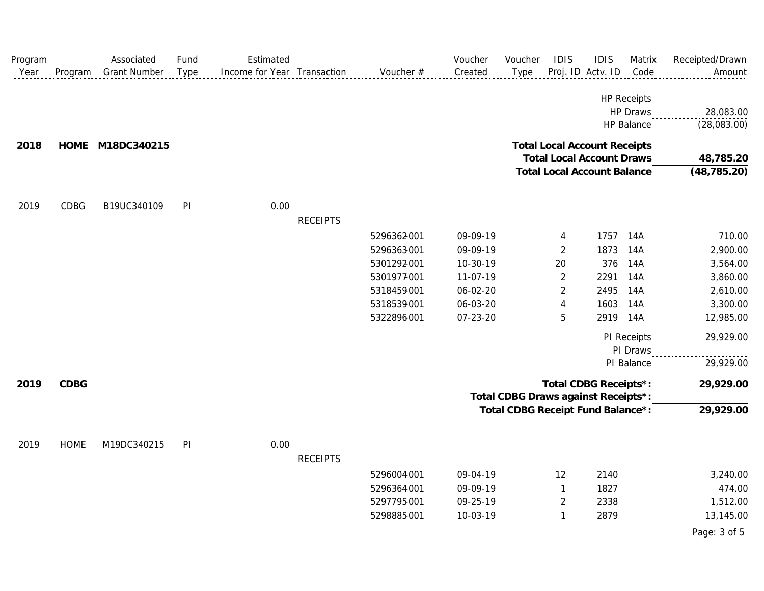| Program |             | Associated          | Fund | Estimated                   |                 |             | Voucher  | Voucher                             | <b>IDIS</b>                         | <b>IDIS</b>       | Matrix             | Receipted/Drawn |
|---------|-------------|---------------------|------|-----------------------------|-----------------|-------------|----------|-------------------------------------|-------------------------------------|-------------------|--------------------|-----------------|
| Year    | Program     | <b>Grant Number</b> | Type | Income for Year Transaction |                 | Voucher #   | Created  | Type                                |                                     | Proj. ID Actv. ID | Code               | Amount          |
|         |             |                     |      |                             |                 |             |          |                                     |                                     |                   | <b>HP Receipts</b> |                 |
|         |             |                     |      |                             |                 |             |          |                                     |                                     |                   | HP Draws           | 28,083.00       |
|         |             |                     |      |                             |                 |             |          |                                     |                                     |                   | HP Balance         | (28,083.00)     |
| 2018    |             | HOME M18DC340215    |      |                             |                 |             |          |                                     | <b>Total Local Account Receipts</b> |                   |                    |                 |
|         |             |                     |      |                             |                 |             |          |                                     | <b>Total Local Account Draws</b>    |                   |                    | 48,785.20       |
|         |             |                     |      |                             |                 |             |          |                                     | <b>Total Local Account Balance</b>  |                   |                    | (48, 785.20)    |
| 2019    | CDBG        | B19UC340109         | PI   | 0.00                        |                 |             |          |                                     |                                     |                   |                    |                 |
|         |             |                     |      |                             | <b>RECEIPTS</b> |             |          |                                     |                                     |                   |                    |                 |
|         |             |                     |      |                             |                 | 5296362001  | 09-09-19 |                                     | 4                                   | 1757              | 14A                | 710.00          |
|         |             |                     |      |                             |                 | 5296363001  | 09-09-19 |                                     | $\overline{2}$                      | 1873              | 14A                | 2,900.00        |
|         |             |                     |      |                             |                 | 5301292001  | 10-30-19 |                                     | 20                                  | 376               | 14A                | 3,564.00        |
|         |             |                     |      |                             |                 | 5301977-001 | 11-07-19 |                                     | $\overline{2}$                      | 2291              | 14A                | 3,860.00        |
|         |             |                     |      |                             |                 | 5318459001  | 06-02-20 |                                     | $\overline{2}$                      | 2495              | 14A                | 2,610.00        |
|         |             |                     |      |                             |                 | 5318539001  | 06-03-20 |                                     | $\overline{4}$                      | 1603              | 14A                | 3,300.00        |
|         |             |                     |      |                             |                 | 5322896001  | 07-23-20 |                                     | 5                                   | 2919              | 14A                | 12,985.00       |
|         |             |                     |      |                             |                 |             |          |                                     |                                     |                   | PI Receipts        | 29,929.00       |
|         |             |                     |      |                             |                 |             |          |                                     |                                     |                   | PI Draws           |                 |
|         |             |                     |      |                             |                 |             |          |                                     |                                     |                   | PI Balance         | 29,929.00       |
| 2019    | CDBG        |                     |      |                             |                 |             |          |                                     | Total CDBG Receipts*:               |                   |                    | 29,929.00       |
|         |             |                     |      |                             |                 |             |          | Total CDBG Draws against Receipts*: |                                     |                   |                    |                 |
|         |             |                     |      |                             |                 |             |          | Total CDBG Receipt Fund Balance*:   |                                     |                   |                    | 29,929.00       |
| 2019    | <b>HOME</b> | M19DC340215         | PI   | 0.00                        |                 |             |          |                                     |                                     |                   |                    |                 |
|         |             |                     |      |                             | <b>RECEIPTS</b> |             |          |                                     |                                     |                   |                    |                 |
|         |             |                     |      |                             |                 | 5296004001  | 09-04-19 |                                     | 12                                  | 2140              |                    | 3,240.00        |
|         |             |                     |      |                             |                 | 5296364001  | 09-09-19 |                                     | -1                                  | 1827              |                    | 474.00          |
|         |             |                     |      |                             |                 | 5297795001  | 09-25-19 |                                     | $\overline{2}$                      | 2338              |                    | 1,512.00        |
|         |             |                     |      |                             |                 | 5298885001  | 10-03-19 |                                     | 1                                   | 2879              |                    | 13,145.00       |
|         |             |                     |      |                             |                 |             |          |                                     |                                     |                   |                    | Page: 3 of 5    |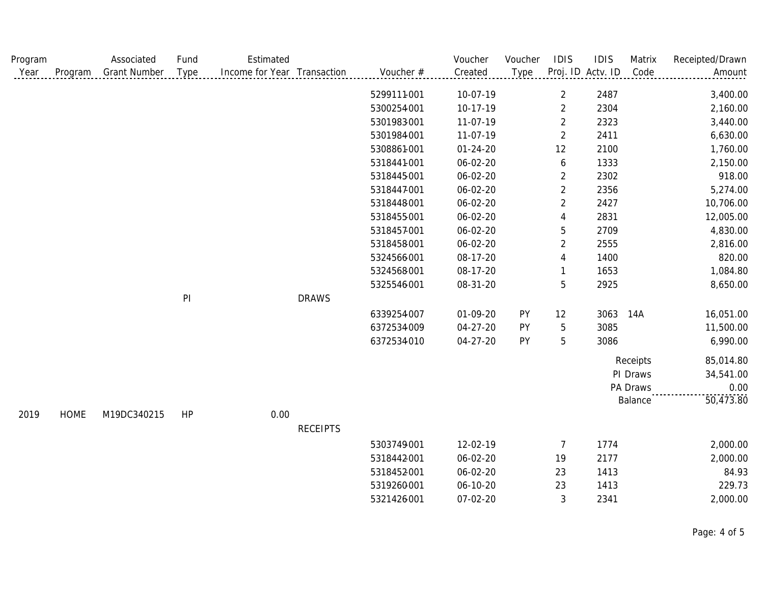| Program |             | Associated          | Fund           | Estimated                   |                 |             | Voucher        | Voucher | IDIS           | <b>IDIS</b>       | Matrix   | Receipted/Drawn |
|---------|-------------|---------------------|----------------|-----------------------------|-----------------|-------------|----------------|---------|----------------|-------------------|----------|-----------------|
| Year    | Program     | <b>Grant Number</b> | Type           | Income for Year Transaction |                 | Voucher #   | Created        | Type    |                | Proj. ID Actv. ID | Code     | Amount          |
|         |             |                     |                |                             |                 | 5299111-001 | 10-07-19       |         | $\overline{2}$ | 2487              |          | 3,400.00        |
|         |             |                     |                |                             |                 | 5300254001  | 10-17-19       |         | $\overline{2}$ | 2304              |          | 2,160.00        |
|         |             |                     |                |                             |                 | 5301983001  | 11-07-19       |         | $\overline{2}$ | 2323              |          | 3,440.00        |
|         |             |                     |                |                             |                 | 5301984001  | 11-07-19       |         | $\overline{2}$ | 2411              |          | 6,630.00        |
|         |             |                     |                |                             |                 | 5308861001  | $01 - 24 - 20$ |         | 12             | 2100              |          | 1,760.00        |
|         |             |                     |                |                             |                 | 5318441-001 | 06-02-20       |         | 6              | 1333              |          | 2,150.00        |
|         |             |                     |                |                             |                 | 5318445001  | 06-02-20       |         | $\overline{2}$ | 2302              |          | 918.00          |
|         |             |                     |                |                             |                 | 5318447001  | 06-02-20       |         | $\overline{2}$ | 2356              |          | 5,274.00        |
|         |             |                     |                |                             |                 | 5318448001  | 06-02-20       |         | $\overline{2}$ | 2427              |          | 10,706.00       |
|         |             |                     |                |                             |                 | 5318455001  | 06-02-20       |         | 4              | 2831              |          | 12,005.00       |
|         |             |                     |                |                             |                 | 5318457001  | 06-02-20       |         | 5              | 2709              |          | 4,830.00        |
|         |             |                     |                |                             |                 | 5318458001  | 06-02-20       |         | $\overline{2}$ | 2555              |          | 2,816.00        |
|         |             |                     |                |                             |                 | 5324566001  | 08-17-20       |         | 4              | 1400              |          | 820.00          |
|         |             |                     |                |                             |                 | 5324568001  | 08-17-20       |         |                | 1653              |          | 1,084.80        |
|         |             |                     |                |                             |                 | 5325546001  | 08-31-20       |         | 5              | 2925              |          | 8,650.00        |
|         |             |                     | P <sub>l</sub> |                             | <b>DRAWS</b>    |             |                |         |                |                   |          |                 |
|         |             |                     |                |                             |                 | 6339254007  | 01-09-20       | PY      | 12             | 3063              | 14A      | 16,051.00       |
|         |             |                     |                |                             |                 | 6372534009  | 04-27-20       | PY      | 5              | 3085              |          | 11,500.00       |
|         |             |                     |                |                             |                 | 6372534010  | 04-27-20       | PY      | 5              | 3086              |          | 6,990.00        |
|         |             |                     |                |                             |                 |             |                |         |                |                   | Receipts | 85,014.80       |
|         |             |                     |                |                             |                 |             |                |         |                |                   | PI Draws | 34,541.00       |
|         |             |                     |                |                             |                 |             |                |         |                |                   | PA Draws | 0.00            |
|         |             |                     |                |                             |                 |             |                |         |                |                   | Balance  | 50,473.80       |
| 2019    | <b>HOME</b> | M19DC340215         | HP             | 0.00                        |                 |             |                |         |                |                   |          |                 |
|         |             |                     |                |                             | <b>RECEIPTS</b> |             |                |         |                |                   |          |                 |
|         |             |                     |                |                             |                 | 5303749001  | 12-02-19       |         | 7              | 1774              |          | 2,000.00        |
|         |             |                     |                |                             |                 | 5318442001  | 06-02-20       |         | 19             | 2177              |          | 2,000.00        |
|         |             |                     |                |                             |                 | 5318452001  | 06-02-20       |         | 23             | 1413              |          | 84.93           |
|         |             |                     |                |                             |                 | 5319260001  | 06-10-20       |         | 23             | 1413              |          | 229.73          |
|         |             |                     |                |                             |                 | 5321426001  | 07-02-20       |         | 3              | 2341              |          | 2,000.00        |

Page: 4 of 5